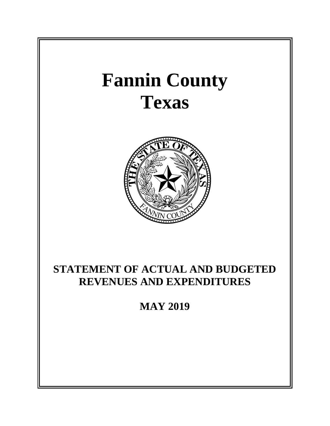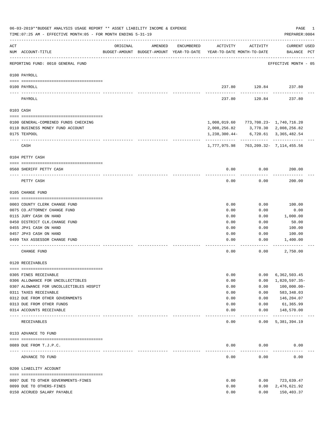|     | 06-03-2019**BUDGET ANALYSIS USAGE REPORT ** ASSET LIABILITY INCOME & EXPENSE<br>TIME: 07:25 AM - EFFECTIVE MONTH: 05 - FOR MONTH ENDING 5-31-19 |                             |                                                     |            |                                        |                                      | PAGE<br>PREPARER: 0004             | 1 |
|-----|-------------------------------------------------------------------------------------------------------------------------------------------------|-----------------------------|-----------------------------------------------------|------------|----------------------------------------|--------------------------------------|------------------------------------|---|
| ACT | NUM ACCOUNT-TITLE                                                                                                                               | ORIGINAL                    | AMENDED<br>BUDGET-AMOUNT BUDGET-AMOUNT YEAR-TO-DATE | ENCUMBERED | ACTIVITY<br>YEAR-TO-DATE MONTH-TO-DATE | ACTIVITY                             | <b>CURRENT USED</b><br>BALANCE PCT |   |
|     | REPORTING FUND: 0010 GENERAL FUND                                                                                                               |                             |                                                     |            |                                        |                                      | EFFECTIVE MONTH - 05               |   |
|     | 0100 PAYROLL                                                                                                                                    |                             |                                                     |            |                                        |                                      |                                    |   |
|     | 0100 PAYROLL                                                                                                                                    |                             |                                                     |            |                                        | 237.80 120.84                        | 237.80                             |   |
|     | PAYROLL                                                                                                                                         |                             |                                                     |            | 237.80                                 | 120.84                               | 237.80                             |   |
|     | 0103 CASH                                                                                                                                       |                             |                                                     |            |                                        |                                      |                                    |   |
|     | 0100 GENERAL-COMBINED FUNDS CHECKING                                                                                                            |                             |                                                     |            | 1,008,019.60 773,708.23- 1,740,716.20  |                                      |                                    |   |
|     | 0110 BUSINESS MONEY FUND ACCOUNT                                                                                                                |                             |                                                     |            | 2,008,256.82                           |                                      | 3,778.30 2,008,256.82              |   |
|     | 0175 TEXPOOL                                                                                                                                    |                             |                                                     |            | 1,238,300.44-                          | ----------- ------------ ----------- | 6,720.61 3,365,482.54              |   |
|     | CASH                                                                                                                                            |                             |                                                     |            | 1,777,975.98 763,209.32- 7,114,455.56  |                                      |                                    |   |
|     | 0104 PETTY CASH                                                                                                                                 |                             |                                                     |            |                                        |                                      |                                    |   |
|     | 0560 SHERIFF PETTY CASH                                                                                                                         |                             |                                                     |            | 0.00                                   | 0.00                                 | 200.00                             |   |
|     | PETTY CASH                                                                                                                                      |                             |                                                     |            | 0.00                                   | 0.00                                 | 200.00                             |   |
|     | 0105 CHANGE FUND                                                                                                                                |                             |                                                     |            |                                        |                                      |                                    |   |
|     |                                                                                                                                                 |                             |                                                     |            |                                        |                                      |                                    |   |
|     | 0003 COUNTY CLERK CHANGE FUND                                                                                                                   |                             |                                                     |            | 0.00                                   | 0.00                                 | 100.00                             |   |
|     | 0075 CO.ATTORNEY CHANGE FUND                                                                                                                    |                             |                                                     |            | 0.00<br>0.00                           | 0.00<br>0.00                         | 0.00                               |   |
|     | 0115 JURY CASH ON HAND<br>0450 DISTRICT CLK. CHANGE FUND                                                                                        |                             |                                                     |            | 0.00                                   | 0.00                                 | 1,000.00<br>50.00                  |   |
|     | 0455 JP#1 CASH ON HAND                                                                                                                          |                             |                                                     |            | 0.00                                   | 0.00                                 | 100.00                             |   |
|     | 0457 JP#3 CASH ON HAND                                                                                                                          |                             |                                                     |            | 0.00                                   | 0.00                                 | 100.00                             |   |
|     | 0499 TAX ASSESSOR CHANGE FUND                                                                                                                   |                             |                                                     |            | 0.00                                   | 0.00                                 | 1,400.00                           |   |
|     |                                                                                                                                                 |                             |                                                     |            |                                        |                                      |                                    |   |
|     | CHANGE FUND                                                                                                                                     |                             |                                                     |            | 0.00                                   | 0.00                                 | 2,750.00                           |   |
|     | 0120 RECEIVABLES                                                                                                                                |                             |                                                     |            |                                        |                                      |                                    |   |
|     |                                                                                                                                                 |                             |                                                     |            | 0.00                                   | 0.00                                 |                                    |   |
|     | 0305 FINES RECEIVABLE<br>0306 ALLOWANCE FOR UNCOLLECTIBLES                                                                                      |                             |                                                     |            | 0.00                                   | 0.00                                 | 6,362,503.45<br>1,820,597.35-      |   |
|     | 0307 ALOWANCE FOR UNCOLLECTIBLES HOSPIT                                                                                                         |                             |                                                     |            | 0.00                                   | 0.00                                 | $100,000.00 -$                     |   |
|     | 0311 TAXES RECEIVABLE                                                                                                                           |                             |                                                     |            | 0.00                                   | 0.00                                 | 583, 348.03                        |   |
|     | 0312 DUE FROM OTHER GOVERNMENTS                                                                                                                 |                             |                                                     |            | 0.00                                   | 0.00                                 | 146,204.07                         |   |
|     | 0313 DUE FROM OTHER FUNDS                                                                                                                       |                             |                                                     |            | 0.00                                   | 0.00                                 | 61,365.99                          |   |
|     | 0314 ACCOUNTS RECEIVABLE                                                                                                                        |                             |                                                     |            | 0.00                                   | 0.00                                 | 148,570.00                         |   |
|     | RECEIVABLES                                                                                                                                     | ------------ -------------- |                                                     |            | 0.00                                   | $- - - - - -$<br>0.00                | ------------<br>5,381,394.19       |   |
|     | 0133 ADVANCE TO FUND                                                                                                                            |                             |                                                     |            |                                        |                                      |                                    |   |
|     |                                                                                                                                                 |                             |                                                     |            |                                        |                                      |                                    |   |
|     | 0089 DUE FROM T.J.P.C.                                                                                                                          |                             |                                                     |            | 0.00                                   | 0.00                                 | 0.00                               |   |
|     | ADVANCE TO FUND                                                                                                                                 |                             |                                                     |            | 0.00                                   | 0.00                                 | 0.00                               |   |
|     | 0200 LIABILITY ACCOUNT                                                                                                                          |                             |                                                     |            |                                        |                                      |                                    |   |
|     | 0097 DUE TO OTHER GOVERNMENTS-FINES                                                                                                             |                             |                                                     |            | 0.00                                   | 0.00                                 | 723,639.47                         |   |
|     | 0099 DUE TO OTHERS-FINES                                                                                                                        |                             |                                                     |            | 0.00                                   | 0.00                                 | 2,476,621.92                       |   |
|     | 0150 ACCRUED SALARY PAYABLE                                                                                                                     |                             |                                                     |            | 0.00                                   | 0.00                                 | 150,403.37                         |   |
|     |                                                                                                                                                 |                             |                                                     |            |                                        |                                      |                                    |   |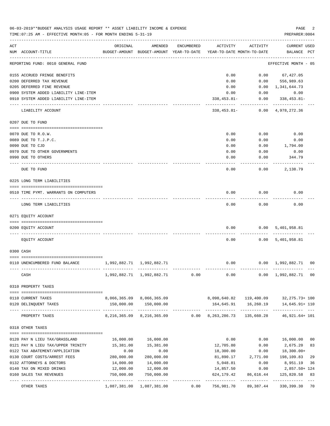|     | 06-03-2019**BUDGET ANALYSIS USAGE REPORT ** ASSET LIABILITY INCOME & EXPENSE<br>TIME: 07:25 AM - EFFECTIVE MONTH: 05 - FOR MONTH ENDING 5-31-19 |                                           |                                                               |            |                                          |                         | PAGE<br>PREPARER: 0004                    | 2              |
|-----|-------------------------------------------------------------------------------------------------------------------------------------------------|-------------------------------------------|---------------------------------------------------------------|------------|------------------------------------------|-------------------------|-------------------------------------------|----------------|
| ACT | NUM ACCOUNT-TITLE                                                                                                                               | ORIGINAL                                  | AMENDED<br>BUDGET-AMOUNT BUDGET-AMOUNT YEAR-TO-DATE           | ENCUMBERED | ACTIVITY<br>YEAR-TO-DATE MONTH-TO-DATE   | ACTIVITY                | CURRENT USED<br>BALANCE PCT               |                |
|     | REPORTING FUND: 0010 GENERAL FUND                                                                                                               |                                           |                                                               |            |                                          |                         | EFFECTIVE MONTH - 05                      |                |
|     | 0155 ACCRUED FRINGE BENEFITS                                                                                                                    |                                           |                                                               |            | 0.00                                     |                         | $0.00$ 67,427.05                          |                |
|     | 0200 DEFERRED TAX REVENUE                                                                                                                       |                                           |                                                               |            | 0.00                                     | 0.00                    | 556,989.63                                |                |
|     | 0205 DEFERRED FINE REVENUE                                                                                                                      |                                           |                                                               |            | 0.00                                     | 0.00                    | 1,341,644.73                              |                |
|     | 0900 SYSTEM ADDED LIABILITY LINE-ITEM                                                                                                           |                                           |                                                               |            | 0.00                                     | 0.00                    | 0.00                                      |                |
|     | 0910 SYSTEM ADDED LIABILITY LINE-ITEM                                                                                                           |                                           |                                                               |            | $338, 453.81 -$                          | 0.00                    | 338,453.81-                               |                |
|     | LIABILITY ACCOUNT                                                                                                                               |                                           |                                                               |            | $338,453.81-$                            | 0.00                    | 4,978,272.36                              |                |
|     | 0207 DUE TO FUND                                                                                                                                |                                           |                                                               |            |                                          |                         |                                           |                |
|     | 0070 DUE TO R.O.W.                                                                                                                              |                                           |                                                               |            | 0.00                                     | 0.00                    | 0.00                                      |                |
|     | 0089 DUE TO T.J.P.C.                                                                                                                            |                                           |                                                               |            | 0.00                                     | 0.00                    | 0.00                                      |                |
|     | 0090 DUE TO CJD                                                                                                                                 |                                           |                                                               |            | 0.00                                     | 0.00                    | 1,794.00                                  |                |
|     | 0970 DUE TO OTHER GOVERNMENTS                                                                                                                   |                                           |                                                               |            | 0.00                                     | 0.00                    | 0.00                                      |                |
|     | 0990 DUE TO OTHERS                                                                                                                              |                                           |                                                               |            | 0.00                                     | 0.00                    | 344.79                                    |                |
|     | DUE TO FUND                                                                                                                                     |                                           |                                                               |            | 0.00                                     | 0.00                    | 2,138.79                                  |                |
|     | 0225 LONG TERM LIABILITIES                                                                                                                      |                                           |                                                               |            |                                          |                         |                                           |                |
|     | 0510 TIME PYMT. WARRANTS ON COMPUTERS                                                                                                           |                                           |                                                               |            | 0.00                                     | 0.00                    | 0.00                                      |                |
|     | LONG TERM LIABILITIES                                                                                                                           |                                           |                                                               |            | 0.00                                     | 0.00                    | 0.00                                      |                |
|     | 0271 EQUITY ACCOUNT                                                                                                                             |                                           |                                                               |            |                                          |                         |                                           |                |
|     | 0200 EQUITY ACCOUNT                                                                                                                             |                                           |                                                               |            | 0.00                                     | 0.00                    | 5,401,958.81                              |                |
|     | EQUITY ACCOUNT                                                                                                                                  |                                           |                                                               |            | 0.00                                     |                         | 0.00 5,401,958.81                         |                |
|     | 0300 CASH                                                                                                                                       |                                           |                                                               |            |                                          |                         |                                           |                |
|     |                                                                                                                                                 |                                           |                                                               |            |                                          |                         |                                           |                |
|     | 0110 UNENCUMBERED FUND BALANCE                                                                                                                  | 1,992,882.71 1,992,882.71<br>------------ |                                                               |            | 0.00                                     |                         | $0.00 \quad 1,992,882.71$                 | 0 <sub>0</sub> |
|     | CASH                                                                                                                                            |                                           | $1,992,882.71$ $1,992,882.71$ 0.00 0.00 0.00 1,992,882.71 00  |            |                                          |                         |                                           |                |
|     | 0310 PROPERTY TAXES                                                                                                                             |                                           |                                                               |            |                                          |                         |                                           |                |
|     |                                                                                                                                                 |                                           |                                                               |            |                                          |                         |                                           |                |
|     | 0110 CURRENT TAXES                                                                                                                              |                                           | 8,066,365.09 8,066,365.09                                     |            | 8,098,640.82  119,400.09  32,275.73+ 100 |                         |                                           |                |
|     | 0120 DELINQUENT TAXES                                                                                                                           |                                           | 150,000.00 150,000.00                                         |            | ------------- ------------               |                         | 164,645.91   16,260.19   14,645.91+   110 |                |
|     | PROPERTY TAXES                                                                                                                                  |                                           | 8, 216, 365.09 8, 216, 365.09 0.00 8, 263, 286.73 135, 660.28 |            |                                          |                         | 46,921.64+ 101                            |                |
|     | 0318 OTHER TAXES                                                                                                                                |                                           |                                                               |            |                                          |                         |                                           |                |
|     | 0120 PAY N LIEU TAX/GRASSLAND                                                                                                                   | 16,000.00                                 | 16,000.00                                                     |            | 0.00                                     | 0.00                    | 16,000.00                                 | 0 <sub>0</sub> |
|     | 0121 PAY N LIEU TAX/UPPER TRINITY                                                                                                               | 15,381.00                                 | 15,381.00                                                     |            | 12,705.80                                | 0.00                    | 2,675.20                                  | 83             |
|     | 0122 TAX ABATEMENT/APPLICATION                                                                                                                  | 0.00                                      | 0.00                                                          |            | 18,300.00                                | 0.00                    | 18,300.00+                                |                |
|     | 0130 COURT COSTS/ARREST FEES                                                                                                                    | 280,000.00                                | 280,000.00                                                    |            | 81,890.17                                | 2,771.00                | 198,109.83                                | 29             |
|     | 0132 ATTORNEYS & DOCTORS                                                                                                                        | 14,000.00                                 | 14,000.00                                                     |            | 5,048.81                                 | 0.00                    | 8,951.19                                  | 36             |
|     | 0140 TAX ON MIXED DRINKS                                                                                                                        | 12,000.00                                 | 12,000.00                                                     |            | 14,857.50                                | 0.00                    | 2,857.50+ 124                             |                |
|     | 0160 SALES TAX REVENUES                                                                                                                         | 750,000.00                                | 750,000.00                                                    |            | 624,179.42                               | 86,616.44               | 125,820.58                                | 83             |
|     | OTHER TAXES                                                                                                                                     | -----------                               | 1,087,381.00 1,087,381.00                                     | 0.00       | 756,981.70                               | ----------<br>89,387.44 | -----------<br>330,399.30                 | 70             |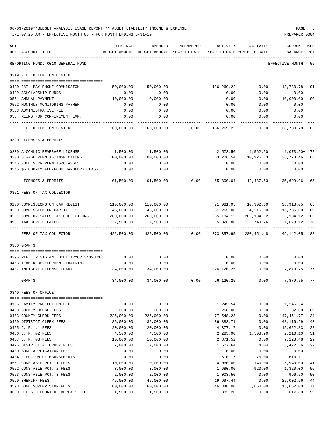|     | 06-03-2019**BUDGET ANALYSIS USAGE REPORT ** ASSET LIABILITY INCOME & EXPENSE<br>TIME: 07:25 AM - EFFECTIVE MONTH: 05 - FOR MONTH ENDING 5-31-19 |                   |                                                                                |            |            |             | PAGE<br>PREPARER: 0004                    | 3        |
|-----|-------------------------------------------------------------------------------------------------------------------------------------------------|-------------------|--------------------------------------------------------------------------------|------------|------------|-------------|-------------------------------------------|----------|
| ACT | NUM ACCOUNT-TITLE                                                                                                                               | ORIGINAL          | AMENDED<br>BUDGET-AMOUNT BUDGET-AMOUNT YEAR-TO-DATE YEAR-TO-DATE MONTH-TO-DATE | ENCUMBERED | ACTIVITY   | ACTIVITY    | CURRENT USED<br>BALANCE PCT               |          |
|     | REPORTING FUND: 0010 GENERAL FUND                                                                                                               |                   |                                                                                |            |            |             | EFFECTIVE MONTH - 05                      |          |
|     | 0319 F.C. DETENTION CENTER                                                                                                                      |                   |                                                                                |            |            |             |                                           |          |
|     |                                                                                                                                                 |                   |                                                                                |            |            |             |                                           |          |
|     | 0420 JAIL PAY PHONE COMMISSION                                                                                                                  |                   | 150,000.00 150,000.00                                                          |            | 136,269.22 |             | $0.00$ 13,730.78                          | 91       |
|     | 0429 SCHOLARSHIP FUNDS                                                                                                                          | 0.00              | 0.00                                                                           |            | 0.00       | 0.00        | 0.00                                      |          |
|     | 0551 ANNUAL PAYMENT                                                                                                                             | 10,000.00<br>0.00 | 10,000.00<br>0.00                                                              |            | 0.00       | 0.00        | 10,000.00                                 | 00       |
|     | 0552 MONTHLY MONITORING PAYMEN<br>0553 ADMINISTRATIVE FEE                                                                                       | 0.00              | 0.00                                                                           |            | 0.00       | 0.00        | 0.00<br>$0.00$ $0.00$ $0.00$              |          |
|     | 0554 REIMB.FOR CONFINEMENT EXP.                                                                                                                 | 0.00              | 0.00                                                                           |            |            | $0.00$ 0.00 | 0.00                                      |          |
|     | F.C. DETENTION CENTER                                                                                                                           |                   | 160,000.00 160,000.00 0.00 136,269.22 0.00 23,730.78 85                        |            |            |             |                                           |          |
|     | 0320 LICENSES & PERMITS                                                                                                                         |                   |                                                                                |            |            |             |                                           |          |
|     |                                                                                                                                                 |                   |                                                                                |            |            |             |                                           |          |
|     | 0200 ALCOHLIC BEVERAGE LICENSE                                                                                                                  |                   | 1,500.00 1,500.00                                                              |            |            |             | 2,573.50 1,562.50 1,073.50+172            |          |
|     | 0300 SEWAGE PERMITS/INSPECTIONS 100,000.00 100,000.00                                                                                           |                   |                                                                                |            |            |             | 63, 226.54 10, 925.13 36, 773.46 63       |          |
|     | 0545 FOOD SERV. PERMITS/CLASSES                                                                                                                 | 0.00              | 0.00                                                                           |            | 0.00       | 0.00        | 0.00                                      |          |
|     | 0546 \$5 COUNTY FEE/FOOD HANDLERS CLASS                                                                                                         | 0.00              | 0.00                                                                           |            | 0.00       | 0.00        | 0.00                                      |          |
|     | LICENSES & PERMITS                                                                                                                              |                   | $101,500.00$ $101,500.00$ 0.00 $65,800.04$ 12,487.63 35,699.96                 |            |            |             |                                           | 65       |
|     | 0321 FEES OF TAX COLLECTOR                                                                                                                      |                   |                                                                                |            |            |             |                                           |          |
|     |                                                                                                                                                 |                   | 110,000.00 110,000.00                                                          |            |            |             |                                           |          |
|     | 0200 COMMISSIONS ON CAR REGIST<br>0250 COMMISSION ON CAR TITLES                                                                                 | 45,000.00         | 45,000.00                                                                      |            |            |             | 31,265.00  4,215.00  13,735.00            | 65<br>69 |
|     | 0251 COMM.ON SALES TAX COLLECTIONS 260,000.00 260,000.00                                                                                        |                   |                                                                                |            |            |             | 265, 184. 12 265, 184. 12 5, 184. 12+ 102 |          |
|     | 0901 TAX CERTIFICATES                                                                                                                           | 7,500.00          | 7,500.00                                                                       |            | 5,826.88   | 749.76      | 1,673.12                                  | 78       |
|     | FEES OF TAX COLLECTOR                                                                                                                           |                   | 422,500.00  422,500.00   0.00  373,357.95   280,451.48   49,142.05   88        |            |            | .           |                                           |          |
|     | 0330 GRANTS                                                                                                                                     |                   |                                                                                |            |            |             |                                           |          |
|     | 0396 RIFLE RESISTANT BODY ARMOR 3439801                                                                                                         | 0.00              | 0.00                                                                           |            | 0.00       | 0.00        | 0.00                                      |          |
|     | 0403 TEAM REDEVELOPMENT TRAINING                                                                                                                | 0.00              | 0.00                                                                           |            | 0.00       | 0.00        | 0.00                                      |          |
|     | 0437 INDIGENT DEFENSE GRANT                                                                                                                     | 34,000.00         | 34,000.00                                                                      |            | 26,120.25  | 0.00        | 7,879.75                                  | 77       |
|     | GRANTS                                                                                                                                          | 34,000.00         | 34,000.00                                                                      | 0.00       | 26,120.25  | 0.00        | 7,879.75                                  | 77       |
|     | 0340 FEES OF OFFICE                                                                                                                             |                   |                                                                                |            |            |             |                                           |          |
|     | 0135 FAMILY PROTECTION FEE                                                                                                                      | 0.00              | 0.00                                                                           |            | 1,245.54   | 0.00        | 1,245.54+                                 |          |
|     | 0400 COUNTY JUDGE FEES                                                                                                                          | 300.00            | 300.00                                                                         |            | 268.00     | 0.00        | 32.00                                     | 89       |
|     | 0403 COUNTY CLERK FEES                                                                                                                          | 225,000.00        | 225,000.00                                                                     |            | 77,548.23  | 0.00        | 147,451.77                                | 34       |
|     | 0450 DISTRICT CLERK FEES                                                                                                                        | 85,000.00         | 85,000.00                                                                      |            | 36,883.71  | 0.00        | 48,116.29                                 | 43       |
|     | 0455 J. P. #1 FEES                                                                                                                              | 20,000.00         | 20,000.00                                                                      |            | 4,377.17   | 0.00        | 15,622.83                                 | 22       |
|     | 0456 J. P. #2 FEES                                                                                                                              | 4,500.00          | 4,500.00                                                                       |            | 2,283.90   | 1,508.90    | 2,216.10                                  | 51       |
|     | 0457 J. P. #3 FEES                                                                                                                              | 10,000.00         | 10,000.00                                                                      |            | 2,871.52   | 0.00        | 7,128.48                                  | 29       |
|     | 0475 DISTRICT ATTORNEY FEES                                                                                                                     | 7,000.00          | 7,000.00                                                                       |            | 1,527.64   | 4.04        | 5,472.36                                  | 22       |
|     | 0480 BOND APPLICATION FEE                                                                                                                       | 0.00              | 0.00                                                                           |            | 0.00       | 0.00        | 0.00                                      |          |
|     | 0484 ELECTION REIMBURSEMENTS                                                                                                                    | 0.00              | 0.00                                                                           |            | 610.17     | 75.00       | $610.17+$                                 |          |
|     | 0551 CONSTABLE PCT. 1 FEES                                                                                                                      | 10,000.00         | 10,000.00                                                                      |            | 4,060.00   | 140.00      | 5,940.00                                  | 41       |
|     | 0552 CONSTABLE PCT. 2 FEES                                                                                                                      | 3,000.00          | 3,000.00                                                                       |            | 1,680.00   | 920.00      | 1,320.00                                  | 56       |
|     | 0553 CONSTABLE PCT. 3 FEES                                                                                                                      | 2,000.00          | 2,000.00                                                                       |            | 1,003.50   | 0.00        | 996.50                                    | 50       |
|     | 0560 SHERIFF FEES                                                                                                                               | 45,000.00         | 45,000.00                                                                      |            | 19,997.44  | 0.00        | 25,002.56                                 | 44       |
|     | 0573 BOND SUPERVISION FEES                                                                                                                      | 60,000.00         | 60,000.00                                                                      |            | 46,348.00  | 5,650.00    | 13,652.00                                 | 77       |
|     | 0600 D.C.6TH COURT OF APPEALS FEE                                                                                                               | 1,500.00          | 1,500.00                                                                       |            | 882.20     | 0.00        | 617.80                                    | 59       |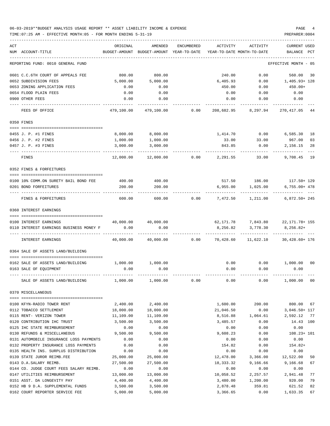## 06-03-2019\*\*BUDGET ANALYSIS USAGE REPORT \*\* ASSET LIABILITY INCOME & EXPENSE PAGE 4 TIME:07:25 AM - EFFECTIVE MONTH:05 - FOR MONTH ENDING 5-31-19 PREPARER:0004

| ACT |                                                                   | ORIGINAL               | AMENDED                | <b>ENCUMBERED</b> | ACTIVITY              | ACTIVITY                       | CURRENT USED                  |    |
|-----|-------------------------------------------------------------------|------------------------|------------------------|-------------------|-----------------------|--------------------------------|-------------------------------|----|
|     | NUM ACCOUNT-TITLE                                                 | BUDGET-AMOUNT          | BUDGET-AMOUNT          | YEAR-TO-DATE      |                       | YEAR-TO-DATE MONTH-TO-DATE     | BALANCE<br>PCT                |    |
|     | REPORTING FUND: 0010 GENERAL FUND                                 |                        |                        |                   |                       |                                | EFFECTIVE MONTH - 05          |    |
|     | 0601 C.C.6TH COURT OF APPEALS FEE                                 | 800.00                 | 800.00                 |                   | 240.00                | 0.00                           | 560.00                        | 30 |
|     | 0652 SUBDIVISION FEES                                             | 5,000.00               | 5,000.00               |                   | 6,405.93              | 0.00                           | 1,405.93+ 128                 |    |
|     | 0653 ZONING APPLICATION FEES                                      | 0.00                   | 0.00                   |                   | 450.00                | 0.00                           | $450.00+$                     |    |
|     | 0654 FLOOD PLAIN FEES                                             | 0.00                   | 0.00                   |                   | 0.00                  | 0.00                           | 0.00                          |    |
|     | 0900 OTHER FEES                                                   | 0.00                   | 0.00                   |                   | 0.00                  | 0.00                           | 0.00                          |    |
|     | FEES OF OFFICE                                                    | 479,100.00             | 479,100.00             | 0.00              | 208,682.95            | 8,297.94                       | 270, 417.05 44                |    |
|     | 0350 FINES                                                        |                        |                        |                   |                       |                                |                               |    |
|     |                                                                   |                        |                        |                   |                       |                                |                               |    |
|     | 0455 J. P. #1 FINES                                               | 8,000.00               | 8,000.00               |                   | 1,414.70              | 0.00                           | 6,585.30                      | 18 |
|     | 0456 J. P. #2 FINES                                               | 1,000.00               | 1,000.00               |                   | 33.00                 | 33.00                          | 967.00                        | 03 |
|     | 0457 J. P. #3 FINES                                               | 3,000.00               | 3,000.00               |                   | 843.85                | 0.00                           | 2,156.15                      | 28 |
|     | FINES                                                             | 12,000.00              | 12,000.00              | 0.00              | 2,291.55              | 33.00                          | 9,708.45                      | 19 |
|     | 0352 FINES & FORFEITURES                                          |                        |                        |                   |                       |                                |                               |    |
|     | 0100 10% COMM.ON SURETY BAIL BOND FEE                             | 400.00                 | 400.00                 |                   |                       |                                | 517.50 186.00 117.50+ 129     |    |
|     | 0201 BOND FORFEITURES                                             | 200.00                 | 200.00                 |                   | 6,955.00              | 1,025.00                       | $6,755.00+478$                |    |
|     |                                                                   |                        |                        |                   |                       |                                |                               |    |
|     | FINES & FORFEITURES                                               | 600.00                 | 600.00                 | 0.00              | 7,472.50              | 1,211.00                       | $6,872.50+245$                |    |
|     | 0360 INTEREST EARNINGS                                            |                        |                        |                   |                       |                                |                               |    |
|     |                                                                   |                        |                        |                   |                       |                                |                               |    |
|     | 0100 INTEREST EARNINGS<br>0110 INTEREST EARNINGS BUSINESS MONEY F | 40,000.00<br>0.00      | 40,000.00<br>0.00      |                   | 8,256.82              | 62,171.78 7,843.80<br>3,778.30 | 22,171.78+ 155<br>$8,256.82+$ |    |
|     |                                                                   |                        |                        |                   |                       |                                |                               |    |
|     | <b>INTEREST EARNINGS</b>                                          | 40,000.00              | 40,000.00              | 0.00              | 70,428.60             | 11,622.10                      | 30,428.60+ 176                |    |
|     | 0364 SALE OF ASSETS LAND/BUILDING                                 |                        |                        |                   |                       |                                |                               |    |
|     |                                                                   |                        |                        |                   |                       |                                |                               |    |
|     | 0162 SALE OF ASSETS LAND/BUILDING                                 | 1,000.00               | 1,000.00               |                   | 0.00                  | 0.00                           | 1,000.00 00                   |    |
|     | 0163 SALE OF EQUIPMENT                                            | 0.00                   | 0.00                   |                   | 0.00                  | 0.00                           | 0.00                          |    |
|     | SALE OF ASSETS LAND/BUILDING                                      | 1,000.00               | 1,000.00               | 0.00              | 0.00                  | 0.00                           | 1,000.00                      | 00 |
|     | 0370 MISCELLANEOUS                                                |                        |                        |                   |                       |                                |                               |    |
|     | 0100 KFYN-RADIO TOWER RENT                                        |                        | 2,400.00               |                   | 1,600.00              |                                |                               |    |
|     | 0112 TOBACCO SETTLEMENT                                           | 2,400.00               |                        |                   |                       | 200.00<br>0.00                 | 800.00                        | 67 |
|     | 0115 RENT- VERIZON TOWER                                          | 18,000.00<br>11,109.00 | 18,000.00<br>11,109.00 |                   | 21,046.50<br>8,516.88 | 1,064.61                       | 3,046.50+ 117<br>2,592.12     | 77 |
|     | 0120 CONTRIBUTION IHC TRUST                                       | 3,500.00               | 3,500.00               |                   | 3,485.57              | 0.00                           | 14.43 100                     |    |
|     | 0125 IHC STATE REIMBURSEMENT                                      | 0.00                   | 0.00                   |                   | 0.00                  | 0.00                           | 0.00                          |    |
|     | 0130 REFUNDS & MISCELLANEOUS                                      | 9,500.00               | 9,500.00               |                   | 9,608.23              | 0.00                           | $108.23 + 101$                |    |
|     | 0131 AUTOMOBILE INSURANCE LOSS PAYMENTS                           | 0.00                   | 0.00                   |                   | 0.00                  | 0.00                           | 0.00                          |    |
|     | 0132 PROPERTY INSURANCE LOSS PAYMENTS                             | 0.00                   | 0.00                   |                   | 154.82                | 0.00                           | $154.82+$                     |    |
|     | 0135 HEALTH INS. SURPLUS DISTRIBUTION                             | 0.00                   | 0.00                   |                   | 0.00                  | 0.00                           | 0.00                          |    |
|     | 0139 STATE JUROR REIMB.FEE                                        | 25,000.00              | 25,000.00              |                   | 12,478.00             | 3,366.00                       | 12,522.00                     | 50 |
|     | 0143 D.A.SALARY REIMB.                                            | 27,500.00              | 27,500.00              |                   | 18,333.32             | 9,166.66                       | 9,166.68                      | 67 |
|     | 0144 CO. JUDGE COURT FEES SALARY REIMB.                           | 0.00                   | 0.00                   |                   | 0.00                  | 0.00                           | 0.00                          |    |
|     | 0147 UTILITIES REIMBURSEMENT                                      | 13,000.00              | 13,000.00              |                   | 10,058.52             | 2,257.57                       | 2,941.48                      | 77 |
|     | 0151 ASST. DA LONGEVITY PAY                                       | 4,400.00               | 4,400.00               |                   | 3,480.00              | 1,200.00                       | 920.00                        | 79 |
|     | 0152 HB 9 D.A. SUPPLEMENTAL FUNDS                                 | 3,500.00               | 3,500.00               |                   | 2,878.48              | 359.81                         | 621.52                        | 82 |
|     | 0162 COURT REPORTER SERVICE FEE                                   | 5,000.00               | 5,000.00               |                   | 3,366.65              | 0.00                           | 1,633.35                      | 67 |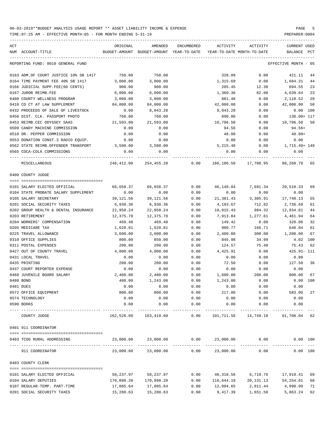| ACT | NUM ACCOUNT-TITLE                                     | ORIGINAL   | AMENDED<br>BUDGET-AMOUNT BUDGET-AMOUNT YEAR-TO-DATE | ENCUMBERED | ACTIVITY   | ACTIVITY<br>YEAR-TO-DATE MONTH-TO-DATE | CURRENT USED<br>BALANCE PCT |    |
|-----|-------------------------------------------------------|------------|-----------------------------------------------------|------------|------------|----------------------------------------|-----------------------------|----|
|     | REPORTING FUND: 0010 GENERAL FUND                     |            |                                                     |            |            |                                        | EFFECTIVE MONTH - 05        |    |
|     |                                                       |            |                                                     |            |            |                                        |                             |    |
|     | 0163 ADM.OF COURT JUSTICE 10% SB 1417                 | 750.00     | 750.00                                              |            | 328.89     | 0.00                                   | 421.11 44                   |    |
|     | 0164 TIME PAYMENT FEE 40% SB 1417                     | 3,000.00   | 3,000.00                                            |            | 1,315.69   | 0.00                                   | 1,684.31                    | 44 |
|     | 0166 JUDICIAL SUPP.FEE(60 CENTS)                      | 900.00     | 900.00                                              |            | 205.45     | 12.30                                  | 694.55 23                   |    |
|     | 0167 JUROR REIMB.FEE                                  | 6,000.00   | 6,000.00                                            |            | 1,360.36   | 82.00                                  | 4,639.64                    | 23 |
|     | 0408 COUNTY WELLNESS PROGRAM                          | 3,000.00   | 3,000.00                                            |            | 881.48     | 0.00                                   | 2,118.52                    | 29 |
|     | 0410 CO CT AT LAW SUPPLEMENT                          | 84,000.00  | 84,000.00                                           |            | 42,000.00  | 0.00                                   | 42,000.00                   | 50 |
|     | 0432 PROCEEDS OF SALE OF LIVESTOCK                    | 0.00       | 8,043.28                                            |            | 8,043.28   | 0.00                                   | $0.00$ $100$                |    |
|     | 0450 DIST. CLK. PASSPORT PHOTO                        | 760.00     | 760.00                                              |            | 890.00     | 0.00                                   | 130.00+ 117                 |    |
|     | 0453 REIMB.CEC ODYSSEY SAAS                           | 21,593.00  | 21,593.00                                           |            | 10,796.50  | 0.00                                   | 10,796.50 50                |    |
|     | 0509 CANDY MACHINE COMMISSION                         | 0.00       | 0.00                                                |            | 94.56      | 0.00                                   | 94.56+                      |    |
|     | 0510 DR. PEPPER COMMISSION                            | 0.00       | 0.00                                                |            | 48.00      | 0.00                                   | $48.00+$                    |    |
|     | 0553 DONATION CONST.3 RADIO EQUIP.                    | 0.00       | 0.00                                                |            | 0.00       | 0.00                                   | 0.00                        |    |
|     | 0562 STATE REIMB.OFFENDER TRANSPORT 3,500.00          |            | 3,500.00                                            |            | 5,215.40   | 0.00                                   | 1,715.40+ 149               |    |
|     | 0565 COCA-COLA COMMISSIONS                            | 0.00       | 0.00                                                |            | 0.00       | 0.00                                   | 0.00                        |    |
|     | MISCELLANEOUS                                         |            | 246,412.00 254,455.28                               |            |            | 0.00 166,186.58 17,708.95 88,268.70 65 |                             |    |
|     | 0400 COUNTY JUDGE                                     |            |                                                     |            |            |                                        |                             |    |
|     |                                                       |            |                                                     |            |            |                                        |                             |    |
|     | 0101 SALARY ELECTED OFFICIAL                          | 66,658.37  | 66,658.37                                           | 0.00       | 46,148.04  | 7,691.34                               | 20,510.33 69                |    |
|     | 0104 STATE PROBATE SALARY SUPPLEMENT                  | 0.00       | 0.00                                                | 0.00       | 0.00       | 0.00                                   | 0.00                        |    |
|     | 0105 SALARY SECRETARY                                 | 39,121.56  | 39,121.56                                           | 0.00       |            | 21,381.43 3,305.91                     | 17,740.13                   | 55 |
|     | 0201 SOCIAL SECURITY TAXES                            | 6,930.36   | 6,930.36                                            | 0.00       | 4,193.67   | 712.82                                 | 2,736.69                    | 61 |
|     | 0202 GROUP HEALTH & DENTAL INSURANCE                  | 22,950.24  | 22,950.24                                           | 0.00       | 10,015.43  | 984.32                                 | 12,934.81                   | 44 |
|     | 0203 RETIREMENT                                       | 12,375.78  | 12,375.78                                           | 0.00       | 7,913.84   | 1,277.61                               | 4,461.94                    | 64 |
|     | 0204 WORKERS' COMPENSATION                            | 469.48     | 469.48                                              | 0.00       | 149.42     | 0.00                                   | 320.06                      | 32 |
|     | 0205 MEDICARE TAX                                     | 1,620.81   | 1,620.81                                            | 0.00       | 980.77     | 166.71                                 | 640.04                      | 61 |
|     | 0225 TRAVEL ALLOWANCE                                 | 3,600.00   | 3,600.00                                            | 0.00       | 2,400.00   | 300.00                                 | 1,200.00                    | 67 |
|     | 0310 OFFICE SUPPLIES                                  | 800.00     | 850.00                                              | 0.00       | 845.98     | 34.99                                  | 4.02 100                    |    |
|     | 0311 POSTAL EXPENSES                                  | 200.00     | 200.00                                              | 0.00       | 124.57     | 75.40                                  | 75.43                       | 62 |
|     | 0427 OUT OF COUNTY TRAVEL                             | 4,000.00   | 4,000.00                                            | 0.00       | 4,425.91   | 0.00                                   | 425.91- 111                 |    |
|     | 0431 LOCAL TRAVEL                                     | 0.00       | 0.00                                                | 0.00       | 0.00       | 0.00                                   | 0.00                        |    |
|     | 0435 PRINTING                                         | 200.00     | 200.00                                              | 0.00       | 72.50      | 0.00                                   | 127.50 36                   |    |
|     | 0437 COURT REPORTER EXPENSE                           | 0.00       | 0.00                                                | 0.00       | 0.00       | 0.00                                   | 0.00                        |    |
|     | 0468 JUVENILE BOARD SALARY                            | 2,400.00   | 2,400.00                                            | 0.00       | 1,600.00   | 200.00                                 | 800.00                      | 67 |
|     | 0480 BOND                                             | 400.00     | 1,243.00                                            | 0.00       | 1,243.00   | 0.00                                   | 0.00 100                    |    |
|     | 0481 DUES                                             | 0.00       | 0.00                                                | 0.00       | 0.00       | 0.00                                   | 0.00                        |    |
|     | 0572 OFFICE EQUIPMENT                                 | 800.00     | 800.00                                              | 0.00       | 217.00     | 0.00                                   | 583.00                      | 27 |
|     | 0574 TECHNOLOGY                                       | 0.00       | 0.00                                                | 0.00       | 0.00       | 0.00                                   | 0.00                        |    |
|     | 0590 BOOKS                                            | 0.00       | 0.00                                                | 0.00       | 0.00       | 0.00                                   | 0.00                        |    |
|     | ------------------------- -----------<br>COUNTY JUDGE |            | 162,526.60 163,419.60                               | 0.00       |            | 101,711.56 14,749.10 61,708.04 62      |                             |    |
|     | 0401 911 COORDINATOR                                  |            |                                                     |            |            |                                        |                             |    |
|     |                                                       |            |                                                     |            |            |                                        |                             |    |
|     | 0403 TCOG RURAL ADDRESSING                            | 23,000.00  | 23,000.00                                           | 0.00       | 23,000.00  | 0.00<br>------------ -------------     | 0.00 100                    |    |
|     | 911 COORDINATOR                                       | 23,000.00  | 23,000.00                                           | 0.00       | 23,000.00  | 0.00                                   | 0.00 100                    |    |
|     | 0403 COUNTY CLERK                                     |            |                                                     |            |            |                                        |                             |    |
|     |                                                       |            |                                                     |            |            |                                        |                             |    |
|     | 0101 SALARY ELECTED OFFICIAL                          | 58,237.97  | 58,237.97                                           | 0.00       | 40,318.56  | 6,719.76                               | 17,919.41                   | 69 |
|     | 0104 SALARY DEPUTIES                                  | 170,898.20 | 170,898.20                                          | 0.00       | 116,644.19 | 20,131.13                              | 54,254.01                   | 68 |
|     | 0107 REGULAR-TEMP. PART-TIME                          | 17,085.64  | 17,085.64                                           | 0.00       | 12,094.65  | 2,011.44                               | 4,990.99                    | 71 |
|     | 0201 SOCIAL SECURITY TAXES                            | 15,280.63  | 15,280.63                                           | 0.00       | 9,417.39   | 1,651.50                               | 5,863.24                    | 62 |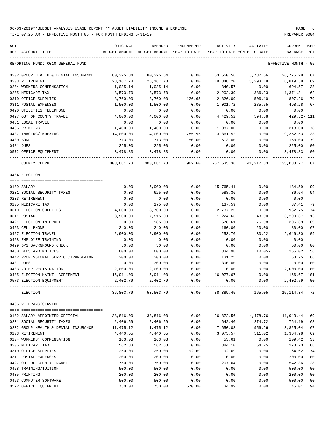| ACT |                                      | ORIGINAL  | AMENDED                                           | ENCUMBERED | ACTIVITY                   | ACTIVITY | CURRENT USED         |                |
|-----|--------------------------------------|-----------|---------------------------------------------------|------------|----------------------------|----------|----------------------|----------------|
|     | NUM ACCOUNT-TITLE                    |           | BUDGET-AMOUNT BUDGET-AMOUNT YEAR-TO-DATE          |            | YEAR-TO-DATE MONTH-TO-DATE |          | BALANCE              | $_{\rm PCT}$   |
|     | REPORTING FUND: 0010 GENERAL FUND    |           |                                                   |            |                            |          | EFFECTIVE MONTH - 05 |                |
|     | 0202 GROUP HEALTH & DENTAL INSURANCE | 80,325.84 | 80,325.84                                         | 0.00       | 53,550.56                  | 5,737.56 | 26,775.28            | 67             |
|     | 0203 RETIREMENT                      | 28,167.78 | 28,167.78                                         | 0.00       | 19,348.20                  | 3,293.18 | 8,819.58             | 69             |
|     | 0204 WORKERS COMPENSATION            | 1,035.14  | 1,035.14                                          | 0.00       | 340.57                     | 0.00     | 694.57               | 33             |
|     | 0205 MEDICARE TAX                    | 3,573.70  | 3,573.70                                          | 0.00       | 2,202.39                   | 386.23   | 1,371.31             | 62             |
|     | 0310 OFFICE SUPPLIES                 | 3,760.00  | 3,760.00                                          | 126.65     | 2,826.09                   | 506.10   | 807.26               | 79             |
|     | 0311 POSTAL EXPENSES                 | 1,500.00  | 1,500.00                                          | 0.00       | 1,001.72                   | 285.55   | 498.28               | 67             |
|     | 0420 UTILITIES TELEPHONE             | 0.00      | 0.00                                              | 0.00       | 0.00                       | 0.00     | 0.00                 |                |
|     | 0427 OUT OF COUNTY TRAVEL            | 4,000.00  | 4,000.00                                          | 0.00       | 4,429.52                   | 594.88   | 429.52- 111          |                |
|     | 0431 LOCAL TRAVEL                    | 0.00      | 0.00                                              | 0.00       | 0.00                       | 0.00     | 0.00                 |                |
|     | 0435 PRINTING                        | 1,400.00  | 1,400.00                                          | 0.00       | 1,087.00                   | 0.00     | 313.00               | 78             |
|     | 0437 IMAGING/INDEXING                | 14,000.00 | 14,000.00                                         | 785.95     | 3,861.52                   | 0.00     | 9,352.53             | 33             |
|     | 0480 BOND                            | 713.00    | 713.00                                            | 50.00      | 513.00                     | 0.00     | 150.00               | 79             |
|     | 0481 DUES                            | 225.00    | 225.00                                            | 0.00       | 0.00                       | 0.00     | 225.00               | 0 <sup>0</sup> |
|     | 0572 OFFICE EQUIPMENT                | 3,478.83  | 3,478.83                                          | 0.00       | 0.00                       | 0.00     | 3,478.83             | 00             |
|     |                                      |           |                                                   |            |                            |          |                      |                |
|     | COUNTY CLERK                         |           | 403,681.73 403,681.73 962.60 267,635.36 41,317.33 |            |                            |          | 135,083.77 67        |                |
|     | 0404 ELECTION                        |           |                                                   |            |                            |          |                      |                |
|     |                                      |           |                                                   |            |                            |          |                      |                |
|     | 0109 SALARY                          | 0.00      | 15,900.00                                         | 0.00       | 15,765.41                  | 0.00     | 134.59               | 99             |
|     | 0201 SOCIAL SECURITY TAXES           | 0.00      | 625.00                                            | 0.00       | 588.36                     | 0.00     | 36.64                | 94             |
|     | 0203 RETIREMENT                      | 0.00      | 0.00                                              | 0.00       | 0.00                       | 0.00     | 0.00                 |                |
|     | 0205 MEDICARE TAX                    | 0.00      | 175.00                                            | 0.00       | 137.59                     | 0.00     | 37.41                | 79             |
|     | 0310 ELECTION SUPPLIES               | 4,000.00  | 3,700.00                                          | 0.00       | 2,737.25                   | 0.00     | 962.75               | 74             |
|     | 0311 POSTAGE                         | 8,500.00  | 7,515.00                                          | 0.00       | 1,224.63                   | 48.90    | 6,290.37             | 16             |
|     | 0421 ELECTION INTERNET               | 0.00      | 985.00                                            | 0.00       | 678.61                     | 75.98    | 306.39               | 69             |
|     | 0423 CELL PHONE                      | 240.00    | 240.00                                            | 0.00       | 160.00                     | 20.00    | 80.00                | 67             |
|     | 0427 ELECTION TRAVEL                 | 2,900.00  | 2,900.00                                          | 0.00       | 253.70                     | 30.22    | 2,646.30             | 09             |
|     | 0428 EMPLOYEE TRAINING               | 0.00      | 0.00                                              | 0.00       | 0.00                       | 0.00     | 0.00                 |                |
|     | 0429 DPS BACKGROUND CHECK            | 50.00     | 50.00                                             | 0.00       | 0.00                       | 0.00     | 50.00                | 0 <sup>0</sup> |
|     | 0430 BIDS AND NOTICES                | 600.00    | 600.00                                            | 0.00       | 334.98                     | $10.05-$ | 265.02               | 56             |
|     | 0442 PROFESSIONAL SERVICE/TRANSLATOR | 200.00    | 200.00                                            | 0.00       | 131.25                     | 0.00     | 68.75                | 66             |
|     | 0481 DUES                            | 0.00      | 300.00                                            | 0.00       | 300.00                     | 0.00     | 0.00 100             |                |
|     | 0483 VOTER REGISTRATION              | 2,000.00  | 2,000.00                                          | 0.00       | 0.00                       | 0.00     | 2,000.00             | 00             |
|     | 0485 ELECTION MAINT. AGREEMENT       | 15,911.00 | 15,911.00                                         | 0.00       | 16,077.67                  | 0.00     | 166.67- 101          |                |
|     | 0573 ELECTION EQUIPMENT              | 2,402.79  | 2,402.79                                          | 0.00       | 0.00                       | 0.00     | 2,402.79 00          |                |
|     | ELECTION                             |           | 36,803.79 53,503.79                               |            | $0.00$ 38,389.45           |          | 165.05 15,114.34 72  |                |
|     | 0405 VETERANS'SERVICE                |           |                                                   |            |                            |          |                      |                |
|     |                                      |           |                                                   |            |                            |          |                      |                |
|     | 0102 SALARY APPOINTED OFFICIAL       | 38,816.00 | 38,816.00                                         | 0.00       | 26,872.56                  | 4,478.76 | 11,943.44 69         |                |
|     | 0201 SOCIAL SECURITY TAXES           | 2,406.59  | 2,406.59                                          | 0.00       | 1,642.40                   | 274.72   | 764.19               | 68             |
|     | 0202 GROUP HEALTH & DENTAL INSURANCE | 11,475.12 | 11,475.12                                         | 0.00       | 7,650.08                   | 956.26   | 3,825.04             | 67             |
|     | 0203 RETIREMENT                      | 4,440.55  | 4,440.55                                          | 0.00       | 3,075.57                   | 511.02   | 1,364.98             | 69             |
|     | 0204 WORKERS' COMPENSATION           | 163.03    | 163.03                                            | 0.00       | 53.61                      | 0.00     | 109.42               | 33             |
|     | 0205 MEDICARE TAX                    | 562.83    | 562.83                                            | 0.00       | 384.10                     | 64.25    | 178.73               | 68             |
|     | 0310 OFFICE SUPPLIES                 | 250.00    | 250.00                                            | 92.69      | 92.69                      | 0.00     | 64.62                | 74             |
|     | 0311 POSTAL EXPENSES                 | 200.00    | 200.00                                            | 0.00       | 0.00                       | 0.00     | 200.00               | 00             |
|     | 0427 OUT OF COUNTY TRAVEL            | 750.00    | 750.00                                            | 0.00       | 207.64                     | 0.00     | 542.36               | 28             |
|     | 0428 TRAINING/TUITION                | 500.00    | 500.00                                            | 0.00       | 0.00                       | 0.00     | 500.00               | 00             |
|     | 0435 PRINTING                        | 200.00    | 200.00                                            | 0.00       | 0.00                       | 0.00     | 200.00               | 00             |
|     | 0453 COMPUTER SOFTWARE               | 500.00    | 500.00                                            | 0.00       | 0.00                       | 0.00     | 500.00               | 00             |
|     | 0572 OFFICE EQUIPMENT                | 750.00    | 750.00                                            | 670.00     | 34.99                      | 0.00     | 45.01                | 94             |
|     |                                      |           |                                                   |            |                            |          |                      |                |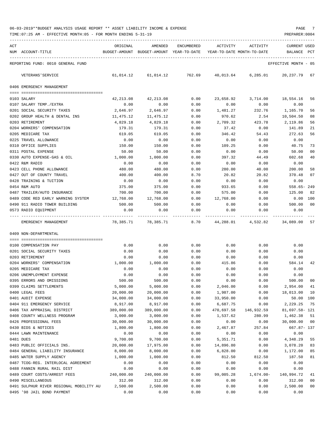TIME:07:25 AM - EFFECTIVE MONTH:05 - FOR MONTH ENDING 5-31-19 PREPARER:0004

| ACT | NUM ACCOUNT-TITLE                                           | ORIGINAL<br>BUDGET-AMOUNT | AMENDED<br>BUDGET-AMOUNT YEAR-TO-DATE | <b>ENCUMBERED</b> | ACTIVITY               | ACTIVITY<br>YEAR-TO-DATE MONTH-TO-DATE | CURRENT USED<br><b>BALANCE</b> | PCT |
|-----|-------------------------------------------------------------|---------------------------|---------------------------------------|-------------------|------------------------|----------------------------------------|--------------------------------|-----|
|     | REPORTING FUND: 0010 GENERAL FUND                           |                           |                                       |                   |                        |                                        | EFFECTIVE MONTH - 05           |     |
|     | VETERANS ' SERVICE                                          | 61,014.12                 | 61,014.12                             | 762.69            | 40,013.64              | 6,285.01                               | 20, 237, 79                    | 67  |
|     | 0406 EMERGENCY MANAGEMENT                                   |                           |                                       |                   |                        |                                        |                                |     |
|     |                                                             |                           |                                       |                   |                        |                                        |                                |     |
|     | 0103 SALARY                                                 | 42,213.08                 | 42,213.08                             | 0.00              | 23,658.92              | 3,714.00                               | 18,554.16                      | 56  |
|     | 0107 SALARY TEMP./EXTRA                                     | 0.00                      | 0.00                                  | 0.00              | 0.00                   | 0.00                                   | 0.00                           |     |
|     | 0201 SOCIAL SECURITY TAXES                                  | 2,646.97                  | 2,646.97                              | 0.00              | 1,481.27               | 232.76                                 | 1,165.70                       | 56  |
|     | 0202 GROUP HEALTH & DENTAL INS                              | 11,475.12                 | 11,475.12                             | 0.00              | 970.62                 | 2.54                                   | 10,504.50                      | 08  |
|     | 0203 RETIREMENT                                             | 4,829.18                  | 4,829.18                              | 0.00              | 2,709.32               | 423.78                                 | 2,119.86                       | 56  |
|     | 0204 WORKERS' COMPENSATION                                  | 179.31                    | 179.31                                | 0.00              | 37.42                  | 0.00                                   | 141.89                         | 21  |
|     | 0205 MEDICARE TAX                                           | 619.05                    | 619.05                                | 0.00              | 346.42                 | 54.43                                  | 272.63                         | 56  |
|     | 0225 TRAVEL ALLOWANCE<br>0310 OFFICE SUPPLIES               | 0.00<br>150.00            | 0.00<br>150.00                        | 0.00<br>0.00      | 0.00<br>109.25         | 0.00<br>0.00                           | 0.00<br>40.75                  | 73  |
|     | 0311 POSTAL EXPENSE                                         | 50.00                     | 50.00                                 | 0.00              | 0.00                   | 0.00                                   | 50.00                          | 00  |
|     | 0330 AUTO EXPENSE-GAS & OIL                                 | 1,000.00                  | 1,000.00                              | 0.00              | 397.32                 | 44.49                                  | 602.68                         | 40  |
|     | 0422 R&M RADIO                                              | 0.00                      | 0.00                                  | 0.00              | 0.00                   | 0.00                                   | 0.00                           |     |
|     | 0423 CELL PHONE ALLOWANCE                                   | 480.00                    | 480.00                                | 0.00              | 280.00                 | 40.00                                  | 200.00                         | 58  |
|     | 0427 OUT OF COUNTY TRAVEL                                   | 400.00                    | 400.00                                | 8.70              | 20.82                  | 20.82                                  | 370.48                         | 07  |
|     | 0428 TRAINING & TUITION                                     | 0.00                      | 0.00                                  | 0.00              | 0.00                   | 0.00                                   | 0.00                           |     |
|     | 0454 R&M AUTO                                               | 375.00                    | 375.00                                | 0.00              | 933.65                 | 0.00                                   | $558.65 - 249$                 |     |
|     | 0487 TRAILER/AUTO INSURANCE                                 | 700.00                    | 700.00                                | 0.00              | 575.00                 | 0.00                                   | 125.00                         | 82  |
|     | 0489 CODE RED EARLY WARNING SYSTEM                          | 12,768.00                 | 12,768.00                             | 0.00              | 12,768.00              | 0.00                                   | 0.00                           | 100 |
|     | 0490 911 RADIO TOWER BUILDING                               | 500.00                    | 500.00                                | 0.00              | 0.00                   | 0.00                                   | 500.00                         | 00  |
|     | 0573 RADIO EQUIPMENT                                        | 0.00                      | 0.00                                  | 0.00              | 0.00                   | 0.00                                   | 0.00                           |     |
|     | EMERGENCY MANAGEMENT                                        | 78,385.71                 | 78,385.71                             | 8.70              |                        | 44,288.01 4,532.82 34,089.00           |                                | 57  |
|     | 0409 NON-DEPARTMENTAL                                       |                           |                                       |                   |                        |                                        |                                |     |
|     | 0100 COMPENSATION PAY                                       | 0.00                      | 0.00                                  | 0.00              | 0.00                   | 0.00                                   | 0.00                           |     |
|     | 0201 SOCIAL SECURITY TAXES                                  | 0.00                      | 0.00                                  | 0.00              | 0.00                   | 0.00                                   | 0.00                           |     |
|     | 0203 RETIREMENT                                             | 0.00                      | 0.00                                  | 0.00              | 0.00                   | 0.00                                   | 0.00                           |     |
|     | 0204 WORKERS' COMPENSATION                                  | 1,000.00                  | 1,000.00                              | 0.00              | 415.86                 | 0.00                                   | 584.14                         | 42  |
|     | 0205 MEDICARE TAX                                           | 0.00                      | 0.00                                  | 0.00              | 0.00                   | 0.00                                   | 0.00                           |     |
|     | 0206 UNEMPLOYMENT EXPENSE                                   | 0.00                      | 0.00                                  | 0.00              | 0.00                   | 0.00                                   | 0.00                           |     |
|     | 0395 ERRORS AND OMISSIONS                                   | 500.00                    | 500.00                                | 0.00              | 0.00                   | 0.00                                   | 500.00                         | 00  |
|     | 0399 CLAIMS SETTLEMENTS                                     | 5,000.00                  | 5,000.00                              | 0.00              | 2,046.00               | 0.00                                   | 2,954.00                       | 41  |
|     | 0400 LEGAL FEES                                             | 20,000.00                 | 20,000.00                             | 0.00              | 1,987.00               | 0.00                                   | 18,013.00                      | 10  |
|     | 0401 AUDIT EXPENSE                                          | 34,000.00                 | 34,000.00                             | 0.00              | 33,950.00              | 0.00                                   | 50.00                          | 100 |
|     | 0404 911 EMERGENCY SERVICE                                  | 8,917.00                  | 8,917.00                              | 0.00              | 6,687.75               | 0.00                                   | 2,229.25<br>81,697.58- 121     | 75  |
|     | 0406 TAX APPRAISAL DISTRICT<br>0408 COUNTY WELLNESS PROGRAM | 389,000.00<br>3,000.00    | 389,000.00<br>3,000.00                | 0.00<br>0.00      | 470,697.58<br>1,537.62 | 146,932.59<br>280.99                   | 1,462.38                       | 51  |
|     | 0426 PROFESSIONAL FEES                                      | 30,000.00                 | 30,000.00                             | 0.00              | 0.00                   | 0.00                                   | 30,000.00                      | 00  |
|     | 0430 BIDS & NOTICES                                         | 1,800.00                  | 1,800.00                              | 0.00              | 2,467.87               | 257.84                                 | 667.87- 137                    |     |
|     | 0444 LAWN MAINTENANCE                                       | 0.00                      | 0.00                                  | 0.00              | 0.00                   | 0.00                                   | 0.00                           |     |
|     | 0481 DUES                                                   | 9,700.00                  | 9,700.00                              | 0.00              | 5,351.71               | 0.00                                   | 4,348.29                       | 55  |
|     | 0483 PUBLIC OFFICIALS INS.                                  | 20,000.00                 | 17,975.00                             | 0.00              | 14,896.80              | 0.00                                   | 3,078.20                       | 83  |
|     | 0484 GENERAL LIABILITY INSURANCE                            | 8,000.00                  | 8,000.00                              | 0.00              | 6,828.00               | 0.00                                   | 1,172.00                       | 85  |
|     | 0485 WATER SUPPLY AGENCY                                    | 1,000.00                  | 1,000.00                              | 0.00              | 812.50                 | 812.50                                 | 187.50                         | 81  |
|     | 0487 TCOG-REG. INTERLOCAL AGREEMENT                         | 0.00                      | 0.00                                  | 0.00              | 0.00                   | 0.00                                   | 0.00                           |     |
|     | 0488 FANNIN RURAL RAIL DIST                                 | 0.00                      | 0.00                                  | 0.00              | 0.00                   | 0.00                                   | 0.00                           |     |
|     | 0489 COURT COSTS/ARREST FEES                                | 240,000.00                | 240,000.00                            | 0.00              | 99,005.28              | $1,674.00-$                            | 140,994.72                     | 41  |
|     | 0490 MISCELLANEOUS                                          | 312.00                    | 312.00                                | 0.00              | 0.00                   | 0.00                                   | 312.00                         | 00  |
|     | 0491 SULPHUR RIVER REGIONAL MOBILITY AU                     | 2,500.00                  | 2,500.00                              | 0.00              | 0.00                   | 0.00                                   | 2,500.00                       | 00  |

0495 '98 JAIL BOND PAYMENT 0.00 0.00 0.00 0.00 0.00 0.00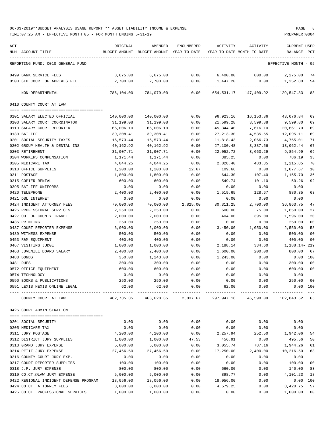TIME:07:25 AM - EFFECTIVE MONTH:05 - FOR MONTH ENDING 5-31-19 PREPARER:0004

| ACT                                              | ORIGINAL   | AMENDED                                                                 | ENCUMBERED | ACTIVITY          | ACTIVITY                   | <b>CURRENT USED</b>  |                |
|--------------------------------------------------|------------|-------------------------------------------------------------------------|------------|-------------------|----------------------------|----------------------|----------------|
| NUM ACCOUNT-TITLE                                |            | BUDGET-AMOUNT BUDGET-AMOUNT YEAR-TO-DATE                                |            |                   | YEAR-TO-DATE MONTH-TO-DATE | BALANCE              | PCT            |
| REPORTING FUND: 0010 GENERAL FUND                |            |                                                                         |            |                   |                            | EFFECTIVE MONTH - 05 |                |
| 0499 BANK SERVICE FEES                           | 8,675.00   | 8,675.00                                                                | 0.00       | 6,400.00          | 800.00                     | 2,275.00             | 74             |
| 0500 6TH COURT OF APPEALS FEE                    | 2,700.00   | 2,700.00                                                                | 0.00       | 1,447.20          | 0.00                       | 1,252.80             | 54             |
| --------------<br>NON-DEPARTMENTAL               | 786,104.00 | 784,079.00                                                              | 0.00       | 654,531.17        | 147,409.92                 | 129,547.83           | 83             |
| 0410 COUNTY COURT AT LAW                         |            |                                                                         |            |                   |                            |                      |                |
| 0101 SALARY ELECTED OFFICIAL                     | 140,000.00 | 140,000.00                                                              | 0.00       | 96,923.16         | 16,153.86                  | 43,076.84            | 69             |
| 0103 SALARY COURT COORDINATOR                    | 31,199.08  | 31,199.08                                                               | 0.00       | 21,599.28         | 3,599.88                   | 9,599.80             | 69             |
| 0110 SALARY COURT REPORTER                       | 66,006.10  | 66,006.10                                                               | 0.00       | 45, 344.40        | 7,616.10                   | 20,661.70            | 69             |
| 0130 BAILIFF                                     | 39,308.41  | 39,308.41                                                               | 0.00       | 27, 213.30        | 4,535.55                   | 12,095.11            | 69             |
| 0201 SOCIAL SECURITY TAXES                       | 16,573.44  | 16,573.44                                                               | 0.00       | 11,818.43         | 2,066.73                   | 4,755.01             | 71             |
| 0202 GROUP HEALTH & DENTAL INS                   | 40,162.92  | 40,162.92                                                               | 0.00       | 27,100.48         | 3,387.56                   | 13,062.44            | 67             |
| 0203 RETIREMENT                                  | 31,907.71  | 31,907.71                                                               | 0.00       | 22,052.72         | 3,663.29                   | 9,854.99             | 69             |
| 0204 WORKERS COMPENSATION                        | 1,171.44   | 1,171.44                                                                | 0.00       | 385.25            | 0.00                       | 786.19               | 33             |
| 0205 MEDICARE TAX                                | 4,044.25   | 4,044.25                                                                | 0.00       | 2,828.40          | 483.35                     | 1,215.85             | 70             |
| 0310 OFFICE SUPPLIES                             | 1,200.00   | 1,200.00                                                                | 12.67      | 109.66            | 0.00                       | 1,077.67             | 10             |
| 0311 POSTAGE                                     | 1,800.00   | 1,800.00                                                                | 0.00       | 644.30            | 107.40                     | 1,155.70             | 36             |
| 0315 COPIER RENTAL                               | 600.00     | 600.00                                                                  | 0.00       | 549.74            | 101.10                     | 50.26                | 92             |
| 0395 BAILIFF UNIFORMS                            | 0.00       | 0.00                                                                    | 0.00       | 0.00              | 0.00                       | 0.00                 |                |
| 0420 TELEPHONE                                   | 2,400.00   | 2,400.00                                                                | 0.00       | 1,519.65          | 128.67                     | 880.35               | 63             |
| 0421 DSL INTERNET                                | 0.00       | 0.00                                                                    | 0.00       | 0.00              | 0.00                       | 0.00                 |                |
| 0424 INDIGENT ATTORNEY FEES                      | 70,000.00  | 70,000.00                                                               | 2,825.00   | 30, 311.25        | 2,700.00                   | 36,863.75            | 47             |
| 0425 PROFESSIONAL SERVICES                       | 2,250.00   | 2,250.00                                                                | 0.00       | 600.00            | 75.00                      | 1,650.00             | 27             |
| 0427 OUT OF COUNTY TRAVEL                        | 2,000.00   | 2,000.00                                                                | 0.00       | 404.00            | 395.00                     | 1,596.00             | 20             |
| 0435 PRINTING                                    | 250.00     | 250.00                                                                  | 0.00       | 0.00              | 0.00                       | 250.00               | 0 <sub>0</sub> |
| 0437 COURT REPORTER EXPENSE                      | 6,000.00   | 6,000.00                                                                | 0.00       | 3,450.00          | 1,050.00                   | 2,550.00             | 58             |
| 0439 WITNESS EXPENSE                             | 500.00     | 500.00                                                                  | 0.00       | 0.00              | 0.00                       | 500.00               | 0 <sub>0</sub> |
| 0453 R&M EQUIPMENT                               | 400.00     | 400.00                                                                  | 0.00       | 0.00              | 0.00                       | 400.00               | 0 <sub>0</sub> |
| 0467 VISITING JUDGE                              | 1,000.00   | 1,000.00                                                                | 0.00       | 2,188.14          | 334.60                     | 1,188.14-219         |                |
| 0468 JUVENILE BOARD SALARY                       | 2,400.00   | 2,400.00                                                                | 0.00       | 1,600.00          | 200.00                     | 800.00               | 67             |
| 0480 BONDS                                       | 350.00     | 1,243.00                                                                | 0.00       | 1,243.00          | 0.00                       | 0.00                 | 100            |
| 0481 DUES                                        | 300.00     | 300.00                                                                  | 0.00       | 0.00              | 0.00                       | 300.00               | 0 <sub>0</sub> |
| 0572 OFFICE EQUIPMENT                            | 600.00     | 600.00                                                                  | 0.00       | 0.00              | 0.00                       | 600.00               | 0 <sub>0</sub> |
| 0574 TECHNOLOGY                                  | 0.00       | 0.00                                                                    | 0.00       | 0.00              | 0.00                       | 0.00                 |                |
| 0590 BOOKS & PUBLICATIONS                        | 250.00     | 250.00                                                                  | 0.00       | 0.00              | 0.00                       | 250.00 00            |                |
| 0591 LEXIS NEXIS ONLINE LEGAL                    | 62.00      | 62.00                                                                   |            | $0.00$ 62.00 0.00 |                            | $0.00$ 100           |                |
| COUNTY COURT AT LAW                              |            | 462,735.35  463,628.35  2,837.67  297,947.16  46,598.09  162,843.52  65 |            |                   |                            |                      |                |
| 0425 COURT ADMINISTRATION                        |            |                                                                         |            |                   |                            |                      |                |
|                                                  |            |                                                                         |            |                   |                            |                      |                |
| 0201 SOCIAL SECURITY                             | 0.00       | 0.00                                                                    | 0.00       | 0.00              | 0.00                       | 0.00                 |                |
| 0205 MEDICARE TAX                                | 0.00       | 0.00                                                                    | 0.00       | 0.00              | 0.00                       | 0.00                 |                |
| 0311 JURY POSTAGE                                | 4,200.00   | 4,200.00                                                                | 0.00       | 2,257.94          | 252.50                     | 1,942.06             | 54             |
| 0312 DISTRICT JURY SUPPLIES                      | 1,000.00   | 1,000.00                                                                | 47.53      | 456.91            | 0.00                       | 495.56               | 50             |
| 0313 GRAND JURY EXPENSE                          | 5,000.00   | 5,000.00                                                                | 0.00       | 3,055.74          | 787.16                     | 1,944.26             | 61             |
| 0314 PETIT JURY EXPENSE                          | 27,466.50  | 27,466.50                                                               | 0.00       | 17,250.00         | 2,400.00                   | 10,216.50            | 63             |
| 0316 COUNTY COURT JURY EXP.                      | 0.00       | 0.00                                                                    | 0.00       | 0.00              | 0.00                       | 0.00                 |                |
| 0317 COURT REPORTER SUPPLIES                     | 100.00     | 100.00                                                                  | 0.00       | 0.00              | 0.00                       | 100.00               | 0 <sub>0</sub> |
| 0318 J.P. JURY EXPENSE                           | 800.00     | 800.00                                                                  | 0.00       | 660.00            | 0.00                       | 140.00               | 83             |
| 0319 CO.CT.@LAW JURY EXPENSE                     | 5,000.00   | 5,000.00                                                                | 0.00       | 898.77            | 0.00                       | 4,101.23             | 18             |
| 0422 REGIONAL INDIGENT DEFENSE PROGRAM 18,056.00 |            | 18,056.00                                                               | 0.00       | 18,056.00         | 0.00                       |                      | 0.00 100       |
| 0424 CO.CT. ATTORNEY FEES                        | 8,000.00   | 8,000.00                                                                | 0.00       | 4,579.25          | 0.00                       | 3,420.75             | 57             |

0425 CO.CT. PROFESSIONAL SERVICES 1,000.00 1,000.00 0.00 0.00 0.00 1,000.00 00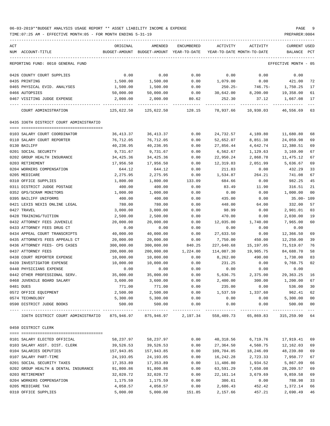| ACT                                                               | ORIGINAL                    | AMENDED                                  | ENCUMBERED    | ACTIVITY                   | ACTIVITY             | CURRENT USED         |              |
|-------------------------------------------------------------------|-----------------------------|------------------------------------------|---------------|----------------------------|----------------------|----------------------|--------------|
| NUM ACCOUNT-TITLE                                                 |                             | BUDGET-AMOUNT BUDGET-AMOUNT YEAR-TO-DATE |               | YEAR-TO-DATE MONTH-TO-DATE |                      | BALANCE              | $_{\rm PCT}$ |
| REPORTING FUND: 0010 GENERAL FUND                                 |                             |                                          |               |                            |                      | EFFECTIVE MONTH - 05 |              |
|                                                                   |                             |                                          |               |                            |                      |                      |              |
| 0426 COUNTY COURT SUPPLIES                                        | 0.00                        | 0.00                                     | 0.00          | 0.00                       | 0.00                 | 0.00                 |              |
| 0435 PRINTING                                                     | 1,500.00                    | 1,500.00                                 | 0.00          | 1,079.00                   | 0.00                 | 421.00               | 72           |
| 0465 PHYSICAL EVID. ANALYSES                                      | 1,500.00                    | 1,500.00                                 | 0.00          | $250.25 -$                 | 746.75-              | 1,750.25             | 17           |
| 0466 AUTOPSIES                                                    | 50,000.00                   | 50,000.00                                | 0.00          | 30,642.00                  | 8,200.00             | 19,358.00            | 61           |
| 0467 VISITING JUDGE EXPENSE                                       | 2,000.00                    | 2,000.00                                 | 80.62         | 252.30                     | 37.12                | 1,667.08             | 17           |
| COURT ADMINISTRATION                                              | 125,622.50                  | 125,622.50 128.15                        |               | 78,937.66                  | 10,930.03            | 46,556.69            | 63           |
| 0435 336TH DISTRICT COURT ADMINISTRATIO                           |                             |                                          |               |                            |                      |                      |              |
|                                                                   |                             |                                          |               |                            |                      |                      |              |
| 0103 SALARY COURT COORDINATOR                                     | 36,413.37                   | 36, 413.37                               | 0.00          | 24,732.57                  | 4,189.80             | 11,680.80            | 68           |
| 0110 SALARY COURT REPORTER                                        | 76,712.05                   | 76,712.05                                | 0.00          | 52,652.07                  | 8,851.38             | 24,059.98            | 69           |
| 0130 BAILIFF                                                      | 40,236.95                   | 40,236.95                                | 0.00          | 27,856.44                  | 4,642.74             | 12,380.51            | 69           |
| 0201 SOCIAL SECURITY                                              | 9,731.67                    | 9,731.67                                 | 0.00          | 6,562.67                   | 1,129.63             | 3,169.00             | 67           |
| 0202 GROUP HEALTH INSURANCE                                       | 34,425.36                   | 34,425.36                                | 0.00          | 22,950.24                  | 2,868.78             | 11,475.12            | 67           |
| 0203 RETIREMENT                                                   | 17,956.50                   | 17,956.50                                | 0.00          | 12,319.83                  | 2,051.99             | 5,636.67             | 69           |
| 0204 WORKERS COMPENSATION                                         | 644.12                      | 644.12                                   | 0.00          | 211.83                     | 0.00                 | 432.29               | 33           |
| 0205 MEDICARE                                                     | 2,275.95                    | 2,275.95                                 | 0.00          | 1,534.87                   | 264.21               | 741.08               | 67           |
| 0310 OFFICE SUPPLIES                                              | 1,800.00                    | 1,800.00                                 | 133.09        | 684.66                     | 0.00                 | 982.25               | 45           |
| 0311 DISTRICT JUDGE POSTAGE                                       | 400.00                      | 400.00                                   | 0.00          | 83.49                      | 11.90                | 316.51               | 21           |
| 0352 GPS/SCRAM MONITORS                                           | 1,000.00                    | 1,000.00                                 | 0.00          | 0.00                       | 0.00                 | 1,000.00             | 00           |
| 0395 BAILIFF UNIFORMS                                             | 400.00                      | 400.00                                   | 0.00          | 435.00                     | 0.00                 | 35.00- 109           |              |
| 0421 LEXIS NEXIS ONLINE LEGAL                                     | 780.00                      | 780.00                                   | 0.00          | 448.00                     | 64.00                | 332.00               | 57           |
| 0427 TRAVEL                                                       | 3,000.00                    | 3,000.00                                 | 0.00          | 98.99                      | 0.00                 | 2,901.01             | 03           |
| 0428 TRAINING/TUITION                                             | 2,500.00                    | 2,500.00                                 | 0.00          | 470.00                     | 0.00                 | 2,030.00             | 19           |
| 0432 ATTORNEY FEES JUVENILE                                       | 20,000.00                   | 20,000.00                                | 0.00          | 12,035.00                  | 1,740.00             | 7,965.00             | 60           |
| 0433 ATTORNEY FEES DRUG CT                                        | 0.00                        | 0.00                                     | 0.00          | 0.00                       | 0.00                 | 0.00                 |              |
| 0434 APPEAL COURT TRANSCRIPTS                                     | 40,000.00                   | 40,000.00                                | 0.00          | 27,633.50                  | 0.00                 | 12,366.50            | 69           |
| 0435 ATTORNEYS FEES APPEALS CT                                    | 20,000.00                   | 20,000.00                                | 0.00          | 7,750.00                   | 450.00               | 12,250.00            | 39           |
| 0436 ATTORNEY FEES- CPS CASES                                     | 300,000.00                  | 300,000.00                               | 840.25        | 227,640.68                 | 15,197.05            | 71,519.07            | 76           |
| 0437 ATTORNEY FEES                                                | 200,000.00                  | 200,000.00                               | 1,224.00      | 114,087.30                 | 19,905.75            | 84,688.70            | 58           |
| 0438 COURT REPORTER EXPENSE                                       | 10,000.00                   | 10,000.00                                | 0.00          | 8,262.00                   | 490.00               | 1,738.00             | 83           |
| 0439 INVESTIGATOR EXPENSE                                         | 10,000.00                   | 10,000.00                                | 0.00          | 231.25                     | 0.00                 | 9,768.75             | 02           |
| 0440 PHYSICIANS EXPENSE                                           | 0.00                        | 0.00                                     | 0.00          | 0.00                       | 0.00                 | 0.00                 |              |
| 0442 OTHER PROFESSIONAL SERV.                                     | 35,000.00                   | 35,000.00                                | 0.00          | 5,636.75                   | 2,375.00             | 29, 363. 25          | 16           |
| 0468 JUVENILE BOARD SALARY                                        | 3,600.00                    | 3,600.00                                 | 0.00          | 2,400.00                   | 300.00               | 1,200.00 67          |              |
| 0481 DUES                                                         | 771.00                      | 771.00                                   | 0.00          | 235.00                     | 0.00                 | 536.00               | 30           |
| 0572 OFFICE EQUIPMENT                                             | 2,500.00                    | 2,500.00                                 | 0.00          | 1,537.59                   | 1,337.60             | 962.41               | 62           |
| 0574 TECHNOLOGY<br>0590 DISTRICT JUDGE BOOKS                      | 5,300.00<br>500.00          | 5,300.00<br>500.00                       | 0.00<br>0.00  | 0.00<br>0.00               | 0.00<br>0.00         | 5,300.00<br>500.00   | $00\,$<br>00 |
| ---- -----------------                                            | ------------ -------------- | -------------                            | ------------- |                            |                      | -----------          | $--\,$       |
| 336TH DISTRICT COURT ADMINISTRATIO 875,946.97 875,946.97 2,197.34 |                             |                                          |               |                            | 558,489.73 65,869.83 | 315,259.90           | 64           |
| 0450 DISTRICT CLERK                                               |                             |                                          |               |                            |                      |                      |              |
| 0101 SALARY ELECTED OFFICIAL                                      | 58,237.97                   | 58,237.97                                | 0.00          | 40,318.56                  | 6,719.76             | 17,919.41            | 69           |
| 0103 SALARY ASST. DIST. CLERK                                     | 39,526.53                   | 39,526.53                                | 0.00          | 27,364.50                  | 4,560.75             | 12,162.03            | 69           |
| 0104 SALARIES DEPUTIES                                            | 157,943.85                  | 157,943.85                               | 0.00          | 109,704.05                 | 18,246.09            | 48,239.80            | 69           |
| 0107 SALARY PART-TIME                                             | 24,193.05                   | 24, 193.05                               | 0.00          | 16,242.28                  | 2,723.33             | 7,950.77             | 67           |
| 0201 SOCIAL SECURITY TAXES                                        | 17,353.89                   | 17,353.89                                | 0.00          | 11,486.80                  | 1,934.52             | 5,867.09             | 66           |
| 0202 GROUP HEALTH & DENTAL INSURANCE                              | 91,800.86                   | 91,800.86                                | 0.00          | 63,591.29                  | 7,650.08             | 28,209.57            | 69           |
| 0203 RETIREMENT                                                   | 32,020.72                   | 32,020.72                                | 0.00          | 22,161.14                  | 3,679.69             | 9,859.58             | 69           |
| 0204 WORKERS COMPENSATION                                         | 1,175.59                    | 1,175.59                                 | 0.00          | 386.61                     | 0.00                 | 788.98               | 33           |
| 0205 MEDICARE TAX                                                 | 4,058.57                    | 4,058.57                                 | 0.00          | 2,686.43                   | 452.42               | 1,372.14             | 66           |
| 0310 OFFICE SUPPLIES                                              | 5,000.00                    | 5,000.00                                 | 151.85        | 2,157.66                   | 457.21               | 2,690.49             | 46           |
|                                                                   |                             |                                          |               |                            |                      |                      |              |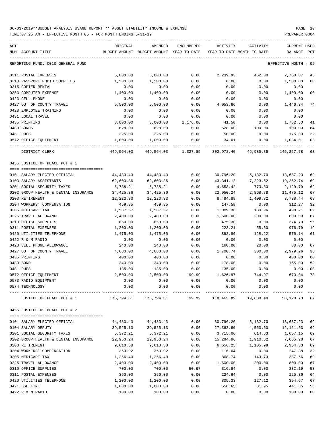| ACT<br>NUM ACCOUNT-TITLE             | ORIGINAL<br>BUDGET-AMOUNT | AMENDED<br>BUDGET-AMOUNT YEAR-TO-DATE | <b>ENCUMBERED</b> | ACTIVITY<br>YEAR-TO-DATE MONTH-TO-DATE                         | ACTIVITY         | <b>CURRENT USED</b><br>BALANCE | PCT      |
|--------------------------------------|---------------------------|---------------------------------------|-------------------|----------------------------------------------------------------|------------------|--------------------------------|----------|
| REPORTING FUND: 0010 GENERAL FUND    |                           |                                       |                   |                                                                |                  | EFFECTIVE MONTH - 05           |          |
|                                      |                           |                                       |                   |                                                                |                  |                                |          |
| 0311 POSTAL EXPENSES                 | 5,000.00                  | 5,000.00                              | 0.00              | 2,239.93                                                       | 462.00           | 2,760.07                       | 45       |
| 0313 PASSPORT PHOTO SUPPLIES         | 1,500.00                  | 1,500.00                              | 0.00              | 0.00                                                           | 0.00             | 1,500.00                       | 00       |
| 0315 COPIER RENTAL                   | 0.00                      | 0.00                                  | 0.00              | 0.00                                                           | 0.00             | 0.00                           |          |
| 0353 COMPUTER EXPENSE                | 1,400.00                  | 1,400.00                              | 0.00              | 0.00                                                           | 0.00             | 1,400.00                       | 00       |
| 0423 CELL PHONE                      | 0.00                      | 0.00                                  | 0.00              | 0.00                                                           | 0.00             | 0.00                           |          |
| 0427 OUT OF COUNTY TRAVEL            | 5,500.00                  | 5,500.00                              | 0.00              | 4,053.66                                                       | 0.00             | 1,446.34                       | 74       |
| 0428 EMPLOYEE TRAINING               | 0.00                      | 0.00                                  | 0.00              | 0.00                                                           | 0.00             | 0.00                           |          |
| 0431 LOCAL TRAVEL                    | 0.00                      | 0.00                                  | 0.00              | 0.00                                                           | 0.00             | 0.00                           |          |
| 0435 PRINTING                        | 3,000.00                  | 3,000.00                              | 1,176.00          | 41.50                                                          | 0.00             | 1,782.50                       | 41       |
| 0480 BONDS                           | 628.00                    | 628.00                                | 0.00              | 528.00                                                         | 100.00           | 100.00                         | 84       |
| 0481 DUES                            | 225.00                    | 225.00                                | 0.00              | 50.00                                                          | 0.00             | 175.00                         | 22       |
| 0572 OFFICE EQUIPMENT                | 1,000.00                  | 1,000.00                              | 0.00              | 34.01-                                                         | 0.00             | 1,034.01                       | 03       |
| DISTRICT CLERK                       | 449,564.03                |                                       |                   |                                                                |                  | 145,257.78                     | 68       |
| 0455 JUSTICE OF PEACE PCT # 1        |                           |                                       |                   |                                                                |                  |                                |          |
|                                      |                           |                                       |                   |                                                                |                  |                                |          |
| 0101 SALARY ELECTED OFFICIAL         | 44,483.43                 | 44,483.43                             | 0.00              | 30,796.20                                                      | 5,132.70         | 13,687.23                      | 69       |
| 0103 SALARY ASSISTANTS               | 62,603.86                 | 62,603.86                             | 0.00              | 43,341.12                                                      | 7,223.52         | 19,262.74                      | 69       |
| 0201 SOCIAL SECURITY TAXES           | 6,788.21                  | 6,788.21                              | 0.00              | 4,658.42                                                       | 773.83           | 2,129.79                       | 69       |
| 0202 GROUP HEALTH & DENTAL INSURANCE | 34,425.36                 | 34, 425.36                            | 0.00              | 22,950.24                                                      | 2,868.78         | 11, 475.12                     | 67       |
| 0203 RETIREMENT                      | 12,223.33                 | 12, 223.33                            | 0.00              | 8,484.89                                                       | 1,409.82         | 3,738.44                       | 69       |
| 0204 WORKERS' COMPENSATION           | 459.85                    | 459.85                                | 0.00              | 147.58                                                         | 0.00             | 312.27                         | 32       |
| 0205 MEDICARE TAX                    | 1,587.57                  | 1,587.57                              | 0.00              | 1,089.36                                                       | 180.96           | 498.21                         | 69       |
| 0225 TRAVEL ALLOWANCE                | 2,400.00                  | 2,400.00                              | 0.00              | 1,600.00                                                       | 200.00           | 800.00                         | 67       |
| 0310 OFFICE SUPPLIES                 | 850.00                    | 850.00                                | 0.00              | 475.30                                                         | 0.00             | 374.70                         | 56       |
| 0311 POSTAL EXPENSES                 | 1,200.00                  | 1,200.00                              | 0.00              | 223.21                                                         | 55.60            | 976.79                         | 19       |
| 0420 UTILITIES TELEPHONE             | 1,475.00                  | 1,475.00                              | 0.00              | 898.86                                                         | 128.22           | 576.14                         | 61       |
| 0422 R & M RADIO                     | 0.00                      | 0.00                                  | 0.00              | 0.00                                                           | 0.00             | 0.00                           |          |
| 0423 CELL PHONE ALLOWANCE            | 240.00                    | 240.00                                | 0.00              | 160.00                                                         | 20.00            | 80.00                          | 67       |
| 0427 OUT OF COUNTY TRAVEL            | 4,680.00                  | 4,680.00                              | 0.00              | 1,700.74                                                       | 300.00           | 2,979.26                       | 36       |
| 0435 PRINTING                        | 400.00                    | 400.00                                | 0.00              | 0.00                                                           | 0.00             | 400.00                         | 00       |
| 0480 BOND                            | 343.00                    | 343.00                                | 0.00              | 178.00                                                         | 0.00             | 165.00                         | 52       |
| 0481 DUES                            | 135.00                    | 135.00                                | 0.00              | 135.00                                                         | 0.00             | 0.00                           | 100      |
| 0572 OFFICE EQUIPMENT                | 2,500.00                  | 2,500.00                              | 199.99            | 1,626.97                                                       | 744.97           | 673.04                         | 73       |
| 0573 RADIO EQUIPMENT                 | 0.00                      | 0.00                                  | 0.00              | 0.00                                                           | 0.00             | 0.00                           |          |
| 0574 TECHNOLOGY                      | 0.00                      | 0.00                                  | 0.00              | 0.00                                                           | 0.00             | 0.00                           |          |
| JUSTICE OF PEACE PCT # 1             |                           |                                       | ------------      | 176,794.61 176,794.61 199.99 118,465.89 19,038.40 58,128.73 67 |                  |                                |          |
| 0456 JUSTICE OF PEACE PCT # 2        |                           |                                       |                   |                                                                |                  |                                |          |
|                                      |                           |                                       |                   |                                                                |                  |                                |          |
| 0101 SALARY ELECTED OFFICIAL         | 44,483.43                 | 44,483.43                             | 0.00              | 30,796.20                                                      | 5,132.70         | 13,687.23                      | 69       |
| 0104 SALARY DEPUTY                   | 39,525.13                 | 39,525.13                             | 0.00              | 27,363.60                                                      | 4,560.60         | 12,161.53                      | 69       |
| 0201 SOCIAL SECURITY TAXES           | 5,372.21                  | 5,372.21                              | 0.00              | 3,715.06                                                       | 614.63           | 1,657.15                       | 69       |
| 0202 GROUP HEALTH & DENTAL INSURANCE | 22,950.24                 | 22,950.24                             | 0.00              | 15,284.96                                                      | 1,910.62         | 7,665.28                       | 67       |
| 0203 RETIREMENT                      | 9,610.58                  | 9,610.58                              | 0.00              | 6,656.25                                                       | 1,105.98         | 2,954.33                       | 69       |
| 0204 WORKERS' COMPENSATION           | 363.92                    | 363.92                                | 0.00              | 116.04                                                         | 0.00             | 247.88<br>387.66               | 32<br>69 |
| 0205 MEDICARE TAX                    | 1,256.40                  | 1,256.40<br>2,400.00                  | 0.00              | 868.74<br>1,600.00                                             | 143.73<br>200.00 |                                |          |
| 0225 TRAVEL ALLOWANCE                | 2,400.00                  |                                       | 0.00              |                                                                |                  | 800.00                         | 67       |
| 0310 OFFICE SUPPLIES                 | 700.00                    | 700.00                                | 50.97             | 316.84                                                         | 0.00             | 332.19                         | 53       |
| 0311 POSTAL EXPENSES                 | 350.00                    | 350.00                                | 0.00              | 224.64                                                         | 0.00             | 125.36                         | 64       |
| 0420 UTILITIES TELEPHONE             | 1,200.00                  | 1,200.00                              | 0.00              | 805.33                                                         | 127.12           | 394.67                         | 67       |
| 0421 DSL LINE                        | 1,000.00                  | 1,000.00                              | 0.00              | 558.65                                                         | 81.95            | 441.35                         | 56       |
| 0422 R & M RADIO                     | 100.00                    | 100.00                                | 0.00              | 0.00                                                           | 0.00             | 100.00                         | 00       |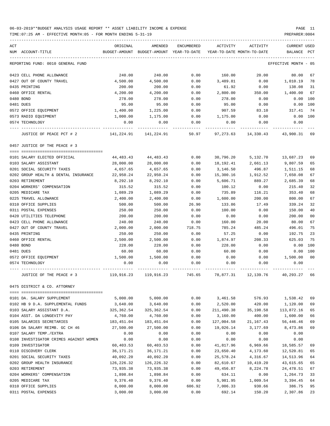| ACT                                                   | ORIGINAL               | AMENDED                  | ENCUMBERED   | ACTIVITY               | ACTIVITY                   | <b>CURRENT USED</b>   |          |
|-------------------------------------------------------|------------------------|--------------------------|--------------|------------------------|----------------------------|-----------------------|----------|
| NUM ACCOUNT-TITLE                                     | BUDGET-AMOUNT          | BUDGET-AMOUNT            | YEAR-TO-DATE |                        | YEAR-TO-DATE MONTH-TO-DATE | BALANCE               | PCT      |
| REPORTING FUND: 0010 GENERAL FUND                     |                        |                          |              |                        |                            | EFFECTIVE MONTH       | - 05     |
| 0423 CELL PHONE ALLOWANCE                             | 240.00                 | 240.00                   | 0.00         | 160.00                 | 20.00                      | 80.00                 | 67       |
| 0427 OUT OF COUNTY TRAVEL                             | 4,500.00               | 4,500.00                 | 0.00         | 3,489.81               | 0.00                       | 1,010.19              | 78       |
| 0435 PRINTING                                         | 200.00                 | 200.00                   | 0.00         | 61.92                  | 0.00                       | 138.08                | 31       |
| 0460 OFFICE RENTAL                                    | 4,200.00               | 4,200.00                 | 0.00         | 2,800.00               | 350.00                     | 1,400.00              | 67       |
| 0480 BOND                                             | 278.00                 | 278.00                   | 0.00         | 278.00                 | 0.00                       | 0.00                  | 100      |
| 0481 DUES                                             | 95.00                  | 95.00                    | 0.00         | 95.00                  | 0.00                       | 0.00                  | 100      |
| 0572 OFFICE EQUIPMENT                                 | 1,400.00               | 1,225.00                 | 0.00         | 907.59                 | 83.10                      | 317.41                | 74       |
| 0573 RADIO EQUIPMENT                                  | 1,000.00               | 1,175.00                 | 0.00         | 1,175.00               | 0.00                       | 0.00                  | 100      |
| 0574 TECHNOLOGY                                       | 0.00                   | 0.00                     | 0.00         | 0.00                   | 0.00                       | 0.00                  |          |
| JUSTICE OF PEACE PCT # 2                              | 141,224.91             | 141,224.91               | 50.97        | 97,273.63              | 14,330.43                  | 43,900.31             | 69       |
| 0457 JUSTICE OF THE PEACE # 3                         |                        |                          |              |                        |                            |                       |          |
|                                                       |                        |                          |              |                        |                            |                       |          |
| 0101 SALARY ELECTED OFFICIAL<br>0103 SALARY ASSISTANT | 44,483.43<br>28,000.00 | 44, 483. 43<br>28,000.00 | 0.00<br>0.00 | 30,796.20<br>18,192.41 | 5,132.70<br>2,661.13       | 13,687.23<br>9,807.59 | 69<br>65 |
| 0201 SOCIAL SECURITY TAXES                            | 4,657.65               | 4,657.65                 | 0.00         | 3,146.50               | 496.87                     | 1,511.15              | 68       |
| 0202 GROUP HEALTH & DENTAL INSURANCE                  | 22,950.24              | 22,950.24                | 0.00         | 15,300.16              | 1,912.52                   | 7,650.08              | 67       |
| 0203 RETIREMENT                                       | 8,292.10               | 8,292.10                 | 0.00         | 5,606.71               | 889.27                     | 2,685.39              | 68       |
| 0204 WORKERS' COMPENSATION                            | 315.52                 | 315.52                   | 0.00         | 100.12                 | 0.00                       | 215.40                | 32       |
| 0205 MEDICARE TAX                                     | 1,089.29               | 1,089.29                 | 0.00         | 735.89                 | 116.21                     | 353.40                | 68       |
| 0225 TRAVEL ALLOWANCE                                 | 2,400.00               | 2,400.00                 | 0.00         | 1,600.00               | 200.00                     | 800.00                | 67       |
| 0310 OFFICE SUPPLIES                                  | 500.00                 | 500.00                   | 26.90        | 133.86                 | 17.49                      | 339.24                | 32       |
| 0311 POSTAL EXPENSES                                  | 250.00                 | 250.00                   | 0.00         | 100.00                 | 0.00                       | 150.00                | 40       |
| 0420 UTILITIES TELEPHONE                              | 200.00                 | 200.00                   | 0.00         | 0.00                   | 0.00                       | 200.00                | 00       |
| 0423 CELL PHONE ALLOWANCE                             | 240.00                 | 240.00                   | 0.00         | 160.00                 | 20.00                      | 80.00                 | 67       |
| 0427 OUT OF COUNTY TRAVEL                             | 2,000.00               | 2,000.00                 | 718.75       | 785.24                 | 485.24                     | 496.01                | 75       |
| 0435 PRINTING                                         | 250.00                 | 250.00                   | 0.00         | 57.25                  | 0.00                       | 192.75                | 23       |
| 0460 OFFICE RENTAL                                    | 2,500.00               | 2,500.00                 | 0.00         | 1,874.97               | 208.33                     | 625.03                | 75       |
| 0480 BOND                                             | 228.00                 | 228.00                   | 0.00         | 228.00                 | 0.00                       | 0.00                  | 100      |
| 0481 DUES                                             | 60.00                  | 60.00                    | 0.00         | 60.00                  | 0.00                       | 0.00                  | 100      |
| 0572 OFFICE EQUIPMENT                                 | 1,500.00               | 1,500.00                 | 0.00         | 0.00                   | 0.00                       | 1,500.00              | 00       |
| 0574 TECHNOLOGY                                       | 0.00                   | 0.00                     | 0.00         | 0.00                   | 0.00                       | 0.00                  |          |
| JUSTICE OF THE PEACE # 3                              | 119,916.23             | 119,916.23               | 745.65       | 78,877.31              | 12,139.76                  | 40,293.27             | 66       |
| 0475 DISTRICT & CO. ATTORNEY                          |                        |                          |              |                        |                            |                       |          |
|                                                       |                        |                          |              |                        |                            |                       |          |
| 0101 DA. SALARY SUPPLEMENT                            | 5,000.00               | 5,000.00                 | 0.00         | 3,461.58               | 576.93                     | 1,538.42              | 69       |
| 0102 HB 9 D.A. SUPPLEMENTAL FUNDS                     | 3,640.00               | 3,640.00                 | 0.00         | 2,520.00               | 420.00                     | 1,120.00              | 69       |
| 0103 SALARY ASSISTANT D.A.                            | 325,362.54             | 325, 362.54              | 0.00         | 211,490.38             | 35,198.58                  | 113,872.16            | 65       |
| 0104 ASST. DA LONGEVITY PAY                           | 4,760.00               | 4,760.00                 | 0.00         | 3,160.00               | 400.00                     | 1,600.00              | 66       |
| 0105 SALARIES SECRETARIES                             | 183,451.04             | 183, 451.04              | 0.00         | 127,004.58             | 21, 167. 43                | 56,446.46             | 69       |
| 0106 DA SALARY REIMB. GC CH 46                        | 27,500.00              | 27,500.00                | 0.00         | 19,026.14              | 3,177.69                   | 8,473.86              | 69       |
| 0107 SALARY TEMP./EXTRA                               | 0.00                   | 0.00                     | 0.00         | 0.00                   | 0.00                       | 0.00                  |          |
| 0108 INVESTIGATOR CRIMES AGAINST WOMEN                | 0.00                   | 0.00                     | 0.00         | 0.00                   | 0.00                       | 0.00                  |          |
| 0109 INVESTIGATOR                                     | 60,403.53              | 60,403.53                | 0.00         | 41,817.96              | 6,969.66                   | 18,585.57             | 69       |
| 0110 DISCOVERY CLERK                                  | 36,171.21              | 36,171.21                | 0.00         | 23,650.40              | 4,173.60                   | 12,520.81             | 65       |
| 0201 SOCIAL SECURITY TAXES                            | 40,092.20              | 40,092.20                | 0.00         | 25,578.24              | 4,316.67                   | 14,513.96             | 64       |
| 0202 GROUP HEALTH INSURANCE                           | 126,226.32             | 126, 226.32              | 0.00         | 82,610.67              | 10,419.20                  | 43,615.65             | 65       |
| 0203 RETIREMENT                                       | 73,935.38              | 73,935.38                | 0.00         | 49,456.87              | 8,224.78                   | 24,478.51             | 67       |
| 0204 WORKERS' COMPENSATION                            | 1,898.84               | 1,898.84                 | 0.00         | 634.11                 | 0.00                       | 1,264.73              | 33       |
| 0205 MEDICARE TAX                                     | 9,376.40               | 9,376.40                 | 0.00         | 5,981.95               | 1,009.54                   | 3,394.45              | 64       |
| 0310 OFFICE SUPPLIES                                  | 8,000.00               | 8,000.00                 | 606.92       | 7,006.33               | 930.66                     | 386.75                | 95       |
| 0311 POSTAL EXPENSES                                  | 3,000.00               | 3,000.00                 | 0.00         | 692.14                 | 150.20                     | 2,307.86              | 23       |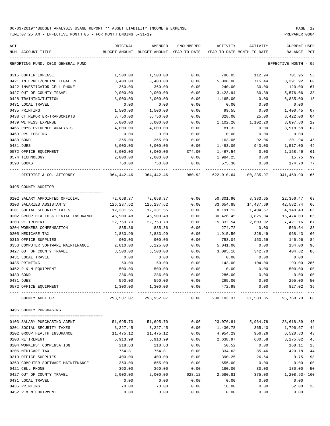TIME:07:25 AM - EFFECTIVE MONTH:05 - FOR MONTH ENDING 5-31-19 PREPARER:0004

| ACT | NUM ACCOUNT-TITLE                    | ORIGINAL   | AMENDED<br>BUDGET-AMOUNT BUDGET-AMOUNT YEAR-TO-DATE YEAR-TO-DATE MONTH-TO-DATE | ENCUMBERED | ACTIVITY  | ACTIVITY                             | <b>CURRENT USED</b><br>BALANCE PCT |                |
|-----|--------------------------------------|------------|--------------------------------------------------------------------------------|------------|-----------|--------------------------------------|------------------------------------|----------------|
|     |                                      |            |                                                                                |            |           |                                      |                                    |                |
|     | REPORTING FUND: 0010 GENERAL FUND    |            |                                                                                |            |           |                                      | EFFECTIVE MONTH - 05               |                |
|     | 0315 COPIER EXPENSE                  | 1,500.00   | 1,500.00                                                                       | 0.00       | 798.05    | 112.94                               | 701.95                             | 53             |
|     | 0421 INTERNET/ONLINE LEGAL RE        | 8,400.00   | 8,400.00                                                                       | 0.00       | 5,008.08  | 715.44                               | 3,391.92                           | 60             |
|     | 0422 INVESTIGATOR CELL PHONE         | 360.00     | 360.00                                                                         | 0.00       | 240.00    | 30.00                                | 120.00                             | 67             |
|     | 0427 OUT OF COUNTY TRAVEL            | 9,000.00   | 9,000.00                                                                       | 0.00       | 3,423.94  | 80.39                                | 5,576.06                           | 38             |
|     | 0428 TRAINING/TUITION                | 8,000.00   | 8,000.00                                                                       | 0.00       | 1,165.00  | 0.00                                 | 6,835.00                           | 15             |
|     | 0431 LOCAL TRAVEL                    | 0.00       | 0.00                                                                           | 0.00       | 0.00      | 0.00                                 | 0.00                               |                |
|     | 0435 PRINTING                        | 1,500.00   | 1,500.00                                                                       | 0.00       | 99.55     | 0.00                                 | 1,400.45                           | 07             |
|     | 0438 CT.REPORTER-TRANSCRIPTS         | 8,750.00   | 8,750.00                                                                       | 0.00       | 328.00    | 25.00                                | 8,422.00                           | 04             |
|     | 0439 WITNESS EXPENSE                 | 5,000.00   | 5,000.00                                                                       | 0.00       | 1,102.20  | 1,102.20                             | 3,897.80                           | 22             |
|     | 0465 PHYS. EVIDENCE ANALYSIS         | 4,000.00   | 4,000.00                                                                       | 0.00       | 81.32     | 0.00                                 | 3,918.68                           | 02             |
|     | 0469 DPS TESTING                     | 0.00       | 0.00                                                                           | 0.00       | 0.00      | 0.00                                 | 0.00                               |                |
|     | 0480 BOND                            | 365.00     | 365.00                                                                         | 0.00       | 163.06    | 92.06                                | 201.94                             | 45             |
|     | 0481 DUES                            | 3,000.00   | 3,000.00                                                                       | 0.00       | 1,483.00  | 943.00                               | 1,517.00                           | 49             |
|     | 0572 OFFICE EQUIPMENT                | 3,000.00   | 3,000.00                                                                       | 374.00     | 1,467.54  | 0.00                                 | 1,158.46                           | 61             |
|     | 0574 TECHNOLOGY                      | 2,000.00   | 2,000.00                                                                       | 0.00       | 1,984.25  | 0.00                                 | 15.75                              | 99             |
|     | 0590 BOOKS                           | 750.00     | 750.00                                                                         | 0.00       | 575.30    | 0.00                                 | 174.70                             | 77             |
|     | DISTRICT & CO. ATTORNEY              | 964,442.46 | 964,442.46                                                                     | 980.92     |           | 622,010.64 100,235.97                | 341,450.90                         | 65             |
|     | 0495 COUNTY AUDITOR                  |            |                                                                                |            |           |                                      |                                    |                |
|     |                                      |            |                                                                                |            |           |                                      |                                    |                |
|     | 0102 SALARY APPOINTED OFFICIAL       | 72,658.37  | 72,658.37                                                                      | 0.00       | 50,301.90 | 8,383.65                             | 22,356.47                          | 69             |
|     | 0103 SALARIES ASSISTANTS             | 126,237.62 | 126,237.62                                                                     | 0.00       | 83,654.88 | 14,437.69                            | 42,582.74                          | 66             |
|     | 0201 SOCIAL SECURITY TAXES           | 12,331.55  | 12,331.55                                                                      | 0.00       | 8,191.12  | 1,404.67                             | 4,140.43                           | 66             |
|     | 0202 GROUP HEALTH & DENTAL INSURANCE | 45,900.48  | 45,900.48                                                                      | 0.00       | 30,426.45 | 3,825.04                             | 15,474.03                          | 66             |
|     | 0203 RETIREMENT                      | 22,753.70  | 22,753.70                                                                      | 0.00       | 15,332.54 | 2,603.92                             | 7,421.16                           | 67             |
|     | 0204 WORKERS COMPENSATION            | 835.36     | 835.36                                                                         | 0.00       | 274.72    | 0.00                                 | 560.64                             | 33             |
|     | 0205 MEDICARE TAX                    | 2,883.99   | 2,883.99                                                                       | 0.00       | 1,915.56  | 328.49                               | 968.43                             | 66             |
|     | 0310 OFFICE SUPPLIES                 | 900.00     | 900.00                                                                         | 0.00       | 753.04    | 153.69                               | 146.96                             | 84             |
|     | 0353 COMPUTER SOFTWARE MAINTENANCE   | 2,810.00   | 5,225.00                                                                       | 0.00       | 5,041.00  | 0.00                                 | 184.00                             | 96             |
|     | 0427 OUT OF COUNTY TRAVEL            | 3,500.00   | 3,500.00                                                                       | 0.00       | 3,095.18  | 342.70                               | 404.82                             | 88             |
|     | 0431 LOCAL TRAVEL                    | 0.00       | 0.00                                                                           | 0.00       | 0.00      | 0.00                                 | 0.00                               |                |
|     | 0435 PRINTING                        | 50.00      | 50.00                                                                          | 0.00       | 143.00    | 104.00                               | 93.00- 286                         |                |
|     | 0452 R & M EOUIPMENT                 | 500.00     | 500.00                                                                         | 0.00       | 0.00      | 0.00                                 | 500.00                             | 0 <sub>0</sub> |
|     | 0480 BOND                            | 286.00     | 286.00                                                                         | 0.00       | 286.00    | 0.00                                 | 0.00 100                           |                |
|     | 0481 DUES                            | 590.00     | 590.00                                                                         | 0.00       | 295.00    | 0.00                                 | 295.00                             | 50             |
|     | 0572 OFFICE EQUIPMENT                | 1,300.00   | 1,300.00                                                                       | 0.00       | 472.98    | 0.00<br>---------------------------  | 827.02                             | 36             |
|     | COUNTY AUDITOR                       |            | 293,537.07 295,952.07                                                          | 0.00       |           | 200, 183.37 31, 583.85 95, 768.70 68 |                                    |                |
|     | 0496 COUNTY PURCHASING               |            |                                                                                |            |           |                                      |                                    |                |
|     | 0103 SALARY PURCHASING AGENT         | 51,695.70  | 51,695.70                                                                      | 0.00       | 23,076.81 | 5,964.78                             | 28,618.89                          | 45             |
|     | 0201 SOCIAL SECURITY TAXES           | 3,227.45   | 3,227.45                                                                       | 0.00       | 1,430.78  | 365.43                               | 1,796.67                           | 44             |
|     | 0202 GROUP HEALTH INSURANCE          | 11,475.12  | 11,475.12                                                                      | 0.00       | 4,954.29  | 956.26                               | 6,520.83                           | 43             |
|     | 0203 RETIREMENT                      | 5,913.99   | 5,913.99                                                                       | 0.00       | 2,638.97  | 680.58                               | 3,275.02                           | 45             |
|     | 0204 WORKERS' COMPENSATION           | 218.63     | 218.63                                                                         | 0.00       | 50.52     | 0.00                                 | 168.11                             | 23             |
|     | 0205 MEDICARE TAX                    | 754.81     | 754.81                                                                         | 0.00       | 334.63    | 85.46                                | 420.18                             | 44             |
|     | 0310 OFFICE SUPPLIES                 | 400.00     | 400.00                                                                         | 0.00       | 390.25    | 26.64                                | 9.75                               | 98             |
|     | 0353 COMPUTER SOFTWARE MAINTENANCE   | 350.00     | 655.00                                                                         | 0.00       | 655.00    | 0.00                                 | $0.00$ 100                         |                |
|     | 0421 CELL PHONE                      | 360.00     | 360.00                                                                         | 0.00       | 180.00    | 30.00                                | 180.00                             | 50             |
|     | 0427 OUT OF COUNTY TRAVEL            | 2,000.00   | 2,000.00                                                                       | 628.12     | 2,580.81  | 375.00                               | 1,208.93- 160                      |                |
|     | 0431 LOCAL TRAVEL                    | 0.00       | 0.00                                                                           | 0.00       | 0.00      | 0.00                                 | 0.00                               |                |
|     | 0435 PRINTING                        | 70.00      | 70.00                                                                          | 0.00       | 18.00     | 0.00                                 | 52.00                              | 26             |

0452 R & M EQUIPMENT 0.00 0.00 0.00 0.00 0.00 0.00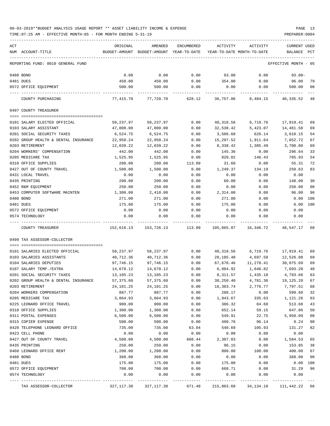| ACT | NUM ACCOUNT-TITLE                    | ORIGINAL<br>BUDGET-AMOUNT             | AMENDED<br>BUDGET-AMOUNT YEAR-TO-DATE | ENCUMBERED | ACTIVITY<br>YEAR-TO-DATE MONTH-TO-DATE | ACTIVITY  | <b>CURRENT USED</b><br><b>BALANCE</b> | PCT  |
|-----|--------------------------------------|---------------------------------------|---------------------------------------|------------|----------------------------------------|-----------|---------------------------------------|------|
|     |                                      |                                       |                                       |            |                                        |           |                                       |      |
|     | REPORTING FUND: 0010 GENERAL FUND    |                                       |                                       |            |                                        |           | EFFECTIVE MONTH - 05                  |      |
|     | 0480 BOND                            | 0.00                                  | 0.00                                  | 0.00       | 93.00                                  | 0.00      | $93.00 -$                             |      |
|     | 0481 DUES                            | 450.00                                | 450.00                                | 0.00       | 354.00                                 | 0.00      | 96.00                                 | 79   |
|     | 0572 OFFICE EQUIPMENT                | 500.00                                | 500.00                                | 0.00       | 0.00                                   | 0.00      | 500.00                                | 00   |
|     | COUNTY PURCHASING                    | 77,415.70                             | 77,720.70                             | 628.12     | 36,757.06                              | 8,484.15  | 40,335.52                             | - 48 |
|     | 0497 COUNTY TREASURER                |                                       |                                       |            |                                        |           |                                       |      |
|     |                                      |                                       |                                       |            |                                        |           |                                       |      |
|     | 0101 SALARY ELECTED OFFICIAL         | 58,237.97                             | 58,237.97                             | 0.00       | 40,318.56                              | 6,719.76  | 17,919.41                             | 69   |
|     | 0103 SALARY ASSISTANT                | 47,000.00                             | 47,000.00                             | 0.00       | 32,538.42                              | 5,423.07  | 14,461.58                             | 69   |
|     | 0201 SOCIAL SECURITY TAXES           | 6,524.75                              | 6,524.75                              | 0.00       | 3,506.60                               | 626.14    | 3,018.15                              | 54   |
|     | 0202 GROUP HEALTH & DENTAL INSURANCE | 22,950.24                             | 22,950.24                             | 0.00       | 15,297.52                              | 1,911.64  | 7,652.72                              | 67   |
|     | 0203 RETIREMENT                      | 12,039.22                             | 12,039.22                             | 0.00       | 8,338.42                               | 1,385.49  | 3,700.80                              | 69   |
|     | 0204 WORKERS' COMPENSATION           | 442.00                                | 442.00                                | 0.00       | 145.36                                 | 0.00      | 296.64                                | 33   |
|     | 0205 MEDICARE TAX                    | 1,525.95                              | 1,525.95                              | 0.00       | 820.02                                 | 146.43    | 705.93                                | 54   |
|     | 0310 OFFICE SUPPLIES                 | 200.00                                | 200.00                                | 113.09     | 31.60                                  | 0.00      | 55.31                                 | 72   |
|     | 0427 OUT OF COUNTY TRAVEL            | 1,500.00                              | 1,500.00                              | 0.00       | 1,249.37                               | 134.19    | 250.63                                | 83   |
|     | 0431 LOCAL TRAVEL                    | 0.00                                  | 0.00                                  | 0.00       | 0.00                                   | 0.00      | 0.00                                  |      |
|     | 0435 PRINTING                        | 200.00                                | 200.00                                | 0.00       | 60.00                                  | 0.00      | 140.00                                | 30   |
|     | 0452 R&M EQUIPMENT                   | 250.00                                | 250.00                                | 0.00       | 0.00                                   | 0.00      | 250.00                                | 00   |
|     | 0453 COMPUTER SOFTWARE MAINTEN       | 1,300.00                              | 2,410.00                              | 0.00       | 2,314.00                               | 0.00      | 96.00                                 | 96   |
|     | 0480 BOND                            | 271.00                                | 271.00                                | 0.00       | 271.00                                 | 0.00      | 0.00                                  | 100  |
|     | 0481 DUES                            | 175.00                                | 175.00                                | 0.00       | 175.00                                 | 0.00      | 0.00                                  | 100  |
|     | 0572 OFFICE EQUIPMENT                | 0.00                                  | 0.00                                  | 0.00       |                                        |           | 0.00                                  |      |
|     |                                      |                                       |                                       |            | 0.00                                   | 0.00      |                                       |      |
|     | 0574 TECHNOLOGY                      | 0.00                                  | 0.00                                  | 0.00       | 0.00                                   | 0.00      | 0.00                                  |      |
|     | COUNTY TREASURER                     | 152,616.13                            | 153,726.13                            | 113.09     | 105,065.87                             | 16,346.72 | 48,547.17                             | 68   |
|     | 0499 TAX ASSESSOR-COLLECTOR          |                                       |                                       |            |                                        |           |                                       |      |
|     |                                      |                                       |                                       |            |                                        |           |                                       |      |
|     | 0101 SALARIES ELECTED OFFICIAL       | 58,237.97                             | 58,237.97                             | 0.00       | 40,318.56                              | 6,719.76  | 17,919.41                             | 69   |
|     | 0103 SALARIES ASSISTANTS             | 40,712.36                             | 40,712.36                             | 0.00       | 28,185.48                              | 4,697.58  | 12,526.88                             | 69   |
|     | 0104 SALARIES DEPUTIES               | 97,746.15                             | 97,746.15                             | 0.00       | 67,670.46                              | 11,278.41 | 30,075.69                             | 69   |
|     | 0107 SALARY TEMP./EXTRA              | 14,678.12                             | 14,678.12                             | 0.00       | 6,984.92                               | 1,640.82  | 7,693.20                              | 48   |
|     | 0201 SOCIAL SECURITY TAXES           | 13,105.23                             | 13,105.23                             | 0.00       | 8,311.57                               | 1,435.18  | 4,793.66                              | 63   |
|     | 0202 GROUP HEALTH & DENTAL INSURANCE | 57,375.60                             | 57,375.60                             | 0.00       | 38,250.40                              | 4,781.30  | 19,125.20                             | 67   |
|     | 0203 RETIREMENT                      | 24, 181. 25                           | 24, 181. 25                           | 0.00       | 16,383.74                              | 2,776.77  | 7,797.51                              | 68   |
|     | 0204 WORKERS COMPENSATION            | 887.77                                | 887.77                                | 0.00       | 288.17                                 | 0.00      | 599.60                                | 32   |
|     | 0205 MEDICARE TAX                    | 3,064.93                              | 3,064.93                              | 0.00       | 1,943.67                               | 335.63    | 1,121.26                              | 63   |
|     | 0225 LEONARD OFFICE TRAVEL           | 900.00                                | 900.00                                | 0.00       | 386.32                                 | 84.68     | 513.68                                | 43   |
|     | 0310 OFFICE SUPPLIES                 | 1,300.00                              | 1,300.00                              | 0.00       | 652.14                                 | 59.15     | 647.86                                | 50   |
|     | 0311 POSTAL EXPENSES                 | 6,500.00                              | 6,500.00                              | 0.00       | 549.91                                 | 22.75     | 5,950.09                              | 08   |
|     | 0315 COPIER EXPENSE                  | 500.00                                | 500.00                                | 0.00       | 490.76                                 | 96.14     | 9.24                                  | 98   |
|     | 0420 TELEPHONE LEONARD OFFICE        | 735.00                                | 735.00                                | 63.04      | 540.69                                 | 105.93    | 131.27                                | 82   |
|     | 0423 CELL PHONE                      | 0.00                                  | 0.00                                  | 0.00       | 0.00                                   | 0.00      | 0.00                                  |      |
|     | 0427 OUT OF COUNTY TRAVEL            | 4,500.00                              | 4,500.00                              | 608.44     | 2,307.03                               | 0.00      | 1,584.53                              | 65   |
|     | 0435 PRINTING                        | 250.00                                | 250.00                                | 0.00       | 96.15                                  | 0.00      | 153.85                                | 38   |
|     | 0460 LEONARD OFFICE RENT             | 1,200.00                              | 1,200.00                              | 0.00       | 800.00                                 | 100.00    | 400.00                                | 67   |
|     | 0480 BOND                            | 368.00                                | 368.00                                | 0.00       | 0.00                                   | 0.00      | 368.00                                | 00   |
|     |                                      |                                       |                                       | 0.00       |                                        | 0.00      | 0.00                                  | 100  |
|     | 0481 DUES                            | 175.00                                | 175.00                                |            | 175.00                                 |           |                                       |      |
|     | 0572 OFFICE EQUIPMENT                | 700.00                                | 700.00                                | 0.00       | 668.71                                 | 0.00      | 31.29                                 | 96   |
|     | 0574 TECHNOLOGY                      | 0.00<br>--------------- ------------- | 0.00                                  | 0.00       | 0.00                                   | 0.00      | 0.00                                  |      |
|     | TAX ASSESSOR-COLLECTOR               | 327, 117.38                           | 327, 117.38                           | 671.48     | 215,003.68                             | 34,134.10 | 111,442.22 66                         |      |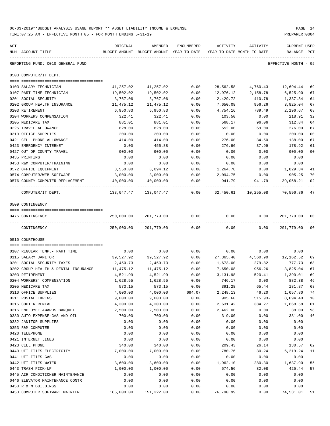| 06-03-2019**BUDGET ANALYSIS USAGE REPORT ** ASSET LIABILITY INCOME & EXPENSE | PAGE 14        |
|------------------------------------------------------------------------------|----------------|
| TIME:07:25 AM - EFFECTIVE MONTH:05 - FOR MONTH ENDING 5-31-19                | PREPARER: 0004 |

| ACT |                                      | ORIGINAL                                 | AMENDED                    | ENCUMBERED | ACTIVITY                   | ACTIVITY            | CURRENT USED         |                |
|-----|--------------------------------------|------------------------------------------|----------------------------|------------|----------------------------|---------------------|----------------------|----------------|
|     | NUM ACCOUNT-TITLE                    | BUDGET-AMOUNT BUDGET-AMOUNT YEAR-TO-DATE |                            |            | YEAR-TO-DATE MONTH-TO-DATE |                     | BALANCE              | PCT            |
|     | REPORTING FUND: 0010 GENERAL FUND    |                                          |                            |            |                            |                     | EFFECTIVE MONTH - 05 |                |
|     | 0503 COMPUTER/IT DEPT.               |                                          |                            |            |                            |                     |                      |                |
|     | 0103 SALARY-TECHNICIAN               | 41,257.02                                | 41,257.02                  | 0.00       | 28,562.58                  | 4,760.43 12,694.44  |                      | 69             |
|     | 0107 PART TIME TECHNICIAN            | 19,502.02                                | 19,502.02                  | 0.00       | 12,976.12                  | 2,158.78            | 6,525.90             | 67             |
|     | 0201 SOCIAL SECURITY                 | 3,767.06                                 | 3,767.06                   | 0.00       | 2,429.72                   | 410.78              | 1,337.34             | 64             |
|     | 0202 GROUP HEALTH INSURANCE          | 11,475.12                                | 11,475.12                  | 0.00       | 7,650.08                   | 956.26              | 3,825.04             | 67             |
|     | 0203 RETIREMENT                      | 6,950.83                                 | 6,950.83                   | 0.00       | 4,754.16                   | 789.49              | 2,196.67             | 68             |
|     | 0204 WORKERS COMPENSATION            | 322.41                                   | 322.41                     | 0.00       | 103.50                     | 0.00                | 218.91               | 32             |
|     | 0205 MEDICARE TAX                    | 881.01                                   | 881.01                     | 0.00       | 568.17                     | 96.06               | 312.84               | 64             |
|     | 0225 TRAVEL ALLOWANCE                | 828.00                                   | 828.00                     | 0.00       | 552.00                     | 69.00               | 276.00               | 67             |
|     | 0310 OFFICE SUPPLIES                 | 200.00                                   | 200.00                     | 0.00       | 0.00                       | 0.00                | 200.00               | 0 <sub>0</sub> |
|     | 0421 CELL PHONE ALLOWANCE            | 414.00                                   | 414.00                     | 0.00       | 276.00                     | 34.50               | 138.00               | 67             |
|     | 0423 EMERGENCY INTERNET              | 0.00                                     | 455.88                     | 0.00       | 276.96                     | 37.99               | 178.92               | 61             |
|     | 0427 OUT OF COUNTY TRAVEL            | 900.00                                   | 900.00                     | 0.00       | 0.00                       | 0.00                | 900.00               | 0 <sub>0</sub> |
|     | 0435 PRINTING                        | 0.00                                     | 0.00                       | 0.00       | 0.00                       | 0.00                | 0.00                 |                |
|     | 0453 R&M COMPUTER/TRAINING           | 0.00                                     | 0.00                       | 0.00       | 0.00                       | 0.00                | 0.00                 |                |
|     | 0572 OFFICE EQUIPMENT                | 3,550.00                                 | 3,094.12                   | 0.00       | 1,264.78                   | 0.00                | 1,829.34             | 41             |
|     | 0574 COMPUTER/WEB SOFTWARE           | 3,000.00                                 | 3,000.00                   | 0.00       | 2,094.75                   | 0.00                | 905.25               | 70             |
|     | 0576 COUNTY COMPUTER REPLACEMENT     | 40,000.00                                | 40,000.00                  | 0.00       |                            | 941.79 941.79       | 39,058.21            | 02             |
|     | COMPUTER/IT DEPT.                    |                                          | 133,047.47 133,047.47 0.00 |            |                            | 62,450.61 10,255.08 | 70,596.86            | 47             |
|     | 0509 CONTINGENCY                     |                                          |                            |            |                            |                     |                      |                |
|     | 0475 CONTINGENCY                     | 250,000.00                               | 201,779.00                 | 0.00       | 0.00                       | 0.00                | 201,779.00           | 00             |
|     | CONTINGENCY                          | 250,000.00                               | 201,779.00                 | 0.00       | 0.00                       | 0.00                | 201,779.00           | 0 <sub>0</sub> |
|     | 0510 COURTHOUSE                      |                                          |                            |            |                            |                     |                      |                |
|     | 0107 REGULAR TEMP. - PART TIME       | 0.00                                     | 0.00                       | 0.00       | 0.00                       | 0.00                | 0.00                 |                |
|     | 0115 SALARY JANITOR                  | 39,527.92                                | 39,527.92                  | 0.00       | 27,365.40                  | 4,560.90            | 12,162.52            | 69             |
|     | 0201 SOCIAL SECURITY TAXES           | 2,450.73                                 | 2,450.73                   | 0.00       | 1,673.00                   | 279.82              | 777.73               | 68             |
|     | 0202 GROUP HEALTH & DENTAL INSURANCE | 11,475.12                                | 11,475.12                  | 0.00       | 7,650.08                   | 956.26              | 3,825.04             | 67             |
|     | 0203 RETIREMENT                      | 4,521.99                                 | 4,521.99                   | 0.00       | 3,131.98                   | 520.41              | 1,390.01             | 69             |
|     | 0204 WORKERS' COMPENSATION           | 1,628.55                                 | 1,628.55                   | 0.00       | 746.17                     | 0.00                | 882.38               | 46             |
|     | 0205 MEDICARE TAX                    | 573.15                                   | 573.15                     | 0.00       | 391.28                     | 65.44               | 181.87               | 68             |
|     | 0310 OFFICE SUPPLIES                 | 4,000.00                                 | 4,000.00                   | 694.07     | 2,248.13                   | 46.20               | 1,057.80             | 74             |
|     | 0311 POSTAL EXPENSE                  | 9,000.00                                 | 9,000.00                   | 0.00       | 905.60                     | $515.93-$           | 8,094.40             | 10             |
|     | 0315 COPIER RENTAL                   | 4,300.00                                 | 4,300.00                   | 0.00       | 2,631.42                   | 384.27              | 1,668.58             | 61             |
|     | 0316 EMPLOYEE AWARDS BANQUET         | 2,500.00                                 | 2,500.00                   | 0.00       | 2,462.00                   | 0.00                | 38.00                | 98             |
|     | 0330 AUTO EXPENSE-GAS AND OIL        | 700.00                                   | 700.00                     | 0.00       | 319.00                     | 0.00                | 381.00               | 46             |
|     | 0332 JANITOR SUPPLIES                | 0.00                                     | 0.00                       | 0.00       | 0.00                       | 0.00                | 0.00                 |                |
|     | 0353 R&M COMPUTER                    | 0.00                                     | 0.00                       | 0.00       | 0.00                       | 0.00                | 0.00                 |                |
|     | 0420 TELEPHONE                       | 0.00                                     | 0.00                       | 0.00       | 0.00                       | 0.00                | 0.00                 |                |
|     | 0421 INTERNET LINES                  | 0.00                                     | 0.00                       | 0.00       | 0.00                       | 0.00                | 0.00                 |                |
|     | 0423 CELL PHONE                      | 340.00                                   | 340.00                     | 0.00       | 209.43                     | 26.14               | 130.57               | 62             |
|     | 0440 UTILITIES ELECTRICITY           | 7,000.00                                 | 7,000.00                   | 0.00       | 780.76                     | 30.24               | 6,219.24             | 11             |
|     | 0441 UTILITIES GAS                   | 0.00                                     | 0.00                       | 0.00       | 0.00                       | 0.00                | 0.00                 |                |
|     | 0442 UTILITIES WATER                 | 3,600.00                                 | 3,600.00                   | 0.00       | 1,962.10                   | 280.30              | 1,637.90             | 55             |
|     | 0443 TRASH PICK-UP                   | 1,000.00                                 | 1,000.00                   | 0.00       | 574.56                     | 82.08               | 425.44               | 57             |
|     | 0445 AIR CONDITIONER MAINTENANCE     | 0.00                                     | 0.00                       | 0.00       | 0.00                       | 0.00                | 0.00                 |                |
|     | 0446 ELEVATOR MAINTENANCE CONTR      | 0.00                                     | 0.00                       | 0.00       | 0.00                       | 0.00                | 0.00                 |                |

0450 R & M BUILDINGS 0.00 0.00 0.00 0.00 0.00 0.00 0453 COMPUTER SOFTWARE MAINTEN 165,000.00 151,322.00 0.00 76,790.99 0.00 74,531.01 51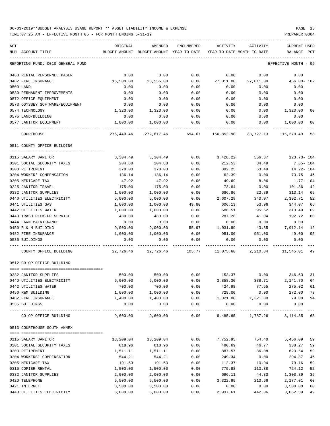| ACT                                              | ORIGINAL                                                                 | AMENDED              | ENCUMBERED           | ACTIVITY                                                            | ACTIVITY            | CURRENT USED           |                |
|--------------------------------------------------|--------------------------------------------------------------------------|----------------------|----------------------|---------------------------------------------------------------------|---------------------|------------------------|----------------|
| NUM ACCOUNT-TITLE                                |                                                                          |                      |                      | BUDGET-AMOUNT BUDGET-AMOUNT YEAR-TO-DATE YEAR-TO-DATE MONTH-TO-DATE |                     | BALANCE PCT            |                |
| REPORTING FUND: 0010 GENERAL FUND                |                                                                          |                      |                      |                                                                     |                     | EFFECTIVE MONTH - 05   |                |
| 0463 RENTAL PERSONNEL PAGER                      | 0.00                                                                     | 0.00                 | 0.00                 | 0.00                                                                | 0.00                | 0.00                   |                |
| 0482 FIRE INSURANCE                              | 16,500.00                                                                | 26,555.00            | 0.00                 |                                                                     | 27,011.00 27,011.00 | $456.00 - 102$         |                |
| 0500 LAND                                        | 0.00                                                                     | 0.00                 | 0.00                 | 0.00                                                                | 0.00                | 0.00                   |                |
| 0530 PERMANENT IMPROVEMENTS                      | 0.00                                                                     | 0.00                 | 0.00                 | 0.00                                                                | 0.00                | 0.00                   |                |
| 0572 OFFICE EQUIPMENT                            | 0.00                                                                     | 0.00                 | 0.00                 | 0.00                                                                | 0.00                | 0.00                   |                |
| 0573 ODYSSEY SOFTWARE/EQUIPMENT                  | 0.00                                                                     | 0.00                 | 0.00                 | 0.00                                                                | 0.00                | 0.00                   |                |
| 0574 TECHNOLOGY                                  | 1,323.00                                                                 | 1,323.00             | 0.00                 | 0.00                                                                | 0.00                | 1,323.00               | 00             |
| 0575 LAND/BUILDING                               | 0.00                                                                     | 0.00                 | 0.00                 | 0.00                                                                | 0.00                | 0.00                   |                |
| 0577 JANITOR EQUIPMENT                           | 1,000.00                                                                 | 1,000.00             | 0.00                 | 0.00                                                                | 0.00                | 1,000.00               | 00             |
| COURTHOUSE                                       | 276,440.46                                                               |                      |                      | 272,817.46 694.07 156,852.90 33,727.13 115,270.49 58                |                     |                        |                |
| 0511 COUNTY OFFICE BUILDING                      |                                                                          |                      |                      |                                                                     |                     |                        |                |
|                                                  |                                                                          |                      |                      |                                                                     |                     |                        |                |
| 0115 SALARY JANITOR                              |                                                                          | 3,304.49 3,304.49    | 0.00                 | 3,428.22                                                            | 556.37              | 123.73- 104            |                |
| 0201 SOCIAL SECURITY TAXES                       | 204.88                                                                   | 204.88               | 0.00                 | 212.53                                                              | 34.49               | $7.65 - 104$           |                |
| 0203 RETIREMENT                                  | 378.03                                                                   | 378.03               | 0.00                 | 392.25                                                              | 63.49               | 14.22- 104             |                |
| 0204 WORKER' COMPENSATION                        | 136.14                                                                   | 136.14               | 0.00                 | 62.39                                                               | 0.00                | 73.75 46               |                |
| 0205 MEDICARE TAX                                | 47.92                                                                    | 47.92                | 0.00                 | 49.69                                                               | 8.06                | $1.77 - 104$<br>101.36 |                |
| 0225 JANITOR TRAVEL                              | 175.00                                                                   | 175.00               | 0.00                 | 73.64                                                               | 0.00                |                        | 42             |
| 0332 JANITOR SUPPLIES                            | 1,000.00                                                                 | 1,000.00             | 0.00                 | 686.86<br>2,607.29                                                  | 22.89               | 313.14<br>2,392.71     | 69<br>52       |
| 0440 UTILITIES ELECTRICITY<br>0441 UTILITIES GAS | 5,000.00<br>1,000.00                                                     | 5,000.00<br>1,000.00 | 0.00<br>49.80        | 606.13                                                              | 340.07<br>53.96     | 344.07                 | 66             |
| 0442 UTILITIES WATER                             | 1,000.00                                                                 | 1,000.00             | 0.00                 | 686.51                                                              | 95.62               | 313.49                 | 69             |
| 0443 TRASH PICK-UP SERVICE                       | 480.00                                                                   | 480.00               | 0.00                 | 287.28                                                              | 41.04               | 192.72                 | 60             |
| 0444 LAWN MAINTENANCE                            | 0.00                                                                     | 0.00                 | 0.00                 | 0.00                                                                | 0.00                | 0.00                   |                |
| 0450 R & M BUILDING                              | 9,000.00                                                                 | 9,000.00             | 55.97                | 1,031.89                                                            | 43.85               | 7,912.14               | 12             |
| 0482 FIRE INSURANCE                              | 1,000.00                                                                 | 1,000.00             | 0.00                 | 951.00                                                              | 951.00              | 49.00                  | 95             |
| 0535 BUILDINGS                                   | 0.00                                                                     | 0.00                 | 0.00                 | 0.00                                                                | 0.00                | 0.00                   |                |
| COUNTY OFFICE BUILDING                           | $22,726.46$ $22,726.46$ $105.77$ $11,075.68$ $2,210.84$ $11,545.01$ $49$ |                      |                      |                                                                     |                     |                        |                |
| 0512 CO-OP OFFICE BUILDING                       |                                                                          |                      |                      |                                                                     |                     |                        |                |
| 0332 JANITOR SUPPLIES                            |                                                                          |                      |                      | $500.00$ $500.00$ $0.00$ $153.37$ $0.00$ $346.63$ 31                |                     |                        |                |
| 0440 UTILITIES ELECTRICITY                       | 6,000.00                                                                 | 6,000.00             | 0.00                 | 3,858.30                                                            | 388.71              | 2,141.70               | 64             |
| 0442 UTILITIES WATER                             | 700.00                                                                   | 700.00               | 0.00                 | 424.98                                                              | 77.55               | 275.02                 | 61             |
| 0450 R&M BUILDING                                | 1,000.00                                                                 | 1,000.00             | 0.00                 | 728.00                                                              | 0.00                | 272.00                 | 73             |
| 0482 FIRE INSURANCE                              | 1,400.00                                                                 | 1,400.00             | 0.00                 | 1,321.00                                                            | 1,321.00            | 79.00                  | 94             |
| 0535 BUILDINGS                                   | 0.00<br>---------                                                        | 0.00<br>----------   | 0.00<br>------------ | 0.00<br>---------                                                   | 0.00<br>----------- | 0.00                   |                |
| CO-OP OFFICE BUILDING                            | 9,600.00                                                                 | 9,600.00             | 0.00                 |                                                                     | 6,485.65 1,787.26   | 3, 114. 35 68          |                |
| 0513 COURTHOUSE SOUTH ANNEX                      |                                                                          |                      |                      |                                                                     |                     |                        |                |
| 0115 SALARY JANITOR                              |                                                                          |                      |                      |                                                                     |                     |                        |                |
| 0201 SOCIAL SECURITY TAXES                       | 13,209.04                                                                | 13,209.04            | 0.00                 | 7,752.95                                                            | 754.40<br>46.77     | 5,456.09               | 59<br>59       |
| 0203 RETIREMENT                                  | 818.96                                                                   | 818.96               | 0.00<br>0.00         | 480.69<br>887.57                                                    | 86.08               | 338.27<br>623.54       | 59             |
| 0204 WORKERS' COMPENSATION                       | 1,511.11<br>544.21                                                       | 1,511.11<br>544.21   | 0.00                 | 249.34                                                              | 0.00                | 294.87                 | 46             |
| 0205 MEDICARE TAX                                | 191.53                                                                   | 191.53               | 0.00                 | 112.37                                                              | 10.94               | 79.16                  | 59             |
| 0315 COPIER RENTAL                               | 1,500.00                                                                 | 1,500.00             | 0.00                 | 775.88                                                              | 113.38              | 724.12                 | 52             |
| 0332 JANITOR SUPPLIES                            | 2,000.00                                                                 | 2,000.00             | 0.00                 | 696.11                                                              | 44.33               | 1,303.89               | 35             |
| 0420 TELEPHONE                                   | 5,500.00                                                                 | 5,500.00             | 0.00                 | 3,322.99                                                            | 213.66              | 2,177.01               | 60             |
| 0421 INTERNET                                    | 3,500.00                                                                 | 3,500.00             | 0.00                 | 0.00                                                                | 0.00                | 3,500.00               | 0 <sub>0</sub> |
| 0440 UTILITIES ELECTRICITY                       | 6,000.00                                                                 | 6,000.00             | 0.00                 | 2,937.61                                                            | 442.06              | 3,062.39               | 49             |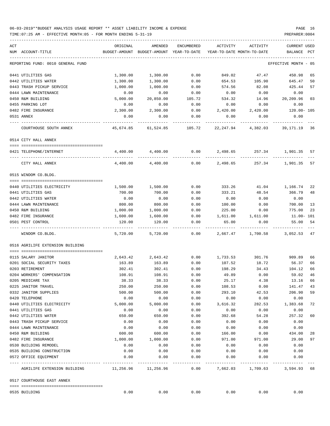| ACT<br>NUM ACCOUNT-TITLE          | ORIGINAL<br>BUDGET-AMOUNT | AMENDED<br>BUDGET-AMOUNT YEAR-TO-DATE | ENCUMBERED           | ACTIVITY         | ACTIVITY<br>YEAR-TO-DATE MONTH-TO-DATE | CURRENT<br>USED<br>BALANCE<br>PCT |
|-----------------------------------|---------------------------|---------------------------------------|----------------------|------------------|----------------------------------------|-----------------------------------|
|                                   |                           |                                       |                      |                  |                                        |                                   |
| REPORTING FUND: 0010 GENERAL FUND |                           |                                       |                      |                  |                                        | EFFECTIVE MONTH - 05              |
| 0441 UTILITIES GAS                | 1,300.00                  | 1,300.00                              | 0.00                 | 849.02           | 47.47                                  | 450.98<br>65                      |
| 0442 UTILITIES WATER              | 1,300.00                  | 1,300.00                              | 0.00                 | 654.53           | 105.90                                 | 645.47<br>50                      |
| 0443 TRASH PICKUP SERVICE         | 1,000.00                  | 1,000.00                              | 0.00                 | 574.56           | 82.08                                  | 425.44<br>57                      |
| 0444 LAWN MAINTENANCE             | 0.00                      | 0.00                                  | 0.00                 | 0.00             | 0.00                                   | 0.00                              |
| 0450 R&M BUILDING                 | 5,000.00                  | 20,850.00                             | 105.72               | 534.32           | 14.96                                  | 20,209.96<br>03                   |
| 0455 PARKING LOT                  | 0.00                      | 0.00                                  | 0.00                 | 0.00             | 0.00                                   | 0.00                              |
| 0482 FIRE INSURANCE               | 2,300.00                  | 2,300.00                              | 0.00                 | 2,420.00         | 2,420.00                               | 120.00- 105                       |
| 0531 ANNEX                        | 0.00                      | 0.00                                  | 0.00                 | 0.00             | 0.00                                   | 0.00                              |
| COURTHOUSE SOUTH ANNEX            | 45,674.85                 | 61,524.85                             | 105.72               | 22,247.94        | 4,382.03                               | 39,171.19<br>36                   |
| 0514 CITY HALL ANNEX              |                           |                                       |                      |                  |                                        |                                   |
| 0421 TELEPHONE/INTERNET           | 4,400.00                  | 4,400.00                              | 0.00                 | 2,498.65         | 257.34                                 | 1,901.35 57                       |
| CITY HALL ANNEX                   | 4,400.00                  | 4,400.00                              | 0.00                 | 2,498.65         | 257.34                                 | 1,901.35 57                       |
| 0515 WINDOM CO.BLDG.              |                           |                                       |                      |                  |                                        |                                   |
|                                   |                           |                                       |                      |                  |                                        |                                   |
| 0440 UTILITIES ELECTRICITY        | 1,500.00                  | 1,500.00                              | 0.00                 | 333.26           |                                        | 41.04 1,166.74<br>22              |
| 0441 UTILITIES GAS                | 700.00                    | 700.00                                | 0.00                 | 333.21           | 48.54                                  | 366.79<br>48                      |
| 0442 UTILITIES WATER              | 0.00                      | 0.00                                  | 0.00                 | 0.00             | 0.00                                   | 0.00                              |
| 0444 LAWN MAINTENANCE             | 800.00                    | 800.00                                | 0.00                 | 100.00           | 0.00                                   | 700.00<br>13                      |
| 0450 R&M BUILDING                 | 1,000.00                  | 1,000.00                              | 0.00                 | 225.00           | 0.00                                   | 775.00<br>23                      |
| 0482 FIRE INSURANCE               | 1,600.00                  | 1,600.00                              | 0.00                 | 1,611.00         | 1,611.00                               | $11.00 - 101$                     |
| 0501 PEST CONTROL                 | 120.00                    | 120.00                                | 0.00                 | 65.00            | 0.00                                   | 55.00<br>54                       |
| WINDOM CO.BLDG.                   | 5,720.00                  | 5,720.00                              | 0.00                 | 2,667.47         | 1,700.58                               | 3,052.53<br>47                    |
| 0516 AGRILIFE EXTENSION BUILDING  |                           |                                       |                      |                  |                                        |                                   |
| 0115 SALARY JANITOR               |                           |                                       |                      |                  |                                        |                                   |
| 0201 SOCIAL SECURITY TAXES        | 2,643.42                  | 2,643.42<br>163.89                    | 0.00                 | 1,733.53         | 301.76                                 | 909.89<br>66                      |
| 0203 RETIREMENT                   | 163.89<br>302.41          | 302.41                                | 0.00<br>0.00         | 107.52<br>198.29 | 18.72<br>34.43                         | 56.37<br>66<br>104.12<br>66       |
| 0204 WORKERS' COMPENSATION        | 108.91                    | 108.91                                | 0.00                 | 49.89            | 0.00                                   | 59.02<br>46                       |
| 0205 MEDICARE TAX                 | 38.33                     | 38.33                                 | 0.00                 | 25.17            | 4.38                                   | 13.16<br>66                       |
| 0225 JANITOR TRAVEL               | 250.00                    | 250.00                                | 0.00                 | 108.53           | 0.00                                   | 141.47<br>43                      |
| 0332 JANITOR SUPPLIES             | 500.00                    | 500.00                                | 0.00                 | 293.10           | 42.53                                  | 206.90<br>59                      |
| 0420 TELEPHONE                    | 0.00                      | 0.00                                  | 0.00                 | 0.00             | 0.00                                   | 0.00                              |
| 0440 UTILITIES ELECTRICITY        | 5,000.00                  | 5,000.00                              | 0.00                 | 3,616.32         | 282.53                                 | 1,383.68<br>72                    |
| 0441 UTILITIES GAS                | 0.00                      | 0.00                                  | 0.00                 | 0.00             | 0.00                                   | 0.00                              |
| 0442 UTILITIES WATER              | 650.00                    | 650.00                                | 0.00                 | 392.68           | 54.28                                  | 257.32<br>60                      |
| 0443 TRASH PICKUP SERVICE         | 0.00                      | 0.00                                  | 0.00                 | 0.00             | 0.00                                   | 0.00                              |
| 0444 LAWN MAINTENANCE             | 0.00                      | 0.00                                  | 0.00                 | 0.00             | 0.00                                   | 0.00                              |
| 0450 R&M BUILDING                 | 600.00                    | 600.00                                | 0.00                 | 166.00           | 0.00                                   | 434.00<br>28                      |
| 0482 FIRE INSURANCE               | 1,000.00                  | 1,000.00                              | 0.00                 | 971.00           | 971.00                                 | 29.00<br>97                       |
| 0530 BUILDING REMODEL             | 0.00                      | 0.00                                  | 0.00                 | 0.00             | 0.00                                   | 0.00                              |
| 0535 BUILDING CONSTRUCTION        | 0.00                      | 0.00                                  | 0.00                 | 0.00             | 0.00                                   | 0.00                              |
| 0572 OFFICE EQUIPMENT             | 0.00                      | 0.00<br>-------------                 | 0.00<br>------------ | 0.00             | 0.00                                   | 0.00                              |
| AGRILIFE EXTENSION BUILDING       |                           | 11,256.96 11,256.96                   | 0.00                 |                  |                                        | 7,662.03 1,709.63 3,594.93 68     |
| 0517 COURTHOUSE EAST ANNEX        |                           |                                       |                      |                  |                                        |                                   |
| 0535 BUILDING                     | 0.00                      | 0.00                                  | 0.00                 | 0.00             | 0.00                                   | 0.00                              |
|                                   |                           |                                       |                      |                  |                                        |                                   |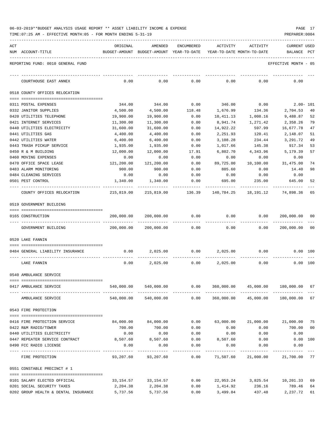| 06-03-2019**BUDGET ANALYSIS USAGE REPORT ** ASSET LIABILITY INCOME & EXPENSE | PAGE |  |
|------------------------------------------------------------------------------|------|--|
|------------------------------------------------------------------------------|------|--|

TIME:07:25 AM - EFFECTIVE MONTH:05 - FOR MONTH ENDING 5-31-19 PREPARER:0004

| ACT | NUM ACCOUNT-TITLE                 | ORIGINAL   | AMENDED<br>BUDGET-AMOUNT BUDGET-AMOUNT YEAR-TO-DATE | ENCUMBERED    | ACTIVITY                                     | ACTIVITY                     | <b>CURRENT USED</b><br><b>BALANCE</b> |     |
|-----|-----------------------------------|------------|-----------------------------------------------------|---------------|----------------------------------------------|------------------------------|---------------------------------------|-----|
|     |                                   |            |                                                     |               | YEAR-TO-DATE MONTH-TO-DATE                   |                              |                                       | PCT |
|     | REPORTING FUND: 0010 GENERAL FUND |            |                                                     |               |                                              |                              | EFFECTIVE MONTH - 05                  |     |
|     | COURTHOUSE EAST ANNEX             | 0.00       | 0.00                                                | 0.00          | 0.00                                         | 0.00                         | 0.00                                  |     |
|     | 0518 COUNTY OFFICES RELOCATION    |            |                                                     |               |                                              |                              |                                       |     |
|     | 0311 POSTAL EXPENSES              | 344.00     | 344.00                                              | 0.00          | 346.00 0.00                                  |                              | $2.00 - 101$                          |     |
|     | 0332 JANITOR SUPPLIES             | 4,500.00   | 4,500.00                                            | 118.48        | 1,676.99                                     | 134.36                       | 2,704.53                              | 40  |
|     | 0420 UTILITIES TELEPHONE          | 19,900.00  | 19,900.00                                           | 0.00          | 10,411.13                                    | 1,008.16                     | 9,488.87                              | 52  |
|     | 0421 INTERNET SERVICES            | 11,300.00  | 11,300.00                                           | 0.00          | 8,941.74                                     | 1,271.42                     | 2,358.26                              | 79  |
|     | 0440 UTILITIES ELECTRICITY        | 31,600.00  | 31,600.00                                           | 0.00          | 14,922.22                                    | 597.99                       | 16,677.78                             | 47  |
|     | 0441 UTILITIES GAS                | 4,400.00   | 4,400.00                                            | 0.00          | 2,251.93                                     | 120.41                       | 2,148.07                              | 51  |
|     | 0442 UTILITIES WATER              | 6,400.00   | 6,400.00                                            | 0.00          | 3,108.28                                     | 234.44                       | 3,291.72                              | 49  |
|     | 0443 TRASH PICKUP SERVICE         | 1,935.00   | 1,935.00                                            | 0.00          | 1,017.66                                     | 145.38                       | 917.34                                | 53  |
|     | 0450 R & M BUILDING               | 12,000.00  | 12,000.00                                           | 17.91         | 6,802.70                                     | 4,343.96                     | 5,179.39                              | 57  |
|     | 0460 MOVING EXPENSES              | 0.00       | 0.00                                                | 0.00          | 0.00                                         | 0.00                         | 0.00                                  |     |
|     | 0470 OFFICE SPACE LEASE           | 121,200.00 | 121,200.00                                          | 0.00          | 89,725.00                                    | 10,100.00                    | 31,475.00                             | 74  |
|     | 0483 ALARM MONITORING             | 900.00     | 900.00                                              | 0.00          | 885.60                                       | 0.00                         | 14.40                                 | 98  |
|     | 0484 CLEANING SERVICES            | 0.00       | 0.00                                                | 0.00          | 0.00                                         | 0.00                         | 0.00                                  |     |
|     | 0501 PEST CONTROL                 | 1,340.00   | 1,340.00                                            | 0.00          | 695.00                                       | 235.00                       | 645.00                                | 52  |
|     | COUNTY OFFICES RELOCATION         | 215,819.00 | 215,819.00                                          |               | 136.39 140,784.25                            | 18,191.12                    | 74,898.36                             | 65  |
|     | 0519 GOVERNMENT BUILDING          |            |                                                     |               |                                              |                              |                                       |     |
|     |                                   |            |                                                     |               |                                              |                              |                                       |     |
|     | 0165 CONSTRUCTION                 | 200,000.00 | 200,000.00                                          | 0.00          | 0.00                                         | 0.00                         | 200,000.00                            | 00  |
|     | GOVERNMENT BUILDING               | 200,000.00 | 200,000.00                                          | 0.00          | 0.00                                         | 0.00                         | 200,000.00                            | 00  |
|     | 0520 LAKE FANNIN                  |            |                                                     |               |                                              |                              |                                       |     |
|     | 0484 GENERAL LIABILITY INSURANCE  | 0.00       |                                                     | 2,025.00 0.00 |                                              | 2,025.00 0.00                | 0.00 100                              |     |
|     | LAKE FANNIN                       | 0.00       | 2,025.00                                            | 0.00          | 2,025.00                                     | 0.00                         | 0.00 100                              |     |
|     | 0540 AMBULANCE SERVICE            |            |                                                     |               |                                              |                              |                                       |     |
|     | 0417 AMBULANCE SERVICE            | 540,000.00 | 540,000.00                                          |               | $0.00$ $360,000.00$ $45,000.00$ $180,000.00$ |                              |                                       | 67  |
|     | AMBULANCE SERVICE                 | 540,000.00 | 540,000.00                                          | 0.00          |                                              | 360,000.00 45,000.00         | 180,000.00                            | 67  |
|     | 0543 FIRE PROTECTION              |            |                                                     |               |                                              |                              |                                       |     |
|     | 0416 FIRE PROTECTION SERVICE      | 84,000.00  | 84,000.00                                           | 0.00          | 63,000.00                                    | 21,000.00                    | 21,000.00                             | 75  |
|     | 0422 R&M RADIO/TOWER              | 700.00     | 700.00                                              | 0.00          | 0.00                                         | 0.00                         | 700.00                                | 00  |
|     | 0440 UTILITIES ELECTRICITY        | 0.00       | 0.00                                                | 0.00          | 0.00                                         | 0.00                         | 0.00                                  |     |
|     | 0447 REPEATER SERVICE CONTRACT    | 8,507.60   | 8,507.60                                            | 0.00          | 8,507.60                                     | 0.00                         | $0.00$ 100                            |     |
|     | 0490 FCC RADIO LICENSE            | 0.00       | 0.00                                                | 0.00          | 0.00                                         | 0.00                         | 0.00                                  |     |
|     | FIRE PROTECTION                   | 93,207.60  | 93,207.60                                           | 0.00          | 71,507.60                                    | 21,000.00                    | 21,700.00                             | 77  |
|     | 0551 CONSTABLE PRECINCT # 1       |            |                                                     |               |                                              |                              |                                       |     |
|     |                                   |            |                                                     |               |                                              |                              |                                       |     |
|     | 0101 SALARY ELECTED OFFICIAL      | 33,154.57  | 33,154.57                                           | 0.00          |                                              | 22,953.24 3,825.54 10,201.33 |                                       | 69  |
|     | 0201 SOCIAL SECURITY TAXES        | 2,204.38   | 2,204.38                                            | 0.00          | 1,414.92                                     | 236.16                       | 789.46                                | 64  |

0202 GROUP HEALTH & DENTAL INSURANCE  $\begin{array}{cccc} 5,737.56 & 5,737.56 & 0.00 & 3,499.84 & 437.48 & 2,237.72 & 61 \end{array}$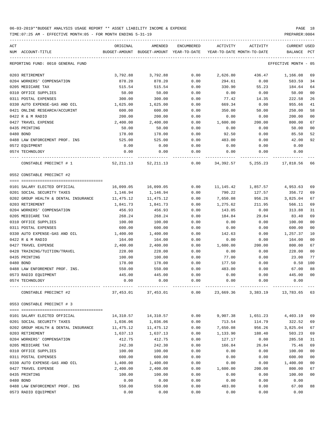TIME:07:25 AM - EFFECTIVE MONTH:05 - FOR MONTH ENDING 5-31-19 PREPARER:0004

| ACT<br>NUM ACCOUNT-TITLE             | ORIGINAL                                 | AMENDED<br>BUDGET-AMOUNT BUDGET-AMOUNT YEAR-TO-DATE | ENCUMBERED | ACTIVITY  | ACTIVITY<br>YEAR-TO-DATE MONTH-TO-DATE | CURRENT USED<br>BALANCE | PCT            |
|--------------------------------------|------------------------------------------|-----------------------------------------------------|------------|-----------|----------------------------------------|-------------------------|----------------|
| REPORTING FUND: 0010 GENERAL FUND    |                                          |                                                     |            |           |                                        | EFFECTIVE MONTH - 05    |                |
| 0203 RETIREMENT                      | 3,792.88                                 | 3,792.88                                            | 0.00       | 2,626.80  | 436.47                                 | 1,166.08                | 69             |
| 0204 WORKERS' COMPENSATION           | 878.20                                   | 878.20                                              | 0.00       | 294.61    | 0.00                                   | 583.59                  | 34             |
| 0205 MEDICARE TAX                    | 515.54                                   | 515.54                                              | 0.00       | 330.90    | 55.23                                  | 184.64                  | 64             |
| 0310 OFFICE SUPPLIES                 | 50.00                                    | 50.00                                               | 0.00       | 0.00      | 0.00                                   | 50.00                   | 0 <sub>0</sub> |
| 0311 POSTAL EXPENSES                 | 300.00                                   | 300.00                                              | 0.00       | 77.42     | 14.35                                  | 222.58                  | 26             |
| 0330 AUTO EXPENSE-GAS AND OIL        | 1,625.00                                 | 1,625.00                                            | 0.00       | 669.34    | 0.00                                   | 955.66                  | 41             |
| 0421 ONLINE RESEARCH/ACCURINT        | 600.00                                   | 600.00                                              | 0.00       | 350.00    | 50.00                                  | 250.00                  | 58             |
| 0422 R & M RADIO                     | 200.00                                   | 200.00                                              | 0.00       | 0.00      | 0.00                                   | 200.00                  | 0 <sub>0</sub> |
| 0427 TRAVEL EXPENSE                  | 2,400.00                                 | 2,400.00                                            | 0.00       | 1,600.00  | 200.00                                 | 800.00                  | 67             |
| 0435 PRINTING                        | 50.00                                    | 50.00                                               | 0.00       | 0.00      | 0.00                                   | 50.00                   | 0 <sub>0</sub> |
| 0480 BOND                            | 178.00                                   | 178.00                                              | 0.00       | 92.50     | 0.00                                   | 85.50                   | 52             |
| 0488 LAW ENFORCEMENT PROF. INS       | 525.00                                   | 525.00                                              | 0.00       | 483.00    | 0.00                                   | 42.00                   | 92             |
| 0572 EQUIPMENT                       | 0.00                                     | 0.00                                                | 0.00       | 0.00      | 0.00                                   | 0.00                    |                |
| 0574 TECHNOLOGY                      | 0.00                                     | 0.00                                                | 0.00       | 0.00      | 0.00                                   | 0.00                    |                |
| CONSTABLE PRECINCT # 1               |                                          | 52, 211, 13 52, 211, 13                             |            |           | $0.00$ $34,392.57$ $5,255.23$          | 17,818.56               | 66             |
| 0552 CONSTABLE PRECINCT #2           |                                          |                                                     |            |           |                                        |                         |                |
| 0101 SALARY ELECTED OFFICIAL         | 16,099.05                                | 16,099.05                                           | 0.00       |           | 11, 145. 42 1, 857. 57                 | 4,953.63                | 69             |
| 0201 SOCIAL SECURITY TAXES           | 1,146.94                                 | 1,146.94                                            | 0.00       | 790.22    | 127.57                                 | 356.72                  | 69             |
| 0202 GROUP HEALTH & DENTAL INSURANCE | 11,475.12                                | 11,475.12                                           | 0.00       | 7,650.08  | 956.26                                 | 3,825.04                | 67             |
| 0203 RETIREMENT                      | 1,841.73                                 | 1,841.73                                            | 0.00       | 1,275.62  | 211.95                                 | 566.11                  | 69             |
| 0204 WORKERS' COMPENSATION           | 456.93                                   | 456.93                                              | 0.00       | 143.05    | 0.00                                   | 313.88                  | 31             |
| 0205 MEDICARE TAX                    | 268.24                                   | 268.24                                              | 0.00       | 184.84    | 29.84                                  | 83.40                   | 69             |
| 0310 OFFICE SUPPLIES                 | 100.00                                   | 100.00                                              | 0.00       | 0.00      | 0.00                                   | 100.00                  | 0 <sub>0</sub> |
| 0311 POSTAL EXPENSES                 | 600.00                                   | 600.00                                              | 0.00       | 0.00      | 0.00                                   | 600.00                  | 0 <sub>0</sub> |
| 0330 AUTO EXPENSE-GAS AND OIL        | 1,400.00                                 | 1,400.00                                            | 0.00       | 142.63    | 0.00                                   | 1,257.37                | 10             |
| 0422 R & M RADIO                     | 164.00                                   | 164.00                                              | 0.00       | 0.00      | 0.00                                   | 164.00                  | 0 <sub>0</sub> |
| 0427 TRAVEL EXPENSE                  | 2,400.00                                 | 2,400.00                                            | 0.00       | 1,600.00  | 200.00                                 | 800.00                  | 67             |
| 0428 TRAINING/TUITION/TRAVEL         | 228.00                                   | 228.00                                              | 0.00       | 0.00      | 0.00                                   | 228.00                  | 0 <sub>0</sub> |
| 0435 PRINTING                        | 100.00                                   | 100.00                                              | 0.00       | 77.00     | 0.00                                   | 23.00                   | 77             |
| 0480 BOND                            | 178.00                                   | 178.00                                              | 0.00       | 177.50    | 0.00                                   | $0.50$ 100              |                |
| 0488 LAW ENFOREMENT PROF. INS.       | 550.00                                   | 550.00                                              | 0.00       | 483.00    | 0.00                                   | 67.00                   | 88             |
| 0573 RADIO EQUIPMENT                 | 445.00                                   | 445.00                                              | 0.00       | 0.00      | 0.00                                   | 445.00                  | 0 <sub>0</sub> |
| 0574 TECHNOLOGY                      | 0.00                                     | 0.00                                                | 0.00       | 0.00      | 0.00                                   | 0.00                    |                |
| CONSTABLE PRECINCT #2                | ------------- -------------<br>37,453.01 | 37,453.01                                           | 0.00       | 23,669.36 |                                        | 3,383.19 13,783.65      | 63             |
| 0553 CONSTABLE PRECINCT # 3          |                                          |                                                     |            |           |                                        |                         |                |
|                                      |                                          |                                                     |            |           |                                        |                         |                |
| 0101 SALARY ELECTED OFFICIAL         | 14,310.57                                | 14,310.57                                           | 0.00       | 9,907.38  | 1,651.23                               | 4,403.19                | 69             |
| 0201 SOCIAL SECURITY TAXES           | 1,036.06                                 | 1,036.06                                            | 0.00       | 713.54    | 114.79                                 | 322.52                  | 69             |
| 0202 GROUP HEALTH & DENTAL INSURANCE | 11,475.12                                | 11,475.12                                           | 0.00       | 7,650.08  | 956.26                                 | 3,825.04                | 67             |
| 0203 RETIREMENT                      | 1,637.13                                 | 1,637.13                                            | 0.00       | 1,133.90  | 188.40                                 | 503.23                  | 69             |
| 0204 WORKERS' COMPENSATION           | 412.75                                   | 412.75                                              | 0.00       | 127.17    | 0.00                                   | 285.58                  | 31             |
| 0205 MEDICARE TAX                    | 242.30                                   | 242.30                                              | 0.00       | 166.84    | 26.84                                  | 75.46                   | 69             |
| 0310 OFFICE SUPPLIES                 | 100.00                                   | 100.00                                              | 0.00       | 0.00      | 0.00                                   | 100.00                  | 0 <sub>0</sub> |
| 0311 POSTAL EXPENSES                 | 600.00                                   | 600.00                                              | 0.00       | 0.00      | 0.00                                   | 600.00                  | 0 <sub>0</sub> |
| 0330 AUTO EXPENSE-GAS AND OIL        | 1,400.00                                 | 1,400.00                                            | 0.00       | 0.00      | 0.00                                   | 1,400.00                | 00             |
| 0427 TRAVEL EXPENSE                  | 2,400.00                                 | 2,400.00                                            | 0.00       | 1,600.00  | 200.00                                 | 800.00                  | 67             |
| 0435 PRINTING                        | 100.00                                   | 100.00                                              | 0.00       | 0.00      | 0.00                                   | 100.00                  | 0 <sub>0</sub> |
| 0480 BOND                            | 0.00                                     | 0.00                                                | 0.00       | 0.00      | 0.00                                   | 0.00                    |                |
| 0488 LAW ENFORCEMENT PROF. INS       | 550.00                                   | 550.00                                              | 0.00       | 483.00    | 0.00                                   | 67.00                   | 88             |

0573 RADIO EQUIPMENT 0.00 0.00 0.00 0.00 0.00 0.00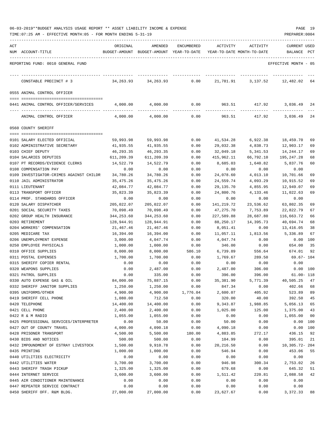|  |  |  | 06-03-2019**BUDGET ANALYSIS USAGE REPORT ** ASSET LIABILITY INCOME & EXPENSE |  | PAGE | 10 |  |
|--|--|--|------------------------------------------------------------------------------|--|------|----|--|
|  |  |  |                                                                              |  |      |    |  |

| ACTIVITY<br><b>CURRENT USED</b><br>NUM ACCOUNT-TITLE<br>BUDGET-AMOUNT BUDGET-AMOUNT YEAR-TO-DATE YEAR-TO-DATE MONTH-TO-DATE<br>BALANCE PCT<br>REPORTING FUND: 0010 GENERAL FUND<br>EFFECTIVE MONTH - 05<br>34,263.93<br>34,263.93<br>0.00<br>21,781.91<br>12,482.02<br>CONSTABLE PRECINCT # 3<br>3,137.52<br>64<br>0555 ANIMAL CONTROL OFFICER<br>0.00<br>963.51 417.92<br>4,000.00<br>4,000.00<br>3,036.49<br>0441 ANIMAL CONTROL OFFICER/SERVICES<br>24<br>ANIMAL CONTROL OFFICER<br>4,000.00<br>4,000.00<br>0.00<br>963.51<br>417.92<br>3,036.49<br>24<br>0560 COUNTY SHERIFF<br>0101 SALARY ELECTED OFFICIAL<br>59,993.98<br>59,993.98<br>0.00<br>41,534.28<br>6,922.38<br>18,459.70<br>69<br>0102 ADMINISTRATIVE SECRETARY<br>41,935.55<br>41,935.55<br>0.00<br>29,032.38<br>4,838.73<br>12,903.17<br>69<br>0103 CHIEF DEPUTY<br>46,293.35<br>46,293.35<br>0.00<br>32,049.18<br>5,341.53<br>14,244.17<br>69<br>0104 SALARIES DEPUTIES<br>611,209.39<br>611,209.39<br>0.00<br>415,962.11<br>66,792.10<br>195,247.28<br>68<br>14,522.79<br>14,522.79<br>8,685.03<br>5,837.76<br>0107 PT RECORDS/EVIDENCE CLERKS<br>0.00<br>1,640.82<br>60<br>0108 COMPENSATION PAY<br>0.00<br>0.00<br>0.00<br>0.00<br>0.00<br>0.00<br>0109 INVESTIGATOR-CRIMES AGAINST CHILDR<br>34,780.26<br>34,780.26<br>24,078.60<br>4,013.10<br>10,701.66<br>69<br>0.00<br>0110 JAIL ADMINISTRATOR<br>35,475.26<br>35,475.26<br>0.00<br>24,559.74<br>4,093.29<br>10,915.52<br>69<br>42,084.77<br>0111 LIEUTENANT<br>42,084.77<br>0.00<br>29,135.70<br>4,855.95<br>12,949.07<br>69<br>0113 TRANSPORT OFFICER<br>24,800.76<br>11,022.63<br>35,823.39<br>35,823.39<br>0.00<br>4,133.46<br>69<br>0114 PROF. STANDARDS OFFICER<br>0.00<br>0.00<br>0.00<br>0.00<br>0.00<br>0.00<br>0120 SALARY DISPATCHER<br>205,022.07<br>205,022.07<br>141,219.72<br>23,536.62<br>63,802.35<br>0.00<br>69<br>0201 SOCIAL SECURITY TAXES<br>67<br>70,098.49<br>70,098.49<br>0.00<br>47,275.70<br>7,753.89<br>22,822.79<br>0202 GROUP HEALTH INSURANCE<br>344,253.60<br>344,253.60<br>227,589.88<br>28,687.80<br>116,663.72<br>66<br>0.00<br>0203 RETIREMENT<br>128,944.91<br>128,944.91<br>0.00<br>88,250.17<br>14,395.73<br>40,694.74<br>68<br>0204 WORKERS' COMPENSATION<br>21,467.46<br>21,467.46<br>0.00<br>8,051.41<br>0.00<br>13,416.05<br>38<br>0205 MEDICARE TAX<br>16,394.00<br>5,336.89<br>16,394.00<br>0.00<br>11,057.11<br>1,813.56<br>67<br>0206 UNEMPLOYMENT EXPENSE<br>3,000.00<br>4,047.74<br>0.00<br>4,047.74<br>0.00<br>0.00<br>100<br>346.00<br>35<br>0250 EMPLOYEE PHYSICALS<br>1,000.00<br>1,000.00<br>0.00<br>0.00<br>654.00<br>0310 OFFICE SUPPLIES<br>8,000.00<br>8,000.00<br>586.10<br>6,739.89<br>556.64<br>674.01<br>92<br>0311 POSTAL EXPENSES<br>69.67- 104<br>1,700.00<br>1,700.00<br>0.00<br>1,769.67<br>289.50<br>0315 SHERIFF COPIER RENTAL<br>0.00<br>0.00<br>0.00<br>0.00<br>0.00<br>0.00<br>0320 WEAPONS SUPPLIES<br>0.00<br>2,487.00<br>0.00<br>2,487.00<br>306.00<br>$0.00$ 100<br>0321 PATROL SUPPLIES<br>0.00<br>335.00<br>0.00<br>396.00<br>396.00<br>$61.00 - 118$<br>84,000.00<br>75,887.15<br>35, 381.90<br>5,771.39<br>40,505.25<br>0330 AUTO EXPENSE GAS & OIL<br>0.00<br>47<br>402.66<br>0332 SHERIFF JANITOR SUPPLIES<br>1,250.00<br>1,250.00<br>0.00<br>847.34<br>0.00<br>68<br>523.89<br>89<br>0395 UNIFORMS/OTHER<br>4,900.00<br>4,900.00<br>1,776.04<br>2,600.07<br>405.92<br>392.50<br>45<br>0419 SHERIFF CELL PHONE<br>1,080.00<br>712.50<br>0.00<br>320.00<br>40.00<br>0420 TELEPHONE<br>14,400.00<br>14,400.00<br>0.00<br>9,343.87<br>1,988.85<br>5,056.13<br>65<br>0421 CELL PHONE<br>2,400.00<br>43<br>2,400.00<br>0.00<br>1,025.00<br>125.00<br>1,375.00<br>0422 R & M RADIO<br>1,055.00<br>1,055.00<br>0.00<br>0.00<br>0.00<br>1,055.00<br>00<br>0425 PROFESSIONAL SERVICES/INTERPRETER<br>0.00<br>50.00<br>50.00<br>0.00<br>0.00<br>0.00<br>100<br>0427 OUT OF COUNTY TRAVEL<br>4,090.18<br>0.00<br>0.00<br>100<br>4,000.00<br>4,090.18<br>0.00<br>0428 PRISONER TRANSPORT<br>4,500.00<br>5,500.00<br>4,883.85<br>272.17<br>436.15<br>92<br>180.00<br>0430 BIDS AND NOTICES<br>500.00<br>500.00<br>0.00<br>104.99<br>0.00<br>395.01<br>21<br>0432 IMPOUNDMENT OF ESTRAY LIVESTOCK<br>1,500.00<br>9,910.78<br>20,216.50<br>0.00<br>10,305.72- 204<br>0.00<br>453.06<br>0435 PRINTING<br>1,000.00<br>1,000.00<br>0.00<br>546.94<br>0.00<br>55<br>0440 UTILITIES ELECTRICITY<br>0.00<br>0.00<br>0.00<br>0.00<br>0.00<br>0.00<br>0442 UTILITIES WATER<br>3,700.00<br>3,700.00<br>0.00<br>946.98<br>300.34<br>2,753.02<br>26<br>0443 SHERIFF TRASH PICKUP<br>0.00<br>679.68<br>0.00<br>645.32<br>51<br>1,325.00<br>1,325.00<br>0444 INTERNET SERVICE<br>3,600.00<br>3,600.00<br>2,088.58<br>0.00<br>1,511.42<br>220.81<br>42<br>0445 AIR CONDITIONER MAINTENANCE<br>0.00<br>0.00<br>0.00<br>0.00<br>0.00<br>0.00<br>0447 REPEATER SERVICE CONTRACT<br>0.00<br>0.00<br>0.00<br>0.00<br>0.00<br>0.00<br>0450 SHERIFF OFF. R&M BLDG.<br>0.00<br>0.00<br>3,372.33<br>88 |     |           |           |            |           |          |  |
|-------------------------------------------------------------------------------------------------------------------------------------------------------------------------------------------------------------------------------------------------------------------------------------------------------------------------------------------------------------------------------------------------------------------------------------------------------------------------------------------------------------------------------------------------------------------------------------------------------------------------------------------------------------------------------------------------------------------------------------------------------------------------------------------------------------------------------------------------------------------------------------------------------------------------------------------------------------------------------------------------------------------------------------------------------------------------------------------------------------------------------------------------------------------------------------------------------------------------------------------------------------------------------------------------------------------------------------------------------------------------------------------------------------------------------------------------------------------------------------------------------------------------------------------------------------------------------------------------------------------------------------------------------------------------------------------------------------------------------------------------------------------------------------------------------------------------------------------------------------------------------------------------------------------------------------------------------------------------------------------------------------------------------------------------------------------------------------------------------------------------------------------------------------------------------------------------------------------------------------------------------------------------------------------------------------------------------------------------------------------------------------------------------------------------------------------------------------------------------------------------------------------------------------------------------------------------------------------------------------------------------------------------------------------------------------------------------------------------------------------------------------------------------------------------------------------------------------------------------------------------------------------------------------------------------------------------------------------------------------------------------------------------------------------------------------------------------------------------------------------------------------------------------------------------------------------------------------------------------------------------------------------------------------------------------------------------------------------------------------------------------------------------------------------------------------------------------------------------------------------------------------------------------------------------------------------------------------------------------------------------------------------------------------------------------------------------------------------------------------------------------------------------------------------------------------------------------------------------------------------------------------------------------------------------------------------------------------------------------------------------------------------------------------------------------------------------------------------------------------------------------------------------------------------------------------------------------------------------------------------------------------------------------------------------------------------------------------------------------------------------------------------------------------------------------------------------------------------------------------------------------------------------------------------------------------------------------------------------------------------------------------------------------------------------------------------------------------------------------------------------------------------------------------------------------------------------------------------------------------------------------------------------------------------------------------------------------------------------------|-----|-----------|-----------|------------|-----------|----------|--|
|                                                                                                                                                                                                                                                                                                                                                                                                                                                                                                                                                                                                                                                                                                                                                                                                                                                                                                                                                                                                                                                                                                                                                                                                                                                                                                                                                                                                                                                                                                                                                                                                                                                                                                                                                                                                                                                                                                                                                                                                                                                                                                                                                                                                                                                                                                                                                                                                                                                                                                                                                                                                                                                                                                                                                                                                                                                                                                                                                                                                                                                                                                                                                                                                                                                                                                                                                                                                                                                                                                                                                                                                                                                                                                                                                                                                                                                                                                                                                                                                                                                                                                                                                                                                                                                                                                                                                                                                                                                                                                                                                                                                                                                                                                                                                                                                                                                                                                                                                                               | ACT | ORIGINAL  | AMENDED   | ENCUMBERED |           | ACTIVITY |  |
|                                                                                                                                                                                                                                                                                                                                                                                                                                                                                                                                                                                                                                                                                                                                                                                                                                                                                                                                                                                                                                                                                                                                                                                                                                                                                                                                                                                                                                                                                                                                                                                                                                                                                                                                                                                                                                                                                                                                                                                                                                                                                                                                                                                                                                                                                                                                                                                                                                                                                                                                                                                                                                                                                                                                                                                                                                                                                                                                                                                                                                                                                                                                                                                                                                                                                                                                                                                                                                                                                                                                                                                                                                                                                                                                                                                                                                                                                                                                                                                                                                                                                                                                                                                                                                                                                                                                                                                                                                                                                                                                                                                                                                                                                                                                                                                                                                                                                                                                                                               |     |           |           |            |           |          |  |
|                                                                                                                                                                                                                                                                                                                                                                                                                                                                                                                                                                                                                                                                                                                                                                                                                                                                                                                                                                                                                                                                                                                                                                                                                                                                                                                                                                                                                                                                                                                                                                                                                                                                                                                                                                                                                                                                                                                                                                                                                                                                                                                                                                                                                                                                                                                                                                                                                                                                                                                                                                                                                                                                                                                                                                                                                                                                                                                                                                                                                                                                                                                                                                                                                                                                                                                                                                                                                                                                                                                                                                                                                                                                                                                                                                                                                                                                                                                                                                                                                                                                                                                                                                                                                                                                                                                                                                                                                                                                                                                                                                                                                                                                                                                                                                                                                                                                                                                                                                               |     |           |           |            |           |          |  |
|                                                                                                                                                                                                                                                                                                                                                                                                                                                                                                                                                                                                                                                                                                                                                                                                                                                                                                                                                                                                                                                                                                                                                                                                                                                                                                                                                                                                                                                                                                                                                                                                                                                                                                                                                                                                                                                                                                                                                                                                                                                                                                                                                                                                                                                                                                                                                                                                                                                                                                                                                                                                                                                                                                                                                                                                                                                                                                                                                                                                                                                                                                                                                                                                                                                                                                                                                                                                                                                                                                                                                                                                                                                                                                                                                                                                                                                                                                                                                                                                                                                                                                                                                                                                                                                                                                                                                                                                                                                                                                                                                                                                                                                                                                                                                                                                                                                                                                                                                                               |     |           |           |            |           |          |  |
|                                                                                                                                                                                                                                                                                                                                                                                                                                                                                                                                                                                                                                                                                                                                                                                                                                                                                                                                                                                                                                                                                                                                                                                                                                                                                                                                                                                                                                                                                                                                                                                                                                                                                                                                                                                                                                                                                                                                                                                                                                                                                                                                                                                                                                                                                                                                                                                                                                                                                                                                                                                                                                                                                                                                                                                                                                                                                                                                                                                                                                                                                                                                                                                                                                                                                                                                                                                                                                                                                                                                                                                                                                                                                                                                                                                                                                                                                                                                                                                                                                                                                                                                                                                                                                                                                                                                                                                                                                                                                                                                                                                                                                                                                                                                                                                                                                                                                                                                                                               |     |           |           |            |           |          |  |
|                                                                                                                                                                                                                                                                                                                                                                                                                                                                                                                                                                                                                                                                                                                                                                                                                                                                                                                                                                                                                                                                                                                                                                                                                                                                                                                                                                                                                                                                                                                                                                                                                                                                                                                                                                                                                                                                                                                                                                                                                                                                                                                                                                                                                                                                                                                                                                                                                                                                                                                                                                                                                                                                                                                                                                                                                                                                                                                                                                                                                                                                                                                                                                                                                                                                                                                                                                                                                                                                                                                                                                                                                                                                                                                                                                                                                                                                                                                                                                                                                                                                                                                                                                                                                                                                                                                                                                                                                                                                                                                                                                                                                                                                                                                                                                                                                                                                                                                                                                               |     |           |           |            |           |          |  |
|                                                                                                                                                                                                                                                                                                                                                                                                                                                                                                                                                                                                                                                                                                                                                                                                                                                                                                                                                                                                                                                                                                                                                                                                                                                                                                                                                                                                                                                                                                                                                                                                                                                                                                                                                                                                                                                                                                                                                                                                                                                                                                                                                                                                                                                                                                                                                                                                                                                                                                                                                                                                                                                                                                                                                                                                                                                                                                                                                                                                                                                                                                                                                                                                                                                                                                                                                                                                                                                                                                                                                                                                                                                                                                                                                                                                                                                                                                                                                                                                                                                                                                                                                                                                                                                                                                                                                                                                                                                                                                                                                                                                                                                                                                                                                                                                                                                                                                                                                                               |     |           |           |            |           |          |  |
|                                                                                                                                                                                                                                                                                                                                                                                                                                                                                                                                                                                                                                                                                                                                                                                                                                                                                                                                                                                                                                                                                                                                                                                                                                                                                                                                                                                                                                                                                                                                                                                                                                                                                                                                                                                                                                                                                                                                                                                                                                                                                                                                                                                                                                                                                                                                                                                                                                                                                                                                                                                                                                                                                                                                                                                                                                                                                                                                                                                                                                                                                                                                                                                                                                                                                                                                                                                                                                                                                                                                                                                                                                                                                                                                                                                                                                                                                                                                                                                                                                                                                                                                                                                                                                                                                                                                                                                                                                                                                                                                                                                                                                                                                                                                                                                                                                                                                                                                                                               |     |           |           |            |           |          |  |
|                                                                                                                                                                                                                                                                                                                                                                                                                                                                                                                                                                                                                                                                                                                                                                                                                                                                                                                                                                                                                                                                                                                                                                                                                                                                                                                                                                                                                                                                                                                                                                                                                                                                                                                                                                                                                                                                                                                                                                                                                                                                                                                                                                                                                                                                                                                                                                                                                                                                                                                                                                                                                                                                                                                                                                                                                                                                                                                                                                                                                                                                                                                                                                                                                                                                                                                                                                                                                                                                                                                                                                                                                                                                                                                                                                                                                                                                                                                                                                                                                                                                                                                                                                                                                                                                                                                                                                                                                                                                                                                                                                                                                                                                                                                                                                                                                                                                                                                                                                               |     |           |           |            |           |          |  |
|                                                                                                                                                                                                                                                                                                                                                                                                                                                                                                                                                                                                                                                                                                                                                                                                                                                                                                                                                                                                                                                                                                                                                                                                                                                                                                                                                                                                                                                                                                                                                                                                                                                                                                                                                                                                                                                                                                                                                                                                                                                                                                                                                                                                                                                                                                                                                                                                                                                                                                                                                                                                                                                                                                                                                                                                                                                                                                                                                                                                                                                                                                                                                                                                                                                                                                                                                                                                                                                                                                                                                                                                                                                                                                                                                                                                                                                                                                                                                                                                                                                                                                                                                                                                                                                                                                                                                                                                                                                                                                                                                                                                                                                                                                                                                                                                                                                                                                                                                                               |     |           |           |            |           |          |  |
|                                                                                                                                                                                                                                                                                                                                                                                                                                                                                                                                                                                                                                                                                                                                                                                                                                                                                                                                                                                                                                                                                                                                                                                                                                                                                                                                                                                                                                                                                                                                                                                                                                                                                                                                                                                                                                                                                                                                                                                                                                                                                                                                                                                                                                                                                                                                                                                                                                                                                                                                                                                                                                                                                                                                                                                                                                                                                                                                                                                                                                                                                                                                                                                                                                                                                                                                                                                                                                                                                                                                                                                                                                                                                                                                                                                                                                                                                                                                                                                                                                                                                                                                                                                                                                                                                                                                                                                                                                                                                                                                                                                                                                                                                                                                                                                                                                                                                                                                                                               |     |           |           |            |           |          |  |
|                                                                                                                                                                                                                                                                                                                                                                                                                                                                                                                                                                                                                                                                                                                                                                                                                                                                                                                                                                                                                                                                                                                                                                                                                                                                                                                                                                                                                                                                                                                                                                                                                                                                                                                                                                                                                                                                                                                                                                                                                                                                                                                                                                                                                                                                                                                                                                                                                                                                                                                                                                                                                                                                                                                                                                                                                                                                                                                                                                                                                                                                                                                                                                                                                                                                                                                                                                                                                                                                                                                                                                                                                                                                                                                                                                                                                                                                                                                                                                                                                                                                                                                                                                                                                                                                                                                                                                                                                                                                                                                                                                                                                                                                                                                                                                                                                                                                                                                                                                               |     |           |           |            |           |          |  |
|                                                                                                                                                                                                                                                                                                                                                                                                                                                                                                                                                                                                                                                                                                                                                                                                                                                                                                                                                                                                                                                                                                                                                                                                                                                                                                                                                                                                                                                                                                                                                                                                                                                                                                                                                                                                                                                                                                                                                                                                                                                                                                                                                                                                                                                                                                                                                                                                                                                                                                                                                                                                                                                                                                                                                                                                                                                                                                                                                                                                                                                                                                                                                                                                                                                                                                                                                                                                                                                                                                                                                                                                                                                                                                                                                                                                                                                                                                                                                                                                                                                                                                                                                                                                                                                                                                                                                                                                                                                                                                                                                                                                                                                                                                                                                                                                                                                                                                                                                                               |     |           |           |            |           |          |  |
|                                                                                                                                                                                                                                                                                                                                                                                                                                                                                                                                                                                                                                                                                                                                                                                                                                                                                                                                                                                                                                                                                                                                                                                                                                                                                                                                                                                                                                                                                                                                                                                                                                                                                                                                                                                                                                                                                                                                                                                                                                                                                                                                                                                                                                                                                                                                                                                                                                                                                                                                                                                                                                                                                                                                                                                                                                                                                                                                                                                                                                                                                                                                                                                                                                                                                                                                                                                                                                                                                                                                                                                                                                                                                                                                                                                                                                                                                                                                                                                                                                                                                                                                                                                                                                                                                                                                                                                                                                                                                                                                                                                                                                                                                                                                                                                                                                                                                                                                                                               |     |           |           |            |           |          |  |
|                                                                                                                                                                                                                                                                                                                                                                                                                                                                                                                                                                                                                                                                                                                                                                                                                                                                                                                                                                                                                                                                                                                                                                                                                                                                                                                                                                                                                                                                                                                                                                                                                                                                                                                                                                                                                                                                                                                                                                                                                                                                                                                                                                                                                                                                                                                                                                                                                                                                                                                                                                                                                                                                                                                                                                                                                                                                                                                                                                                                                                                                                                                                                                                                                                                                                                                                                                                                                                                                                                                                                                                                                                                                                                                                                                                                                                                                                                                                                                                                                                                                                                                                                                                                                                                                                                                                                                                                                                                                                                                                                                                                                                                                                                                                                                                                                                                                                                                                                                               |     |           |           |            |           |          |  |
|                                                                                                                                                                                                                                                                                                                                                                                                                                                                                                                                                                                                                                                                                                                                                                                                                                                                                                                                                                                                                                                                                                                                                                                                                                                                                                                                                                                                                                                                                                                                                                                                                                                                                                                                                                                                                                                                                                                                                                                                                                                                                                                                                                                                                                                                                                                                                                                                                                                                                                                                                                                                                                                                                                                                                                                                                                                                                                                                                                                                                                                                                                                                                                                                                                                                                                                                                                                                                                                                                                                                                                                                                                                                                                                                                                                                                                                                                                                                                                                                                                                                                                                                                                                                                                                                                                                                                                                                                                                                                                                                                                                                                                                                                                                                                                                                                                                                                                                                                                               |     |           |           |            |           |          |  |
|                                                                                                                                                                                                                                                                                                                                                                                                                                                                                                                                                                                                                                                                                                                                                                                                                                                                                                                                                                                                                                                                                                                                                                                                                                                                                                                                                                                                                                                                                                                                                                                                                                                                                                                                                                                                                                                                                                                                                                                                                                                                                                                                                                                                                                                                                                                                                                                                                                                                                                                                                                                                                                                                                                                                                                                                                                                                                                                                                                                                                                                                                                                                                                                                                                                                                                                                                                                                                                                                                                                                                                                                                                                                                                                                                                                                                                                                                                                                                                                                                                                                                                                                                                                                                                                                                                                                                                                                                                                                                                                                                                                                                                                                                                                                                                                                                                                                                                                                                                               |     |           |           |            |           |          |  |
|                                                                                                                                                                                                                                                                                                                                                                                                                                                                                                                                                                                                                                                                                                                                                                                                                                                                                                                                                                                                                                                                                                                                                                                                                                                                                                                                                                                                                                                                                                                                                                                                                                                                                                                                                                                                                                                                                                                                                                                                                                                                                                                                                                                                                                                                                                                                                                                                                                                                                                                                                                                                                                                                                                                                                                                                                                                                                                                                                                                                                                                                                                                                                                                                                                                                                                                                                                                                                                                                                                                                                                                                                                                                                                                                                                                                                                                                                                                                                                                                                                                                                                                                                                                                                                                                                                                                                                                                                                                                                                                                                                                                                                                                                                                                                                                                                                                                                                                                                                               |     |           |           |            |           |          |  |
|                                                                                                                                                                                                                                                                                                                                                                                                                                                                                                                                                                                                                                                                                                                                                                                                                                                                                                                                                                                                                                                                                                                                                                                                                                                                                                                                                                                                                                                                                                                                                                                                                                                                                                                                                                                                                                                                                                                                                                                                                                                                                                                                                                                                                                                                                                                                                                                                                                                                                                                                                                                                                                                                                                                                                                                                                                                                                                                                                                                                                                                                                                                                                                                                                                                                                                                                                                                                                                                                                                                                                                                                                                                                                                                                                                                                                                                                                                                                                                                                                                                                                                                                                                                                                                                                                                                                                                                                                                                                                                                                                                                                                                                                                                                                                                                                                                                                                                                                                                               |     |           |           |            |           |          |  |
|                                                                                                                                                                                                                                                                                                                                                                                                                                                                                                                                                                                                                                                                                                                                                                                                                                                                                                                                                                                                                                                                                                                                                                                                                                                                                                                                                                                                                                                                                                                                                                                                                                                                                                                                                                                                                                                                                                                                                                                                                                                                                                                                                                                                                                                                                                                                                                                                                                                                                                                                                                                                                                                                                                                                                                                                                                                                                                                                                                                                                                                                                                                                                                                                                                                                                                                                                                                                                                                                                                                                                                                                                                                                                                                                                                                                                                                                                                                                                                                                                                                                                                                                                                                                                                                                                                                                                                                                                                                                                                                                                                                                                                                                                                                                                                                                                                                                                                                                                                               |     |           |           |            |           |          |  |
|                                                                                                                                                                                                                                                                                                                                                                                                                                                                                                                                                                                                                                                                                                                                                                                                                                                                                                                                                                                                                                                                                                                                                                                                                                                                                                                                                                                                                                                                                                                                                                                                                                                                                                                                                                                                                                                                                                                                                                                                                                                                                                                                                                                                                                                                                                                                                                                                                                                                                                                                                                                                                                                                                                                                                                                                                                                                                                                                                                                                                                                                                                                                                                                                                                                                                                                                                                                                                                                                                                                                                                                                                                                                                                                                                                                                                                                                                                                                                                                                                                                                                                                                                                                                                                                                                                                                                                                                                                                                                                                                                                                                                                                                                                                                                                                                                                                                                                                                                                               |     |           |           |            |           |          |  |
|                                                                                                                                                                                                                                                                                                                                                                                                                                                                                                                                                                                                                                                                                                                                                                                                                                                                                                                                                                                                                                                                                                                                                                                                                                                                                                                                                                                                                                                                                                                                                                                                                                                                                                                                                                                                                                                                                                                                                                                                                                                                                                                                                                                                                                                                                                                                                                                                                                                                                                                                                                                                                                                                                                                                                                                                                                                                                                                                                                                                                                                                                                                                                                                                                                                                                                                                                                                                                                                                                                                                                                                                                                                                                                                                                                                                                                                                                                                                                                                                                                                                                                                                                                                                                                                                                                                                                                                                                                                                                                                                                                                                                                                                                                                                                                                                                                                                                                                                                                               |     |           |           |            |           |          |  |
|                                                                                                                                                                                                                                                                                                                                                                                                                                                                                                                                                                                                                                                                                                                                                                                                                                                                                                                                                                                                                                                                                                                                                                                                                                                                                                                                                                                                                                                                                                                                                                                                                                                                                                                                                                                                                                                                                                                                                                                                                                                                                                                                                                                                                                                                                                                                                                                                                                                                                                                                                                                                                                                                                                                                                                                                                                                                                                                                                                                                                                                                                                                                                                                                                                                                                                                                                                                                                                                                                                                                                                                                                                                                                                                                                                                                                                                                                                                                                                                                                                                                                                                                                                                                                                                                                                                                                                                                                                                                                                                                                                                                                                                                                                                                                                                                                                                                                                                                                                               |     |           |           |            |           |          |  |
|                                                                                                                                                                                                                                                                                                                                                                                                                                                                                                                                                                                                                                                                                                                                                                                                                                                                                                                                                                                                                                                                                                                                                                                                                                                                                                                                                                                                                                                                                                                                                                                                                                                                                                                                                                                                                                                                                                                                                                                                                                                                                                                                                                                                                                                                                                                                                                                                                                                                                                                                                                                                                                                                                                                                                                                                                                                                                                                                                                                                                                                                                                                                                                                                                                                                                                                                                                                                                                                                                                                                                                                                                                                                                                                                                                                                                                                                                                                                                                                                                                                                                                                                                                                                                                                                                                                                                                                                                                                                                                                                                                                                                                                                                                                                                                                                                                                                                                                                                                               |     |           |           |            |           |          |  |
|                                                                                                                                                                                                                                                                                                                                                                                                                                                                                                                                                                                                                                                                                                                                                                                                                                                                                                                                                                                                                                                                                                                                                                                                                                                                                                                                                                                                                                                                                                                                                                                                                                                                                                                                                                                                                                                                                                                                                                                                                                                                                                                                                                                                                                                                                                                                                                                                                                                                                                                                                                                                                                                                                                                                                                                                                                                                                                                                                                                                                                                                                                                                                                                                                                                                                                                                                                                                                                                                                                                                                                                                                                                                                                                                                                                                                                                                                                                                                                                                                                                                                                                                                                                                                                                                                                                                                                                                                                                                                                                                                                                                                                                                                                                                                                                                                                                                                                                                                                               |     |           |           |            |           |          |  |
|                                                                                                                                                                                                                                                                                                                                                                                                                                                                                                                                                                                                                                                                                                                                                                                                                                                                                                                                                                                                                                                                                                                                                                                                                                                                                                                                                                                                                                                                                                                                                                                                                                                                                                                                                                                                                                                                                                                                                                                                                                                                                                                                                                                                                                                                                                                                                                                                                                                                                                                                                                                                                                                                                                                                                                                                                                                                                                                                                                                                                                                                                                                                                                                                                                                                                                                                                                                                                                                                                                                                                                                                                                                                                                                                                                                                                                                                                                                                                                                                                                                                                                                                                                                                                                                                                                                                                                                                                                                                                                                                                                                                                                                                                                                                                                                                                                                                                                                                                                               |     |           |           |            |           |          |  |
|                                                                                                                                                                                                                                                                                                                                                                                                                                                                                                                                                                                                                                                                                                                                                                                                                                                                                                                                                                                                                                                                                                                                                                                                                                                                                                                                                                                                                                                                                                                                                                                                                                                                                                                                                                                                                                                                                                                                                                                                                                                                                                                                                                                                                                                                                                                                                                                                                                                                                                                                                                                                                                                                                                                                                                                                                                                                                                                                                                                                                                                                                                                                                                                                                                                                                                                                                                                                                                                                                                                                                                                                                                                                                                                                                                                                                                                                                                                                                                                                                                                                                                                                                                                                                                                                                                                                                                                                                                                                                                                                                                                                                                                                                                                                                                                                                                                                                                                                                                               |     |           |           |            |           |          |  |
|                                                                                                                                                                                                                                                                                                                                                                                                                                                                                                                                                                                                                                                                                                                                                                                                                                                                                                                                                                                                                                                                                                                                                                                                                                                                                                                                                                                                                                                                                                                                                                                                                                                                                                                                                                                                                                                                                                                                                                                                                                                                                                                                                                                                                                                                                                                                                                                                                                                                                                                                                                                                                                                                                                                                                                                                                                                                                                                                                                                                                                                                                                                                                                                                                                                                                                                                                                                                                                                                                                                                                                                                                                                                                                                                                                                                                                                                                                                                                                                                                                                                                                                                                                                                                                                                                                                                                                                                                                                                                                                                                                                                                                                                                                                                                                                                                                                                                                                                                                               |     |           |           |            |           |          |  |
|                                                                                                                                                                                                                                                                                                                                                                                                                                                                                                                                                                                                                                                                                                                                                                                                                                                                                                                                                                                                                                                                                                                                                                                                                                                                                                                                                                                                                                                                                                                                                                                                                                                                                                                                                                                                                                                                                                                                                                                                                                                                                                                                                                                                                                                                                                                                                                                                                                                                                                                                                                                                                                                                                                                                                                                                                                                                                                                                                                                                                                                                                                                                                                                                                                                                                                                                                                                                                                                                                                                                                                                                                                                                                                                                                                                                                                                                                                                                                                                                                                                                                                                                                                                                                                                                                                                                                                                                                                                                                                                                                                                                                                                                                                                                                                                                                                                                                                                                                                               |     |           |           |            |           |          |  |
|                                                                                                                                                                                                                                                                                                                                                                                                                                                                                                                                                                                                                                                                                                                                                                                                                                                                                                                                                                                                                                                                                                                                                                                                                                                                                                                                                                                                                                                                                                                                                                                                                                                                                                                                                                                                                                                                                                                                                                                                                                                                                                                                                                                                                                                                                                                                                                                                                                                                                                                                                                                                                                                                                                                                                                                                                                                                                                                                                                                                                                                                                                                                                                                                                                                                                                                                                                                                                                                                                                                                                                                                                                                                                                                                                                                                                                                                                                                                                                                                                                                                                                                                                                                                                                                                                                                                                                                                                                                                                                                                                                                                                                                                                                                                                                                                                                                                                                                                                                               |     |           |           |            |           |          |  |
|                                                                                                                                                                                                                                                                                                                                                                                                                                                                                                                                                                                                                                                                                                                                                                                                                                                                                                                                                                                                                                                                                                                                                                                                                                                                                                                                                                                                                                                                                                                                                                                                                                                                                                                                                                                                                                                                                                                                                                                                                                                                                                                                                                                                                                                                                                                                                                                                                                                                                                                                                                                                                                                                                                                                                                                                                                                                                                                                                                                                                                                                                                                                                                                                                                                                                                                                                                                                                                                                                                                                                                                                                                                                                                                                                                                                                                                                                                                                                                                                                                                                                                                                                                                                                                                                                                                                                                                                                                                                                                                                                                                                                                                                                                                                                                                                                                                                                                                                                                               |     |           |           |            |           |          |  |
|                                                                                                                                                                                                                                                                                                                                                                                                                                                                                                                                                                                                                                                                                                                                                                                                                                                                                                                                                                                                                                                                                                                                                                                                                                                                                                                                                                                                                                                                                                                                                                                                                                                                                                                                                                                                                                                                                                                                                                                                                                                                                                                                                                                                                                                                                                                                                                                                                                                                                                                                                                                                                                                                                                                                                                                                                                                                                                                                                                                                                                                                                                                                                                                                                                                                                                                                                                                                                                                                                                                                                                                                                                                                                                                                                                                                                                                                                                                                                                                                                                                                                                                                                                                                                                                                                                                                                                                                                                                                                                                                                                                                                                                                                                                                                                                                                                                                                                                                                                               |     |           |           |            |           |          |  |
|                                                                                                                                                                                                                                                                                                                                                                                                                                                                                                                                                                                                                                                                                                                                                                                                                                                                                                                                                                                                                                                                                                                                                                                                                                                                                                                                                                                                                                                                                                                                                                                                                                                                                                                                                                                                                                                                                                                                                                                                                                                                                                                                                                                                                                                                                                                                                                                                                                                                                                                                                                                                                                                                                                                                                                                                                                                                                                                                                                                                                                                                                                                                                                                                                                                                                                                                                                                                                                                                                                                                                                                                                                                                                                                                                                                                                                                                                                                                                                                                                                                                                                                                                                                                                                                                                                                                                                                                                                                                                                                                                                                                                                                                                                                                                                                                                                                                                                                                                                               |     |           |           |            |           |          |  |
|                                                                                                                                                                                                                                                                                                                                                                                                                                                                                                                                                                                                                                                                                                                                                                                                                                                                                                                                                                                                                                                                                                                                                                                                                                                                                                                                                                                                                                                                                                                                                                                                                                                                                                                                                                                                                                                                                                                                                                                                                                                                                                                                                                                                                                                                                                                                                                                                                                                                                                                                                                                                                                                                                                                                                                                                                                                                                                                                                                                                                                                                                                                                                                                                                                                                                                                                                                                                                                                                                                                                                                                                                                                                                                                                                                                                                                                                                                                                                                                                                                                                                                                                                                                                                                                                                                                                                                                                                                                                                                                                                                                                                                                                                                                                                                                                                                                                                                                                                                               |     |           |           |            |           |          |  |
|                                                                                                                                                                                                                                                                                                                                                                                                                                                                                                                                                                                                                                                                                                                                                                                                                                                                                                                                                                                                                                                                                                                                                                                                                                                                                                                                                                                                                                                                                                                                                                                                                                                                                                                                                                                                                                                                                                                                                                                                                                                                                                                                                                                                                                                                                                                                                                                                                                                                                                                                                                                                                                                                                                                                                                                                                                                                                                                                                                                                                                                                                                                                                                                                                                                                                                                                                                                                                                                                                                                                                                                                                                                                                                                                                                                                                                                                                                                                                                                                                                                                                                                                                                                                                                                                                                                                                                                                                                                                                                                                                                                                                                                                                                                                                                                                                                                                                                                                                                               |     |           |           |            |           |          |  |
|                                                                                                                                                                                                                                                                                                                                                                                                                                                                                                                                                                                                                                                                                                                                                                                                                                                                                                                                                                                                                                                                                                                                                                                                                                                                                                                                                                                                                                                                                                                                                                                                                                                                                                                                                                                                                                                                                                                                                                                                                                                                                                                                                                                                                                                                                                                                                                                                                                                                                                                                                                                                                                                                                                                                                                                                                                                                                                                                                                                                                                                                                                                                                                                                                                                                                                                                                                                                                                                                                                                                                                                                                                                                                                                                                                                                                                                                                                                                                                                                                                                                                                                                                                                                                                                                                                                                                                                                                                                                                                                                                                                                                                                                                                                                                                                                                                                                                                                                                                               |     |           |           |            |           |          |  |
|                                                                                                                                                                                                                                                                                                                                                                                                                                                                                                                                                                                                                                                                                                                                                                                                                                                                                                                                                                                                                                                                                                                                                                                                                                                                                                                                                                                                                                                                                                                                                                                                                                                                                                                                                                                                                                                                                                                                                                                                                                                                                                                                                                                                                                                                                                                                                                                                                                                                                                                                                                                                                                                                                                                                                                                                                                                                                                                                                                                                                                                                                                                                                                                                                                                                                                                                                                                                                                                                                                                                                                                                                                                                                                                                                                                                                                                                                                                                                                                                                                                                                                                                                                                                                                                                                                                                                                                                                                                                                                                                                                                                                                                                                                                                                                                                                                                                                                                                                                               |     |           |           |            |           |          |  |
|                                                                                                                                                                                                                                                                                                                                                                                                                                                                                                                                                                                                                                                                                                                                                                                                                                                                                                                                                                                                                                                                                                                                                                                                                                                                                                                                                                                                                                                                                                                                                                                                                                                                                                                                                                                                                                                                                                                                                                                                                                                                                                                                                                                                                                                                                                                                                                                                                                                                                                                                                                                                                                                                                                                                                                                                                                                                                                                                                                                                                                                                                                                                                                                                                                                                                                                                                                                                                                                                                                                                                                                                                                                                                                                                                                                                                                                                                                                                                                                                                                                                                                                                                                                                                                                                                                                                                                                                                                                                                                                                                                                                                                                                                                                                                                                                                                                                                                                                                                               |     |           |           |            |           |          |  |
|                                                                                                                                                                                                                                                                                                                                                                                                                                                                                                                                                                                                                                                                                                                                                                                                                                                                                                                                                                                                                                                                                                                                                                                                                                                                                                                                                                                                                                                                                                                                                                                                                                                                                                                                                                                                                                                                                                                                                                                                                                                                                                                                                                                                                                                                                                                                                                                                                                                                                                                                                                                                                                                                                                                                                                                                                                                                                                                                                                                                                                                                                                                                                                                                                                                                                                                                                                                                                                                                                                                                                                                                                                                                                                                                                                                                                                                                                                                                                                                                                                                                                                                                                                                                                                                                                                                                                                                                                                                                                                                                                                                                                                                                                                                                                                                                                                                                                                                                                                               |     |           |           |            |           |          |  |
|                                                                                                                                                                                                                                                                                                                                                                                                                                                                                                                                                                                                                                                                                                                                                                                                                                                                                                                                                                                                                                                                                                                                                                                                                                                                                                                                                                                                                                                                                                                                                                                                                                                                                                                                                                                                                                                                                                                                                                                                                                                                                                                                                                                                                                                                                                                                                                                                                                                                                                                                                                                                                                                                                                                                                                                                                                                                                                                                                                                                                                                                                                                                                                                                                                                                                                                                                                                                                                                                                                                                                                                                                                                                                                                                                                                                                                                                                                                                                                                                                                                                                                                                                                                                                                                                                                                                                                                                                                                                                                                                                                                                                                                                                                                                                                                                                                                                                                                                                                               |     |           |           |            |           |          |  |
|                                                                                                                                                                                                                                                                                                                                                                                                                                                                                                                                                                                                                                                                                                                                                                                                                                                                                                                                                                                                                                                                                                                                                                                                                                                                                                                                                                                                                                                                                                                                                                                                                                                                                                                                                                                                                                                                                                                                                                                                                                                                                                                                                                                                                                                                                                                                                                                                                                                                                                                                                                                                                                                                                                                                                                                                                                                                                                                                                                                                                                                                                                                                                                                                                                                                                                                                                                                                                                                                                                                                                                                                                                                                                                                                                                                                                                                                                                                                                                                                                                                                                                                                                                                                                                                                                                                                                                                                                                                                                                                                                                                                                                                                                                                                                                                                                                                                                                                                                                               |     |           |           |            |           |          |  |
|                                                                                                                                                                                                                                                                                                                                                                                                                                                                                                                                                                                                                                                                                                                                                                                                                                                                                                                                                                                                                                                                                                                                                                                                                                                                                                                                                                                                                                                                                                                                                                                                                                                                                                                                                                                                                                                                                                                                                                                                                                                                                                                                                                                                                                                                                                                                                                                                                                                                                                                                                                                                                                                                                                                                                                                                                                                                                                                                                                                                                                                                                                                                                                                                                                                                                                                                                                                                                                                                                                                                                                                                                                                                                                                                                                                                                                                                                                                                                                                                                                                                                                                                                                                                                                                                                                                                                                                                                                                                                                                                                                                                                                                                                                                                                                                                                                                                                                                                                                               |     |           |           |            |           |          |  |
|                                                                                                                                                                                                                                                                                                                                                                                                                                                                                                                                                                                                                                                                                                                                                                                                                                                                                                                                                                                                                                                                                                                                                                                                                                                                                                                                                                                                                                                                                                                                                                                                                                                                                                                                                                                                                                                                                                                                                                                                                                                                                                                                                                                                                                                                                                                                                                                                                                                                                                                                                                                                                                                                                                                                                                                                                                                                                                                                                                                                                                                                                                                                                                                                                                                                                                                                                                                                                                                                                                                                                                                                                                                                                                                                                                                                                                                                                                                                                                                                                                                                                                                                                                                                                                                                                                                                                                                                                                                                                                                                                                                                                                                                                                                                                                                                                                                                                                                                                                               |     |           |           |            |           |          |  |
|                                                                                                                                                                                                                                                                                                                                                                                                                                                                                                                                                                                                                                                                                                                                                                                                                                                                                                                                                                                                                                                                                                                                                                                                                                                                                                                                                                                                                                                                                                                                                                                                                                                                                                                                                                                                                                                                                                                                                                                                                                                                                                                                                                                                                                                                                                                                                                                                                                                                                                                                                                                                                                                                                                                                                                                                                                                                                                                                                                                                                                                                                                                                                                                                                                                                                                                                                                                                                                                                                                                                                                                                                                                                                                                                                                                                                                                                                                                                                                                                                                                                                                                                                                                                                                                                                                                                                                                                                                                                                                                                                                                                                                                                                                                                                                                                                                                                                                                                                                               |     |           |           |            |           |          |  |
|                                                                                                                                                                                                                                                                                                                                                                                                                                                                                                                                                                                                                                                                                                                                                                                                                                                                                                                                                                                                                                                                                                                                                                                                                                                                                                                                                                                                                                                                                                                                                                                                                                                                                                                                                                                                                                                                                                                                                                                                                                                                                                                                                                                                                                                                                                                                                                                                                                                                                                                                                                                                                                                                                                                                                                                                                                                                                                                                                                                                                                                                                                                                                                                                                                                                                                                                                                                                                                                                                                                                                                                                                                                                                                                                                                                                                                                                                                                                                                                                                                                                                                                                                                                                                                                                                                                                                                                                                                                                                                                                                                                                                                                                                                                                                                                                                                                                                                                                                                               |     |           |           |            |           |          |  |
|                                                                                                                                                                                                                                                                                                                                                                                                                                                                                                                                                                                                                                                                                                                                                                                                                                                                                                                                                                                                                                                                                                                                                                                                                                                                                                                                                                                                                                                                                                                                                                                                                                                                                                                                                                                                                                                                                                                                                                                                                                                                                                                                                                                                                                                                                                                                                                                                                                                                                                                                                                                                                                                                                                                                                                                                                                                                                                                                                                                                                                                                                                                                                                                                                                                                                                                                                                                                                                                                                                                                                                                                                                                                                                                                                                                                                                                                                                                                                                                                                                                                                                                                                                                                                                                                                                                                                                                                                                                                                                                                                                                                                                                                                                                                                                                                                                                                                                                                                                               |     |           |           |            |           |          |  |
|                                                                                                                                                                                                                                                                                                                                                                                                                                                                                                                                                                                                                                                                                                                                                                                                                                                                                                                                                                                                                                                                                                                                                                                                                                                                                                                                                                                                                                                                                                                                                                                                                                                                                                                                                                                                                                                                                                                                                                                                                                                                                                                                                                                                                                                                                                                                                                                                                                                                                                                                                                                                                                                                                                                                                                                                                                                                                                                                                                                                                                                                                                                                                                                                                                                                                                                                                                                                                                                                                                                                                                                                                                                                                                                                                                                                                                                                                                                                                                                                                                                                                                                                                                                                                                                                                                                                                                                                                                                                                                                                                                                                                                                                                                                                                                                                                                                                                                                                                                               |     |           |           |            |           |          |  |
|                                                                                                                                                                                                                                                                                                                                                                                                                                                                                                                                                                                                                                                                                                                                                                                                                                                                                                                                                                                                                                                                                                                                                                                                                                                                                                                                                                                                                                                                                                                                                                                                                                                                                                                                                                                                                                                                                                                                                                                                                                                                                                                                                                                                                                                                                                                                                                                                                                                                                                                                                                                                                                                                                                                                                                                                                                                                                                                                                                                                                                                                                                                                                                                                                                                                                                                                                                                                                                                                                                                                                                                                                                                                                                                                                                                                                                                                                                                                                                                                                                                                                                                                                                                                                                                                                                                                                                                                                                                                                                                                                                                                                                                                                                                                                                                                                                                                                                                                                                               |     |           |           |            |           |          |  |
|                                                                                                                                                                                                                                                                                                                                                                                                                                                                                                                                                                                                                                                                                                                                                                                                                                                                                                                                                                                                                                                                                                                                                                                                                                                                                                                                                                                                                                                                                                                                                                                                                                                                                                                                                                                                                                                                                                                                                                                                                                                                                                                                                                                                                                                                                                                                                                                                                                                                                                                                                                                                                                                                                                                                                                                                                                                                                                                                                                                                                                                                                                                                                                                                                                                                                                                                                                                                                                                                                                                                                                                                                                                                                                                                                                                                                                                                                                                                                                                                                                                                                                                                                                                                                                                                                                                                                                                                                                                                                                                                                                                                                                                                                                                                                                                                                                                                                                                                                                               |     |           |           |            |           |          |  |
|                                                                                                                                                                                                                                                                                                                                                                                                                                                                                                                                                                                                                                                                                                                                                                                                                                                                                                                                                                                                                                                                                                                                                                                                                                                                                                                                                                                                                                                                                                                                                                                                                                                                                                                                                                                                                                                                                                                                                                                                                                                                                                                                                                                                                                                                                                                                                                                                                                                                                                                                                                                                                                                                                                                                                                                                                                                                                                                                                                                                                                                                                                                                                                                                                                                                                                                                                                                                                                                                                                                                                                                                                                                                                                                                                                                                                                                                                                                                                                                                                                                                                                                                                                                                                                                                                                                                                                                                                                                                                                                                                                                                                                                                                                                                                                                                                                                                                                                                                                               |     | 27,000.00 | 27,000.00 |            | 23,627.67 |          |  |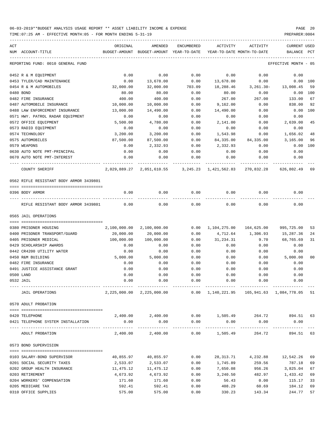TIME:07:25 AM - EFFECTIVE MONTH:05 - FOR MONTH ENDING 5-31-19 PREPARER:0004

| ACT |                                         | ORIGINAL     | AMENDED                                          | <b>ENCUMBERED</b>                  | ACTIVITY              | ACTIVITY                                     | <b>CURRENT USED</b>  |                |
|-----|-----------------------------------------|--------------|--------------------------------------------------|------------------------------------|-----------------------|----------------------------------------------|----------------------|----------------|
|     | NUM ACCOUNT-TITLE                       |              | BUDGET-AMOUNT BUDGET-AMOUNT YEAR-TO-DATE         |                                    |                       | YEAR-TO-DATE MONTH-TO-DATE                   | BALANCE              | PCT            |
|     | REPORTING FUND: 0010 GENERAL FUND       |              |                                                  |                                    |                       |                                              | EFFECTIVE MONTH - 05 |                |
|     | 0452 R & M EQUIPMENT                    | 0.00         | 0.00                                             | 0.00                               | 0.00                  | 0.00                                         | 0.00                 |                |
|     | 0453 TYLER/CAD MAINTENANCE              | 0.00         | 13,678.00                                        | 0.00                               | 13,678.00             | 0.00                                         | 0.00 100             |                |
|     | 0454 R & M AUTOMOBILES                  | 32,000.00    | 32,000.00                                        | 703.09                             | 18,288.46             | $3,261.30-$                                  | 13,008.45            | 59             |
|     | 0480 BOND                               | 80.00        | 80.00                                            | 0.00                               | 80.00                 | 0.00                                         | 0.00 100             |                |
|     | 0482 FIRE INSURANCE                     | 400.00       | 400.00                                           | 0.00                               | 267.00                | 267.00                                       | 133.00               | 67             |
|     | 0487 AUTOMOBILE INSURANCE               | 10,000.00    | 10,000.00                                        | 0.00                               | 9,162.00              | 0.00                                         | 838.00               | 92             |
|     | 0488 LAW ENFORCEMENT INSURANCE          | 13,000.00    | 14,490.00                                        | 0.00                               | 14,490.00             | 0.00                                         | 0.00                 | 100            |
|     | 0571 HWY. PATROL RADAR EQUIPMENT        | 0.00         | 0.00                                             | 0.00                               | 0.00                  | 0.00                                         | 0.00                 |                |
|     | 0572 OFFICE EQUIPMENT                   | 5,500.00     | 4,780.00                                         | 0.00                               | 2,141.00              | 0.00                                         | 2,639.00             | 45             |
|     | 0573 RADIO EQUIPMENT                    | 0.00         | 0.00                                             | 0.00                               | 0.00                  | 0.00                                         | 0.00                 |                |
|     | 0574 TECHNOLOGY                         | 3,200.00     | 3,200.00                                         | 0.00                               | 1,543.98              | 0.00                                         | 1,656.02             | 48             |
|     | 0575 AUTOMOBILES                        | 87,500.00    | 87,500.00                                        | 0.00                               | 84,335.00             | 84,335.00                                    | 3,165.00             | 96             |
|     | 0579 WEAPONS                            | 0.00         | 2,332.93                                         | 0.00                               | 2,332.93              | 0.00                                         | 0.00                 | 100            |
|     | 0630 AUTO NOTE PMT-PRINCIPAL            | 0.00         | 0.00                                             | 0.00                               | 0.00                  | 0.00                                         | 0.00                 |                |
|     | 0670 AUTO NOTE PMT-INTEREST             | 0.00         | 0.00                                             | 0.00                               | 0.00                  | 0.00                                         | 0.00                 |                |
|     | COUNTY SHERIFF                          | 2,029,889.27 |                                                  | 2,051,610.55 3,245.23 1,421,562.83 |                       | 270,832.28                                   | 626,802.49           | 69             |
|     | 0562 RIFLE RESISTANT BODY ARMOR 3439801 |              |                                                  |                                    |                       |                                              |                      |                |
|     | 0396 BODY ARMOR                         | 0.00         | 0.00                                             | 0.00                               | 0.00                  | 0.00                                         | 0.00                 |                |
|     |                                         |              |                                                  |                                    |                       |                                              |                      |                |
|     | RIFLE RESISTANT BODY ARMOR 3439801      | 0.00         | 0.00                                             | 0.00                               | 0.00                  | 0.00                                         | 0.00                 |                |
|     | 0565 JAIL OPERATIONS                    |              |                                                  |                                    |                       |                                              |                      |                |
|     | 0380 PRISONER HOUSING                   | 2,100,000.00 | 2,100,000.00                                     | 0.00                               |                       | 1, 104, 275.00 164, 625.00                   | 995,725.00           | 53             |
|     | 0400 PRISONER TRANSPORT/GUARD           | 20,000.00    | 20,000.00                                        | 0.00                               | 4,712.64              | 1,306.93                                     | 15,287.36            | 24             |
|     | 0405 PRISONER MEDICAL                   | 100,000.00   | 100,000.00                                       | 0.00                               | 31,234.31             | 9.70                                         | 68,765.69            | 31             |
|     | 0429 SCHOLARSHIP AWARDS                 | 0.00         | 0.00                                             | 0.00                               | 0.00                  | 0.00                                         | 0.00                 |                |
|     | 0442 CR4200 UTILITY WATER               | 0.00         | 0.00                                             | 0.00                               | 0.00                  | 0.00                                         | 0.00                 |                |
|     | 0450 R&M BUILDING                       | 5,000.00     | 5,000.00                                         | 0.00                               | 0.00                  | 0.00                                         | 5,000.00             | 0 <sub>0</sub> |
|     | 0482 FIRE INSURANCE                     | 0.00         | 0.00                                             | 0.00                               | 0.00                  | 0.00                                         | 0.00                 |                |
|     | 0491 JUSTICE ASSISTANCE GRANT           | 0.00         | 0.00                                             | 0.00                               | 0.00                  | 0.00                                         | 0.00                 |                |
|     | 0500 LAND                               | 0.00         | 0.00                                             | 0.00                               | 0.00                  | 0.00                                         | 0.00                 |                |
|     | 0532 JAIL                               | 0.00         | 0.00                                             | 0.00                               | 0.00                  | 0.00                                         | 0.00                 |                |
|     | JAIL OPERATIONS                         |              | 2,225,000.00 2,225,000.00                        |                                    |                       | 0.00 1,140,221.95 165,941.63 1,084,778.05 51 |                      |                |
|     | 0570 ADULT PROBATION                    |              |                                                  |                                    |                       |                                              |                      |                |
|     |                                         |              |                                                  |                                    |                       |                                              |                      |                |
|     | 0420 TELEPHONE                          |              | 2,400.00 2,400.00 0.00 1,505.49 264.72 894.51 63 |                                    |                       |                                              |                      |                |
|     | 0421 TELEPHONE SYSTEM INSTALLATION      | 0.00         | 0.00                                             | 0.00                               | 0.00                  | 0.00                                         | 0.00                 |                |
|     | ADULT PROBATION                         | ---------    | ------------<br>2,400.00 2,400.00                | ------------<br>0.00               | ---------<br>1,505.49 | ----------<br>264.72                         | 894.51 63            |                |
|     | 0573 BOND SUPERVISION                   |              |                                                  |                                    |                       |                                              |                      |                |
|     | 0103 SALARY-BOND SUPERVISOR             | 40,855.97    | 40,855.97                                        | 0.00                               | 28,313.71             | 4,232.88                                     | 12,542.26            | 69             |
|     | 0201 SOCIAL SECURITY TAXES              | 2,533.07     | 2,533.07                                         | 0.00                               | 1,745.89              | 259.56                                       | 787.18               | 69             |
|     | 0202 GROUP HEALTH INSURANCE             | 11,475.12    | 11,475.12                                        | 0.00                               | 7,650.08              | 956.26                                       | 3,825.04             | 67             |
|     | 0203 RETIREMENT                         | 4,673.92     | 4,673.92                                         | 0.00                               | 3,240.50              | 482.97                                       | 1,433.42             | 69             |
|     | 0204 WORKERS' COMPENSATION              | 171.60       | 171.60                                           | 0.00                               | 56.43                 | 0.00                                         | 115.17               | 33             |
|     | 0205 MEDICARE TAX                       | 592.41       | 592.41                                           | 0.00                               | 408.29                | 60.69                                        | 184.12               | 69             |
|     |                                         |              |                                                  |                                    |                       |                                              |                      |                |

0310 OFFICE SUPPLIES 60 1991 12 575.00 575.00 575.00 575.00 575.00 575.00 575.00 575.00 576.00  $\frac{330.23}{143.34}$  244.77 57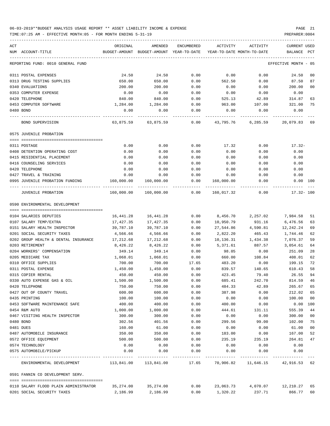| ACT                                           | ORIGINAL                 | AMENDED                                  | ENCUMBERED   | ACTIVITY                   | ACTIVITY          | CURRENT USED           |          |
|-----------------------------------------------|--------------------------|------------------------------------------|--------------|----------------------------|-------------------|------------------------|----------|
| NUM ACCOUNT-TITLE                             |                          | BUDGET-AMOUNT BUDGET-AMOUNT YEAR-TO-DATE |              | YEAR-TO-DATE MONTH-TO-DATE |                   | BALANCE                | PCT      |
| REPORTING FUND: 0010 GENERAL FUND             |                          |                                          |              |                            |                   | EFFECTIVE MONTH - 05   |          |
| 0311 POSTAL EXPENSES                          | 24.50                    | 24.50                                    | 0.00         | 0.00                       | 0.00              | 24.50                  | 00       |
| 0313 DRUG TESTING SUPPLIES                    | 650.00                   | 650.00                                   | 0.00         | 562.50                     | 0.00              | 87.50                  | 87       |
| 0340 EVALUATIONS                              | 200.00                   | 200.00                                   | 0.00         | 0.00                       | 0.00              | 200.00                 | 00       |
| 0353 COMPUTER EXPENSE                         | 0.00                     | 0.00                                     | 0.00         | 0.00                       | 0.00              | 0.00                   |          |
| 0420 TELEPHONE                                | 840.00                   | 840.00                                   | 0.00         | 525.13                     | 42.89             | 314.87                 | 63       |
| 0453 COMPUTER SOFTWARE                        | 1,284.00                 | 1,284.00                                 | 0.00         | 963.00                     | 107.00            | 321.00                 | 75       |
| 0480 BOND                                     | 0.00                     | 0.00                                     | 0.00         | 0.00                       | 0.00              | 0.00                   |          |
| BOND SUPERVISION                              | 63,875.59                | 63,875.59                                | 0.00         | 43,795.76                  | 6,285.59          | 20,079.83 69           |          |
| 0575 JUVENILE PROBATION                       |                          |                                          |              |                            |                   |                        |          |
| 0311 POSTAGE                                  | 0.00                     | 0.00                                     | 0.00         | 17.32                      | 0.00              | 17.32-                 |          |
| 0408 DETENTION OPERATING COST                 | 0.00                     | 0.00                                     | 0.00         | 0.00                       | 0.00              | 0.00                   |          |
| 0415 RESIDENTIAL PLACEMENT                    | 0.00                     | 0.00                                     | 0.00         | 0.00                       | 0.00              | 0.00                   |          |
| 0416 COUNSELING SERVICES                      | 0.00                     | 0.00                                     | 0.00         | 0.00                       | 0.00              | 0.00                   |          |
| 0420 TELEPHONE                                | 0.00                     | 0.00                                     | 0.00         | 0.00                       | 0.00              | 0.00                   |          |
| 0427 TRAVEL & TRAINING                        | 0.00                     | 0.00                                     | 0.00         | 0.00                       | 0.00              | 0.00                   |          |
| 0995 JUVENILE PROBATION FUNDING               | 160,000.00               | 160,000.00                               | 0.00         | 160,000.00                 | 0.00              | 0.00 100               |          |
| JUVENILE PROBATION                            |                          |                                          |              | 0.00 160,017.32            | 0.00              | 17.32- 100             |          |
| 0590 ENVIRONMENTAL DEVELOPMENT                |                          |                                          |              |                            |                   |                        |          |
|                                               |                          |                                          |              |                            |                   |                        |          |
| 0104 SALARIES DEPUTIES                        | 16,441.28                | 16,441.28                                | 0.00         |                            | 8,456.70 2,257.02 | 7,984.58               | 51       |
| 0107 SALARY TEMP/EXTRA                        | 17,427.35                | 17,427.35                                | 0.00         | 10,950.79                  | 931.16            | 6,476.56               | 63       |
| 0151 SALARY HEALTH INSPECTOR                  | 39,787.10                | 39,787.10                                | 0.00         | 27,544.86                  | 4,590.81          | 12,242.24              | 69       |
| 0201 SOCIAL SECURITY TAXES                    | 4,566.66                 | 4,566.66                                 | 0.00         | 2,822.20                   | 465.43            | 1,744.46               | 62       |
| 0202 GROUP HEALTH & DENTAL INSURANCE          | 17,212.68                | 17,212.68                                | 0.00         | 10,136.31                  | 1,434.38          | 7,076.37               | 59       |
| 0203 RETIREMENT                               | 8,426.22                 | 8,426.22                                 | 0.00         | 5,371.61                   | 887.57            | 3,054.61               | 64       |
| 0204 WORKERS' COMPENSATION                    | 349.14                   | 349.14                                   | 0.00         | 98.05                      | 0.00              | 251.09                 | 28       |
| 0205 MEDICARE TAX                             | 1,068.01                 | 1,068.01                                 | 0.00         | 660.00                     | 108.84            | 408.01                 | 62       |
| 0310 OFFICE SUPPLIES                          | 700.00                   | 700.00                                   | 17.65        | 483.20                     | 0.00              | 199.15                 | 72       |
| 0311 POSTAL EXPENSE                           | 1,450.00                 | 1,450.00                                 | 0.00         | 839.57                     | 140.65            | 610.43                 | 58       |
| 0315 COPIER RENTAL                            | 450.00                   | 450.00                                   | 0.00         | 423.45                     | 79.40             | 26.55                  | 94       |
| 0330 AUTO EXPENSE GAS & OIL<br>0420 TELEPHONE | 1,500.00                 | 1,500.00                                 | 0.00         | 685.41                     | 242.70            | 814.59 46              |          |
| 0427 OUT OF COUNTY TRAVEL                     | 750.00<br>600.00         | 750.00<br>600.00                         | 0.00<br>0.00 | 484.33<br>387.98           | 42.89<br>0.00     | 265.67<br>212.02       | 65<br>65 |
| 0435 PRINTING                                 | 100.00                   | 100.00                                   | 0.00         | 0.00                       | 0.00              | 100.00                 | 00       |
| 0453 SOFTWARE MAINTENANCE SAFE                | 400.00                   | 400.00                                   | 0.00         | 400.00                     | 0.00              | 0.00                   | 100      |
| 0454 R&M AUTO                                 | 1,000.00                 | 1,000.00                                 | 0.00         | 444.61                     | 131.11            | 555.39                 | 44       |
| 0467 VISITING HEALTH INSPECTOR                | 300.00                   | 300.00                                   | 0.00         | 0.00                       | 0.00              | 300.00                 | 00       |
| 0480 BOND                                     | 302.56                   | 401.56                                   | 0.00         | 299.56                     | 99.00             | 102.00                 | 75       |
| 0481 DUES                                     | 160.00                   | 61.00                                    | 0.00         | 0.00                       | 0.00              | 61.00                  | $00\,$   |
| 0487 AUTOMOBILE INSURANCE                     | 350.00                   | 350.00                                   | 0.00         | 183.00                     | 0.00              | 167.00                 | 52       |
| 0572 OFFICE EQUIPMENT                         | 500.00                   | 500.00                                   | 0.00         | 235.19                     | 235.19            | 264.81                 | 47       |
| 0574 TECHNOLOGY                               | 0.00                     | 0.00                                     | 0.00         | 0.00                       | 0.00              | 0.00                   |          |
| 0575 AUTOMOBILE/PICKUP                        | 0.00                     | 0.00                                     | 0.00         | 0.00                       | 0.00              | 0.00                   |          |
| ENVIRONMENTAL DEVELOPMENT                     | 113,841.00    113,841.00 | -------------                            | 17.65        | 70,906.82                  |                   | 11,646.15 42,916.53 62 |          |
| 0591 FANNIN CO DEVELOPMENT SERV.              |                          |                                          |              |                            |                   |                        |          |
| 0110 SALARY FLOOD PLAIN ADMINISTRATOR         | 35,274.00                | 35,274.00                                | 0.00         | 23,063.73                  | 4,070.07          | 12,210.27              | 65       |
| 0201 SOCIAL SECURITY TAXES                    | 2,186.99                 | 2,186.99                                 | 0.00         | 1,320.22                   | 237.71            | 866.77                 | 60       |
|                                               |                          |                                          |              |                            |                   |                        |          |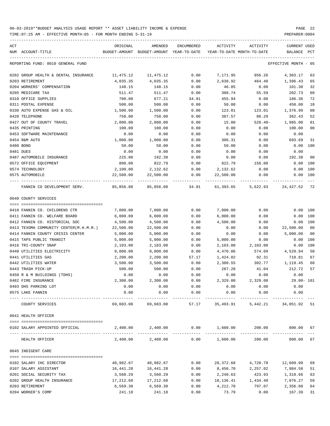| ACT<br>NUM ACCOUNT-TITLE                                       | ORIGINAL<br>BUDGET-AMOUNT BUDGET-AMOUNT YEAR-TO-DATE YEAR-TO-DATE MONTH-TO-DATE | AMENDED              | ENCUMBERED   | ACTIVITY             | ACTIVITY                                 | <b>CURRENT USED</b><br>BALANCE | PCT  |
|----------------------------------------------------------------|---------------------------------------------------------------------------------|----------------------|--------------|----------------------|------------------------------------------|--------------------------------|------|
| REPORTING FUND: 0010 GENERAL FUND                              |                                                                                 |                      |              |                      |                                          | EFFECTIVE MONTH - 05           |      |
|                                                                |                                                                                 |                      |              |                      |                                          |                                |      |
| 0202 GROUP HEALTH & DENTAL INSURANCE                           | 11,475.12                                                                       | 11,475.12            | 0.00         | 7,171.95             | 956.26                                   | 4,303.17                       | 63   |
| 0203 RETIREMENT                                                | 4,035.35                                                                        | 4,035.35             | 0.00         | 2,638.92             | 464.40                                   | 1,396.43                       | 65   |
| 0204 WORKERS' COMPENSATION                                     | 148.15                                                                          | 148.15               | 0.00         | 46.85                | 0.00                                     | 101.30                         | 32   |
| 0205 MEDICARE TAX                                              | 511.47                                                                          | 511.47               | 0.00         | 308.74               | 55.59                                    | 202.73                         | 60   |
| 0310 OFFICE SUPPLIES                                           | 700.00                                                                          | 677.21               | 34.91        | 455.94               | 0.00                                     | 186.36                         | 72   |
| 0311 POSTAL EXPENSE                                            | 500.00                                                                          | 500.00               | 0.00         | 50.00                | 0.00                                     | 450.00                         | 10   |
| 0330 AUTO EXPENSE GAS & OIL                                    | 1,500.00                                                                        | 1,500.00             | 0.00         | 123.01               | 123.01                                   | 1,376.99                       | 08   |
| 0420 TELEPHONE                                                 | 750.00                                                                          | 750.00               | 0.00         | 387.57               | 88.29                                    | 362.43                         | 52   |
| 0427 OUT OF COUNTY TRAVEL                                      | 2,000.00                                                                        | 2,000.00             | 0.00         | 15.00                | $528.40-$                                | 1,985.00                       | 01   |
| 0435 PRINTING                                                  | 100.00                                                                          | 100.00               | 0.00         | 0.00                 | 0.00                                     | 100.00                         | 00   |
| 0453 SOFTWARE MAINTENANCE                                      | 0.00                                                                            | 0.00                 | 0.00         | 0.00                 | 0.00                                     | 0.00                           |      |
| 0454 R&M AUTO                                                  | 1,000.00                                                                        | 1,000.00             | 0.00         | 306.31               | 0.00                                     | 693.69                         | 31   |
| 0480 BOND                                                      | 50.00                                                                           | 50.00                | 0.00         | 50.00                | 0.00                                     | 0.00                           | 100  |
| 0481 DUES                                                      | 0.00                                                                            | 0.00                 | 0.00         | 0.00                 | 0.00                                     | 0.00                           |      |
| 0487 AUTOMOBILE INSURANCE                                      | 225.00                                                                          | 192.38               | 0.00         | 0.00                 | 0.00                                     | 192.38                         | - 00 |
| 0572 OFFICE EQUIPMENT                                          | 800.00                                                                          | 822.79               | 0.00         | 822.79               | 156.00                                   | 0.00                           | 100  |
| 0574 TECHNOLOGY                                                | 2,100.00                                                                        | 2,132.62             | 0.00         | 2,132.62             | 0.00                                     | 0.00                           | 100  |
| 0575 AUTOMOBILE                                                | 22,500.00                                                                       | 22,500.00            | 0.00         | 22,500.00            | 0.00                                     | $0.00$ 100                     |      |
| FANNIN CO DEVELOPMENT SERV. 85,856.08 85,856.08 34.91          |                                                                                 |                      |              |                      | 61,393.65 5,622.93 24,427.52 72          |                                |      |
| 0640 COUNTY SERVICES                                           |                                                                                 |                      |              |                      |                                          |                                |      |
|                                                                |                                                                                 |                      |              |                      |                                          |                                |      |
| 0410 FANNIN CO. CHILDRENS CTR<br>0411 FANNIN CO. WELFARE BOARD | 7,000.00<br>6,000.00                                                            | 7,000.00<br>6,000.00 | 0.00<br>0.00 | 7,000.00<br>6,000.00 | 0.00<br>0.00                             | $0.00$ 100<br>$0.00$ 100       |      |
| 0412 FANNIN CO. HISTORICAL SOC                                 | 4,500.00                                                                        | 4,500.00             | 0.00         | 4,500.00             | 0.00                                     | 0.00 100                       |      |
| 0413 TEXOMA COMMUNITY CENTER(M.H.M.R.)                         | 22,500.00                                                                       | 22,500.00            | 0.00         | 0.00                 | 0.00                                     | 22,500.00                      | 00   |
| 0414 FANNIN COUNTY CRISIS CENTER                               | 5,000.00                                                                        | 5,000.00             | 0.00         | 0.00                 | 0.00                                     | 5,000.00                       | 00   |
| 0415 TAPS PUBLIC TRANSIT                                       | 5,000.00                                                                        | 5,000.00             | 0.00         | 5,000.00             | 0.00                                     | 0.00                           | 100  |
| 0416 TRI-COUNTY SNAP                                           | 2,103.00                                                                        | 2,103.00             | 0.00         | 2,103.00             | 2,103.00                                 | 0.00                           | 100  |
| 0440 UTILITIES ELECTRICITY                                     | 9,000.00                                                                        | 9,000.00             | 0.00         | 4,470.06             | 574.09                                   | 4,529.94                       | 50   |
| 0441 UTILITIES GAS                                             | 2,200.00                                                                        | 2,200.00             | 57.17        | 1,424.02             | 92.31                                    | 718.81                         | 67   |
| 0442 UTILITIES WATER                                           | 3,500.00                                                                        | 3,500.00             | 0.00         | 2,380.55             | 302.77                                   | 1,119.45                       | 68   |
| 0443 TRASH PICK-UP                                             | 500.00                                                                          | 500.00               | 0.00         | 287.28               | 41.04                                    | 212.72                         | 57   |
| 0450 R & M BUILDINGS (TDHS)                                    | 0.00                                                                            | 0.00                 | 0.00         | 0.00                 | 0.00                                     | 0.00                           |      |
| 0482 FIRE INSURANCE                                            | 2,300.00                                                                        | 2,300.00             | 0.00         | 2,329.00             | 2,329.00                                 | $29.00 - 101$                  |      |
| 0493 DHS PARKING LOT                                           | 0.00                                                                            | 0.00                 | 0.00         | 0.00                 | 0.00                                     | 0.00                           |      |
| 0575 LAKE FANNIN                                               | 0.00                                                                            | 0.00                 | 0.00         | 0.00                 | 0.00                                     | 0.00                           |      |
| COUNTY SERVICES                                                | 69,603.00                                                                       | 69,603.00            | 57.17        | 35,493.91            | 5,442.21                                 | 34,051.92 51                   |      |
| 0641 HEALTH OFFICER                                            |                                                                                 |                      |              |                      |                                          |                                |      |
|                                                                |                                                                                 |                      |              |                      |                                          |                                |      |
| 0102 SALARY APPOINTED OFFICIAL                                 |                                                                                 | 2,400.00 2,400.00    |              |                      | $0.00$ $1,600.00$ $200.00$ $800.00$ $67$ |                                |      |
| HEALTH OFFICER                                                 |                                                                                 | 2,400.00 2,400.00    |              | 0.00 1,600.00        | 200.00                                   | 800.00 67                      |      |
| 0645 INDIGENT CARE                                             |                                                                                 |                      |              |                      |                                          |                                |      |
| 0102 SALARY IHC DIRECTOR                                       | 40,982.67                                                                       | 40,982.67            | 0.00         | 28,372.68            | 4,728.78                                 | 12,609.99                      | 69   |
| 0107 SALARY ASSISTANT                                          | 16,441.28                                                                       | 16,441.28            | 0.00         | 8,456.70             | 2,257.02                                 | 7,984.58                       | 51   |
| 0201 SOCIAL SECURITY TAX                                       | 3,560.29                                                                        | 3,560.29             | 0.00         | 2,240.63             | 423.93                                   | 1,319.66                       | 63   |
| 0202 GROUP HEALTH INSURANCE                                    | 17,212.68                                                                       | 17,212.68            | 0.00         | 10,136.41            | 1,434.40                                 | 7,076.27                       | 59   |
| 0203 RETIREMENT                                                | 6,569.30                                                                        | 6,569.30             | 0.00         | 4,212.70             | 797.07                                   | 2,356.60                       | 64   |
| 0204 WORKER'S COMP                                             | 241.18                                                                          | 241.18               | 0.00         | 73.79                | 0.00                                     | 167.39                         | 31   |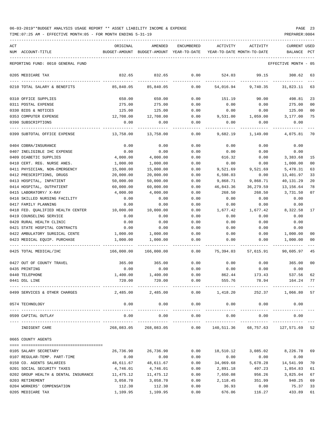TIME:07:25 AM - EFFECTIVE MONTH:05 - FOR MONTH ENDING 5-31-19 PREPARER:0004

| ACT | NUM ACCOUNT-TITLE                    | ORIGINAL   | AMENDED<br>BUDGET-AMOUNT BUDGET-AMOUNT YEAR-TO-DATE YEAR-TO-DATE MONTH-TO-DATE | <b>ENCUMBERED</b>    | ACTIVITY            | ACTIVITY                             | <b>CURRENT USED</b><br>BALANCE PCT |                |
|-----|--------------------------------------|------------|--------------------------------------------------------------------------------|----------------------|---------------------|--------------------------------------|------------------------------------|----------------|
|     | REPORTING FUND: 0010 GENERAL FUND    |            |                                                                                |                      |                     |                                      | EFFECTIVE MONTH - 05               |                |
|     | 0205 MEDICARE TAX                    | 832.65     | 832.65                                                                         | 0.00                 | 524.03              | 99.15                                | 308.62                             | 63             |
|     |                                      |            |                                                                                |                      |                     |                                      |                                    |                |
|     | 0210 TOTAL SALARY & BENEFITS         | 85,840.05  | 85,840.05                                                                      | 0.00                 | 54,016.94           | 9,740.35                             | 31,823.11                          | 63             |
|     | 0310 OFFICE SUPPLIES                 | 650.00     | 650.00                                                                         | 0.00                 | 151.19              | 90.00                                | 498.81                             | 23             |
|     | 0311 POSTAL EXPENSE                  | 275.00     | 275.00                                                                         | 0.00                 | 0.00                | 0.00                                 | 275.00                             | 0 <sub>0</sub> |
|     | 0330 BIDS & NOTICES                  | 125.00     | 125.00                                                                         | 0.00                 | 0.00                | 0.00                                 | 125.00                             | 0 <sub>0</sub> |
|     | 0353 COMPUTER EXPENSE                | 12,708.00  | 12,708.00                                                                      | 0.00                 | 9,531.00            | 1,059.00                             | 3,177.00                           | 75             |
|     | 0390 SUBSCRIPTIONS                   | 0.00       | 0.00                                                                           | 0.00                 | 0.00                | 0.00                                 | 0.00                               |                |
|     | 0399 SUBTOTAL OFFICE EXPENSE         | 13,758.00  | 13,758.00                                                                      | 0.00                 | 9,682.19            | 1,149.00                             | 4,075.81                           | 70             |
|     | 0404 COBRA/INSURANCE                 | 0.00       | 0.00                                                                           | 0.00                 | 0.00                | 0.00                                 | 0.00                               |                |
|     | 0407 INELIGIBLE IHC EXPENSE          | 0.00       | 0.00                                                                           | 0.00                 | 0.00                | 0.00                                 | 0.00                               |                |
|     | 0409 DIABETIC SUPPLIES               | 4,000.00   | 4,000.00                                                                       | 0.00                 | 616.32              | 0.00                                 | 3,383.68                           | 15             |
|     | 0410 CERT. REG. NURSE ANES.          | 1,000.00   | 1,000.00                                                                       | 0.00                 | 0.00                | 0.00                                 | 1,000.00                           | 0 <sub>0</sub> |
|     | 0411 PHYSICIAN, NON-EMERGENCY        | 15,000.00  | 15,000.00                                                                      | 0.00                 | 9,521.69            | 9,521.69                             | 5,478.31                           | 63             |
|     | 0412 PRESCRIPTIONS, DRUGS            | 20,000.00  | 20,000.00                                                                      | 0.00                 | 6,598.03            | 0.00                                 | 13,401.97                          | 33             |
|     | 0413 HOSPITAL, INPATIENT             | 50,000.00  | 50,000.00                                                                      | 0.00                 | 9,868.71            | 9,868.71                             | 40,131.29                          | 20             |
|     | 0414 HOSPITAL, OUTPATIENT            | 60,000.00  | 60,000.00                                                                      | 0.00                 | 46,843.36           | 36,279.59                            | 13,156.64                          | 78             |
|     | 0415 LABORATORY/ X-RAY               | 4,000.00   | 4,000.00                                                                       | 0.00                 | 268.50              | 268.50                               | 3,731.50                           | 07             |
|     | 0416 SKILLED NURSING FACILITY        | 0.00       | 0.00                                                                           | 0.00                 | 0.00                | 0.00                                 | 0.00                               |                |
|     | 0417 FAMILY PLANNING                 | 0.00       | 0.00                                                                           | 0.00                 | 0.00                | 0.00                                 | 0.00                               |                |
|     | 0418 FED. QUALIFIED HEALTH CENTER    | 10,000.00  | 10,000.00                                                                      | 0.00                 | 1,677.42            | 1,677.42                             | 8,322.58                           | 17             |
|     | 0419 COUNSELING SERVICE              | 0.00       | 0.00                                                                           | 0.00                 | 0.00                | 0.00                                 | 0.00                               |                |
|     | 0420 RURAL HEALTH CLINIC             | 0.00       | 0.00                                                                           | 0.00                 | 0.00                | 0.00                                 | 0.00                               |                |
|     | 0421 STATE HOSPITAL CONTRACTS        | 0.00       | 0.00                                                                           | 0.00                 | 0.00                | 0.00                                 | 0.00                               |                |
|     | 0422 AMBULATORY SURGICAL CENTE       | 1,000.00   | 1,000.00                                                                       | 0.00                 | 0.00                | 0.00                                 | 1,000.00                           | 00             |
|     | 0423 MEDICAL EQUIP. PURCHASE         | 1,000.00   | 1,000.00                                                                       | 0.00                 | 0.00                | 0.00                                 | 1,000.00                           | 0 <sub>0</sub> |
|     | 0425 TOTAL MEDICAL/IHC               | 166,000.00 | 166,000.00                                                                     | 0.00                 | 75,394.03           | 57,615.91                            | 90,605.97                          | 45             |
|     | 0427 OUT OF COUNTY TRAVEL            | 365.00     | 365.00                                                                         | 0.00                 | 0.00                | 0.00                                 | 365.00                             | 0 <sub>0</sub> |
|     | 0435 PRINTING                        | 0.00       | 0.00                                                                           | 0.00                 | 0.00                | 0.00                                 | 0.00                               |                |
|     | 0440 TELEPHONE                       | 1,400.00   | 1,400.00                                                                       | 0.00                 | 862.44              | 173.43                               | 537.56                             | 62             |
|     | 0441 DSL LINE                        | 720.00     | 720.00                                                                         | 0.00                 | 555.76              | 78.94                                | 164.24 77                          |                |
|     | 0499 SERVICES & OTHER CHARGES        |            | 2,485.00 2,485.00                                                              |                      |                     | $0.00$ 1,418.20 252.37 1,066.80 57   |                                    |                |
|     | 0574 TECHNOLOGY                      | 0.00       | 0.00                                                                           | 0.00                 | 0.00                | 0.00                                 | 0.00                               |                |
|     | 0599 CAPITAL OUTLAY                  | 0.00       | -------------<br>0.00                                                          | ----------<br>0.00   | -----------<br>0.00 | -----------<br>0.00                  | 0.00                               |                |
|     | INDIGENT CARE                        | 268,083.05 | -------------<br>268,083.05                                                    | ------------<br>0.00 | ___________         | ------------<br>140,511.36 68,757.63 | -------------<br>127,571.69        | 52             |
|     | 0665 COUNTY AGENTS                   |            |                                                                                |                      |                     |                                      |                                    |                |
|     | 0105 SALARY SECRETARY                | 26,736.90  | 26,736.90                                                                      | 0.00                 | 18,510.12           | 3,085.02                             | 8,226.78                           | 69             |
|     | 0107 REGULAR-TEMP. PART-TIME         | 0.00       | 0.00                                                                           | 0.00                 | 0.00                | 0.00                                 | 0.00                               |                |
|     | 0150 CO. AGENTS SALARIES             | 48,611.67  | 48,611.67                                                                      | 0.00                 | 34,069.68           | 5,678.28                             | 14,541.99                          | 70             |
|     | 0201 SOCIAL SECURITY TAXES           | 4,746.01   | 4,746.01                                                                       | 0.00                 | 2,891.18            | 497.23                               | 1,854.83                           | 61             |
|     | 0202 GROUP HEALTH & DENTAL INSURANCE | 11,475.12  | 11,475.12                                                                      | 0.00                 | 7,650.08            | 956.26                               | 3,825.04                           | 67             |
|     | 0203 RETIREMENT                      | 3,058.70   | 3,058.70                                                                       | 0.00                 | 2,118.45            | 351.99                               | 940.25                             | 69             |
|     | 0204 WORKERS' COMPENSATION           | 112.30     | 112.30                                                                         | 0.00                 | 36.93               | 0.00                                 | 75.37                              | 33             |

0205 MEDICARE TAX 1,109.95 1,109.95 0.00 676.06 116.27 433.89 61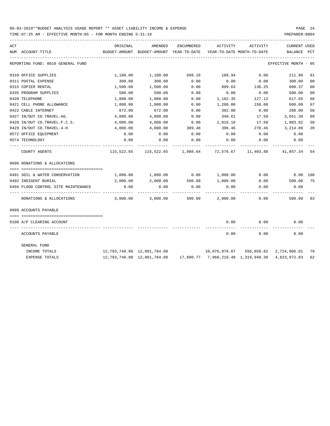| ACT |                                     | ORIGINAL                                                                    | AMENDED                                                                      | ENCUMBERED | ACTIVITY ACTIVITY |        | <b>CURRENT USED</b>  |                |
|-----|-------------------------------------|-----------------------------------------------------------------------------|------------------------------------------------------------------------------|------------|-------------------|--------|----------------------|----------------|
|     | NUM ACCOUNT-TITLE                   | BUDGET-AMOUNT BUDGET-AMOUNT YEAR-TO-DATE YEAR-TO-DATE_MONTH-TO-DATE         |                                                                              |            |                   |        | BALANCE PCT          |                |
|     | REPORTING FUND: 0010 GENERAL FUND   |                                                                             |                                                                              |            |                   |        | EFFECTIVE MONTH - 05 |                |
|     | 0310 OFFICE SUPPLIES                | 1,100.00                                                                    | 1,100.00                                                                     | 699.16     | 188.94            | 0.00   | 211.90               | 81             |
|     | 0311 POSTAL EXPENSE                 | 300.00                                                                      | 300.00                                                                       | 0.00       | 0.00              | 0.00   | 300.00               | 0 <sub>0</sub> |
|     | 0315 COPIER RENTAL                  | 1,500.00                                                                    | 1,500.00                                                                     | 0.00       | 899.63            | 136.25 | 600.37               | 60             |
|     | 0335 PROGRAM SUPPLIES               | 500.00                                                                      | 500.00                                                                       | 0.00       | 0.00              | 0.00   | 500.00               | 0 <sub>0</sub> |
|     | 0420 TELEPHONE                      | 1,800.00                                                                    | 1,800.00                                                                     | 0.00       | 1,182.35          | 127.12 | 617.65               | 66             |
|     | 0421 CELL PHONE ALLOWANCE           | 1,800.00                                                                    | 1,800.00                                                                     | 0.00       | 1,200.00          | 150.00 | 600.00               | 67             |
|     | 0422 CABLE INTERNET                 | 672.00                                                                      | 672.00                                                                       | 0.00       | 392.00            | 0.00   | 280.00               | 58             |
|     | 0427 IN/OUT CO.TRAVEL-AG.           | 4,000.00                                                                    | 4,000.00                                                                     | 0.00       | 348.61            | 17.50  | 3,651.39             | 09             |
|     | 0428 IN/OUT CO.TRAVEL-F.C.S.        | 4,000.00                                                                    | 4,000.00                                                                     | 0.00       | 2,016.18          | 17.50  | 1,983.82             | 50             |
|     | 0429 IN/OUT CO.TRAVEL-4-H           | 4,000.00                                                                    | 4,000.00                                                                     | 389.48     | 396.46            | 270.46 | 3,214.06             | 20             |
|     | 0572 OFFICE EQUIPMENT               | 0.00                                                                        | 0.00                                                                         | 0.00       | 0.00              | 0.00   | 0.00                 |                |
|     | 0574 TECHNOLOGY                     | 0.00                                                                        | 0.00                                                                         | 0.00       | 0.00              | 0.00   | 0.00                 |                |
|     | COUNTY AGENTS                       |                                                                             | 115,522.65 115,522.65 1,088.64 72,576.67 11,403.88 41,857.34 64              |            |                   |        |                      |                |
|     | 0696 DONATIONS & ALLOCATIONS        |                                                                             |                                                                              |            |                   |        |                      |                |
|     |                                     |                                                                             |                                                                              |            |                   |        |                      |                |
|     | 0491 SOIL & WATER CONSERVATION      | 1,000.00                                                                    | 1,000.00                                                                     |            | $0.00$ 1,000.00   | 0.00   | $0.00$ 100           |                |
|     | 0492 INDIGENT BURIAL                | 2,000.00                                                                    | 2,000.00                                                                     | 500.00     | 1,000.00          | 0.00   | 500.00 75            |                |
|     | 0494 FLOOD CONTROL SITE MAINTENANCE | 0.00                                                                        | 0.00                                                                         | 0.00       | 0.00              | 0.00   | 0.00                 |                |
|     | DONATIONS & ALLOCATIONS             |                                                                             | $3,000.00$ $3,000.00$ $500.00$ $2,000.00$                                    |            |                   | 0.00   | 500.00               | 83             |
|     | 0999 ACCOUNTS PAYABLE               |                                                                             |                                                                              |            |                   |        |                      |                |
|     |                                     |                                                                             |                                                                              |            |                   |        |                      |                |
|     | 0100 A/P CLEARING ACCOUNT           |                                                                             |                                                                              |            | 0.00              | 0.00   | 0.00                 |                |
|     | ACCOUNTS PAYABLE                    |                                                                             |                                                                              |            | 0.00              | 0.00   | 0.00                 |                |
|     | GENERAL FUND                        |                                                                             |                                                                              |            |                   |        |                      |                |
|     | INCOME TOTALS                       | $12,793,740.80$ $12,801,784.08$ $10,076,878.07$ $556,859.82$ $2,724,906.01$ |                                                                              |            |                   |        |                      | 79             |
|     | <b>EXPENSE TOTALS</b>               |                                                                             | 12,793,740.80 12,801,784.08 17,600.77 7,960,210.48 1,319,948.30 4,823,972.83 |            |                   |        |                      | 62             |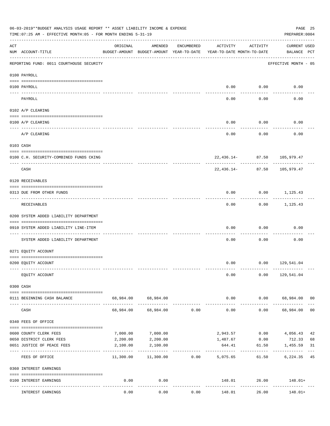|                    | 06-03-2019**BUDGET ANALYSIS USAGE REPORT ** ASSET LIABILITY INCOME & EXPENSE<br>TIME: 07:25 AM - EFFECTIVE MONTH: 05 - FOR MONTH ENDING 5-31-19 |           |                                                     |                |                                        |                    | PREPARER: 0004                           | PAGE 25        |
|--------------------|-------------------------------------------------------------------------------------------------------------------------------------------------|-----------|-----------------------------------------------------|----------------|----------------------------------------|--------------------|------------------------------------------|----------------|
| $\mathop{\rm ACT}$ | NUM ACCOUNT-TITLE                                                                                                                               | ORIGINAL  | AMENDED<br>BUDGET-AMOUNT BUDGET-AMOUNT YEAR-TO-DATE | ENCUMBERED     | ACTIVITY<br>YEAR-TO-DATE MONTH-TO-DATE | ACTIVITY           | CURRENT USED<br>BALANCE PCT              |                |
|                    | REPORTING FUND: 0011 COURTHOUSE SECURITY                                                                                                        |           |                                                     |                |                                        |                    | EFFECTIVE MONTH - 05                     |                |
|                    | 0100 PAYROLL                                                                                                                                    |           |                                                     |                |                                        |                    |                                          |                |
|                    | 0100 PAYROLL                                                                                                                                    |           |                                                     |                |                                        | $0.00$ $0.00$      | 0.00                                     |                |
|                    | PAYROLL                                                                                                                                         |           |                                                     |                | 0.00                                   | 0.00               | 0.00                                     |                |
|                    | 0102 A/P CLEARING                                                                                                                               |           |                                                     |                |                                        |                    |                                          |                |
|                    | 0100 A/P CLEARING                                                                                                                               |           |                                                     |                | 0.00                                   | 0.00               | 0.00                                     |                |
|                    | A/P CLEARING                                                                                                                                    |           |                                                     |                | 0.00                                   | 0.00               | 0.00                                     |                |
|                    | 0103 CASH                                                                                                                                       |           |                                                     |                |                                        |                    |                                          |                |
|                    | 0100 C.H. SECURITY-COMBINED FUNDS CKING                                                                                                         |           |                                                     |                |                                        |                    | 22,436.14- 87.50 105,979.47              |                |
|                    | CASH                                                                                                                                            |           |                                                     |                |                                        | $22,436.14-$ 87.50 | 105,979.47                               |                |
|                    | 0120 RECEIVABLES                                                                                                                                |           |                                                     |                |                                        |                    |                                          |                |
|                    | 0313 DUE FROM OTHER FUNDS                                                                                                                       |           |                                                     |                | 0.00                                   |                    | $0.00$ 1,125.43                          |                |
|                    | RECEIVABLES                                                                                                                                     |           |                                                     |                | 0.00                                   | 0.00               | 1,125.43                                 |                |
|                    | 0200 SYSTEM ADDED LIABILITY DEPARTMENT                                                                                                          |           |                                                     |                |                                        |                    |                                          |                |
|                    | 0910 SYSTEM ADDED LIABILITY LINE-ITEM                                                                                                           |           |                                                     |                | 0.00                                   | 0.00               | 0.00                                     |                |
|                    | SYSTEM ADDED LIABILITY DEPARTMENT                                                                                                               |           |                                                     |                | 0.00                                   | 0.00               | 0.00                                     |                |
|                    | 0271 EQUITY ACCOUNT                                                                                                                             |           |                                                     |                |                                        |                    |                                          |                |
|                    | 0200 EQUITY ACCOUNT                                                                                                                             |           |                                                     |                |                                        |                    | $0.00$ $0.00$ $129,541.04$               |                |
|                    | EQUITY ACCOUNT                                                                                                                                  |           |                                                     |                | 0.00                                   |                    | $0.00$ 129,541.04                        |                |
|                    | 0300 CASH                                                                                                                                       |           |                                                     |                |                                        |                    |                                          |                |
|                    | 0111 BEGINNING CASH BALANCE                                                                                                                     |           | 68,984.00 68,984.00                                 |                | 0.00                                   |                    | $0.00$ 68,984.00 00                      |                |
|                    | CASH                                                                                                                                            | 68,984.00 |                                                     | 68,984.00 0.00 | -------------<br>0.00                  | ----------         | 0.00 68,984.00                           | 0 <sup>0</sup> |
|                    | 0340 FEES OF OFFICE                                                                                                                             |           |                                                     |                |                                        |                    |                                          |                |
|                    | 0600 COUNTY CLERK FEES                                                                                                                          | 7,000.00  | 7,000.00                                            |                | 2,943.57                               | 0.00               | 4,056.43                                 | 42             |
|                    | 0650 DISTRICT CLERK FEES                                                                                                                        | 2,200.00  | 2,200.00                                            |                |                                        | 1,487.67 0.00      | 712.33                                   | 68             |
|                    | 0651 JUSTICE OF PEACE FEES                                                                                                                      | 2,100.00  | 2,100.00                                            |                | 644.41<br>-----------                  | 61.50              | 1,455.59                                 | 31             |
|                    | FEES OF OFFICE                                                                                                                                  | 11,300.00 |                                                     | 11,300.00 0.00 | 5,075.65                               |                    | 6,224.35 45<br>61.50                     |                |
|                    | 0360 INTEREST EARNINGS                                                                                                                          |           |                                                     |                |                                        |                    |                                          |                |
|                    | 0100 INTEREST EARNINGS                                                                                                                          | 0.00      | 0.00                                                |                |                                        | ------------       | $148.01$ 26.00 $148.01+$<br>------------ |                |
|                    | INTEREST EARNINGS                                                                                                                               | 0.00      | 0.00                                                | 0.00           | 148.01                                 | 26.00              | 148.01+                                  |                |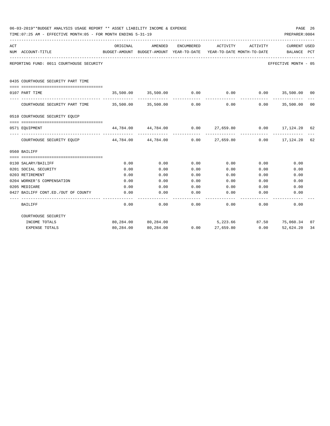|     | 06-03-2019**BUDGET ANALYSIS USAGE REPORT ** ASSET LIABILITY INCOME & EXPENSE<br>TIME: 07:25 AM - EFFECTIVE MONTH: 05 - FOR MONTH ENDING 5-31-19 |              |                                                            |                   |                  |                                        | PREPARER: 0004                                                   | PAGE 26 |
|-----|-------------------------------------------------------------------------------------------------------------------------------------------------|--------------|------------------------------------------------------------|-------------------|------------------|----------------------------------------|------------------------------------------------------------------|---------|
| ACT | NUM ACCOUNT-TITLE                                                                                                                               | ORIGINAL     | <b>AMENDED</b><br>BUDGET-AMOUNT BUDGET-AMOUNT YEAR-TO-DATE | <b>ENCUMBERED</b> | ACTIVITY         | ACTIVITY<br>YEAR-TO-DATE MONTH-TO-DATE | <b>CURRENT USED</b><br>BALANCE                                   | PCT     |
|     | REPORTING FUND: 0011 COURTHOUSE SECURITY                                                                                                        |              |                                                            |                   |                  |                                        | EFFECTIVE MONTH - 05                                             |         |
|     | 0435 COURTHOUSE SECURITY PART TIME<br>--------------------------------------                                                                    |              |                                                            |                   |                  |                                        |                                                                  |         |
|     | 0107 PART TIME                                                                                                                                  |              | 35,500.00 35,500.00 0.00                                   |                   |                  |                                        | $0.00$ $0.00$ $35,500.00$ $00$                                   |         |
|     | COURTHOUSE SECURITY PART TIME 35,500.00 35,500.00                                                                                               |              |                                                            | 0.00              | 0.00             |                                        | $0.00$ 35,500.00                                                 | 00      |
|     | 0510 COURTHOUSE SECURITY EQUIP                                                                                                                  |              |                                                            |                   |                  |                                        |                                                                  |         |
|     | 0571 EOUIPMENT                                                                                                                                  |              |                                                            |                   |                  |                                        | $44,784.00$ $44,784.00$ $0.00$ $27,659.80$ $0.00$ $17,124.20$ 62 |         |
|     | COURTHOUSE SECURITY EQUIP 44,784.00 44,784.00 0.00                                                                                              |              |                                                            |                   |                  |                                        | 27,659.80 0.00 17,124.20                                         | 62      |
|     | 0560 BAILIFF                                                                                                                                    |              |                                                            |                   |                  |                                        |                                                                  |         |
|     |                                                                                                                                                 |              |                                                            |                   |                  |                                        |                                                                  |         |
|     | 0130 SALARY/BAILIFF                                                                                                                             | 0.00         | 0.00                                                       | 0.00              | 0.00             | 0.00                                   | 0.00                                                             |         |
|     | 0201 SOCIAL SECURITY                                                                                                                            | 0.00         | 0.00                                                       | 0.00              | 0.00             | 0.00                                   | 0.00                                                             |         |
|     | 0203 RETIREMENT                                                                                                                                 | 0.00         | 0.00                                                       | 0.00              | 0.00             | 0.00                                   | 0.00                                                             |         |
|     | 0204 WORKER'S COMPENSATION<br>0205 MEDICARE                                                                                                     | 0.00<br>0.00 | 0.00<br>0.00                                               | 0.00<br>0.00      | 0.00<br>0.00     | 0.00<br>0.00                           | 0.00<br>0.00                                                     |         |
|     | 0427 BAILIFF CONT.ED./OUT OF COUNTY                                                                                                             | 0.00         | 0.00                                                       | 0.00              | 0.00             | 0.00                                   | 0.00                                                             |         |
|     |                                                                                                                                                 |              |                                                            |                   |                  |                                        |                                                                  |         |
|     | BAILIFF                                                                                                                                         | 0.00         | 0.00                                                       | 0.00              | 0.00             | 0.00                                   | 0.00                                                             |         |
|     | COURTHOUSE SECURITY                                                                                                                             |              |                                                            |                   |                  |                                        |                                                                  |         |
|     | INCOME TOTALS                                                                                                                                   |              | 80,284.00 80,284.00                                        |                   |                  |                                        | 5,223.66 87.50 75,060.34                                         | 07      |
|     | <b>EXPENSE TOTALS</b>                                                                                                                           |              | 80,284.00 80,284.00                                        |                   | $0.00$ 27,659.80 | 0.00                                   | 52,624.20                                                        | 34      |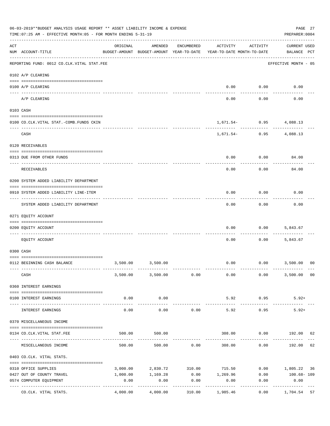|     | 06-03-2019**BUDGET ANALYSIS USAGE REPORT ** ASSET LIABILITY INCOME & EXPENSE<br>TIME: 07:25 AM - EFFECTIVE MONTH: 05 - FOR MONTH ENDING 5-31-19 |                     |                                                     |                 |                                        |                                            | PAGE 27<br>PREPARER: 0004          |
|-----|-------------------------------------------------------------------------------------------------------------------------------------------------|---------------------|-----------------------------------------------------|-----------------|----------------------------------------|--------------------------------------------|------------------------------------|
| ACT | NUM ACCOUNT-TITLE                                                                                                                               | ORIGINAL            | AMENDED<br>BUDGET-AMOUNT BUDGET-AMOUNT YEAR-TO-DATE | ENCUMBERED      | ACTIVITY<br>YEAR-TO-DATE MONTH-TO-DATE | ACTIVITY                                   | <b>CURRENT USED</b><br>BALANCE PCT |
|     | --------------------------------------<br>REPORTING FUND: 0012 CO.CLK.VITAL STAT.FEE                                                            |                     |                                                     |                 |                                        |                                            | EFFECTIVE MONTH - 05               |
|     | 0102 A/P CLEARING                                                                                                                               |                     |                                                     |                 |                                        |                                            |                                    |
|     | 0100 A/P CLEARING                                                                                                                               |                     |                                                     |                 | 0.00                                   | 0.00                                       | 0.00                               |
|     | A/P CLEARING                                                                                                                                    |                     |                                                     |                 | 0.00                                   | 0.00                                       | 0.00                               |
|     | 0103 CASH                                                                                                                                       |                     |                                                     |                 |                                        |                                            |                                    |
|     | 0100 CO.CLK.VITAL STAT.-COMB.FUNDS CKIN                                                                                                         |                     |                                                     |                 |                                        | $1,671.54-$ 0.95 4,088.13                  |                                    |
|     | CASH                                                                                                                                            |                     |                                                     |                 |                                        | ------------<br>$1,671.54 - 0.95$ 4,088.13 |                                    |
|     | 0120 RECEIVABLES                                                                                                                                |                     |                                                     |                 |                                        |                                            |                                    |
|     |                                                                                                                                                 |                     |                                                     |                 |                                        |                                            |                                    |
|     | 0313 DUE FROM OTHER FUNDS                                                                                                                       |                     |                                                     |                 | 0.00                                   | 0.00                                       | 84.00                              |
|     | <b>RECEIVABLES</b>                                                                                                                              |                     |                                                     |                 | 0.00                                   | 0.00                                       | 84.00                              |
|     | 0200 SYSTEM ADDED LIABILITY DEPARTMENT                                                                                                          |                     |                                                     |                 |                                        |                                            |                                    |
|     | 0910 SYSTEM ADDED LIABILITY LINE-ITEM                                                                                                           |                     |                                                     |                 | 0.00                                   | 0.00                                       | 0.00                               |
|     | SYSTEM ADDED LIABILITY DEPARTMENT                                                                                                               |                     |                                                     |                 | 0.00                                   | 0.00                                       | 0.00                               |
|     | 0271 EQUITY ACCOUNT                                                                                                                             |                     |                                                     |                 |                                        |                                            |                                    |
|     | 0200 EQUITY ACCOUNT                                                                                                                             |                     |                                                     |                 | 0.00                                   | 0.00                                       | 5,843.67                           |
|     | EQUITY ACCOUNT                                                                                                                                  |                     |                                                     |                 | 0.00                                   | 0.00                                       | 5,843.67                           |
|     | 0300 CASH                                                                                                                                       |                     |                                                     |                 |                                        |                                            |                                    |
|     | 0112 BEGINNING CASH BALANCE                                                                                                                     | 3,500.00            | 3,500.00                                            |                 | 0.00                                   |                                            | $0.00$ 3,500.00<br>0 <sup>0</sup>  |
|     |                                                                                                                                                 |                     |                                                     |                 |                                        |                                            |                                    |
|     | CASH                                                                                                                                            |                     | 3,500.00 3,500.00 0.00                              |                 | 0.00                                   | 0.00                                       | 3,500.00 00                        |
|     | 0360 INTEREST EARNINGS                                                                                                                          |                     |                                                     |                 |                                        |                                            |                                    |
|     | 0100 INTEREST EARNINGS                                                                                                                          | 0.00                | 0.00                                                |                 | 5.92                                   | 0.95                                       | $5.92+$                            |
|     |                                                                                                                                                 | $- - - - -$<br>0.00 | ----------<br>0.00                                  | 0.00            | 5.92                                   | 0.95                                       | $5.92+$                            |
|     | INTEREST EARNINGS                                                                                                                               |                     |                                                     |                 |                                        |                                            |                                    |
|     | 0370 MISCELLANEOUS INCOME                                                                                                                       |                     |                                                     |                 |                                        |                                            |                                    |
|     | 0134 CO. CLK. VITAL STAT. FEE                                                                                                                   | 500.00              | 500.00                                              |                 | 308.00                                 |                                            | $0.00$ 192.00<br>62                |
|     | MISCELLANEOUS INCOME                                                                                                                            |                     | 500.00<br>500.00                                    | 0.00            | 308.00                                 | 0.00                                       | 62<br>192.00                       |
|     | 0403 CO.CLK. VITAL STATS.                                                                                                                       |                     |                                                     |                 |                                        |                                            |                                    |
|     |                                                                                                                                                 | 3,000.00            |                                                     | 2,830.72 310.00 | 715.50                                 |                                            | $0.00$ 1,805.22 36                 |
|     | 0310 OFFICE SUPPLIES<br>0427 OUT OF COUNTY TRAVEL                                                                                               | 1,000.00            | 1,169.28                                            |                 | $0.00$ 1,269.96                        | 0.00                                       | 100.68- 109                        |
|     | 0574 COMPUTER EQUIPMENT                                                                                                                         | 0.00                | 0.00                                                | 0.00            | 0.00                                   | 0.00                                       | 0.00                               |
|     | ---- -----------------<br>---------------- --------------<br>CO.CLK. VITAL STATS.                                                               | 4,000.00            | 4,000.00                                            | 310.00          | 1,985.46                               | 0.00                                       | 1,704.54<br>57                     |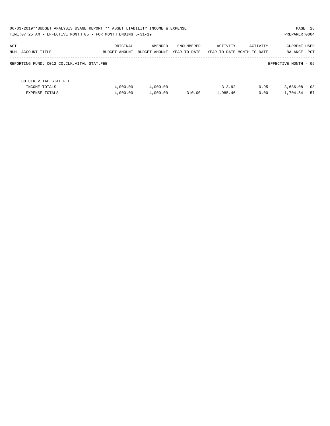| 06-03-2019**BUDGET ANALYSIS USAGE REPORT ** ASSET LIABILITY INCOME & EXPENSE<br>TIME: 07:25 AM - EFFECTIVE MONTH: 05 - FOR MONTH ENDING 5-31-19 |                           |                          |                            |          |                                        | PAGE 28<br>PREPARER: 0004             |
|-------------------------------------------------------------------------------------------------------------------------------------------------|---------------------------|--------------------------|----------------------------|----------|----------------------------------------|---------------------------------------|
| ACT<br>NUM ACCOUNT-TITLE                                                                                                                        | ORIGINAL<br>BUDGET-AMOUNT | AMENDED<br>BUDGET-AMOUNT | ENCUMBERED<br>YEAR-TO-DATE | ACTIVITY | ACTIVITY<br>YEAR-TO-DATE MONTH-TO-DATE | <b>CURRENT USED</b><br>PCT<br>BALANCE |
| REPORTING FUND: 0012 CO.CLK.VITAL STAT.FEE                                                                                                      |                           |                          |                            |          |                                        | EFFECTIVE MONTH - 05                  |
| CO. CLK. VITAL STAT. FEE<br>INCOME TOTALS                                                                                                       | 4,000.00                  | 4,000.00                 |                            | 313.92   | 0.95                                   | 08<br>3,686.08                        |
| <b>EXPENSE TOTALS</b>                                                                                                                           | 4,000.00                  | 4,000.00                 | 310.00                     | 1,985.46 | 0.00                                   | 57<br>1,704.54                        |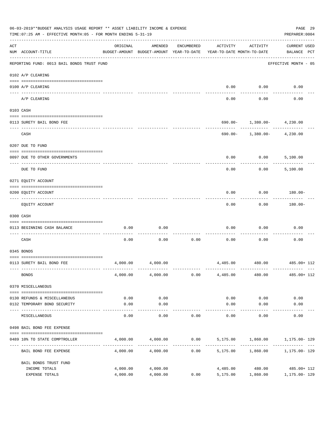|     | 06-03-2019**BUDGET ANALYSIS USAGE REPORT ** ASSET LIABILITY INCOME & EXPENSE<br>TIME: 07:25 AM - EFFECTIVE MONTH: 05 - FOR MONTH ENDING 5-31-19 |                      |                                                     |            |                                               |                                                          | PAGE 29<br>PREPARER: 0004                     |  |
|-----|-------------------------------------------------------------------------------------------------------------------------------------------------|----------------------|-----------------------------------------------------|------------|-----------------------------------------------|----------------------------------------------------------|-----------------------------------------------|--|
| ACT | NUM ACCOUNT-TITLE                                                                                                                               | ORIGINAL             | AMENDED<br>BUDGET-AMOUNT BUDGET-AMOUNT YEAR-TO-DATE | ENCUMBERED | ACTIVITY<br>YEAR-TO-DATE MONTH-TO-DATE        | ACTIVITY                                                 | <b>CURRENT USED</b><br>BALANCE PCT            |  |
|     | REPORTING FUND: 0013 BAIL BONDS TRUST FUND                                                                                                      |                      |                                                     |            |                                               |                                                          | EFFECTIVE MONTH - 05                          |  |
|     | 0102 A/P CLEARING                                                                                                                               |                      |                                                     |            |                                               |                                                          |                                               |  |
|     | 0100 A/P CLEARING                                                                                                                               |                      |                                                     |            | 0.00                                          | 0.00                                                     | 0.00                                          |  |
|     | ---- -------<br>A/P CLEARING                                                                                                                    |                      |                                                     |            | 0.00                                          | 0.00                                                     | 0.00                                          |  |
|     | 0103 CASH                                                                                                                                       |                      |                                                     |            |                                               |                                                          |                                               |  |
|     | 0113 SURETY BAIL BOND FEE                                                                                                                       |                      |                                                     |            |                                               | $690.00 - 1,380.00 - 4,230.00$                           |                                               |  |
|     | CASH                                                                                                                                            |                      |                                                     |            |                                               | ----------- ----------<br>$690.00 - 1,380.00 - 4,230.00$ |                                               |  |
|     | 0207 DUE TO FUND                                                                                                                                |                      |                                                     |            |                                               |                                                          |                                               |  |
|     | 0097 DUE TO OTHER GOVERNMENTS                                                                                                                   |                      |                                                     |            | 0.00                                          | 0.00                                                     | 5,100.00                                      |  |
|     | DUE TO FUND                                                                                                                                     |                      |                                                     |            | 0.00                                          | 0.00                                                     | 5,100.00                                      |  |
|     | 0271 EQUITY ACCOUNT                                                                                                                             |                      |                                                     |            |                                               |                                                          |                                               |  |
|     | 0200 EQUITY ACCOUNT                                                                                                                             |                      |                                                     |            | 0.00                                          | 0.00                                                     | 180.00-                                       |  |
|     | EQUITY ACCOUNT                                                                                                                                  |                      |                                                     |            | 0.00                                          | 0.00                                                     | 180.00-                                       |  |
|     | 0300 CASH                                                                                                                                       |                      |                                                     |            |                                               |                                                          |                                               |  |
|     | 0113 BEGINNING CASH BALANCE                                                                                                                     | 0.00                 | 0.00                                                |            | 0.00                                          | 0.00                                                     | 0.00                                          |  |
|     | CASH                                                                                                                                            | 0.00                 | 0.00                                                | 0.00       | 0.00                                          | 0.00                                                     | 0.00                                          |  |
|     | 0345 BONDS                                                                                                                                      |                      |                                                     |            |                                               |                                                          |                                               |  |
|     | 0113 SURETY BAIL BOND FEE                                                                                                                       | 4,000.00             | 4,000.00                                            |            |                                               |                                                          | 4,485.00 480.00 485.00 + 112                  |  |
|     | <b>BONDS</b>                                                                                                                                    |                      | $4,000.00$ $4,000.00$                               | 0.00       | 4,485.00                                      | 480.00                                                   | 485.00+ 112                                   |  |
|     | 0370 MISCELLANEOUS                                                                                                                              |                      |                                                     |            |                                               |                                                          |                                               |  |
|     | 0130 REFUNDS & MISCELLANEOUS                                                                                                                    | 0.00                 | 0.00                                                |            | 0.00                                          | 0.00                                                     | 0.00                                          |  |
|     | 0132 TEMPORARY BOND SECURITY                                                                                                                    | 0.00                 | 0.00                                                |            | 0.00                                          | 0.00                                                     | 0.00                                          |  |
|     | MISCELLANEOUS                                                                                                                                   | 0.00                 | ----------<br>0.00                                  | 0.00       | 0.00                                          | ---------<br>0.00                                        | 0.00                                          |  |
|     | 0498 BAIL BOND FEE EXPENSE                                                                                                                      |                      |                                                     |            |                                               |                                                          |                                               |  |
|     | 0489 10% TO STATE COMPTROLLER                                                                                                                   |                      | 4,000.00 4,000.00                                   |            | $0.00$ $5,175.00$ $1,860.00$ $1,175.00$ $129$ |                                                          |                                               |  |
|     | BAIL BOND FEE EXPENSE                                                                                                                           | 4,000.00             | 4,000.00                                            | 0.00       |                                               | 5,175.00 1,860.00                                        | 1,175.00- 129                                 |  |
|     | BAIL BONDS TRUST FUND                                                                                                                           |                      |                                                     |            |                                               |                                                          |                                               |  |
|     | INCOME TOTALS<br>EXPENSE TOTALS                                                                                                                 | 4,000.00<br>4,000.00 | 4,000.00<br>4,000.00                                | 0.00       | 5,175.00                                      | 1,860.00                                                 | 4,485.00 480.00 485.00 + 112<br>1,175.00- 129 |  |
|     |                                                                                                                                                 |                      |                                                     |            |                                               |                                                          |                                               |  |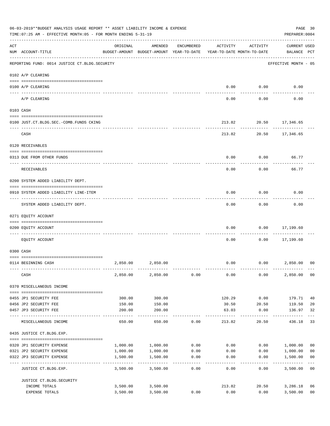|     | 06-03-2019**BUDGET ANALYSIS USAGE REPORT ** ASSET LIABILITY INCOME & EXPENSE<br>TIME: 07:25 AM - EFFECTIVE MONTH: 05 - FOR MONTH ENDING 5-31-19 |          |                                                     |                    |                                        |                     | PREPARER: 0004                     | PAGE 30                 |
|-----|-------------------------------------------------------------------------------------------------------------------------------------------------|----------|-----------------------------------------------------|--------------------|----------------------------------------|---------------------|------------------------------------|-------------------------|
| ACT | NUM ACCOUNT-TITLE                                                                                                                               | ORIGINAL | AMENDED<br>BUDGET-AMOUNT BUDGET-AMOUNT YEAR-TO-DATE | ENCUMBERED         | ACTIVITY<br>YEAR-TO-DATE MONTH-TO-DATE | ACTIVITY            | <b>CURRENT USED</b><br>BALANCE PCT |                         |
|     | REPORTING FUND: 0014 JUSTICE CT. BLDG. SECURITY                                                                                                 |          |                                                     |                    |                                        |                     | EFFECTIVE MONTH - 05               |                         |
|     | 0102 A/P CLEARING                                                                                                                               |          |                                                     |                    |                                        |                     |                                    |                         |
|     | 0100 A/P CLEARING                                                                                                                               |          |                                                     |                    | 0.00                                   | 0.00                | 0.00                               |                         |
|     | ---- ---------<br>A/P CLEARING                                                                                                                  |          |                                                     |                    | 0.00                                   | 0.00                | 0.00                               |                         |
|     | 0103 CASH                                                                                                                                       |          |                                                     |                    |                                        |                     |                                    |                         |
|     | 0100 JUST.CT.BLDG.SEC.-COMB.FUNDS CKING                                                                                                         |          |                                                     |                    | 213.82                                 |                     | 20.50 17,346.65                    |                         |
|     | CASH                                                                                                                                            |          |                                                     |                    | 213.82                                 |                     | 20.50 17,346.65                    |                         |
|     | 0120 RECEIVABLES                                                                                                                                |          |                                                     |                    |                                        |                     |                                    |                         |
|     | 0313 DUE FROM OTHER FUNDS                                                                                                                       |          |                                                     |                    | 0.00                                   | 0.00                | 66.77                              |                         |
|     | RECEIVABLES                                                                                                                                     |          |                                                     |                    | 0.00                                   | 0.00                | 66.77                              |                         |
|     | 0200 SYSTEM ADDED LIABILITY DEPT.                                                                                                               |          |                                                     |                    |                                        |                     |                                    |                         |
|     | 0910 SYSTEM ADDED LIABILITY LINE-ITEM                                                                                                           |          |                                                     |                    | 0.00                                   | 0.00                | 0.00                               |                         |
|     | SYSTEM ADDED LIABILITY DEPT.                                                                                                                    |          |                                                     |                    | 0.00                                   | 0.00                | 0.00                               |                         |
|     | 0271 EQUITY ACCOUNT                                                                                                                             |          |                                                     |                    |                                        |                     |                                    |                         |
|     | 0200 EQUITY ACCOUNT                                                                                                                             |          |                                                     |                    | 0.00                                   | 0.00                | 17,199.60<br>--------              |                         |
|     | EQUITY ACCOUNT                                                                                                                                  |          |                                                     |                    | 0.00                                   | 0.00                | 17,199.60                          |                         |
|     | 0300 CASH                                                                                                                                       |          |                                                     |                    |                                        |                     |                                    |                         |
|     | 0114 BEGINNING CASH                                                                                                                             | 2,850.00 | 2,850.00                                            |                    | 0.00                                   |                     | 0.00<br>2,850.00                   | 0 <sup>0</sup>          |
|     | CASH                                                                                                                                            | 2,850.00 | 2,850.00                                            | 0.00               | 0.00                                   | 0.00                | 2,850,00 00                        |                         |
|     | 0370 MISCELLANEOUS INCOME                                                                                                                       |          |                                                     |                    |                                        |                     |                                    |                         |
|     | 0455 JP1 SECURITY FEE                                                                                                                           | 300.00   | 300.00                                              |                    | 120.29                                 | 0.00                | 179.71                             | 40                      |
|     | 0456 JP2 SECURITY FEE                                                                                                                           | 150.00   | 150.00                                              |                    | 30.50                                  | 20.50               | 119.50                             | 20                      |
|     | 0457 JP3 SECURITY FEE                                                                                                                           | 200.00   | 200.00<br>-----------                               |                    | 63.03<br>-----------                   | 0.00<br>----------- | 136.97<br>------------             | 32<br>$---$             |
|     | MISCELLANEOUS INCOME                                                                                                                            | 650.00   | 650.00                                              | 0.00               | 213.82                                 | 20.50               | 436.18                             | 33                      |
|     | 0435 JUSTICE CT.BLDG.EXP.                                                                                                                       |          |                                                     |                    |                                        |                     |                                    |                         |
|     | 0320 JP1 SECURITY EXPENSE                                                                                                                       |          | 1,000.00 1,000.00                                   |                    | $0.00$ 0.00                            |                     | 0.00 1,000.00                      | 0 <sub>0</sub>          |
|     | 0321 JP2 SECURITY EXPENSE                                                                                                                       | 1,000.00 | 1,000.00                                            | 0.00               | 0.00                                   |                     | 0.00<br>1,000.00                   | 0 <sub>0</sub>          |
|     | 0322 JP3 SECURITY EXPENSE                                                                                                                       | 1,500.00 | 1,500.00<br>-----------                             | 0.00<br>---------- | 0.00                                   | 0.00                | 1,500.00                           | 0 <sub>0</sub><br>$---$ |
|     | JUSTICE CT.BLDG.EXP.                                                                                                                            | 3,500.00 | 3,500.00                                            | 0.00               | 0.00                                   | 0.00                | 3,500.00 00                        |                         |
|     | JUSTICE CT. BLDG. SECURITY                                                                                                                      |          |                                                     |                    |                                        |                     |                                    |                         |
|     | INCOME TOTALS                                                                                                                                   |          | 3,500.00 3,500.00                                   |                    | 213.82                                 |                     | 20.50<br>3,286.18                  | 06                      |
|     | EXPENSE TOTALS                                                                                                                                  | 3,500.00 | 3,500.00                                            | 0.00               | 0.00                                   | 0.00                | 3,500.00                           | 0 <sub>0</sub>          |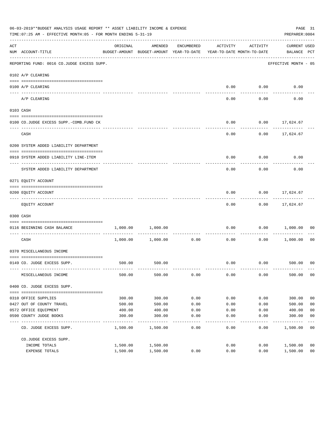|                    | 06-03-2019**BUDGET ANALYSIS USAGE REPORT ** ASSET LIABILITY INCOME & EXPENSE<br>TIME: 07:25 AM - EFFECTIVE MONTH: 05 - FOR MONTH ENDING 5-31-19 |          |                                                     |                      |                                        |             | PREPARER: 0004                     | PAGE 31        |
|--------------------|-------------------------------------------------------------------------------------------------------------------------------------------------|----------|-----------------------------------------------------|----------------------|----------------------------------------|-------------|------------------------------------|----------------|
| $\mathop{\rm ACT}$ | NUM ACCOUNT-TITLE                                                                                                                               | ORIGINAL | AMENDED<br>BUDGET-AMOUNT BUDGET-AMOUNT YEAR-TO-DATE | ENCUMBERED           | ACTIVITY<br>YEAR-TO-DATE MONTH-TO-DATE | ACTIVITY    | <b>CURRENT USED</b><br>BALANCE PCT |                |
|                    | REPORTING FUND: 0016 CO.JUDGE EXCESS SUPP.                                                                                                      |          |                                                     |                      |                                        |             | EFFECTIVE MONTH - 05               |                |
|                    | 0102 A/P CLEARING                                                                                                                               |          |                                                     |                      |                                        |             |                                    |                |
|                    | 0100 A/P CLEARING                                                                                                                               |          |                                                     |                      |                                        | $0.00$ 0.00 | 0.00                               |                |
|                    | ---- ---------<br>A/P CLEARING                                                                                                                  |          |                                                     |                      | 0.00                                   | 0.00        | 0.00                               |                |
|                    | 0103 CASH                                                                                                                                       |          |                                                     |                      |                                        |             |                                    |                |
|                    | 0100 CO.JUDGE EXCESS SUPP.-COMB.FUND CK                                                                                                         |          |                                                     |                      | 0.00                                   |             | $0.00$ 17,624.67                   |                |
|                    | CASH                                                                                                                                            |          |                                                     |                      | 0.00                                   |             | $0.00$ 17,624.67                   |                |
|                    | 0200 SYSTEM ADDED LIABILITY DEPARTMENT                                                                                                          |          |                                                     |                      |                                        |             |                                    |                |
|                    | 0910 SYSTEM ADDED LIABILITY LINE-ITEM                                                                                                           |          |                                                     |                      | 0.00                                   | 0.00        | 0.00                               |                |
|                    | SYSTEM ADDED LIABILITY DEPARTMENT                                                                                                               |          |                                                     |                      | 0.00                                   | 0.00        | 0.00                               |                |
|                    | 0271 EQUITY ACCOUNT                                                                                                                             |          |                                                     |                      |                                        |             |                                    |                |
|                    | 0200 EQUITY ACCOUNT                                                                                                                             |          |                                                     |                      | 0.00                                   |             | $0.00$ 17,624.67                   |                |
|                    | EQUITY ACCOUNT                                                                                                                                  |          |                                                     |                      | 0.00                                   |             | $0.00$ 17,624.67                   |                |
|                    | 0300 CASH                                                                                                                                       |          |                                                     |                      |                                        |             |                                    |                |
|                    | 0116 BEGINNING CASH BALANCE                                                                                                                     | 1,000.00 | 1,000.00                                            |                      | 0.00                                   | 0.00        | 1,000.00                           | 00             |
|                    | ---------------------------- ---<br>CASH                                                                                                        |          | 1,000.00 1,000.00                                   | . <u>.</u> .<br>0.00 | 0.00                                   | 0.00        | 1,000.00                           | 00             |
|                    | 0370 MISCELLANEOUS INCOME                                                                                                                       |          |                                                     |                      |                                        |             |                                    |                |
|                    | 0149 CO. JUDGE EXCESS SUPP.                                                                                                                     |          | 500.00 500.00                                       |                      |                                        |             | $0.00$ $0.00$ $500.00$ 00          |                |
|                    | MISCELLANEOUS INCOME                                                                                                                            | 500.00   | 500.00                                              | 0.00                 | 0.00                                   | 0.00        | 500.00                             | 0 <sub>0</sub> |
|                    | 0400 CO. JUDGE EXCESS SUPP.                                                                                                                     |          |                                                     |                      |                                        |             |                                    |                |
|                    | 0310 OFFICE SUPPLIES                                                                                                                            | 300.00   | 300.00                                              | 0.00                 | 0.00                                   | 0.00        | 300.00                             | 0 <sub>0</sub> |
|                    | 0427 OUT OF COUNTY TRAVEL                                                                                                                       | 500.00   | 500.00                                              | 0.00                 | 0.00                                   | 0.00        | 500.00                             | 0 <sub>0</sub> |
|                    | 0572 OFFICE EQUIPMENT                                                                                                                           | 400.00   | 400.00                                              | 0.00                 | 0.00                                   | 0.00        | 400.00                             | 0 <sub>0</sub> |
|                    | 0590 COUNTY JUDGE BOOKS                                                                                                                         | 300.00   | 300.00                                              | 0.00                 | 0.00                                   | 0.00        | 300.00                             | 0 <sub>0</sub> |
|                    | CO. JUDGE EXCESS SUPP.                                                                                                                          | 1,500.00 | 1,500.00                                            | 0.00                 | 0.00                                   | 0.00        | 1,500.00                           | 0 <sub>0</sub> |
|                    | CO.JUDGE EXCESS SUPP.                                                                                                                           |          |                                                     |                      |                                        |             |                                    |                |
|                    | INCOME TOTALS                                                                                                                                   | 1,500.00 | 1,500.00                                            |                      | 0.00                                   | 0.00        | 1,500.00                           | 0 <sub>0</sub> |
|                    | EXPENSE TOTALS                                                                                                                                  | 1,500.00 | 1,500.00                                            | 0.00                 | 0.00                                   | 0.00        | 1,500.00                           | 0 <sub>0</sub> |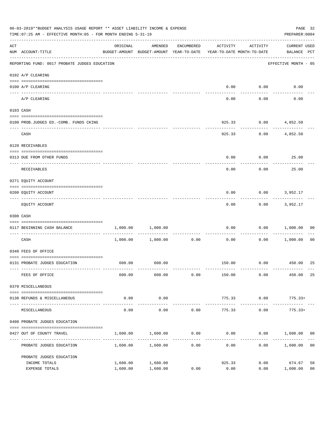|     | 06-03-2019**BUDGET ANALYSIS USAGE REPORT ** ASSET LIABILITY INCOME & EXPENSE<br>TIME: 07:25 AM - EFFECTIVE MONTH: 05 - FOR MONTH ENDING 5-31-19 |          |                                                                                |            |                          |                    | PREPARER: 0004                     | PAGE 32        |
|-----|-------------------------------------------------------------------------------------------------------------------------------------------------|----------|--------------------------------------------------------------------------------|------------|--------------------------|--------------------|------------------------------------|----------------|
| ACT | NUM ACCOUNT-TITLE                                                                                                                               | ORIGINAL | AMENDED<br>BUDGET-AMOUNT BUDGET-AMOUNT YEAR-TO-DATE YEAR-TO-DATE MONTH-TO-DATE | ENCUMBERED | ACTIVITY                 | ACTIVITY           | <b>CURRENT USED</b><br>BALANCE PCT |                |
|     | --------------------------------------<br>REPORTING FUND: 0017 PROBATE JUDGES EDUCATION                                                         |          |                                                                                |            |                          |                    | EFFECTIVE MONTH - 05               |                |
|     | 0102 A/P CLEARING                                                                                                                               |          |                                                                                |            |                          |                    |                                    |                |
|     | 0100 A/P CLEARING                                                                                                                               |          |                                                                                |            | 0.00                     | 0.00               | 0.00                               |                |
|     | _____ _____________<br>A/P CLEARING                                                                                                             |          |                                                                                |            | 0.00                     | 0.00               | 0.00                               |                |
|     | 0103 CASH                                                                                                                                       |          |                                                                                |            |                          |                    |                                    |                |
|     | 0100 PROB.JUDGES ED.-COMB. FUNDS CKING                                                                                                          |          |                                                                                |            | 925.33                   |                    | $0.00$ 4,852.50                    |                |
|     | CASH                                                                                                                                            |          |                                                                                |            | 925.33                   | 0.00               | 4,852.50                           |                |
|     | 0120 RECEIVABLES                                                                                                                                |          |                                                                                |            |                          |                    |                                    |                |
|     | 0313 DUE FROM OTHER FUNDS                                                                                                                       |          |                                                                                |            | 0.00                     | 0.00               | 25.00                              |                |
|     | RECEIVABLES                                                                                                                                     |          |                                                                                |            | 0.00                     | 0.00               | 25.00                              |                |
|     | 0271 EQUITY ACCOUNT                                                                                                                             |          |                                                                                |            |                          |                    |                                    |                |
|     | 0200 EQUITY ACCOUNT                                                                                                                             |          |                                                                                |            | 0.00                     | 0.00               | 3,952.17                           |                |
|     | EQUITY ACCOUNT                                                                                                                                  |          |                                                                                |            | 0.00                     |                    | 0.00<br>3,952.17                   |                |
|     | 0300 CASH                                                                                                                                       |          |                                                                                |            |                          |                    |                                    |                |
|     | 0117 BEGINNING CASH BALANCE                                                                                                                     | 1,000.00 | 1,000.00                                                                       |            | 0.00                     | 0.00               | 1,000.00                           | 00             |
|     | ------------------------------<br>CASH                                                                                                          |          | 1,000.00 1,000.00                                                              | 0.00       | 0.00                     | 0.00               | 1,000.00                           | 0 <sub>0</sub> |
|     | 0340 FEES OF OFFICE                                                                                                                             |          |                                                                                |            |                          |                    |                                    |                |
|     | 0131 PROBATE JUDGES EDUCATION                                                                                                                   | 600.00   | 600.00                                                                         |            |                          |                    | 150.00 0.00 450.00                 | 25             |
|     | FEES OF OFFICE                                                                                                                                  | 600.00   | 600.00                                                                         | 0.00       | 150.00                   | 0.00               | 450.00                             | 25             |
|     | 0370 MISCELLANEOUS                                                                                                                              |          |                                                                                |            |                          |                    |                                    |                |
|     | 0130 REFUNDS & MISCELLANEOUS                                                                                                                    | 0.00     | 0.00                                                                           |            | 775.33                   | 0.00               | $775.33+$                          |                |
|     | MISCELLANEOUS                                                                                                                                   | 0.00     | -----------<br>0.00                                                            | 0.00       | --------------<br>775.33 | ----------<br>0.00 | $775.33+$                          |                |
|     | 0400 PROBATE JUDGES EDUCATION                                                                                                                   |          |                                                                                |            |                          |                    |                                    |                |
|     | 0427 OUT OF COUNTY TRAVEL                                                                                                                       | 1,600.00 | 1,600.00                                                                       | 0.00       | 0.00                     |                    | $0.00$ 1,600.00 00                 |                |
|     | PROBATE JUDGES EDUCATION                                                                                                                        |          | 1,600.00 1,600.00                                                              | 0.00       | 0.00                     |                    | 0.00 1,600.00                      | 0 <sub>0</sub> |
|     | PROBATE JUDGES EDUCATION                                                                                                                        |          |                                                                                |            |                          |                    |                                    |                |
|     | INCOME TOTALS                                                                                                                                   | 1,600.00 | 1,600.00                                                                       |            | 925.33                   | 0.00               | 674.67                             | 58             |
|     | EXPENSE TOTALS                                                                                                                                  | 1,600.00 | 1,600.00                                                                       | 0.00       | 0.00                     | 0.00               | 1,600.00                           | 0 <sub>0</sub> |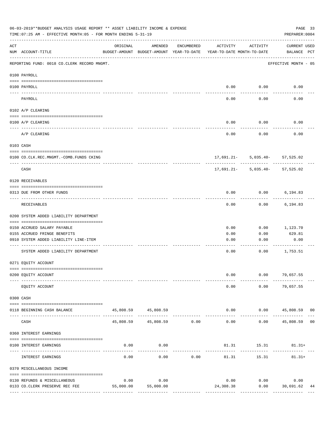|     | 06-03-2019**BUDGET ANALYSIS USAGE REPORT ** ASSET LIABILITY INCOME & EXPENSE<br>TIME: 07:25 AM - EFFECTIVE MONTH: 05 - FOR MONTH ENDING 5-31-19 |           |                                                     |               |                                        |                                    | PAGE 33<br>PREPARER: 0004                            |
|-----|-------------------------------------------------------------------------------------------------------------------------------------------------|-----------|-----------------------------------------------------|---------------|----------------------------------------|------------------------------------|------------------------------------------------------|
| ACT | NUM ACCOUNT-TITLE                                                                                                                               | ORIGINAL  | AMENDED<br>BUDGET-AMOUNT BUDGET-AMOUNT YEAR-TO-DATE | ENCUMBERED    | ACTIVITY<br>YEAR-TO-DATE MONTH-TO-DATE | ACTIVITY                           | <b>CURRENT USED</b><br>BALANCE PCT                   |
|     | REPORTING FUND: 0018 CO.CLERK RECORD MNGMT.                                                                                                     |           |                                                     |               |                                        |                                    | EFFECTIVE MONTH - 05                                 |
|     | 0100 PAYROLL                                                                                                                                    |           |                                                     |               |                                        |                                    |                                                      |
|     | 0100 PAYROLL                                                                                                                                    |           |                                                     |               | 0.00                                   | 0.00                               | 0.00                                                 |
|     | PAYROLL                                                                                                                                         |           |                                                     |               | 0.00                                   | 0.00                               | 0.00                                                 |
|     | 0102 A/P CLEARING                                                                                                                               |           |                                                     |               |                                        |                                    |                                                      |
|     | 0100 A/P CLEARING                                                                                                                               |           |                                                     |               | 0.00                                   | 0.00                               | 0.00                                                 |
|     | A/P CLEARING                                                                                                                                    |           |                                                     |               | 0.00                                   | 0.00                               | 0.00                                                 |
|     | 0103 CASH                                                                                                                                       |           |                                                     |               |                                        |                                    |                                                      |
|     | 0100 CO.CLK.REC.MNGMT.-COMB.FUNDS CKING                                                                                                         |           |                                                     |               |                                        | 17,691.21- 5,035.40- 57,525.02     |                                                      |
|     | --------------------------------<br>CASH                                                                                                        |           |                                                     |               |                                        | $17,691.21 - 5,035.40 - 57,525.02$ |                                                      |
|     | 0120 RECEIVABLES                                                                                                                                |           |                                                     |               |                                        |                                    |                                                      |
|     | 0313 DUE FROM OTHER FUNDS                                                                                                                       |           |                                                     |               | 0.00                                   | 0.00                               | 6,194.83                                             |
|     | RECEIVABLES                                                                                                                                     |           |                                                     |               | 0.00                                   | 0.00                               | 6,194.83                                             |
|     | 0200 SYSTEM ADDED LIABILITY DEPARTMENT                                                                                                          |           |                                                     |               |                                        |                                    |                                                      |
|     | 0150 ACCRUED SALARY PAYABLE                                                                                                                     |           |                                                     |               | 0.00                                   | 0.00                               | 1,123.70                                             |
|     | 0155 ACCRUED FRINGE BENEFITS<br>0910 SYSTEM ADDED LIABILITY LINE-ITEM                                                                           |           |                                                     |               | 0.00<br>0.00                           | 0.00<br>0.00                       | 629.81<br>0.00                                       |
|     |                                                                                                                                                 |           |                                                     |               |                                        |                                    |                                                      |
|     | SYSTEM ADDED LIABILITY DEPARTMENT                                                                                                               |           |                                                     |               | 0.00                                   | 0.00                               | 1,753.51                                             |
|     | 0271 EQUITY ACCOUNT                                                                                                                             |           |                                                     |               |                                        |                                    |                                                      |
|     | 0200 EQUITY ACCOUNT                                                                                                                             |           |                                                     |               | 0.00                                   |                                    | $0.00$ 79,657.55                                     |
|     | EQUITY ACCOUNT                                                                                                                                  |           |                                                     |               | 0.00                                   | 0.00                               | 79,657.55                                            |
|     | 0300 CASH                                                                                                                                       |           |                                                     |               |                                        |                                    |                                                      |
|     | 0118 BEGINNING CASH BALANCE                                                                                                                     |           | 45,808.59 45,808.59<br>______________               |               | 0.00                                   |                                    | $0.00$ 45,808.59 00<br>. _ _ _ _ _ _ _ _ _ _ _ _ _ _ |
|     | CASH                                                                                                                                            |           | 45,808.59 45,808.59 0.00                            | ------------- | --------------<br>0.00                 | . <u>.</u> .<br>0.00               | 45,808.59 00                                         |
|     | 0360 INTEREST EARNINGS                                                                                                                          |           |                                                     |               |                                        |                                    |                                                      |
|     | 0100 INTEREST EARNINGS                                                                                                                          | 0.00      | 0.00                                                |               | ---------                              | 81.31 15.31                        | $81.31+$                                             |
|     | INTEREST EARNINGS                                                                                                                               | 0.00      | 0.00                                                | 0.00          | 81.31                                  | 15.31                              | $81.31+$                                             |
|     | 0370 MISCELLANEOUS INCOME                                                                                                                       |           |                                                     |               |                                        |                                    |                                                      |
|     | 0130 REFUNDS & MISCELLANEOUS                                                                                                                    | 0.00      | 0.00                                                |               | 0.00                                   | 0.00                               | 0.00                                                 |
|     | 0133 CO. CLERK PRESERVE REC FEE                                                                                                                 | 55,000.00 | 55,000.00                                           |               | 24,308.38                              | 0.00                               | 30,691.62<br>44                                      |
|     |                                                                                                                                                 |           |                                                     |               |                                        |                                    | --------------                                       |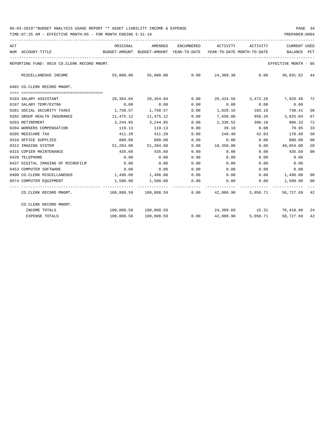| ACT |                                             | ORIGINAL                                 | AMENDED               | ENCUMBERED                    | ACTIVITY                   | ACTIVITY | <b>CURRENT USED</b>                                                 |                |  |  |
|-----|---------------------------------------------|------------------------------------------|-----------------------|-------------------------------|----------------------------|----------|---------------------------------------------------------------------|----------------|--|--|
|     | NUM ACCOUNT-TITLE                           | BUDGET-AMOUNT BUDGET-AMOUNT YEAR-TO-DATE |                       |                               | YEAR-TO-DATE MONTH-TO-DATE |          | BALANCE                                                             | PCT            |  |  |
|     | REPORTING FUND: 0018 CO.CLERK RECORD MNGMT. |                                          |                       |                               |                            |          | EFFECTIVE MONTH - 05                                                |                |  |  |
|     | MISCELLANEOUS INCOME                        | 55,000.00                                |                       |                               |                            |          | 55,000.00   0.00   24,308.38   0.00   30,691.62   44                |                |  |  |
|     | 0402 CO.CLERK RECORD MNGMT.                 |                                          |                       |                               |                            |          |                                                                     |                |  |  |
|     |                                             |                                          |                       |                               |                            |          |                                                                     |                |  |  |
|     | 0103 SALARY ASSISTANT                       | 28,364.04                                | 28,364.04             | 0.00                          |                            |          | 20,434.56 3,472.26 7,929.48                                         | 72             |  |  |
|     | 0107 SALARY TEMP/EXTRA                      | 0.00                                     | 0.00                  | 0.00                          |                            |          | $0.00$ $0.00$ $0.00$ $0.00$                                         |                |  |  |
|     | 0201 SOCIAL SECURITY TAXES                  | 1,758.57                                 | 1,758.57              | 0.00                          | 1,028.16 183.18            |          | 730.41                                                              | 58             |  |  |
|     | 0202 GROUP HEALTH INSURANCE                 | 11,475.12                                | 11,475.12             | 0.00                          | 7,650.08                   | 956.26   | 3,825.04                                                            | 67             |  |  |
|     | 0203 RETIREMENT                             | 3,244.85                                 | 3,244.85              | 0.00                          | 2,338.52                   | 396.18   | 906.33                                                              | 72             |  |  |
|     | 0204 WORKERS COMPENSATION                   | 119.13                                   | 119.13                | 0.00                          | 39.18                      | 0.00     | 79.95                                                               | 33             |  |  |
|     | 0205 MEDICARE TAX                           | 411.28                                   | 411.28                | 0.00                          | 240.40                     | 42.83    | 170.88                                                              | 58             |  |  |
|     | 0310 OFFICE SUPPLIES                        | 800.00                                   | 800.00                | 0.00                          | 0.00                       | 0.00     | 800.00                                                              | 0 <sup>0</sup> |  |  |
|     | 0312 IMAGING SYSTEM                         |                                          | 51,204.00 51,204.00   | 0.00                          |                            |          | 10,350.00   0.00   40,854.00                                        | 20             |  |  |
|     | 0315 COPIER MAINTENANCE                     | 435.60                                   | 435.60                | 0.00                          | 0.00                       | 0.00     | 435.60                                                              | 00             |  |  |
|     | 0420 TELEPHONE                              | 0.00                                     | 0.00                  | 0.00                          | 0.00                       | 0.00     | 0.00                                                                |                |  |  |
|     | 0437 DIGITAL IMAGING OF MICROFILM           | 0.00                                     | 0.00                  | 0.00                          | 0.00                       | 0.00     | 0.00                                                                |                |  |  |
|     | 0453 COMPUTER SOFTWARE                      | 0.00                                     | 0.00                  | 0.00                          | 0.00                       | 0.00     | 0.00                                                                |                |  |  |
|     | 0490 CO. CLERK MISCELLANEOUS                | $1,496.00$ $1,496.00$ $0.00$             |                       |                               |                            |          | $0.00$ $0.00$ $1,496.00$                                            | 00             |  |  |
|     | 0574 COMPUTER EQUIPMENT                     | 1,500.00                                 | 1,500.00              | 0.00                          |                            |          | $0.00$ $0.00$ $1,500.00$                                            | 00             |  |  |
|     | CO.CLERK RECORD MNGMT.                      |                                          |                       |                               |                            |          | $100,808.59$ $100,808.59$ $0.00$ $42,080.90$ $5,050.71$ $58,727.69$ | 42             |  |  |
|     | CO.CLERK RECORD MNGMT.                      |                                          |                       |                               |                            |          |                                                                     |                |  |  |
|     | INCOME TOTALS                               |                                          | 100,808.59 100,808.59 |                               |                            |          | 24,389.69 15.31 76,418.90 24                                        |                |  |  |
|     | <b>EXPENSE TOTALS</b>                       |                                          | 100,808.59 100,808.59 | $0.00$ $42,080.90$ $5,050.71$ |                            |          | 58,727.69                                                           | 42             |  |  |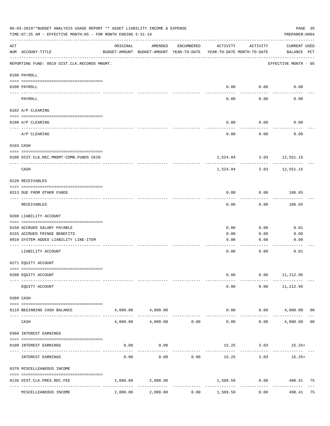| 06-03-2019**BUDGET ANALYSIS USAGE REPORT ** ASSET LIABILITY INCOME & EXPENSE<br>TIME: 07:25 AM - EFFECTIVE MONTH: 05 - FOR MONTH ENDING 5-31-19 |                                              |          |                                                     |                     |                                        |                         |                                    |    |
|-------------------------------------------------------------------------------------------------------------------------------------------------|----------------------------------------------|----------|-----------------------------------------------------|---------------------|----------------------------------------|-------------------------|------------------------------------|----|
| ACT                                                                                                                                             | NUM ACCOUNT-TITLE                            | ORIGINAL | AMENDED<br>BUDGET-AMOUNT BUDGET-AMOUNT YEAR-TO-DATE | ENCUMBERED          | ACTIVITY<br>YEAR-TO-DATE MONTH-TO-DATE | ACTIVITY                | <b>CURRENT USED</b><br>BALANCE PCT |    |
|                                                                                                                                                 | REPORTING FUND: 0019 DIST.CLK.RECORDS MNGMT. |          |                                                     |                     |                                        |                         | EFFECTIVE MONTH - 05               |    |
|                                                                                                                                                 | 0100 PAYROLL                                 |          |                                                     |                     |                                        |                         |                                    |    |
|                                                                                                                                                 | 0100 PAYROLL                                 |          |                                                     |                     | 0.00                                   | 0.00                    | 0.00                               |    |
| ---- ----                                                                                                                                       | PAYROLL                                      |          |                                                     |                     | 0.00                                   | 0.00                    | 0.00                               |    |
|                                                                                                                                                 | 0102 A/P CLEARING                            |          |                                                     |                     |                                        |                         |                                    |    |
|                                                                                                                                                 | 0100 A/P CLEARING                            |          |                                                     |                     | 0.00                                   | 0.00                    | 0.00                               |    |
|                                                                                                                                                 | A/P CLEARING                                 |          |                                                     |                     | 0.00                                   | 0.00                    | 0.00                               |    |
|                                                                                                                                                 | 0103 CASH                                    |          |                                                     |                     |                                        |                         |                                    |    |
|                                                                                                                                                 | 0100 DIST.CLK.REC.MNGMT-COMB.FUNDS CKIN      |          |                                                     |                     |                                        | 1,524.84 3.03 12,551.15 |                                    |    |
|                                                                                                                                                 | CASH                                         |          |                                                     |                     | 1,524.84                               | 3.03                    | 12,551.15                          |    |
|                                                                                                                                                 | 0120 RECEIVABLES                             |          |                                                     |                     |                                        |                         |                                    |    |
|                                                                                                                                                 | 0313 DUE FROM OTHER FUNDS                    |          |                                                     |                     | 0.00                                   | 0.00                    | 186.65                             |    |
|                                                                                                                                                 | RECEIVABLES                                  |          |                                                     |                     | 0.00                                   | 0.00                    | 186.65                             |    |
|                                                                                                                                                 | 0200 LIABILITY ACCOUNT                       |          |                                                     |                     |                                        |                         |                                    |    |
|                                                                                                                                                 | 0150 ACCRUED SALARY PAYABLE                  |          |                                                     |                     | 0.00                                   | 0.00                    | 0.01                               |    |
|                                                                                                                                                 | 0155 ACCRUED FRINGE BENEFITS                 |          |                                                     |                     | 0.00                                   | 0.00                    | 0.00                               |    |
|                                                                                                                                                 | 0910 SYSTEM ADDED LIABILITY LINE-ITEM        |          |                                                     |                     | 0.00                                   | 0.00                    | 0.00                               |    |
|                                                                                                                                                 | LIABILITY ACCOUNT                            |          |                                                     |                     | 0.00                                   | 0.00                    | 0.01                               |    |
|                                                                                                                                                 | 0271 EQUITY ACCOUNT                          |          |                                                     |                     |                                        |                         |                                    |    |
|                                                                                                                                                 | 0200 EQUITY ACCOUNT                          |          |                                                     |                     | 0.00                                   | 0.00                    | 11,212.95                          |    |
|                                                                                                                                                 | EQUITY ACCOUNT                               |          |                                                     |                     | 0.00                                   | 0.00                    | 11,212.95                          |    |
|                                                                                                                                                 | 0300 CASH                                    |          |                                                     |                     |                                        |                         |                                    |    |
|                                                                                                                                                 | 0119 BEGINNING CASH BALANCE                  |          | 4,000.00 4,000.00                                   |                     | 0.00                                   | 0.00                    | 4,000.00 00                        |    |
|                                                                                                                                                 | CASH                                         | 4,000.00 | 4,000.00                                            | 0.00                | 0.00                                   | 0.00                    | 4,000.00                           | 00 |
|                                                                                                                                                 | 0360 INTEREST EARNINGS                       |          |                                                     |                     |                                        |                         |                                    |    |
|                                                                                                                                                 | 0100 INTEREST EARNINGS                       | 0.00     | 0.00                                                |                     |                                        |                         | $15.25$ $3.03$ $15.25+$            |    |
|                                                                                                                                                 | INTEREST EARNINGS                            | 0.00     | 0.00                                                | 0.00                | 15.25                                  | 3.03                    | $15.25+$                           |    |
|                                                                                                                                                 | 0370 MISCELLEANEOUS INCOME                   |          |                                                     |                     |                                        |                         |                                    |    |
|                                                                                                                                                 | 0136 DIST.CLK.PRES.REC.FEE                   | 2,000.00 | 2,000.00                                            |                     | 1,509.59                               | 0.00                    | 490.41 75                          |    |
|                                                                                                                                                 | ----------------<br>MISCELLEANEOUS INCOME    | 2,000.00 | 2,000.00                                            | -----------<br>0.00 | 1,509.59                               | 0.00                    | 490.41                             | 75 |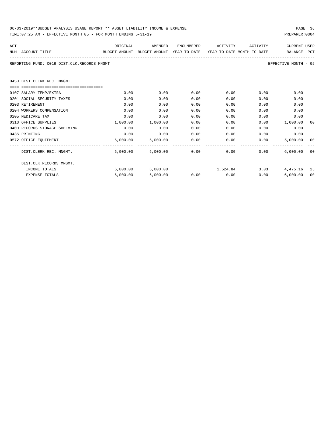| 06-03-2019**BUDGET ANALYSIS USAGE REPORT ** ASSET LIABILITY INCOME & EXPENSE | PAGE 36        |
|------------------------------------------------------------------------------|----------------|
| TIME:07:25 AM - EFFECTIVE MONTH:05 - FOR MONTH ENDING 5-31-19                | PREPARER: 0004 |

| ACT                                                                                      | ORIGINAL   | AMENDED                      | ENCUMBERED    | ACTIVITY    | ACTIVITY | <b>CURRENT USED</b>  |    |
|------------------------------------------------------------------------------------------|------------|------------------------------|---------------|-------------|----------|----------------------|----|
| BUDGET-AMOUNT BUDGET-AMOUNT YEAR-TO-DATE YEAR-TO-DATE_MONTH-TO-DATE<br>NUM ACCOUNT-TITLE |            |                              |               |             |          | BALANCE PCT          |    |
| REPORTING FUND: 0019 DIST.CLK.RECORDS MNGMT.                                             |            |                              |               |             |          | EFFECTIVE MONTH - 05 |    |
| 0450 DIST. CLERK REC. MNGMT.                                                             |            |                              |               |             |          |                      |    |
|                                                                                          |            |                              |               |             |          |                      |    |
| 0107 SALARY TEMP/EXTRA                                                                   | 0.00       | 0.00                         | 0.00          | 0.00        | 0.00     | 0.00                 |    |
| 0201 SOCIAL SECURITY TAXES                                                               | 0.00       | 0.00                         | 0.00          | 0.00        | 0.00     | 0.00                 |    |
| 0203 RETIREMENT                                                                          | 0.00       | 0.00                         | 0.00          | 0.00        | 0.00     | 0.00                 |    |
| 0204 WORKERS COMPENSATION                                                                | 0.00       | 0.00                         | 0.00          | 0.00        | 0.00     | 0.00                 |    |
| 0205 MEDICARE TAX                                                                        | 0.00       | 0.00                         | 0.00          | 0.00        | 0.00     | 0.00                 |    |
| 0310 OFFICE SUPPLIES                                                                     | 1,000.00   | 1,000.00                     | 0.00          | 0.00        | 0.00     | 1,000.00             | 00 |
| 0400 RECORDS STORAGE SHELVING                                                            | 0.00       | 0.00                         | 0.00          | 0.00        | 0.00     | 0.00                 |    |
| 0435 PRINTING                                                                            | 0.00       | 0.00                         | 0.00          |             | 0.00     | 0.00<br>0.00         |    |
| 0572 OFFICE EOUIPMENT                                                                    | 5,000.00   |                              | 5,000.00 0.00 | 0.00        |          | 0.00<br>5,000,00     | 00 |
| DIST.CLERK REC. MNGMT.                                                                   | ---------- | $6.000.00$ $6.000.00$ 0.00   |               | 0.00        |          | 0.00<br>6.000.00000  |    |
| DIST.CLK.RECORDS MNGMT.                                                                  |            |                              |               |             |          |                      |    |
| INCOME TOTALS                                                                            | 6.000.00   | $6,000.00$ $1,524.84$ $3.03$ |               |             |          | 4,475.16 25          |    |
| <b>EXPENSE TOTALS</b>                                                                    | 6,000.00   | 6,000.00                     |               | $0.00$ 0.00 |          | 0.00<br>6,000.00000  |    |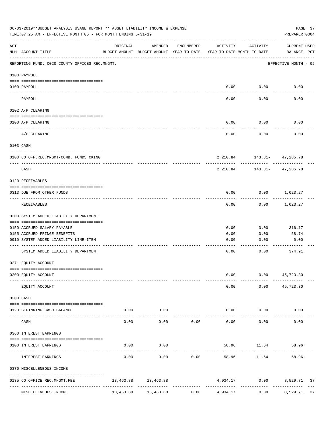|                    | 06-03-2019**BUDGET ANALYSIS USAGE REPORT ** ASSET LIABILITY INCOME & EXPENSE<br>TIME: 07:25 AM - EFFECTIVE MONTH: 05 - FOR MONTH ENDING 5-31-19 |           |                                                     |                                 |                        |                                        | PAGE 37<br>PREPARER: 0004   |  |
|--------------------|-------------------------------------------------------------------------------------------------------------------------------------------------|-----------|-----------------------------------------------------|---------------------------------|------------------------|----------------------------------------|-----------------------------|--|
| $\mathop{\rm ACT}$ | NUM ACCOUNT-TITLE                                                                                                                               | ORIGINAL  | AMENDED<br>BUDGET-AMOUNT BUDGET-AMOUNT YEAR-TO-DATE | ENCUMBERED                      | ACTIVITY               | ACTIVITY<br>YEAR-TO-DATE MONTH-TO-DATE | CURRENT USED<br>BALANCE PCT |  |
|                    | REPORTING FUND: 0020 COUNTY OFFICES REC.MNGMT.                                                                                                  |           |                                                     |                                 |                        |                                        | EFFECTIVE MONTH - 05        |  |
|                    | 0100 PAYROLL                                                                                                                                    |           |                                                     |                                 |                        |                                        |                             |  |
|                    | 0100 PAYROLL                                                                                                                                    |           |                                                     |                                 |                        | $0.00$ $0.00$                          | 0.00                        |  |
|                    | PAYROLL                                                                                                                                         |           |                                                     |                                 | 0.00                   | 0.00                                   | 0.00                        |  |
|                    | 0102 A/P CLEARING                                                                                                                               |           |                                                     |                                 |                        |                                        |                             |  |
|                    | 0100 A/P CLEARING                                                                                                                               |           |                                                     |                                 | 0.00                   | 0.00                                   | 0.00                        |  |
|                    | A/P CLEARING                                                                                                                                    |           |                                                     |                                 | 0.00                   | 0.00                                   | 0.00                        |  |
|                    | 0103 CASH                                                                                                                                       |           |                                                     |                                 |                        |                                        |                             |  |
|                    | 0100 CO.OFF.REC.MNGMT-COMB. FUNDS CKING                                                                                                         |           |                                                     |                                 |                        | 2, 210.84 143.31 - 47, 285.78          |                             |  |
|                    | ----------------------------<br>CASH                                                                                                            |           |                                                     |                                 | 2,210.84               | ---------- -                           | .<br>143.31- 47,285.78      |  |
|                    | 0120 RECEIVABLES                                                                                                                                |           |                                                     |                                 |                        |                                        |                             |  |
|                    | 0313 DUE FROM OTHER FUNDS                                                                                                                       |           |                                                     |                                 | 0.00                   |                                        | $0.00$ 1,023.27             |  |
|                    | RECEIVABLES                                                                                                                                     |           |                                                     |                                 | 0.00                   | 0.00                                   | 1,023.27                    |  |
|                    | 0200 SYSTEM ADDED LIABILITY DEPARTMENT                                                                                                          |           |                                                     |                                 |                        |                                        |                             |  |
|                    | 0150 ACCRUED SALARY PAYABLE                                                                                                                     |           |                                                     |                                 | 0.00                   | 0.00                                   | 316.17                      |  |
|                    | 0155 ACCRUED FRINGE BENEFITS                                                                                                                    |           |                                                     |                                 | 0.00                   | 0.00                                   | 58.74                       |  |
|                    | 0910 SYSTEM ADDED LIABILITY LINE-ITEM                                                                                                           |           |                                                     |                                 | 0.00                   | 0.00                                   | 0.00                        |  |
|                    | SYSTEM ADDED LIABILITY DEPARTMENT                                                                                                               |           |                                                     |                                 | 0.00                   | 0.00                                   | 374.91                      |  |
|                    | 0271 EQUITY ACCOUNT                                                                                                                             |           |                                                     |                                 |                        |                                        |                             |  |
|                    | 0200 EQUITY ACCOUNT                                                                                                                             |           |                                                     |                                 | 0.00                   |                                        | $0.00$ 45,723.30            |  |
|                    | EQUITY ACCOUNT                                                                                                                                  |           |                                                     |                                 | 0.00                   |                                        | $0.00$ $45,723.30$          |  |
|                    | 0300 CASH                                                                                                                                       |           |                                                     |                                 |                        |                                        |                             |  |
|                    | 0120 BEGINNING CASH BALANCE                                                                                                                     |           | $0.00$ 0.00                                         |                                 |                        | $0.00$ $0.00$                          | 0.00                        |  |
| $- - - - -$        | CASH                                                                                                                                            | 0.00      | ----------<br>0.00                                  | 0.00                            | $- - - - -$<br>0.00    | ----------<br>0.00                     | 0.00                        |  |
|                    | 0360 INTEREST EARNINGS                                                                                                                          |           |                                                     |                                 |                        |                                        |                             |  |
|                    | 0100 INTEREST EARNINGS                                                                                                                          | 0.00      | 0.00                                                |                                 |                        | 58.96 11.64                            | $58.96+$                    |  |
|                    | INTEREST EARNINGS                                                                                                                               | 0.00      | 0.00                                                | 0.00                            | -------------<br>58.96 | 11.64                                  | $58.96+$                    |  |
|                    | 0370 MISCELLENEOUS INCOME                                                                                                                       |           |                                                     |                                 |                        |                                        |                             |  |
|                    | 0135 CO.OFFICE REC.MNGMT.FEE<br>---- --------------------                                                                                       |           | 13,463.88 13,463.88                                 | ------------------------------- |                        |                                        | 4,934.17 0.00 8,529.71 37   |  |
|                    | MISCELLENEOUS INCOME                                                                                                                            | 13,463.88 | 13,463.88                                           | 0.00                            | 4,934.17               | 0.00                                   | 8,529.71 37                 |  |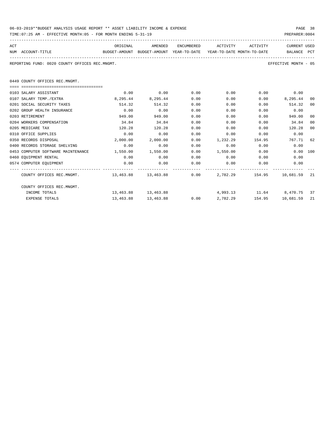| 06-03-2019**BUDGET ANALYSIS USAGE REPORT ** ASSET LIABILITY INCOME & EXPENSE | PAGE 38        |  |
|------------------------------------------------------------------------------|----------------|--|
| TIME:07:25 AM - EFFECTIVE MONTH:05 - FOR MONTH ENDING 5-31-19                | PREPARER: 0004 |  |

| ACT                                                                                      |          | ORIGINAL AMENDED    |      | ENCUMBERED ACTIVITY ACTIVITY        |             | CURRENT USED         |                |
|------------------------------------------------------------------------------------------|----------|---------------------|------|-------------------------------------|-------------|----------------------|----------------|
| NUM ACCOUNT-TITLE<br>BUDGET-AMOUNT BUDGET-AMOUNT YEAR-TO-DATE YEAR-TO-DATE MONTH-TO-DATE |          |                     |      |                                     |             | BALANCE PCT          |                |
| REPORTING FUND: 0020 COUNTY OFFICES REC.MNGMT.                                           |          |                     |      |                                     |             | EFFECTIVE MONTH - 05 |                |
|                                                                                          |          |                     |      |                                     |             |                      |                |
| 0449 COUNTY OFFICES REC.MNGMT.                                                           |          |                     |      |                                     |             |                      |                |
|                                                                                          |          |                     |      |                                     |             |                      |                |
| 0103 SALARY ASSISTANT                                                                    | 0.00     | 0.00                | 0.00 | $0.00$ $0.00$ $0.00$ $0.00$         |             |                      |                |
| 0107 SALARY TEMP./EXTRA                                                                  | 8,295.44 | 8,295.44            | 0.00 | 0.00                                |             | $0.00$ $8,295.44$    | 00             |
| 0201 SOCIAL SECURITY TAXES                                                               | 514.32   | 514.32              | 0.00 | 0.00                                | 0.00        | 514.32               | 00             |
| 0202 GROUP HEALTH INSURANCE                                                              | 0.00     | 0.00                | 0.00 | 0.00                                | 0.00        | 0.00                 |                |
| 0203 RETIREMENT                                                                          | 949.00   | 949.00              | 0.00 | 0.00                                | 0.00        | 949.00               | 00             |
| 0204 WORKERS COMPENSATION                                                                | 34.84    | 34.84               | 0.00 | 0.00                                | 0.00        | 34.84                | 0 <sup>0</sup> |
| 0205 MEDICARE TAX                                                                        | 120.28   | 120.28              | 0.00 | 0.00                                | 0.00        | 120.28               | 00             |
| 0310 OFFICE SUPPLIES                                                                     | 0.00     | 0.00                | 0.00 | 0.00                                | 0.00        | 0.00                 |                |
| 0350 RECORDS DISPOSAL                                                                    | 2,000.00 | 2,000.00            | 0.00 | 1,232.29 154.95                     |             | 767.71 62            |                |
| 0400 RECORDS STORAGE SHELVING                                                            | 0.00     | 0.00                | 0.00 |                                     | $0.00$ 0.00 | 0.00                 |                |
| 0453 COMPUTER SOFTWARE MAINTENANCE 1.550.00                                              |          | 1,550.00            | 0.00 | 1,550.00 0.00                       |             | 0.00 100             |                |
| 0460 EOUIPMENT RENTAL                                                                    | 0.00     | 0.00                | 0.00 | $0.00$ 0.00                         |             | 0.00                 |                |
| 0574 COMPUTER EQUIPMENT                                                                  | 0.00     | 0.00                | 0.00 | $0.00$ 0.00                         |             | 0.00                 |                |
| COUNTY OFFICES REC.MNGMT. 453.88 13,463.88 13,463.88 0.00 2,782.29 154.95 10,681.59 21   |          |                     |      |                                     |             |                      |                |
| COUNTY OFFICES REC.MNGMT.                                                                |          |                     |      |                                     |             |                      |                |
| INCOME TOTALS                                                                            |          | 13,463.88 13,463.88 |      | 4,993.13 11.64 8,470.75 37          |             |                      |                |
| <b>EXPENSE TOTALS</b>                                                                    |          | 13,463.88 13,463.88 |      | $0.00$ 2,782.29 154.95 10,681.59 21 |             |                      |                |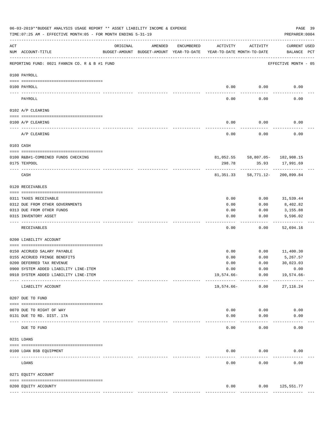|          | 06-03-2019**BUDGET ANALYSIS USAGE REPORT ** ASSET LIABILITY INCOME & EXPENSE<br>TIME: 07:25 AM - EFFECTIVE MONTH: 05 - FOR MONTH ENDING 5-31-19 |                                                      |         |            |                                        |                                 | PAGE 39<br>PREPARER: 0004                 |  |
|----------|-------------------------------------------------------------------------------------------------------------------------------------------------|------------------------------------------------------|---------|------------|----------------------------------------|---------------------------------|-------------------------------------------|--|
| ACT      | NUM ACCOUNT-TITLE                                                                                                                               | ORIGINAL<br>BUDGET-AMOUNT BUDGET-AMOUNT YEAR-TO-DATE | AMENDED | ENCUMBERED | ACTIVITY<br>YEAR-TO-DATE MONTH-TO-DATE | ACTIVITY                        | <b>CURRENT USED</b><br>BALANCE PCT        |  |
|          | REPORTING FUND: 0021 FANNIN CO. R & B #1 FUND                                                                                                   |                                                      |         |            |                                        |                                 | EFFECTIVE MONTH - 05                      |  |
|          | 0100 PAYROLL                                                                                                                                    |                                                      |         |            |                                        |                                 |                                           |  |
|          | 0100 PAYROLL                                                                                                                                    |                                                      |         |            | 0.00                                   | 0.00                            | 0.00                                      |  |
| ---- --- | PAYROLL                                                                                                                                         |                                                      |         |            | 0.00                                   | 0.00                            | 0.00                                      |  |
|          | 0102 A/P CLEARING                                                                                                                               |                                                      |         |            |                                        |                                 |                                           |  |
|          | 0100 A/P CLEARING                                                                                                                               |                                                      |         |            | 0.00                                   | 0.00                            | 0.00                                      |  |
|          | A/P CLEARING                                                                                                                                    |                                                      |         |            | 0.00                                   | 0.00                            | 0.00                                      |  |
|          | 0103 CASH                                                                                                                                       |                                                      |         |            |                                        |                                 |                                           |  |
|          | 0100 R&B#1-COMBINED FUNDS CHECKING                                                                                                              |                                                      |         |            |                                        | 81,052.55 58,807.05- 182,908.15 |                                           |  |
|          | 0175 TEXPOOL                                                                                                                                    |                                                      |         |            | 298.78                                 | 35.93                           | 17,991.69                                 |  |
|          | CASH                                                                                                                                            |                                                      |         |            | 81,351.33                              |                                 | . _ _ _ _ _ _ _ _<br>58,771.12-200,899.84 |  |
|          | 0120 RECEIVABLES                                                                                                                                |                                                      |         |            |                                        |                                 |                                           |  |
|          | 0311 TAXES RECEIVABLE                                                                                                                           |                                                      |         |            | 0.00                                   | 0.00                            | 31,539.44                                 |  |
|          | 0312 DUE FROM OTHER GOVERNMENTS                                                                                                                 |                                                      |         |            | 0.00                                   | 0.00                            | 8,402.82                                  |  |
|          | 0313 DUE FROM OTHER FUNDS                                                                                                                       |                                                      |         |            | 0.00                                   | 0.00                            | 3,155.88                                  |  |
|          | 0315 INVENTORY ASSET                                                                                                                            |                                                      |         |            | 0.00                                   | 0.00                            | 9,596.02<br>----------                    |  |
|          | RECEIVABLES                                                                                                                                     |                                                      |         |            | 0.00                                   | 0.00                            | 52,694.16                                 |  |
|          | 0200 LIABILITY ACCOUNT                                                                                                                          |                                                      |         |            |                                        |                                 |                                           |  |
|          | 0150 ACCRUED SALARY PAYABLE                                                                                                                     |                                                      |         |            | 0.00                                   | 0.00                            | 11,400.30                                 |  |
|          | 0155 ACCRUED FRINGE BENEFITS                                                                                                                    |                                                      |         |            | 0.00                                   | 0.00                            | 5,267.57                                  |  |
|          | 0200 DEFERRED TAX REVENUE                                                                                                                       |                                                      |         |            | 0.00                                   | 0.00                            | 30,023.03                                 |  |
|          | 0900 SYSTEM ADDED LIABILITY LINE-ITEM                                                                                                           |                                                      |         |            | 0.00                                   | 0.00                            | 0.00                                      |  |
|          | 0910 SYSTEM ADDED LIABILITY LINE-ITEM                                                                                                           |                                                      |         |            | $19,574.66-$                           | 0.00<br>------------            | 19,574.66-                                |  |
|          | LIABILITY ACCOUNT                                                                                                                               |                                                      |         |            | $19,574.66-$                           | 0.00                            | 27, 116.24                                |  |
|          | 0207 DUE TO FUND                                                                                                                                |                                                      |         |            |                                        |                                 |                                           |  |
|          | 0070 DUE TO RIGHT OF WAY                                                                                                                        |                                                      |         |            | 0.00                                   | 0.00                            | 0.00                                      |  |
|          | 0131 DUE TO RD. DIST. 17A                                                                                                                       |                                                      |         |            | 0.00                                   | 0.00                            | 0.00                                      |  |
|          | -------------------------- ----------<br>DUE TO FUND                                                                                            |                                                      |         |            | 0.00                                   | 0.00                            | 0.00                                      |  |
|          | 0231 LOANS                                                                                                                                      |                                                      |         |            |                                        |                                 |                                           |  |
|          | 0100 LOAN BSB EQUIPMENT                                                                                                                         |                                                      |         |            | 0.00                                   | 0.00                            | 0.00                                      |  |
|          | LOANS                                                                                                                                           |                                                      |         |            | 0.00                                   | 0.00                            | 0.00                                      |  |
|          | 0271 EQUITY ACCOUNT                                                                                                                             |                                                      |         |            |                                        |                                 |                                           |  |
|          |                                                                                                                                                 |                                                      |         |            |                                        |                                 |                                           |  |
|          | 0200 EQUITY ACCOUNTY                                                                                                                            |                                                      |         |            | 0.00                                   |                                 | $0.00$ 125,551.77                         |  |
|          |                                                                                                                                                 |                                                      |         |            |                                        |                                 |                                           |  |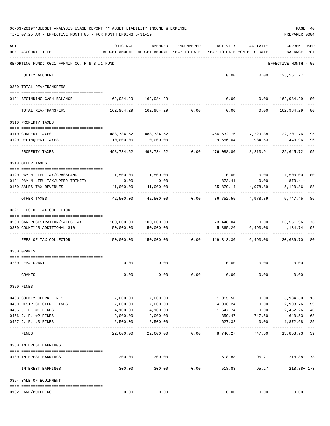|     | 06-03-2019**BUDGET ANALYSIS USAGE REPORT ** ASSET LIABILITY INCOME & EXPENSE<br>TIME: 07:25 AM - EFFECTIVE MONTH: 05 - FOR MONTH ENDING 5-31-19 |                                                                         |                                                                         |                  |                                        |                                                  | PREPARER: 0004                 | PAGE 40  |
|-----|-------------------------------------------------------------------------------------------------------------------------------------------------|-------------------------------------------------------------------------|-------------------------------------------------------------------------|------------------|----------------------------------------|--------------------------------------------------|--------------------------------|----------|
| ACT | NUM ACCOUNT-TITLE                                                                                                                               | ORIGINAL<br>BUDGET-AMOUNT BUDGET-AMOUNT YEAR-TO-DATE                    | AMENDED                                                                 | ENCUMBERED       | ACTIVITY<br>YEAR-TO-DATE MONTH-TO-DATE | ACTIVITY                                         | <b>CURRENT USED</b><br>BALANCE | PCT      |
|     | REPORTING FUND: 0021 FANNIN CO. R & B #1 FUND                                                                                                   |                                                                         |                                                                         |                  |                                        |                                                  | EFFECTIVE MONTH - 05           |          |
|     | EQUITY ACCOUNT                                                                                                                                  |                                                                         |                                                                         |                  |                                        | $0.00$ $0.00$ $125,551.77$                       |                                |          |
|     | 0300 TOTAL REV/TRANSFERS                                                                                                                        |                                                                         |                                                                         |                  |                                        |                                                  |                                |          |
|     | 0121 BEGINNING CASH BALANCE                                                                                                                     | 162,984.29 162,984.29                                                   |                                                                         |                  |                                        | $0.00$ $0.00$ $162,984.29$ 00                    |                                |          |
|     | TOTAL REV/TRANSFERS                                                                                                                             |                                                                         | $162,984.29$ $162,984.29$ $0.00$ $0.00$ $0.00$ $162,984.29$             |                  |                                        |                                                  |                                | 00       |
|     | 0310 PROPERTY TAXES                                                                                                                             |                                                                         |                                                                         |                  |                                        |                                                  |                                |          |
|     |                                                                                                                                                 |                                                                         |                                                                         |                  |                                        |                                                  |                                |          |
|     | 0110 CURRENT TAXES<br>0120 DELINQUENT TAXES                                                                                                     |                                                                         | 488,734.52 488,734.52<br>10,000.00  10,000.00                           |                  |                                        | 466,532.76 7,229.38 22,201.76<br>9,556.04 984.53 | 443.96                         | 95<br>96 |
|     | PROPERTY TAXES                                                                                                                                  |                                                                         | -----------<br>498,734.52 498,734.52 0.00 476,088.80 8,213.91 22,645.72 |                  | ------------                           | ------------                                     |                                | 95       |
|     | 0318 OTHER TAXES                                                                                                                                |                                                                         |                                                                         |                  |                                        |                                                  |                                |          |
|     |                                                                                                                                                 |                                                                         |                                                                         |                  |                                        |                                                  |                                |          |
|     | 0120 PAY N LIEU TAX/GRASSLAND<br>0121 PAY N LIEU TAX/UPPER TRINITY                                                                              | 1,500.00 1,500.00<br>0.00                                               | 0.00                                                                    |                  |                                        | $0.00$ $0.00$ $1,500.00$<br>873.41 0.00          | $873.41+$                      | 00       |
|     | 0160 SALES TAX REVENUES                                                                                                                         | 41,000.00                                                               | 41,000.00                                                               |                  | 35,879.14                              | 4,978.89                                         | 5,120.86                       | 88       |
|     | OTHER TAXES                                                                                                                                     | -----------<br>42,500.00                                                |                                                                         | $42,500.00$ 0.00 |                                        | 36,752.55 4,978.89                               | 5,747.45                       | 86       |
|     | 0321 FEES OF TAX COLLECTOR                                                                                                                      |                                                                         |                                                                         |                  |                                        |                                                  |                                |          |
|     | 0200 CAR REGISTRATION/SALES TAX                                                                                                                 | 100,000.00    100,000.00                                                |                                                                         |                  |                                        | 73,448.04   0.00   26,551.96   73                |                                |          |
|     | 0300 COUNTY'S ADDITIONAL \$10                                                                                                                   | 50,000.00                                                               | 50,000.00                                                               |                  |                                        | 45,865.26 6,493.08                               | 4,134.74                       | 92       |
|     | FEES OF TAX COLLECTOR                                                                                                                           | 150,000.00   150,000.00      0.00   119,313.30    6,493.08    30,686.70 |                                                                         |                  |                                        | ------------                                     |                                | 80       |
|     |                                                                                                                                                 |                                                                         |                                                                         |                  |                                        |                                                  |                                |          |
|     | 0330 GRANTS                                                                                                                                     |                                                                         |                                                                         |                  |                                        |                                                  |                                |          |
|     | 0200 FEMA GRANT                                                                                                                                 |                                                                         | $0.00$ 0.00                                                             |                  |                                        | $0.00$ $0.00$ $0.00$                             |                                |          |
|     | GRANTS                                                                                                                                          | 0.00                                                                    | 0.00                                                                    | 0.00             | 0.00                                   | 0.00                                             | 0.00                           |          |
|     | 0350 FINES                                                                                                                                      |                                                                         |                                                                         |                  |                                        |                                                  |                                |          |
|     |                                                                                                                                                 |                                                                         |                                                                         |                  |                                        |                                                  |                                |          |
|     | 0403 COUNTY CLERK FINES                                                                                                                         | 7,000.00                                                                | 7,000.00                                                                |                  | 1,015.50                               | 0.00                                             | 5,984.50                       | 15       |
|     | 0450 DISTRICT CLERK FINES<br>0455 J. P. #1 FINES                                                                                                | 7,000.00                                                                | 7,000.00<br>4,100.00                                                    |                  | 4,096.24                               | 0.00<br>0.00                                     | 2,903.76                       | 59<br>40 |
|     | 0456 J. P. #2 FINES                                                                                                                             | 4,100.00<br>2,000.00                                                    | 2,000.00                                                                |                  | 1,647.74<br>1,359.47                   | 747.50                                           | 2,452.26<br>640.53             | 68       |
|     | 0457 J. P. #3 FINES                                                                                                                             | 2,500.00                                                                | 2,500.00                                                                |                  | 627.32                                 | 0.00                                             | 1,872.68                       | 25       |
|     | FINES                                                                                                                                           | 22,600.00                                                               | 22,600.00                                                               | 0.00             | 8,746.27                               | 747.50                                           | 13,853.73 39                   | $---$    |
|     | 0360 INTEREST EARNINGS                                                                                                                          |                                                                         |                                                                         |                  |                                        |                                                  |                                |          |
|     | 0100 INTEREST EARNINGS                                                                                                                          | 300.00                                                                  | 300.00                                                                  |                  | 518.88                                 | 95.27                                            | 218.88+ 173                    |          |
|     | -------------------<br>INTEREST EARNINGS                                                                                                        | 300.00                                                                  | -------------<br>300.00                                                 | 0.00             | -------------<br>518.88                | ------------<br>95.27                            | .<br>218.88+ 173               |          |
|     | 0364 SALE OF EQUIPMENT                                                                                                                          |                                                                         |                                                                         |                  |                                        |                                                  |                                |          |
|     | 0162 LAND/BUILDING                                                                                                                              | 0.00                                                                    | 0.00                                                                    |                  | 0.00                                   | 0.00                                             | 0.00                           |          |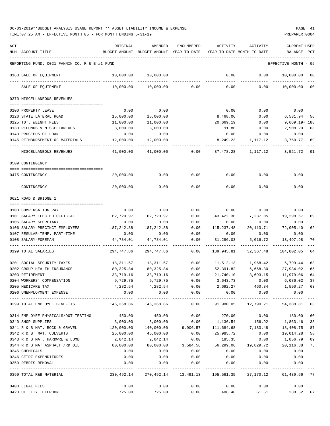| ACT |                                               | ORIGINAL      | AMENDED                                                                          | <b>ENCUMBERED</b>     | ACTIVITY                       | ACTIVITY                           | CURRENT USED        |      |
|-----|-----------------------------------------------|---------------|----------------------------------------------------------------------------------|-----------------------|--------------------------------|------------------------------------|---------------------|------|
|     | NUM ACCOUNT-TITLE                             | BUDGET-AMOUNT | BUDGET-AMOUNT                                                                    | YEAR-TO-DATE          |                                | YEAR-TO-DATE MONTH-TO-DATE         | BALANCE             | PCT  |
|     |                                               |               |                                                                                  |                       |                                |                                    |                     |      |
|     | REPORTING FUND: 0021 FANNIN CO. R & B #1 FUND |               |                                                                                  |                       |                                |                                    | EFFECTIVE MONTH     | - 05 |
|     | 0163 SALE OF EQUIPMENT                        | 10,000.00     | 10,000.00                                                                        |                       | 0.00                           | 0.00                               | 10,000.00           | 00   |
|     | SALE OF EQUIPMENT                             | 10,000.00     | 10,000.00                                                                        | 0.00                  | 0.00                           | 0.00                               | 10,000.00           | 00   |
|     | 0370 MISCELLANEOUS REVENUES                   |               |                                                                                  |                       |                                |                                    |                     |      |
|     |                                               |               |                                                                                  |                       |                                |                                    |                     |      |
|     | 0100 PROPERTY LEASE                           | 0.00          | 0.00                                                                             |                       | 0.00                           | 0.00                               | 0.00                |      |
|     | 0120 STATE LATERAL ROAD                       | 15,000.00     | 15,000.00                                                                        |                       | 8,468.06                       | 0.00                               | 6,531.94            | 56   |
|     | 0125 TDT. WEIGHT FEES                         | 11,000.00     | 11,000.00                                                                        |                       | 20,669.19                      | 0.00                               | $9,669.19 + 188$    |      |
|     | 0130 REFUNDS & MISCELLANEOUS                  | 3,000.00      | 3,000.00                                                                         |                       | 91.80                          | 0.00                               | 2,908.20            | 03   |
|     | 0140 PROCEEDS OF LOAN                         | 0.00          | 0.00                                                                             |                       | 0.00                           | 0.00                               | 0.00                |      |
|     | 0145 REIMBURSEMENT OF MATERIALS               | 12,000.00     | 12,000.00                                                                        |                       | 8,249.23                       | 1,117.12                           | 3,750.77            | 69   |
|     | MISCELLANEOUS REVENUES                        | 41,000.00     | 41,000.00                                                                        | 0.00                  | 37,478.28                      | 1,117.12                           | 3,521.72            | 91   |
|     | 0509 CONTINGENCY                              |               |                                                                                  |                       |                                |                                    |                     |      |
|     |                                               |               |                                                                                  |                       |                                |                                    |                     |      |
|     | 0475 CONTINGENCY                              | 20,000.00     | 0.00                                                                             | 0.00                  | 0.00                           | 0.00                               | 0.00                |      |
|     | CONTINGENCY                                   | 20,000.00     | 0.00                                                                             | 0.00                  | 0.00                           | 0.00                               | 0.00                |      |
|     | 0621 ROAD & BRIDGE 1                          |               |                                                                                  |                       |                                |                                    |                     |      |
|     |                                               |               |                                                                                  |                       |                                |                                    |                     |      |
|     | 0100 COMPENSATION PAY                         | 0.00          | 0.00                                                                             | 0.00                  | 0.00                           | 0.00                               | 0.00                |      |
|     | 0101 SALARY ELECTED OFFICIAL                  | 62,720.97     | 62,720.97                                                                        | 0.00                  | 43, 422.30                     | 7,237.05                           | 19,298.67           | 69   |
|     | 0105 SALARY SECRETARY                         | 0.00          | 0.00                                                                             | 0.00                  | 0.00                           | 0.00                               | 0.00                |      |
|     | 0106 SALARY PRECINCT EMPLOYEES                | 187,242.88    | 187,242.88                                                                       | 0.00                  | 115,237.48                     | 20, 113. 71                        | 72,005.40           | 62   |
|     | 0107 REGULAR-TEMP. PART-TIME                  | 0.00          | 0.00                                                                             | 0.00                  | 0.00                           | 0.00                               | 0.00                |      |
|     | 0108 SALARY-FOREMAN                           | 44,784.01     | 44,784.01                                                                        | 0.00                  | 31,286.03                      | 5,016.72                           | 13,497.98           | 70   |
|     |                                               |               |                                                                                  |                       |                                |                                    |                     |      |
|     | 0199 TOTAL SALARIES                           | 294,747.86    | 294,747.86                                                                       | 0.00                  | 189,945.81                     | 32,367.48                          | 104,802.05          | 64   |
|     | 0201 SOCIAL SECURITY TAXES                    | 18,311.57     | 18,311.57                                                                        | 0.00                  | 11,512.13                      | 1,968.42                           | 6,799.44            | 63   |
|     | 0202 GROUP HEALTH INSURANCE                   | 80,325.84     | 80,325.84                                                                        | 0.00                  | 52,391.82                      | 6,668.30                           | 27,934.02           | 65   |
|     | 0203 RETIREMENT                               | 33,719.16     | 33,719.16                                                                        | 0.00                  | 21,740.10                      | 3,693.15                           | 11,979.06           | 64   |
|     | 0204 WORKERS' COMPENSATION                    |               | 9,729.75 9,729.75                                                                | 0.00                  | 3,643.73                       |                                    | $0.00$ 6,086.02 37  |      |
|     | 0205 MEDICARE TAX                             |               | 4, 282.54 4, 282.54                                                              |                       |                                | $0.00$ 2,692.27 460.34 1,590.27 63 |                     |      |
|     | 0206 UNEMPLOYMENT EXPENSE                     | 0.00          | 0.00                                                                             | 0.00                  |                                | $0.00$ 0.00                        | 0.00                |      |
|     | 0299 TOTAL EMPLOYEE BENEFITS                  | 146,368.86    | _____________<br>146,368.86                                                      | -------------<br>0.00 | 91,980.05                      |                                    | 12,790.21 54,388.81 | 63   |
|     |                                               |               |                                                                                  |                       |                                |                                    |                     |      |
|     | 0314 EMPLOYEE PHYSICALS/DOT TESTING 450.00    |               | 450.00                                                                           | 0.00                  | 270.00                         |                                    | $0.00$ 180.00       | 60   |
|     | 0340 SHOP SUPPLIES                            | 3,000.00      | 3,000.00 0.00                                                                    |                       | 1,136.54                       | 156.92                             | 1,863.46            | 38   |
|     | 0341 R & B MAT. ROCK & GRAVEL                 | 120,000.00    |                                                                                  |                       | 140,000.00 9,906.57 111,684.68 | 7,183.48                           | 18,408.75           | 87   |
|     | 0342 R & B MAT. CULVERTS                      | 25,000.00     | 45,000.00                                                                        | 0.00                  | 25,985.72                      | 0.00                               | 19,014.28           | 58   |
|     | 0343 R & B MAT. HARDWRE & LUMB                | 2,042.14      | 2,042.14                                                                         | 0.00                  | 185.35                         | 0.00                               | 1,856.79            | 09   |
|     | 0344 R & B MAT ASPHALT /RD OIL                | 80,000.00     |                                                                                  |                       | 80,000.00 3,584.56 56,299.06   |                                    | 19,829.72 20,116.38 | 75   |
|     | 0345 CHEMICALS                                | 0.00          | 0.00                                                                             | 0.00                  | 0.00                           | 0.00                               | 0.00                |      |
|     | 0346 CETRZ EXPENDITURES                       | 0.00          | 0.00                                                                             | 0.00                  | 0.00                           | 0.00                               | 0.00                |      |
|     | 0350 DEBRIS REMOVAL                           | 0.00          | 0.00                                                                             | 0.00                  | 0.00                           | 0.00                               | 0.00                |      |
|     | 0399 TOTAL R&B MATERIAL                       |               | -----------<br>230,492.14 270,492.14 13,491.13 195,561.35 27,170.12 61,439.66 77 | -----------           |                                |                                    |                     |      |
|     | 0400 LEGAL FEES                               | 0.00          | 0.00                                                                             | 0.00                  | 0.00                           | 0.00                               | 0.00                |      |
|     | 0420 UTILITY TELEPHONE                        | 725.00        | 725.00                                                                           | 0.00                  | 486.48                         | 61.61                              | 238.52              | 67   |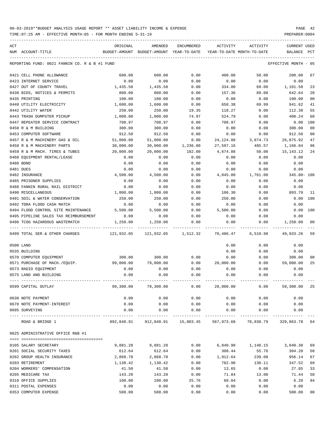| ACT |                                               | ORIGINAL   | AMENDED                                                                | ENCUMBERED          | ACTIVITY                   | ACTIVITY          | CURRENT USED         |                |
|-----|-----------------------------------------------|------------|------------------------------------------------------------------------|---------------------|----------------------------|-------------------|----------------------|----------------|
|     | NUM ACCOUNT-TITLE                             |            | BUDGET-AMOUNT BUDGET-AMOUNT YEAR-TO-DATE                               |                     | YEAR-TO-DATE MONTH-TO-DATE |                   | BALANCE              | $_{\rm PCT}$   |
|     |                                               |            |                                                                        |                     |                            |                   |                      |                |
|     | REPORTING FUND: 0021 FANNIN CO. R & B #1 FUND |            |                                                                        |                     |                            |                   | EFFECTIVE MONTH - 05 |                |
|     | 0421 CELL PHONE ALLOWANCE                     | 600.00     | 600.00                                                                 | 0.00                | 400.00                     | 50.00             | 200.00               | 67             |
|     | 0423 INTERNET SERVICE                         | 0.00       | 0.00                                                                   | 0.00                | 0.00                       | 0.00              | 0.00                 |                |
|     | 0427 OUT OF COUNTY TRAVEL                     | 1,435.58   | 1,435.58                                                               | 0.00                | 334.00                     | 69.00             | 1,101.58             | 23             |
|     | 0430 BIDS, NOTICES & PERMITS                  | 800.00     | 800.00                                                                 | 0.00                | 157.36                     | 89.08             | 642.64               | 20             |
|     | 0435 PRINTING                                 | 100.00     | 100.00                                                                 | 0.00                | 0.00                       | 0.00              | 100.00               | 00             |
|     | 0440 UTILITY ELECTRICITY                      | 1,600.00   | 1,600.00                                                               | 0.00                | 658.38                     | 69.99             | 941.62               | 41             |
|     | 0442 UTILITY WATER                            | 250.00     | 250.00                                                                 | 19.35               | 118.27                     | 0.00              | 112.38               | 55             |
|     | 0443 TRASH DUMPSTER PICKUP                    | 1,000.00   | 1,000.00                                                               | 74.97               | 524.79                     | 0.00              | 400.24               | 60             |
|     | 0447 REPEATER SERVICE CONTRACT                | 708.97     | 708.97                                                                 | 0.00                | 708.97                     | 0.00              | 0.00                 | 100            |
|     | 0450 R & M BUILDING                           | 300.00     | 300.00                                                                 | 0.00                | 0.00                       | 0.00              | 300.00               | 0 <sub>0</sub> |
|     | 0453 COMPUTER SOFTWARE                        | 912.50     | 912.50                                                                 | 0.00                | 0.00                       | 0.00              | 912.50               | 00             |
|     | 0457 R & M MACHINERY GAS & OIL                | 51,000.00  | 51,000.00                                                              | 0.00                | 24, 124.08                 | 3,874.73          | 26,875.92            | 47             |
|     | 0458 R & M MACHINERY PARTS                    | 30,000.00  | 30,000.00                                                              | 1,236.00            | 27,597.16                  | 485.57            | 1,166.84             | 96             |
|     | 0459 R & M MACH. TIRES & TUBES                | 20,000.00  | 20,000.00                                                              | 182.00              | 4,674.88                   | 50.00             | 15, 143. 12          | 24             |
|     | 0460 EQUIPMENT RENTAL/LEASE                   | 0.00       | 0.00                                                                   | 0.00                | 0.00                       | 0.00              | 0.00                 |                |
|     | 0480 BOND                                     | 0.00       | 0.00                                                                   | 0.00                | 0.00                       | 0.00              | 0.00                 |                |
|     | 0481 DUES                                     | 0.00       | 0.00                                                                   | 0.00                | 0.00                       | 0.00              | 0.00                 |                |
|     | 0482 INSURANCE                                | 4,500.00   | 4,500.00                                                               | 0.00                | 4,845.80                   | 1,761.00          | 345.80- 108          |                |
|     | 0485 PRISONER SUPPLIES                        | 0.00       | 0.00                                                                   | 0.00                | 0.00                       | 0.00              | 0.00                 |                |
|     |                                               |            |                                                                        |                     |                            |                   |                      |                |
|     | 0488 FANNIN RURAL RAIL DISTRICT               | 0.00       | 0.00                                                                   | 0.00                | 0.00                       | 0.00              | 0.00                 |                |
|     | 0490 MISCELLANEOUS                            | 1,000.00   | 1,000.00                                                               | 0.00                | 106.30                     | 0.00              | 893.70               | 11             |
|     | 0491 SOIL & WATER CONSERVATION                | 250.00     | 250.00                                                                 | 0.00                | 250.00                     | 0.00              | 0.00                 | 100            |
|     | 0492 TDRA FLOOD CASH MATCH                    | 0.00       | 0.00                                                                   | 0.00                | 0.00                       | 0.00              | 0.00                 |                |
|     | 0494 FLOOD CONTROL SITE MAINTENANCE           | 5,500.00   | 5,500.00                                                               | 0.00                | 5,500.00                   | 0.00              | 0.00                 | 100            |
|     | 0495 PIPELINE SALES TAX REIMBURSEMENT         | 0.00       | 0.00                                                                   | 0.00                | 0.00                       | 0.00              | 0.00                 |                |
|     | 0496 TCOG HAZARDOUS WASTEMATCH                | 1,250.00   | 1,250.00                                                               | 0.00                | 0.00                       | 0.00              | 1,250.00             | 00             |
|     | 0499 TOTAL SER.& OTHER CHARGES                | 121,932.05 |                                                                        | 121,932.05 1,512.32 | 70,486.47                  | 6,510.98          | 49,933.26            | 59             |
|     | 0500 LAND                                     |            |                                                                        |                     | 0.00                       | 0.00              | 0.00                 |                |
|     | 0535 BUILDING                                 |            |                                                                        |                     | 0.00                       | 0.00              | 0.00                 |                |
|     | 0570 COMPUTER EQUIPMENT                       | 300.00     | 300.00                                                                 | 0.00                | 0.00                       | 0.00              | 300.00               | 00             |
|     | 0571 PURCHASE OF MACH./EQUIP.                 | 99,000.00  | 79,000.00                                                              | 0.00                | 20,000.00                  | 0.00              | 59,000.00            | 25             |
|     | 0573 RADIO EQUIPMENT                          | 0.00       | 0.00                                                                   | 0.00                | 0.00                       | 0.00              | 0.00                 |                |
|     | 0575 LAND AND BUILDING                        | 0.00       | 0.00                                                                   | 0.00                | 0.00                       | 0.00              | 0.00                 |                |
|     | 0599 CAPITAL OUTLAY                           |            | 99,300.00   79,300.00      0.00    20,000.00      0.00   59,300.00  25 |                     |                            |                   |                      |                |
|     | 0630 NOTE PAYMENT                             | 0.00       | 0.00                                                                   | 0.00                | 0.00                       | 0.00              | 0.00                 |                |
|     | 0670 NOTE PAYMENT-INTEREST                    | 0.00       | 0.00                                                                   | 0.00                | 0.00                       | 0.00              | 0.00                 |                |
|     | 0695 SURVEYING                                | 0.00       | 0.00                                                                   | 0.00                | 0.00                       | 0.00              | 0.00                 |                |
|     | ROAD & BRIDGE 1                               |            | 892,840.91 912,840.91 15,003.45                                        | .                   | 567,973.68                 | 78,838.79         | 329,863.78 64        |                |
|     | 0625 ADMINISTRATIVE OFFICE R&B #1             |            |                                                                        |                     |                            |                   |                      |                |
|     |                                               |            |                                                                        |                     |                            |                   |                      |                |
|     | 0105 SALARY SECRETARY                         | 9,881.28   | 9,881.28                                                               | 0.00                |                            | 6,840.90 1,140.15 | 3,040.38 69          |                |
|     | 0201 SOCIAL SECURITY TAXES                    | 612.64     | 612.64                                                                 | 0.00                | 308.44                     | 55.76             | 304.20               | 50             |
|     | 0202 GROUP HEALTH INSURANCE                   | 2,868.78   | 2,868.78                                                               | 0.00                | 1,912.64                   | 239.08            | 956.14               | 67             |
|     | 0203 RETIREMENT                               | 1,130.42   | 1,130.42                                                               | 0.00                | 782.90                     | 130.11            | 347.52               | 69             |
|     | 0204 WORKERS' COMPENSATION                    | 41.50      | 41.50                                                                  | 0.00                | 13.65                      | 0.00              | 27.85                | 33             |
|     | 0205 MEDICARE TAX                             | 143.28     | 143.28                                                                 | 0.00                | 71.84                      | 13.00             | 71.44                | 50             |
|     | 0310 OFFICE SUPPLIES                          | 100.00     | 100.00                                                                 | 25.76               | 68.04                      | 0.00              | 6.20                 | 94             |
|     | 0311 POSTAL EXPENSES                          | 0.00       | 0.00                                                                   | 0.00                | 0.00                       | 0.00              | 0.00                 |                |
|     | 0353 COMPUTER EXPENSE                         | 500.00     | 500.00                                                                 | 0.00                | 0.00                       | 0.00              | 500.00               | 00             |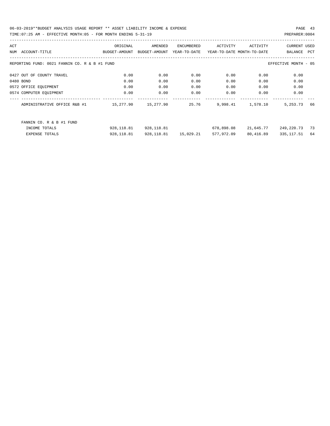| ACT |                                               | ORIGINAL      | AMENDED       | ENCUMBERED            | ACTIVITY   | ACTIVITY                   | <b>CURRENT USED</b>  |     |
|-----|-----------------------------------------------|---------------|---------------|-----------------------|------------|----------------------------|----------------------|-----|
| NUM | ACCOUNT-TITLE                                 | BUDGET-AMOUNT | BUDGET-AMOUNT | YEAR-TO-DATE          |            | YEAR-TO-DATE MONTH-TO-DATE | BALANCE              | PCT |
|     |                                               |               |               |                       |            |                            |                      |     |
|     | REPORTING FUND: 0021 FANNIN CO. R & B #1 FUND |               |               |                       |            |                            | EFFECTIVE MONTH - 05 |     |
|     |                                               |               |               |                       |            |                            |                      |     |
|     | 0427 OUT OF COUNTY TRAVEL                     | 0.00          | 0.00          | 0.00                  | 0.00       | 0.00                       | 0.00                 |     |
|     | 0480 BOND                                     | 0.00          | 0.00          | 0.00                  | 0.00       | 0.00                       | 0.00                 |     |
|     | 0572 OFFICE EQUIPMENT                         | 0.00          | 0.00          | 0.00                  | 0.00       | 0.00                       | 0.00                 |     |
|     | 0574 COMPUTER EQUIPMENT                       | 0.00          | 0.00          | 0.00                  | 0.00       | 0.00                       | 0.00                 |     |
|     |                                               |               |               |                       |            |                            |                      |     |
|     | ADMINISTRATIVE OFFICE R&B #1                  | 15,277.90     | 15,277.90     | 25.76                 | 9,998.41   | 1,578.10                   | 5, 253. 73           | 66  |
|     |                                               |               |               |                       |            |                            |                      |     |
|     |                                               |               |               |                       |            |                            |                      |     |
|     | FANNIN CO. R & B #1 FUND                      |               |               |                       |            |                            |                      |     |
|     | INCOME TOTALS                                 | 928,118.81    | 928,118.81    |                       | 678,898.08 | 21,645.77                  | 249,220.73           | 73  |
|     | EXPENSE TOTALS                                | 928,118.81    |               | 928,118.81  15,029.21 | 577,972.09 | 80,416.89                  | 335,117.51           | 64  |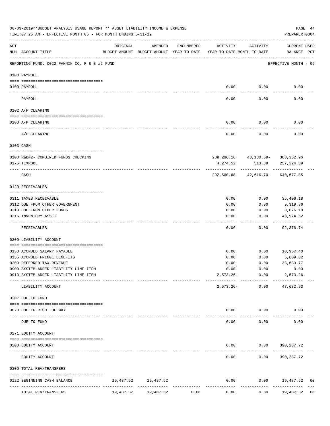|     | 06-03-2019**BUDGET ANALYSIS USAGE REPORT ** ASSET LIABILITY INCOME & EXPENSE<br>TIME: 07:25 AM - EFFECTIVE MONTH: 05 - FOR MONTH ENDING 5-31-19 |                              |                     |            |                                                                                 |                                         | PAGE 44<br>PREPARER: 0004   |    |
|-----|-------------------------------------------------------------------------------------------------------------------------------------------------|------------------------------|---------------------|------------|---------------------------------------------------------------------------------|-----------------------------------------|-----------------------------|----|
| ACT | NUM ACCOUNT-TITLE                                                                                                                               | ORIGINAL                     | AMENDED             | ENCUMBERED | ACTIVITY<br>BUDGET-AMOUNT BUDGET-AMOUNT YEAR-TO-DATE YEAR-TO-DATE MONTH-TO-DATE | ACTIVITY                                | CURRENT USED<br>BALANCE PCT |    |
|     | REPORTING FUND: 0022 FANNIN CO. R & B #2 FUND                                                                                                   |                              |                     |            |                                                                                 |                                         | EFFECTIVE MONTH - 05        |    |
|     | 0100 PAYROLL                                                                                                                                    |                              |                     |            |                                                                                 |                                         |                             |    |
|     | 0100 PAYROLL                                                                                                                                    |                              |                     |            | 0.00                                                                            | 0.00                                    | 0.00                        |    |
|     | ----- --------<br>PAYROLL                                                                                                                       |                              |                     |            | -----<br>0.00                                                                   | ---------<br>0.00                       | 0.00                        |    |
|     | 0102 A/P CLEARING                                                                                                                               |                              |                     |            |                                                                                 |                                         |                             |    |
|     | 0100 A/P CLEARING                                                                                                                               |                              |                     |            | 0.00                                                                            | 0.00                                    | 0.00                        |    |
|     | A/P CLEARING                                                                                                                                    |                              |                     |            | 0.00                                                                            | ---------<br>0.00                       | 0.00                        |    |
|     | 0103 CASH                                                                                                                                       |                              |                     |            |                                                                                 |                                         |                             |    |
|     | 0100 R&B#2- COMBINED FUNDS CHECKING                                                                                                             |                              |                     |            |                                                                                 | 288, 286. 16 43, 130. 59 - 383, 352. 96 |                             |    |
|     | 0175 TEXPOOL                                                                                                                                    |                              |                     |            | 4,274.52                                                                        |                                         | 513.89 257,324.89           |    |
|     | CASH                                                                                                                                            |                              |                     |            |                                                                                 | 292,560.68 42,616.70- 640,677.85        | -----------                 |    |
|     | 0120 RECEIVABLES                                                                                                                                |                              |                     |            |                                                                                 |                                         |                             |    |
|     | 0311 TAXES RECEIVABLE                                                                                                                           |                              |                     |            | 0.00                                                                            | 0.00                                    | 35,406.18                   |    |
|     | 0312 DUE FROM OTHER GOVERNMENT                                                                                                                  |                              |                     |            | 0.00                                                                            | 0.00                                    | 9,319.86                    |    |
|     | 0313 DUE FROM OTHER FUNDS                                                                                                                       |                              |                     |            | 0.00                                                                            | 0.00                                    | 3,676.18                    |    |
|     | 0315 INVENTORY ASSET                                                                                                                            |                              |                     |            | 0.00                                                                            | 0.00                                    | 43,974.52                   |    |
|     | RECEIVABLES                                                                                                                                     |                              |                     |            | $---$<br>0.00                                                                   | $- - - - - -$<br>0.00                   | ----------<br>92,376.74     |    |
|     | 0200 LIABILITY ACCOUNT                                                                                                                          |                              |                     |            |                                                                                 |                                         |                             |    |
|     | 0150 ACCRUED SALARY PAYABLE                                                                                                                     |                              |                     |            | 0.00                                                                            |                                         | $0.00$ 10,957.40            |    |
|     | 0155 ACCRUED FRINGE BENEFITS                                                                                                                    |                              |                     |            | 0.00                                                                            | 0.00                                    | 5,609.02                    |    |
|     | 0200 DEFERRED TAX REVENUE                                                                                                                       |                              |                     |            | 0.00                                                                            | 0.00                                    | 33,639.77                   |    |
|     | 0900 SYSTEM ADDED LIABILITY LINE-ITEM                                                                                                           |                              |                     |            | 0.00                                                                            | 0.00                                    | 0.00                        |    |
|     | 0910 SYSTEM ADDED LIABILITY LINE-ITEM                                                                                                           |                              |                     |            | $2,573.26 -$                                                                    | 0.00<br>------------                    | $2,573.26 -$<br>----------  |    |
|     | LIABILITY ACCOUNT                                                                                                                               |                              |                     |            | 2,573.26-                                                                       | 0.00                                    | 47,632.93                   |    |
|     | 0207 DUE TO FUND                                                                                                                                |                              |                     |            |                                                                                 |                                         |                             |    |
|     | 0070 DUE TO RIGHT OF WAY                                                                                                                        |                              |                     |            | 0.00                                                                            | 0.00                                    | 0.00                        |    |
|     | DUE TO FUND                                                                                                                                     | -------------- ------------- |                     |            | 0.00                                                                            | 0.00                                    | 0.00                        |    |
|     | 0271 EQUITY ACCOUNT                                                                                                                             |                              |                     |            |                                                                                 |                                         |                             |    |
|     | 0200 EQUITY ACCOUNT                                                                                                                             |                              |                     |            | 0.00                                                                            |                                         | $0.00$ 390, 287.72          |    |
|     | EQUITY ACCOUNT                                                                                                                                  |                              |                     |            | 0.00                                                                            | 0.00                                    | 390,287.72                  |    |
|     | 0300 TOTAL REV/TRANSFERS                                                                                                                        |                              |                     |            |                                                                                 |                                         |                             |    |
|     | 0122 BEGINNING CASH BALANCE                                                                                                                     |                              | 19,487.52 19,487.52 |            | 0.00                                                                            |                                         | $0.00$ 19,487.52            | 00 |
|     | TOTAL REV/TRANSFERS                                                                                                                             | 19,487.52                    | 19,487.52           | 0.00       | 0.00                                                                            | 0.00                                    | 19,487.52                   | 00 |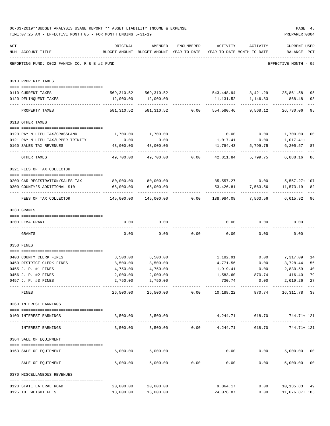|     | 06-03-2019**BUDGET ANALYSIS USAGE REPORT ** ASSET LIABILITY INCOME & EXPENSE<br>TIME: 07:25 AM - EFFECTIVE MONTH: 05 - FOR MONTH ENDING 5-31-19 |                                                                            |                                                                                |               |                                    |                      | PAGE 45<br>PREPARER: 0004                                                              |               |
|-----|-------------------------------------------------------------------------------------------------------------------------------------------------|----------------------------------------------------------------------------|--------------------------------------------------------------------------------|---------------|------------------------------------|----------------------|----------------------------------------------------------------------------------------|---------------|
| ACT | NUM ACCOUNT-TITLE                                                                                                                               | ORIGINAL                                                                   | AMENDED<br>BUDGET-AMOUNT BUDGET-AMOUNT YEAR-TO-DATE YEAR-TO-DATE MONTH-TO-DATE | ENCUMBERED    |                                    | ACTIVITY ACTIVITY    | <b>CURRENT USED</b><br>BALANCE PCT                                                     |               |
|     | REPORTING FUND: 0022 FANNIN CO. R & B #2 FUND                                                                                                   |                                                                            |                                                                                |               |                                    |                      | EFFECTIVE MONTH - 05                                                                   |               |
|     | 0310 PROPERTY TAXES                                                                                                                             |                                                                            |                                                                                |               |                                    |                      |                                                                                        |               |
|     | 0110 CURRENT TAXES                                                                                                                              |                                                                            |                                                                                |               |                                    |                      | 569,310.52 569,310.52 543,448.94 8,421.29 25,861.58                                    | 95            |
|     | 0120 DELINQUENT TAXES                                                                                                                           |                                                                            | 12,000.00   12,000.00                                                          |               |                                    |                      | 11, 131.52 1, 146.83 868.48                                                            | 93            |
|     | PROPERTY TAXES                                                                                                                                  | 581,310.52                                                                 |                                                                                |               |                                    |                      | ------------ ------------ -----------<br>581,310.52 0.00 554,580.46 9,568.12 26,730.06 | $- - -$<br>95 |
|     | 0318 OTHER TAXES                                                                                                                                |                                                                            |                                                                                |               |                                    |                      |                                                                                        |               |
|     |                                                                                                                                                 |                                                                            |                                                                                |               |                                    |                      |                                                                                        |               |
|     | 0120 PAY N LIEU TAX/GRASSLAND                                                                                                                   | 1,700.00                                                                   | 1,700.00                                                                       |               |                                    |                      | $0.00$ $0.00$ $1,700.00$ $00$                                                          |               |
|     | 0121 PAY N LIEU TAX/UPPER TRINITY                                                                                                               | 0.00                                                                       | 0.00                                                                           |               | 1,017.41                           | 0.00                 | 1,017.41+                                                                              |               |
|     | 0160 SALES TAX REVENUES                                                                                                                         | 48,000.00<br>------------------ ---------------                            | 48,000.00                                                                      |               | 41,794.43                          | 5,799.75             | 6,205.57<br>-----------                                                                | 87            |
|     | OTHER TAXES                                                                                                                                     | 49,700.00                                                                  |                                                                                |               |                                    |                      | 6,888.16                                                                               | 86            |
|     | 0321 FEES OF TAX COLLECTOR                                                                                                                      |                                                                            |                                                                                |               |                                    |                      |                                                                                        |               |
|     | 0200 CAR REGISTRATION/SALES TAX                                                                                                                 | 80,000.00 80,000.00                                                        |                                                                                |               |                                    |                      | 85,557.27 0.00 5,557.27+ 107                                                           |               |
|     | 0300 COUNTY'S ADDITIONAL \$10                                                                                                                   | 65,000.00                                                                  | 65,000.00                                                                      |               |                                    |                      | 53,426.81 7,563.56 11,573.19                                                           | 82            |
|     | FEES OF TAX COLLECTOR                                                                                                                           | 145,000.00   145,000.00      0.00   138,984.08    7,563.56    6,015.92  96 |                                                                                |               |                                    |                      |                                                                                        |               |
|     | 0330 GRANTS                                                                                                                                     |                                                                            |                                                                                |               |                                    |                      |                                                                                        |               |
|     | 0200 FEMA GRANT                                                                                                                                 | 0.00                                                                       | 0.00                                                                           |               |                                    | $0.00$ 0.00          | 0.00                                                                                   |               |
|     | GRANTS                                                                                                                                          | 0.00                                                                       |                                                                                |               | $0.00$ $0.00$ $0.00$ $0.00$ $0.00$ |                      | 0.00                                                                                   |               |
|     | 0350 FINES                                                                                                                                      |                                                                            |                                                                                |               |                                    |                      |                                                                                        |               |
|     | 0403 COUNTY CLERK FINES                                                                                                                         | 8,500.00                                                                   | 8,500.00                                                                       |               |                                    |                      | 1,182.91 0.00 7,317.09                                                                 | 14            |
|     | 0450 DISTRICT CLERK FINES                                                                                                                       | 8,500.00                                                                   | 8,500.00                                                                       |               | 4,771.56                           | 0.00                 | 3,728.44                                                                               | 56            |
|     | 0455 J. P. #1 FINES                                                                                                                             | 4,750.00                                                                   | 4,750.00                                                                       |               | 1,919.41                           | 0.00                 | 2,830.59 40                                                                            |               |
|     | 0456 J. P. #2 FINES                                                                                                                             | 2,000.00                                                                   | 2,000.00                                                                       |               |                                    | 1,583.60 870.74      | 416.40                                                                                 | 79            |
|     | 0457 J. P. #3 FINES                                                                                                                             | 2,750.00                                                                   | 2,750.00<br>.                                                                  |               | 730.74<br>-------------            | 0.00<br>------------ | 2,019.26<br>_____________                                                              | 27            |
|     | FINES                                                                                                                                           | 26,500.00                                                                  |                                                                                |               | 26,500.00   0.00   10,188.22       |                      | 870.74 16,311.78                                                                       | 38            |
|     | 0360 INTEREST EARNINGS                                                                                                                          |                                                                            |                                                                                |               |                                    |                      |                                                                                        |               |
|     | 0100 INTEREST EARNINGS                                                                                                                          |                                                                            | 3,500.00 3,500.00                                                              |               |                                    |                      | 4,244.71 618.70 744.71+121                                                             |               |
|     | INTEREST EARNINGS                                                                                                                               |                                                                            | $3,500.00$ $3,500.00$ $0.00$ $4,244.71$                                        |               |                                    |                      | 618.70 744.71+ 121                                                                     |               |
|     | 0364 SALE OF EQUIPMENT                                                                                                                          |                                                                            |                                                                                |               |                                    |                      |                                                                                        |               |
|     | --------------------------------------<br>0163 SALE OF EQUIPMENT                                                                                |                                                                            | 5,000.00 5,000.00                                                              |               |                                    | $0.00$ $0.00$        | 5,000.00 00<br>_____________                                                           |               |
|     | SALE OF EQUIPMENT                                                                                                                               | 5,000.00                                                                   |                                                                                | 5,000.00 0.00 | 0.00                               | 0.00                 | 5,000.00 00                                                                            |               |
|     | 0370 MISCELLANEOUS REVENUES                                                                                                                     |                                                                            |                                                                                |               |                                    |                      |                                                                                        |               |
|     | 0120 STATE LATERAL ROAD                                                                                                                         | 20,000.00                                                                  | 20,000.00                                                                      |               | 9,864.17                           |                      | 0.00<br>10,135.83 49                                                                   |               |
|     | 0125 TDT WEIGHT FEES                                                                                                                            |                                                                            | 13,000.00 13,000.00                                                            |               | 24,076.87                          |                      | $0.00$ 11,076.87+185                                                                   |               |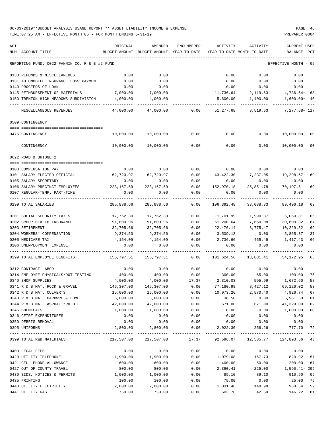| ACT |                                               | ORIGINAL      | AMENDED                   | ENCUMBERED            | ACTIVITY   | ACTIVITY                             | CURRENT USED         |     |
|-----|-----------------------------------------------|---------------|---------------------------|-----------------------|------------|--------------------------------------|----------------------|-----|
|     | NUM ACCOUNT-TITLE                             | BUDGET-AMOUNT | BUDGET-AMOUNT             | YEAR-TO-DATE          |            | YEAR-TO-DATE MONTH-TO-DATE           | BALANCE              | PCT |
|     | REPORTING FUND: 0022 FANNIN CO. R & B #2 FUND |               |                           |                       |            |                                      | EFFECTIVE MONTH - 05 |     |
|     | 0130 REFUNDS & MISCELLANEOUS                  | 0.00          | 0.00                      |                       | 0.00       | 0.00                                 | 0.00                 |     |
|     | 0131 AUTOMOBILE INSURANCE LOSS PAYMENT        | 0.00          | 0.00                      |                       | 0.00       | 0.00                                 | 0.00                 |     |
|     | 0140 PROCEEDS OF LOAN                         | 0.00          | 0.00                      |                       | 0.00       | 0.00                                 | 0.00                 |     |
|     | 0145 REIMBURSEMENT OF MATERIALS               | 7,000.00      | 7,000.00                  |                       | 11,736.64  | 2,119.63                             | $4,736.64+168$       |     |
|     | 0150 TRENTON HIGH MEADOWS SUBDIVISION         | 4,000.00      | 4,000.00                  |                       | 5,600.00   | 1,400.00                             | $1,600.00+140$       |     |
|     | MISCELLANEOUS REVENUES                        | 44,000.00     | 44,000.00                 | 0.00                  | 51,277.68  | 3,519.63                             | 7,277.68+ 117        |     |
|     | 0509 CONTINGENCY                              |               |                           |                       |            |                                      |                      |     |
|     | 0475 CONTINGENCY                              | 10,000.00     | 10,000.00                 | 0.00                  | 0.00       | 0.00                                 | 10,000.00 00         |     |
|     |                                               |               |                           |                       |            |                                      |                      |     |
|     | CONTINGENCY                                   | 10,000.00     | 10,000.00                 | 0.00                  | 0.00       | 0.00                                 | 10,000.00            | 00  |
|     | 0622 ROAD & BRIDGE 2                          |               |                           |                       |            |                                      |                      |     |
|     | 0100 COMPENSATION PAY                         | 0.00          | 0.00                      | 0.00                  |            | $0.00$ 0.00                          | 0.00                 |     |
|     | 0101 SALARY ELECTED OFFICIAL                  | 62,720.97     | 62,720.97                 | 0.00                  | 43,422.30  | 7,237.05                             | 19,298.67            | 69  |
|     | 0105 SALARY SECRETARY                         | 0.00          | 0.00                      | 0.00                  | 0.00       | 0.00                                 | 0.00                 |     |
|     | 0106 SALARY PRECINCT EMPLOYEES                | 223,167.69    | 223,167.69                | 0.00                  | 152,970.18 | 25,851.78                            | 70,197.51            | 69  |
|     | 0107 REGULAR-TEMP. PART-TIME                  | 0.00          | 0.00                      | 0.00                  | 0.00       | 0.00                                 | 0.00                 |     |
|     | 0199 TOTAL SALARIES                           | 285,888.66    | 285,888.66                | 0.00                  | 196,392.48 | 33,088.83                            | 89,496.18            | 69  |
|     | 0201 SOCIAL SECURITY TAXES                    | 17,762.30     | 17,762.30                 | 0.00                  | 11,701.99  | 1,990.37                             | 6,060.31             | 66  |
|     | 0202 GROUP HEALTH INSURANCE                   | 91,800.96     | 91,800.96                 | 0.00                  | 61,200.64  | 7,650.08                             | 30,600.32            | 67  |
|     | 0203 RETIREMENT                               | 32,705.66     | 32,705.66                 | 0.00                  | 22,476.14  | 3,775.47                             | 10,229.52            | 69  |
|     | 0204 WORKERS' COMPENSATION                    | 9,374.50      | 9,374.50                  | 0.00                  | 3,509.13   | 0.00                                 | 5,865.37             | 37  |
|     | 0205 MEDICARE TAX                             | 4,154.09      | 4,154.09                  | 0.00                  | 2,736.66   | 465.49                               | 1,417.43             | 66  |
|     | 0206 UNEMPLOYMENT EXPENSE                     | 0.00          | 0.00                      | 0.00                  | 0.00       | 0.00                                 | 0.00                 |     |
|     |                                               |               |                           |                       |            |                                      |                      |     |
|     | 0299 TOTAL EMPLOYEE BENEFITS                  | 155,797.51    | 155,797.51                | 0.00                  | 101,624.56 | 13,881.41                            | 54,172.95            | 65  |
|     | 0312 CONTRACT LABOR                           | 0.00          | 0.00                      | 0.00                  | 0.00       | 0.00                                 | 0.00                 |     |
|     | 0314 EMPLOYEE PHYSICALS/DOT TESTING           | 400.00        | 400.00                    | 0.00                  | 300.00     | 65.00                                | 100.00               | 75  |
|     | 0340 SHOP SUPPLIES                            | 4,000.00      | 4,000.00                  | 17.37                 | 2,310.03   | 595.99                               | 1,672.60             | 58  |
|     | 0341 R & B MAT. ROCK & GRAVEL                 | 146,307.00    | 146,307.00                | 0.00                  | 77,180.98  | 8,427.12                             | 69,126.02            | 53  |
|     | 0342 R & B MAT. CULVERTS                      | 15,000.00     | 15,000.00                 | 0.00                  | 10,073.26  | 2,570.40                             | 4,926.74             | 67  |
|     | 0343 R & B MAT. HARDWRE & LUMB                | 6,000.00      | 6,000.00                  | 0.00                  | 38.50      | 0.00                                 | 5,961.50             | 01  |
|     | 0344 R & B MAT. ASPHALT/RD OIL                | 42,000.00     | 42,000.00                 | 0.00                  | 671.00     | 671.00                               | 41,329.00            | 02  |
|     | 0345 CHEMICALS                                | 1,000.00      | 1,000.00                  | 0.00                  | 0.00       | 0.00                                 | 1,000.00             | 00  |
|     | 0346 CETRZ EXPENDITURES                       | 0.00          | 0.00                      | 0.00                  | 0.00       | 0.00                                 | 0.00                 |     |
|     | 0350 DEBRIS REMOVAL                           | 0.00          | 0.00                      | 0.00                  | 0.00       | 0.00                                 | 0.00                 |     |
|     | 0395 UNIFORMS                                 | 2,800.00      | 2,800.00<br>------------- | 0.00                  | 2,022.30   | 256.26                               | 777.70               | 72  |
|     | 0399 TOTAL R&B MATERIALS                      |               | 217,507.00 217,507.00     | ------------<br>17.37 |            | 92,596.07  12,585.77  124,893.56  43 |                      |     |
|     | 0400 LEGAL FEES                               | 0.00          | 0.00                      | 0.00                  | 0.00       | 0.00                                 | 0.00                 |     |
|     | 0420 UTILITY TELEPHONE                        | 1,900.00      | 1,900.00                  | 0.00                  | 1,079.08   | 167.73                               | 820.92               | 57  |
|     | 0421 CELL PHONE ALLOWANCE                     | 600.00        | 600.00                    | 0.00                  | 400.00     | 50.00                                | 200.00               | 67  |
|     | 0427 OUT OF COUNTY TRAVEL                     | 800.00        | 800.00                    | 0.00                  | 2,390.41   | 225.00                               | 1,590.41-299         |     |
|     | 0430 BIDS, NOTICES & PERMITS                  | 1,000.00      | 1,000.00                  | 0.00                  | 89.10      | 89.10                                | 910.90               | 09  |
|     | 0435 PRINTING                                 | 100.00        | 100.00                    | 0.00                  | 75.00      | 0.00                                 | 25.00                | 75  |
|     | 0440 UTILITY ELECTRICITY                      | 2,000.00      | 2,000.00                  | 0.00                  | 1,031.46   | 148.98                               | 968.54               | 52  |
|     | 0441 UTILITY GAS                              | 750.00        | 750.00                    | 0.00                  | 603.78     | 42.59                                | 146.22               | 81  |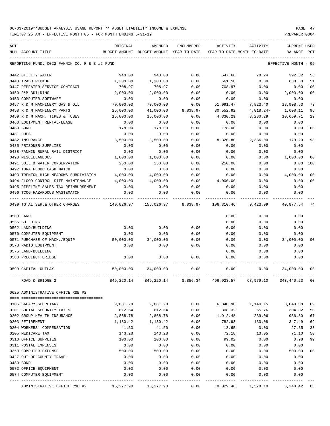TIME:07:25 AM - EFFECTIVE MONTH:05 - FOR MONTH ENDING 5-31-19 PREPARER:0004

| ACT |                                                           | ORIGINAL       | AMENDED                                  | <b>ENCUMBERED</b> | ACTIVITY       | ACTIVITY                   | <b>CURRENT USED</b>  |                |
|-----|-----------------------------------------------------------|----------------|------------------------------------------|-------------------|----------------|----------------------------|----------------------|----------------|
|     | NUM ACCOUNT-TITLE                                         |                | BUDGET-AMOUNT BUDGET-AMOUNT YEAR-TO-DATE |                   |                | YEAR-TO-DATE MONTH-TO-DATE | BALANCE PCT          |                |
|     | REPORTING FUND: 0022 FANNIN CO. R & B #2 FUND             |                |                                          |                   |                |                            | EFFECTIVE MONTH - 05 |                |
|     | 0442 UTILITY WATER                                        | 940.00         | 940.00                                   | 0.00              | 547.68         | 78.24                      | 392.32               | 58             |
|     | 0443 TRASH PICKUP                                         | 1,300.00       | 1,300.00                                 | 0.00              | 661.50         | 0.00                       | 638.50               | 51             |
|     | 0447 REPEATER SERVICE CONTRACT                            | 708.97         | 708.97                                   | 0.00              | 708.97         | 0.00                       | 0.00                 | 100            |
|     | 0450 R&M BUILDING                                         | 2,000.00       | 2,000.00                                 | 0.00              | 0.00           | 0.00                       | 2,000.00             | 0 <sub>0</sub> |
|     | 0453 COMPUTER SOFTWARE                                    | 0.00           | 0.00                                     | 0.00              | 0.00           | 0.00                       | 0.00                 |                |
|     | 0457 R & M MACHINERY GAS & OIL                            | 70,000.00      | 70,000.00                                | 0.00              | 51,091.47      | 7,823.40                   | 18,908.53            | 73             |
|     | 0458 R & M MACHINERY PARTS                                | 25,000.00      | 41,000.00                                | 8,838.97          | 30,552.92      | $4,818.24-$                | 1,608.11             | 96             |
|     | 0459 R & M MACH. TIRES & TUBES                            | 15,000.00      | 15,000.00                                | 0.00              | 4,330.29       | 3,230.29                   | 10,669.71            | 29             |
|     | 0460 EQUIPMENT RENTAL/LEASE                               | 0.00           | 0.00                                     | 0.00              | 0.00           | 0.00                       | 0.00                 |                |
|     | 0480 BOND                                                 | 178.00         | 178.00                                   | 0.00              | 178.00         | 0.00                       | 0.00                 | 100            |
|     | 0481 DUES                                                 | 0.00           | 0.00                                     | 0.00              | 0.00           | 0.00                       | 0.00                 |                |
|     | 0482 INSURANCE                                            | 8,500.00       | 8,500.00                                 | 0.00              | 8,320.80       | 2,386.00                   | 179.20               | 98             |
|     | 0485 PRISONER SUPPLIES                                    | 0.00           | 0.00                                     | 0.00              | 0.00           | 0.00                       | 0.00                 |                |
|     | 0488 FANNIN RURAL RAIL DISTRICT                           | 0.00           | 0.00                                     | 0.00              | 0.00           | 0.00                       | 0.00                 |                |
|     | 0490 MISCELLANEOUS                                        | 1,000.00       | 1,000.00                                 | 0.00              | 0.00           | 0.00                       | 1,000.00             | 0 <sub>0</sub> |
|     | 0491 SOIL & WATER CONSERVATION                            | 250.00         | 250.00                                   | 0.00              | 250.00         | 0.00                       | 0.00                 | 100            |
|     | 0492 TDRA FLOOD CASH MATCH                                | 0.00           | 0.00                                     | 0.00              | 0.00           | 0.00                       | 0.00                 |                |
|     | 0493 TRENTON HIGH MEADOWS SUBDIVISION                     | 4,000.00       | 4,000.00                                 | 0.00              | 0.00           | 0.00                       | 4,000.00             | 0 <sub>0</sub> |
|     | 0494 FLOOD CONTROL SITE MAINTENANCE                       | 4,000.00       | 4,000.00                                 | 0.00              | 4,000.00       | 0.00                       | 0.00                 | 100            |
|     | 0495 PIPELINE SALES TAX REIMBURSEMENT                     | 0.00           | 0.00                                     | 0.00              | 0.00           | 0.00                       | 0.00                 |                |
|     | 0496 TCOG HAZARDOUS WASTEMATCH                            | 0.00           | 0.00                                     | 0.00              | 0.00           | 0.00                       | 0.00                 |                |
|     | 0499 TOTAL SER.& OTHER CHARGES                            |                | 140,026.97 156,026.97                    | 8,838.97          | 106,310.46     | 9,423.09                   | 40,877.54            | 74             |
|     | 0500 LAND                                                 |                |                                          |                   | 0.00           | 0.00                       | 0.00                 |                |
|     | 0535 BUILDING                                             |                |                                          |                   | 0.00           | 0.00                       | 0.00                 |                |
|     | 0562 LAND/BUILDING                                        | 0.00           | 0.00                                     | 0.00              | 0.00           | 0.00                       | 0.00                 |                |
|     | 0570 COMPUTER EQUIPMENT                                   | 0.00           | 0.00                                     | 0.00              | 0.00           | 0.00                       | 0.00                 |                |
|     | 0571 PURCHASE OF MACH./EQUIP.                             | 50,000.00      | 34,000.00                                | 0.00              | 0.00           | 0.00                       | 34,000.00            | 00             |
|     | 0573 RADIO EQUIPMENT                                      | 0.00           | 0.00                                     | 0.00              | 0.00           | 0.00                       | 0.00                 |                |
|     | 0575 LAND/BUILDING                                        |                |                                          |                   | 0.00           | 0.00                       | 0.00                 |                |
|     | 0580 PRECINCT BRIDGE                                      | 0.00           | 0.00                                     | 0.00              | 0.00           | 0.00                       | 0.00                 |                |
|     | 0599 CAPITAL OUTLAY                                       | 50,000.00      | 34,000.00                                | 0.00              | 0.00           | 0.00                       | 34,000.00            | 00             |
|     | ROAD & BRIDGE 2                                           | 849,220.14     | 849,220.14                               | 8,856.34          | 496,923.57     | 68,979.10                  | 343,440.23           | 60             |
|     | 0625 ADMINISTRATIVE OFFICE R&B #2                         |                |                                          |                   |                |                            |                      |                |
|     | 0105 SALARY SECRETARY                                     | 9,881.28       | 9,881.28                                 | 0.00              | 6,840.90       |                            |                      | 69             |
|     |                                                           |                |                                          |                   |                | 1,140.15                   | 3,040.38             | 50             |
|     | 0201 SOCIAL SECURITY TAXES<br>0202 GROUP HEALTH INSURANCE | 612.64         | 612.64                                   | 0.00              | 308.32         | 55.76                      | 304.32<br>956.30     | 67             |
|     | 0203 RETIREMENT                                           | 2,868.78       | 2,868.78                                 | 0.00              | 1,912.48       | 239.06                     | 347.49               | 69             |
|     | 0204 WORKERS' COMPENSATION                                | 1,130.42       | 1,130.42                                 | 0.00              | 782.93         | 130.08                     |                      | 33             |
|     |                                                           | 41.50          | 41.50                                    | 0.00              | 13.65          | 0.00                       | 27.85                |                |
|     | 0205 MEDICARE TAX<br>0310 OFFICE SUPPLIES                 | 143.28         | 143.28                                   | 0.00              | 72.18<br>99.02 | 13.05                      | 71.10                | 50<br>99       |
|     | 0311 POSTAL EXPENSES                                      | 100.00<br>0.00 | 100.00<br>0.00                           | 0.00<br>0.00      | 0.00           | 0.00<br>0.00               | 0.98<br>0.00         |                |
|     | 0353 COMPUTER EXPENSE                                     | 500.00         | 500.00                                   | 0.00              | 0.00           | 0.00                       | 500.00               | 0 <sub>0</sub> |
|     | 0427 OUT OF COUNTY TRAVEL                                 | 0.00           | 0.00                                     | 0.00              | 0.00           | 0.00                       | 0.00                 |                |
|     | 0480 BOND                                                 | 0.00           | 0.00                                     | 0.00              | 0.00           | 0.00                       | 0.00                 |                |
|     | 0572 OFFICE EQUIPMENT                                     | 0.00           | 0.00                                     | 0.00              | 0.00           | 0.00                       | 0.00                 |                |
|     | 0574 COMPUTER EQUIPMENT                                   | 0.00           | 0.00                                     | 0.00              | 0.00           | 0.00                       | 0.00                 |                |
|     |                                                           |                |                                          |                   |                |                            |                      |                |

ADMINISTRATIVE OFFICE R&B #2  $15,277.90$   $15,277.90$   $0.00$   $10,029.48$   $1,578.10$   $5,248.42$  66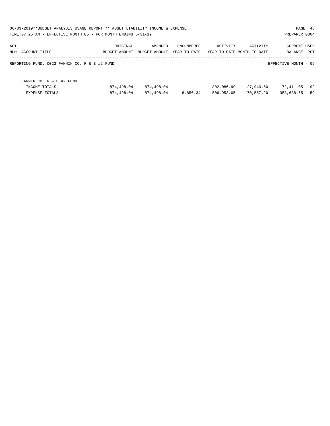| 06-03-2019**BUDGET ANALYSIS USAGE REPORT ** ASSET LIABILITY INCOME & EXPENSE<br>TIME:07:25 AM - EFFECTIVE MONTH:05 - FOR MONTH ENDING 5-31-19 |               |               |              |            |                            | PAGE 48<br>PREPARER: 0004 |     |
|-----------------------------------------------------------------------------------------------------------------------------------------------|---------------|---------------|--------------|------------|----------------------------|---------------------------|-----|
| ACT                                                                                                                                           | ORIGINAL      | AMENDED       | ENCUMBERED   | ACTIVITY   | ACTIVITY                   | <b>CURRENT USED</b>       |     |
| NUM<br>ACCOUNT-TITLE                                                                                                                          | BUDGET-AMOUNT | BUDGET-AMOUNT | YEAR-TO-DATE |            | YEAR-TO-DATE MONTH-TO-DATE | BALANCE                   | PCT |
| REPORTING FUND: 0022 FANNIN CO. R & B #2 FUND                                                                                                 |               |               |              |            |                            | EFFECTIVE MONTH - 05      |     |
| FANNIN CO. R & B #2 FUND                                                                                                                      |               |               |              |            |                            |                           |     |
| INCOME TOTALS                                                                                                                                 | 874,498.04    | 874,498.04    |              | 802,086.99 | 27,940.50                  | 72,411.05                 | 92  |
| <b>EXPENSE TOTALS</b>                                                                                                                         | 874,498.04    | 874,498.04    | 8,856.34     | 506,953.05 | 70,557.20                  | 358,688.65                | 59  |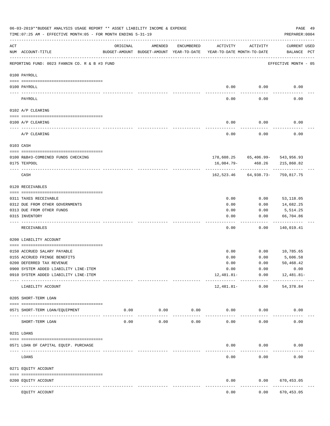|     | 06-03-2019**BUDGET ANALYSIS USAGE REPORT ** ASSET LIABILITY INCOME & EXPENSE<br>TIME: 07:25 AM - EFFECTIVE MONTH: 05 - FOR MONTH ENDING 5-31-19 |                                                                                 |                     |               |            |                      | PREPARER: 0004                                 | PAGE 49 |
|-----|-------------------------------------------------------------------------------------------------------------------------------------------------|---------------------------------------------------------------------------------|---------------------|---------------|------------|----------------------|------------------------------------------------|---------|
| ACT | NUM ACCOUNT-TITLE                                                                                                                               | ORIGINAL<br>BUDGET-AMOUNT BUDGET-AMOUNT YEAR-TO-DATE YEAR-TO-DATE MONTH-TO-DATE | AMENDED             | ENCUMBERED    | ACTIVITY   | ACTIVITY             | CURRENT USED<br>BALANCE PCT                    |         |
|     | REPORTING FUND: 0023 FANNIN CO. R & B #3 FUND                                                                                                   |                                                                                 |                     |               |            |                      | EFFECTIVE MONTH - 05                           |         |
|     | 0100 PAYROLL                                                                                                                                    |                                                                                 |                     |               |            |                      |                                                |         |
|     | 0100 PAYROLL<br>---- ----                                                                                                                       |                                                                                 |                     |               |            | $0.00$ 0.00          | 0.00                                           |         |
|     | PAYROLL                                                                                                                                         |                                                                                 |                     |               | 0.00       | 0.00                 | 0.00                                           |         |
|     | 0102 A/P CLEARING                                                                                                                               |                                                                                 |                     |               |            |                      |                                                |         |
|     | 0100 A/P CLEARING                                                                                                                               |                                                                                 |                     |               | 0.00       | 0.00                 | 0.00                                           |         |
|     | A/P CLEARING                                                                                                                                    |                                                                                 |                     |               | 0.00       | 0.00                 | 0.00                                           |         |
|     | 0103 CASH                                                                                                                                       |                                                                                 |                     |               |            |                      |                                                |         |
|     |                                                                                                                                                 |                                                                                 |                     |               |            |                      |                                                |         |
|     | 0100 R&B#3-COMBINED FUNDS CHECKING<br>0175 TEXPOOL                                                                                              |                                                                                 |                     |               | 16,084.79- | 468.26               | 178,608.25 65,406.99- 543,956.93<br>215,860.82 |         |
|     |                                                                                                                                                 |                                                                                 |                     |               |            | -----------          |                                                |         |
|     | CASH                                                                                                                                            |                                                                                 |                     |               |            |                      | 162,523.46 64,938.73- 759,817.75               |         |
|     | 0120 RECEIVABLES                                                                                                                                |                                                                                 |                     |               |            |                      |                                                |         |
|     | 0311 TAXES RECEIVABLE                                                                                                                           |                                                                                 |                     |               | 0.00       | 0.00                 | 53,118.05                                      |         |
|     | 0312 DUE FROM OTHER GOVERNMENTS                                                                                                                 |                                                                                 |                     |               | 0.00       | 0.00                 | 14,682.25                                      |         |
|     | 0313 DUE FROM OTHER FUNDS                                                                                                                       |                                                                                 |                     |               | 0.00       | 0.00                 | 5,514.25                                       |         |
|     | 0315 INVENTORY                                                                                                                                  |                                                                                 |                     |               | 0.00       | 0.00                 | 66,704.86<br>----------                        |         |
|     | RECEIVABLES                                                                                                                                     |                                                                                 |                     |               | 0.00       | 0.00                 | 140,019.41                                     |         |
|     | 0200 LIABILITY ACCOUNT                                                                                                                          |                                                                                 |                     |               |            |                      |                                                |         |
|     | 0150 ACCRUED SALARY PAYABLE                                                                                                                     |                                                                                 |                     |               | 0.00       |                      | $0.00$ 10,785.65                               |         |
|     | 0155 ACCRUED FRINGE BENEFITS                                                                                                                    |                                                                                 |                     |               | 0.00       | 0.00                 | 5,606.58                                       |         |
|     | 0200 DEFERRED TAX REVENUE                                                                                                                       |                                                                                 |                     |               | 0.00       | 0.00                 | 50,468.42                                      |         |
|     | 0900 SYSTEM ADDED LIABILITY LINE-ITEM                                                                                                           |                                                                                 |                     |               | 0.00       | 0.00                 | 0.00                                           |         |
|     | 0910 SYSTEM ADDED LIABILITY LINE-ITEM                                                                                                           |                                                                                 |                     |               | 12,481.81- | 0.00                 | 12,481.81-                                     |         |
|     | LIABILITY ACCOUNT                                                                                                                               |                                                                                 |                     |               | 12,481.81- | ------------<br>0.00 | 54, 378.84                                     |         |
|     | 0205 SHORT-TERM LOAN                                                                                                                            |                                                                                 |                     |               |            |                      |                                                |         |
|     | 0571 SHORT-TERM LOAN/EQUIPMENT                                                                                                                  | 0.00                                                                            | 0.00                | 0.00          | 0.00       | 0.00                 | 0.00                                           |         |
|     | SHORT-TERM LOAN                                                                                                                                 | 0.00                                                                            | $- - - - -$<br>0.00 | -----<br>0.00 | 0.00       | 0.00                 | 0.00                                           |         |
|     | 0231 LOANS                                                                                                                                      |                                                                                 |                     |               |            |                      |                                                |         |
|     | 0571 LOAN OF CAPITAL EQUIP. PURCHASE                                                                                                            |                                                                                 |                     |               | 0.00       | 0.00                 | 0.00                                           |         |
|     | LOANS                                                                                                                                           |                                                                                 |                     |               | 0.00       | 0.00                 | 0.00                                           |         |
|     | 0271 EQUITY ACCOUNT                                                                                                                             |                                                                                 |                     |               |            |                      |                                                |         |
|     | 0200 EQUITY ACCOUNT                                                                                                                             |                                                                                 |                     |               | 0.00       | 0.00                 | 670,453.05                                     |         |
|     | ---- -----------<br>EQUITY ACCOUNT                                                                                                              |                                                                                 |                     |               | 0.00       | 0.00                 | .<br>670, 453.05                               |         |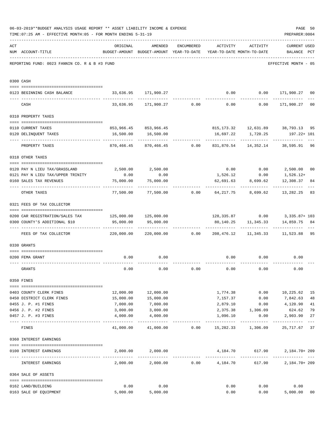|     | 06-03-2019**BUDGET ANALYSIS USAGE REPORT ** ASSET LIABILITY INCOME & EXPENSE<br>TIME: 07:25 AM - EFFECTIVE MONTH: 05 - FOR MONTH ENDING 5-31-19 |                                  |                                                                                |                            |                 |                                   | PAGE 50<br>PREPARER: 0004                             |                |
|-----|-------------------------------------------------------------------------------------------------------------------------------------------------|----------------------------------|--------------------------------------------------------------------------------|----------------------------|-----------------|-----------------------------------|-------------------------------------------------------|----------------|
|     |                                                                                                                                                 |                                  |                                                                                |                            |                 |                                   |                                                       |                |
| ACT | NUM ACCOUNT-TITLE                                                                                                                               | ORIGINAL                         | AMENDED<br>BUDGET-AMOUNT BUDGET-AMOUNT YEAR-TO-DATE YEAR-TO-DATE MONTH-TO-DATE | ENCUMBERED                 |                 | ACTIVITY ACTIVITY                 | <b>CURRENT USED</b><br>BALANCE PCT                    |                |
|     | REPORTING FUND: 0023 FANNIN CO. R & B #3 FUND                                                                                                   |                                  |                                                                                |                            |                 |                                   | EFFECTIVE MONTH - 05                                  |                |
|     |                                                                                                                                                 |                                  |                                                                                |                            |                 |                                   |                                                       |                |
|     | 0300 CASH                                                                                                                                       |                                  |                                                                                |                            |                 |                                   |                                                       |                |
|     | 0123 BEGINNING CASH BALANCE                                                                                                                     |                                  | 33,636.95 171,900.27                                                           |                            |                 |                                   | $0.00$ $0.00$ $171,900.27$                            | 0 <sub>0</sub> |
|     | CASH                                                                                                                                            |                                  | $33,636.95$ 171,900.27 0.00 0.00 0.00 171,900.27                               |                            |                 |                                   |                                                       | 0 <sub>0</sub> |
|     | 0310 PROPERTY TAXES                                                                                                                             |                                  |                                                                                |                            |                 |                                   |                                                       |                |
|     |                                                                                                                                                 |                                  |                                                                                |                            |                 |                                   |                                                       |                |
|     | 0110 CURRENT TAXES                                                                                                                              |                                  | 853,966.45 853,966.45                                                          |                            |                 |                                   | 815, 173.32  12, 631.89  38, 793.13  95               |                |
|     | 0120 DELINQUENT TAXES                                                                                                                           | 16,500.00                        | 16,500.00                                                                      |                            |                 | 16,697.22 1,720.25<br>----------- | 197.22+ 101                                           |                |
|     | PROPERTY TAXES                                                                                                                                  | 870,466.45                       |                                                                                | 870,466.45 0.00 831,870.54 |                 |                                   | 14,352.14 38,595.91 96                                |                |
|     | 0318 OTHER TAXES                                                                                                                                |                                  |                                                                                |                            |                 |                                   |                                                       |                |
|     | 0120 PAY N LIEU TAX/GRASSLAND                                                                                                                   | 2,500.00                         | 2,500.00                                                                       |                            |                 |                                   | $0.00$ $0.00$ $2,500.00$                              | 0 <sub>0</sub> |
|     | 0121 PAY N LIEU TAX/UPPER TRINITY                                                                                                               | 0.00                             | 0.00                                                                           |                            |                 | 1,526.12 0.00                     | 1,526.12+                                             |                |
|     | 0160 SALES TAX REVENUES                                                                                                                         | 75,000.00                        | 75,000.00                                                                      |                            | 62,691.63       | 8,699.62                          | 12,308.37                                             | 84             |
|     | OTHER TAXES                                                                                                                                     | 77,500.00                        |                                                                                |                            |                 |                                   | $77,500.00$ $0.00$ $64,217.75$ $8,699.62$ $13,282.25$ | 83             |
|     | 0321 FEES OF TAX COLLECTOR                                                                                                                      |                                  |                                                                                |                            |                 |                                   |                                                       |                |
|     | 0200 CAR REGISTRATION/SALES TAX                                                                                                                 | 125,000.00    125,000.00         |                                                                                |                            |                 |                                   | 128, 335.87   0.00   3, 335.87+ 103                   |                |
|     | 0300 COUNTY'S ADDITIONAL \$10                                                                                                                   | 95,000.00                        | 95,000.00                                                                      |                            |                 | -------------                     | 80,140.25   11,345.33   14,859.75   84                |                |
|     | FEES OF TAX COLLECTOR                                                                                                                           | $220,000.00$ $220,000.00$ $0.00$ |                                                                                |                            |                 |                                   | 208,476.12 11,345.33 11,523.88                        | 95             |
|     | 0330 GRANTS                                                                                                                                     |                                  |                                                                                |                            |                 |                                   |                                                       |                |
|     |                                                                                                                                                 |                                  |                                                                                |                            |                 |                                   |                                                       |                |
|     | 0200 FEMA GRANT                                                                                                                                 | 0.00                             | 0.00                                                                           |                            | 0.00            | 0.00                              | 0.00                                                  |                |
|     | GRANTS                                                                                                                                          | 0.00                             | 0.00                                                                           | 0.00                       | 0.00            | 0.00                              | 0.00                                                  |                |
|     | 0350 FINES                                                                                                                                      |                                  |                                                                                |                            |                 |                                   |                                                       |                |
|     | 0403 COUNTY CLERK FINES                                                                                                                         | 12,000.00                        | 12,000.00                                                                      |                            |                 |                                   | 1,774.38 0.00 10,225.62                               | 15             |
|     | 0450 DISTRICT CLERK FINES                                                                                                                       | 15,000.00                        | 15,000.00                                                                      |                            | 7,157.37        | 0.00                              | 7,842.63                                              | 48             |
|     | 0455 J. P. #1 FINES                                                                                                                             | 7,000.00                         | 7,000.00                                                                       |                            | 2,879.10        | 0.00                              | 4,120.90                                              | 41             |
|     | 0456 J. P. #2 FINES                                                                                                                             | 3,000.00                         | 3,000.00                                                                       |                            | 2,375.38        | 1,306.09                          | 624.62                                                | 79             |
|     | 0457 J. P. #3 FINES                                                                                                                             | 4,000.00                         | 4,000.00                                                                       |                            | 1,096.10        | 0.00                              | 2,903.90                                              | 27             |
|     | FINES                                                                                                                                           |                                  | 41,000.00 41,000.00 0.00 15,282.33 1,306.09                                    |                            |                 |                                   | 25,717.67                                             | 37             |
|     | 0360 INTEREST EARNINGS                                                                                                                          |                                  |                                                                                |                            |                 |                                   |                                                       |                |
|     | 0100 INTEREST EARNINGS                                                                                                                          |                                  | 2,000.00 2,000.00                                                              |                            |                 | 4, 184. 70 617. 90                | 2,184.70+ 209                                         |                |
|     | INTEREST EARNINGS                                                                                                                               | 2,000.00                         |                                                                                | 2,000.00 0.00 4,184.70     | --------------- | ------------<br>617.90            | 2,184.70+ 209                                         |                |
|     | 0364 SALE OF ASSETS                                                                                                                             |                                  |                                                                                |                            |                 |                                   |                                                       |                |
|     |                                                                                                                                                 |                                  |                                                                                |                            |                 |                                   |                                                       |                |
|     | 0162 LAND/BUILDING                                                                                                                              | 0.00                             | 0.00                                                                           |                            | 0.00            | 0.00                              | 0.00                                                  |                |
|     | 0163 SALE OF EQUIPMENT                                                                                                                          | 5,000.00                         | 5,000.00                                                                       |                            | 0.00            |                                   | 5,000.00<br>0.00                                      | 00             |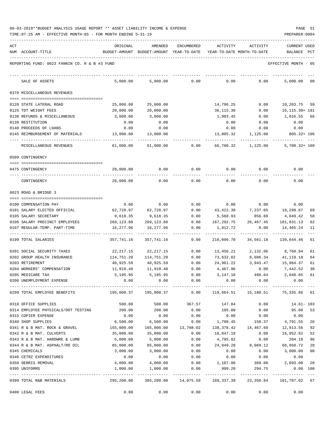| ACT | NUM ACCOUNT-TITLE                                     | ORIGINAL          | AMENDED<br>BUDGET-AMOUNT BUDGET-AMOUNT YEAR-TO-DATE | <b>ENCUMBERED</b> | ACTIVITY<br>YEAR-TO-DATE MONTH-TO-DATE       | ACTIVITY         | <b>CURRENT USED</b><br>BALANCE           | $_{\rm PCT}$   |
|-----|-------------------------------------------------------|-------------------|-----------------------------------------------------|-------------------|----------------------------------------------|------------------|------------------------------------------|----------------|
|     | REPORTING FUND: 0023 FANNIN CO. R & B #3 FUND         |                   |                                                     |                   |                                              |                  | EFFECTIVE MONTH - 05                     |                |
|     | SALE OF ASSETS                                        | 5,000.00          | 5,000.00                                            | 0.00              | 0.00                                         | 0.00             | 5,000.00                                 | 00             |
|     | 0370 MISCELLANEOUS REVENUES                           |                   |                                                     |                   |                                              |                  |                                          |                |
|     |                                                       |                   |                                                     |                   |                                              |                  |                                          |                |
|     | 0120 STATE LATERAL ROAD                               | 25,000.00         | 25,000.00                                           |                   | 14,796.25                                    | 0.00             | 10,203.75                                | 59             |
|     | 0125 TDT WEIGHT FEES                                  | 20,000.00         | 20,000.00                                           |                   | 36,115.30                                    | 0.00             | 16, 115. 30+ 181                         |                |
|     | 0130 REFUNDS & MISCELLANEOUS                          | 3,000.00          | 3,000.00                                            |                   | 1,983.45                                     | 0.00             | 1,016.55                                 | 66             |
|     | 0139 RESTITUTION                                      | 0.00              | 0.00                                                |                   | 0.00                                         | 0.00             | 0.00                                     |                |
|     | 0140 PROCEEDS OF LOANS                                | 0.00              | 0.00                                                |                   | 0.00                                         | 0.00             | 0.00                                     |                |
|     | 0145 REIMBURSEMENT OF MATERIALS                       | 13,000.00         | 13,000.00                                           |                   | 13,805.32                                    | 1,125.00         | $805.32 + 106$                           |                |
|     | MISCELLANEOUS REVENUES                                | 61,000.00         | 61,000.00                                           | 0.00              | 66,700.32                                    | 1,125.00         | $5,700.32 + 109$                         |                |
|     | 0509 CONTINGENCY                                      |                   |                                                     |                   |                                              |                  |                                          |                |
|     | 0475 CONTINGENCY                                      | 20,000.00         | 0.00                                                | 0.00              | 0.00                                         | 0.00             | 0.00                                     |                |
|     | CONTINGENCY                                           | 20,000.00         | 0.00                                                | 0.00              | 0.00                                         | 0.00             | 0.00                                     |                |
|     | 0623 ROAD & BRIDGE 3                                  |                   |                                                     |                   |                                              |                  |                                          |                |
|     |                                                       |                   |                                                     |                   |                                              |                  |                                          |                |
|     | 0100 COMPENSATION PAY<br>0101 SALARY ELECTED OFFICIAL | 0.00<br>62,720.97 | 0.00<br>62,720.97                                   | 0.00<br>0.00      | 0.00<br>43,422.30                            | 0.00<br>7,237.05 | 0.00<br>19,298.67                        | 69             |
|     | 0105 SALARY SECRETARY                                 | 9,618.35          | 9,618.35                                            | 0.00              | 5,568.93                                     | 856.68           | 4,049.42                                 | 58             |
|     | 0106 SALARY PRECINCT EMPLOYEES                        | 269,123.88        | 269,123.88                                          | 0.00              | 167,292.75                                   | 26,467.45        | 101,831.13                               | 62             |
|     | 0107 REGULAR-TEMP. PART-TIME                          | 16,277.96         | 16,277.96                                           | 0.00              | 1,812.72                                     | 0.00             | 14,465.24                                | 11             |
|     | 0199 TOTAL SALARIES                                   | 357,741.16        | 357,741.16                                          | 0.00              | 218,096.70                                   | 34,561.18        | 139,644.46                               | 61             |
|     | 0201 SOCIAL SECURITY TAXES                            | 22,217.15         | 22,217.15                                           | 0.00              | 13,456.21                                    | 2,132.06         | 8,760.94                                 | 61             |
|     | 0202 GROUP HEALTH INSURANCE                           | 114,751.20        | 114,751.20                                          | 0.00              | 73,632.02                                    | 8,606.34         | 41,119.18                                | 64             |
|     | 0203 RETIREMENT                                       | 40,925.59         | 40,925.59                                           | 0.00              | 24,961.22                                    | 3,943.47         | 15,964.37                                | 61             |
|     | 0204 WORKERS' COMPENSATION                            | 11,910.48         | 11,910.48                                           | 0.00              | 4,467.96                                     | 0.00             | 7,442.52                                 | 38             |
|     | 0205 MEDICARE TAX                                     | 5,195.95          | 5,195.95                                            | 0.00              | 3,147.10                                     | 498.64           | 2,048.85                                 | 61             |
|     | 0206 UNEMPLOYMENT EXPENSE                             | 0.00              | 0.00                                                | 0.00              | 0.00                                         | 0.00             | 0.00                                     |                |
|     | 0299 TOTAL EMPLOYEE BENEFITS                          |                   |                                                     |                   |                                              |                  | $0.00$ 119,664.51 15,180.51 75,335.86 61 |                |
|     | 0310 OFFICE SUPPLIES                                  | 500.00            | 500.00 367.57                                       |                   |                                              | 147.04 0.00      | 14.61- 103                               |                |
|     | 0314 EMPLOYEE PHYSICALS/DOT TESTING 200.00            |                   | 200.00                                              | 0.00              | 105.00                                       | 0.00             | 95.00                                    | 53             |
|     | 0315 COPIER EXPENSE                                   | 0.00              | 0.00                                                | 0.00              | 0.00                                         | 0.00             | 0.00                                     |                |
|     | 0340 SHOP SUPPLIES                                    | 6,500.00          | 6,500.00                                            | 0.00              | 1,708.45                                     | 150.37           | 4,791.55                                 | 26             |
|     | 0341 R & B MAT. ROCK & GRAVEL                         | 155,000.00        | 165,000.00                                          | 13,708.02         | 138,378.42                                   | 14,467.60        | 12,913.56                                | 92             |
|     | 0342 R & B MAT. CULVERTS                              | 35,000.00         | 35,000.00                                           | 0.00              | 18,047.18                                    | 0.00             | 16,952.82                                | 52             |
|     | 0343 R & B MAT. HARDWRE & LUMB                        | 5,000.00          | 5,000.00                                            | 0.00              | 4,795.82                                     | 0.00             | 204.18                                   | 96             |
|     | 0344 R & B MAT. ASPHALT/RD OIL                        | 85,000.00         | 85,000.00                                           | 0.00              | 24,049.28                                    | 8,069.12         | 60,950.72                                | 28             |
|     | 0345 CHEMICALS                                        | 3,000.00          | 3,000.00                                            | 0.00              | 0.00                                         | 0.00             | 3,000.00                                 | 0 <sub>0</sub> |
|     | 0346 CETRZ EXPENDITURES                               | 0.00              | $0.00$<br>4,000.00                                  | 0.00              | 0.00                                         | 0.00             | 0.00                                     |                |
|     | 0350 DEBRIS REMOVAL                                   | 4,000.00          |                                                     | 0.00              | 1,107.00                                     | 369.00           | 2,893.00 28                              |                |
|     | 0395 UNIFORMS                                         | 1,000.00          | 1,000.00                                            | 0.00              | 999.20                                       | 294.75           | $0.80$ 100                               |                |
|     | 0399 TOTAL R&B MATERIALS                              | 295,200.00        |                                                     |                   | 305,200.00  14,075.59  189,337.39  23,350.84 |                  | 101,787.02 67                            |                |
|     | 0400 LEGAL FEES                                       | 0.00              | 0.00                                                | 0.00              | 0.00                                         | 0.00             | 0.00                                     |                |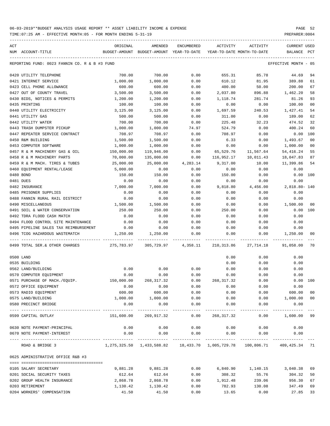| ACT |                                                           | ORIGINAL   | AMENDED                                                                                 | ENCUMBERED              | ACTIVITY                   | ACTIVITY          | <b>CURRENT USED</b>    |                |
|-----|-----------------------------------------------------------|------------|-----------------------------------------------------------------------------------------|-------------------------|----------------------------|-------------------|------------------------|----------------|
|     | NUM ACCOUNT-TITLE                                         |            | BUDGET-AMOUNT BUDGET-AMOUNT YEAR-TO-DATE                                                |                         | YEAR-TO-DATE MONTH-TO-DATE |                   | BALANCE                | PCT            |
|     | REPORTING FUND: 0023 FANNIN CO. R & B #3 FUND             |            |                                                                                         |                         |                            |                   | EFFECTIVE MONTH - 05   |                |
|     | 0420 UTILITY TELEPHONE                                    | 700.00     | 700.00                                                                                  | 0.00                    | 655.31                     | 85.78             | 44.69                  | 94             |
|     | 0421 INTERNET SERVICE                                     | 1,000.00   | 1,000.00                                                                                | 0.00                    | 610.12                     | 81.95             | 389.88                 | 61             |
|     | 0423 CELL PHONE ALLOWANCE                                 | 600.00     | 600.00                                                                                  | 0.00                    | 400.00                     | 50.00             | 200.00                 | 67             |
|     | 0427 OUT OF COUNTY TRAVEL                                 | 3,500.00   | 3,500.00                                                                                | 0.00                    | 2,037.80                   | 896.88            | 1,462.20               | 58             |
|     | 0430 BIDS, NOTICES & PERMITS                              | 1,200.00   | 1,200.00                                                                                | 0.00                    | 1,118.74                   | 281.74            | 81.26                  | 93             |
|     | 0435 PRINTING                                             | 100.00     | 100.00                                                                                  | 0.00                    | 0.00                       | 0.00              | 100.00                 | 0 <sub>0</sub> |
|     | 0440 UTILITY ELECTRICITY                                  | 3,125.00   | 3,125.00                                                                                | 0.00                    | 1,697.59                   | 240.53            | 1,427.41               | 54             |
|     | 0441 UTILITY GAS                                          | 500.00     | 500.00                                                                                  | 0.00                    | 311.00                     | 0.00              | 189.00                 | 62             |
|     | 0442 UTILITY WATER                                        | 700.00     | 700.00                                                                                  | 0.00                    | 225.48                     | 32.23             | 474.52                 | 32             |
|     | 0443 TRASH DUMPSTER PICKUP                                | 1,000.00   | 1,000.00                                                                                | 74.97                   | 524.79                     | 0.00              | 400.24                 | 60             |
|     | 0447 REPEATER SERVICE CONTRACT                            | 708.97     | 708.97                                                                                  | 0.00                    | 708.97                     | 0.00              | 0.00                   | 100            |
|     | 0450 R&M BUILDING                                         | 1,500.00   | 1,500.00                                                                                | 0.00                    | 6.33                       | 0.00              | 1,493.67               | 0 <sub>0</sub> |
|     | 0453 COMPUTER SOFTWARE                                    | 1,000.00   | 1,000.00                                                                                | 0.00                    | 0.00                       | 0.00              | 1,000.00               | 0 <sub>0</sub> |
|     | 0457 R & M MACHINERY GAS & OIL                            | 150,000.00 | 119,946.00                                                                              | 0.00                    | 65,529.76                  | 11,567.64         | 54, 416.24             | 55             |
|     | 0458 R & M MACHINERY PARTS                                | 70,000.00  | 135,000.00                                                                              | 0.00                    | 116,952.17                 | 10,011.43         | 18,047.83              | 87             |
|     | 0459 R & M MACH. TIRES & TUBES                            | 25,000.00  | 25,000.00                                                                               | 4,283.14                | 9,317.00                   | 10.00             | 11,399.86              | 54             |
|     | 0460 EQUIPMENT RENTAL/LEASE                               | 5,000.00   | 0.00                                                                                    | 0.00                    | 0.00                       | 0.00              | 0.00                   |                |
|     | 0480 BOND                                                 | 150.00     | 150.00                                                                                  | 0.00                    | 150.00                     | 0.00              | 0.00                   | 100            |
|     | 0481 DUES                                                 | 0.00       | 0.00                                                                                    | 0.00                    | 0.00                       | 0.00              | 0.00                   |                |
|     | 0482 INSURANCE                                            | 7,000.00   | 7,000.00                                                                                | 0.00                    | 9,818.80                   | 4,456.00          | 2,818.80- 140          |                |
|     | 0485 PRISONER SUPPLIES                                    | 0.00       | 0.00                                                                                    | 0.00                    | 0.00                       | 0.00              | 0.00                   |                |
|     | 0488 FANNIN RURAL RAIL DISTRICT                           | 0.00       | 0.00                                                                                    | 0.00                    | 0.00                       | 0.00              | 0.00                   |                |
|     | 0490 MISCELLANEOUS                                        | 1,500.00   | 1,500.00                                                                                | 0.00                    | 0.00                       | 0.00              | 1,500.00               | 00             |
|     | 0491 SOIL & WATER CONSERVATION                            | 250.00     | 250.00                                                                                  | 0.00                    | 250.00                     | 0.00              | 0.00                   | 100            |
|     | 0492 TDRA FLOOD CASH MATCH                                | 0.00       | 0.00                                                                                    | 0.00                    | 0.00                       | 0.00              | 0.00                   |                |
|     | 0494 FLOOD CONTROL SITE MAINTENANCE                       | 0.00       | 0.00                                                                                    | 0.00                    | 0.00                       | 0.00              | 0.00                   |                |
|     | 0495 PIPELINE SALES TAX REIMBURSEMENT                     | 0.00       | 0.00                                                                                    | 0.00                    | 0.00                       | 0.00              | 0.00                   |                |
|     | 0496 TCOG HAZARDOUS WASTEMATCH                            | 1,250.00   | 1,250.00                                                                                | 0.00                    | 0.00                       | 0.00              | 1,250.00               | 00             |
|     | ----------------------<br>0499 TOTAL SER. & OTHER CHARGES | 275,783.97 | 305,729.97                                                                              | 4,358.11                | 210,313.86                 | 27,714.18         | 91,058.00              | 70             |
|     | 0500 LAND                                                 |            |                                                                                         |                         | 0.00                       | 0.00              | 0.00                   |                |
|     | 0535 BUILDING                                             |            |                                                                                         |                         | 0.00                       | 0.00              | 0.00                   |                |
|     | 0562 LAND/BUILDING                                        | 0.00       | 0.00                                                                                    | 0.00                    | 0.00                       | 0.00              | 0.00                   |                |
|     | 0570 COMPUTER EQUIPMENT                                   | 0.00       | 0.00                                                                                    | 0.00                    | 0.00                       | 0.00              | 0.00                   |                |
|     | 0571 PURCHASE OF MACH./EQUIP.                             | 150,000.00 | 268, 317.32                                                                             | 0.00                    | 268,317.32                 | 0.00              | 0.00 100               |                |
|     | 0572 OFFICE EQUIPMENT                                     | 0.00       | 0.00                                                                                    | 0.00                    | 0.00                       | 0.00              | 0.00                   |                |
|     | 0573 RADIO EQUIPMENT                                      | 600.00     | 600.00                                                                                  | 0.00                    | 0.00                       | 0.00              | 600.00                 | 0 <sub>0</sub> |
|     | 0575 LAND/BUILDING                                        | 1,000.00   | 1,000.00                                                                                | 0.00                    | 0.00                       | 0.00              | 1,000.00               | 0 <sub>0</sub> |
|     | 0580 PRECINCT BRIDGE                                      | 0.00       | 0.00<br>------------                                                                    | 0.00                    | 0.00                       | 0.00              | 0.00                   |                |
|     | 0599 CAPITAL OUTLAY                                       | 151,600.00 | 269,917.32                                                                              | $- - - - - - -$<br>0.00 | ---------<br>268,317.32    | ---------<br>0.00 | ----------<br>1,600.00 | 99             |
|     | 0630 NOTE PAYMENT-PRINCIPAL                               | 0.00       | 0.00                                                                                    | 0.00                    | 0.00                       | 0.00              | 0.00                   |                |
|     | 0670 NOTE PAYMENT-INTEREST                                | 0.00       | 0.00                                                                                    | 0.00                    | 0.00                       | 0.00              | 0.00                   |                |
|     |                                                           |            |                                                                                         | ------------            |                            |                   |                        |                |
|     | ROAD & BRIDGE 3                                           |            | $1,275,325.50$ $1,433,588.82$ $18,433.70$ $1,005,729.78$ $100,806.71$ $409,425.34$ $71$ |                         |                            |                   |                        |                |
|     | 0625 ADMINISTRATIVE OFFICE R&B #3                         |            |                                                                                         |                         |                            |                   |                        |                |
|     | 0105 SALARY SECRETARY                                     | 9,881.28   | 9,881.28                                                                                | 0.00                    | 6,840.90                   | 1,140.15          | 3,040.38               | 69             |
|     | 0201 SOCIAL SECURITY TAXES                                | 612.64     | 612.64                                                                                  | 0.00                    | 308.32                     | 55.76             | 304.32                 | 50             |
|     | 0202 GROUP HEALTH INSURANCE                               | 2,868.78   | 2,868.78                                                                                | 0.00                    | 1,912.48                   | 239.06            | 956.30                 | 67             |
|     | 0203 RETIREMENT                                           | 1,130.42   | 1,130.42                                                                                | 0.00                    | 782.93                     | 130.08            | 347.49                 | 69             |
|     | 0204 WORKERS' COMPENSATION                                | 41.50      | 41.50                                                                                   | 0.00                    | 13.65                      | 0.00              | 27.85                  | 33             |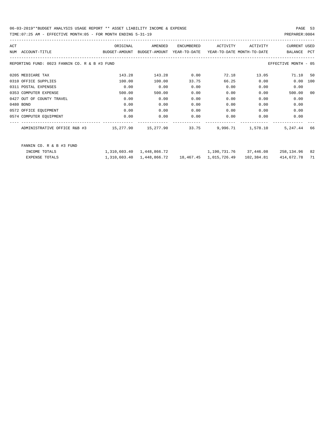TIME:07:25 AM - EFFECTIVE MONTH:05 - FOR MONTH ENDING 5-31-19 PREPARER:0004

| ORIGINAL<br>BUDGET-AMOUNT | AMENDED<br>BUDGET-AMOUNT                      | ENCUMBERED                             | ACTIVITY                  | ACTIVITY | <b>CURRENT USED</b><br>BALANCE         | PCT                                                                         |
|---------------------------|-----------------------------------------------|----------------------------------------|---------------------------|----------|----------------------------------------|-----------------------------------------------------------------------------|
|                           |                                               |                                        |                           |          |                                        |                                                                             |
| 143.28                    | 143.28                                        | 0.00                                   | 72.18                     | 13.05    | 71.10 50                               |                                                                             |
| 100.00                    | 100.00                                        | 33.75                                  | 66.25                     | 0.00     | 0.00                                   | 100                                                                         |
| 0.00                      | 0.00                                          | 0.00                                   | 0.00                      | 0.00     | 0.00                                   |                                                                             |
| 500.00                    | 500.00                                        | 0.00                                   | 0.00                      | 0.00     | 500.00                                 | 0 <sub>0</sub>                                                              |
| 0.00                      | 0.00                                          | 0.00                                   | 0.00                      | 0.00     | 0.00                                   |                                                                             |
| 0.00                      | 0.00                                          | 0.00                                   | 0.00                      | 0.00     | 0.00                                   |                                                                             |
| 0.00                      | 0.00                                          | 0.00                                   | 0.00                      | 0.00     | 0.00                                   |                                                                             |
| 0.00                      | 0.00                                          | 0.00                                   | 0.00                      | 0.00     | 0.00                                   |                                                                             |
|                           |                                               |                                        |                           |          | 5, 247, 44                             | 66                                                                          |
|                           |                                               |                                        |                           |          |                                        |                                                                             |
|                           | REPORTING FUND: 0023 FANNIN CO. R & B #3 FUND | 15,277.90<br>1,310,603.40 1,448,866.72 | YEAR-TO-DATE<br>15,277.90 | 33.75    | YEAR-TO-DATE MONTH-TO-DATE<br>9,996.71 | EFFECTIVE MONTH - 05<br>1,578.10<br>1,190,731.76 37,446.08<br>258,134.96 82 |

EXPENSE TOTALS 1,310,603.40 1,448,866.72 18,467.45 1,015,726.49 102,384.81 414,672.78 71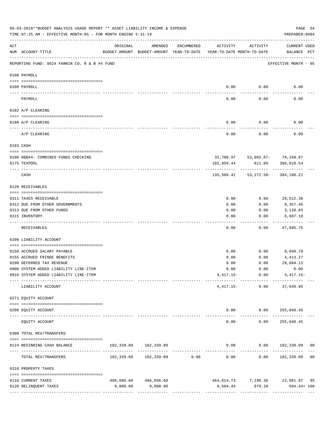|     | 06-03-2019**BUDGET ANALYSIS USAGE REPORT ** ASSET LIABILITY INCOME & EXPENSE<br>TIME: 07:25 AM - EFFECTIVE MONTH: 05 - FOR MONTH ENDING 5-31-19 |                                                      |                            |                                |                                        |                                            | PAGE 54<br>PREPARER: 0004          |
|-----|-------------------------------------------------------------------------------------------------------------------------------------------------|------------------------------------------------------|----------------------------|--------------------------------|----------------------------------------|--------------------------------------------|------------------------------------|
| ACT | NUM ACCOUNT-TITLE                                                                                                                               | ORIGINAL<br>BUDGET-AMOUNT BUDGET-AMOUNT YEAR-TO-DATE | AMENDED                    | ENCUMBERED                     | ACTIVITY<br>YEAR-TO-DATE MONTH-TO-DATE | ACTIVITY                                   | <b>CURRENT USED</b><br>BALANCE PCT |
|     | REPORTING FUND: 0024 FANNIN CO. R & B #4 FUND                                                                                                   |                                                      |                            |                                |                                        |                                            | EFFECTIVE MONTH - 05               |
|     | 0100 PAYROLL                                                                                                                                    |                                                      |                            |                                |                                        |                                            |                                    |
|     | 0100 PAYROLL                                                                                                                                    |                                                      |                            |                                | 0.00                                   | 0.00                                       | 0.00                               |
|     | ----- ----<br>PAYROLL                                                                                                                           |                                                      |                            |                                | 0.00                                   | 0.00                                       | 0.00                               |
|     | 0102 A/P CLEARING                                                                                                                               |                                                      |                            |                                |                                        |                                            |                                    |
|     | 0100 A/P CLEARING                                                                                                                               |                                                      |                            |                                | 0.00                                   | 0.00                                       | 0.00                               |
|     | A/P CLEARING                                                                                                                                    |                                                      |                            |                                | 0.00                                   | 0.00                                       | 0.00                               |
|     | 0103 CASH                                                                                                                                       |                                                      |                            |                                |                                        |                                            |                                    |
|     | 0100 R&B#4- COMBINED FUNDS CHECKING                                                                                                             |                                                      |                            |                                |                                        | 32,700.97 53,883.67- 78,169.67             |                                    |
|     | 0175 TEXPOOL                                                                                                                                    |                                                      |                            |                                | 102,859.44                             | 611.09                                     | 306,010.54                         |
|     | CASH                                                                                                                                            |                                                      |                            |                                |                                        | 135,560.41 53,272.58- 384,180.21           |                                    |
|     | 0120 RECEIVABLES                                                                                                                                |                                                      |                            |                                |                                        |                                            |                                    |
|     | 0311 TAXES RECEIVABLE                                                                                                                           |                                                      |                            |                                | 0.00                                   | 0.00                                       | 29,512.36                          |
|     | 0312 DUE FROM OTHER GOVERNMENTS                                                                                                                 |                                                      |                            |                                | 0.00                                   | 0.00                                       | 8,357.46                           |
|     | 0313 DUE FROM OTHER FUNDS                                                                                                                       |                                                      |                            |                                | 0.00                                   | 0.00                                       | 3,138.83                           |
|     | 0315 INVENTORY                                                                                                                                  |                                                      |                            |                                | 0.00                                   | 0.00                                       | 6,887.10                           |
|     | RECEIVABLES                                                                                                                                     |                                                      |                            |                                | 0.00                                   | 0.00                                       | 47,895.75                          |
|     | 0200 LIABILITY ACCOUNT                                                                                                                          |                                                      |                            |                                |                                        |                                            |                                    |
|     | 0150 ACCRUED SALARY PAYABLE                                                                                                                     |                                                      |                            |                                | 0.00                                   |                                            | $0.00$ 9,049.70                    |
|     | 0155 ACCRUED FRINGE BENEFITS                                                                                                                    |                                                      |                            |                                | 0.00                                   | 0.00                                       | 4,413.27                           |
|     | 0200 DEFERRED TAX REVENUE                                                                                                                       |                                                      |                            |                                | 0.00                                   | 0.00                                       | 28,004.13                          |
|     | 0900 SYSTEM ADDED LIABILITY LINE-ITEM                                                                                                           |                                                      |                            |                                | 0.00                                   | 0.00                                       | 0.00                               |
|     | 0910 SYSTEM ADDED LIABILITY LINE-ITEM                                                                                                           |                                                      |                            |                                |                                        | $4,417.15 - 0.00$<br>-------- ------------ | $4,417.15-$                        |
|     | LIABILITY ACCOUNT                                                                                                                               |                                                      |                            |                                |                                        | $4,417.15-$ 0.00                           | 37,049.95                          |
|     | 0271 EQUITY ACCOUNT                                                                                                                             |                                                      |                            |                                |                                        |                                            |                                    |
|     | 0200 EQUITY ACCOUNT<br>---- --------------                                                                                                      |                                                      | <u>La de de de de dece</u> |                                | -----                                  | $0.00$ $0.00$ $255,048.45$<br>-----------  | .                                  |
|     | EQUITY ACCOUNT                                                                                                                                  |                                                      |                            |                                | 0.00                                   | 0.00                                       | 255,048.45                         |
|     | 0300 TOTAL REV/TRANSFERS                                                                                                                        |                                                      |                            |                                |                                        |                                            |                                    |
|     | 0124 BEGINNING CASH BALANCE                                                                                                                     |                                                      | 102,339.09 102,339.09      |                                |                                        |                                            | $0.00$ $0.00$ $102,339.09$ 00      |
|     | TOTAL REV/TRANSFERS                                                                                                                             |                                                      | 102,339.09 102,339.09 0.00 | ------------------------------ | 0.00                                   | 0.00                                       | 102,339.09 00                      |
|     | 0310 PROPERTY TAXES                                                                                                                             |                                                      |                            |                                |                                        |                                            |                                    |
|     | 0110 CURRENT TAXES                                                                                                                              |                                                      | 486,096.60 486,096.60      |                                |                                        |                                            | 464,014.73 7,190.36 22,081.87 95   |
|     | 0120 DELINQUENT TAXES                                                                                                                           | 9,000.00                                             | 9,000.00                   |                                |                                        |                                            | 9,504.44 979.20 504.44 + 106       |
|     |                                                                                                                                                 |                                                      |                            |                                |                                        |                                            |                                    |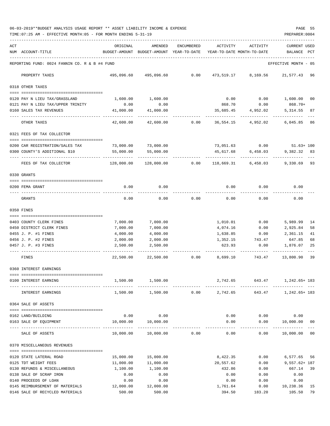06-03-2019\*\*BUDGET ANALYSIS USAGE REPORT \*\* ASSET LIABILITY INCOME & EXPENSE PAGE 55 TIME:07:25 AM - EFFECTIVE MONTH:05 - FOR MONTH ENDING 5-31-19 PREPARER:0004

| ACT |                                                                | ORIGINAL   | AMENDED                                  | ENCUMBERED | ACTIVITY   | ACTIVITY                   | CURRENT USED         |              |
|-----|----------------------------------------------------------------|------------|------------------------------------------|------------|------------|----------------------------|----------------------|--------------|
|     | NUM ACCOUNT-TITLE                                              |            | BUDGET-AMOUNT BUDGET-AMOUNT YEAR-TO-DATE |            |            | YEAR-TO-DATE MONTH-TO-DATE | BALANCE              | $_{\rm PCT}$ |
|     | REPORTING FUND: 0024 FANNIN CO. R & B #4 FUND                  |            |                                          |            |            |                            | EFFECTIVE MONTH - 05 |              |
|     | PROPERTY TAXES                                                 |            | 495,096.60 495,096.60                    | 0.00       |            | 473,519.17 8,169.56        | 21,577.43 96         |              |
|     | 0318 OTHER TAXES                                               |            |                                          |            |            |                            |                      |              |
|     | 0120 PAY N LIEU TAX/GRASSLAND                                  | 1,600.00   | 1,600.00                                 |            | 0.00       |                            | $0.00$ 1,600.00      | 00           |
|     | 0121 PAY N LIEU TAX/UPPER TRINITY                              | 0.00       | 0.00                                     |            | 868.70     | 0.00                       | 868.70+              |              |
|     | 0160 SALES TAX REVENUES                                        | 41,000.00  | 41,000.00                                |            | 35,685.45  | 4,952.02                   | 5, 314.55            | 87           |
|     | OTHER TAXES                                                    | 42,600.00  | 42,600.00                                | 0.00       | 36,554.15  | 4,952.02                   | 6,045.85 86          |              |
|     | 0321 FEES OF TAX COLLECTOR                                     |            |                                          |            |            |                            |                      |              |
|     |                                                                |            |                                          |            |            |                            |                      |              |
|     | 0200 CAR REGISTRATION/SALES TAX                                | 73,000.00  | 73,000.00                                |            |            | 73,051.63 0.00             | $51.63 + 100$        |              |
|     | 0300 COUNTY'S ADDITIONAL \$10                                  | 55,000.00  | 55,000.00                                |            | 45,617.68  | 6,458.03                   | 9,382.32 83          |              |
|     | FEES OF TAX COLLECTOR                                          | 128,000.00 | 128,000.00                               | 0.00       | 118,669.31 | 6,458.03                   | 9,330.69 93          |              |
|     | 0330 GRANTS                                                    |            |                                          |            |            |                            |                      |              |
|     | 0200 FEMA GRANT                                                | 0.00       | 0.00                                     |            | 0.00       | 0.00                       | 0.00                 |              |
|     | GRANTS                                                         | 0.00       | 0.00                                     | 0.00       | 0.00       | 0.00                       | 0.00                 |              |
|     | 0350 FINES                                                     |            |                                          |            |            |                            |                      |              |
|     | 0403 COUNTY CLERK FINES                                        | 7,000.00   | 7,000.00                                 |            | 1,010.01   | 0.00                       | 5,989.99             | 14           |
|     | 0450 DISTRICT CLERK FINES                                      | 7,000.00   | 7,000.00                                 |            | 4,074.16   | 0.00                       | 2,925.84             | 58           |
|     | 0455 J. P. #1 FINES                                            | 4,000.00   | 4,000.00                                 |            | 1,638.85   | 0.00                       | 2,361.15             | 41           |
|     | 0456 J. P. #2 FINES                                            | 2,000.00   | 2,000.00                                 |            | 1,352.15   | 743.47                     | 647.85               | 68           |
|     | 0457 J. P. #3 FINES                                            | 2,500.00   | 2,500.00                                 |            | 623.93     | 0.00                       | 1,876.07             | 25           |
|     | FINES                                                          | 22,500.00  | 22,500.00                                | 0.00       | 8,699.10   | 743.47                     | 13,800.90            | 39           |
|     | 0360 INTEREST EARNINGS                                         |            |                                          |            |            |                            |                      |              |
|     | -------------------------------------<br>0100 INTEREST EARNING | 1,500.00   | 1,500.00                                 |            | 2,742.65   | 643.47                     | 1,242.65+ 183        |              |
|     | INTEREST EARNINGS                                              | 1,500.00   | 1,500.00                                 | 0.00       | 2,742.65   | 643.47                     | 1,242.65+ 183        |              |
|     | 0364 SALE OF ASSETS                                            |            |                                          |            |            |                            |                      |              |
|     |                                                                |            |                                          |            |            |                            |                      |              |
|     | 0162 LAND/BUILDING                                             | 0.00       | 0.00                                     |            | 0.00       | 0.00                       | 0.00                 |              |
|     | 0163 SALE OF EQUIPMENT                                         | 10,000.00  | 10,000.00<br>_____________               |            | 0.00       | 0.00<br>-----              | 10,000.00<br>.       | 00           |
|     | SALE OF ASSETS                                                 | 10,000.00  | 10,000.00                                | 0.00       | 0.00       | 0.00                       | 10,000.00 00         |              |
|     | 0370 MISCELLANEOUS REVENUES                                    |            |                                          |            |            |                            |                      |              |
|     |                                                                | 15,000.00  |                                          |            | 8,422.35   | 0.00                       | 6,577.65             |              |
|     | 0120 STATE LATERAL ROAD<br>0125 TDT WEIGHT FEES                | 11,000.00  | 15,000.00<br>11,000.00                   |            | 20,557.62  | 0.00                       | $9,557.62 + 187$     | 56           |
|     | 0130 REFUNDS & MISCELLANEOUS                                   | 1,100.00   | 1,100.00                                 |            | 432.86     | 0.00                       | 667.14               | -39          |
|     | 0138 SALE OF SCRAP IRON                                        | 0.00       | 0.00                                     |            | 0.00       | 0.00                       | 0.00                 |              |
|     | 0140 PROCEEDS OF LOAN                                          | 0.00       | 0.00                                     |            | 0.00       | 0.00                       | 0.00                 |              |
|     | 0145 REIMBURSEMENT OF MATERIALS                                | 12,000.00  | 12,000.00                                |            | 1,761.64   | 0.00                       | 10,238.36            | 15           |
|     | 0146 SALE OF RECYCLED MATERIALS                                | 500.00     | 500.00                                   |            | 394.50     | 183.20                     | 105.50               | 79           |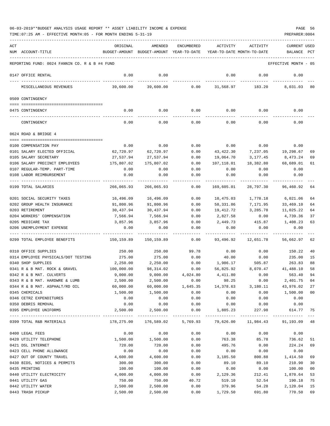| ACT | NUM ACCOUNT-TITLE                                     | ORIGINAL<br>BUDGET-AMOUNT | AMENDED<br>BUDGET-AMOUNT YEAR-TO-DATE | ENCUMBERED                         | ACTIVITY          | ACTIVITY<br>YEAR-TO-DATE MONTH-TO-DATE | <b>CURRENT USED</b><br>BALANCE                       | PCT    |
|-----|-------------------------------------------------------|---------------------------|---------------------------------------|------------------------------------|-------------------|----------------------------------------|------------------------------------------------------|--------|
|     | REPORTING FUND: 0024 FANNIN CO. R & B #4 FUND         |                           |                                       |                                    |                   |                                        | EFFECTIVE MONTH - 05                                 |        |
|     | 0147 OFFICE RENTAL                                    | 0.00                      | 0.00                                  |                                    | 0.00              | 0.00                                   | 0.00                                                 |        |
|     | MISCELLANEOUS REVENUES                                | 39,600.00                 | 39,600.00                             |                                    | $0.00$ 31,568.97  | 183.20                                 | 8,031.03 80                                          |        |
|     | 0509 CONTINGENCY                                      |                           |                                       |                                    |                   |                                        |                                                      |        |
|     | 0475 CONTINGENCY                                      | 0.00                      | 0.00                                  | 0.00                               | 0.00              | 0.00                                   | 0.00                                                 |        |
|     | CONTINGENCY                                           | 0.00                      | 0.00                                  | 0.00                               | 0.00              | 0.00                                   | 0.00                                                 |        |
|     | 0624 ROAD & BRIDGE 4                                  |                           |                                       |                                    |                   |                                        |                                                      |        |
|     |                                                       |                           |                                       |                                    |                   |                                        |                                                      |        |
|     | 0100 COMPENSATION PAY<br>0101 SALARY ELECTED OFFICIAL | 0.00<br>62,720.97         | 0.00<br>62,720.97                     | 0.00<br>0.00                       | 0.00<br>43,422.30 | 0.00<br>7,237.05                       | 0.00<br>19,298.67                                    | 69     |
|     | 0105 SALARY SECRETARY                                 | 27,537.94                 | 27,537.94                             | 0.00                               | 19,064.70         | 3,177.45                               | 8,473.24                                             | 69     |
|     | 0106 SALARY PRECINCT EMPLOYEES                        | 175,807.02                | 175,807.02                            | 0.00                               | 107,118.01        | 18,382.80                              | 68,689.01                                            | 61     |
|     | 0107 REGULAR-TEMP. PART-TIME                          | 0.00                      | 0.00                                  | 0.00                               | 0.00              | 0.00                                   | 0.00                                                 |        |
|     | 0108 LABOR REIMBURSEMENT                              | 0.00                      | 0.00                                  | 0.00                               | 0.00              | 0.00                                   | 0.00                                                 |        |
|     |                                                       |                           |                                       |                                    |                   |                                        |                                                      |        |
|     | 0199 TOTAL SALARIES                                   | 266,065.93                | 266,065.93                            | 0.00                               | 169,605.01        | 28,797.30                              | 96,460.92                                            | 64     |
|     | 0201 SOCIAL SECURITY TAXES                            | 16,496.09                 | 16,496.09                             | 0.00                               | 10,475.03         | 1,778.18                               | 6,021.06                                             | 64     |
|     | 0202 GROUP HEALTH INSURANCE                           | 91,800.96                 | 91,800.96                             | 0.00                               | 58,331.86         | 7,171.95                               | 33,469.10                                            | 64     |
|     | 0203 RETIREMENT                                       | 30,437.94                 | 30,437.94                             | 0.00                               | 19,412.72         | 3,285.78                               | 11,025.22                                            | 64     |
|     | 0204 WORKERS' COMPENSATION                            | 7,566.94                  | 7,566.94                              | 0.00                               | 2,827.58          | 0.00                                   | 4,739.36                                             | 37     |
|     | 0205 MEDICARE TAX                                     | 3,857.96                  | 3,857.96                              | 0.00                               | 2,449.73          | 415.87                                 | 1,408.23                                             | 63     |
|     | 0206 UNEMPLOYMENT EXPENSE                             | 0.00                      | 0.00                                  | 0.00                               | 0.00              | 0.00                                   | 0.00                                                 |        |
|     | 0299 TOTAL EMPLOYEE BENEFITS                          | 150,159.89                | 150,159.89                            | 0.00                               | 93,496.92         | 12,651.78                              | 56,662.97                                            | 62     |
|     | 0310 OFFICE SUPPLIES                                  | 250.00                    | 250.00                                | 99.78                              | 0.00              | 0.00                                   | 150.22                                               | 40     |
|     | 0314 EMPLOYEE PHYSICALS/DOT TESTING                   | 275.00                    | 275.00                                | 0.00                               | 40.00             | 0.00                                   | 235.00                                               | 15     |
|     | 0340 SHOP SUPPLIES                                    | 2,250.00                  | 2,250.00                              | 0.00                               | 1,986.17          | 505.87                                 | 263.83                                               | 88     |
|     | 0341 R & B MAT. ROCK & GRAVEL                         | 100,000.00                | 98, 314.02                            | 0.00                               | 56,825.92         | 8,070.47                               | 41,488.10                                            | 58     |
|     | 0342 R & B MAT. CULVERTS                              | 9,000.00                  | 9,000.00                              | 4,024.80                           | 4,411.80          | 0.00                                   | 563.40                                               | 94     |
|     | 0343 R & B MAT. HARDWRE & LUMB                        | 2,500.00                  | 2,500.00                              | 0.00                               | 98.25             | 0.00                                   | 2,401.75 04                                          |        |
|     | 0344 R & B MAT. ASPHALT/RD OIL                        | 60,000.00                 | 60,000.00                             | 1,645.35                           | 14,378.63         | 3,180.11                               | 43,976.02                                            | 27     |
|     | 0345 CHEMICALS                                        | 1,500.00                  | 1,500.00                              | 0.00                               | 0.00              | 0.00                                   | 1,500.00                                             | 00     |
|     | 0346 CETRZ EXPENDITURES                               | 0.00                      | 0.00                                  | 0.00                               | 0.00              | 0.00                                   | 0.00                                                 |        |
|     | 0350 DEBRIS REMOVAL                                   | 0.00                      | 0.00                                  | 0.00                               | 0.00              | 0.00                                   | 0.00                                                 |        |
|     | 0395 EMPLOYEE UNIFORMS                                | 2,500.00                  | 2,500.00                              | 0.00<br>-------------------------- | 1,885.23          | 227.98                                 | 614.77 75                                            |        |
|     | 0399 TOTAL R&B MATERIALS                              | 178,275.00                |                                       |                                    |                   |                                        | 176,589.02 5,769.93 79,626.00 11,984.43 91,193.09 48 |        |
|     | 0400 LEGAL FEES                                       | 0.00                      | 0.00                                  | 0.00                               | 0.00              | 0.00                                   | 0.00                                                 |        |
|     | 0420 UTILITY TELEPHONE                                | 1,500.00                  | 1,500.00                              | 0.00                               | 763.38            | 85.78                                  | 736.62                                               | 51     |
|     | 0421 DSL INTERNET                                     | 720.00                    | 720.00                                | 0.00                               | 495.76            | 0.00                                   | 224.24                                               | 69     |
|     | 0423 CELL PHONE ALLOWANCE                             | 0.00                      | 0.00                                  | 0.00                               | 0.00              | 0.00                                   | 0.00                                                 |        |
|     | 0427 OUT OF COUNTY TRAVEL                             | 4,600.00                  | 4,600.00                              | 0.00                               | 3,185.50          | 800.88                                 | 1,414.50                                             | 69     |
|     | 0430 BIDS, NOTICES & PERMITS                          | 300.00                    | 300.00                                | 0.00                               | 89.10             | 89.10                                  | 210.90                                               | 30     |
|     | 0435 PRINTING                                         | 100.00                    | 100.00                                | 0.00                               | 0.00              | 0.00                                   | 100.00                                               | $00\,$ |
|     | 0440 UTILITY ELECTRICITY                              | 4,000.00                  | 4,000.00                              | 0.00                               | 2,129.36          | 212.41                                 | 1,870.64                                             | 53     |
|     | 0441 UTILITY GAS                                      | 750.00                    | 750.00                                | 40.72                              | 519.10            | 52.54                                  | 190.18                                               | 75     |
|     | 0442 UTILITY WATER                                    | 2,500.00                  | 2,500.00                              | 0.00                               | 379.96            | 54.28                                  | 2,120.04                                             | 15     |
|     | 0443 TRASH PICKUP                                     | 2,500.00                  | 2,500.00                              | 0.00                               | 1,729.50          | 691.80                                 | 770.50                                               | 69     |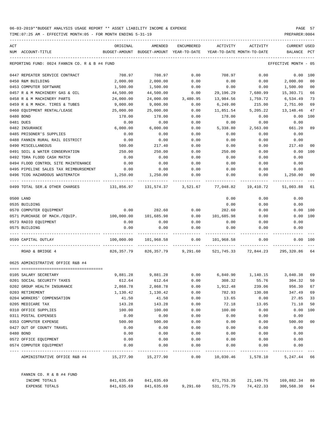| ACT |                                                  | ORIGINAL                                                                            | AMENDED                        | <b>ENCUMBERED</b> | ACTIVITY                                    | ACTIVITY             | <b>CURRENT USED</b>  |                |
|-----|--------------------------------------------------|-------------------------------------------------------------------------------------|--------------------------------|-------------------|---------------------------------------------|----------------------|----------------------|----------------|
|     | NUM ACCOUNT-TITLE                                | BUDGET-AMOUNT BUDGET-AMOUNT YEAR-TO-DATE                                            |                                |                   | YEAR-TO-DATE MONTH-TO-DATE                  |                      | BALANCE              | PCT            |
|     | REPORTING FUND: 0024 FANNIN CO. R & B #4 FUND    |                                                                                     |                                |                   |                                             |                      | EFFECTIVE MONTH - 05 |                |
|     | 0447 REPEATER SERVICE CONTRACT                   | 708.97                                                                              | 708.97                         | 0.00              | 708.97                                      | 0.00                 | 0.00 100             |                |
|     | 0450 R&M BUILDING                                | 2,000.00                                                                            | 2,000.00                       | 0.00              | 0.00                                        | 0.00                 | 2,000.00             | 0 <sub>0</sub> |
|     | 0453 COMPUTER SOFTWARE                           | 1,500.00                                                                            | 1,500.00                       | 0.00              | 0.00                                        | 0.00                 | 1,500.00             | 0 <sub>0</sub> |
|     | 0457 R & M MACHINERY GAS & OIL                   | 44,500.00                                                                           | 44,500.00                      | 0.00              | 29,196.29                                   | 7,680.99             | 15,303.71            | 66             |
|     | 0458 R & M MACHINERY PARTS                       | 24,000.00                                                                           | 24,000.00                      | 3,480.95          | 13,984.56                                   | 1,759.72             | 6,534.49             | 73             |
|     | 0459 R & M MACH. TIRES & TUBES                   | 9,000.00                                                                            | 9,000.00                       | 0.00              | 6,249.00                                    | 215.00               | 2,751.00             | 69             |
|     | 0460 EOUIPMENT RENTAL/LEASE                      | 25,000.00                                                                           | 25,000.00                      | 0.00              | 11,851.54                                   | 5,205.22             | 13,148.46            | 47             |
|     | 0480 BOND                                        | 178.00                                                                              | 178.00                         | 0.00              | 178.00                                      | 0.00                 | 0.00                 | 100            |
|     | 0481 DUES                                        | 0.00                                                                                | 0.00                           | 0.00              | 0.00                                        | 0.00                 | 0.00                 |                |
|     | 0482 INSURANCE                                   | 6,000.00                                                                            | 6,000.00                       | 0.00              | 5,338.80                                    | 2,563.00             | 661.20               | 89             |
|     | 0485 PRISONER'S SUPPLIES                         | 0.00                                                                                | 0.00                           | 0.00              | 0.00                                        | 0.00                 | 0.00                 |                |
|     | 0488 FANNIN RURAL RAIL DISTRICT                  | 0.00                                                                                | 0.00                           | 0.00              | 0.00                                        | 0.00                 | 0.00                 |                |
|     | 0490 MISCELLANEOUS                               | 500.00                                                                              | 217.40                         | 0.00              | 0.00                                        | 0.00                 | 217.40               | 00             |
|     | 0491 SOIL & WATER CONSERVATION                   | 250.00                                                                              | 250.00                         | 0.00              | 250.00                                      | 0.00                 | 0.00                 | 100            |
|     | 0492 TDRA FLOOD CASH MATCH                       | 0.00                                                                                | 0.00                           | 0.00              | 0.00                                        | 0.00                 | 0.00                 |                |
|     | 0494 FLOOD CONTROL SITE MAINTENANCE              | 0.00                                                                                | 0.00                           | 0.00              | 0.00                                        | 0.00                 | 0.00                 |                |
|     | 0495 PIPELINE SALES TAX REIMBURSEMENT            | 0.00                                                                                | 0.00                           | 0.00              | 0.00                                        | 0.00                 | 0.00                 |                |
|     | 0496 TCOG HAZARDOUS WASTEMATCH                   | 1,250.00                                                                            | 1,250.00                       | 0.00              | 0.00                                        | 0.00                 | 1,250.00             | 00             |
|     | 0499 TOTAL SER.& OTHER CHARGES                   | 131,856.97               131,574.37               3,521.67                77,048.82 |                                |                   |                                             | 19,410.72            | 51,003.88            | 61             |
|     | 0500 LAND                                        |                                                                                     |                                |                   | 0.00                                        | 0.00                 | 0.00                 |                |
|     | 0535 BUILDING                                    |                                                                                     |                                |                   | 0.00                                        | 0.00                 | 0.00                 |                |
|     | 0570 COMPUTER EQUIPMENT                          | 0.00                                                                                | 282.60                         | 0.00              | 282.60                                      | 0.00                 | 0.00                 | 100            |
|     | 0571 PURCHASE OF MACH./EQUIP. 100,000.00         |                                                                                     | 101,685.98                     | 0.00              | 101,685.98                                  | 0.00                 | 0.00                 | 100            |
|     | 0573 RADIO EQUIPMENT                             | 0.00                                                                                | 0.00                           | 0.00              | 0.00                                        | 0.00                 | 0.00                 |                |
|     | 0575 BUILDING                                    | 0.00                                                                                | 0.00                           | 0.00              | 0.00                                        | 0.00                 | 0.00                 |                |
|     | 0599 CAPITAL OUTLAY                              | 100,000.00                                                                          | 101,968.58                     | 0.00              | 101,968.58                                  | 0.00                 | 0.00                 | 100            |
|     | ROAD & BRIDGE 4                                  |                                                                                     | 826,357.79 826,357.79 9,291.60 |                   |                                             | 521,745.33 72,844.23 | 295,320.86           | 64             |
|     | 0625 ADMINISTRATIVE OFFICE R&B #4                |                                                                                     |                                |                   |                                             |                      |                      |                |
|     | 0105 SALARY SECRETARY                            | 9,881.28                                                                            |                                |                   | $9,881.28$ 0.00 6,840.90 1,140.15 3,040.38  |                      |                      | 69             |
|     | 0201 SOCIAL SECURITY TAXES                       | 612.64                                                                              | 612.64                         | 0.00              | 308.32                                      | 55.76                | 304.32               | 50             |
|     | 0202 GROUP HEALTH INSURANCE                      | 2,868.78                                                                            | 2,868.78                       | 0.00              | 1,912.48                                    | 239.06               | 956.30               | 67             |
|     | 0203 RETIREMENT                                  | 1,130.42                                                                            | 1,130.42                       | 0.00              | 782.93                                      | 130.08               | 347.49               | 69             |
|     | 0204 WORKERS' COMPENSATION                       | 41.50                                                                               | 41.50                          | 0.00              | 13.65                                       | 0.00                 | 27.85                | 33             |
|     | 0205 MEDICARE TAX                                | 143.28                                                                              | 143.28                         | 0.00              | 72.18                                       | 13.05                | 71.10                | 50             |
|     | 0310 OFFICE SUPPLIES                             | 100.00                                                                              | 100.00                         | 0.00              | 100.00                                      | 0.00                 | 0.00                 | 100            |
|     | 0311 POSTAL EXPENSES                             | 0.00                                                                                | 0.00                           | 0.00              | 0.00                                        | 0.00                 | 0.00                 |                |
|     | 0353 COMPUTER EXPENSE                            | 500.00                                                                              | 500.00                         | 0.00              | 0.00                                        | 0.00                 | 500.00               | 00             |
|     | 0427 OUT OF COUNTY TRAVEL                        | 0.00                                                                                | 0.00                           | 0.00              | 0.00                                        | 0.00                 | 0.00                 |                |
|     | 0480 BOND                                        | 0.00                                                                                | 0.00                           | 0.00              | 0.00                                        | 0.00                 | 0.00                 |                |
|     | 0572 OFFICE EQUIPMENT                            | 0.00                                                                                | 0.00                           | 0.00              | 0.00                                        | 0.00                 | 0.00                 |                |
|     | 0574 COMPUTER EQUIPMENT                          | 0.00                                                                                | 0.00                           | 0.00              | 0.00                                        | 0.00                 | 0.00                 |                |
|     | ADMINISTRATIVE OFFICE R&B #4 15,277.90 15,277.90 |                                                                                     |                                |                   | $0.00$ $10,030.46$ $1,578.10$ $5,247.44$ 66 |                      |                      |                |
|     | FANNIN CO. R & B #4 FUND                         |                                                                                     |                                |                   |                                             |                      |                      |                |
|     | INCOME TOTALS                                    |                                                                                     | 841,635.69 841,635.69          |                   | 671,753.35                                  | 21,149.75            | 169,882.34 80        |                |
|     | EXPENSE TOTALS                                   | 841,635.69                                                                          | 841,635.69                     | 9,291.60          | 531,775.79                                  | 74,422.33            | 300,568.30           | 64             |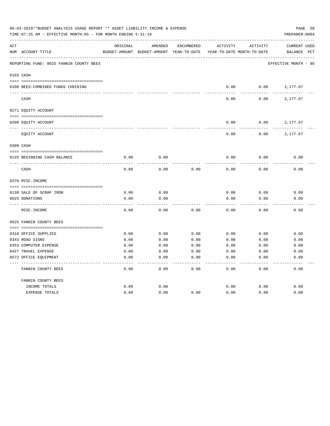|     | 06-03-2019**BUDGET ANALYSIS USAGE REPORT ** ASSET LIABILITY INCOME & EXPENSE<br>TIME: 07:25 AM - EFFECTIVE MONTH: 05 - FOR MONTH ENDING 5-31-19 |               |                            |                   |                            |          |                      |  |  |  |
|-----|-------------------------------------------------------------------------------------------------------------------------------------------------|---------------|----------------------------|-------------------|----------------------------|----------|----------------------|--|--|--|
| ACT |                                                                                                                                                 | ORIGINAL      | AMENDED                    | <b>ENCUMBERED</b> | ACTIVITY                   | ACTIVITY | <b>CURRENT USED</b>  |  |  |  |
|     | NUM ACCOUNT-TITLE                                                                                                                               | BUDGET-AMOUNT | BUDGET-AMOUNT YEAR-TO-DATE |                   | YEAR-TO-DATE MONTH-TO-DATE |          | BALANCE PCT          |  |  |  |
|     | REPORTING FUND: 0025 FANNIN COUNTY BEES                                                                                                         |               |                            |                   |                            |          | EFFECTIVE MONTH - 05 |  |  |  |
|     | 0103 CASH                                                                                                                                       |               |                            |                   |                            |          |                      |  |  |  |
|     | 0100 BEES-COMBINED FUNDS CHECKING                                                                                                               |               |                            |                   | 0.00                       | 0.00     | 2,177.67             |  |  |  |
|     | CASH                                                                                                                                            |               |                            |                   | 0.00                       | 0.00     | 2,177.67             |  |  |  |
|     | 0271 EQUITY ACCOUNT                                                                                                                             |               |                            |                   |                            |          |                      |  |  |  |
|     |                                                                                                                                                 |               |                            |                   |                            |          |                      |  |  |  |
|     | 0200 EQUITY ACCOUNT                                                                                                                             |               |                            |                   | 0.00                       | 0.00     | 2,177.67             |  |  |  |
|     | EQUITY ACCOUNT                                                                                                                                  |               |                            |                   | 0.00                       | 0.00     | 2,177.67             |  |  |  |
|     | 0300 CASH                                                                                                                                       |               |                            |                   |                            |          |                      |  |  |  |
|     |                                                                                                                                                 |               |                            |                   |                            |          |                      |  |  |  |
|     | 0125 BEGINNING CASH BALANCE                                                                                                                     | 0.00          | 0.00                       |                   | 0.00                       | 0.00     | 0.00                 |  |  |  |
|     | CASH                                                                                                                                            | 0.00          | 0.00                       | 0.00              | 0.00                       | 0.00     | 0.00                 |  |  |  |
|     | 0370 MISC. INCOME                                                                                                                               |               |                            |                   |                            |          |                      |  |  |  |
|     |                                                                                                                                                 |               |                            |                   |                            |          |                      |  |  |  |
|     | 0138 SALE OF SCRAP IRON                                                                                                                         | 0.00          | 0.00                       |                   | 0.00                       | 0.00     | 0.00                 |  |  |  |
|     | 0625 DONATIONS                                                                                                                                  | 0.00          | 0.00                       |                   | 0.00                       | 0.00     | 0.00                 |  |  |  |
|     | MISC. INCOME                                                                                                                                    | 0.00          | 0.00                       | 0.00              | 0.00                       | 0.00     | 0.00                 |  |  |  |
|     | 0625 FANNIN COUNTY BEES                                                                                                                         |               |                            |                   |                            |          |                      |  |  |  |
|     | 0310 OFFICE SUPPLIES                                                                                                                            | 0.00          | 0.00                       | 0.00              | 0.00                       | 0.00     | 0.00                 |  |  |  |
|     | 0343 ROAD SIGNS                                                                                                                                 | 0.00          | 0.00                       | 0.00              | 0.00                       | 0.00     | 0.00                 |  |  |  |
|     | 0353 COMPUTER EXPENSE                                                                                                                           | 0.00          | 0.00                       | 0.00              | 0.00                       | 0.00     | 0.00                 |  |  |  |
|     | 0427 TRAVEL EXPENSE                                                                                                                             | 0.00          | 0.00                       | 0.00              | 0.00                       | 0.00     | 0.00                 |  |  |  |
|     | 0572 OFFICE EQUIPMENT                                                                                                                           | 0.00          | 0.00                       | 0.00              | 0.00                       | 0.00     | 0.00                 |  |  |  |
|     | FANNIN COUNTY BEES                                                                                                                              | 0.00          | 0.00                       | 0.00              | 0.00                       | 0.00     | 0.00                 |  |  |  |
|     | FANNIN COUNTY BEES                                                                                                                              |               |                            |                   |                            |          |                      |  |  |  |
|     | INCOME TOTALS                                                                                                                                   | 0.00          | 0.00                       |                   | 0.00                       | 0.00     | 0.00                 |  |  |  |
|     | EXPENSE TOTALS                                                                                                                                  | 0.00          | 0.00                       | 0.00              | 0.00                       | 0.00     | 0.00                 |  |  |  |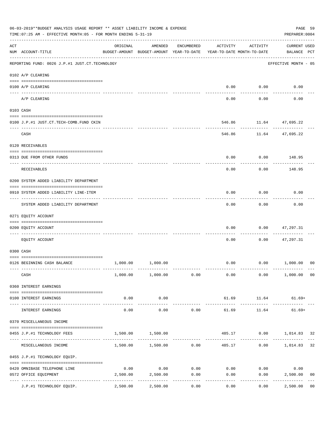|                    | 06-03-2019**BUDGET ANALYSIS USAGE REPORT ** ASSET LIABILITY INCOME & EXPENSE<br>TIME: 07:25 AM - EFFECTIVE MONTH: 05 - FOR MONTH ENDING 5-31-19 |                                                      |                            |                    |                                        |                    | PAGE 59<br>PREPARER: 0004           |                |
|--------------------|-------------------------------------------------------------------------------------------------------------------------------------------------|------------------------------------------------------|----------------------------|--------------------|----------------------------------------|--------------------|-------------------------------------|----------------|
| $\mathop{\rm ACT}$ | NUM ACCOUNT-TITLE                                                                                                                               | ORIGINAL<br>BUDGET-AMOUNT BUDGET-AMOUNT YEAR-TO-DATE | AMENDED                    | ENCUMBERED         | ACTIVITY<br>YEAR-TO-DATE MONTH-TO-DATE | ACTIVITY           | <b>CURRENT USED</b><br>BALANCE PCT  |                |
|                    | -------------------------------------<br>REPORTING FUND: 0026 J.P.#1 JUST.CT.TECHNOLOGY                                                         |                                                      |                            |                    |                                        |                    | EFFECTIVE MONTH - 05                |                |
|                    | 0102 A/P CLEARING                                                                                                                               |                                                      |                            |                    |                                        |                    |                                     |                |
|                    | 0100 A/P CLEARING                                                                                                                               |                                                      |                            |                    | 0.00                                   | 0.00               | 0.00                                |                |
|                    | ---- --------<br>A/P CLEARING                                                                                                                   |                                                      |                            |                    | 0.00                                   | 0.00               | 0.00                                |                |
|                    | 0103 CASH                                                                                                                                       |                                                      |                            |                    |                                        |                    |                                     |                |
|                    | 0100 J.P.#1 JUST.CT.TECH-COMB.FUND CKIN                                                                                                         |                                                      |                            |                    | 546.86                                 | ---------          | 11.64 47,695.22<br>-------------    |                |
|                    | CASH                                                                                                                                            |                                                      |                            |                    | 546.86                                 |                    | 11.64 47,695.22                     |                |
|                    | 0120 RECEIVABLES                                                                                                                                |                                                      |                            |                    |                                        |                    |                                     |                |
|                    | 0313 DUE FROM OTHER FUNDS                                                                                                                       |                                                      |                            |                    | 0.00                                   |                    | $0.00$ 148.95                       |                |
|                    | RECEIVABLES                                                                                                                                     |                                                      |                            |                    | 0.00                                   | 0.00               | 148.95                              |                |
|                    | 0200 SYSTEM ADDED LIABILITY DEPARTMENT                                                                                                          |                                                      |                            |                    |                                        |                    |                                     |                |
|                    | 0910 SYSTEM ADDED LIABILITY LINE-ITEM                                                                                                           |                                                      |                            |                    | 0.00                                   | 0.00               | 0.00                                |                |
|                    | SYSTEM ADDED LIABILITY DEPARTMENT                                                                                                               |                                                      |                            |                    | 0.00                                   | 0.00               | 0.00                                |                |
|                    | 0271 EQUITY ACCOUNT                                                                                                                             |                                                      |                            |                    |                                        |                    |                                     |                |
|                    | 0200 EQUITY ACCOUNT<br>----------------- -----                                                                                                  |                                                      |                            |                    | 0.00                                   | 0.00               | 47,297.31                           |                |
|                    | EQUITY ACCOUNT                                                                                                                                  |                                                      |                            |                    | 0.00                                   | 0.00               | 47,297.31                           |                |
|                    | 0300 CASH                                                                                                                                       |                                                      |                            |                    |                                        |                    |                                     |                |
|                    | 0126 BEGINNING CASH BALANCE                                                                                                                     |                                                      | 1,000.00 1,000.00          |                    |                                        |                    | $0.00$ $0.00$ $1,000.00$            | 00             |
|                    | CASH                                                                                                                                            |                                                      | $1,000.00$ $1,000.00$ 0.00 |                    | 0.00                                   |                    | $0.00$ 1,000.00 00                  |                |
|                    | 0360 INTEREST EARNINGS                                                                                                                          |                                                      |                            |                    |                                        |                    |                                     |                |
|                    | 0100 INTEREST EARNINGS                                                                                                                          | 0.00                                                 | 0.00<br>-----------        |                    | ______________                         | -------------      | 61.69 11.64 61.69+<br>------------- |                |
|                    | INTEREST EARNINGS                                                                                                                               | 0.00                                                 | 0.00                       | 0.00               | 61.69                                  | 11.64              | $61.69+$                            |                |
|                    | 0370 MISCELLANEOUS INCOME                                                                                                                       |                                                      |                            |                    |                                        |                    |                                     |                |
|                    | 0455 J.P.#1 TECHNOLOGY FEES                                                                                                                     |                                                      | 1,500.00 1,500.00          | -----------        |                                        |                    | 485.17 0.00 1,014.83 32             |                |
|                    | MISCELLANEOUS INCOME                                                                                                                            |                                                      | 1,500.00 1,500.00 0.00     |                    |                                        |                    | 485.17 0.00 1,014.83                | 32             |
|                    | 0455 J.P.#1 TECHNOLOGY EQUIP.                                                                                                                   |                                                      |                            |                    |                                        |                    |                                     |                |
|                    | 0420 OMNIBASE TELEPHONE LINE                                                                                                                    | 0.00                                                 | $0.00$ 0.00                |                    |                                        | $0.00$ 0.00        | 0.00                                |                |
|                    | 0572 OFFICE EQUIPMENT<br>--------------------- --------------                                                                                   | 2,500.00                                             | 2,500.00<br>-----------    | 0.00<br>---------- | 0.00                                   | 0.00<br>---------- | 2,500.00<br>------------            | 0 <sub>0</sub> |
|                    | J.P.#1 TECHNOLOGY EQUIP.                                                                                                                        | 2,500.00                                             | 2,500.00                   | 0.00               | 0.00                                   | 0.00               | 2,500.00                            | 0 <sub>0</sub> |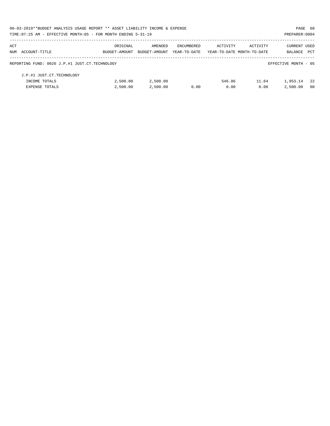|     | 06-03-2019**BUDGET ANALYSIS USAGE REPORT ** ASSET LIABILITY INCOME & EXPENSE |               |               |              |                            |          | PAGE 60              |            |
|-----|------------------------------------------------------------------------------|---------------|---------------|--------------|----------------------------|----------|----------------------|------------|
|     | TIME: 07:25 AM - EFFECTIVE MONTH: 05 - FOR MONTH ENDING 5-31-19              |               |               |              |                            |          | PREPARER: 0004       |            |
| ACT |                                                                              | ORIGINAL      | AMENDED       | ENCUMBERED   | ACTIVITY                   | ACTIVITY | <b>CURRENT USED</b>  |            |
|     | NUM ACCOUNT-TITLE                                                            | BUDGET-AMOUNT | BUDGET-AMOUNT | YEAR-TO-DATE | YEAR-TO-DATE MONTH-TO-DATE |          | BALANCE              | <b>PCT</b> |
|     | REPORTING FUND: 0026 J.P.#1 JUST.CT.TECHNOLOGY                               |               |               |              |                            |          | EFFECTIVE MONTH - 05 |            |
|     | J.P.#1 JUST.CT.TECHNOLOGY                                                    |               |               |              |                            |          |                      |            |
|     | INCOME TOTALS                                                                | 2,500.00      | 2,500.00      |              | 546.86                     | 11.64    | 1,953.14             | - 22       |
|     | <b>EXPENSE TOTALS</b>                                                        | 2.500.00      | 2,500.00      | 0.00         | 0.00                       | 0.00     | 2,500.00             | - 00       |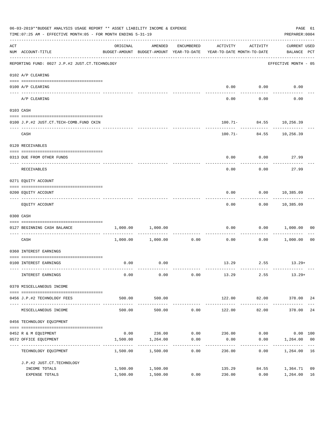|     | 06-03-2019**BUDGET ANALYSIS USAGE REPORT ** ASSET LIABILITY INCOME & EXPENSE<br>TIME: 07:25 AM - EFFECTIVE MONTH: 05 - FOR MONTH ENDING 5-31-19 |          |                                                                                |                      |                                     |                        |                                    |                |  |  |
|-----|-------------------------------------------------------------------------------------------------------------------------------------------------|----------|--------------------------------------------------------------------------------|----------------------|-------------------------------------|------------------------|------------------------------------|----------------|--|--|
| ACT | NUM ACCOUNT-TITLE                                                                                                                               | ORIGINAL | AMENDED<br>BUDGET-AMOUNT BUDGET-AMOUNT YEAR-TO-DATE YEAR-TO-DATE MONTH-TO-DATE | ENCUMBERED           | ACTIVITY                            | ACTIVITY               | <b>CURRENT USED</b><br>BALANCE PCT |                |  |  |
|     | REPORTING FUND: 0027 J.P.#2 JUST.CT.TECHNOLOGY                                                                                                  |          |                                                                                |                      |                                     |                        | EFFECTIVE MONTH - 05               |                |  |  |
|     | 0102 A/P CLEARING                                                                                                                               |          |                                                                                |                      |                                     |                        |                                    |                |  |  |
|     | 0100 A/P CLEARING                                                                                                                               |          |                                                                                |                      | 0.00                                | 0.00                   | 0.00                               |                |  |  |
|     | ---- --------<br>A/P CLEARING                                                                                                                   |          |                                                                                |                      | 0.00                                | 0.00                   | 0.00                               |                |  |  |
|     | 0103 CASH                                                                                                                                       |          |                                                                                |                      |                                     |                        |                                    |                |  |  |
|     | 0100 J.P.#2 JUST.CT.TECH-COMB.FUND CKIN                                                                                                         |          |                                                                                |                      |                                     |                        | 100.71- 84.55 10,256.39            |                |  |  |
|     | CASH                                                                                                                                            |          |                                                                                |                      |                                     | .                      | $100.71 - 84.55$ 10,256.39         |                |  |  |
|     | 0120 RECEIVABLES                                                                                                                                |          |                                                                                |                      |                                     |                        |                                    |                |  |  |
|     | 0313 DUE FROM OTHER FUNDS                                                                                                                       |          |                                                                                |                      | 0.00                                | 0.00                   | 27.99                              |                |  |  |
|     | RECEIVABLES                                                                                                                                     |          |                                                                                |                      | 0.00                                | 0.00                   | 27.99                              |                |  |  |
|     | 0271 EQUITY ACCOUNT                                                                                                                             |          |                                                                                |                      |                                     |                        |                                    |                |  |  |
|     | 0200 EQUITY ACCOUNT                                                                                                                             |          |                                                                                |                      | 0.00                                |                        | $0.00$ 10,385.09                   |                |  |  |
|     | EQUITY ACCOUNT                                                                                                                                  |          |                                                                                |                      | 0.00                                |                        | $0.00$ 10,385.09                   |                |  |  |
|     | 0300 CASH                                                                                                                                       |          |                                                                                |                      |                                     |                        |                                    |                |  |  |
|     | 0127 BEGINNING CASH BALANCE                                                                                                                     |          | 1,000.00 1,000.00                                                              |                      | 0.00                                |                        | 0.00 1,000.00                      | 00             |  |  |
|     | CASH                                                                                                                                            |          | $1,000.00$ $1,000.00$                                                          | ------------<br>0.00 | 0.00                                | ---------<br>0.00      | 1,000.00                           | 0 <sub>0</sub> |  |  |
|     | 0360 INTEREST EARNINGS                                                                                                                          |          |                                                                                |                      |                                     |                        |                                    |                |  |  |
|     | 0100 INTEREST EARNINGS                                                                                                                          | 0.00     | 0.00                                                                           |                      |                                     |                        | $13.29$ $2.55$ $13.29+$            |                |  |  |
|     | INTEREST EARNINGS                                                                                                                               | 0.00     | 0.00                                                                           | 0.00                 | 13.29                               | 2.55                   | $13.29+$                           |                |  |  |
|     | 0370 MISCELLANEOUS INCOME                                                                                                                       |          |                                                                                |                      |                                     |                        |                                    |                |  |  |
|     | --------------------------------------<br>0456 J.P.#2 TECHNOLOGY FEES                                                                           | 500.00   | 500.00                                                                         |                      | 122.00                              |                        | 82.00 378.00 24                    |                |  |  |
|     | MISCELLANEOUS INCOME                                                                                                                            | 500.00   | 500.00                                                                         | 0.00                 | ----------- -------------<br>122.00 | -------------<br>82.00 | -------------<br>378.00            | 24             |  |  |
|     | 0456 TECHNOLOGY EQUIPMENT                                                                                                                       |          |                                                                                |                      |                                     |                        |                                    |                |  |  |
|     | 0452 R & M EQUIPMENT                                                                                                                            |          | $0.00$ 236.00 $0.00$ 236.00 $0.00$                                             |                      |                                     |                        | $0.00$ 100                         |                |  |  |
|     | 0572 OFFICE EQUIPMENT                                                                                                                           | 1,500.00 | 1,264.00                                                                       | 0.00                 | 0.00                                | 0.00                   | 1,264.00 00                        |                |  |  |
|     | TECHNOLOGY EQUIPMENT                                                                                                                            | 1,500.00 | 1,500.00                                                                       | -----------<br>0.00  | -------<br>236.00                   | ----------<br>0.00     | 1,264.00 16                        |                |  |  |
|     | J.P.#2 JUST.CT.TECHNOLOGY                                                                                                                       |          |                                                                                |                      |                                     |                        |                                    |                |  |  |
|     | INCOME TOTALS                                                                                                                                   | 1,500.00 | 1,500.00                                                                       |                      | 135.29                              | 84.55                  | 1,364.71                           | 09             |  |  |
|     | EXPENSE TOTALS                                                                                                                                  | 1,500.00 | 1,500.00                                                                       | 0.00                 | 236.00                              | 0.00                   | 1,264.00                           | 16             |  |  |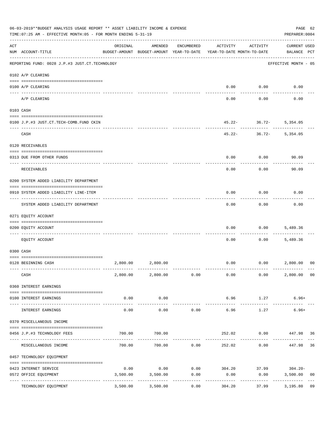|     | 06-03-2019**BUDGET ANALYSIS USAGE REPORT ** ASSET LIABILITY INCOME & EXPENSE<br>TIME: 07:25 AM - EFFECTIVE MONTH: 05 - FOR MONTH ENDING 5-31-19 |          |                                                     |                           |                                         |                        | PAGE 62<br>PREPARER: 0004          |                |
|-----|-------------------------------------------------------------------------------------------------------------------------------------------------|----------|-----------------------------------------------------|---------------------------|-----------------------------------------|------------------------|------------------------------------|----------------|
| ACT | NUM ACCOUNT-TITLE                                                                                                                               | ORIGINAL | AMENDED<br>BUDGET-AMOUNT BUDGET-AMOUNT YEAR-TO-DATE | ENCUMBERED                | ACTIVITY<br>YEAR-TO-DATE MONTH-TO-DATE  | ACTIVITY               | <b>CURRENT USED</b><br>BALANCE PCT |                |
|     | REPORTING FUND: 0028 J.P.#3 JUST.CT.TECHNOLOGY                                                                                                  |          |                                                     |                           |                                         |                        | EFFECTIVE MONTH - 05               |                |
|     | 0102 A/P CLEARING                                                                                                                               |          |                                                     |                           |                                         |                        |                                    |                |
|     | 0100 A/P CLEARING<br>---- ---------                                                                                                             |          |                                                     |                           | 0.00                                    | 0.00                   | 0.00                               |                |
|     | A/P CLEARING                                                                                                                                    |          |                                                     |                           | 0.00                                    | 0.00                   | 0.00                               |                |
|     | 0103 CASH                                                                                                                                       |          |                                                     |                           |                                         |                        |                                    |                |
|     | 0100 J.P.#3 JUST.CT.TECH-COMB.FUND CKIN                                                                                                         |          |                                                     |                           |                                         | $45.22 - 36.72 -$<br>. | 5,354.05                           |                |
|     | CASH                                                                                                                                            |          |                                                     |                           | 45.22-                                  | $36.72-$               | 5,354.05                           |                |
|     | 0120 RECEIVABLES                                                                                                                                |          |                                                     |                           |                                         |                        |                                    |                |
|     | 0313 DUE FROM OTHER FUNDS                                                                                                                       |          |                                                     |                           | 0.00                                    | 0.00                   | 90.09                              |                |
|     | RECEIVABLES                                                                                                                                     |          |                                                     |                           | 0.00                                    | 0.00                   | 90.09                              |                |
|     | 0200 SYSTEM ADDED LIABILITY DEPARTMENT                                                                                                          |          |                                                     |                           |                                         |                        |                                    |                |
|     | 0910 SYSTEM ADDED LIABILITY LINE-ITEM                                                                                                           |          |                                                     |                           | 0.00                                    | 0.00                   | 0.00                               |                |
|     | SYSTEM ADDED LIABILITY DEPARTMENT                                                                                                               |          |                                                     |                           | 0.00                                    | 0.00                   | 0.00                               |                |
|     | 0271 EQUITY ACCOUNT                                                                                                                             |          |                                                     |                           |                                         |                        |                                    |                |
|     | 0200 EQUITY ACCOUNT                                                                                                                             |          |                                                     |                           | 0.00                                    | 0.00                   | 5,489.36                           |                |
|     | EQUITY ACCOUNT                                                                                                                                  |          |                                                     |                           | 0.00                                    | 0.00                   | 5,489.36                           |                |
|     | 0300 CASH                                                                                                                                       |          |                                                     |                           |                                         |                        |                                    |                |
|     | 0128 BEGINNING CASH                                                                                                                             |          | 2,800.00 2,800.00                                   |                           | 0.00                                    | 0.00                   | 2,800.00                           | 00             |
|     | CASH                                                                                                                                            |          | 2,800.00 2,800.00 0.00                              |                           | 0.00                                    | 0.00                   | 2,800.00 00                        |                |
|     | 0360 INTEREST EARNINGS                                                                                                                          |          |                                                     |                           |                                         |                        |                                    |                |
|     | 0100 INTEREST EARNINGS                                                                                                                          | 0.00     | 0.00                                                |                           | 6.96                                    | 1.27                   | $6.96+$                            |                |
|     | INTEREST EARNINGS                                                                                                                               | 0.00     | 0.00                                                | -----------<br>0.00       | ______________<br>6.96                  | 1.27                   | $6.96+$                            |                |
|     | 0370 MISCELLANEOUS INCOME                                                                                                                       |          |                                                     |                           |                                         |                        |                                    |                |
|     | 0456 J.P.#3 TECHNOLOGY FEES                                                                                                                     | 700.00   | 700.00                                              |                           | 252.02                                  | $0.00$ $447.98$ 36     |                                    |                |
|     | ------------------ ---<br>MISCELLANEOUS INCOME                                                                                                  | 700.00   |                                                     | . <u>.</u><br>700.00 0.00 | 252.02                                  | ---------<br>0.00      | 447.98                             | 36             |
|     | 0457 TECHNOLOGY EQUIPMENT                                                                                                                       |          |                                                     |                           |                                         |                        |                                    |                |
|     | 0423 INTERNET SERVICE                                                                                                                           | 0.00     |                                                     |                           | $0.00$ $0.00$ $304.20$ $37.99$ $304.20$ |                        |                                    |                |
|     | 0572 OFFICE EQUIPMENT                                                                                                                           | 3,500.00 | 3,500.00<br>-------------                           | 0.00                      | 0.00<br>------------                    | 0.00                   | 3,500.00<br>-------------          | 0 <sub>0</sub> |
|     | TECHNOLOGY EQUIPMENT                                                                                                                            | 3,500.00 | 3,500.00                                            | -----------<br>0.00       | 304.20                                  | ------------<br>37.99  | 3,195.80                           | 09             |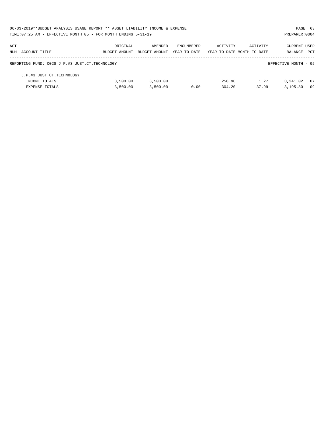| 06-03-2019**BUDGET ANALYSIS USAGE REPORT ** ASSET LIABILITY INCOME & EXPENSE |               |               |              |                            |          | PAGE 63              |            |
|------------------------------------------------------------------------------|---------------|---------------|--------------|----------------------------|----------|----------------------|------------|
| TIME: 07:25 AM - EFFECTIVE MONTH: 05 - FOR MONTH ENDING 5-31-19              |               |               |              |                            |          | PREPARER: 0004       |            |
| ACT                                                                          | ORIGINAL      | AMENDED       | ENCUMBERED   | ACTIVITY                   | ACTIVITY | CURRENT USED         |            |
| NUM ACCOUNT-TITLE                                                            | BUDGET-AMOUNT | BUDGET-AMOUNT | YEAR-TO-DATE | YEAR-TO-DATE MONTH-TO-DATE |          | BALANCE              | <b>PCT</b> |
| REPORTING FUND: 0028 J.P.#3 JUST.CT.TECHNOLOGY                               |               |               |              |                            |          | EFFECTIVE MONTH - 05 |            |
| J.P.#3 JUST.CT.TECHNOLOGY                                                    |               |               |              |                            |          |                      |            |
| INCOME TOTALS                                                                | 3.500.00      | 3,500.00      |              | 258.98                     | 1.27     | 3, 241, 02           | - 07       |
| <b>EXPENSE TOTALS</b>                                                        | 3,500.00      | 3,500.00      | 0.00         | 304.20                     | 37.99    | 3.195.80             | 09         |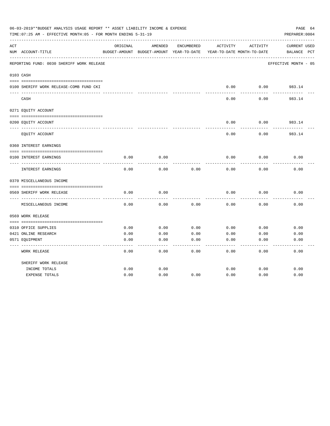|     | 06-03-2019**BUDGET ANALYSIS USAGE REPORT ** ASSET LIABILITY INCOME & EXPENSE<br>TIME: 07:25 AM - EFFECTIVE MONTH: 05 - FOR MONTH ENDING 5-31-19 |          |                                                     |            |          |                                        | PAGE 64<br>PREPARER: 0004          |
|-----|-------------------------------------------------------------------------------------------------------------------------------------------------|----------|-----------------------------------------------------|------------|----------|----------------------------------------|------------------------------------|
| ACT | NUM ACCOUNT-TITLE                                                                                                                               | ORIGINAL | AMENDED<br>BUDGET-AMOUNT BUDGET-AMOUNT YEAR-TO-DATE | ENCUMBERED | ACTIVITY | ACTIVITY<br>YEAR-TO-DATE MONTH-TO-DATE | <b>CURRENT USED</b><br>BALANCE PCT |
|     | REPORTING FUND: 0030 SHERIFF WORK RELEASE                                                                                                       |          |                                                     |            |          |                                        | EFFECTIVE MONTH - 05               |
|     | 0103 CASH                                                                                                                                       |          |                                                     |            |          |                                        |                                    |
|     | 0100 SHERIFF WORK RELEASE-COMB FUND CKI                                                                                                         |          |                                                     |            | 0.00     | 0.00                                   | 983.14                             |
|     | CASH                                                                                                                                            |          |                                                     |            | 0.00     | 0.00                                   | 983.14                             |
|     | 0271 EQUITY ACCOUNT                                                                                                                             |          |                                                     |            |          |                                        |                                    |
|     | 0200 EQUITY ACCOUNT                                                                                                                             |          |                                                     |            | 0.00     | 0.00                                   | 983.14                             |
|     | EQUITY ACCOUNT                                                                                                                                  |          |                                                     |            | 0.00     | 0.00                                   | 983.14                             |
|     | 0360 INTEREST EARNINGS                                                                                                                          |          |                                                     |            |          |                                        |                                    |
|     | 0100 INTEREST EARNINGS                                                                                                                          | 0.00     | 0.00                                                |            | 0.00     | 0.00                                   | 0.00                               |
|     | INTEREST EARNINGS                                                                                                                               | 0.00     | 0.00                                                | 0.00       | 0.00     | 0.00                                   | 0.00                               |
|     | 0370 MISCELLANEOUS INCOME                                                                                                                       |          |                                                     |            |          |                                        |                                    |
|     | 0569 SHERIFF WORK RELEASE                                                                                                                       | 0.00     | 0.00                                                |            | 0.00     | 0.00                                   | 0.00                               |
|     | MISCELLANEOUS INCOME                                                                                                                            | 0.00     | 0.00                                                | 0.00       | 0.00     | 0.00                                   | 0.00                               |
|     | 0569 WORK RELEASE                                                                                                                               |          |                                                     |            |          |                                        |                                    |
|     |                                                                                                                                                 |          |                                                     |            |          |                                        |                                    |
|     | 0310 OFFICE SUPPLIES                                                                                                                            | 0.00     | 0.00                                                | 0.00       | 0.00     | 0.00                                   | 0.00                               |
|     | 0421 ONLINE RESEARCH                                                                                                                            | 0.00     | 0.00                                                | 0.00       | 0.00     | 0.00                                   | 0.00                               |
|     | 0571 EQUIPMENT                                                                                                                                  | 0.00     | 0.00                                                | 0.00       | 0.00     | 0.00                                   | 0.00                               |
|     | <b>WORK RELEASE</b>                                                                                                                             | 0.00     | 0.00                                                | 0.00       | 0.00     | 0.00                                   | 0.00                               |
|     | SHERIFF WORK RELEASE                                                                                                                            |          |                                                     |            |          |                                        |                                    |
|     | INCOME TOTALS                                                                                                                                   | 0.00     | 0.00                                                |            | 0.00     | 0.00                                   | 0.00                               |
|     | <b>EXPENSE TOTALS</b>                                                                                                                           | 0.00     | 0.00                                                | 0.00       | 0.00     | 0.00                                   | 0.00                               |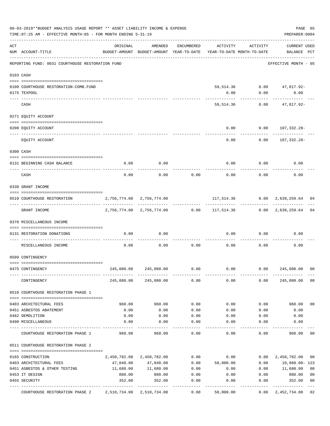|     | 06-03-2019**BUDGET ANALYSIS USAGE REPORT ** ASSET LIABILITY INCOME & EXPENSE<br>TIME: 07:25 AM - EFFECTIVE MONTH: 05 - FOR MONTH ENDING 5-31-19 |                                                                                 |                           |              |                                                             |              | PAGE 65<br>PREPARER: 0004          |                                  |
|-----|-------------------------------------------------------------------------------------------------------------------------------------------------|---------------------------------------------------------------------------------|---------------------------|--------------|-------------------------------------------------------------|--------------|------------------------------------|----------------------------------|
| ACT | NUM ACCOUNT-TITLE                                                                                                                               | ORIGINAL<br>BUDGET-AMOUNT BUDGET-AMOUNT YEAR-TO-DATE YEAR-TO-DATE MONTH-TO-DATE | AMENDED                   | ENCUMBERED   | ACTIVITY                                                    | ACTIVITY     | <b>CURRENT USED</b><br>BALANCE PCT |                                  |
|     | REPORTING FUND: 0031 COURTHOUSE RESTORATION FUND                                                                                                |                                                                                 |                           |              |                                                             |              | EFFECTIVE MONTH - 05               |                                  |
|     | 0103 CASH                                                                                                                                       |                                                                                 |                           |              |                                                             |              |                                    |                                  |
|     | 0100 COURTHOUSE RESTORATION-COMB.FUND                                                                                                           |                                                                                 |                           |              |                                                             |              | 59,514.36 0.00 47,817.92-          |                                  |
|     | 0175 TEXPOOL                                                                                                                                    |                                                                                 |                           |              | 0.00                                                        | 0.00         | 0.00                               |                                  |
|     | CASH                                                                                                                                            |                                                                                 |                           |              | 59,514.36                                                   | 0.00         | 47,817.92-                         |                                  |
|     | 0271 EQUITY ACCOUNT                                                                                                                             |                                                                                 |                           |              |                                                             |              |                                    |                                  |
|     | 0200 EQUITY ACCOUNT                                                                                                                             |                                                                                 |                           |              | 0.00                                                        |              | $0.00 107,332.28-$                 |                                  |
|     | EQUITY ACCOUNT                                                                                                                                  |                                                                                 |                           |              | 0.00                                                        | 0.00         | 107,332.28-                        |                                  |
|     | 0300 CASH                                                                                                                                       |                                                                                 |                           |              |                                                             |              |                                    |                                  |
|     |                                                                                                                                                 |                                                                                 |                           |              |                                                             |              |                                    |                                  |
|     | 0131 BEGINNING CASH BALANCE<br>------------------------- --                                                                                     | 0.00                                                                            | 0.00                      |              | 0.00                                                        | 0.00         | 0.00                               |                                  |
|     | CASH                                                                                                                                            | 0.00                                                                            | 0.00                      | 0.00         | 0.00                                                        | 0.00         | 0.00                               |                                  |
|     | 0330 GRANT INCOME                                                                                                                               |                                                                                 |                           |              |                                                             |              |                                    |                                  |
|     | 0510 COURTHOUSE RESTORATION                                                                                                                     | 2,756,774.00 2,756,774.00                                                       |                           |              |                                                             |              | 117,514.36 0.00 2,639,259.64       | 04                               |
|     | GRANT INCOME                                                                                                                                    |                                                                                 |                           |              | 2,756,774.00 2,756,774.00 0.00 117,514.36 0.00 2,639,259.64 |              |                                    | 04                               |
|     | 0370 MISCELLANEOUS INCOME                                                                                                                       |                                                                                 |                           |              |                                                             |              |                                    |                                  |
|     | 0131 RESTORATION DONATIONS                                                                                                                      | 0.00                                                                            | 0.00                      |              | 0.00                                                        | 0.00         | 0.00                               |                                  |
|     | MISCELLANEOUS INCOME                                                                                                                            | 0.00                                                                            | 0.00                      | 0.00         | 0.00                                                        | 0.00         | 0.00                               |                                  |
|     | 0509 CONTINGENCY                                                                                                                                |                                                                                 |                           |              |                                                             |              |                                    |                                  |
|     | 0475 CONTINGENCY                                                                                                                                | 245,080.00                                                                      | 245,080.00                | 0.00         | 0.00                                                        | 0.00         | 245,080.00                         | 0 <sub>0</sub>                   |
|     | CONTINGENCY                                                                                                                                     |                                                                                 | 245,080.00 245,080.00     | 0.00         | 0.00                                                        | 0.00         | 245,080.00                         | 0 <sub>0</sub>                   |
|     | 0510 COURTHOUSE RESTORATION PHASE 1                                                                                                             |                                                                                 |                           |              |                                                             |              |                                    |                                  |
|     |                                                                                                                                                 |                                                                                 |                           |              |                                                             |              |                                    |                                  |
|     | 0403 ARCHITECTURAL FEES                                                                                                                         | 960.00                                                                          | 960.00                    | 0.00         | 0.00                                                        | 0.00         | 960.00                             | 0 <sub>0</sub>                   |
|     | 0451 ASBESTOS ABATEMENT<br>0482 DEMOLITION                                                                                                      | 0.00                                                                            | 0.00                      | 0.00         | 0.00                                                        | 0.00         | 0.00<br>0.00                       |                                  |
|     | 0490 MISCELLANEOUS                                                                                                                              | 0.00<br>0.00                                                                    | 0.00<br>0.00              | 0.00<br>0.00 | 0.00<br>0.00                                                | 0.00<br>0.00 | 0.00                               |                                  |
|     | COURTHOUSE RESTORATION PHASE 1                                                                                                                  | 960.00                                                                          | 960.00                    | 0.00         | 0.00                                                        | 0.00         | 960.00                             | 00                               |
|     | 0511 COURTHOUSE RESTORATION PHASE 2                                                                                                             |                                                                                 |                           |              |                                                             |              |                                    |                                  |
|     |                                                                                                                                                 |                                                                                 |                           |              |                                                             |              |                                    |                                  |
|     | 0165 CONSTRUCTION                                                                                                                               |                                                                                 | 2,450,782.00 2,450,782.00 | 0.00         | 0.00                                                        | 0.00         | 2,450,782.00                       | 00                               |
|     | 0403 ARCHITECTURAL FEES                                                                                                                         | 47,040.00                                                                       | 47,040.00<br>11,680.00    | 0.00         | 58,000.00                                                   | 0.00         | 10,960.00-123                      |                                  |
|     | 0451 ASBESTOS & OTHER TESTING<br>0453 IT DESIGN                                                                                                 | 11,680.00<br>880.00                                                             | 880.00                    | 0.00<br>0.00 | 0.00                                                        | 0.00<br>0.00 | 11,680.00<br>880.00                | 0 <sub>0</sub><br>0 <sub>0</sub> |
|     | 0455 SECURITY                                                                                                                                   | 352.00                                                                          | 352.00                    | 0.00         | 0.00<br>0.00                                                | 0.00         | 352.00                             | 0 <sub>0</sub>                   |
|     |                                                                                                                                                 |                                                                                 |                           |              |                                                             |              |                                    |                                  |
|     | COURTHOUSE RESTORATION PHASE 2 2,510,734.00 2,510,734.00                                                                                        |                                                                                 |                           | 0.00         | 58,000.00                                                   | 0.00         | 2,452,734.00                       | 02                               |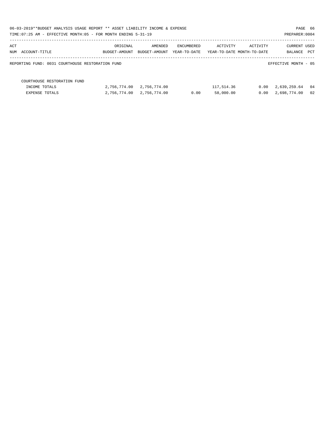|                                                  | 06-03-2019**BUDGET ANALYSIS USAGE REPORT ** ASSET LIABILITY INCOME & EXPENSE<br>PAGE 66<br>TIME: 07:25 AM - EFFECTIVE MONTH: 05 - FOR MONTH ENDING 5-31-19<br>PREPARER: 0004 |               |              |            |                            |                      |     |  |  |  |  |
|--------------------------------------------------|------------------------------------------------------------------------------------------------------------------------------------------------------------------------------|---------------|--------------|------------|----------------------------|----------------------|-----|--|--|--|--|
| ACT                                              | ORIGINAL                                                                                                                                                                     | AMENDED       | ENCUMBERED   | ACTIVITY   | ACTIVITY                   | CURRENT USED         |     |  |  |  |  |
| NUM ACCOUNT-TITLE                                | BUDGET-AMOUNT                                                                                                                                                                | BUDGET-AMOUNT | YEAR-TO-DATE |            | YEAR-TO-DATE MONTH-TO-DATE | BALANCE              | PCT |  |  |  |  |
| REPORTING FUND: 0031 COURTHOUSE RESTORATION FUND |                                                                                                                                                                              |               |              |            |                            | EFFECTIVE MONTH - 05 |     |  |  |  |  |
| COURTHOUSE RESTORATION FUND                      |                                                                                                                                                                              |               |              |            |                            |                      |     |  |  |  |  |
| INCOME TOTALS                                    | 2,756,774.00                                                                                                                                                                 | 2,756,774.00  |              | 117,514.36 | 0.00                       | 2,639,259.64         | 04  |  |  |  |  |
| EXPENSE TOTALS                                   | 2,756,774.00                                                                                                                                                                 | 2,756,774.00  | 0.00         | 58,000.00  | 0.00                       | 2,698,774.00         | 02  |  |  |  |  |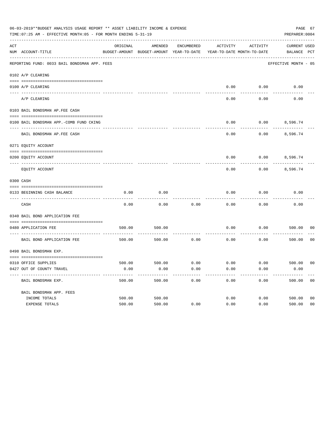| 06-03-2019**BUDGET ANALYSIS USAGE REPORT ** ASSET LIABILITY INCOME & EXPENSE<br>TIME: 07:25 AM - EFFECTIVE MONTH: 05 - FOR MONTH ENDING 5-31-19 |                                              |          |                                                     |            |                                        |          |                                    |                |  |
|-------------------------------------------------------------------------------------------------------------------------------------------------|----------------------------------------------|----------|-----------------------------------------------------|------------|----------------------------------------|----------|------------------------------------|----------------|--|
| ACT                                                                                                                                             | NUM ACCOUNT-TITLE                            | ORIGINAL | AMENDED<br>BUDGET-AMOUNT BUDGET-AMOUNT YEAR-TO-DATE | ENCUMBERED | ACTIVITY<br>YEAR-TO-DATE MONTH-TO-DATE | ACTIVITY | <b>CURRENT USED</b><br>BALANCE PCT |                |  |
|                                                                                                                                                 | REPORTING FUND: 0033 BAIL BONDSMAN APP. FEES |          |                                                     |            |                                        |          | EFFECTIVE MONTH - 05               |                |  |
|                                                                                                                                                 | 0102 A/P CLEARING                            |          |                                                     |            |                                        |          |                                    |                |  |
|                                                                                                                                                 | 0100 A/P CLEARING                            |          |                                                     |            | 0.00                                   | 0.00     | 0.00                               |                |  |
|                                                                                                                                                 | ---- --------<br>A/P CLEARING                |          |                                                     |            | 0.00                                   | 0.00     | 0.00                               |                |  |
|                                                                                                                                                 | 0103 BAIL BONDSMAN AP.FEE CASH               |          |                                                     |            |                                        |          |                                    |                |  |
|                                                                                                                                                 | 0100 BAIL BONDSMAN APP.-COMB FUND CKING      |          |                                                     |            | 0.00                                   | 0.00     | 8,596.74                           |                |  |
|                                                                                                                                                 | BAIL BONDSMAN AP.FEE CASH                    |          |                                                     |            | 0.00                                   | 0.00     | 8,596.74                           |                |  |
|                                                                                                                                                 | 0271 EQUITY ACCOUNT                          |          |                                                     |            |                                        |          |                                    |                |  |
|                                                                                                                                                 | 0200 EQUITY ACCOUNT                          |          |                                                     |            | 0.00                                   |          | $0.00$ 8,596.74                    |                |  |
|                                                                                                                                                 | EQUITY ACCOUNT                               |          |                                                     |            | 0.00                                   | 0.00     | 8,596.74                           |                |  |
|                                                                                                                                                 | 0300 CASH                                    |          |                                                     |            |                                        |          |                                    |                |  |
|                                                                                                                                                 | 0133 BEGINNING CASH BALANCE                  | 0.00     | 0.00                                                |            | 0.00                                   | 0.00     | 0.00                               |                |  |
|                                                                                                                                                 | CASH                                         | 0.00     | 0.00                                                | 0.00       | 0.00                                   | 0.00     | 0.00                               |                |  |
|                                                                                                                                                 | 0340 BAIL BOND APPLICATION FEE               |          |                                                     |            |                                        |          |                                    |                |  |
|                                                                                                                                                 | 0480 APPLICATION FEE                         | 500.00   | 500.00                                              |            | 0.00                                   | 0.00     | 500.00                             | 00             |  |
|                                                                                                                                                 | BAIL BOND APPLICATION FEE                    | 500.00   | 500.00                                              | 0.00       | 0.00                                   | 0.00     | 500.00                             | 0 <sub>0</sub> |  |
|                                                                                                                                                 | 0498 BAIL BONDSMAN EXP.                      |          |                                                     |            |                                        |          |                                    |                |  |
|                                                                                                                                                 | 0310 OFFICE SUPPLIES                         | 500.00   | 500.00 0.00                                         |            | $0.00$ $0.00$ $500.00$                 |          |                                    | 00             |  |
|                                                                                                                                                 | 0427 OUT OF COUNTY TRAVEL                    | 0.00     | 0.00                                                | 0.00       | 0.00                                   | 0.00     | 0.00                               |                |  |
|                                                                                                                                                 | BAIL BONDSMAN EXP.                           | 500.00   | 500.00                                              | 0.00       | 0.00                                   | 0.00     | 500.00                             | 0 <sub>0</sub> |  |
|                                                                                                                                                 | BAIL BONDSMAN APP. FEES                      |          |                                                     |            |                                        |          |                                    |                |  |
|                                                                                                                                                 | INCOME TOTALS                                | 500.00   | 500.00                                              |            | 0.00                                   | 0.00     | 500.00                             | 0 <sub>0</sub> |  |
|                                                                                                                                                 | EXPENSE TOTALS                               | 500.00   | 500.00                                              | 0.00       | 0.00                                   | 0.00     | 500.00                             | 0 <sub>0</sub> |  |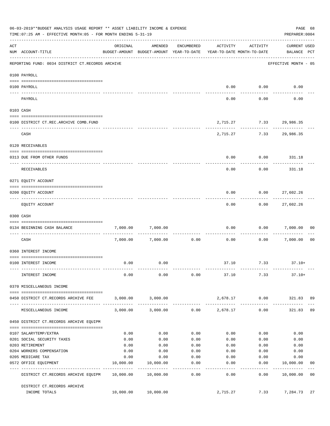|     | 06-03-2019**BUDGET ANALYSIS USAGE REPORT ** ASSET LIABILITY INCOME & EXPENSE<br>TIME: 07:25 AM - EFFECTIVE MONTH: 05 - FOR MONTH ENDING 5-31-19 |           |                                                                                |                    |                 |                                        | PAGE 68<br>PREPARER: 0004          |                |
|-----|-------------------------------------------------------------------------------------------------------------------------------------------------|-----------|--------------------------------------------------------------------------------|--------------------|-----------------|----------------------------------------|------------------------------------|----------------|
| ACT | NUM ACCOUNT-TITLE                                                                                                                               | ORIGINAL  | AMENDED<br>BUDGET-AMOUNT BUDGET-AMOUNT YEAR-TO-DATE YEAR-TO-DATE MONTH-TO-DATE | ENCUMBERED         | ACTIVITY        | ACTIVITY                               | <b>CURRENT USED</b><br>BALANCE PCT |                |
|     | REPORTING FUND: 0034 DISTRICT CT.RECORDS ARCHIVE                                                                                                |           |                                                                                |                    |                 |                                        | EFFECTIVE MONTH - 05               |                |
|     | 0100 PAYROLL                                                                                                                                    |           |                                                                                |                    |                 |                                        |                                    |                |
|     | 0100 PAYROLL<br>---- -------<br>___________________________                                                                                     |           |                                                                                |                    | 0.00            | 0.00                                   | 0.00                               |                |
|     | PAYROLL                                                                                                                                         |           |                                                                                |                    | 0.00            | .<br>0.00                              | 0.00                               |                |
|     | 0103 CASH                                                                                                                                       |           |                                                                                |                    |                 |                                        |                                    |                |
|     | 0100 DISTRICT CT.REC.ARCHIVE COMB.FUND                                                                                                          |           |                                                                                |                    |                 | 2,715.27 7.33 29,986.35                |                                    |                |
|     | CASH                                                                                                                                            |           |                                                                                |                    |                 | -----------<br>2,715.27 7.33 29,986.35 |                                    |                |
|     | 0120 RECEIVABLES                                                                                                                                |           |                                                                                |                    |                 |                                        |                                    |                |
|     | 0313 DUE FROM OTHER FUNDS                                                                                                                       |           |                                                                                |                    | 0.00            | 0.00                                   | 331.18                             |                |
|     | RECEIVABLES                                                                                                                                     |           |                                                                                |                    | 0.00            | 0.00                                   | 331.18                             |                |
|     | 0271 EQUITY ACCOUNT                                                                                                                             |           |                                                                                |                    |                 |                                        |                                    |                |
|     | 0200 EQUITY ACCOUNT                                                                                                                             |           |                                                                                |                    | 0.00            | 0.00                                   | 27,602.26                          |                |
|     | EQUITY ACCOUNT                                                                                                                                  |           |                                                                                |                    | 0.00            | 0.00                                   | 27,602.26                          |                |
|     | 0300 CASH                                                                                                                                       |           |                                                                                |                    |                 |                                        |                                    |                |
|     | 0134 BEGINNING CASH BALANCE                                                                                                                     | 7,000.00  | 7,000.00                                                                       |                    | 0.00            | 0.00                                   | 7,000.00                           | 00             |
|     | CASH                                                                                                                                            |           | 7,000.00 7,000.00                                                              | 0.00               | 0.00            |                                        | $0.00$ 7,000.00                    | 0 <sub>0</sub> |
|     | 0360 INTEREST INCOME                                                                                                                            |           |                                                                                |                    |                 |                                        |                                    |                |
|     | 0100 INTEREST INCOME                                                                                                                            | 0.00      | 0.00                                                                           |                    |                 | 37.10 7.33 37.10+                      |                                    |                |
|     | INTEREST INCOME                                                                                                                                 | 0.00      | 0.00                                                                           | 0.00               |                 | 37.10 7.33                             | $37.10+$                           |                |
|     | 0370 MISCELLANEOUS INCOME                                                                                                                       |           |                                                                                |                    |                 |                                        |                                    |                |
|     | 0450 DISTRICT CT.RECORDS ARCHIVE FEE                                                                                                            |           | 3,000.00 3,000.00                                                              |                    |                 | 2,678.17 0.00 321.83 89                |                                    |                |
|     | MISCELLANEOUS INCOME                                                                                                                            | 3,000.00  | ------------<br>3,000.00                                                       |                    | $0.00$ 2,678.17 | 0.00                                   | 321.83                             | 89             |
|     | 0450 DISTRICT CT.RECORDS ARCHIVE EQUIPM                                                                                                         |           |                                                                                |                    |                 |                                        |                                    |                |
|     | 0107 SALARYTEMP/EXTRA                                                                                                                           | 0.00      | 0.00                                                                           | 0.00               | 0.00            | 0.00                                   | 0.00                               |                |
|     | 0201 SOCIAL SECURITY TAXES                                                                                                                      | 0.00      | 0.00                                                                           | 0.00               | 0.00            | 0.00                                   | 0.00                               |                |
|     | 0203 RETIREMENT                                                                                                                                 | 0.00      | 0.00                                                                           | 0.00               | 0.00            | 0.00                                   | 0.00                               |                |
|     | 0204 WORKERS COMPENSATION                                                                                                                       | 0.00      | 0.00                                                                           | 0.00               | 0.00            | 0.00                                   | 0.00                               |                |
|     | 0205 MEDICARE TAX                                                                                                                               | 0.00      | 0.00                                                                           | 0.00               | 0.00            | 0.00                                   | 0.00                               |                |
|     | 0572 OFFICE EQUIPMENT<br>-------------------- -------------                                                                                     | 10,000.00 | 10,000.00<br>------------                                                      | 0.00<br>---------- | 0.00<br>------- | 0.00<br>---------                      | 10,000.00<br>-----------           | 00             |
|     | DISTRICT CT.RECORDS ARCHIVE EQUIPM 10,000.00                                                                                                    |           | 10,000.00                                                                      | 0.00               | 0.00            | 0.00                                   | 10,000.00                          | 0 <sub>0</sub> |
|     | DISTRICT CT.RECORDS ARCHIVE<br>INCOME TOTALS                                                                                                    |           | 10,000.00 10,000.00                                                            |                    | 2,715.27        |                                        | 7.33 7,284.73                      | 27             |
|     |                                                                                                                                                 |           |                                                                                |                    |                 |                                        |                                    |                |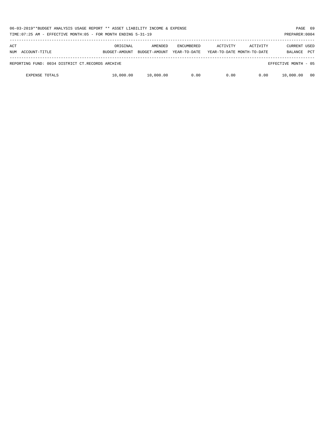|                                                  | 06-03-2019**BUDGET ANALYSIS USAGE REPORT ** ASSET LIABILITY INCOME & EXPENSE<br>TIME: 07:25 AM - EFFECTIVE MONTH: 05 - FOR MONTH ENDING 5-31-19<br>PREPARER: 0004 |                          |                                   |          |                                        |                                |            |  |  |
|--------------------------------------------------|-------------------------------------------------------------------------------------------------------------------------------------------------------------------|--------------------------|-----------------------------------|----------|----------------------------------------|--------------------------------|------------|--|--|
| ACT<br>ACCOUNT-TITLE<br>NUM                      | ORIGINAL<br>BUDGET-AMOUNT                                                                                                                                         | AMENDED<br>BUDGET-AMOUNT | <b>ENCUMBERED</b><br>YEAR-TO-DATE | ACTIVITY | ACTIVITY<br>YEAR-TO-DATE MONTH-TO-DATE | <b>CURRENT USED</b><br>BALANCE | <b>PCT</b> |  |  |
| REPORTING FUND: 0034 DISTRICT CT.RECORDS ARCHIVE |                                                                                                                                                                   |                          |                                   |          |                                        | EFFECTIVE MONTH - 05           |            |  |  |
| <b>EXPENSE TOTALS</b>                            | 10,000.00                                                                                                                                                         | 10,000.00                | 0.00                              | 0.00     | 0.00                                   | 10,000.00                      | 00         |  |  |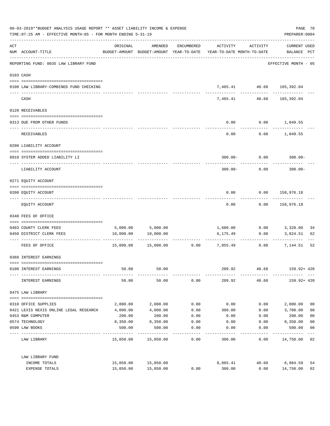| 06-03-2019**BUDGET ANALYSIS USAGE REPORT ** ASSET LIABILITY INCOME & EXPENSE<br>TIME: 07:25 AM - EFFECTIVE MONTH: 05 - FOR MONTH ENDING 5-31-19 |                                                                              |           |                     |            |                                                                                 |                           |                             |                |
|-------------------------------------------------------------------------------------------------------------------------------------------------|------------------------------------------------------------------------------|-----------|---------------------|------------|---------------------------------------------------------------------------------|---------------------------|-----------------------------|----------------|
| ACT                                                                                                                                             | NUM ACCOUNT-TITLE                                                            | ORIGINAL  | AMENDED             | ENCUMBERED | ACTIVITY<br>BUDGET-AMOUNT BUDGET-AMOUNT YEAR-TO-DATE YEAR-TO-DATE MONTH-TO-DATE | ACTIVITY                  | CURRENT USED<br>BALANCE PCT |                |
|                                                                                                                                                 | -----------------------------------<br>REPORTING FUND: 0035 LAW LIBRARY FUND |           |                     |            |                                                                                 |                           | EFFECTIVE MONTH - 05        |                |
|                                                                                                                                                 | 0103 CASH                                                                    |           |                     |            |                                                                                 |                           |                             |                |
|                                                                                                                                                 | 0100 LAW LIBRARY-COMBINED FUND CHECKING                                      |           |                     |            |                                                                                 | 7,465.41 40.68 165,392.04 |                             |                |
|                                                                                                                                                 | CASH                                                                         |           |                     |            | 7,465.41                                                                        | ------------<br>40.68     | ------------<br>165,392.04  |                |
|                                                                                                                                                 | 0120 RECEIVABLES                                                             |           |                     |            |                                                                                 |                           |                             |                |
|                                                                                                                                                 | 0313 DUE FROM OTHER FUNDS                                                    |           |                     |            | 0.00                                                                            | $0.00$ 1,049.55           |                             |                |
|                                                                                                                                                 | RECEIVABLES                                                                  |           |                     |            | 0.00                                                                            |                           | $0.00$ 1,049.55             |                |
|                                                                                                                                                 | 0200 LIABILITY ACCOUNT                                                       |           |                     |            |                                                                                 |                           |                             |                |
|                                                                                                                                                 | 0910 SYSTEM ADDED LIABILITY LI                                               |           |                     |            |                                                                                 | $300.00 - 0.00$           | $300.00 -$                  |                |
|                                                                                                                                                 | LIABILITY ACCOUNT                                                            |           |                     |            | $300.00 -$                                                                      | 0.00                      | $300.00 -$                  |                |
|                                                                                                                                                 | 0271 EQUITY ACCOUNT                                                          |           |                     |            |                                                                                 |                           |                             |                |
|                                                                                                                                                 | 0200 EQUITY ACCOUNT                                                          |           |                     |            | 0.00                                                                            | 0.00 158,976.18           |                             |                |
|                                                                                                                                                 | EQUITY ACCOUNT                                                               |           |                     |            | 0.00                                                                            | 0.00                      | 158,976.18                  |                |
|                                                                                                                                                 | 0340 FEES OF OFFICE                                                          |           |                     |            |                                                                                 |                           |                             |                |
|                                                                                                                                                 | 0403 COUNTY CLERK FEES                                                       |           | 5,000.00 5,000.00   |            |                                                                                 | 1,680.00 0.00 3,320.00    |                             | 34             |
|                                                                                                                                                 | 0450 DISTRICT CLERK FEES                                                     | 10,000.00 | 10,000.00           |            | 6,175.49                                                                        | 0.00                      | 3,824.51                    | 62             |
|                                                                                                                                                 | FEES OF OFFICE                                                               |           | 15,000.00 15,000.00 |            | .<br>$0.00$ 7,855.49                                                            | -----------               | $0.00$ 7,144.51             | 52             |
|                                                                                                                                                 | 0360 INTEREST EARNINGS                                                       |           |                     |            |                                                                                 |                           |                             |                |
|                                                                                                                                                 | 0100 INTEREST EARNINGS                                                       | 50.00     | 50.00               |            | 209.92                                                                          | 40.68                     | 159.92+ 420                 |                |
|                                                                                                                                                 | INTEREST EARNINGS                                                            | 50.00     | 50.00               | 0.00       | 209.92                                                                          | 40.68                     | 159.92+ 420                 |                |
|                                                                                                                                                 | 0475 LAW LIBRARY                                                             |           |                     |            |                                                                                 |                           |                             |                |
|                                                                                                                                                 | 0310 OFFICE SUPPLIES                                                         | 2,000.00  | 2,000.00            | 0.00       | 0.00                                                                            | 0.00                      | 2,000.00                    | 0 <sub>0</sub> |
|                                                                                                                                                 | 0421 LEXIS NEXIS ONLINE LEGAL RESEARCH                                       | 4,000.00  | 4,000.00            | 0.00       | 300.00                                                                          | 0.00                      | 3,700.00                    | 08             |
|                                                                                                                                                 | 0453 R&M COMPUTER                                                            | 200.00    | 200.00              | 0.00       | 0.00                                                                            | 0.00                      | 200.00                      | 0 <sub>0</sub> |
|                                                                                                                                                 | 0574 TECHNOLOGY                                                              | 8,350.00  | 8,350.00            | 0.00       | 0.00                                                                            | 0.00                      | 8,350.00                    | 0 <sub>0</sub> |
|                                                                                                                                                 | 0590 LAW BOOKS                                                               | 500.00    | 500.00              | 0.00       | 0.00                                                                            | 0.00                      | 500.00                      | 0 <sub>0</sub> |
|                                                                                                                                                 | LAW LIBRARY                                                                  |           | 15,050.00 15,050.00 | 0.00       | 300.00                                                                          | 0.00                      | 14,750.00 02                | $---$          |
|                                                                                                                                                 | LAW LIBRARY FUND                                                             |           |                     |            |                                                                                 |                           |                             |                |
|                                                                                                                                                 | INCOME TOTALS                                                                | 15,050.00 | 15,050.00           |            | 8,065.41                                                                        | 40.68                     | 6,984.59                    | 54             |
|                                                                                                                                                 | EXPENSE TOTALS                                                               | 15,050.00 | 15,050.00           | 0.00       | 300.00                                                                          | 0.00                      | 14,750.00                   | 02             |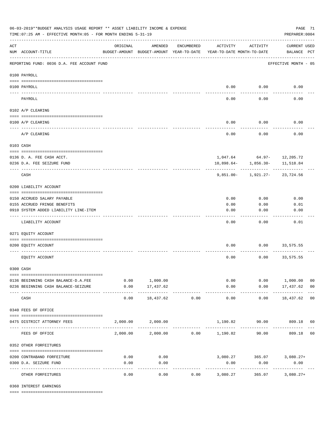| 06-03-2019**BUDGET ANALYSIS USAGE REPORT ** ASSET LIABILITY INCOME & EXPENSE<br>TIME: 07:25 AM - EFFECTIVE MONTH: 05 - FOR MONTH ENDING 5-31-19<br>PREPARER: 0004 |                                            |                                                      |                          |            |                                        |                          |                                    |                |  |
|-------------------------------------------------------------------------------------------------------------------------------------------------------------------|--------------------------------------------|------------------------------------------------------|--------------------------|------------|----------------------------------------|--------------------------|------------------------------------|----------------|--|
| $\mathop{\rm ACT}$                                                                                                                                                | NUM ACCOUNT-TITLE                          | ORIGINAL<br>BUDGET-AMOUNT BUDGET-AMOUNT YEAR-TO-DATE | AMENDED                  | ENCUMBERED | ACTIVITY<br>YEAR-TO-DATE MONTH-TO-DATE | ACTIVITY                 | <b>CURRENT USED</b><br>BALANCE PCT |                |  |
|                                                                                                                                                                   | REPORTING FUND: 0036 D.A. FEE ACCOUNT FUND |                                                      |                          |            |                                        |                          | EFFECTIVE MONTH - 05               |                |  |
|                                                                                                                                                                   | 0100 PAYROLL                               |                                                      |                          |            |                                        |                          |                                    |                |  |
| ---- ---                                                                                                                                                          | 0100 PAYROLL                               |                                                      |                          |            |                                        | $0.00$ 0.00              | 0.00                               |                |  |
|                                                                                                                                                                   | PAYROLL                                    |                                                      |                          |            | 0.00                                   | 0.00                     | 0.00                               |                |  |
|                                                                                                                                                                   | 0102 A/P CLEARING                          |                                                      |                          |            |                                        |                          |                                    |                |  |
|                                                                                                                                                                   | 0100 A/P CLEARING                          |                                                      |                          |            | 0.00                                   | 0.00                     | 0.00                               |                |  |
|                                                                                                                                                                   | A/P CLEARING                               |                                                      |                          |            | 0.00                                   | 0.00                     | 0.00                               |                |  |
|                                                                                                                                                                   | 0103 CASH                                  |                                                      |                          |            |                                        |                          |                                    |                |  |
|                                                                                                                                                                   | 0136 D. A. FEE CASH ACCT.                  |                                                      |                          |            |                                        |                          | 1,047.64 64.97- 12,205.72          |                |  |
|                                                                                                                                                                   | 0236 D.A. FEE SEIZURE FUND                 |                                                      |                          |            |                                        | $10,898.64 - 1,856.30 -$ | 11,518.84                          |                |  |
|                                                                                                                                                                   | CASH                                       |                                                      |                          |            | 9,851.00-                              |                          | 1,921.27-23,724.56                 |                |  |
|                                                                                                                                                                   | 0200 LIABILITY ACCOUNT                     |                                                      |                          |            |                                        |                          |                                    |                |  |
|                                                                                                                                                                   | 0150 ACCRUED SALARY PAYABLE                |                                                      |                          |            | 0.00                                   | 0.00                     | 0.00                               |                |  |
|                                                                                                                                                                   | 0155 ACCRUED FRINGE BENEFITS               |                                                      |                          |            | 0.00                                   | 0.00                     | 0.01                               |                |  |
|                                                                                                                                                                   | 0910 SYSTEM ADDED LIABILITY LINE-ITEM      |                                                      |                          |            | 0.00                                   | 0.00                     | 0.00                               |                |  |
|                                                                                                                                                                   | LIABILITY ACCOUNT                          |                                                      |                          |            | 0.00                                   | 0.00                     | 0.01                               |                |  |
|                                                                                                                                                                   | 0271 EQUITY ACCOUNT                        |                                                      |                          |            |                                        |                          |                                    |                |  |
|                                                                                                                                                                   | 0200 EQUITY ACCOUNT                        |                                                      |                          |            | 0.00                                   | 0.00                     | 33,575.55                          |                |  |
|                                                                                                                                                                   | EQUITY ACCOUNT                             |                                                      |                          |            | 0.00                                   | 0.00                     | 33,575.55                          |                |  |
|                                                                                                                                                                   | 0300 CASH                                  |                                                      |                          |            |                                        |                          |                                    |                |  |
|                                                                                                                                                                   | 0136 BEGINNING CASH BALANCE-D.A.FEE        |                                                      | $0.00$ 1,000.00          |            |                                        | 0.00                     | 0.00 1,000.00                      | 0 <sub>0</sub> |  |
|                                                                                                                                                                   | 0236 BEGINNING CASH BALANCE-SEIZURE        | 0.00                                                 | 17,437.62                |            | 0.00                                   |                          | $0.00$ 17,437.62 00                |                |  |
|                                                                                                                                                                   | CASH                                       | -------- -------------<br>0.00                       | -----------<br>18,437.62 | 0.00       | ------------<br>0.00                   | ----------<br>0.00       | . <u>.</u><br>18,437.62 00         |                |  |
|                                                                                                                                                                   | 0340 FEES OF OFFICE                        |                                                      |                          |            |                                        |                          |                                    |                |  |
|                                                                                                                                                                   | 0475 DISTRICT ATTORNEY FEES                |                                                      | 2,000.00 2,000.00        |            |                                        | ------------             | 1,190.82 90.00 809.18              | 60             |  |
|                                                                                                                                                                   | FEES OF OFFICE                             |                                                      |                          |            | 2,000.00 2,000.00 0.00 1,190.82        | 90.00                    | 809.18                             | 60             |  |
|                                                                                                                                                                   | 0352 OTHER FORFEITURES                     |                                                      |                          |            |                                        |                          |                                    |                |  |
|                                                                                                                                                                   | 0200 CONTRABAND FORFEITURE                 | 0.00                                                 | 0.00                     |            |                                        |                          | $3,080.27$ $365.07$ $3,080.27+$    |                |  |
|                                                                                                                                                                   | 0300 D.A. SEIZURE FUND                     | 0.00                                                 | 0.00                     |            | 0.00                                   | 0.00                     | 0.00                               |                |  |
|                                                                                                                                                                   | OTHER FORFEITURES                          | 0.00                                                 | . <u>.</u> .<br>0.00     | 0.00       | . _ _ _ _ _ _ _ _ _ _<br>3,080.27      | 365.07                   | . <u>.</u> .<br>$3,080.27+$        |                |  |

0360 INTEREST EARNINGS

==== ===================================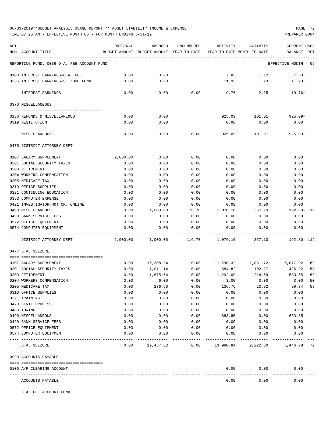TIME:07:25 AM - EFFECTIVE MONTH:05 - FOR MONTH ENDING 5-31-19 PREPARER:0004

| ACT |                                                  | ORIGINAL     | AMENDED                                                             | ENCUMBERED | ACTIVITY                  | ACTIVITY                           | <b>CURRENT USED</b>     |    |
|-----|--------------------------------------------------|--------------|---------------------------------------------------------------------|------------|---------------------------|------------------------------------|-------------------------|----|
|     | NUM ACCOUNT-TITLE                                |              | BUDGET-AMOUNT BUDGET-AMOUNT YEAR-TO-DATE YEAR-TO-DATE MONTH-TO-DATE |            |                           |                                    | BALANCE PCT             |    |
|     | REPORTING FUND: 0036 D.A. FEE ACCOUNT FUND       |              |                                                                     |            |                           |                                    | EFFECTIVE MONTH - 05    |    |
|     |                                                  |              |                                                                     |            |                           |                                    |                         |    |
|     | 0100 INTEREST EARNINGS-D.A. FEE                  | 0.00         | 0.00                                                                |            | 7.83                      | 1.12                               | $7.83+$                 |    |
|     | 0236 INTEREST EARNINGS-SEIZURE FUND              | 0.00         | 0.00                                                                |            | 11.93                     | 1.23                               | $11.93+$                |    |
|     | INTEREST EARNINGS                                | 0.00         | -----------<br>0.00                                                 | 0.00       | --------------<br>19.76   | ------------<br>2.35               | -----------<br>$19.76+$ |    |
|     | 0370 MISCELLANEOUS                               |              |                                                                     |            |                           |                                    |                         |    |
|     |                                                  |              |                                                                     |            |                           |                                    |                         |    |
|     | 0130 REFUNDS & MISCELLANEOUS                     | 0.00         | 0.00                                                                |            |                           | 925.09    101.01    925.09+        |                         |    |
|     | 0319 RESTITUTION                                 | 0.00         | 0.00                                                                |            | 0.00                      | 0.00                               | 0.00                    |    |
|     | MISCELLANEOUS                                    | 0.00         | 0.00                                                                | 0.00       | 925.09                    | 101.01                             | 925.09+                 |    |
|     | 0475 DISTRICT ATTORNEY DEPT                      |              |                                                                     |            |                           |                                    |                         |    |
|     | 0107 SALARY SUPPLEMENT                           | 2,000.00     | 0.00                                                                | 0.00       | 0.00                      | 0.00                               | 0.00                    |    |
|     | 0201 SOCIAL SECURITY TAXES                       | 0.00         | 0.00                                                                | 0.00       | 0.00                      | 0.00                               | 0.00                    |    |
|     | 0203 RETIREMENT                                  | 0.00         | 0.00                                                                | 0.00       | 0.00                      | 0.00                               | 0.00                    |    |
|     | 0204 WORKERS COMPENSATION                        | 0.00         | 0.00                                                                | 0.00       | 0.00                      | 0.00                               | 0.00                    |    |
|     | 0205 MEDICARE TAX                                | 0.00         | 0.00                                                                | 0.00       | 0.00                      | 0.00                               | 0.00                    |    |
|     | 0310 OFFICE SUPPLIES                             | 0.00         | 0.00                                                                | 0.00       | 0.00                      | 0.00                               | 0.00                    |    |
|     | 0321 CONTINUING EDUCATION                        | 0.00         | 0.00                                                                | 0.00       | 0.00                      | 0.00                               | 0.00                    |    |
|     | 0353 COMPUTER EXPENSE                            | 0.00         | 0.00                                                                | 0.00       | 0.00                      | 0.00                               | 0.00                    |    |
|     | 0421 INVESTIGATOR/HOT CK. ONLINE                 | 0.00         | 0.00                                                                | 0.00       | 0.00                      | 0.00                               | 0.00                    |    |
|     | 0490 MISCELLANEOUS                               | 0.00         | 1,000.00                                                            | 116.70     | 1,076.10                  | 257.10                             | 192.80- 119             |    |
|     | 0499 BANK SERVICE FEES                           | 0.00         | 0.00                                                                | 0.00       | 0.00                      | 0.00                               | 0.00                    |    |
|     | 0572 OFFICE EQUIPMENT                            | 0.00         | 0.00                                                                | 0.00       | 0.00                      | 0.00                               | 0.00                    |    |
|     | 0574 COMPUTER EQUIPMENT                          | 0.00         | 0.00                                                                | 0.00       | 0.00                      | 0.00                               | 0.00                    |    |
|     | DISTRICT ATTORNEY DEPT                           | 2,000.00     | 1,000.00                                                            | 116.70     | 1,076.10                  | 257.10                             | 192.80- 119             |    |
|     | 0477 D.A. SEIZURE                                |              |                                                                     |            |                           |                                    |                         |    |
|     |                                                  |              |                                                                     |            |                           |                                    |                         |    |
|     | 0107 SALARY SUPPLEMENT                           | 0.00         | 16,308.24                                                           |            |                           | $0.00$ 11,290.32 1,881.72 5,017.92 |                         | 69 |
|     | 0201 SOCIAL SECURITY TAXES                       | 0.00         | 1,011.14                                                            | 0.00       | 584.82                    | 102.27                             | 426.32                  | 58 |
|     | 0203 RETIREMENT                                  | 0.00         | 1,875.64                                                            | 0.00       | 1,292.09                  | 214.69                             | 583.55                  | 69 |
|     | 0204 WORKERS COMPENSATION                        | 0.00         | 6.00                                                                | 0.00       | 3.00                      | 0.00                               | 3.00                    | 50 |
|     | 0205 MEDICARE TAX                                | 0.00         | 236.60                                                              | 0.00       | 136.76                    | 23.92                              | 99.84                   | 58 |
|     | 0310 OFFICE SUPPLIES                             | 0.00         | 0.00                                                                | 0.00       | 0.00                      | 0.00                               | 0.00                    |    |
|     | 0321 TRAINING                                    | 0.00         | 0.00                                                                | 0.00       | 0.00                      | 0.00                               | 0.00                    |    |
|     | 0470 CIVIL PROCESS                               | 0.00         | 0.00                                                                | 0.00       | 0.00                      | 0.00                               | 0.00                    |    |
|     | 0480 TOWING                                      | 0.00         | 0.00                                                                | 0.00       | 0.00                      | 0.00                               | 0.00                    |    |
|     | 0490 MISCELLANEOUS                               | 0.00         | 0.00                                                                | 0.00       | 683.85                    | 0.00                               | $683.85-$               |    |
|     | 0499 BANK SERVICE FEES                           | 0.00         | 0.00                                                                | 0.00       | 0.00                      | 0.00                               | 0.00                    |    |
|     | 0572 OFFICE EQUIPMENT<br>0574 COMPUTER EQUIPMENT | 0.00<br>0.00 | 0.00                                                                | 0.00       | 0.00                      | 0.00                               | 0.00                    |    |
|     |                                                  |              | 0.00                                                                | 0.00       | 0.00                      | 0.00                               | 0.00                    |    |
|     | D.A. SEIZURE                                     | 0.00         | 19,437.62                                                           |            | $0.00$ 13,990.84 2,222.60 |                                    | 5,446.78                | 72 |
|     | 0999 ACCOUNTS PAYABLE                            |              |                                                                     |            |                           |                                    |                         |    |
|     | 0100 A/P CLEARING ACCOUNT                        |              |                                                                     |            | 0.00                      | 0.00                               | 0.00                    |    |
|     |                                                  |              |                                                                     |            |                           |                                    |                         |    |
|     | ACCOUNTS PAYABLE                                 |              |                                                                     |            | 0.00                      | 0.00                               | 0.00                    |    |

D.A. FEE ACCOUNT FUND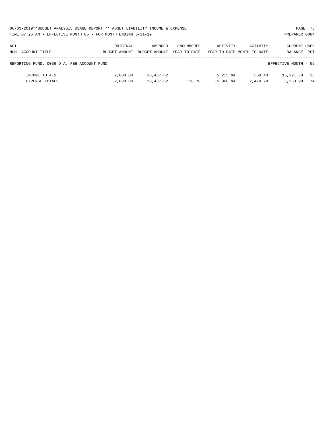|     | 06-03-2019**BUDGET ANALYSIS USAGE REPORT ** ASSET LIABILITY INCOME & EXPENSE<br>PAGE 73 |               |               |                   |           |                            |                      |    |  |  |  |
|-----|-----------------------------------------------------------------------------------------|---------------|---------------|-------------------|-----------|----------------------------|----------------------|----|--|--|--|
|     | TIME:07:25 AM - EFFECTIVE MONTH:05 - FOR MONTH ENDING 5-31-19<br>PREPARER: 0004         |               |               |                   |           |                            |                      |    |  |  |  |
|     |                                                                                         |               |               |                   |           |                            |                      |    |  |  |  |
| ACT |                                                                                         | ORIGINAL      | AMENDED       | <b>ENCUMBERED</b> | ACTIVITY  | ACTIVITY                   | CURRENT USED         |    |  |  |  |
|     | NUM ACCOUNT-TITLE                                                                       | BUDGET-AMOUNT | BUDGET-AMOUNT | YEAR-TO-DATE      |           | YEAR-TO-DATE MONTH-TO-DATE | BALANCE PCT          |    |  |  |  |
|     |                                                                                         |               |               |                   |           |                            |                      |    |  |  |  |
|     | REPORTING FUND: 0036 D.A. FEE ACCOUNT FUND                                              |               |               |                   |           |                            | EFFECTIVE MONTH - 05 |    |  |  |  |
|     |                                                                                         |               |               |                   |           |                            |                      |    |  |  |  |
|     | INCOME TOTALS                                                                           | 2,000.00      | 20,437.62     |                   | 5,215.94  | 558.43                     | 15,221.68            | 26 |  |  |  |
|     | <b>EXPENSE TOTALS</b>                                                                   | 2,000.00      | 20,437.62     | 116.70            | 15,066.94 | 2,479.70                   | 5, 253, 98           | 74 |  |  |  |
|     |                                                                                         |               |               |                   |           |                            |                      |    |  |  |  |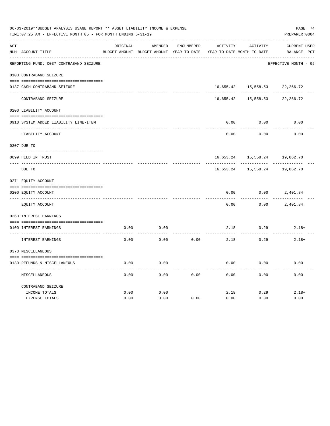|     | 06-03-2019**BUDGET ANALYSIS USAGE REPORT ** ASSET LIABILITY INCOME & EXPENSE<br>TIME: 07:25 AM - EFFECTIVE MONTH: 05 - FOR MONTH ENDING 5-31-19 |          |                                          |            |           |                            |                      |  |  |  |
|-----|-------------------------------------------------------------------------------------------------------------------------------------------------|----------|------------------------------------------|------------|-----------|----------------------------|----------------------|--|--|--|
| ACT |                                                                                                                                                 | ORIGINAL | AMENDED                                  | ENCUMBERED | ACTIVITY  | ACTIVITY                   | <b>CURRENT USED</b>  |  |  |  |
|     | NUM ACCOUNT-TITLE                                                                                                                               |          | BUDGET-AMOUNT BUDGET-AMOUNT YEAR-TO-DATE |            |           | YEAR-TO-DATE MONTH-TO-DATE | BALANCE PCT          |  |  |  |
|     | REPORTING FUND: 0037 CONTRABAND SEIZURE                                                                                                         |          |                                          |            |           |                            | EFFECTIVE MONTH - 05 |  |  |  |
|     | 0103 CONTRABAND SEIZURE                                                                                                                         |          |                                          |            |           |                            |                      |  |  |  |
|     | 0137 CASH-CONTRABAND SEIZURE                                                                                                                    |          |                                          |            |           | 16,655.42 15,558.53        | 22,266.72            |  |  |  |
|     | CONTRABAND SEIZURE                                                                                                                              |          |                                          |            | 16,655.42 | 15,558.53                  | 22,266.72            |  |  |  |
|     | 0200 LIABILITY ACCOUNT                                                                                                                          |          |                                          |            |           |                            |                      |  |  |  |
|     | 0910 SYSTEM ADDED LIABILITY LINE-ITEM                                                                                                           |          |                                          |            | 0.00      | 0.00                       | 0.00                 |  |  |  |
|     | LIABILITY ACCOUNT                                                                                                                               |          |                                          |            | 0.00      | 0.00                       | 0.00                 |  |  |  |
|     | 0207 DUE TO                                                                                                                                     |          |                                          |            |           |                            |                      |  |  |  |
|     | 0099 HELD IN TRUST                                                                                                                              |          |                                          |            | 16,653.24 | 15,558.24                  | 19,862.70            |  |  |  |
|     | DUE TO                                                                                                                                          |          |                                          |            | 16,653.24 | 15,558.24                  | 19,862.70            |  |  |  |
|     | 0271 EQUITY ACCOUNT                                                                                                                             |          |                                          |            |           |                            |                      |  |  |  |
|     | 0200 EOUITY ACCOUNT                                                                                                                             |          |                                          |            | 0.00      | 0.00                       | 2,401.84             |  |  |  |
|     | EQUITY ACCOUNT                                                                                                                                  |          |                                          |            | 0.00      | 0.00                       | 2,401.84             |  |  |  |
|     | 0360 INTEREST EARNINGS                                                                                                                          |          |                                          |            |           |                            |                      |  |  |  |
|     | 0100 INTEREST EARNINGS                                                                                                                          | 0.00     | 0.00                                     |            | 2.18      | 0.29                       | $2.18+$              |  |  |  |
|     | INTEREST EARNINGS                                                                                                                               | 0.00     | 0.00                                     | 0.00       | 2.18      | 0.29                       | $2.18+$              |  |  |  |
|     | 0370 MISCELLANEOUS                                                                                                                              |          |                                          |            |           |                            |                      |  |  |  |
|     | 0130 REFUNDS & MISCELLANEOUS                                                                                                                    | 0.00     | 0.00                                     |            | 0.00      | 0.00                       | 0.00                 |  |  |  |
|     | MISCELLANEOUS                                                                                                                                   | 0.00     | 0.00                                     | 0.00       | 0.00      | 0.00                       | 0.00                 |  |  |  |
|     | CONTRABAND SEIZURE                                                                                                                              |          |                                          |            |           |                            |                      |  |  |  |
|     | INCOME TOTALS                                                                                                                                   | 0.00     | 0.00                                     |            | 2.18      | 0.29                       | $2.18+$              |  |  |  |
|     | <b>EXPENSE TOTALS</b>                                                                                                                           | 0.00     | 0.00                                     | 0.00       | 0.00      | 0.00                       | 0.00                 |  |  |  |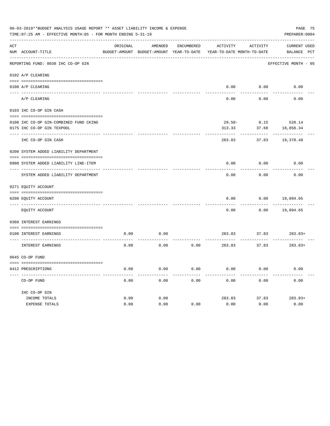|     | 06-03-2019**BUDGET ANALYSIS USAGE REPORT ** ASSET LIABILITY INCOME & EXPENSE<br>TIME: 07:25 AM - EFFECTIVE MONTH: 05 - FOR MONTH ENDING 5-31-19<br>PREPARER: 0004 |          |                                                     |                   |                                        |          |                                    |  |  |  |  |
|-----|-------------------------------------------------------------------------------------------------------------------------------------------------------------------|----------|-----------------------------------------------------|-------------------|----------------------------------------|----------|------------------------------------|--|--|--|--|
| ACT | NUM ACCOUNT-TITLE                                                                                                                                                 | ORIGINAL | AMENDED<br>BUDGET-AMOUNT BUDGET-AMOUNT YEAR-TO-DATE | <b>ENCUMBERED</b> | ACTIVITY<br>YEAR-TO-DATE MONTH-TO-DATE | ACTIVITY | <b>CURRENT USED</b><br>BALANCE PCT |  |  |  |  |
|     | REPORTING FUND: 0038 IHC CO-OP GIN                                                                                                                                |          |                                                     |                   |                                        |          | EFFECTIVE MONTH - 05               |  |  |  |  |
|     | 0102 A/P CLEARING                                                                                                                                                 |          |                                                     |                   |                                        |          |                                    |  |  |  |  |
|     | 0100 A/P CLEARING                                                                                                                                                 |          |                                                     |                   | 0.00                                   | 0.00     | 0.00                               |  |  |  |  |
|     | A/P CLEARING                                                                                                                                                      |          |                                                     |                   | 0.00                                   | 0.00     | 0.00                               |  |  |  |  |
|     | 0103 IHC CO-OP GIN CASH                                                                                                                                           |          |                                                     |                   |                                        |          |                                    |  |  |  |  |
|     | 0100 IHC CO-OP GIN-COMBINED FUND CKING                                                                                                                            |          |                                                     |                   | $29.50 -$                              | 0.15     | 520.14                             |  |  |  |  |
|     | 0175 IHC CO-OP GIN TEXPOOL                                                                                                                                        |          |                                                     |                   | 313.33                                 | 37.68    | 18,858.34                          |  |  |  |  |
|     | IHC CO-OP GIN CASH                                                                                                                                                |          |                                                     |                   | 283.83                                 | 37.83    | 19,378.48                          |  |  |  |  |
|     | 0200 SYSTEM ADDED LIABILITY DEPARTMENT                                                                                                                            |          |                                                     |                   |                                        |          |                                    |  |  |  |  |
|     |                                                                                                                                                                   |          |                                                     |                   |                                        |          |                                    |  |  |  |  |
|     | 0900 SYSTEM ADDED LIABILITY LINE-ITEM                                                                                                                             |          |                                                     |                   | 0.00                                   | 0.00     | 0.00                               |  |  |  |  |
|     | SYSTEM ADDED LIABILITY DEPARTMENT                                                                                                                                 |          |                                                     |                   | 0.00                                   | 0.00     | 0.00                               |  |  |  |  |
|     | 0271 EQUITY ACCOUNT                                                                                                                                               |          |                                                     |                   |                                        |          |                                    |  |  |  |  |
|     |                                                                                                                                                                   |          |                                                     |                   |                                        |          |                                    |  |  |  |  |
|     | 0200 EQUITY ACCOUNT<br>---- ------------                                                                                                                          |          |                                                     |                   | 0.00                                   | 0.00     | 19,094.65                          |  |  |  |  |
|     | EQUITY ACCOUNT                                                                                                                                                    |          |                                                     |                   | 0.00                                   | 0.00     | 19,094.65                          |  |  |  |  |
|     | 0360 INTEREST EARNINGS                                                                                                                                            |          |                                                     |                   |                                        |          |                                    |  |  |  |  |
|     | 0100 INTEREST EARNINGS                                                                                                                                            | 0.00     | 0.00                                                |                   | 283.83                                 | 37.83    | $283.83+$                          |  |  |  |  |
|     | <b>INTEREST EARNINGS</b>                                                                                                                                          | 0.00     | 0.00                                                | 0.00              | 283.83                                 | 37.83    | $283.83+$                          |  |  |  |  |
|     | 0645 CO-OP FUND                                                                                                                                                   |          |                                                     |                   |                                        |          |                                    |  |  |  |  |
|     |                                                                                                                                                                   |          |                                                     |                   |                                        |          |                                    |  |  |  |  |
|     | 0412 PRESCRIPTIONS                                                                                                                                                | 0.00     | 0.00                                                | 0.00              | 0.00                                   | 0.00     | 0.00                               |  |  |  |  |
|     | CO-OP FUND                                                                                                                                                        | 0.00     | 0.00                                                | 0.00              | 0.00                                   | 0.00     | 0.00                               |  |  |  |  |
|     | IHC CO-OP GIN                                                                                                                                                     |          |                                                     |                   |                                        |          |                                    |  |  |  |  |
|     | INCOME TOTALS                                                                                                                                                     | 0.00     | 0.00                                                |                   | 283.83                                 | 37.83    | $283.83+$                          |  |  |  |  |
|     | <b>EXPENSE TOTALS</b>                                                                                                                                             | 0.00     | 0.00                                                | 0.00              | 0.00                                   | 0.00     | 0.00                               |  |  |  |  |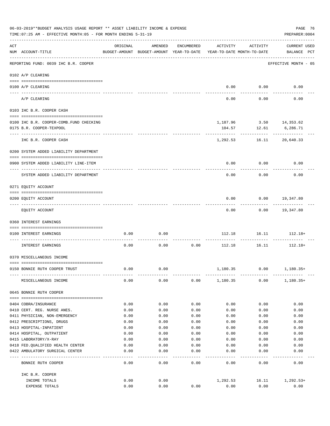|     | 06-03-2019**BUDGET ANALYSIS USAGE REPORT ** ASSET LIABILITY INCOME & EXPENSE<br>TIME: 07:25 AM - EFFECTIVE MONTH: 05 - FOR MONTH ENDING 5-31-19 |          |                                                                                |                   |          |                         | PAGE 76<br>PREPARER: 0004          |
|-----|-------------------------------------------------------------------------------------------------------------------------------------------------|----------|--------------------------------------------------------------------------------|-------------------|----------|-------------------------|------------------------------------|
| ACT | NUM ACCOUNT-TITLE                                                                                                                               | ORIGINAL | AMENDED<br>BUDGET-AMOUNT BUDGET-AMOUNT YEAR-TO-DATE YEAR-TO-DATE MONTH-TO-DATE | ENCUMBERED        | ACTIVITY | ACTIVITY                | <b>CURRENT USED</b><br>BALANCE PCT |
|     | REPORTING FUND: 0039 IHC B.R. COOPER                                                                                                            |          |                                                                                |                   |          |                         | EFFECTIVE MONTH - 05               |
|     | 0102 A/P CLEARING                                                                                                                               |          |                                                                                |                   |          |                         |                                    |
|     | 0100 A/P CLEARING                                                                                                                               |          |                                                                                |                   |          | $0.00$ $0.00$           | 0.00                               |
|     | ---- ---------<br>---------------------- ----------<br>A/P CLEARING                                                                             |          |                                                                                |                   | 0.00     | 0.00                    | 0.00                               |
|     | 0103 IHC B.R. COOPER CASH                                                                                                                       |          |                                                                                |                   |          |                         |                                    |
|     |                                                                                                                                                 |          |                                                                                |                   |          |                         |                                    |
|     | 0100 IHC B.R. COOPER-COMB.FUND CHECKING                                                                                                         |          |                                                                                |                   |          | 1,187.96 3.50 14,353.62 |                                    |
|     | 0175 B.R. COOPER-TEXPOOL                                                                                                                        |          |                                                                                |                   | 104.57   | 12.61                   | 6,286.71                           |
|     | IHC B.R. COOPER CASH                                                                                                                            |          |                                                                                |                   | 1,292.53 |                         | 16.11 20,640.33                    |
|     | 0200 SYSTEM ADDED LIABILITY DEPARTMENT                                                                                                          |          |                                                                                |                   |          |                         |                                    |
|     | 0900 SYSTEM ADDED LIABILITY LINE-ITEM                                                                                                           |          |                                                                                |                   | 0.00     | 0.00                    | 0.00                               |
|     | SYSTEM ADDED LIABILITY DEPARTMENT                                                                                                               |          |                                                                                |                   | 0.00     | 0.00                    | 0.00                               |
|     | 0271 EQUITY ACCOUNT                                                                                                                             |          |                                                                                |                   |          |                         |                                    |
|     |                                                                                                                                                 |          |                                                                                |                   |          |                         |                                    |
|     | 0200 EQUITY ACCOUNT                                                                                                                             |          |                                                                                |                   | 0.00     | 0.00                    | 19,347.80                          |
|     | EQUITY ACCOUNT                                                                                                                                  |          |                                                                                |                   | 0.00     |                         | $0.00$ 19,347.80                   |
|     | 0360 INTEREST EARNINGS                                                                                                                          |          |                                                                                |                   |          |                         |                                    |
|     | 0100 INTEREST EARNINGS                                                                                                                          | 0.00     | 0.00                                                                           |                   | 112.18   | 16.11                   | $112.18+$                          |
|     | INTEREST EARNINGS                                                                                                                               | 0.00     | 0.00                                                                           | 0.00              |          | 112.18 16.11            | $112.18+$                          |
|     | 0370 MISCELLANEOUS INCOME                                                                                                                       |          |                                                                                |                   |          |                         |                                    |
|     |                                                                                                                                                 |          |                                                                                |                   |          |                         |                                    |
|     | 0150 BONNIE RUTH COOPER TRUST                                                                                                                   | 0.00     | 0.00                                                                           |                   | 1,180.35 | 0.00                    | $1,180.35+$                        |
|     | MISCELLANEOUS INCOME                                                                                                                            | 0.00     | 0.00                                                                           | 0.00              | 1,180.35 | 0.00                    | $1,180.35+$                        |
|     | 0645 BONNIE RUTH COOPER                                                                                                                         |          |                                                                                |                   |          |                         |                                    |
|     |                                                                                                                                                 |          |                                                                                |                   |          |                         |                                    |
|     | 0404 COBRA/INSURANCE                                                                                                                            | 0.00     | 0.00                                                                           | 0.00              | 0.00     | 0.00                    | 0.00                               |
|     | 0410 CERT. REG. NURSE ANES.                                                                                                                     | 0.00     | 0.00                                                                           | 0.00              | 0.00     | 0.00                    | 0.00                               |
|     | 0411 PHYSICIAN, NON-EMERGENCY                                                                                                                   | 0.00     | 0.00                                                                           | 0.00              | 0.00     | 0.00                    | 0.00                               |
|     | 0412 PRESCRIPTIONS, DRUGS                                                                                                                       | 0.00     | 0.00                                                                           | 0.00              | 0.00     | 0.00                    | 0.00                               |
|     | 0413 HOSPITAL-INPATIENT                                                                                                                         | 0.00     | 0.00                                                                           | 0.00              | 0.00     | 0.00                    | 0.00                               |
|     | 0414 HOSPITAL, OUTPATIENT                                                                                                                       | 0.00     | 0.00                                                                           | 0.00              | 0.00     | 0.00                    | 0.00                               |
|     | 0415 LABORATORY/X-RAY                                                                                                                           | 0.00     | 0.00                                                                           | 0.00              | 0.00     | 0.00                    | 0.00                               |
|     | 0418 FED. QUALIFIED HEALTH CENTER                                                                                                               | 0.00     | 0.00                                                                           | 0.00              | 0.00     | 0.00                    | 0.00                               |
|     | 0422 AMBULATORY SURGICAL CENTER<br>--------------------------------                                                                             | 0.00     | 0.00<br>$- - - -$                                                              | 0.00<br>$- - - -$ | 0.00     | 0.00                    | 0.00                               |
|     | BONNIE RUTH COOPER                                                                                                                              | 0.00     | 0.00                                                                           | 0.00              | 0.00     | 0.00                    | 0.00                               |
|     | IHC B.R. COOPER                                                                                                                                 |          |                                                                                |                   |          |                         |                                    |
|     | INCOME TOTALS                                                                                                                                   | 0.00     | 0.00                                                                           |                   | 1,292.53 | 16.11                   | 1,292.53+                          |
|     | EXPENSE TOTALS                                                                                                                                  | 0.00     | 0.00                                                                           | 0.00              | 0.00     | 0.00                    | 0.00                               |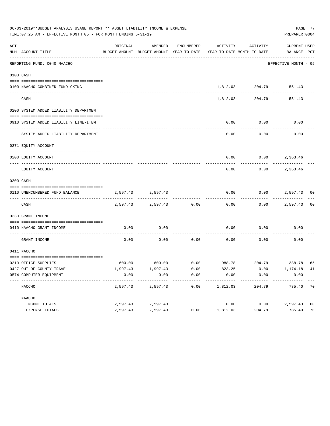| 06-03-2019**BUDGET ANALYSIS USAGE REPORT ** ASSET LIABILITY INCOME & EXPENSE<br>PREPARER: 0004<br>TIME: 07:25 AM - EFFECTIVE MONTH: 05 - FOR MONTH ENDING 5-31-19 |                                                   |          |                                          |            |                                                           |                          |                      |    |  |  |
|-------------------------------------------------------------------------------------------------------------------------------------------------------------------|---------------------------------------------------|----------|------------------------------------------|------------|-----------------------------------------------------------|--------------------------|----------------------|----|--|--|
| ACT                                                                                                                                                               |                                                   | ORIGINAL | AMENDED                                  | ENCUMBERED | ACTIVITY ACTIVITY                                         |                          | CURRENT USED         |    |  |  |
|                                                                                                                                                                   | NUM ACCOUNT-TITLE                                 |          | BUDGET-AMOUNT BUDGET-AMOUNT YEAR-TO-DATE |            | YEAR-TO-DATE MONTH-TO-DATE                                |                          | BALANCE PCT          |    |  |  |
|                                                                                                                                                                   | REPORTING FUND: 0040 NAACHO                       |          |                                          |            |                                                           |                          | EFFECTIVE MONTH - 05 |    |  |  |
|                                                                                                                                                                   | 0103 CASH                                         |          |                                          |            |                                                           |                          |                      |    |  |  |
|                                                                                                                                                                   | 0100 NAACHO-COMBINED FUND CKING                   |          |                                          |            |                                                           | 1,812.03-204.79-551.43   |                      |    |  |  |
|                                                                                                                                                                   | CASH                                              |          |                                          |            |                                                           | 1,812.03-204.79-         | 551.43               |    |  |  |
|                                                                                                                                                                   | 0200 SYSTEM ADDED LIABILITY DEPARTMENT            |          |                                          |            |                                                           |                          |                      |    |  |  |
|                                                                                                                                                                   |                                                   |          |                                          |            |                                                           |                          |                      |    |  |  |
|                                                                                                                                                                   | 0910 SYSTEM ADDED LIABILITY LINE-ITEM             |          |                                          |            | 0.00<br>--------                                          | 0.00<br>---------        | 0.00                 |    |  |  |
|                                                                                                                                                                   | SYSTEM ADDED LIABILITY DEPARTMENT                 |          |                                          |            | 0.00                                                      | 0.00                     | 0.00                 |    |  |  |
|                                                                                                                                                                   | 0271 EQUITY ACCOUNT                               |          |                                          |            |                                                           |                          |                      |    |  |  |
|                                                                                                                                                                   | 0200 EQUITY ACCOUNT                               |          |                                          |            |                                                           | $0.00$ $0.00$ $2,363.46$ |                      |    |  |  |
|                                                                                                                                                                   | EQUITY ACCOUNT                                    |          |                                          |            | 0.00                                                      |                          | $0.00$ 2,363.46      |    |  |  |
|                                                                                                                                                                   | 0300 CASH                                         |          |                                          |            |                                                           |                          |                      |    |  |  |
|                                                                                                                                                                   | 0110 UNENCUMBERED FUND BALANCE                    |          | 2,597.43 2,597.43                        |            | 0.00                                                      | $0.00$ 2,597.43 00       |                      |    |  |  |
|                                                                                                                                                                   | CASH                                              |          | 2,597.43 2,597.43 0.00                   |            | $- - - - - -$<br>0.00                                     |                          | $0.00$ 2,597.43      | 00 |  |  |
|                                                                                                                                                                   | 0330 GRANT INCOME                                 |          |                                          |            |                                                           |                          |                      |    |  |  |
|                                                                                                                                                                   | 0410 NAACHO GRANT INCOME                          | 0.00     | 0.00                                     |            | 0.00                                                      | $0.00$ 0.00              |                      |    |  |  |
|                                                                                                                                                                   | ----------------- ---<br>GRANT INCOME             | 0.00     | 0.00                                     | 0.00       | $0.00$ 0.00                                               |                          | 0.00                 |    |  |  |
|                                                                                                                                                                   | 0411 NACCHO                                       |          |                                          |            |                                                           |                          |                      |    |  |  |
|                                                                                                                                                                   |                                                   |          |                                          |            | $600.00$ $600.00$ $0.00$ $988.78$ $204.79$ $388.78 - 165$ |                          |                      |    |  |  |
|                                                                                                                                                                   | 0310 OFFICE SUPPLIES<br>0427 OUT OF COUNTY TRAVEL |          | $1,997.43$ $1,997.43$                    | 0.00       | 823.25                                                    |                          | $0.00$ 1, 174.18 41  |    |  |  |
|                                                                                                                                                                   | 0574 COMPUTER EQUIPMENT                           | 0.00     | 0.00                                     | 0.00       | 0.00                                                      | 0.00                     | 0.00                 |    |  |  |
|                                                                                                                                                                   | NACCHO                                            | 2,597.43 | ---------<br>2,597.43                    | 0.00       | ---------<br>1,812.03                                     | ---------<br>204.79      | 785.40 70            |    |  |  |
|                                                                                                                                                                   | NAACHO                                            |          |                                          |            |                                                           |                          |                      |    |  |  |
|                                                                                                                                                                   | INCOME TOTALS                                     | 2,597.43 | 2,597.43                                 |            | 0.00                                                      | 0.00                     | 2,597.43             | 00 |  |  |
|                                                                                                                                                                   | EXPENSE TOTALS                                    | 2,597.43 | 2,597.43                                 | 0.00       | 1,812.03                                                  | 204.79                   | 785.40               | 70 |  |  |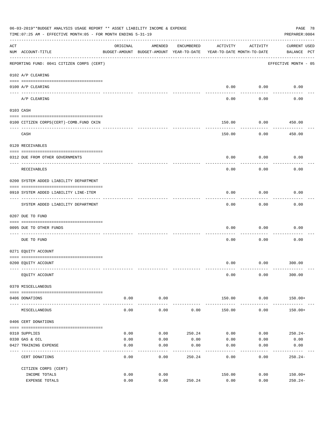| 06-03-2019**BUDGET ANALYSIS USAGE REPORT ** ASSET LIABILITY INCOME & EXPENSE<br>PAGE 78<br>PREPARER: 0004<br>TIME:07:25 AM - EFFECTIVE MONTH:05 - FOR MONTH ENDING 5-31-19 |                                           |          |                                                                                |            |                           |                        |                                    |  |  |
|----------------------------------------------------------------------------------------------------------------------------------------------------------------------------|-------------------------------------------|----------|--------------------------------------------------------------------------------|------------|---------------------------|------------------------|------------------------------------|--|--|
| ACT                                                                                                                                                                        | NUM ACCOUNT-TITLE                         | ORIGINAL | AMENDED<br>BUDGET-AMOUNT BUDGET-AMOUNT YEAR-TO-DATE YEAR-TO-DATE MONTH-TO-DATE | ENCUMBERED | ACTIVITY                  | ACTIVITY               | <b>CURRENT USED</b><br>BALANCE PCT |  |  |
|                                                                                                                                                                            | REPORTING FUND: 0041 CITIZEN CORPS (CERT) |          |                                                                                |            |                           |                        | EFFECTIVE MONTH - 05               |  |  |
|                                                                                                                                                                            | 0102 A/P CLEARING                         |          |                                                                                |            |                           |                        |                                    |  |  |
|                                                                                                                                                                            | 0100 A/P CLEARING                         |          |                                                                                |            | 0.00                      | 0.00                   | 0.00                               |  |  |
|                                                                                                                                                                            | ---- --------<br>A/P CLEARING             |          |                                                                                |            | 0.00                      | 0.00                   | 0.00                               |  |  |
|                                                                                                                                                                            | 0103 CASH                                 |          |                                                                                |            |                           |                        |                                    |  |  |
|                                                                                                                                                                            |                                           |          |                                                                                |            |                           |                        |                                    |  |  |
|                                                                                                                                                                            | 0100 CITIZEN CORPS (CERT)-COMB. FUND CKIN |          |                                                                                |            | 150.00                    | 0.00                   | 450.00<br>---------                |  |  |
|                                                                                                                                                                            | CASH                                      |          |                                                                                |            | 150.00                    | 0.00                   | 450.00                             |  |  |
|                                                                                                                                                                            | 0120 RECEIVABLES                          |          |                                                                                |            |                           |                        |                                    |  |  |
|                                                                                                                                                                            | 0312 DUE FROM OTHER GOVERNMENTS           |          |                                                                                |            | 0.00                      | 0.00                   | 0.00                               |  |  |
|                                                                                                                                                                            | <b>RECEIVABLES</b>                        |          |                                                                                |            | 0.00                      | 0.00                   | 0.00                               |  |  |
|                                                                                                                                                                            | 0200 SYSTEM ADDED LIABILITY DEPARTMENT    |          |                                                                                |            |                           |                        |                                    |  |  |
|                                                                                                                                                                            | 0910 SYSTEM ADDED LIABILITY LINE-ITEM     |          |                                                                                |            | 0.00                      | 0.00                   | 0.00                               |  |  |
|                                                                                                                                                                            | SYSTEM ADDED LIABILITY DEPARTMENT         |          |                                                                                |            | 0.00                      | --------<br>0.00       | 0.00                               |  |  |
|                                                                                                                                                                            | 0207 DUE TO FUND                          |          |                                                                                |            |                           |                        |                                    |  |  |
|                                                                                                                                                                            | 0095 DUE TO OTHER FUNDS                   |          |                                                                                |            | 0.00                      | 0.00                   | 0.00                               |  |  |
|                                                                                                                                                                            | DUE TO FUND                               |          |                                                                                |            | 0.00                      | 0.00                   | 0.00                               |  |  |
|                                                                                                                                                                            | 0271 EQUITY ACCOUNT                       |          |                                                                                |            |                           |                        |                                    |  |  |
|                                                                                                                                                                            | 0200 EQUITY ACCOUNT                       |          |                                                                                |            |                           | $0.00$ $0.00$ $300.00$ |                                    |  |  |
|                                                                                                                                                                            | EQUITY ACCOUNT                            |          |                                                                                |            | 0.00                      | 0.00                   | 300.00                             |  |  |
|                                                                                                                                                                            | 0370 MISCELLANEOUS                        |          |                                                                                |            |                           |                        |                                    |  |  |
|                                                                                                                                                                            | 0406 DONATIONS                            | 0.00     | 0.00                                                                           |            | 150.00                    | 0.00                   | 150.00+                            |  |  |
|                                                                                                                                                                            | MISCELLANEOUS                             | 0.00     | -----------<br>0.00                                                            | 0.00       | 150.00                    | 0.00                   | $150.00+$                          |  |  |
|                                                                                                                                                                            |                                           |          |                                                                                |            |                           |                        |                                    |  |  |
|                                                                                                                                                                            | 0406 CERT DONATIONS                       |          |                                                                                |            |                           |                        |                                    |  |  |
|                                                                                                                                                                            | 0310 SUPPLIES                             | 0.00     | 0.00                                                                           | 250.24     | 0.00                      | 0.00                   | 250.24-                            |  |  |
|                                                                                                                                                                            | 0330 GAS & OIL                            | 0.00     | 0.00                                                                           | 0.00       | 0.00                      | 0.00                   | 0.00                               |  |  |
|                                                                                                                                                                            | 0427 TRAINING EXPENSE                     | 0.00     | 0.00                                                                           | 0.00       | 0.00<br>$- - - - - - - -$ | 0.00<br>$- - - - - -$  | 0.00<br>-------                    |  |  |
|                                                                                                                                                                            | CERT DONATIONS                            | 0.00     | 0.00                                                                           | 250.24     | 0.00                      | 0.00                   | $250.24-$                          |  |  |
|                                                                                                                                                                            | CITIZEN CORPS (CERT)                      |          |                                                                                |            |                           |                        |                                    |  |  |
|                                                                                                                                                                            | INCOME TOTALS                             | 0.00     | 0.00                                                                           |            | 150.00                    | 0.00                   | $150.00+$                          |  |  |
|                                                                                                                                                                            | EXPENSE TOTALS                            | 0.00     | 0.00                                                                           | 250.24     | 0.00                      | 0.00                   | $250.24-$                          |  |  |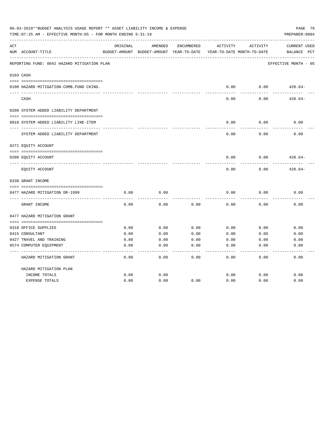|     | 06-03-2019**BUDGET ANALYSIS USAGE REPORT ** ASSET LIABILITY INCOME & EXPENSE<br>PAGE 79<br>TIME: 07:25 AM - EFFECTIVE MONTH: 05 - FOR MONTH ENDING 5-31-19<br>PREPARER: 0004 |          |                                                     |            |          |                                        |                                       |  |  |  |
|-----|------------------------------------------------------------------------------------------------------------------------------------------------------------------------------|----------|-----------------------------------------------------|------------|----------|----------------------------------------|---------------------------------------|--|--|--|
| ACT | NUM ACCOUNT-TITLE                                                                                                                                                            | ORIGINAL | AMENDED<br>BUDGET-AMOUNT BUDGET-AMOUNT YEAR-TO-DATE | ENCUMBERED | ACTIVITY | ACTIVITY<br>YEAR-TO-DATE MONTH-TO-DATE | <b>CURRENT USED</b><br>BALANCE<br>PCT |  |  |  |
|     | REPORTING FUND: 0042 HAZARD MITIGATION PLAN                                                                                                                                  |          |                                                     |            |          |                                        | EFFECTIVE MONTH - 05                  |  |  |  |
|     | 0103 CASH                                                                                                                                                                    |          |                                                     |            |          |                                        |                                       |  |  |  |
|     | 0100 HAZARD MITIGATION-COMB.FUND CKING.                                                                                                                                      |          |                                                     |            | 0.00     | 0.00                                   | $428.64-$                             |  |  |  |
|     | CASH                                                                                                                                                                         |          |                                                     |            | 0.00     | 0.00                                   | $428.64-$                             |  |  |  |
|     | 0200 SYSTEM ADDED LIABILITY DEPARTMENT                                                                                                                                       |          |                                                     |            |          |                                        |                                       |  |  |  |
|     | 0910 SYSTEM ADDED LIABILITY LINE-ITEM                                                                                                                                        |          |                                                     |            | 0.00     | 0.00                                   | 0.00                                  |  |  |  |
|     | SYSTEM ADDED LIABILITY DEPARTMENT                                                                                                                                            |          |                                                     |            | 0.00     | 0.00                                   | 0.00                                  |  |  |  |
|     | 0271 EQUITY ACCOUNT                                                                                                                                                          |          |                                                     |            |          |                                        |                                       |  |  |  |
|     | 0200 EQUITY ACCOUNT                                                                                                                                                          |          |                                                     |            | 0.00     | 0.00                                   | $428.64-$                             |  |  |  |
|     | EQUITY ACCOUNT                                                                                                                                                               |          |                                                     |            | 0.00     | 0.00                                   | $428.64-$                             |  |  |  |
|     | 0330 GRANT INCOME                                                                                                                                                            |          |                                                     |            |          |                                        |                                       |  |  |  |
|     | 0477 HAZARD MITIGATION DR-1999                                                                                                                                               | 0.00     | 0.00                                                |            | 0.00     | 0.00                                   | 0.00                                  |  |  |  |
|     | GRANT INCOME                                                                                                                                                                 | 0.00     | 0.00                                                | 0.00       | 0.00     | 0.00                                   | 0.00                                  |  |  |  |
|     | 0477 HAZARD MITIGATION GRANT                                                                                                                                                 |          |                                                     |            |          |                                        |                                       |  |  |  |
|     |                                                                                                                                                                              |          |                                                     |            |          |                                        |                                       |  |  |  |
|     | 0310 OFFICE SUPPLIES                                                                                                                                                         | 0.00     | 0.00                                                | 0.00       | 0.00     | 0.00                                   | 0.00                                  |  |  |  |
|     | 0415 CONSULTANT                                                                                                                                                              | 0.00     | 0.00                                                | 0.00       | 0.00     | 0.00                                   | 0.00                                  |  |  |  |
|     | 0427 TRAVEL AND TRAINING                                                                                                                                                     | 0.00     | 0.00                                                | 0.00       | 0.00     | 0.00                                   | 0.00                                  |  |  |  |
|     | 0574 COMPUTER EQUIPMENT                                                                                                                                                      | 0.00     | 0.00                                                | 0.00       | 0.00     | 0.00                                   | 0.00                                  |  |  |  |
|     | HAZARD MITIGATION GRANT                                                                                                                                                      | 0.00     | 0.00                                                | 0.00       | 0.00     | 0.00                                   | 0.00                                  |  |  |  |
|     | HAZARD MITIGATION PLAN                                                                                                                                                       |          |                                                     |            |          |                                        |                                       |  |  |  |
|     | INCOME TOTALS                                                                                                                                                                | 0.00     | 0.00                                                |            | 0.00     | 0.00                                   | 0.00                                  |  |  |  |
|     | <b>EXPENSE TOTALS</b>                                                                                                                                                        | 0.00     | 0.00                                                | 0.00       | 0.00     | 0.00                                   | 0.00                                  |  |  |  |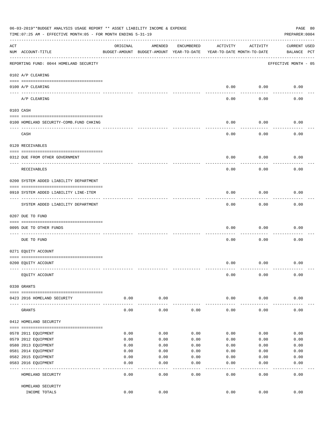|     | 06-03-2019**BUDGET ANALYSIS USAGE REPORT ** ASSET LIABILITY INCOME & EXPENSE<br>PAGE 80<br>TIME: 07:25 AM - EFFECTIVE MONTH: 05 - FOR MONTH ENDING 5-31-19<br>PREPARER: 0004 |          |                                                     |              |                                        |           |                                    |  |  |  |
|-----|------------------------------------------------------------------------------------------------------------------------------------------------------------------------------|----------|-----------------------------------------------------|--------------|----------------------------------------|-----------|------------------------------------|--|--|--|
| ACT | NUM ACCOUNT-TITLE                                                                                                                                                            | ORIGINAL | AMENDED<br>BUDGET-AMOUNT BUDGET-AMOUNT YEAR-TO-DATE | ENCUMBERED   | ACTIVITY<br>YEAR-TO-DATE MONTH-TO-DATE | ACTIVITY  | <b>CURRENT USED</b><br>BALANCE PCT |  |  |  |
|     | REPORTING FUND: 0044 HOMELAND SECURITY                                                                                                                                       |          |                                                     |              |                                        |           | EFFECTIVE MONTH - 05               |  |  |  |
|     | 0102 A/P CLEARING                                                                                                                                                            |          |                                                     |              |                                        |           |                                    |  |  |  |
|     | 0100 A/P CLEARING<br>---- ----------                                                                                                                                         |          |                                                     |              | 0.00                                   | 0.00      | 0.00                               |  |  |  |
|     | A/P CLEARING                                                                                                                                                                 |          |                                                     |              | 0.00                                   | 0.00      | 0.00                               |  |  |  |
|     | 0103 CASH                                                                                                                                                                    |          |                                                     |              |                                        |           |                                    |  |  |  |
|     | 0100 HOMELAND SECURITY-COMB.FUND CHKING                                                                                                                                      |          |                                                     |              | 0.00                                   | 0.00      | 0.00                               |  |  |  |
|     | CASH                                                                                                                                                                         |          |                                                     |              | 0.00                                   | 0.00      | 0.00                               |  |  |  |
|     | 0120 RECEIVABLES                                                                                                                                                             |          |                                                     |              |                                        |           |                                    |  |  |  |
|     | 0312 DUE FROM OTHER GOVERNMENT                                                                                                                                               |          |                                                     |              | 0.00                                   | 0.00      | 0.00                               |  |  |  |
|     |                                                                                                                                                                              |          |                                                     |              |                                        |           |                                    |  |  |  |
|     | RECEIVABLES                                                                                                                                                                  |          |                                                     |              | 0.00                                   | 0.00      | 0.00                               |  |  |  |
|     | 0200 SYSTEM ADDED LIABILITY DEPARTMENT                                                                                                                                       |          |                                                     |              |                                        |           |                                    |  |  |  |
|     | 0910 SYSTEM ADDED LIABILITY LINE-ITEM                                                                                                                                        |          |                                                     |              | 0.00                                   | 0.00      | 0.00                               |  |  |  |
|     | SYSTEM ADDED LIABILITY DEPARTMENT                                                                                                                                            |          |                                                     |              | 0.00                                   | 0.00      | 0.00                               |  |  |  |
|     | 0207 DUE TO FUND                                                                                                                                                             |          |                                                     |              |                                        |           |                                    |  |  |  |
|     | 0095 DUE TO OTHER FUNDS                                                                                                                                                      |          |                                                     |              | 0.00                                   | 0.00      | 0.00                               |  |  |  |
|     | DUE TO FUND                                                                                                                                                                  |          |                                                     |              | 0.00                                   | 0.00      | 0.00                               |  |  |  |
|     | 0271 EQUITY ACCOUNT                                                                                                                                                          |          |                                                     |              |                                        |           |                                    |  |  |  |
|     | 0200 EQUITY ACCOUNT                                                                                                                                                          |          |                                                     |              | 0.00                                   | 0.00      | 0.00                               |  |  |  |
|     |                                                                                                                                                                              |          |                                                     |              |                                        |           |                                    |  |  |  |
|     | EQUITY ACCOUNT                                                                                                                                                               |          |                                                     |              | 0.00                                   | 0.00      | 0.00                               |  |  |  |
|     | 0330 GRANTS                                                                                                                                                                  |          |                                                     |              |                                        |           |                                    |  |  |  |
|     |                                                                                                                                                                              |          |                                                     |              |                                        |           |                                    |  |  |  |
|     | 0423 2016 HOMELAND SECURITY                                                                                                                                                  | 0.00     | 0.00                                                |              | 0.00                                   | 0.00      | 0.00                               |  |  |  |
|     | GRANTS                                                                                                                                                                       | 0.00     | 0.00                                                | 0.00         | 0.00                                   | 0.00      | 0.00                               |  |  |  |
|     | 0412 HOMELAND SECURITY                                                                                                                                                       |          |                                                     |              |                                        |           |                                    |  |  |  |
|     | 0578 2011 EQUIPMENT                                                                                                                                                          | 0.00     | 0.00                                                | 0.00         | 0.00                                   | 0.00      | 0.00                               |  |  |  |
|     | 0579 2012 EQUIPMENT                                                                                                                                                          | 0.00     | 0.00                                                | 0.00         | 0.00                                   | 0.00      | 0.00                               |  |  |  |
|     | 0580 2013 EQUIPMENT                                                                                                                                                          | 0.00     | 0.00                                                | 0.00         | 0.00                                   | 0.00      | 0.00                               |  |  |  |
|     | 0581 2014 EQUIPMENT                                                                                                                                                          | 0.00     | 0.00                                                | 0.00         | 0.00                                   | 0.00      | 0.00                               |  |  |  |
|     | 0582 2015 EQUIPMENT                                                                                                                                                          | 0.00     | 0.00                                                | 0.00         | 0.00                                   | 0.00      | 0.00                               |  |  |  |
|     | 0583 2016 EQUIPMENT                                                                                                                                                          | 0.00     | 0.00                                                | 0.00         | 0.00                                   | 0.00      | 0.00                               |  |  |  |
|     | HOMELAND SECURITY                                                                                                                                                            | 0.00     | - - - -<br>0.00                                     | ----<br>0.00 | $---$<br>0.00                          | .<br>0.00 | -----<br>0.00                      |  |  |  |
|     | HOMELAND SECURITY                                                                                                                                                            |          |                                                     |              |                                        |           |                                    |  |  |  |
|     | INCOME TOTALS                                                                                                                                                                | 0.00     | 0.00                                                |              | 0.00                                   | 0.00      | 0.00                               |  |  |  |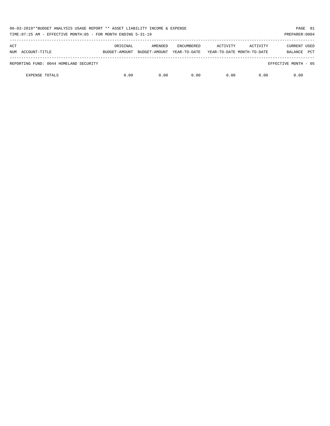| 06-03-2019**BUDGET ANALYSIS USAGE REPORT ** ASSET LIABILITY INCOME & EXPENSE<br>TIME: 07:25 AM - EFFECTIVE MONTH: 05 - FOR MONTH ENDING 5-31-19<br>PREPARER: 0004 |          |                                        |                                   |                                        |          |                                              |  |  |
|-------------------------------------------------------------------------------------------------------------------------------------------------------------------|----------|----------------------------------------|-----------------------------------|----------------------------------------|----------|----------------------------------------------|--|--|
| ACT<br>NUM ACCOUNT-TITLE                                                                                                                                          | ORIGINAL | AMENDED<br>BUDGET-AMOUNT BUDGET-AMOUNT | <b>ENCUMBERED</b><br>YEAR-TO-DATE | ACTIVITY<br>YEAR-TO-DATE MONTH-TO-DATE | ACTIVITY | <b>CURRENT USED</b><br><b>PCT</b><br>BALANCE |  |  |
| REPORTING FUND: 0044 HOMELAND SECURITY                                                                                                                            |          |                                        |                                   |                                        |          | EFFECTIVE MONTH - 05                         |  |  |
| <b>EXPENSE TOTALS</b>                                                                                                                                             | 0.00     | 0.00                                   | 0.00                              | 0.00                                   | 0.00     | 0.00                                         |  |  |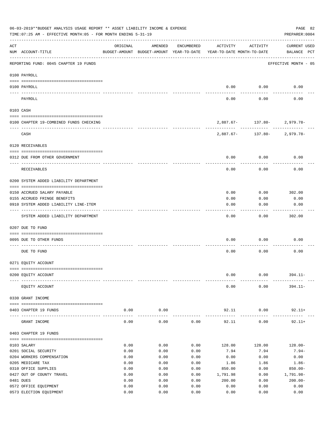|     | 06-03-2019**BUDGET ANALYSIS USAGE REPORT ** ASSET LIABILITY INCOME & EXPENSE<br>TIME: 07:25 AM - EFFECTIVE MONTH: 05 - FOR MONTH ENDING 5-31-19 |              |                                                     |              |                                        |                                                 | PAGE 82<br>PREPARER: 0004          |
|-----|-------------------------------------------------------------------------------------------------------------------------------------------------|--------------|-----------------------------------------------------|--------------|----------------------------------------|-------------------------------------------------|------------------------------------|
| ACT | NUM ACCOUNT-TITLE                                                                                                                               | ORIGINAL     | AMENDED<br>BUDGET-AMOUNT BUDGET-AMOUNT YEAR-TO-DATE | ENCUMBERED   | ACTIVITY<br>YEAR-TO-DATE MONTH-TO-DATE | ACTIVITY                                        | <b>CURRENT USED</b><br>BALANCE PCT |
|     | --------------------------------------<br>REPORTING FUND: 0045 CHAPTER 19 FUNDS                                                                 |              |                                                     |              |                                        |                                                 | EFFECTIVE MONTH - 05               |
|     | 0100 PAYROLL                                                                                                                                    |              |                                                     |              |                                        |                                                 |                                    |
|     | 0100 PAYROLL                                                                                                                                    |              |                                                     |              | 0.00                                   | 0.00                                            | 0.00                               |
|     | ---- ----<br>PAYROLL                                                                                                                            |              |                                                     |              | 0.00                                   | 0.00                                            | 0.00                               |
|     | 0103 CASH                                                                                                                                       |              |                                                     |              |                                        |                                                 |                                    |
|     | 0100 CHAPTER 19-COMBINED FUNDS CHECKING                                                                                                         |              |                                                     |              |                                        | 2,887.67- 137.80- 2,979.78-                     |                                    |
|     | CASH                                                                                                                                            |              |                                                     |              |                                        | -----------<br>$2,887.67 - 137.80 - 2,979.78 -$ |                                    |
|     | 0120 RECEIVABLES                                                                                                                                |              |                                                     |              |                                        |                                                 |                                    |
|     | 0312 DUE FROM OTHER GOVERNMENT                                                                                                                  |              |                                                     |              | 0.00                                   | 0.00                                            | 0.00                               |
|     | <b>RECEIVABLES</b>                                                                                                                              |              |                                                     |              | 0.00                                   | 0.00                                            | 0.00                               |
|     | 0200 SYSTEM ADDED LIABILITY DEPARTMENT                                                                                                          |              |                                                     |              |                                        |                                                 |                                    |
|     |                                                                                                                                                 |              |                                                     |              |                                        |                                                 |                                    |
|     | 0150 ACCRUED SALARY PAYABLE<br>0155 ACCRUED FRINGE BENEFITS                                                                                     |              |                                                     |              | 0.00<br>0.00                           | 0.00<br>0.00                                    | 302.00<br>0.00                     |
|     | 0910 SYSTEM ADDED LIABILITY LINE-ITEM                                                                                                           |              |                                                     |              | 0.00                                   | 0.00                                            | 0.00                               |
|     |                                                                                                                                                 |              |                                                     |              |                                        |                                                 |                                    |
|     | SYSTEM ADDED LIABILITY DEPARTMENT                                                                                                               |              |                                                     |              | 0.00                                   | 0.00                                            | 302.00                             |
|     | 0207 DUE TO FUND                                                                                                                                |              |                                                     |              |                                        |                                                 |                                    |
|     | 0095 DUE TO OTHER FUNDS                                                                                                                         |              |                                                     |              | 0.00                                   | 0.00                                            | 0.00                               |
|     | DUE TO FUND                                                                                                                                     |              |                                                     |              | 0.00                                   | 0.00                                            | 0.00                               |
|     | 0271 EQUITY ACCOUNT                                                                                                                             |              |                                                     |              |                                        |                                                 |                                    |
|     |                                                                                                                                                 |              |                                                     |              |                                        |                                                 |                                    |
|     | 0200 EQUITY ACCOUNT                                                                                                                             |              |                                                     |              | 0.00                                   | 0.00                                            | $394.11 -$                         |
|     | EQUITY ACCOUNT                                                                                                                                  |              |                                                     |              | 0.00                                   | 0.00                                            | $394.11-$                          |
|     | 0330 GRANT INCOME                                                                                                                               |              |                                                     |              |                                        |                                                 |                                    |
|     | 0403 CHAPTER 19 FUNDS                                                                                                                           | 0.00         | 0.00                                                |              | 92.11                                  | 0.00                                            | $92.11+$                           |
|     | GRANT INCOME                                                                                                                                    | 0.00         | $- - - -$<br>0.00                                   | 0.00         | 92.11                                  | 0.00                                            | $92.11+$                           |
|     | 0403 CHAPTER 19 FUNDS                                                                                                                           |              |                                                     |              |                                        |                                                 |                                    |
|     | 0103 SALARY                                                                                                                                     | 0.00         | 0.00                                                | 0.00         | 128.00                                 | 128.00                                          | $128.00 -$                         |
|     | 0201 SOCIAL SECURITY                                                                                                                            | 0.00         | 0.00                                                | 0.00         | 7.94                                   | 7.94                                            | $7.94-$                            |
|     | 0204 WORKERS COMPENSATION                                                                                                                       | 0.00         | 0.00                                                | 0.00         | 0.00                                   | 0.00                                            | 0.00                               |
|     | 0205 MEDICARE TAX                                                                                                                               | 0.00         | 0.00                                                | 0.00         | 1.86                                   | 1.86                                            | $1.86-$                            |
|     | 0310 OFFICE SUPPLIES                                                                                                                            | 0.00         | 0.00                                                | 0.00         | 850.00                                 | 0.00                                            | $850.00 -$                         |
|     | 0427 OUT OF COUNTY TRAVEL<br>0481 DUES                                                                                                          | 0.00<br>0.00 | 0.00<br>0.00                                        | 0.00<br>0.00 | 1,791.98                               | 0.00                                            | 1,791.98-<br>$200.00 -$            |
|     | 0572 OFFICE EQUIPMENT                                                                                                                           | 0.00         | 0.00                                                | 0.00         | 200.00<br>0.00                         | 0.00<br>0.00                                    | 0.00                               |
|     | 0573 ELECTION EQUIPMENT                                                                                                                         | 0.00         | 0.00                                                | 0.00         | 0.00                                   | 0.00                                            | 0.00                               |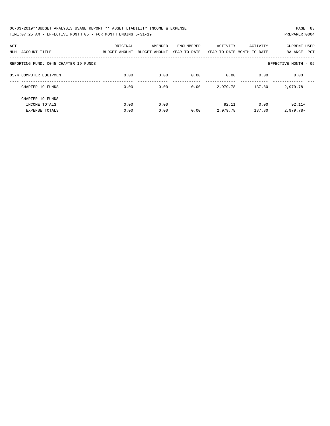| 06-03-2019**BUDGET ANALYSIS USAGE REPORT ** ASSET LIABILITY INCOME & EXPENSE | PAGE 83        |  |
|------------------------------------------------------------------------------|----------------|--|
| TIME:07:25 AM - EFFECTIVE MONTH:05 - FOR MONTH ENDING 5-31-19                | PREPARER: 0004 |  |

| ACT<br>ACCOUNT-TITLE<br>NUM           | ORIGINAL<br>BUDGET-AMOUNT | AMENDED<br>BUDGET-AMOUNT | ENCUMBERED<br>YEAR-TO-DATE | ACTIVITY | ACTIVITY<br>YEAR-TO-DATE MONTH-TO-DATE | <b>CURRENT USED</b><br>PCT<br>BALANCE |
|---------------------------------------|---------------------------|--------------------------|----------------------------|----------|----------------------------------------|---------------------------------------|
| REPORTING FUND: 0045 CHAPTER 19 FUNDS |                           |                          |                            |          |                                        | EFFECTIVE MONTH - 05                  |
| 0574 COMPUTER EQUIPMENT               | 0.00                      | 0.00                     | 0.00                       | 0.00     | 0.00                                   | 0.00                                  |
| CHAPTER 19 FUNDS                      | 0.00                      | 0.00                     | 0.00                       | 2,979.78 | 137.80                                 | $2,979.78-$                           |
| CHAPTER 19 FUNDS                      |                           |                          |                            |          |                                        |                                       |
| INCOME TOTALS                         | 0.00                      | 0.00                     |                            | 92.11    | 0.00                                   | $92.11+$                              |
| <b>EXPENSE TOTALS</b>                 | 0.00                      | 0.00                     | 0.00                       | 2,979.78 | 137.80                                 | $2,979.78-$                           |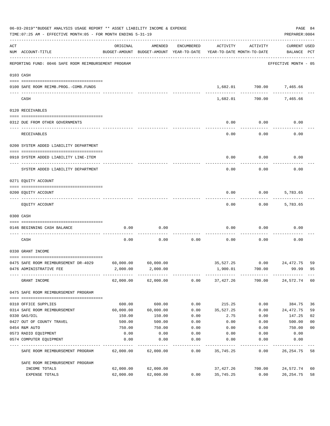|     | 06-03-2019**BUDGET ANALYSIS USAGE REPORT ** ASSET LIABILITY INCOME & EXPENSE<br>TIME: 07:25 AM - EFFECTIVE MONTH: 05 - FOR MONTH ENDING 5-31-19 |                                                                                 |                     |            |                    |                       | PREPARER: 0004              | PAGE 84        |
|-----|-------------------------------------------------------------------------------------------------------------------------------------------------|---------------------------------------------------------------------------------|---------------------|------------|--------------------|-----------------------|-----------------------------|----------------|
| ACT | NUM ACCOUNT-TITLE                                                                                                                               | ORIGINAL<br>BUDGET-AMOUNT BUDGET-AMOUNT YEAR-TO-DATE YEAR-TO-DATE MONTH-TO-DATE | AMENDED             | ENCUMBERED | ACTIVITY           | ACTIVITY              | CURRENT USED<br>BALANCE PCT |                |
|     | REPORTING FUND: 0046 SAFE ROOM REIMBURSEMENT PROGRAM                                                                                            |                                                                                 |                     |            |                    |                       | EFFECTIVE MONTH - 05        |                |
|     | 0103 CASH                                                                                                                                       |                                                                                 |                     |            |                    |                       |                             |                |
|     | 0100 SAFE ROOM REIMB. PROG. - COMB. FUNDS                                                                                                       |                                                                                 |                     |            |                    |                       | 1,682.01 700.00 7,465.66    |                |
|     | CASH                                                                                                                                            |                                                                                 |                     |            | 1,682.01           | -----------<br>700.00 | 7,465.66                    |                |
|     | 0120 RECEIVABLES                                                                                                                                |                                                                                 |                     |            |                    |                       |                             |                |
|     | 0312 DUE FROM OTHER GOVERNMENTS                                                                                                                 |                                                                                 |                     |            | 0.00               | 0.00                  | 0.00                        |                |
|     | RECEIVABLES                                                                                                                                     |                                                                                 |                     |            | 0.00               | 0.00                  | 0.00                        |                |
|     | 0200 SYSTEM ADDED LIABILITY DEPARTMENT                                                                                                          |                                                                                 |                     |            |                    |                       |                             |                |
|     | 0910 SYSTEM ADDED LIABILITY LINE-ITEM                                                                                                           |                                                                                 |                     |            | 0.00               | 0.00                  | 0.00                        |                |
|     | SYSTEM ADDED LIABILITY DEPARTMENT                                                                                                               |                                                                                 |                     |            | 0.00               | 0.00                  | 0.00                        |                |
|     | 0271 EQUITY ACCOUNT                                                                                                                             |                                                                                 |                     |            |                    |                       |                             |                |
|     | 0200 EQUITY ACCOUNT                                                                                                                             |                                                                                 |                     |            | 0.00               | 0.00                  | 5,783.65                    |                |
|     | EQUITY ACCOUNT                                                                                                                                  |                                                                                 |                     |            | 0.00               | 0.00                  | 5,783.65                    |                |
|     | 0300 CASH                                                                                                                                       |                                                                                 |                     |            |                    |                       |                             |                |
|     | 0146 BEGINNING CASH BALANCE                                                                                                                     | 0.00                                                                            | 0.00                |            | 0.00               | 0.00                  | 0.00                        |                |
|     | CASH                                                                                                                                            | 0.00                                                                            | 0.00                | 0.00       | 0.00               | 0.00                  | 0.00                        |                |
|     | 0330 GRANT INCOME                                                                                                                               |                                                                                 |                     |            |                    |                       |                             |                |
|     | 0475 SAFE ROOM REIMBURSEMENT DR-4029                                                                                                            | 60,000.00                                                                       | 60,000.00           |            | 35,527.25          | 0.00                  | 24,472.75                   | 59             |
|     | 0476 ADMINISTRATIVE FEE                                                                                                                         |                                                                                 | 2,000.00 2,000.00   |            | 1,900.01           | 700.00                | 99.99                       | 95             |
|     | GRANT INCOME                                                                                                                                    |                                                                                 | 62,000.00 62,000.00 |            | $0.00$ $37,427.26$ | 700.00                | 24,572.74                   | 60             |
|     | 0475 SAFE ROOM REIMBURSEMENT PROGRAM                                                                                                            |                                                                                 |                     |            |                    |                       |                             |                |
|     | 0310 OFFICE SUPPLIES                                                                                                                            | 600.00                                                                          | 600.00              | 0.00       | 215.25             | 0.00                  | 384.75                      | 36             |
|     | 0314 SAFE ROOM REIMBURSEMENT                                                                                                                    | 60,000.00                                                                       | 60,000.00           | 0.00       | 35,527.25          | 0.00                  | 24,472.75                   | 59             |
|     | 0330 GAS/OIL                                                                                                                                    | 150.00                                                                          | 150.00              | 0.00       | 2.75               | 0.00                  | 147.25                      | 02             |
|     | 0427 OUT OF COUNTY TRAVEL                                                                                                                       | 500.00                                                                          | 500.00              | 0.00       | 0.00               | 0.00                  | 500.00                      | 0 <sub>0</sub> |
|     | 0454 R&M AUTO                                                                                                                                   | 750.00                                                                          | 750.00              | 0.00       | 0.00               | 0.00                  | 750.00                      | 0 <sub>0</sub> |
|     | 0573 RADIO EQUIPMENT                                                                                                                            | 0.00                                                                            | 0.00                | 0.00       | 0.00               | 0.00                  | 0.00                        |                |
|     | 0574 COMPUTER EQUIPMENT                                                                                                                         | 0.00                                                                            | 0.00                | 0.00       | 0.00               | 0.00                  | 0.00                        |                |
|     | SAFE ROOM REIMBURSEMENT PROGRAM                                                                                                                 | 62,000.00                                                                       | 62,000.00           | 0.00       | 35,745.25          | 0.00                  | 26, 254.75                  | 58             |
|     | SAFE ROOM REIMBURSEMENT PROGRAM                                                                                                                 |                                                                                 |                     |            |                    |                       |                             |                |
|     | INCOME TOTALS                                                                                                                                   | 62,000.00                                                                       | 62,000.00           |            | 37,427.26          | 700.00                | 24,572.74                   | 60             |
|     | EXPENSE TOTALS                                                                                                                                  | 62,000.00                                                                       | 62,000.00           | 0.00       | 35,745.25          | 0.00                  | 26, 254.75                  | 58             |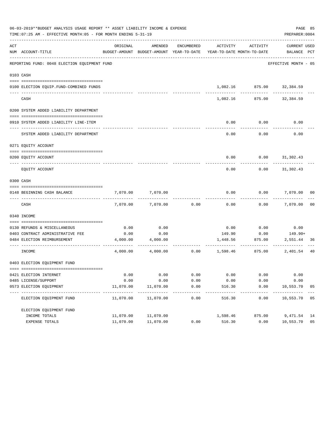|     | 06-03-2019**BUDGET ANALYSIS USAGE REPORT ** ASSET LIABILITY INCOME & EXPENSE<br>TIME: 07:25 AM - EFFECTIVE MONTH: 05 - FOR MONTH ENDING 5-31-19 |           |                   |            |                                                                                 |                           | PREPARER: 0004              | PAGE 85        |
|-----|-------------------------------------------------------------------------------------------------------------------------------------------------|-----------|-------------------|------------|---------------------------------------------------------------------------------|---------------------------|-----------------------------|----------------|
| ACT | NUM ACCOUNT-TITLE                                                                                                                               | ORIGINAL  | AMENDED           | ENCUMBERED | ACTIVITY<br>BUDGET-AMOUNT BUDGET-AMOUNT YEAR-TO-DATE YEAR-TO-DATE MONTH-TO-DATE | ACTIVITY                  | CURRENT USED<br>BALANCE PCT |                |
|     | REPORTING FUND: 0048 ELECTION EQUIPMENT FUND                                                                                                    |           |                   |            |                                                                                 |                           | EFFECTIVE MONTH - 05        |                |
|     | 0103 CASH                                                                                                                                       |           |                   |            |                                                                                 |                           |                             |                |
|     | 0100 ELECTION EQUIP.FUND-COMBINED FUNDS                                                                                                         |           |                   |            |                                                                                 | 1,082.16 875.00 32,384.59 |                             |                |
|     | -----------------------<br>CASH                                                                                                                 |           |                   |            | 1,082.16                                                                        | 875.00                    | 32,384.59                   |                |
|     | 0200 SYSTEM ADDED LIABILITY DEPARTMENT                                                                                                          |           |                   |            |                                                                                 |                           |                             |                |
|     | 0910 SYSTEM ADDED LIABILITY LINE-ITEM                                                                                                           |           |                   |            | 0.00                                                                            | 0.00                      | 0.00                        |                |
|     | SYSTEM ADDED LIABILITY DEPARTMENT                                                                                                               |           |                   |            | 0.00                                                                            | 0.00                      | 0.00                        |                |
|     | 0271 EQUITY ACCOUNT                                                                                                                             |           |                   |            |                                                                                 |                           |                             |                |
|     | 0200 EQUITY ACCOUNT                                                                                                                             |           |                   |            |                                                                                 | $0.00$ $0.00$ $31,302.43$ |                             |                |
|     | EQUITY ACCOUNT                                                                                                                                  |           |                   |            | 0.00                                                                            | 0.00                      | 31,302.43                   |                |
|     | 0300 CASH                                                                                                                                       |           |                   |            |                                                                                 |                           |                             |                |
|     | 0148 BEGINNING CASH BALANCE                                                                                                                     | 7,070.00  | 7,070.00          |            | 0.00                                                                            | 0.00                      | 7,070.00 00                 |                |
|     | CASH                                                                                                                                            | 7,070.00  | 7,070.00          | 0.00       | 0.00                                                                            |                           | $0.00$ 7,070.00             | 0 <sub>0</sub> |
|     | 0340 INCOME                                                                                                                                     |           |                   |            |                                                                                 |                           |                             |                |
|     | 0130 REFUNDS & MISCELLANEOUS                                                                                                                    | 0.00      | 0.00              |            | 0.00                                                                            | 0.00                      | 0.00                        |                |
|     | 0403 CONTRACT ADMINISTRATIVE FEE                                                                                                                | 0.00      | 0.00              |            | 149.90                                                                          | 0.00                      | 149.90+                     |                |
|     | 0484 ELECTION REIMBURSEMENT                                                                                                                     |           | 4,000.00 4,000.00 |            |                                                                                 | 1,448.56 875.00           | 2,551.44                    | 36             |
|     | INCOME                                                                                                                                          | 4,000.00  | 4,000.00          | 0.00       | 1,598.46                                                                        | 875.00                    | 2,401.54                    | 40             |
|     | 0403 ELECTION EQUIPMENT FUND                                                                                                                    |           |                   |            |                                                                                 |                           |                             |                |
|     | 0421 ELECTION INTERNET                                                                                                                          | 0.00      | 0.00              | 0.00       | 0.00                                                                            | 0.00                      | 0.00                        |                |
|     | 0485 LICENSE/SUPPORT                                                                                                                            | 0.00      | 0.00              | 0.00       | 0.00                                                                            | 0.00                      | 0.00                        |                |
|     | 0573 ELECTION EQUIPMENT                                                                                                                         | 11,070.00 | 11,070.00         | 0.00       | 516.30                                                                          | 0.00                      | 10,553.70                   | 05             |
|     | ELECTION EQUIPMENT FUND                                                                                                                         | 11,070.00 | 11,070.00         | 0.00       | 516.30                                                                          | 0.00                      | 10,553.70                   | 05             |
|     | ELECTION EQUIPMENT FUND                                                                                                                         |           |                   |            |                                                                                 |                           |                             |                |
|     | INCOME TOTALS                                                                                                                                   | 11,070.00 | 11,070.00         |            | 1,598.46                                                                        | 875.00                    | 9,471.54                    | 14             |
|     | EXPENSE TOTALS                                                                                                                                  | 11,070.00 | 11,070.00         | 0.00       | 516.30                                                                          | 0.00                      | 10,553.70                   | 05             |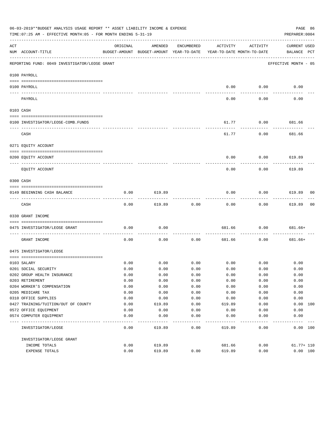|                                                                                                                                                                                                                                                                                                                                                                                                                                                                            | 06-03-2019**BUDGET ANALYSIS USAGE REPORT ** ASSET LIABILITY INCOME & EXPENSE<br>TIME: 07:25 AM - EFFECTIVE MONTH: 05 - FOR MONTH ENDING 5-31-19 |          |                                                     |            |                                        |                  | PAGE 86<br>PREPARER: 0004          |    |
|----------------------------------------------------------------------------------------------------------------------------------------------------------------------------------------------------------------------------------------------------------------------------------------------------------------------------------------------------------------------------------------------------------------------------------------------------------------------------|-------------------------------------------------------------------------------------------------------------------------------------------------|----------|-----------------------------------------------------|------------|----------------------------------------|------------------|------------------------------------|----|
| ACT                                                                                                                                                                                                                                                                                                                                                                                                                                                                        | NUM ACCOUNT-TITLE                                                                                                                               | ORIGINAL | AMENDED<br>BUDGET-AMOUNT BUDGET-AMOUNT YEAR-TO-DATE | ENCUMBERED | ACTIVITY<br>YEAR-TO-DATE MONTH-TO-DATE | ACTIVITY         | <b>CURRENT USED</b><br>BALANCE PCT |    |
|                                                                                                                                                                                                                                                                                                                                                                                                                                                                            | REPORTING FUND: 0049 INVESTIGATOR/LEOSE GRANT                                                                                                   |          |                                                     |            |                                        |                  | EFFECTIVE MONTH - 05               |    |
|                                                                                                                                                                                                                                                                                                                                                                                                                                                                            | 0100 PAYROLL                                                                                                                                    |          |                                                     |            |                                        |                  |                                    |    |
|                                                                                                                                                                                                                                                                                                                                                                                                                                                                            | 0100 PAYROLL                                                                                                                                    |          |                                                     |            | 0.00                                   | 0.00             | 0.00                               |    |
| $\frac{1}{2} \left( \frac{1}{2} \right) \left( \frac{1}{2} \right) \left( \frac{1}{2} \right) \left( \frac{1}{2} \right) \left( \frac{1}{2} \right) \left( \frac{1}{2} \right) \left( \frac{1}{2} \right) \left( \frac{1}{2} \right) \left( \frac{1}{2} \right) \left( \frac{1}{2} \right) \left( \frac{1}{2} \right) \left( \frac{1}{2} \right) \left( \frac{1}{2} \right) \left( \frac{1}{2} \right) \left( \frac{1}{2} \right) \left( \frac{1}{2} \right) \left( \frac$ | PAYROLL                                                                                                                                         |          |                                                     |            | 0.00                                   | 0.00             | 0.00                               |    |
|                                                                                                                                                                                                                                                                                                                                                                                                                                                                            | 0103 CASH                                                                                                                                       |          |                                                     |            |                                        |                  |                                    |    |
|                                                                                                                                                                                                                                                                                                                                                                                                                                                                            |                                                                                                                                                 |          |                                                     |            |                                        |                  |                                    |    |
|                                                                                                                                                                                                                                                                                                                                                                                                                                                                            | 0100 INVESTIGATOR/LEOSE-COMB.FUNDS                                                                                                              |          |                                                     |            | 61.77                                  | 0.00             | 681.66                             |    |
|                                                                                                                                                                                                                                                                                                                                                                                                                                                                            | CASH                                                                                                                                            |          |                                                     |            | 61.77                                  | 0.00             | 681.66                             |    |
|                                                                                                                                                                                                                                                                                                                                                                                                                                                                            | 0271 EQUITY ACCOUNT                                                                                                                             |          |                                                     |            |                                        |                  |                                    |    |
|                                                                                                                                                                                                                                                                                                                                                                                                                                                                            | 0200 EQUITY ACCOUNT                                                                                                                             |          |                                                     |            | 0.00                                   | 0.00             | 619.89                             |    |
|                                                                                                                                                                                                                                                                                                                                                                                                                                                                            | ---- -----------<br>--------------------- --------                                                                                              |          |                                                     |            |                                        |                  |                                    |    |
|                                                                                                                                                                                                                                                                                                                                                                                                                                                                            | EQUITY ACCOUNT                                                                                                                                  |          |                                                     |            | 0.00                                   | 0.00             | 619.89                             |    |
|                                                                                                                                                                                                                                                                                                                                                                                                                                                                            | 0300 CASH                                                                                                                                       |          |                                                     |            |                                        |                  |                                    |    |
|                                                                                                                                                                                                                                                                                                                                                                                                                                                                            | 0149 BEGINNING CASH BALANCE                                                                                                                     | 0.00     | 619.89                                              |            | 0.00                                   | 0.00<br>-------- | 619.89 00<br>---------             |    |
|                                                                                                                                                                                                                                                                                                                                                                                                                                                                            | CASH                                                                                                                                            | 0.00     | 619.89                                              | 0.00       | 0.00                                   | 0.00             | 619.89                             | 00 |
|                                                                                                                                                                                                                                                                                                                                                                                                                                                                            | 0330 GRANT INCOME                                                                                                                               |          |                                                     |            |                                        |                  |                                    |    |
|                                                                                                                                                                                                                                                                                                                                                                                                                                                                            | 0475 INVESTIGATOR/LEOSE GRANT                                                                                                                   | 0.00     | 0.00                                                |            | 681.66                                 | 0.00             | 681.66+                            |    |
|                                                                                                                                                                                                                                                                                                                                                                                                                                                                            | GRANT INCOME                                                                                                                                    | 0.00     | 0.00                                                | 0.00       | 681.66                                 | 0.00             | 681.66+                            |    |
|                                                                                                                                                                                                                                                                                                                                                                                                                                                                            | 0475 INVESTIGATOR/LEOSE                                                                                                                         |          |                                                     |            |                                        |                  |                                    |    |
|                                                                                                                                                                                                                                                                                                                                                                                                                                                                            |                                                                                                                                                 | 0.00     | 0.00                                                | 0.00       |                                        | $0.00$ 0.00      | 0.00                               |    |
|                                                                                                                                                                                                                                                                                                                                                                                                                                                                            | 0103 SALARY<br>0201 SOCIAL SECURITY                                                                                                             | 0.00     | 0.00                                                | 0.00       | 0.00                                   | 0.00             | 0.00                               |    |
|                                                                                                                                                                                                                                                                                                                                                                                                                                                                            | 0202 GROUP HEALTH INSURANCE                                                                                                                     | 0.00     | 0.00                                                | 0.00       | 0.00                                   | 0.00             | 0.00                               |    |
|                                                                                                                                                                                                                                                                                                                                                                                                                                                                            | 0203 RETIREMENT                                                                                                                                 | 0.00     | 0.00                                                | 0.00       | 0.00                                   | 0.00             | 0.00                               |    |
|                                                                                                                                                                                                                                                                                                                                                                                                                                                                            | 0204 WORKER'S COMPENSATION                                                                                                                      | 0.00     | 0.00                                                | 0.00       | 0.00                                   | 0.00             | 0.00                               |    |
|                                                                                                                                                                                                                                                                                                                                                                                                                                                                            | 0205 MEDICARE TAX                                                                                                                               | 0.00     | 0.00                                                | 0.00       | 0.00                                   | 0.00             | 0.00                               |    |
|                                                                                                                                                                                                                                                                                                                                                                                                                                                                            | 0310 OFFICE SUPPLIES                                                                                                                            | 0.00     | 0.00                                                | 0.00       | 0.00                                   | 0.00             | 0.00                               |    |
|                                                                                                                                                                                                                                                                                                                                                                                                                                                                            | 0427 TRAINING/TUITION/OUT OF COUNTY                                                                                                             | 0.00     | 619.89                                              | 0.00       | 619.89                                 | 0.00             | 0.00 100                           |    |
|                                                                                                                                                                                                                                                                                                                                                                                                                                                                            | 0572 OFFICE EQUIPMENT                                                                                                                           | 0.00     | 0.00                                                | 0.00       | 0.00                                   | 0.00             | 0.00                               |    |
|                                                                                                                                                                                                                                                                                                                                                                                                                                                                            | 0574 COMPUTER EQUIPMENT                                                                                                                         | 0.00     | 0.00                                                | 0.00       | 0.00                                   | 0.00             | 0.00                               |    |
| $---$                                                                                                                                                                                                                                                                                                                                                                                                                                                                      | --------------<br>INVESTIGATOR/LEOSE                                                                                                            | 0.00     | 619.89                                              | 0.00       | 619.89                                 | 0.00             | 0.00 100                           |    |
|                                                                                                                                                                                                                                                                                                                                                                                                                                                                            | INVESTIGATOR/LEOSE GRANT                                                                                                                        |          |                                                     |            |                                        |                  |                                    |    |
|                                                                                                                                                                                                                                                                                                                                                                                                                                                                            | INCOME TOTALS                                                                                                                                   | 0.00     | 619.89                                              |            | 681.66                                 | 0.00             | $61.77 + 110$                      |    |
|                                                                                                                                                                                                                                                                                                                                                                                                                                                                            | EXPENSE TOTALS                                                                                                                                  | 0.00     | 619.89                                              | 0.00       | 619.89                                 | 0.00             | 0.00 100                           |    |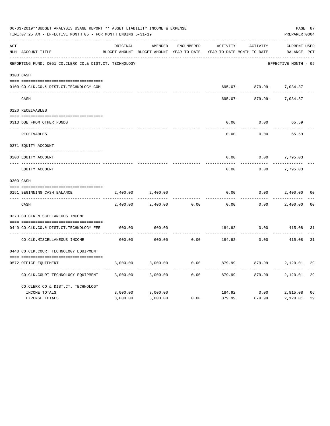|     | 06-03-2019**BUDGET ANALYSIS USAGE REPORT ** ASSET LIABILITY INCOME & EXPENSE<br>TIME: 07:25 AM - EFFECTIVE MONTH: 05 - FOR MONTH ENDING 5-31-19 |          |                                          |                   |                            |          | PAGE 87<br>PREPARER: 0004 |                |
|-----|-------------------------------------------------------------------------------------------------------------------------------------------------|----------|------------------------------------------|-------------------|----------------------------|----------|---------------------------|----------------|
| ACT |                                                                                                                                                 | ORIGINAL | AMENDED                                  | <b>ENCUMBERED</b> | ACTIVITY                   | ACTIVITY | <b>CURRENT USED</b>       |                |
|     | NUM ACCOUNT-TITLE                                                                                                                               |          | BUDGET-AMOUNT BUDGET-AMOUNT YEAR-TO-DATE |                   | YEAR-TO-DATE MONTH-TO-DATE |          | BALANCE PCT               |                |
|     | REPORTING FUND: 0051 CO.CLERK CO.& DIST.CT. TECHNOLOGY                                                                                          |          |                                          |                   |                            |          | EFFECTIVE MONTH - 05      |                |
|     | 0103 CASH                                                                                                                                       |          |                                          |                   |                            |          |                           |                |
|     | 0100 CO.CLK.CO.& DIST.CT.TECHNOLOGY-COM                                                                                                         |          |                                          |                   | 695.07-                    |          | 879.99- 7,034.37          |                |
|     | CASH                                                                                                                                            |          |                                          |                   | 695.07-                    | 879.99-  | 7,034.37                  |                |
|     | 0120 RECEIVABLES                                                                                                                                |          |                                          |                   |                            |          |                           |                |
|     | 0313 DUE FROM OTHER FUNDS                                                                                                                       |          |                                          |                   | 0.00                       | 0.00     | 65.59                     |                |
|     | RECEIVABLES                                                                                                                                     |          |                                          |                   | 0.00                       | 0.00     | 65.59                     |                |
|     | 0271 EQUITY ACCOUNT                                                                                                                             |          |                                          |                   |                            |          |                           |                |
|     | 0200 EQUITY ACCOUNT                                                                                                                             |          |                                          |                   | 0.00                       | 0.00     | 7,795.03                  |                |
|     | EQUITY ACCOUNT                                                                                                                                  |          |                                          |                   | 0.00                       | 0.00     | 7,795.03                  |                |
|     | 0300 CASH                                                                                                                                       |          |                                          |                   |                            |          |                           |                |
|     | 0151 BEGINNING CASH BALANCE                                                                                                                     | 2,400.00 | 2,400.00                                 |                   | 0.00                       | 0.00     | 2,400.00                  | 00             |
|     | CASH                                                                                                                                            | 2,400.00 | 2,400.00                                 | 0.00              | 0.00                       | 0.00     | 2,400.00                  | 0 <sup>0</sup> |
|     | 0370 CO.CLK.MISCELLANEOUS INCOME                                                                                                                |          |                                          |                   |                            |          |                           |                |
|     | 0440 CO.CLK.CO.& DIST.CT.TECHNOLOGY FEE                                                                                                         | 600.00   | 600.00                                   |                   | 184.92                     | 0.00     | 415.08                    | 31             |
|     | CO. CLK. MISCELLANEOUS INCOME                                                                                                                   | 600.00   | 600.00                                   | 0.00              | 184.92                     | 0.00     | 415.08                    | 31             |
|     | 0440 CO. CLK. COURT TECHNOLOGY EQUIPMENT                                                                                                        |          |                                          |                   |                            |          |                           |                |
|     | 0572 OFFICE EQUIPMENT                                                                                                                           | 3,000.00 | 3,000.00                                 | 0.00              | 879.99                     | 879.99   | 2,120.01                  | 29             |
|     | CO. CLK. COURT TECHNOLOGY EQUIPMENT                                                                                                             | 3,000.00 | 3,000.00                                 | 0.00              | 879.99                     | 879.99   | 2,120.01                  | 29             |
|     | CO.CLERK CO.& DIST.CT. TECHNOLOGY                                                                                                               |          |                                          |                   |                            |          |                           |                |
|     | INCOME TOTALS                                                                                                                                   | 3,000.00 | 3,000.00                                 |                   | 184.92                     | 0.00     | 2,815.08                  | 06             |
|     | <b>EXPENSE TOTALS</b>                                                                                                                           | 3,000.00 | 3,000.00                                 | 0.00              | 879.99                     | 879.99   | 2,120.01                  | 29             |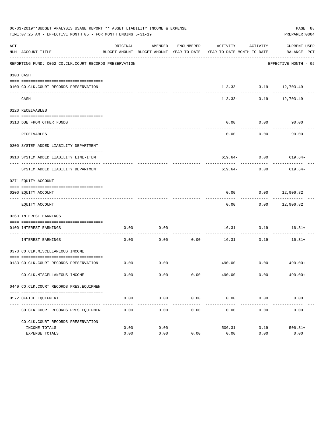|     | 06-03-2019**BUDGET ANALYSIS USAGE REPORT ** ASSET LIABILITY INCOME & EXPENSE<br>TIME: 07:25 AM - EFFECTIVE MONTH: 05 - FOR MONTH ENDING 5-31-19 |          |         |                      |                                                                                 |                    | PAGE 88<br>PREPARER: 0004              |
|-----|-------------------------------------------------------------------------------------------------------------------------------------------------|----------|---------|----------------------|---------------------------------------------------------------------------------|--------------------|----------------------------------------|
| ACT | NUM ACCOUNT-TITLE                                                                                                                               | ORIGINAL | AMENDED | ENCUMBERED           | ACTIVITY<br>BUDGET-AMOUNT BUDGET-AMOUNT YEAR-TO-DATE YEAR-TO-DATE MONTH-TO-DATE | ACTIVITY           | CURRENT USED<br>BALANCE PCT            |
|     | REPORTING FUND: 0052 CO.CLK.COURT RECORDS PRESERVATION                                                                                          |          |         |                      |                                                                                 |                    | EFFECTIVE MONTH - 05                   |
|     | 0103 CASH                                                                                                                                       |          |         |                      |                                                                                 |                    |                                        |
|     | 0100 CO.CLK.COURT RECORDS PRESERVATION-                                                                                                         |          |         |                      |                                                                                 |                    | $113.33 - 3.19$ $12,703.49$<br>------- |
|     | CASH                                                                                                                                            |          |         |                      |                                                                                 |                    | 113.33- 3.19 12,703.49                 |
|     | 0120 RECEIVABLES                                                                                                                                |          |         |                      |                                                                                 |                    |                                        |
|     | 0313 DUE FROM OTHER FUNDS                                                                                                                       |          |         |                      | 0.00                                                                            | 0.00               | 90.00                                  |
|     | RECEIVABLES                                                                                                                                     |          |         |                      | 0.00                                                                            | ---------<br>0.00  | 90.00                                  |
|     | 0200 SYSTEM ADDED LIABILITY DEPARTMENT                                                                                                          |          |         |                      |                                                                                 |                    |                                        |
|     | 0910 SYSTEM ADDED LIABILITY LINE-ITEM                                                                                                           |          |         |                      |                                                                                 |                    | $619.64 - 0.00$ 619.64-                |
|     | SYSTEM ADDED LIABILITY DEPARTMENT                                                                                                               |          |         |                      | 619.64-                                                                         | 0.00               | 619.64-                                |
|     | 0271 EQUITY ACCOUNT                                                                                                                             |          |         |                      |                                                                                 |                    |                                        |
|     | 0200 EQUITY ACCOUNT                                                                                                                             |          |         |                      | 0.00                                                                            |                    | $0.00$ 12,906.82                       |
|     | EQUITY ACCOUNT                                                                                                                                  |          |         |                      | 0.00                                                                            |                    | $0.00$ 12,906.82                       |
|     | 0360 INTEREST EARNINGS                                                                                                                          |          |         |                      |                                                                                 |                    |                                        |
|     | 0100 INTEREST EARNINGS                                                                                                                          | 0.00     | 0.00    |                      |                                                                                 | 16.31 3.19         | $16.31+$                               |
|     | -------------------- -----<br>INTEREST EARNINGS                                                                                                 | 0.00     | 0.00    | 0.00                 | ----------- --------------<br>16.31                                             | ----------<br>3.19 | $16.31+$                               |
|     | 0370 CO.CLK.MISCELLANEOUS INCOME                                                                                                                |          |         |                      |                                                                                 |                    |                                        |
|     | 0133 CO.CLK.COURT RECORDS PRESERVATION                                                                                                          | 0.00     | 0.00    |                      |                                                                                 |                    | 490.00 0.00 490.00+                    |
|     | CO. CLK. MISCELLANEOUS INCOME                                                                                                                   | 0.00     | 0.00    | 0.00                 | 490.00                                                                          | 0.00               | $490.00+$                              |
|     | 0449 CO.CLK.COURT RECORDS PRES.EQUIPMEN                                                                                                         |          |         |                      |                                                                                 |                    |                                        |
|     | 0572 OFFICE EQUIPMENT                                                                                                                           | 0.00     | 0.00    | 0.00                 | 0.00                                                                            | 0.00               | 0.00                                   |
|     | CO. CLK. COURT RECORDS PRES. EQUIPMEN                                                                                                           | 0.00     | 0.00    | ____________<br>0.00 | ------------- ------------ -----------<br>0.00                                  | 0.00               | 0.00                                   |
|     | CO. CLK. COURT RECORDS PRESERVATION                                                                                                             |          |         |                      |                                                                                 |                    |                                        |
|     | INCOME TOTALS                                                                                                                                   | 0.00     | 0.00    |                      | 506.31                                                                          | 3.19               | $506.31+$                              |
|     | EXPENSE TOTALS                                                                                                                                  | 0.00     | 0.00    | 0.00                 | 0.00                                                                            | 0.00               | 0.00                                   |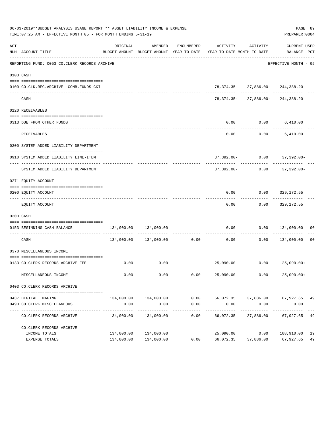|     | 06-03-2019**BUDGET ANALYSIS USAGE REPORT ** ASSET LIABILITY INCOME & EXPENSE<br>TIME: 07:25 AM - EFFECTIVE MONTH: 05 - FOR MONTH ENDING 5-31-19 |                             |                             |                    |                                                                                             |                                                                           | PAGE 89<br>PREPARER: 0004   |    |
|-----|-------------------------------------------------------------------------------------------------------------------------------------------------|-----------------------------|-----------------------------|--------------------|---------------------------------------------------------------------------------------------|---------------------------------------------------------------------------|-----------------------------|----|
| ACT | NUM ACCOUNT-TITLE                                                                                                                               | ORIGINAL                    | AMENDED                     | ENCUMBERED         | ACTIVITY<br>BUDGET-AMOUNT BUDGET-AMOUNT YEAR-TO-DATE YEAR-TO-DATE MONTH-TO-DATE BALANCE PCT | ACTIVITY                                                                  | CURRENT USED                |    |
|     | REPORTING FUND: 0053 CO.CLERK RECORDS ARCHIVE                                                                                                   |                             |                             |                    |                                                                                             |                                                                           | EFFECTIVE MONTH - 05        |    |
|     | 0103 CASH                                                                                                                                       |                             |                             |                    |                                                                                             |                                                                           |                             |    |
|     | 0100 CO.CLK.REC.ARCHIVE -COMB.FUNDS CKI                                                                                                         |                             |                             |                    |                                                                                             | 78, 374. 35 - 37, 886. 00 - 244, 388. 20                                  |                             |    |
|     | CASH                                                                                                                                            |                             |                             |                    |                                                                                             | --------- ------------ --------<br>78, 374. 35- 37, 886. 00- 244, 388. 20 |                             |    |
|     | 0120 RECEIVABLES                                                                                                                                |                             |                             |                    |                                                                                             |                                                                           |                             |    |
|     |                                                                                                                                                 |                             |                             |                    |                                                                                             |                                                                           |                             |    |
|     | 0313 DUE FROM OTHER FUNDS                                                                                                                       |                             |                             |                    | 0.00                                                                                        | $0.00$ 6,410.00                                                           |                             |    |
|     | RECEIVABLES                                                                                                                                     |                             |                             |                    | 0.00                                                                                        |                                                                           | $0.00$ 6,410.00             |    |
|     | 0200 SYSTEM ADDED LIABILITY DEPARTMENT                                                                                                          |                             |                             |                    |                                                                                             |                                                                           |                             |    |
|     | 0910 SYSTEM ADDED LIABILITY LINE-ITEM                                                                                                           |                             |                             |                    |                                                                                             | 37,392.00- 0.00 37,392.00-                                                |                             |    |
|     | SYSTEM ADDED LIABILITY DEPARTMENT                                                                                                               |                             |                             |                    | 37,392.00-                                                                                  |                                                                           | $0.00$ 37,392.00-           |    |
|     |                                                                                                                                                 |                             |                             |                    |                                                                                             |                                                                           |                             |    |
|     | 0271 EQUITY ACCOUNT                                                                                                                             |                             |                             |                    |                                                                                             |                                                                           |                             |    |
|     | 0200 EQUITY ACCOUNT                                                                                                                             |                             |                             |                    | 0.00                                                                                        |                                                                           | $0.00$ 329,172.55           |    |
|     | EQUITY ACCOUNT                                                                                                                                  |                             |                             |                    | 0.00                                                                                        |                                                                           | $0.00$ 329,172.55           |    |
|     | 0300 CASH                                                                                                                                       |                             |                             |                    |                                                                                             |                                                                           |                             |    |
|     | 0153 BEGINNING CASH BALANCE                                                                                                                     | 134,000.00                  | 134,000.00                  |                    | 0.00                                                                                        | 0.00                                                                      | 134,000.00 00               |    |
|     | CASH                                                                                                                                            |                             |                             |                    | -----------------------------<br>$134,000.00$ $134,000.00$ 0.00 0.00 0.00                   |                                                                           | $0.00$ 134,000.00           | 00 |
|     | 0370 MISCELLANEOUS INCOME                                                                                                                       |                             |                             |                    |                                                                                             |                                                                           |                             |    |
|     | 0133 CO.CLERK RECORDS ARCHIVE FEE                                                                                                               |                             | $0.00$ 0.00                 |                    |                                                                                             | 25,090.00   0.00   25,090.00+                                             |                             |    |
|     | MISCELLANEOUS INCOME                                                                                                                            | 0.00                        | 0.00                        | 0.00               | 25,090.00                                                                                   | 0.00                                                                      | $25,090.00+$                |    |
|     | 0403 CO. CLERK RECORDS ARCHIVE                                                                                                                  |                             |                             |                    |                                                                                             |                                                                           |                             |    |
|     |                                                                                                                                                 |                             |                             |                    |                                                                                             |                                                                           |                             |    |
|     | 0437 DIGITAL IMAGING                                                                                                                            |                             | 134,000.00 134,000.00       |                    | 0.00 66,072.35 37,886.00 67,927.65 49                                                       |                                                                           |                             |    |
|     | 0490 CO. CLERK MISCELLANEOUS                                                                                                                    | 0.00                        | 0.00                        | 0.00               | 0.00                                                                                        | 0.00                                                                      | 0.00                        |    |
|     | CO. CLERK RECORDS ARCHIVE                                                                                                                       | -------------<br>134,000.00 | -------------<br>134,000.00 | ----------<br>0.00 | ----------<br>66,072.35                                                                     | ------------<br>37,886.00                                                 | -----------<br>67,927.65 49 |    |
|     | CO. CLERK RECORDS ARCHIVE                                                                                                                       |                             |                             |                    |                                                                                             |                                                                           |                             |    |
|     | INCOME TOTALS                                                                                                                                   | 134,000.00                  | 134,000.00                  |                    | 25,090.00                                                                                   | 0.00                                                                      | 108,910.00 19               |    |
|     | EXPENSE TOTALS                                                                                                                                  |                             | 134,000.00 134,000.00       | 0.00               | 66,072.35                                                                                   | 37,886.00                                                                 | 67,927.65                   | 49 |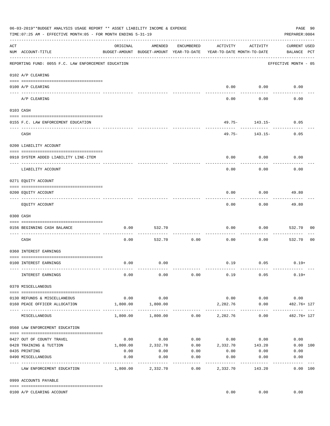|     | 06-03-2019**BUDGET ANALYSIS USAGE REPORT ** ASSET LIABILITY INCOME & EXPENSE<br>TIME: 07:25 AM - EFFECTIVE MONTH: 05 - FOR MONTH ENDING 5-31-19 |                                     |                                                     |                     |                                        |                            | PREPARER: 0004                     | PAGE 90        |
|-----|-------------------------------------------------------------------------------------------------------------------------------------------------|-------------------------------------|-----------------------------------------------------|---------------------|----------------------------------------|----------------------------|------------------------------------|----------------|
| ACT | NUM ACCOUNT-TITLE                                                                                                                               | ORIGINAL                            | AMENDED<br>BUDGET-AMOUNT BUDGET-AMOUNT YEAR-TO-DATE | ENCUMBERED          | ACTIVITY<br>YEAR-TO-DATE MONTH-TO-DATE | ACTIVITY                   | <b>CURRENT USED</b><br>BALANCE PCT |                |
|     | REPORTING FUND: 0055 F.C. LAW ENFORCEMENT EDUCATION                                                                                             |                                     |                                                     |                     |                                        |                            | EFFECTIVE MONTH - 05               |                |
|     | 0102 A/P CLEARING                                                                                                                               |                                     |                                                     |                     |                                        |                            |                                    |                |
|     | 0100 A/P CLEARING<br>---- ----------                                                                                                            |                                     |                                                     |                     | 0.00                                   | 0.00                       | 0.00                               |                |
|     | A/P CLEARING                                                                                                                                    |                                     |                                                     |                     | 0.00                                   | 0.00                       | 0.00                               |                |
|     | 0103 CASH                                                                                                                                       |                                     |                                                     |                     |                                        |                            |                                    |                |
|     | 0155 F.C. LAW ENFORCEMENT EDUCATION                                                                                                             |                                     |                                                     |                     |                                        | $49.75 - 143.15 -$         | 0.05                               |                |
|     | CASH                                                                                                                                            |                                     |                                                     |                     |                                        | --------<br>49.75- 143.15- | 0.05                               |                |
|     | 0200 LIABILITY ACCOUNT                                                                                                                          |                                     |                                                     |                     |                                        |                            |                                    |                |
|     | 0910 SYSTEM ADDED LIABILITY LINE-ITEM                                                                                                           |                                     |                                                     |                     | 0.00                                   | 0.00                       | 0.00                               |                |
|     | LIABILITY ACCOUNT                                                                                                                               |                                     |                                                     |                     | 0.00                                   | 0.00                       | 0.00                               |                |
|     | 0271 EQUITY ACCOUNT                                                                                                                             |                                     |                                                     |                     |                                        |                            |                                    |                |
|     | 0200 EQUITY ACCOUNT                                                                                                                             |                                     |                                                     |                     | 0.00                                   | 0.00                       | 49.80                              |                |
|     | EQUITY ACCOUNT                                                                                                                                  |                                     |                                                     |                     | 0.00                                   | 0.00                       | 49.80                              |                |
|     | 0300 CASH                                                                                                                                       |                                     |                                                     |                     |                                        |                            |                                    |                |
|     | 0156 BEGINNING CASH BALANCE                                                                                                                     | 0.00                                | 532.70                                              |                     | 0.00                                   | 0.00                       | 532.70                             | 00             |
|     | CASH                                                                                                                                            | 0.00                                | 532.70                                              | 0.00                | 0.00                                   | 0.00                       | 532.70                             | 0 <sub>0</sub> |
|     | 0360 INTEREST EARNINGS                                                                                                                          |                                     |                                                     |                     |                                        |                            |                                    |                |
|     | 0100 INTEREST EARNINGS                                                                                                                          | 0.00                                | 0.00                                                |                     |                                        | $0.19$ 0.05                | $0.19+$                            |                |
|     | INTEREST EARNINGS                                                                                                                               | 0.00                                | 0.00                                                | 0.00                | 0.19                                   | 0.05                       | $0.19+$                            |                |
|     | 0370 MISCELLANEOUS                                                                                                                              |                                     |                                                     |                     |                                        |                            |                                    |                |
|     |                                                                                                                                                 | 0.00                                | 0.00                                                |                     | 0.00                                   | 0.00                       | 0.00                               |                |
|     | 0130 REFUNDS & MISCELLANEOUS<br>0160 PEACE OFFICER ALLOCATION                                                                                   | 1,800.00                            | 1,800.00                                            |                     | 2,282.76<br>-----------                | 0.00                       | 482.76+ 127                        |                |
|     | MISCELLANEOUS                                                                                                                                   | --------- -------------<br>1,800.00 | -----------<br>1,800.00                             |                     | $0.00$ 2,282.76                        | 0.00                       | 482.76+ 127                        |                |
|     | 0560 LAW ENFORCEMENT EDUCATION                                                                                                                  |                                     |                                                     |                     |                                        |                            |                                    |                |
|     | 0427 OUT OF COUNTY TRAVEL                                                                                                                       | 0.00                                | 0.00                                                |                     | $0.00$ 0.00 0.00                       |                            | 0.00                               |                |
|     | 0428 TRAINING & TUITION                                                                                                                         | 1,800.00                            | 2,332.70                                            |                     | $0.00$ 2,332.70 143.20                 |                            | 0.00 100                           |                |
|     | 0435 PRINTING                                                                                                                                   | 0.00                                | 0.00                                                | 0.00                | 0.00                                   | 0.00                       | 0.00                               |                |
|     | 0490 MISCELLANEOUS                                                                                                                              | 0.00                                | 0.00                                                | 0.00<br>$- - - - -$ | 0.00                                   | 0.00                       | 0.00<br>$- - - - - - -$            |                |
|     | LAW ENFORCEMENT EDUCATION                                                                                                                       | 1,800.00                            | 2,332.70                                            | 0.00                | 2,332.70                               | 143.20                     | 0.00 100                           |                |
|     | 0999 ACCOUNTS PAYABLE                                                                                                                           |                                     |                                                     |                     |                                        |                            |                                    |                |
|     | 0100 A/P CLEARING ACCOUNT                                                                                                                       |                                     |                                                     |                     | 0.00                                   | 0.00                       | 0.00                               |                |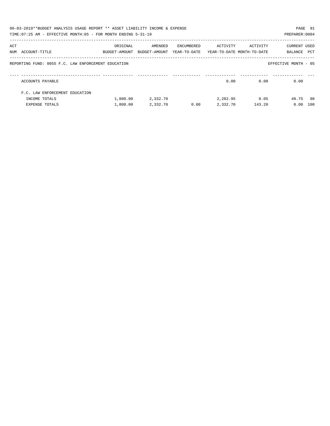|     | 06-03-2019**BUDGET ANALYSIS USAGE REPORT ** ASSET LIABILITY INCOME & EXPENSE<br>TIME:07:25 AM - EFFECTIVE MONTH:05 - FOR MONTH ENDING 5-31-19 |               |               |            |                                         |          | PREPARER: 0004       | PAGE 91 |
|-----|-----------------------------------------------------------------------------------------------------------------------------------------------|---------------|---------------|------------|-----------------------------------------|----------|----------------------|---------|
|     |                                                                                                                                               |               |               |            |                                         |          |                      |         |
| ACT |                                                                                                                                               | ORIGINAL      | AMENDED       | ENCUMBERED | ACTIVITY                                | ACTIVITY | CURRENT USED         |         |
|     | NUM ACCOUNT-TITLE                                                                                                                             | BUDGET-AMOUNT | BUDGET-AMOUNT |            | YEAR-TO-DATE YEAR-TO-DATE MONTH-TO-DATE |          | BALANCE              | PCT     |
|     | REPORTING FUND: 0055 F.C. LAW ENFORCEMENT EDUCATION                                                                                           |               |               |            |                                         |          | EFFECTIVE MONTH - 05 |         |
|     | ACCOUNTS PAYABLE                                                                                                                              |               |               |            | 0.00                                    | 0.00     | 0.00                 |         |
|     | F.C. LAW ENFORCEMENT EDUCATION                                                                                                                |               |               |            |                                         |          |                      |         |
|     | INCOME TOTALS                                                                                                                                 | 1,800.00      | 2,332.70      |            | 2,282.95                                | 0.05     | 49.75 98             |         |
|     | <b>EXPENSE TOTALS</b>                                                                                                                         | 1,800.00      | 2,332.70      | 0.00       | 2,332.70                                | 143.20   | 0.00                 | 100     |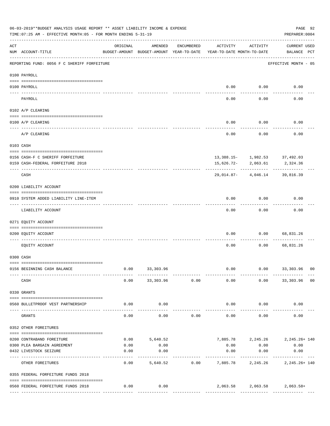|            | 06-03-2019**BUDGET ANALYSIS USAGE REPORT ** ASSET LIABILITY INCOME & EXPENSE<br>TIME: 07:25 AM - EFFECTIVE MONTH: 05 - FOR MONTH ENDING 5-31-19 |          |                                                     |                |                                        |           | PREPARER: 0004                                | PAGE 92        |
|------------|-------------------------------------------------------------------------------------------------------------------------------------------------|----------|-----------------------------------------------------|----------------|----------------------------------------|-----------|-----------------------------------------------|----------------|
| ACT        | NUM ACCOUNT-TITLE                                                                                                                               | ORIGINAL | AMENDED<br>BUDGET-AMOUNT BUDGET-AMOUNT YEAR-TO-DATE | ENCUMBERED     | ACTIVITY<br>YEAR-TO-DATE MONTH-TO-DATE | ACTIVITY  | <b>CURRENT USED</b><br>BALANCE PCT            |                |
|            | REPORTING FUND: 0056 F C SHERIFF FORFEITURE                                                                                                     |          |                                                     |                |                                        |           | EFFECTIVE MONTH - 05                          |                |
|            | 0100 PAYROLL                                                                                                                                    |          |                                                     |                |                                        |           |                                               |                |
|            | 0100 PAYROLL                                                                                                                                    |          |                                                     |                | 0.00                                   | 0.00      | 0.00                                          |                |
| ----- ---- | PAYROLL                                                                                                                                         |          |                                                     |                | 0.00                                   | 0.00      | 0.00                                          |                |
|            | 0102 A/P CLEARING                                                                                                                               |          |                                                     |                |                                        |           |                                               |                |
|            |                                                                                                                                                 |          |                                                     |                |                                        |           |                                               |                |
|            | 0100 A/P CLEARING                                                                                                                               |          |                                                     |                | 0.00                                   | 0.00      | 0.00                                          |                |
|            | A/P CLEARING                                                                                                                                    |          |                                                     |                | 0.00                                   | 0.00      | 0.00                                          |                |
|            | 0103 CASH                                                                                                                                       |          |                                                     |                |                                        |           |                                               |                |
|            |                                                                                                                                                 |          |                                                     |                |                                        |           |                                               |                |
|            | 0156 CASH-F C SHERIFF FORFEITURE<br>0159 CASH-FEDERAL FORFEITURE 2018                                                                           |          |                                                     |                | 15,626.72-                             | 2,063.61  | $13,388.15 - 1,982.53$ 37,492.03<br>2,324.36  |                |
|            | CASH                                                                                                                                            |          |                                                     |                | 29,014.87-                             | 4,046.14  | 39,816.39                                     |                |
|            | 0200 LIABILITY ACCOUNT                                                                                                                          |          |                                                     |                |                                        |           |                                               |                |
|            | 0910 SYSTEM ADDED LIABILITY LINE-ITEM                                                                                                           |          |                                                     |                | 0.00                                   | 0.00      | 0.00                                          |                |
|            | LIABILITY ACCOUNT                                                                                                                               |          |                                                     |                | 0.00                                   | 0.00      | 0.00                                          |                |
|            | 0271 EQUITY ACCOUNT                                                                                                                             |          |                                                     |                |                                        |           |                                               |                |
|            | 0200 EQUITY ACCOUNT                                                                                                                             |          |                                                     |                | 0.00                                   | 0.00      | 68,831.26                                     |                |
|            | EQUITY ACCOUNT                                                                                                                                  |          |                                                     |                | 0.00                                   | 0.00      | 68,831.26                                     |                |
|            | 0300 CASH                                                                                                                                       |          |                                                     |                |                                        |           |                                               |                |
|            | 0156 BEGINNING CASH BALANCE                                                                                                                     | 0.00     | 33, 303.96                                          |                | 0.00                                   | 0.00      | 33,303.96 00                                  |                |
|            | CASH                                                                                                                                            | 0.00     |                                                     | 33,303.96 0.00 | 0.00                                   |           | $0.00$ 33,303.96                              | 0 <sub>0</sub> |
|            | 0330 GRANTS                                                                                                                                     |          |                                                     |                |                                        |           |                                               |                |
|            | 0560 BULLETPROOF VEST PARTNERSHIP                                                                                                               | 0.00     | 0.00                                                |                | 0.00                                   | 0.00      | 0.00                                          |                |
|            | GRANTS                                                                                                                                          | 0.00     | 0.00                                                | 0.00           | 0.00                                   | 0.00      | 0.00                                          |                |
|            | 0352 OTHER FOREITURES                                                                                                                           |          |                                                     |                |                                        |           |                                               |                |
|            | 0200 CONTRABAND FOREITURE                                                                                                                       | 0.00     | 5,640.52                                            |                |                                        |           | 7,885.78 2,245.26 2,245.26 140                |                |
|            | 0300 PLEA BARGAIN AGREEMENT                                                                                                                     | 0.00     | 0.00                                                |                | 0.00                                   | 0.00      | 0.00                                          |                |
|            | 0432 LIVESTOCK SEIZURE                                                                                                                          | 0.00     | 0.00                                                |                | 0.00                                   | 0.00      | 0.00                                          |                |
|            | OTHER FOREITURES                                                                                                                                | 0.00     | 5,640.52                                            | 0.00           | ----------                             | --------- | -----------<br>7,885.78 2,245.26 2,245.26 140 |                |
|            | 0355 FEDERAL FORFEITURE FUNDS 2018                                                                                                              |          |                                                     |                |                                        |           |                                               |                |
|            | 0560 FEDERAL FORFEITURE FUNDS 2018                                                                                                              | 0.00     | 0.00                                                |                |                                        |           | $2,063.58$ $2,063.58$ $2,063.58$ +            |                |
|            |                                                                                                                                                 |          |                                                     |                |                                        |           |                                               |                |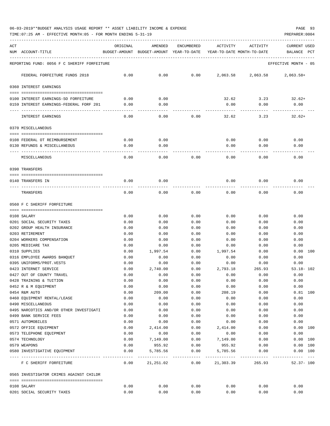TIME:07:25 AM - EFFECTIVE MONTH:05 - FOR MONTH ENDING 5-31-19 PREPARER:0004

| ACT |                                             | ORIGINAL     | AMENDED                                                             | ENCUMBERED                        | ACTIVITY       | ACTIVITY                           | <b>CURRENT USED</b>          |
|-----|---------------------------------------------|--------------|---------------------------------------------------------------------|-----------------------------------|----------------|------------------------------------|------------------------------|
|     | NUM ACCOUNT-TITLE                           |              | BUDGET-AMOUNT BUDGET-AMOUNT YEAR-TO-DATE YEAR-TO-DATE MONTH-TO-DATE |                                   |                |                                    | BALANCE<br>PCT               |
|     | REPORTING FUND: 0056 F C SHERIFF FORFEITURE |              |                                                                     |                                   |                |                                    | EFFECTIVE MONTH - 05         |
|     | FEDERAL FORFEITURE FUNDS 2018               | 0.00         | 0.00                                                                | 0.00                              |                | 2,063.58 2,063.58                  | $2.063.58+$                  |
|     | 0360 INTEREST EARNINGS                      |              |                                                                     |                                   |                |                                    |                              |
|     | 0100 INTEREST EARNINGS-SO FORFEITURE        | 0.00         | 0.00                                                                |                                   | 32.62          | 3.23                               | $32.62+$                     |
|     | 0159 INTEREST EARNINGS-FEDERAL FORF 201     | 0.00         | 0.00                                                                |                                   | 0.00           | 0.00                               | 0.00                         |
|     | INTEREST EARNINGS                           | 0.00         | 0.00                                                                | 0.00                              | 32.62          | 3.23                               | $32.62+$                     |
|     | 0370 MISCELLANEOUS                          |              |                                                                     |                                   |                |                                    |                              |
|     | 0108 FEDERAL OT REIMBURSEMENT               | 0.00         | 0.00                                                                |                                   | 0.00           | 0.00                               | 0.00                         |
|     | 0130 REFUNDS & MISCELLANEOUS                | 0.00         | 0.00                                                                |                                   | 0.00           | 0.00                               | 0.00                         |
|     | MISCELLANEOUS                               | 0.00         | 0.00                                                                | 0.00                              | 0.00           | 0.00                               | 0.00                         |
|     | 0390 TRANSFERS                              |              |                                                                     |                                   |                |                                    |                              |
|     |                                             |              |                                                                     |                                   |                |                                    |                              |
|     | 0140 TRANSFERS IN                           | 0.00         | 0.00                                                                |                                   | 0.00           | 0.00                               | 0.00                         |
|     | TRANSFERS                                   | 0.00         | 0.00                                                                | 0.00                              | 0.00           | 0.00                               | 0.00                         |
|     | 0560 F C SHERIFF FORFEITURE                 |              |                                                                     |                                   |                |                                    |                              |
|     | 0108 SALARY                                 | 0.00         | 0.00                                                                | 0.00                              | 0.00           | 0.00                               | 0.00                         |
|     | 0201 SOCIAL SECURITY TAXES                  | 0.00         | 0.00                                                                | 0.00                              | 0.00           | 0.00                               | 0.00                         |
|     | 0202 GROUP HEALTH INSURANCE                 | 0.00         | 0.00                                                                | 0.00                              | 0.00           | 0.00                               | 0.00                         |
|     | 0203 RETIREMENT                             | 0.00         | 0.00                                                                | 0.00                              | 0.00           | 0.00                               | 0.00                         |
|     | 0204 WORKERS COMPENSATION                   | 0.00         | 0.00                                                                | 0.00                              | 0.00           | 0.00                               | 0.00                         |
|     | 0205 MEDICARE TAX                           | 0.00         | 0.00                                                                | 0.00                              | 0.00           | 0.00                               | 0.00                         |
|     | 0310 SUPPLIES                               | 0.00         | 1,997.54                                                            | 0.00                              | 1,997.54       | 0.00                               | 0.00 100                     |
|     | 0316 EMPLOYEE AWARDS BANQUET                | 0.00         | 0.00                                                                | 0.00                              | 0.00           | 0.00                               | 0.00                         |
|     | 0395 UNIFORMS/PROT.VESTS                    | 0.00         | 0.00                                                                | 0.00                              | 0.00           | 0.00                               | 0.00                         |
|     | 0423 INTERNET SERVICE                       | 0.00         | 2,740.00                                                            | 0.00                              | 2,793.18       | 265.93                             | $53.18 - 102$                |
|     | 0427 OUT OF COUNTY TRAVEL                   | 0.00         | 0.00                                                                | 0.00                              | 0.00           | 0.00                               | 0.00                         |
|     | 0428 TRAINING & TUITION                     | 0.00         | 0.00                                                                | 0.00                              | 0.00           | 0.00                               | 0.00                         |
|     | 0452 R & M EQUIPMENT<br>0454 R&M AUTO       | 0.00<br>0.00 | 0.00                                                                | 0.00<br>0.00                      | 0.00           | 0.00                               | 0.00<br>$0.81$ 100           |
|     | 0460 EQUIPMENT RENTAL/LEASE                 | 0.00         | 209.00<br>0.00                                                      | 0.00                              | 208.19<br>0.00 | 0.00<br>0.00                       | 0.00                         |
|     | 0490 MISCELLANEOUS                          | 0.00         | 0.00                                                                | 0.00                              | 0.00           | 0.00                               | 0.00                         |
|     | 0495 NARCOTICS AND/OR OTHER INVESTIGATI     | 0.00         | 0.00                                                                | 0.00                              | 0.00           | 0.00                               | 0.00                         |
|     | 0499 BANK SERVICE FEES                      | 0.00         | 0.00                                                                | 0.00                              | 0.00           | 0.00                               | 0.00                         |
|     | 0571 AUTOMOBILES                            | 0.00         | 0.00                                                                | 0.00                              | 0.00           | 0.00                               | 0.00                         |
|     | 0572 OFFICE EQUIPMENT                       | 0.00         | 2,414.00                                                            | 0.00                              | 2,414.00       | 0.00                               | 0.00 100                     |
|     | 0573 TELEPHONE EQUIPMENT                    | 0.00         | 0.00                                                                | 0.00                              | 0.00           | 0.00                               | 0.00                         |
|     | 0574 TECHNOLOGY                             | 0.00         | 7,149.00                                                            | 0.00                              | 7,149.00       | 0.00                               | 0.00 100                     |
|     | 0579 WEAPONS                                | 0.00         | 955.92                                                              | 0.00                              | 955.92         | 0.00                               | 0.00 100                     |
|     | 0580 INVESTIGATIVE EQUIPMENT                | 0.00         | 5,785.56                                                            | 0.00                              | 5,785.56       | 0.00                               | 0.00 100                     |
|     | F C SHERIFF FORFEITURE                      | 0.00         | 21,251.02                                                           | -------------------------<br>0.00 | 21,303.39      | ------------------------<br>265.93 | -----------<br>$52.37 - 100$ |
|     | 0565 INVESTIGATOR CRIMES AGAINST CHILDR     |              |                                                                     |                                   |                |                                    |                              |
|     | 0108 SALARY                                 | 0.00         | 0.00                                                                | 0.00                              | 0.00           | 0.00                               | 0.00                         |
|     | 0201 SOCIAL SECURITY TAXES                  | 0.00         | 0.00                                                                | 0.00                              | 0.00           | 0.00                               | 0.00                         |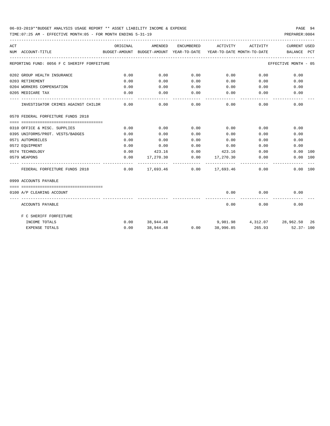TIME:07:25 AM - EFFECTIVE MONTH:05 - FOR MONTH ENDING 5-31-19 PREPARER:0004

| ACT |                                             | ORIGINAL | AMENDED          |                    | ENCUMBERED ACTIVITY                                                         | ACTIVITY                    | <b>CURRENT USED</b>                                                             |
|-----|---------------------------------------------|----------|------------------|--------------------|-----------------------------------------------------------------------------|-----------------------------|---------------------------------------------------------------------------------|
|     | NUM ACCOUNT-TITLE                           |          |                  |                    |                                                                             |                             | BUDGET-AMOUNT BUDGET-AMOUNT YEAR-TO-DATE YEAR-TO-DATE MONTH-TO-DATE BALANCE PCT |
|     | REPORTING FUND: 0056 F C SHERIFF FORFEITURE |          |                  |                    |                                                                             |                             | EFFECTIVE MONTH - 05                                                            |
|     | 0202 GROUP HEALTH INSURANCE                 | 0.00     | 0.00             | 0.00               | $0.00$ 0.00                                                                 |                             | 0.00                                                                            |
|     | 0203 RETIREMENT                             | 0.00     | 0.00             | 0.00               | $0.00$ 0.00                                                                 |                             | 0.00                                                                            |
|     | 0204 WORKERS COMPENSATION                   | 0.00     | 0.00             | 0.00               | 0.00                                                                        | 0.00                        | 0.00                                                                            |
|     | 0205 MEDICARE TAX                           | 0.00     | 0.00             | 0.00               | $0.00$ 0.00                                                                 |                             | 0.00                                                                            |
|     | INVESTIGATOR CRIMES AGAINST CHILDR          | 0.00     | 0.00             | ----------<br>0.00 | -----------                                                                 | ------------<br>$0.00$ 0.00 | 0.00                                                                            |
|     | 0570 FEDERAL FORFEITURE FUNDS 2018          |          |                  |                    |                                                                             |                             |                                                                                 |
|     |                                             |          |                  |                    |                                                                             |                             |                                                                                 |
|     | 0310 OFFICE & MISC. SUPPLIES                | 0.00     | 0.00             | 0.00               | 0.00                                                                        | 0.00                        | 0.00                                                                            |
|     | 0395 UNIFORMS/PROT. VESTS/BADGES            | 0.00     | 0.00             | 0.00               | 0.00                                                                        | 0.00                        | 0.00                                                                            |
|     | 0571 AUTOMOBILES                            | 0.00     | 0.00             | 0.00               | 0.00                                                                        |                             | 0.00<br>0.00                                                                    |
|     | 0572 EOUIPMENT                              | 0.00     | 0.00             | 0.00               | 0.00                                                                        | 0.00                        | 0.00                                                                            |
|     | 0574 TECHNOLOGY                             | 0.00     |                  |                    | 423.16 0.00 423.16                                                          | 0.00                        | $0.00$ 100                                                                      |
|     | 0579 WEAPONS                                | 0.00     |                  |                    | $17,270.30$ $0.00$ $17,270.30$ $0.00$                                       |                             | 0.00 100                                                                        |
|     | FEDERAL FORFEITURE FUNDS 2018               |          |                  |                    | ------------- -------------<br>$0.00$ $17.693.46$ $0.00$ $17.693.46$ $0.00$ |                             | 0.00 100                                                                        |
|     | 0999 ACCOUNTS PAYABLE                       |          |                  |                    |                                                                             |                             |                                                                                 |
|     |                                             |          |                  |                    |                                                                             |                             |                                                                                 |
|     | 0100 A/P CLEARING ACCOUNT                   |          |                  |                    | 0.00                                                                        | 0.00<br>. <u>.</u> .        | 0.00                                                                            |
|     | ACCOUNTS PAYABLE                            |          |                  |                    |                                                                             | $0.00$ 0.00                 | 0.00                                                                            |
|     | F C SHERIFF FORFEITURE                      |          |                  |                    |                                                                             |                             |                                                                                 |
|     | INCOME TOTALS                               |          | $0.00$ 38,944.48 |                    |                                                                             |                             | $9,981.98$ $4,312.07$ $28,962.50$ $26$                                          |
|     | <b>EXPENSE TOTALS</b>                       | 0.00     |                  |                    |                                                                             |                             | $38,944.48$ $0.00$ $38,996.85$ $265.93$ $52.37 - 100$                           |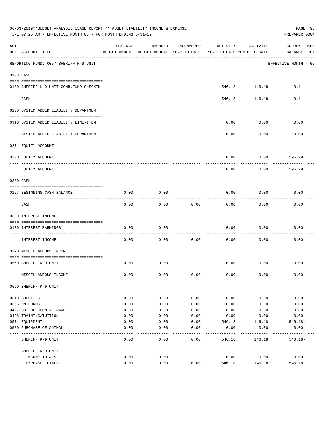|     | 06-03-2019**BUDGET ANALYSIS USAGE REPORT ** ASSET LIABILITY INCOME & EXPENSE<br>TIME: 07:25 AM - EFFECTIVE MONTH: 05 - FOR MONTH ENDING 5-31-19 |          |                                                     |               |                                        |                                      | PAGE 95<br>PREPARER: 0004   |
|-----|-------------------------------------------------------------------------------------------------------------------------------------------------|----------|-----------------------------------------------------|---------------|----------------------------------------|--------------------------------------|-----------------------------|
| ACT | NUM ACCOUNT-TITLE                                                                                                                               | ORIGINAL | AMENDED<br>BUDGET-AMOUNT BUDGET-AMOUNT YEAR-TO-DATE | ENCUMBERED    | ACTIVITY<br>YEAR-TO-DATE MONTH-TO-DATE | ACTIVITY                             | CURRENT USED<br>BALANCE PCT |
|     | REPORTING FUND: 0057 SHERIFF K-9 UNIT                                                                                                           |          |                                                     |               |                                        |                                      | EFFECTIVE MONTH - 05        |
|     | 0103 CASH                                                                                                                                       |          |                                                     |               |                                        |                                      |                             |
|     |                                                                                                                                                 |          |                                                     |               |                                        |                                      |                             |
|     | 0100 SHERIFF K-9 UNIT-COMB. FUND CHECKIN                                                                                                        |          |                                                     |               |                                        | $546.18 - 146.18 -$<br>------------- | 49.11<br>.                  |
|     | CASH                                                                                                                                            |          |                                                     |               | 546.18-                                | 146.18-                              | 49.11                       |
|     | 0200 SYSTEM ADDED LIABILITY DEPARTMENT                                                                                                          |          |                                                     |               |                                        |                                      |                             |
|     | 0910 SYSTEM ADDED LIABILITY LINE-ITEM                                                                                                           |          |                                                     |               | 0.00                                   | 0.00                                 | 0.00                        |
|     | SYSTEM ADDED LIABILITY DEPARTMENT                                                                                                               |          |                                                     |               | 0.00                                   | 0.00                                 | 0.00                        |
|     | 0271 EQUITY ACCOUNT                                                                                                                             |          |                                                     |               |                                        |                                      |                             |
|     | 0200 EQUITY ACCOUNT                                                                                                                             |          |                                                     |               | 0.00                                   | 0.00                                 | 595.29                      |
|     | EQUITY ACCOUNT                                                                                                                                  |          |                                                     |               | 0.00                                   | 0.00                                 | 595.29                      |
|     | 0300 CASH                                                                                                                                       |          |                                                     |               |                                        |                                      |                             |
|     | 0157 BEGINNING CASH BALANCE                                                                                                                     | 0.00     | 0.00                                                |               | 0.00                                   | 0.00                                 | 0.00                        |
|     | CASH                                                                                                                                            | 0.00     | 0.00                                                | 0.00          | 0.00                                   | 0.00                                 | 0.00                        |
|     | 0360 INTEREST INCOME                                                                                                                            |          |                                                     |               |                                        |                                      |                             |
|     | 0100 INTEREST EARNINGS                                                                                                                          | 0.00     | 0.00                                                |               | 0.00                                   | 0.00                                 | 0.00                        |
|     | ------------------ --                                                                                                                           |          |                                                     |               |                                        |                                      |                             |
|     | INTEREST INCOME                                                                                                                                 | 0.00     | 0.00                                                | 0.00          | 0.00                                   | 0.00                                 | 0.00                        |
|     | 0370 MISCELLANEOUS INCOME                                                                                                                       |          |                                                     |               |                                        |                                      |                             |
|     | 0560 SHERIFF K-9 UNIT                                                                                                                           | 0.00     | 0.00                                                |               | 0.00                                   | 0.00                                 | 0.00                        |
|     | MISCELLANEOUS INCOME                                                                                                                            | 0.00     | 0.00                                                | 0.00          | 0.00                                   | 0.00                                 | 0.00                        |
|     | 0560 SHERIFF K-9 UNIT                                                                                                                           |          |                                                     |               |                                        |                                      |                             |
|     | 0310 SUPPLIES                                                                                                                                   | 0.00     | 0.00                                                | 0.00          | 0.00                                   | 0.00                                 | 0.00                        |
|     | 0395 UNIFORMS                                                                                                                                   | 0.00     | 0.00                                                | 0.00          | 0.00                                   | 0.00                                 | 0.00                        |
|     | 0427 OUT OF COUNTY TRAVEL                                                                                                                       | 0.00     | 0.00                                                | 0.00          | 0.00                                   | 0.00                                 | 0.00                        |
|     | 0428 TRAINING/TUITION                                                                                                                           | 0.00     | 0.00                                                | 0.00          | 0.00                                   | 0.00                                 | 0.00                        |
|     | 0571 EQUIPMENT                                                                                                                                  | 0.00     | 0.00                                                | 0.00          | 546.18                                 | 146.18                               | 546.18-                     |
|     | 0580 PURCHASE OF ANIMAL                                                                                                                         | 0.00     | 0.00                                                | 0.00          | 0.00                                   | 0.00                                 | 0.00                        |
|     | SHERIFF K-9 UNIT                                                                                                                                | 0.00     | -----<br>0.00                                       | -----<br>0.00 | 546.18                                 | 146.18                               | $546.18-$                   |
|     | SHERIFF K-9 UNIT                                                                                                                                |          |                                                     |               |                                        |                                      |                             |
|     | INCOME TOTALS                                                                                                                                   | 0.00     | 0.00                                                |               | 0.00                                   | 0.00                                 | 0.00                        |
|     | EXPENSE TOTALS                                                                                                                                  | 0.00     | 0.00                                                | 0.00          | 546.18                                 | 146.18                               | $546.18 -$                  |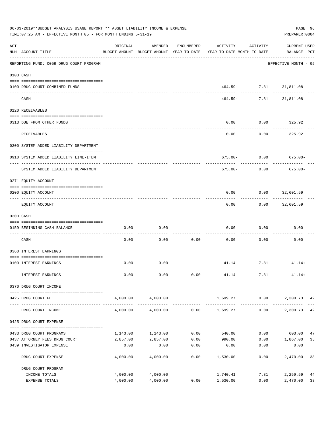|     | 06-03-2019**BUDGET ANALYSIS USAGE REPORT ** ASSET LIABILITY INCOME & EXPENSE<br>TIME: 07:25 AM - EFFECTIVE MONTH: 05 - FOR MONTH ENDING 5-31-19 |          |                          |            |                                                                                 |            | PAGE 96<br>PREPARER: 0004          |    |
|-----|-------------------------------------------------------------------------------------------------------------------------------------------------|----------|--------------------------|------------|---------------------------------------------------------------------------------|------------|------------------------------------|----|
| ACT | NUM ACCOUNT-TITLE                                                                                                                               | ORIGINAL | AMENDED                  | ENCUMBERED | ACTIVITY<br>BUDGET-AMOUNT BUDGET-AMOUNT YEAR-TO-DATE YEAR-TO-DATE MONTH-TO-DATE | ACTIVITY   | <b>CURRENT USED</b><br>BALANCE PCT |    |
|     | -----------------------------------<br>REPORTING FUND: 0059 DRUG COURT PROGRAM                                                                  |          |                          |            |                                                                                 |            | EFFECTIVE MONTH - 05               |    |
|     | 0103 CASH                                                                                                                                       |          |                          |            |                                                                                 |            |                                    |    |
|     | 0100 DRUG COURT-COMBINED FUNDS                                                                                                                  |          |                          |            |                                                                                 | . <u>.</u> | 464.59- 7.81 31,811.08<br>-------- |    |
|     | CASH                                                                                                                                            |          |                          |            | 464.59-                                                                         |            | 7.81 31,811.08                     |    |
|     | 0120 RECEIVABLES                                                                                                                                |          |                          |            |                                                                                 |            |                                    |    |
|     | 0313 DUE FROM OTHER FUNDS                                                                                                                       |          |                          |            | 0.00                                                                            |            | $0.00$ 325.92                      |    |
|     | RECEIVABLES                                                                                                                                     |          |                          |            | 0.00                                                                            | 0.00       | 325.92                             |    |
|     | 0200 SYSTEM ADDED LIABILITY DEPARTMENT                                                                                                          |          |                          |            |                                                                                 |            |                                    |    |
|     | 0910 SYSTEM ADDED LIABILITY LINE-ITEM                                                                                                           |          |                          |            |                                                                                 |            | $675.00 - 0.00$ 675.00-            |    |
|     | SYSTEM ADDED LIABILITY DEPARTMENT                                                                                                               |          |                          |            | 675.00-                                                                         | 0.00       | $675.00 -$                         |    |
|     | 0271 EQUITY ACCOUNT                                                                                                                             |          |                          |            |                                                                                 |            |                                    |    |
|     | 0200 EQUITY ACCOUNT                                                                                                                             |          |                          |            | 0.00                                                                            |            | $0.00$ 32,601.59                   |    |
|     | EQUITY ACCOUNT                                                                                                                                  |          |                          |            | 0.00                                                                            | ---------  | . <u>.</u> .<br>$0.00$ 32,601.59   |    |
|     | 0300 CASH                                                                                                                                       |          |                          |            |                                                                                 |            |                                    |    |
|     | 0159 BEGINNING CASH BALANCE                                                                                                                     | 0.00     | 0.00                     |            | 0.00                                                                            | 0.00       | 0.00                               |    |
|     | CASH                                                                                                                                            | 0.00     | 0.00                     | 0.00       | 0.00                                                                            | 0.00       | 0.00                               |    |
|     | 0360 INTEREST EARNINGS                                                                                                                          |          |                          |            |                                                                                 |            |                                    |    |
|     | 0100 INTEREST EARNINGS                                                                                                                          | 0.00     | 0.00                     |            |                                                                                 | 41.14 7.81 | $41.14+$                           |    |
|     | INTEREST EARNINGS                                                                                                                               | 0.00     | 0.00                     | 0.00       | 41.14                                                                           | 7.81       | $41.14+$                           |    |
|     | 0370 DRUG COURT INCOME                                                                                                                          |          |                          |            |                                                                                 |            |                                    |    |
|     | 0425 DRUG COURT FEE                                                                                                                             | 4,000.00 | 4,000.00                 |            | 1,699.27 0.00                                                                   |            | 2,300.73 42                        |    |
|     | DRUG COURT INCOME                                                                                                                               | 4,000.00 | ------------<br>4,000.00 |            | ----------- ------------- ----------<br>$0.00$ 1,699.27                         | 0.00       | 2,300.73                           | 42 |
|     | 0425 DRUG COURT EXPENSE                                                                                                                         |          |                          |            |                                                                                 |            |                                    |    |
|     | 0433 DRUG COURT PROGRAMS                                                                                                                        | 1,143.00 | 1,143.00                 | 0.00       | 540.00                                                                          | 0.00       | 603.00                             | 47 |
|     | 0437 ATTORNEY FEES DRUG COURT                                                                                                                   | 2,857.00 | 2,857.00                 | 0.00       | 990.00                                                                          | 0.00       | 1,867.00                           | 35 |
|     | 0439 INVESTIGATOR EXPENSE                                                                                                                       | 0.00     | 0.00                     | 0.00       | 0.00                                                                            | 0.00       | 0.00                               |    |
|     | DRUG COURT EXPENSE                                                                                                                              | 4,000.00 | 4,000.00                 | 0.00       | 1,530.00                                                                        | 0.00       | 2,470.00                           | 38 |
|     | DRUG COURT PROGRAM                                                                                                                              |          |                          |            |                                                                                 |            |                                    |    |
|     | INCOME TOTALS                                                                                                                                   | 4,000.00 | 4,000.00                 |            | 1,740.41                                                                        | 7.81       | 2,259.59                           | 44 |
|     | EXPENSE TOTALS                                                                                                                                  | 4,000.00 | 4,000.00                 | 0.00       | 1,530.00                                                                        | 0.00       | 2,470.00                           | 38 |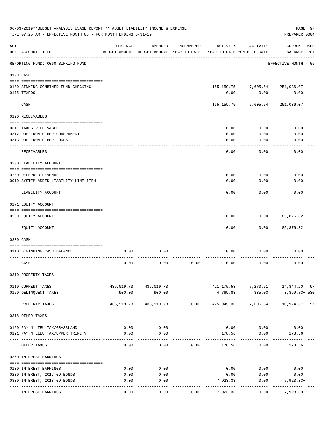|     | 06-03-2019**BUDGET ANALYSIS USAGE REPORT ** ASSET LIABILITY INCOME & EXPENSE<br>TIME: 07:25 AM - EFFECTIVE MONTH: 05 - FOR MONTH ENDING 5-31-19 |                       |                                                     |            |              |                                        | PREPARER: 0004                                       | PAGE 97 |
|-----|-------------------------------------------------------------------------------------------------------------------------------------------------|-----------------------|-----------------------------------------------------|------------|--------------|----------------------------------------|------------------------------------------------------|---------|
| ACT | NUM ACCOUNT-TITLE                                                                                                                               | ORIGINAL              | AMENDED<br>BUDGET-AMOUNT BUDGET-AMOUNT YEAR-TO-DATE | ENCUMBERED | ACTIVITY     | ACTIVITY<br>YEAR-TO-DATE MONTH-TO-DATE | <b>CURRENT USED</b><br>BALANCE PCT                   |         |
|     | REPORTING FUND: 0060 SINKING FUND                                                                                                               | --------------------- |                                                     |            |              |                                        | EFFECTIVE MONTH - 05                                 |         |
|     | 0103 CASH                                                                                                                                       |                       |                                                     |            |              |                                        |                                                      |         |
|     | 0100 SINKING-COMBINED FUND CHECKING                                                                                                             |                       |                                                     |            |              |                                        | 165, 159. 75 7, 605. 54 251, 036. 07                 |         |
|     | 0175 TEXPOOL                                                                                                                                    |                       |                                                     |            | 0.00         | 0.00                                   | 0.00                                                 |         |
|     | CASH                                                                                                                                            |                       |                                                     |            |              | 165, 159. 75 7, 605. 54                | 251,036.07                                           |         |
|     | 0120 RECEIVABLES                                                                                                                                |                       |                                                     |            |              |                                        |                                                      |         |
|     | 0311 TAXES RECEIVABLE                                                                                                                           |                       |                                                     |            | 0.00         | 0.00                                   | 0.00                                                 |         |
|     | 0312 DUE FROM OTHER GOVERNMENT                                                                                                                  |                       |                                                     |            | 0.00         | 0.00                                   | 0.00                                                 |         |
|     | 0313 DUE FROM OTHER FUNDS                                                                                                                       |                       |                                                     |            | 0.00         | 0.00                                   | 0.00                                                 |         |
|     | RECEIVABLES                                                                                                                                     |                       |                                                     |            | 0.00         | 0.00                                   | 0.00                                                 |         |
|     | 0200 LIABILITY ACCOUNT                                                                                                                          |                       |                                                     |            |              |                                        |                                                      |         |
|     |                                                                                                                                                 |                       |                                                     |            |              |                                        |                                                      |         |
|     | 0200 DEFERRED REVENUE<br>0910 SYSTEM ADDED LIABILITY LINE-ITEM                                                                                  |                       |                                                     |            | 0.00<br>0.00 | 0.00<br>0.00                           | 0.00<br>0.00                                         |         |
|     | LIABILITY ACCOUNT                                                                                                                               |                       |                                                     |            | 0.00         | 0.00                                   | 0.00                                                 |         |
|     | 0271 EQUITY ACCOUNT                                                                                                                             |                       |                                                     |            |              |                                        |                                                      |         |
|     |                                                                                                                                                 |                       |                                                     |            |              |                                        |                                                      |         |
|     | 0200 EQUITY ACCOUNT                                                                                                                             |                       |                                                     |            | 0.00         | 0.00                                   | 85,876.32                                            |         |
|     | EQUITY ACCOUNT                                                                                                                                  |                       |                                                     |            | 0.00         | 0.00                                   | 85,876.32                                            |         |
|     | 0300 CASH                                                                                                                                       |                       |                                                     |            |              |                                        |                                                      |         |
|     | 0110 BEGINNING CASH BALANCE                                                                                                                     | 0.00                  | 0.00                                                |            | 0.00         | 0.00                                   | 0.00                                                 |         |
|     | CASH                                                                                                                                            | 0.00                  | 0.00                                                | 0.00       | 0.00         | 0.00                                   | 0.00                                                 |         |
|     | 0310 PROPERTY TAXES                                                                                                                             |                       |                                                     |            |              |                                        |                                                      |         |
|     |                                                                                                                                                 |                       |                                                     |            |              |                                        |                                                      |         |
|     | 0110 CURRENT TAXES<br>0120 DELINQUENT TAXES                                                                                                     | 900.00                | 436,019.73 436,019.73<br>900.00                     |            | 4,769.83     | 335.03                                 | 421, 175.53 7, 270.51 14, 844.20 97<br>3,869.83+ 530 |         |
|     | PROPERTY TAXES                                                                                                                                  |                       | 436,919.73 436,919.73 0.00                          |            |              |                                        | 425,945.36 7,605.54 10,974.37 97                     |         |
|     | 0318 OTHER TAXES                                                                                                                                |                       |                                                     |            |              |                                        |                                                      |         |
|     |                                                                                                                                                 |                       |                                                     |            |              |                                        |                                                      |         |
|     | 0120 PAY N LIEU TAX/GRASSLAND                                                                                                                   | 0.00                  | 0.00                                                |            |              |                                        | $0.00$ $0.00$ $0.00$                                 |         |
|     | 0121 PAY N LIEU TAX/UPPER TRINITY                                                                                                               | 0.00                  | 0.00                                                |            |              | 178.56 0.00<br>----------              | $178.56+$                                            |         |
|     | OTHER TAXES                                                                                                                                     | 0.00                  | 0.00                                                | 0.00       | 178.56       | 0.00                                   | $178.56+$                                            |         |
|     | 0360 INTEREST EARNINGS                                                                                                                          |                       |                                                     |            |              |                                        |                                                      |         |
|     | 0100 INTEREST EARNINGS                                                                                                                          | 0.00                  | 0.00                                                |            |              | $0.00$ 0.00                            | 0.00                                                 |         |
|     | 0200 INTEREST, 2017 GO BONDS                                                                                                                    | 0.00                  | 0.00                                                |            | 0.00         | 0.00                                   | 0.00                                                 |         |
|     | 0300 INTEREST, 2018 GO BONDS                                                                                                                    | 0.00                  | 0.00                                                |            | 7,923.33     | 0.00                                   | 7,923.33+                                            |         |
|     | INTEREST EARNINGS                                                                                                                               | 0.00                  | 0.00                                                | 0.00       | 7,923.33     | 0.00                                   | $7,923.33+$                                          |         |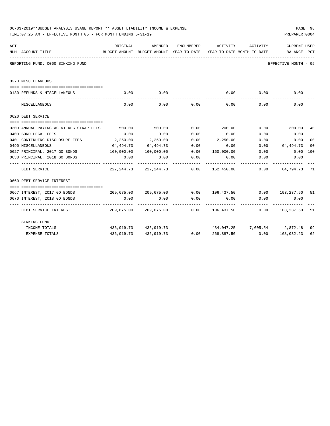|     | 06-03-2019**BUDGET ANALYSIS USAGE REPORT ** ASSET LIABILITY INCOME & EXPENSE<br>TIME: 07:25 AM - EFFECTIVE MONTH: 05 - FOR MONTH ENDING 5-31-19 |                                     |                                |                     |                                                                                             |                              | PREPARER: 0004       | PAGE 98         |
|-----|-------------------------------------------------------------------------------------------------------------------------------------------------|-------------------------------------|--------------------------------|---------------------|---------------------------------------------------------------------------------------------|------------------------------|----------------------|-----------------|
| ACT | NUM ACCOUNT-TITLE                                                                                                                               | ORIGINAL                            | AMENDED                        | ENCUMBERED          | ACTIVITY<br>BUDGET-AMOUNT BUDGET-AMOUNT YEAR-TO-DATE YEAR-TO-DATE MONTH-TO-DATE BALANCE PCT | ACTIVITY                     | CURRENT USED         |                 |
|     | REPORTING FUND: 0060 SINKING FUND                                                                                                               |                                     |                                |                     |                                                                                             |                              | EFFECTIVE MONTH - 05 |                 |
|     | 0370 MISCELLANEOUS                                                                                                                              |                                     |                                |                     |                                                                                             |                              |                      |                 |
|     | 0130 REFUNDS & MISCELLANEOUS                                                                                                                    | 0.00                                | 0.00                           |                     | 0.00                                                                                        | 0.00                         | 0.00                 |                 |
|     | MISCELLANEOUS                                                                                                                                   | 0.00                                | 0.00                           | 0.00                | 0.00                                                                                        | 0.00                         | 0.00                 |                 |
|     | 0620 DEBT SERVICE                                                                                                                               |                                     |                                |                     |                                                                                             |                              |                      |                 |
|     | 0309 ANNUAL PAYING AGENT REGISTRAR FEES                                                                                                         | 500.00                              | 500.00                         | 0.00                | 200.00                                                                                      |                              | $0.00$ 300.00        | 40              |
|     | 0400 BOND LEGAL FEES                                                                                                                            | 0.00                                | 0.00                           | 0.00                | 0.00                                                                                        | 0.00                         | 0.00                 |                 |
|     | 0401 CONTINUING DISCLOSURE FEES                                                                                                                 | 2,250.00                            | 2,250.00                       | 0.00                | 2,250.00                                                                                    | 0.00                         | 0.00 100             |                 |
|     | 0490 MISCELLANEOUS                                                                                                                              | 64,494.73                           | 64,494.73                      | 0.00                | 0.00                                                                                        | 0.00                         | 64,494.73            | $\overline{00}$ |
|     | 0627 PRINCIPAL, 2017 GO BONDS                                                                                                                   | 160,000.00                          | 160,000.00                     |                     | $0.00$ $160,000.00$ $0.00$                                                                  |                              | $0.00$ 100           |                 |
|     | 0630 PRINCIPAL, 2018 GO BONDS                                                                                                                   | 0.00<br><u>La de de de de de de</u> | 0.00                           | 0.00                | 0.00                                                                                        | 0.00                         | 0.00<br>-----------  |                 |
|     | DEBT SERVICE                                                                                                                                    |                                     | 227, 244, 73 227, 244, 73 0.00 |                     |                                                                                             | 162,450.00 0.00              | 64,794.73 71         |                 |
|     | 0660 DEBT SERVICE INTEREST                                                                                                                      |                                     |                                |                     |                                                                                             |                              |                      |                 |
|     |                                                                                                                                                 |                                     |                                |                     |                                                                                             |                              |                      |                 |
|     | 0667 INTEREST, 2017 GO BONDS                                                                                                                    |                                     |                                |                     | $209,675.00$ $209,675.00$ $0.00$ $106,437.50$ $0.00$ $103,237.50$                           |                              |                      | 51              |
|     | 0670 INTEREST, 2018 GO BONDS                                                                                                                    | 0.00                                | 0.00                           | 0.00<br>----------- | 0.00<br>. <u>.</u>                                                                          | 0.00                         | 0.00                 |                 |
|     | DEBT SERVICE INTEREST                                                                                                                           |                                     |                                |                     | $209,675.00$ $209,675.00$ $0.00$ $106,437.50$ $0.00$ $103,237.50$                           |                              |                      | 51              |
|     | SINKING FUND                                                                                                                                    |                                     |                                |                     |                                                                                             |                              |                      |                 |
|     | INCOME TOTALS                                                                                                                                   |                                     | 436,919.73 436,919.73          |                     |                                                                                             | 434,047.25 7,605.54 2,872.48 |                      | 99              |
|     | <b>EXPENSE TOTALS</b>                                                                                                                           |                                     |                                |                     | $436,919.73$ $436,919.73$ $0.00$ $268,887.50$ $0.00$ $168,032.23$                           |                              |                      | 62              |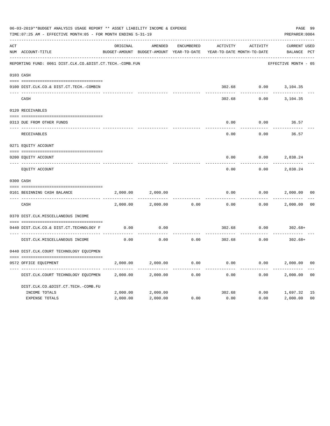|     | 06-03-2019**BUDGET ANALYSIS USAGE REPORT ** ASSET LIABILITY INCOME & EXPENSE<br>TIME: 07:25 AM - EFFECTIVE MONTH: 05 - FOR MONTH ENDING 5-31-19 |          |                                                     |                   |          |                                        | PAGE 99<br>PREPARER: 0004          |                |
|-----|-------------------------------------------------------------------------------------------------------------------------------------------------|----------|-----------------------------------------------------|-------------------|----------|----------------------------------------|------------------------------------|----------------|
| ACT | NUM ACCOUNT-TITLE                                                                                                                               | ORIGINAL | AMENDED<br>BUDGET-AMOUNT BUDGET-AMOUNT YEAR-TO-DATE | <b>ENCUMBERED</b> | ACTIVITY | ACTIVITY<br>YEAR-TO-DATE MONTH-TO-DATE | <b>CURRENT USED</b><br>BALANCE PCT |                |
|     | REPORTING FUND: 0061 DIST.CLK.CO.&DIST.CT.TECH.-COMB.FUN                                                                                        |          |                                                     |                   |          |                                        | EFFECTIVE MONTH - 05               |                |
|     | 0103 CASH                                                                                                                                       |          |                                                     |                   |          |                                        |                                    |                |
|     | 0100 DIST.CLK.CO.& DIST.CT.TECH.-COMBIN                                                                                                         |          |                                                     |                   | 302.68   |                                        | $0.00$ 3, 104.35                   |                |
|     | CASH                                                                                                                                            |          |                                                     |                   | 302.68   | 0.00                                   | 3,104.35                           |                |
|     | 0120 RECEIVABLES                                                                                                                                |          |                                                     |                   |          |                                        |                                    |                |
|     | 0313 DUE FROM OTHER FUNDS                                                                                                                       |          |                                                     |                   | 0.00     | 0.00                                   | 36.57                              |                |
|     | RECEIVABLES                                                                                                                                     |          |                                                     |                   | 0.00     | 0.00                                   | 36.57                              |                |
|     | 0271 EQUITY ACCOUNT                                                                                                                             |          |                                                     |                   |          |                                        |                                    |                |
|     | 0200 EQUITY ACCOUNT                                                                                                                             |          |                                                     |                   | 0.00     | 0.00                                   | 2,838.24                           |                |
|     | ---- -----------<br>EQUITY ACCOUNT                                                                                                              |          |                                                     |                   | 0.00     | 0.00                                   | 2,838.24                           |                |
|     | 0300 CASH                                                                                                                                       |          |                                                     |                   |          |                                        |                                    |                |
|     | 0161 BEGINNING CASH BALANCE                                                                                                                     | 2,000.00 | 2,000.00                                            |                   | 0.00     | 0.00                                   | 2,000.00                           | 0 <sub>0</sub> |
|     | _______________________________<br>CASH                                                                                                         | 2,000.00 | 2,000.00                                            | 0.00              | 0.00     | 0.00                                   | 2,000.00                           | 0 <sup>0</sup> |
|     | 0370 DIST.CLK.MISCELLANEOUS INCOME                                                                                                              |          |                                                     |                   |          |                                        |                                    |                |
|     | 0440 DIST.CLK.CO.& DIST.CT.TECHNOLOGY F                                                                                                         | 0.00     | 0.00                                                |                   | 302.68   | 0.00                                   | $302.68+$                          |                |
|     | DIST.CLK.MISCELLANEOUS INCOME                                                                                                                   | 0.00     | 0.00                                                | 0.00              | 302.68   | 0.00                                   | $302.68+$                          |                |
|     | 0440 DIST.CLK.COURT TECHNOLOGY EQUIPMEN                                                                                                         |          |                                                     |                   |          |                                        |                                    |                |
|     | 0572 OFFICE EOUIPMENT                                                                                                                           | 2,000.00 | 2,000.00                                            | 0.00              | 0.00     | 0.00                                   | 2,000.00                           | 0 <sub>0</sub> |
|     | DIST.CLK.COURT TECHNOLOGY EQUIPMEN                                                                                                              | 2,000.00 | 2,000.00                                            | 0.00              | 0.00     | 0.00                                   | 2,000.00                           | 0 <sub>0</sub> |
|     | DIST.CLK.CO.&DIST.CT.TECH.-COMB.FU                                                                                                              |          |                                                     |                   |          |                                        |                                    |                |
|     | INCOME TOTALS                                                                                                                                   | 2,000.00 | 2,000.00                                            |                   | 302.68   | 0.00                                   | 1,697.32                           | 15             |
|     | <b>EXPENSE TOTALS</b>                                                                                                                           | 2,000.00 | 2,000.00                                            | 0.00              | 0.00     | 0.00                                   | 2,000.00                           | 0 <sub>0</sub> |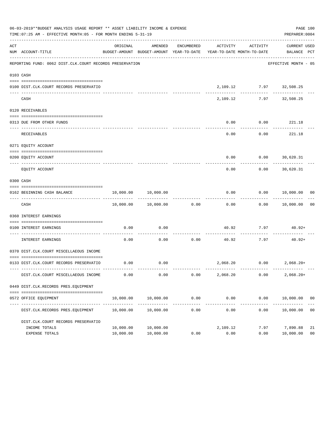|     | 06-03-2019**BUDGET ANALYSIS USAGE REPORT ** ASSET LIABILITY INCOME & EXPENSE<br>TIME: 07:25 AM - EFFECTIVE MONTH: 05 - FOR MONTH ENDING 5-31-19 |                        |                                |            |                                                                                 |                             | PAGE 100<br>PREPARER: 0004     |                      |
|-----|-------------------------------------------------------------------------------------------------------------------------------------------------|------------------------|--------------------------------|------------|---------------------------------------------------------------------------------|-----------------------------|--------------------------------|----------------------|
| ACT | NUM ACCOUNT-TITLE                                                                                                                               | ORIGINAL               | AMENDED                        | ENCUMBERED | ACTIVITY<br>BUDGET-AMOUNT BUDGET-AMOUNT YEAR-TO-DATE YEAR-TO-DATE MONTH-TO-DATE | ACTIVITY                    | CURRENT USED<br>BALANCE PCT    |                      |
|     | REPORTING FUND: 0062 DIST.CLK.COURT RECORDS PRESERVATION                                                                                        |                        |                                |            |                                                                                 |                             | EFFECTIVE MONTH - 05           |                      |
|     | 0103 CASH                                                                                                                                       |                        |                                |            |                                                                                 |                             |                                |                      |
|     | 0100 DIST.CLK.COURT RECORDS PRESERVATIO                                                                                                         |                        |                                |            |                                                                                 | 2,109.12 7.97 32,508.25     |                                |                      |
|     | CASH                                                                                                                                            |                        |                                |            | 2,109.12                                                                        | -----------                 | 7.97 32,508.25                 |                      |
|     | 0120 RECEIVABLES                                                                                                                                |                        |                                |            |                                                                                 |                             |                                |                      |
|     | 0313 DUE FROM OTHER FUNDS                                                                                                                       |                        |                                |            | 0.00                                                                            | $0.00$ 221.18               |                                |                      |
|     | RECEIVABLES                                                                                                                                     |                        |                                |            | 0.00                                                                            | 0.00                        | 221.18                         |                      |
|     | 0271 EQUITY ACCOUNT                                                                                                                             |                        |                                |            |                                                                                 |                             |                                |                      |
|     | 0200 EQUITY ACCOUNT                                                                                                                             |                        |                                |            | 0.00                                                                            |                             | $0.00$ 30,620.31               |                      |
|     | ---- -----------<br>EQUITY ACCOUNT                                                                                                              |                        |                                |            | 0.00                                                                            | 0.00                        | ----------<br>30,620.31        |                      |
|     | 0300 CASH                                                                                                                                       |                        |                                |            |                                                                                 |                             |                                |                      |
|     | 0162 BEGINNING CASH BALANCE                                                                                                                     |                        | 10,000.00 10,000.00            |            | 0.00                                                                            |                             | 0.00 10,000.00 00              |                      |
|     | CASH                                                                                                                                            |                        | 10,000.00    10,000.00    0.00 |            | 0.00                                                                            |                             | ------------<br>0.00 10,000.00 | 0 <sub>0</sub>       |
|     | 0360 INTEREST EARNINGS                                                                                                                          |                        |                                |            |                                                                                 |                             |                                |                      |
|     | 0100 INTEREST EARNINGS<br>------------------- ---                                                                                               | 0.00                   | 0.00                           |            |                                                                                 | $40.92$ $7.97$ $40.92+$     |                                |                      |
|     | INTEREST EARNINGS                                                                                                                               | 0.00                   | 0.00                           | 0.00       | 40.92                                                                           | ----------<br>7.97          | 40.92+                         |                      |
|     | 0370 DIST.CLK.COURT MISCELLAEOUS INCOME                                                                                                         |                        |                                |            |                                                                                 |                             |                                |                      |
|     | 0133 DIST.CLK.COURT RECORDS PRESERVATIO                                                                                                         |                        | $0.00$ 0.00                    |            |                                                                                 | 2,068.20   0.00   2,068.20+ |                                |                      |
|     | DIST.CLK.COURT MISCELLAEOUS INCOME                                                                                                              | 0.00                   | 0.00                           | 0.00       | 2,068.20                                                                        | 0.00                        | $2,068.20+$                    |                      |
|     | 0449 DIST.CLK.RECORDS PRES.EQUIPMENT                                                                                                            |                        |                                |            |                                                                                 |                             |                                |                      |
|     | 0572 OFFICE EQUIPMENT                                                                                                                           | 10,000.00              | 10,000.00                      | 0.00       | 0.00                                                                            |                             | $0.00$ $10,000.00$ 00          |                      |
|     | DIST.CLK.RECORDS PRES.EQUIPMENT                                                                                                                 | 10,000.00              | 10,000.00                      | 0.00       | 0.00                                                                            | 0.00                        | 10,000.00                      | 0 <sub>0</sub>       |
|     | DIST.CLK.COURT RECORDS PRESERVATIO                                                                                                              |                        |                                |            |                                                                                 |                             |                                |                      |
|     | INCOME TOTALS<br>EXPENSE TOTALS                                                                                                                 | 10,000.00<br>10,000.00 | 10,000.00<br>10,000.00         | 0.00       | 2,109.12<br>0.00                                                                | 7.97<br>0.00                | 7,890.88<br>10,000.00          | 21<br>0 <sub>0</sub> |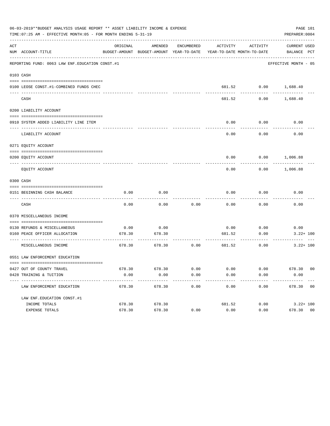|     | 06-03-2019**BUDGET ANALYSIS USAGE REPORT ** ASSET LIABILITY INCOME & EXPENSE<br>TIME: 07:25 AM - EFFECTIVE MONTH: 05 - FOR MONTH ENDING 5-31-19 |          |                                                     |                      |                                        |                          | PAGE 101<br>PREPARER: 0004  |
|-----|-------------------------------------------------------------------------------------------------------------------------------------------------|----------|-----------------------------------------------------|----------------------|----------------------------------------|--------------------------|-----------------------------|
| ACT | NUM ACCOUNT-TITLE                                                                                                                               | ORIGINAL | AMENDED<br>BUDGET-AMOUNT BUDGET-AMOUNT YEAR-TO-DATE | ENCUMBERED           | ACTIVITY<br>YEAR-TO-DATE MONTH-TO-DATE | ACTIVITY                 | CURRENT USED<br>BALANCE PCT |
|     | REPORTING FUND: 0063 LAW ENF. EDUCATION CONST.#1                                                                                                |          |                                                     |                      |                                        |                          | EFFECTIVE MONTH - 05        |
|     | 0103 CASH                                                                                                                                       |          |                                                     |                      |                                        |                          |                             |
|     | 0100 LEOSE CONST.#1-COMBINED FUNDS CHEC                                                                                                         |          |                                                     |                      |                                        | 681.52 0.00 1,688.40     |                             |
|     | CASH                                                                                                                                            |          |                                                     |                      | 681.52                                 | 0.00                     | 1,688.40                    |
|     | 0200 LIABILITY ACCOUNT                                                                                                                          |          |                                                     |                      |                                        |                          |                             |
|     | 0910 SYSTEM ADDED LIABILITY LINE ITEM                                                                                                           |          |                                                     |                      | 0.00                                   | 0.00<br>--------         | 0.00                        |
|     | LIABILITY ACCOUNT                                                                                                                               |          |                                                     |                      | 0.00                                   | 0.00                     | 0.00                        |
|     | 0271 EQUITY ACCOUNT                                                                                                                             |          |                                                     |                      |                                        |                          |                             |
|     | 0200 EQUITY ACCOUNT                                                                                                                             |          |                                                     |                      |                                        | $0.00$ $0.00$ $1,006.88$ |                             |
|     | EQUITY ACCOUNT                                                                                                                                  |          |                                                     |                      | 0.00                                   |                          | $0.00$ 1,006.88             |
|     | 0300 CASH                                                                                                                                       |          |                                                     |                      |                                        |                          |                             |
|     | 0151 BEGINNING CASH BALANCE                                                                                                                     | 0.00     | 0.00                                                |                      | 0.00                                   | 0.00                     | 0.00                        |
|     | CASH                                                                                                                                            | 0.00     | 0.00                                                | 0.00                 | 0.00                                   | 0.00                     | 0.00                        |
|     | 0370 MISCELLANEOUS INCOME                                                                                                                       |          |                                                     |                      |                                        |                          |                             |
|     | 0130 REFUNDS & MISCELLANEOUS                                                                                                                    | 0.00     | 0.00                                                |                      |                                        | $0.00$ 0.00              | 0.00                        |
|     | 0160 PEACE OFFICER ALLOCATION<br>____________________________________                                                                           | 678.30   | 678.30                                              |                      | 681.52                                 | 0.00<br>---------        | $3.22 + 100$                |
|     | MISCELLANEOUS INCOME                                                                                                                            | 678.30   | 678.30                                              | 0.00                 | 681.52                                 | 0.00                     | $3.22 + 100$                |
|     | 0551 LAW ENFORCEMENT EDUCATION                                                                                                                  |          |                                                     |                      |                                        |                          |                             |
|     | 0427 OUT OF COUNTY TRAVEL                                                                                                                       |          | 678.30 678.30                                       | 0.00                 | 0.00                                   |                          | $0.00$ 678.30 00            |
|     | 0428 TRAINING & TUITION                                                                                                                         | 0.00     | 0.00<br>-------------                               | 0.00<br>------------ | 0.00<br>-------------                  | 0.00<br>------------     | 0.00<br>-------------       |
|     | LAW ENFORCEMENT EDUCATION                                                                                                                       | 678.30   | 678.30                                              | 0.00                 | 0.00                                   | 0.00                     | 678.30 00                   |
|     | LAW ENF. EDUCATION CONST. #1                                                                                                                    |          |                                                     |                      |                                        |                          |                             |
|     | INCOME TOTALS                                                                                                                                   | 678.30   | 678.30                                              |                      | 681.52                                 | 0.00                     | $3.22 + 100$                |
|     | EXPENSE TOTALS                                                                                                                                  | 678.30   | 678.30                                              | 0.00                 | 0.00                                   | 0.00                     | 678.30 00                   |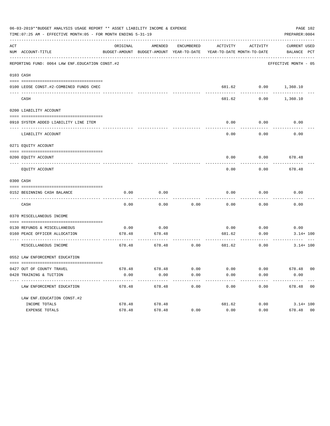|     | 06-03-2019**BUDGET ANALYSIS USAGE REPORT ** ASSET LIABILITY INCOME & EXPENSE<br>TIME: 07:25 AM - EFFECTIVE MONTH: 05 - FOR MONTH ENDING 5-31-19 |          |                                                     |                      |                                        |                      | PAGE 102<br>PREPARER: 0004  |
|-----|-------------------------------------------------------------------------------------------------------------------------------------------------|----------|-----------------------------------------------------|----------------------|----------------------------------------|----------------------|-----------------------------|
| ACT | NUM ACCOUNT-TITLE                                                                                                                               | ORIGINAL | AMENDED<br>BUDGET-AMOUNT BUDGET-AMOUNT YEAR-TO-DATE | ENCUMBERED           | ACTIVITY<br>YEAR-TO-DATE MONTH-TO-DATE | ACTIVITY             | CURRENT USED<br>BALANCE PCT |
|     | REPORTING FUND: 0064 LAW ENF. EDUCATION CONST.#2                                                                                                |          |                                                     |                      |                                        |                      | EFFECTIVE MONTH - 05        |
|     | 0103 CASH                                                                                                                                       |          |                                                     |                      |                                        |                      |                             |
|     | 0100 LEOSE CONST.#2-COMBINED FUNDS CHEC                                                                                                         |          |                                                     |                      |                                        | 681.62 0.00 1,360.10 |                             |
|     | CASH                                                                                                                                            |          |                                                     |                      | 681.62                                 | 0.00                 | 1,360.10                    |
|     | 0200 LIABILITY ACCOUNT                                                                                                                          |          |                                                     |                      |                                        |                      |                             |
|     | 0910 SYSTEM ADDED LIABILITY LINE ITEM                                                                                                           |          |                                                     |                      | 0.00                                   | 0.00<br>--------     | 0.00                        |
|     | LIABILITY ACCOUNT                                                                                                                               |          |                                                     |                      | 0.00                                   | 0.00                 | 0.00                        |
|     | 0271 EQUITY ACCOUNT                                                                                                                             |          |                                                     |                      |                                        |                      |                             |
|     | 0200 EOUITY ACCOUNT                                                                                                                             |          |                                                     |                      | 0.00                                   |                      | $0.00$ 678.48               |
|     | EQUITY ACCOUNT                                                                                                                                  |          |                                                     |                      | 0.00                                   | 0.00                 | 678.48                      |
|     | 0300 CASH                                                                                                                                       |          |                                                     |                      |                                        |                      |                             |
|     | 0152 BEGINNING CASH BALANCE                                                                                                                     | 0.00     | 0.00                                                |                      | 0.00                                   | 0.00                 | 0.00                        |
|     | CASH                                                                                                                                            | 0.00     | 0.00                                                | 0.00                 | 0.00                                   | 0.00                 | 0.00                        |
|     | 0370 MISCELLANEOUS INCOME                                                                                                                       |          |                                                     |                      |                                        |                      |                             |
|     | 0130 REFUNDS & MISCELLANEOUS                                                                                                                    | 0.00     | 0.00                                                |                      |                                        | $0.00$ 0.00          | 0.00                        |
|     | 0160 PEACE OFFICER ALLOCATION<br>-----------------------------------                                                                            | 678.48   | 678.48                                              |                      | 681.62                                 | 0.00<br>---------    | $3.14 + 100$                |
|     | MISCELLANEOUS INCOME                                                                                                                            | 678.48   | 678.48                                              | 0.00                 | 681.62                                 | 0.00                 | $3.14 + 100$                |
|     | 0552 LAW ENFORCEMENT EDUCATION                                                                                                                  |          |                                                     |                      |                                        |                      |                             |
|     | 0427 OUT OF COUNTY TRAVEL                                                                                                                       |          | 678.48 678.48                                       | 0.00                 | 0.00                                   |                      | $0.00$ 678.48 00            |
|     | 0428 TRAINING & TUITION                                                                                                                         | 0.00     | 0.00<br>-------------                               | 0.00<br>------------ | 0.00<br>-------------                  | 0.00<br>------------ | 0.00<br>-------------       |
|     | LAW ENFORCEMENT EDUCATION                                                                                                                       | 678.48   | 678.48                                              | 0.00                 | 0.00                                   |                      | $0.00$ 678.48 00            |
|     | LAW ENF. EDUCATION CONST. #2                                                                                                                    |          |                                                     |                      |                                        |                      |                             |
|     | INCOME TOTALS                                                                                                                                   | 678.48   | 678.48                                              |                      | 681.62                                 |                      | $0.00$ $3.14 + 100$         |
|     | EXPENSE TOTALS                                                                                                                                  | 678.48   | 678.48                                              | 0.00                 | 0.00                                   | 0.00                 | 678.48 00                   |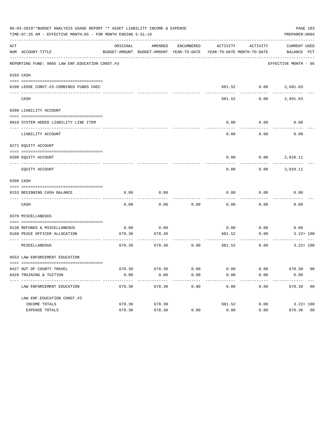|     | 06-03-2019**BUDGET ANALYSIS USAGE REPORT ** ASSET LIABILITY INCOME & EXPENSE<br>TIME: 07:25 AM - EFFECTIVE MONTH: 05 - FOR MONTH ENDING 5-31-19 |          |                                                     |            |        |                                                 | PAGE 103<br>PREPARER: 0004  |
|-----|-------------------------------------------------------------------------------------------------------------------------------------------------|----------|-----------------------------------------------------|------------|--------|-------------------------------------------------|-----------------------------|
| ACT | NUM ACCOUNT-TITLE                                                                                                                               | ORIGINAL | AMENDED<br>BUDGET-AMOUNT BUDGET-AMOUNT YEAR-TO-DATE | ENCUMBERED |        | ACTIVITY ACTIVITY<br>YEAR-TO-DATE MONTH-TO-DATE | CURRENT USED<br>BALANCE PCT |
|     | REPORTING FUND: 0065 LAW ENF. EDUCATION CONST. #3                                                                                               |          |                                                     |            |        |                                                 | EFFECTIVE MONTH - 05        |
|     | 0103 CASH                                                                                                                                       |          |                                                     |            |        |                                                 |                             |
|     | 0100 LEOSE CONST.#3-COMBINED FUNDS CHEC                                                                                                         |          |                                                     |            |        |                                                 | 681.52 0.00 2,691.63        |
|     | CASH                                                                                                                                            |          |                                                     |            | 681.52 | 0.00                                            | 2,691.63                    |
|     | 0200 LIABILITY ACCOUNT                                                                                                                          |          |                                                     |            |        |                                                 |                             |
|     | 0910 SYSTEM ADDED LIABILITY LINE ITEM                                                                                                           |          |                                                     |            | 0.00   | 0.00                                            | 0.00                        |
|     | LIABILITY ACCOUNT                                                                                                                               |          |                                                     |            | 0.00   | 0.00                                            | 0.00                        |
|     | 0271 EQUITY ACCOUNT                                                                                                                             |          |                                                     |            |        |                                                 |                             |
|     | 0200 EQUITY ACCOUNT                                                                                                                             |          |                                                     |            | 0.00   |                                                 | 0.00 2,010.11               |
|     | EQUITY ACCOUNT                                                                                                                                  |          |                                                     |            | 0.00   |                                                 | $0.00$ 2,010.11             |
|     | 0300 CASH                                                                                                                                       |          |                                                     |            |        |                                                 |                             |
|     | 0153 BEGINNING CASH BALANCE                                                                                                                     | 0.00     | 0.00                                                |            | 0.00   | 0.00                                            | 0.00                        |
|     | CASH                                                                                                                                            | 0.00     | 0.00                                                | 0.00       | 0.00   | 0.00                                            | 0.00                        |
|     | 0370 MISCELLANEOUS                                                                                                                              |          |                                                     |            |        |                                                 |                             |
|     | 0130 REFUNDS & MISCELLANEOUS                                                                                                                    | 0.00     | 0.00                                                |            | 0.00   | 0.00                                            | 0.00                        |
|     | 0160 PEACE OFFICER ALLOCATION                                                                                                                   | 678.30   | 678.30                                              |            | 681.52 | 0.00                                            | $3.22 + 100$                |
|     | MISCELLANEOUS                                                                                                                                   | 678.30   | 678.30                                              | 0.00       | 681.52 | 0.00                                            | $3.22 + 100$                |
|     | 0553 LAW ENFORCEMENT EDUCATION                                                                                                                  |          |                                                     |            |        |                                                 |                             |
|     | 0427 OUT OF COUNTY TRAVEL                                                                                                                       |          | 678.30 678.30                                       | 0.00       | 0.00   | 0.00                                            | 678.30 00                   |
|     | 0428 TRAINING & TUITION<br>----------------------------------                                                                                   | 0.00     | 0.00                                                | 0.00       | 0.00   | 0.00                                            | 0.00                        |
|     | LAW ENFORCEMENT EDUCATION                                                                                                                       | 678.30   | 678.30                                              | 0.00       | 0.00   | 0.00                                            | 678.30 00                   |
|     | LAW ENF. EDUCATION CONST. #3                                                                                                                    |          |                                                     |            |        |                                                 |                             |
|     | INCOME TOTALS                                                                                                                                   | 678.30   | 678.30                                              |            | 681.52 | 0.00                                            | $3.22 + 100$                |
|     | EXPENSE TOTALS                                                                                                                                  | 678.30   | 678.30                                              | 0.00       | 0.00   | 0.00                                            | 678.30 00                   |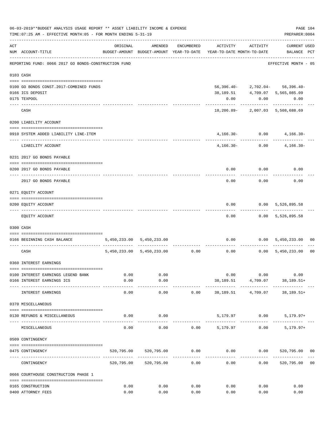|     | 06-03-2019**BUDGET ANALYSIS USAGE REPORT ** ASSET LIABILITY INCOME & EXPENSE<br>TIME: 07:25 AM - EFFECTIVE MONTH: 05 - FOR MONTH ENDING 5-31-19 |          |                                                     |            |                            |                                              | PREPARER: 0004                       | PAGE 104       |
|-----|-------------------------------------------------------------------------------------------------------------------------------------------------|----------|-----------------------------------------------------|------------|----------------------------|----------------------------------------------|--------------------------------------|----------------|
| ACT | NUM ACCOUNT-TITLE                                                                                                                               | ORIGINAL | AMENDED<br>BUDGET-AMOUNT BUDGET-AMOUNT YEAR-TO-DATE | ENCUMBERED | YEAR-TO-DATE MONTH-TO-DATE | ACTIVITY ACTIVITY                            | <b>CURRENT USED</b><br>BALANCE PCT   |                |
|     | REPORTING FUND: 0066 2017 GO BONDS-CONSTRUCTION FUND                                                                                            |          |                                                     |            |                            |                                              | EFFECTIVE MONTH - 05                 |                |
|     | 0103 CASH                                                                                                                                       |          |                                                     |            |                            |                                              |                                      |                |
|     |                                                                                                                                                 |          |                                                     |            |                            |                                              |                                      |                |
|     | 0100 GO BONDS CONST. 2017-COMBINED FUNDS                                                                                                        |          |                                                     |            |                            |                                              | $56,396.40 - 2,702.04 - 56,396.40 -$ |                |
|     | 0166 ICS DEPOSIT                                                                                                                                |          |                                                     |            | 38,189.51                  |                                              | 4,709.07 5,565,085.09                |                |
|     | 0175 TEXPOOL                                                                                                                                    |          |                                                     |            | 0.00                       | 0.00                                         | 0.00                                 |                |
|     | CASH                                                                                                                                            |          |                                                     |            |                            | -----------                                  | .<br>18,206.89-2,007.03 5,508,688.69 |                |
|     | 0200 LIABILITY ACCOUNT                                                                                                                          |          |                                                     |            |                            |                                              |                                      |                |
|     | 0910 SYSTEM ADDED LIABILITY LINE-ITEM<br>---- --------------                                                                                    |          |                                                     |            |                            | $4,166.30 - 0.00$<br>---------- ------------ | $4,166.30-$                          |                |
|     | LIABILITY ACCOUNT                                                                                                                               |          |                                                     |            | $4,166.30-$                |                                              | 0.00<br>$4,166.30-$                  |                |
|     | 0231 2017 GO BONDS PAYABLE                                                                                                                      |          |                                                     |            |                            |                                              |                                      |                |
|     | 0200 2017 GO BONDS PAYABLE<br>-------------------------- ---------                                                                              |          |                                                     |            |                            | $0.00$ $0.00$                                | 0.00                                 |                |
|     | 2017 GO BONDS PAYABLE                                                                                                                           |          |                                                     |            | 0.00                       | 0.00                                         | 0.00                                 |                |
|     | 0271 EQUITY ACCOUNT                                                                                                                             |          |                                                     |            |                            |                                              |                                      |                |
|     | 0200 EQUITY ACCOUNT                                                                                                                             |          |                                                     |            | 0.00                       | ---------                                    | $0.00$ 5,526,895.58<br>------------  |                |
|     | EQUITY ACCOUNT                                                                                                                                  |          |                                                     |            | 0.00                       |                                              | $0.00$ 5,526,895.58                  |                |
|     | 0300 CASH                                                                                                                                       |          |                                                     |            |                            |                                              |                                      |                |
|     | 0166 BEGINNING CASH BALANCE                                                                                                                     |          | 5,450,233.00 5,450,233.00                           |            |                            |                                              | $0.00$ $0.00$ $5,450,233.00$         | 00             |
|     | CASH                                                                                                                                            |          | 5,450,233.00 5,450,233.00 0.00                      |            |                            |                                              | $0.00$ $0.00$ $5,450,233.00$         | 0 <sub>0</sub> |
|     | 0360 INTEREST EARNINGS                                                                                                                          |          |                                                     |            |                            |                                              |                                      |                |
|     | 0100 INTEREST EARNINGS LEGEND BANK                                                                                                              | 0.00     | 0.00                                                |            |                            | 0.00<br>0.00                                 | 0.00                                 |                |
|     | 0166 INTEREST EARNINGS ICS                                                                                                                      | 0.00     | 0.00                                                |            |                            |                                              | 38, 189.51 4, 709.07 38, 189.51+     |                |
|     | INTEREST EARNINGS                                                                                                                               | 0.00     | ---------<br>0.00                                   | 0.00       | 38,189.51                  | 4,709.07                                     | 38,189.51+                           |                |
|     | 0370 MISCELLANEOUS                                                                                                                              |          |                                                     |            |                            |                                              |                                      |                |
|     | 0130 REFUNDS & MISCELLANEOUS                                                                                                                    | 0.00     | 0.00                                                |            |                            | 5,179.97 0.00                                | $5,179.97+$                          |                |
|     | MISCELLANEOUS                                                                                                                                   | 0.00     | 0.00                                                | 0.00       | 5,179.97                   | 0.00                                         | $5,179.97+$                          |                |
|     | 0509 CONTINGENCY                                                                                                                                |          |                                                     |            |                            |                                              |                                      |                |
|     |                                                                                                                                                 |          |                                                     |            |                            |                                              |                                      |                |
|     | 0475 CONTINGENCY                                                                                                                                |          | 520,795.00 520,795.00                               | 0.00       |                            |                                              | $0.00$ $0.00$ $520,795.00$ $00$      |                |
|     | CONTINGENCY                                                                                                                                     |          | 520,795.00 520,795.00                               | 0.00       | 0.00                       | 0.00                                         | 520,795.00                           | 0 <sub>0</sub> |
|     | 0666 COURTHOUSE CONSTRUCTION PHASE 1                                                                                                            |          |                                                     |            |                            |                                              |                                      |                |
|     | 0165 CONSTRUCTION                                                                                                                               | 0.00     | 0.00                                                | 0.00       | 0.00                       | 0.00                                         | 0.00                                 |                |
|     | 0400 ATTORNEY FEES                                                                                                                              | 0.00     | 0.00                                                | 0.00       | 0.00                       | 0.00                                         | 0.00                                 |                |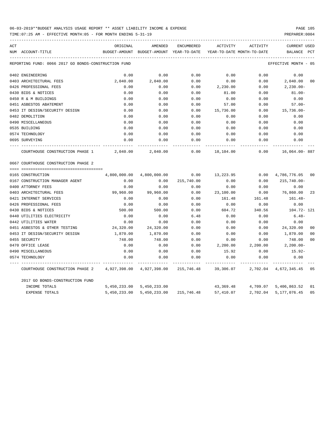TIME:07:25 AM - EFFECTIVE MONTH:05 - FOR MONTH ENDING 5-31-19 PREPARER:0004

| ACT |                                                      | ORIGINAL      | AMENDED       | ENCUMBERED   | ACTIVITY                   | <b>ACTIVITY</b> | <b>CURRENT USED</b>  |                |
|-----|------------------------------------------------------|---------------|---------------|--------------|----------------------------|-----------------|----------------------|----------------|
|     | NUM ACCOUNT-TITLE                                    | BUDGET-AMOUNT | BUDGET-AMOUNT | YEAR-TO-DATE | YEAR-TO-DATE MONTH-TO-DATE |                 | BALANCE              | PCT            |
|     | REPORTING FUND: 0066 2017 GO BONDS-CONSTRUCTION FUND |               |               |              |                            |                 | EFFECTIVE MONTH - 05 |                |
|     | 0402 ENGINEERING                                     | 0.00          | 0.00          | 0.00         | 0.00                       | 0.00            | 0.00                 |                |
|     | 0403 ARCHITECTURAL FEES                              | 2,040.00      | 2,040.00      | 0.00         | 0.00                       | 0.00            | 2,040.00             | 00             |
|     | 0426 PROFESSIONAL FEES                               | 0.00          | 0.00          | 0.00         | 2,230.00                   | 0.00            | $2,230.00 -$         |                |
|     | 0430 BIDS & NOTICES                                  | 0.00          | 0.00          | 0.00         | 81.00                      | 0.00            | $81.00 -$            |                |
|     | 0450 R & M BUILDINGS                                 | 0.00          | 0.00          | 0.00         | 0.00                       | 0.00            | 0.00                 |                |
|     | 0451 ASBESTOS ABATEMENT                              | 0.00          | 0.00          | 0.00         | 57.00                      | 0.00            | $57.00 -$            |                |
|     | 0453 IT DESIGN/SECURITY DESIGN                       | 0.00          | 0.00          | 0.00         | 15,736.00                  | 0.00            | $15,736.00 -$        |                |
|     | 0482 DEMOLITION                                      | 0.00          | 0.00          | 0.00         | 0.00                       | 0.00            | 0.00                 |                |
|     | 0490 MISCELLANEOUS                                   | 0.00          | 0.00          | 0.00         | 0.00                       | 0.00            | 0.00                 |                |
|     | 0535 BUILDING                                        | 0.00          | 0.00          | 0.00         | 0.00                       | 0.00            | 0.00                 |                |
|     | 0574 TECHNOLOGY                                      | 0.00          | 0.00          | 0.00         | 0.00                       | 0.00            | 0.00                 |                |
|     | 0695 SURVEYING                                       | 0.00          | 0.00          | 0.00         | 0.00                       | 0.00            | 0.00                 |                |
|     | COURTHOUSE CONSTRUCTION PHASE 1                      | 2,040.00      | 2,040.00      | 0.00         | 18,104.00                  | 0.00            | 16,064.00-887        |                |
|     | 0667 COURTHOUSE CONSTRUCTION PHASE 2                 |               |               |              |                            |                 |                      |                |
|     |                                                      |               |               |              |                            |                 |                      |                |
|     | 0165 CONSTRUCTION                                    | 4,800,000.00  | 4,800,000.00  | 0.00         | 13,223.95                  | 0.00            | 4,786,776.05         | 00             |
|     | 0167 CONSTRUCTION MANAGER AGENT                      | 0.00          | 0.00          | 215,740.00   | 0.00                       | 0.00            | $215,740.00 -$       |                |
|     | 0400 ATTORNEY FEES                                   | 0.00          | 0.00          | 0.00         | 0.00                       | 0.00            | 0.00                 |                |
|     | 0403 ARCHITECTURAL FEES                              | 99,960.00     | 99,960.00     | 0.00         | 23,100.00                  | 0.00            | 76,860.00            | 23             |
|     | 0421 INTERNET SERVICES                               | 0.00          | 0.00          | 0.00         | 161.48                     | 161.48          | $161.48-$            |                |
|     | 0426 PROFESSIONAL FEES                               | 0.00          | 0.00          | 0.00         | 0.00                       | 0.00            | 0.00                 |                |
|     | 0430 BIDS & NOTICES                                  | 500.00        | 500.00        | 0.00         | 604.72                     | 340.56          | 104.72- 121          |                |
|     | 0440 UTILITIES ELECTRICITY                           | 0.00          | 0.00          | 6.48         | 0.00                       | 0.00            | $6.48-$              |                |
|     | 0442 UTILITIES WATER                                 | 0.00          | 0.00          | 0.00         | 0.00                       | 0.00            | 0.00                 |                |
|     | 0451 ASBESTOS & OTHER TESTING                        | 24,320.00     | 24,320.00     | 0.00         | 0.00                       | 0.00            | 24,320.00            | 0 <sup>0</sup> |
|     | 0453 IT DESIGN/SECURITY DESIGN                       | 1,870.00      | 1,870.00      | 0.00         | 0.00                       | 0.00            | 1,870.00             | 0 <sup>0</sup> |
|     | 0455 SECURITY                                        | 748.00        | 748.00        | 0.00         | 0.00                       | 0.00            | 748.00               | 0 <sup>0</sup> |
|     | 0470 OFFICE LEASE                                    | 0.00          | 0.00          | 0.00         | 2,200.00                   | 2,200.00        | $2,200.00-$          |                |
|     | 0490 MISCELLANEOUS                                   | 0.00          | 0.00          | 0.00         | 15.92                      | 0.00            | $15.92-$             |                |
|     | 0574 TECHNOLOGY                                      | 0.00          | 0.00          | 0.00         | 0.00                       | 0.00            | 0.00                 |                |
|     | COURTHOUSE CONSTRUCTION PHASE 2                      | 4,927,398.00  | 4,927,398.00  | 215,746.48   | 39,306.07                  | 2,702.04        | 4,672,345.45         | 05             |
|     | 2017 GO BONDS-CONSTRUCTION FUND                      |               |               |              |                            |                 |                      |                |
|     | INCOME TOTALS                                        | 5,450,233.00  | 5,450,233.00  |              | 43,369.48                  | 4,709.07        | 5,406,863.52         | 01             |
|     | <b>EXPENSE TOTALS</b>                                | 5,450,233.00  | 5,450,233.00  | 215,746.48   | 57,410.07                  | 2,702.04        | 5,177,076.45         | 05             |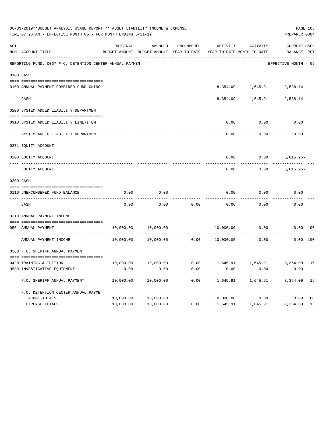|           | 06-03-2019**BUDGET ANALYSIS USAGE REPORT ** ASSET LIABILITY INCOME & EXPENSE<br>TIME: 07:25 AM - EFFECTIVE MONTH: 05 - FOR MONTH ENDING 5-31-19 |           |                                          |                   |                            |                                 | PREPARER: 0004       | PAGE 106 |
|-----------|-------------------------------------------------------------------------------------------------------------------------------------------------|-----------|------------------------------------------|-------------------|----------------------------|---------------------------------|----------------------|----------|
| ACT       |                                                                                                                                                 | ORIGINAL  | AMENDED                                  | <b>ENCUMBERED</b> | ACTIVITY                   | <b>ACTIVITY</b>                 | <b>CURRENT USED</b>  |          |
|           | NUM ACCOUNT-TITLE                                                                                                                               |           | BUDGET-AMOUNT BUDGET-AMOUNT YEAR-TO-DATE |                   | YEAR-TO-DATE MONTH-TO-DATE |                                 | BALANCE PCT          |          |
|           | REPORTING FUND: 0067 F.C. DETENTION CENTER ANNUAL PAYMEN                                                                                        |           |                                          |                   |                            |                                 | EFFECTIVE MONTH - 05 |          |
|           | 0103 CASH                                                                                                                                       |           |                                          |                   |                            |                                 |                      |          |
|           | 0100 ANNUAL PAYMENT-COMBINED FUND CKING                                                                                                         |           |                                          |                   |                            | 8,354.09   1,645.91-   2,538.14 |                      |          |
|           | CASH                                                                                                                                            |           |                                          |                   | 8,354.09                   | 1,645.91-                       | 2,538.14             |          |
|           | 0200 SYSTEM ADDED LIABILITY DEPARTMENT                                                                                                          |           |                                          |                   |                            |                                 |                      |          |
|           | 0910 SYSTEM ADDED LIABILITY LINE-ITEM                                                                                                           |           |                                          |                   | 0.00                       | 0.00                            | 0.00                 |          |
|           | SYSTEM ADDED LIABILITY DEPARTMENT                                                                                                               |           |                                          |                   | 0.00                       | 0.00                            | 0.00                 |          |
|           | 0271 EQUITY ACCOUNT                                                                                                                             |           |                                          |                   |                            |                                 |                      |          |
|           | 0200 EQUITY ACCOUNT                                                                                                                             |           |                                          |                   | 0.00                       | 0.00                            | 5,815.95-            |          |
|           | EQUITY ACCOUNT                                                                                                                                  |           |                                          |                   | 0.00                       | 0.00                            | $5,815.95-$          |          |
|           |                                                                                                                                                 |           |                                          |                   |                            |                                 |                      |          |
| 0300 CASH | 0110 UNENCUMBERED FUND BALANCE                                                                                                                  | 0.00      | 0.00                                     |                   | 0.00                       | 0.00                            | 0.00                 |          |
|           | CASH                                                                                                                                            | 0.00      | 0.00                                     | 0.00              | 0.00                       | 0.00                            | 0.00                 |          |
|           | 0319 ANNUAL PAYMENT INCOME                                                                                                                      |           |                                          |                   |                            |                                 |                      |          |
|           | 0551 ANNUAL PAYMENT                                                                                                                             | 10,000.00 | 10,000.00                                |                   | 10,000.00                  | 0.00                            | 0.00 100             |          |
|           | ---- ---------------------------<br>ANNUAL PAYMENT INCOME                                                                                       | 10,000.00 | 10,000.00                                | 0.00              | 10,000.00                  | 0.00                            | 0.00 100             |          |
|           | 0560 F.C. SHERIFF ANNUAL PAYMENT                                                                                                                |           |                                          |                   |                            |                                 |                      |          |
|           | 0428 TRAINING & TUITION                                                                                                                         | 10,000.00 | 10,000.00                                | 0.00              |                            | 1,645.91 1,645.91               | 8,354.09             | 16       |
|           | 0580 INVESTIGATIVE EQUIPMENT                                                                                                                    | 0.00      | 0.00                                     | 0.00              | 0.00                       | 0.00                            | 0.00                 |          |
|           | F.C. SHERIFF ANNUAL PAYMENT                                                                                                                     | 10,000.00 | 10,000.00                                | 0.00              | 1,645.91                   | 1,645.91                        | 8,354.09             | 16       |
|           | F.C. DETENTION CENTER ANNUAL PAYME                                                                                                              |           |                                          |                   |                            |                                 |                      |          |
|           | INCOME TOTALS                                                                                                                                   | 10,000.00 | 10,000.00                                |                   |                            | 10,000.00 0.00                  | 0.00 100             |          |
|           | <b>EXPENSE TOTALS</b>                                                                                                                           | 10,000.00 | 10,000.00                                | 0.00              | 1,645.91                   | 1,645.91                        | 8,354.09 16          |          |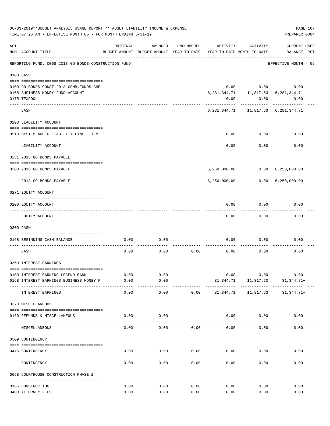|     | 06-03-2019**BUDGET ANALYSIS USAGE REPORT ** ASSET LIABILITY INCOME & EXPENSE<br>PAGE 107<br>TIME: 07:25 AM - EFFECTIVE MONTH: 05 - FOR MONTH ENDING 5-31-19<br>PREPARER: 0004 |          |                                                     |            |                                        |                           |                                             |  |  |
|-----|-------------------------------------------------------------------------------------------------------------------------------------------------------------------------------|----------|-----------------------------------------------------|------------|----------------------------------------|---------------------------|---------------------------------------------|--|--|
| ACT | NUM ACCOUNT-TITLE                                                                                                                                                             | ORIGINAL | AMENDED<br>BUDGET-AMOUNT BUDGET-AMOUNT YEAR-TO-DATE | ENCUMBERED | ACTIVITY<br>YEAR-TO-DATE MONTH-TO-DATE | ACTIVITY                  | <b>CURRENT USED</b><br>BALANCE PCT          |  |  |
|     | REPORTING FUND: 0068 2018 GO BONDS-CONSTRUCTION FUND                                                                                                                          |          |                                                     |            |                                        |                           | EFFECTIVE MONTH - 05                        |  |  |
|     | 0103 CASH                                                                                                                                                                     |          |                                                     |            |                                        |                           |                                             |  |  |
|     |                                                                                                                                                                               |          |                                                     |            |                                        |                           |                                             |  |  |
|     | 0100 GO BONDS CONST. 2018-COMB. FUNDS CHE                                                                                                                                     |          |                                                     |            |                                        | $0.00$ 0.00               | 0.00                                        |  |  |
|     | 0168 BUSINESS MONEY FUND ACCOUNT                                                                                                                                              |          |                                                     |            |                                        |                           | 6, 281, 344.71 11, 817.63 6, 281, 344.71    |  |  |
|     | 0175 TEXPOOL                                                                                                                                                                  |          |                                                     |            | 0.00                                   | 0.00                      | 0.00                                        |  |  |
|     | CASH                                                                                                                                                                          |          |                                                     |            |                                        | -----------               | 6, 281, 344. 71 11, 817. 63 6, 281, 344. 71 |  |  |
|     | 0200 LIABILITY ACCOUNT                                                                                                                                                        |          |                                                     |            |                                        |                           |                                             |  |  |
|     |                                                                                                                                                                               |          |                                                     |            |                                        |                           |                                             |  |  |
|     | 0910 SYSTEM ADDED LIABILITY LINE -ITEM                                                                                                                                        |          |                                                     |            |                                        | $0.00$ 0.00<br>---------- | 0.00                                        |  |  |
|     | LIABILITY ACCOUNT                                                                                                                                                             |          |                                                     |            | 0.00                                   | 0.00                      | 0.00                                        |  |  |
|     | 0231 2018 GO BONDS PAYABLE                                                                                                                                                    |          |                                                     |            |                                        |                           |                                             |  |  |
|     | 0200 2018 GO BONDS PAYABLE                                                                                                                                                    |          |                                                     |            |                                        |                           | 6,250,000.00   0.00   6,250,000.00          |  |  |
|     | 2018 GO BONDS PAYABLE                                                                                                                                                         |          |                                                     |            |                                        | -------------             | 6,250,000.00   0.00   6,250,000.00          |  |  |
|     | 0271 EQUITY ACCOUNT                                                                                                                                                           |          |                                                     |            |                                        |                           |                                             |  |  |
|     | 0200 EQUITY ACCOUNT                                                                                                                                                           |          |                                                     |            | 0.00                                   | 0.00                      | 0.00                                        |  |  |
|     |                                                                                                                                                                               |          |                                                     |            |                                        |                           |                                             |  |  |
|     | EQUITY ACCOUNT                                                                                                                                                                |          |                                                     |            | 0.00                                   | 0.00                      | 0.00                                        |  |  |
|     | 0300 CASH                                                                                                                                                                     |          |                                                     |            |                                        |                           |                                             |  |  |
|     | 0168 BEGINNING CASH BALANCE                                                                                                                                                   | 0.00     | 0.00                                                |            | 0.00                                   | 0.00                      | 0.00                                        |  |  |
|     | CASH                                                                                                                                                                          | 0.00     | 0.00                                                | 0.00       | 0.00                                   | 0.00                      | 0.00                                        |  |  |
|     | 0360 INTEREST EARNINGS                                                                                                                                                        |          |                                                     |            |                                        |                           |                                             |  |  |
|     |                                                                                                                                                                               |          |                                                     |            |                                        |                           |                                             |  |  |
|     | 0100 INTEREST EARNING LEGEND BANK                                                                                                                                             | 0.00     | 0.00                                                |            | 0.00                                   | 0.00                      | 0.00                                        |  |  |
|     | 0168 INTEREST EARNINGS BUSINESS MONEY F                                                                                                                                       | 0.00     | 0.00<br>$---$                                       |            | 31,344.71                              | 11,817.63                 | $31,344.71+$                                |  |  |
|     | INTEREST EARNINGS                                                                                                                                                             | 0.00     | 0.00                                                | 0.00       | 31,344.71                              | 11,817.63                 | $31,344.71+$                                |  |  |
|     | 0370 MISCELLANEOUS                                                                                                                                                            |          |                                                     |            |                                        |                           |                                             |  |  |
|     | 0130 REFUNDS & MISCELLANEOUS                                                                                                                                                  | 0.00     | 0.00                                                |            | 0.00                                   | 0.00                      | 0.00                                        |  |  |
|     | MISCELLANEOUS                                                                                                                                                                 | 0.00     | 0.00                                                | 0.00       | 0.00                                   | 0.00                      | 0.00                                        |  |  |
|     | 0509 CONTINGENCY                                                                                                                                                              |          |                                                     |            |                                        |                           |                                             |  |  |
|     |                                                                                                                                                                               |          |                                                     |            |                                        |                           |                                             |  |  |
|     | 0475 CONTINGENCY                                                                                                                                                              | 0.00     | 0.00                                                | 0.00       | 0.00                                   | 0.00                      | 0.00                                        |  |  |
|     | CONTINGENCY                                                                                                                                                                   | 0.00     | 0.00                                                | 0.00       | 0.00                                   | 0.00                      | 0.00                                        |  |  |
|     | 0668 COURTHOUSE CONSTRUCTION PHASE 2                                                                                                                                          |          |                                                     |            |                                        |                           |                                             |  |  |
|     | 0165 CONSTRUCTION                                                                                                                                                             | 0.00     | 0.00                                                | 0.00       | 0.00                                   | 0.00                      | 0.00                                        |  |  |
|     | 0400 ATTORNEY FEES                                                                                                                                                            | 0.00     | 0.00                                                | 0.00       | 0.00                                   | 0.00                      | 0.00                                        |  |  |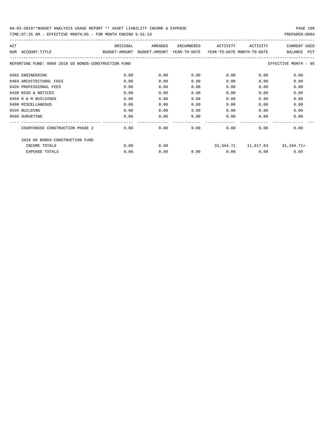| ACT                                                  | ORIGINAL      | AMENDED       | <b>ENCUMBERED</b> | ACTIVITY                   | ACTIVITY | <b>CURRENT USED</b>                  |
|------------------------------------------------------|---------------|---------------|-------------------|----------------------------|----------|--------------------------------------|
| ACCOUNT-TITLE<br>NTJM                                | BUDGET-AMOUNT | BUDGET-AMOUNT | YEAR-TO-DATE      | YEAR-TO-DATE MONTH-TO-DATE |          | <b>PCT</b><br><b>BALANCE</b>         |
| REPORTING FUND: 0068 2018 GO BONDS-CONSTRUCTION FUND |               |               |                   |                            |          | EFFECTIVE MONTH - 05                 |
| 0402 ENGINEERING                                     | 0.00          | 0.00          | 0.00              | 0.00                       | 0.00     | 0.00                                 |
| 0403 ARCHITECTURAL FEES                              | 0.00          | 0.00          | 0.00              | 0.00                       | 0.00     | 0.00                                 |
| 0426 PROFESSIONAL FEES                               | 0.00          | 0.00          | 0.00              | 0.00                       | 0.00     | 0.00                                 |
| 0430 BIDS & NOTICES                                  | 0.00          | 0.00          | 0.00              | 0.00                       | 0.00     | 0.00                                 |
| 0450 R & M BUILDINGS                                 | 0.00          | 0.00          | 0.00              | 0.00                       | 0.00     | 0.00                                 |
| 0490 MISCELLANEOUS                                   | 0.00          | 0.00          | 0.00              | 0.00                       | 0.00     | 0.00                                 |
| 0535 BUILDING                                        | 0.00          | 0.00          | 0.00              | 0.00                       | 0.00     | 0.00                                 |
| 0695 SURVEYING                                       | 0.00          | 0.00          | 0.00              | 0.00                       | 0.00     | 0.00                                 |
| COURTHOUSE CONSTRUCTION PHASE 2                      | 0.00          | 0.00          | 0.00              | 0.00                       | 0.00     | 0.00                                 |
| 2018 GO BONDS-CONSTRUCTION FUND                      |               |               |                   |                            |          |                                      |
| INCOME TOTALS                                        | 0.00          | 0.00          |                   |                            |          | $31,344.71$ $11,817.63$ $31,344.71+$ |
| <b>EXPENSE TOTALS</b>                                | 0.00          | 0.00          | 0.00              | 0.00                       | 0.00     | 0.00                                 |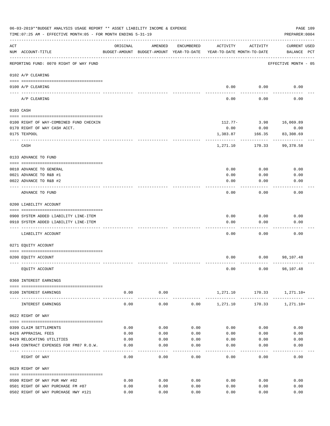| 06-03-2019**BUDGET ANALYSIS USAGE REPORT ** ASSET LIABILITY INCOME & EXPENSE<br>TIME: 07:25 AM - EFFECTIVE MONTH: 05 - FOR MONTH ENDING 5-31-19<br>PREPARER: 0004 |                                                  |              |              |              |                                                                                 |              |                                    |  |  |
|-------------------------------------------------------------------------------------------------------------------------------------------------------------------|--------------------------------------------------|--------------|--------------|--------------|---------------------------------------------------------------------------------|--------------|------------------------------------|--|--|
| ACT                                                                                                                                                               | NUM ACCOUNT-TITLE                                | ORIGINAL     | AMENDED      | ENCUMBERED   | ACTIVITY<br>BUDGET-AMOUNT BUDGET-AMOUNT YEAR-TO-DATE YEAR-TO-DATE MONTH-TO-DATE | ACTIVITY     | <b>CURRENT USED</b><br>BALANCE PCT |  |  |
|                                                                                                                                                                   | REPORTING FUND: 0070 RIGHT OF WAY FUND           |              |              |              |                                                                                 |              | EFFECTIVE MONTH - 05               |  |  |
|                                                                                                                                                                   | 0102 A/P CLEARING                                |              |              |              |                                                                                 |              |                                    |  |  |
|                                                                                                                                                                   | 0100 A/P CLEARING                                |              |              |              | 0.00                                                                            | 0.00         | 0.00                               |  |  |
|                                                                                                                                                                   | ---- --------<br>A/P CLEARING                    |              |              |              | 0.00                                                                            | 0.00         | 0.00                               |  |  |
|                                                                                                                                                                   | 0103 CASH                                        |              |              |              |                                                                                 |              |                                    |  |  |
|                                                                                                                                                                   | 0100 RIGHT OF WAY-COMBINED FUND CHECKIN          |              |              |              | 112.77-                                                                         | 3.98         | 16,069.89                          |  |  |
|                                                                                                                                                                   | 0170 RIGHT OF WAY CASH ACCT.                     |              |              |              | 0.00                                                                            | 0.00         | 0.00                               |  |  |
|                                                                                                                                                                   | 0175 TEXPOOL                                     |              |              |              | 1,383.87                                                                        | 166.35       | 83,308.69                          |  |  |
|                                                                                                                                                                   | CASH                                             |              |              |              | 1,271.10                                                                        | 170.33       | 99,378.58                          |  |  |
|                                                                                                                                                                   | 0133 ADVANCE TO FUND                             |              |              |              |                                                                                 |              |                                    |  |  |
|                                                                                                                                                                   | 0010 ADVANCE TO GENERAL                          |              |              |              | 0.00                                                                            | 0.00         | 0.00                               |  |  |
|                                                                                                                                                                   | 0021 ADVANCE TO R&B #1                           |              |              |              | 0.00                                                                            | 0.00         | 0.00                               |  |  |
|                                                                                                                                                                   | 0022 ADVANCE TO R&B #2                           |              |              |              | 0.00                                                                            | 0.00         | 0.00                               |  |  |
|                                                                                                                                                                   |                                                  |              |              |              |                                                                                 |              |                                    |  |  |
|                                                                                                                                                                   | ADVANCE TO FUND                                  |              |              |              | 0.00                                                                            | 0.00         | 0.00                               |  |  |
|                                                                                                                                                                   | 0200 LIABILITY ACCOUNT                           |              |              |              |                                                                                 |              |                                    |  |  |
|                                                                                                                                                                   | 0900 SYSTEM ADDED LIABILITY LINE-ITEM            |              |              |              | 0.00                                                                            | 0.00         | 0.00                               |  |  |
|                                                                                                                                                                   | 0910 SYSTEM ADDED LIABILITY LINE-ITEM            |              |              |              | 0.00                                                                            | 0.00         | 0.00                               |  |  |
|                                                                                                                                                                   | LIABILITY ACCOUNT                                |              |              |              | 0.00                                                                            | 0.00         | 0.00                               |  |  |
|                                                                                                                                                                   |                                                  |              |              |              |                                                                                 |              |                                    |  |  |
|                                                                                                                                                                   | 0271 EQUITY ACCOUNT                              |              |              |              |                                                                                 |              |                                    |  |  |
|                                                                                                                                                                   | 0200 EQUITY ACCOUNT                              |              |              |              | 0.00                                                                            |              | $0.00$ 98,107.48                   |  |  |
|                                                                                                                                                                   | EQUITY ACCOUNT                                   |              |              |              | 0.00                                                                            |              | $0.00$ 98,107.48                   |  |  |
|                                                                                                                                                                   | 0360 INTEREST EARNINGS                           |              |              |              |                                                                                 |              |                                    |  |  |
|                                                                                                                                                                   | 0100 INTEREST EARNINGS                           | 0.00         | 0.00         |              |                                                                                 |              | 1,271.10 170.33 1,271.10+          |  |  |
|                                                                                                                                                                   | INTEREST EARNINGS                                | 0.00         | .<br>0.00    | 0.00         | 1,271.10                                                                        |              | 170.33 1,271.10+                   |  |  |
|                                                                                                                                                                   | 0622 RIGHT OF WAY                                |              |              |              |                                                                                 |              |                                    |  |  |
|                                                                                                                                                                   |                                                  |              |              |              |                                                                                 |              |                                    |  |  |
|                                                                                                                                                                   | 0399 CLAIM SETTLEMENTS                           | 0.00         | 0.00         | 0.00         | 0.00                                                                            | 0.00         | 0.00                               |  |  |
|                                                                                                                                                                   | 0426 APPRAISAL FEES<br>0429 RELOCATING UTILITIES | 0.00<br>0.00 | 0.00<br>0.00 | 0.00<br>0.00 | 0.00<br>0.00                                                                    | 0.00<br>0.00 | 0.00<br>0.00                       |  |  |
|                                                                                                                                                                   | 0449 CONTRACT EXPENSES FOR FM87 R.O.W.           | 0.00         | 0.00         | 0.00         | 0.00                                                                            | 0.00         | 0.00                               |  |  |
|                                                                                                                                                                   |                                                  |              |              |              |                                                                                 |              |                                    |  |  |
|                                                                                                                                                                   | RIGHT OF WAY                                     | 0.00         | 0.00         | 0.00         | 0.00                                                                            | 0.00         | 0.00                               |  |  |
|                                                                                                                                                                   | 0629 RIGHT OF WAY                                |              |              |              |                                                                                 |              |                                    |  |  |
|                                                                                                                                                                   | 0500 RIGHT OF WAY PUR HWY #82                    | 0.00         | 0.00         | 0.00         | 0.00                                                                            | 0.00         | 0.00                               |  |  |
|                                                                                                                                                                   | 0501 RIGHT OF WAY PURCHASE FM #87                | 0.00         | 0.00         | 0.00         | 0.00                                                                            | 0.00         | 0.00                               |  |  |
|                                                                                                                                                                   | 0502 RIGHT OF WAY PURCHASE HWY #121              | 0.00         | 0.00         | 0.00         | 0.00                                                                            | 0.00         | 0.00                               |  |  |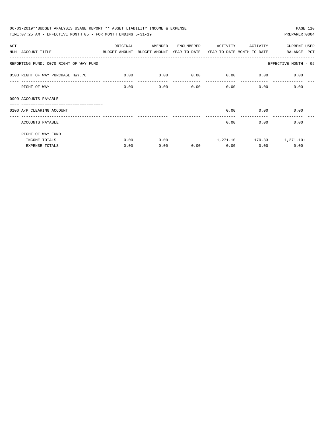| 06-03-2019**BUDGET ANALYSIS USAGE REPORT ** ASSET LIABILITY INCOME & EXPENSE<br>PAGE 110 |             |         |            |             |                           |                           |  |  |  |  |
|------------------------------------------------------------------------------------------|-------------|---------|------------|-------------|---------------------------|---------------------------|--|--|--|--|
| TIME: 07:25 AM - EFFECTIVE MONTH: 05 - FOR MONTH ENDING $5-31-19$                        |             |         |            |             |                           | PREPARER: 0004            |  |  |  |  |
| ACT                                                                                      | ORIGINAL    | AMENDED | ENCUMBERED | ACTIVITY    | ACTIVITY                  | CURRENT USED              |  |  |  |  |
| NUM ACCOUNT-TITLE<br>BUDGET-AMOUNT BUDGET-AMOUNT YEAR-TO-DATE YEAR-TO-DATE_MONTH-TO-DATE |             |         |            |             |                           | BALANCE PCT               |  |  |  |  |
| REPORTING FUND: 0070 RIGHT OF WAY FUND                                                   |             |         |            |             |                           | EFFECTIVE MONTH - 05      |  |  |  |  |
| 0503 RIGHT OF WAY PURCHASE HWY.78                                                        | $\sim$ 0.00 | 0.00    | 0.00       | $0.00$ 0.00 |                           | 0.00                      |  |  |  |  |
| RIGHT OF WAY                                                                             | 0.00        | 0.00    | 0.00       |             | 0.00<br>$0.00$ and $0.00$ | 0.00                      |  |  |  |  |
| 0999 ACCOUNTS PAYABLE<br>_______________________________                                 |             |         |            |             |                           |                           |  |  |  |  |
| 0100 A/P CLEARING ACCOUNT                                                                |             |         |            |             | $0.00$ 0.00               | 0.00                      |  |  |  |  |
| ACCOUNTS PAYABLE                                                                         |             |         |            | 0.00        | 0.00                      | 0.00                      |  |  |  |  |
| RIGHT OF WAY FUND                                                                        |             |         |            |             |                           |                           |  |  |  |  |
| INCOME TOTALS                                                                            | 0.00        | 0.00    |            |             |                           | 1,271.10 170.33 1,271.10+ |  |  |  |  |
| <b>EXPENSE TOTALS</b>                                                                    | 0.00        | 0.00    | 0.00       | 0.00        | 0.00                      | 0.00                      |  |  |  |  |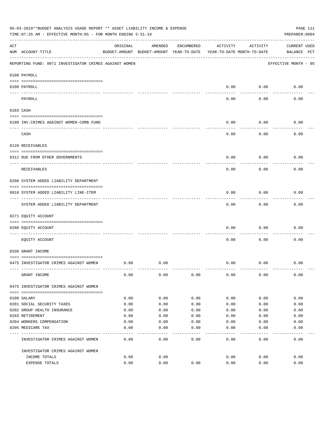|     | 06-03-2019**BUDGET ANALYSIS USAGE REPORT ** ASSET LIABILITY INCOME & EXPENSE<br>TIME: 07:25 AM - EFFECTIVE MONTH: 05 - FOR MONTH ENDING 5-31-19 |          |                                                     |            |          |                                        | PAGE 111<br>PREPARER: 0004         |
|-----|-------------------------------------------------------------------------------------------------------------------------------------------------|----------|-----------------------------------------------------|------------|----------|----------------------------------------|------------------------------------|
| ACT | NUM ACCOUNT-TITLE                                                                                                                               | ORIGINAL | AMENDED<br>BUDGET-AMOUNT BUDGET-AMOUNT YEAR-TO-DATE | ENCUMBERED | ACTIVITY | ACTIVITY<br>YEAR-TO-DATE MONTH-TO-DATE | <b>CURRENT USED</b><br>BALANCE PCT |
|     | REPORTING FUND: 0071 INVESTIGATOR CRIMES AGAINST WOMEN                                                                                          |          |                                                     |            |          |                                        | EFFECTIVE MONTH - 05               |
|     | 0100 PAYROLL                                                                                                                                    |          |                                                     |            |          |                                        |                                    |
|     | 0100 PAYROLL                                                                                                                                    |          |                                                     |            | 0.00     | 0.00                                   | 0.00                               |
|     | ---- ----<br>PAYROLL                                                                                                                            |          |                                                     |            | 0.00     | 0.00                                   | 0.00                               |
|     | 0103 CASH                                                                                                                                       |          |                                                     |            |          |                                        |                                    |
|     | 0100 INV. CRIMES AGAINST WOMEN-COMB. FUND                                                                                                       |          |                                                     |            | 0.00     | 0.00                                   | 0.00                               |
|     | CASH                                                                                                                                            |          |                                                     |            | 0.00     | 0.00                                   | 0.00                               |
|     | 0120 RECEIVABLES                                                                                                                                |          |                                                     |            |          |                                        |                                    |
|     | 0312 DUE FROM OTHER GOVERNMENTS                                                                                                                 |          |                                                     |            | 0.00     | 0.00                                   | 0.00                               |
|     | RECEIVABLES                                                                                                                                     |          |                                                     |            | 0.00     | 0.00                                   | 0.00                               |
|     | 0200 SYSTEM ADDED LIABILITY DEPARTMENT                                                                                                          |          |                                                     |            |          |                                        |                                    |
|     | 0910 SYSTEM ADDED LIABILITY LINE-ITEM                                                                                                           |          |                                                     |            | 0.00     | 0.00                                   | 0.00                               |
|     | SYSTEM ADDED LIABILITY DEPARTMENT                                                                                                               |          |                                                     |            | 0.00     | 0.00                                   | 0.00                               |
|     | 0271 EQUITY ACCOUNT                                                                                                                             |          |                                                     |            |          |                                        |                                    |
|     | 0200 EQUITY ACCOUNT                                                                                                                             |          |                                                     |            | 0.00     | 0.00                                   | 0.00                               |
|     | EQUITY ACCOUNT                                                                                                                                  |          |                                                     |            | 0.00     | 0.00                                   | 0.00                               |
|     | 0330 GRANT INCOME                                                                                                                               |          |                                                     |            |          |                                        |                                    |
|     | 0475 INVESTIGATOR CRIMES AGAINST WOMEN                                                                                                          | 0.00     | 0.00                                                |            | 0.00     | 0.00                                   | 0.00                               |
|     | GRANT INCOME                                                                                                                                    | 0.00     | 0.00                                                | 0.00       | 0.00     | 0.00                                   | 0.00                               |
|     | 0475 INVESTIGATOR CRIMES AGAINST WOMEN                                                                                                          |          |                                                     |            |          |                                        |                                    |
|     | 0108 SALARY                                                                                                                                     | 0.00     | 0.00                                                | 0.00       | 0.00     | 0.00                                   | 0.00                               |
|     | 0201 SOCIAL SECURITY TAXES                                                                                                                      | 0.00     | 0.00                                                | 0.00       | 0.00     | 0.00                                   | 0.00                               |
|     | 0202 GROUP HEALTH INSURANCE                                                                                                                     | 0.00     | 0.00                                                | 0.00       | 0.00     | 0.00                                   | 0.00                               |
|     | 0203 RETIREMENT                                                                                                                                 | 0.00     | 0.00                                                | 0.00       | 0.00     | 0.00                                   | 0.00                               |
|     | 0204 WORKERS COMPENSATION                                                                                                                       | 0.00     | 0.00                                                | 0.00       | 0.00     | 0.00                                   | 0.00                               |
|     | 0205 MEDICARE TAX                                                                                                                               | 0.00     | 0.00                                                | 0.00       | 0.00     | 0.00                                   | 0.00                               |
|     | INVESTIGATOR CRIMES AGAINST WOMEN                                                                                                               | 0.00     | 0.00                                                | 0.00       | 0.00     | 0.00                                   | 0.00                               |
|     | INVESTIGATOR CRIMES AGAINST WOMEN                                                                                                               |          |                                                     |            |          |                                        |                                    |
|     | INCOME TOTALS                                                                                                                                   | 0.00     | 0.00                                                |            | 0.00     | 0.00                                   | 0.00                               |
|     | EXPENSE TOTALS                                                                                                                                  | 0.00     | 0.00                                                | 0.00       | 0.00     | 0.00                                   | 0.00                               |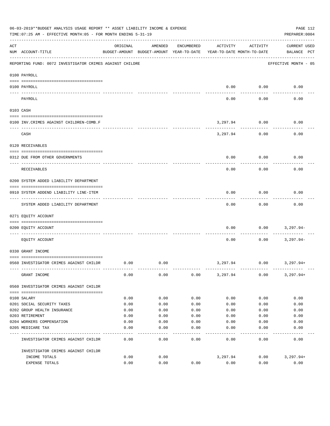|          | 06-03-2019**BUDGET ANALYSIS USAGE REPORT ** ASSET LIABILITY INCOME & EXPENSE<br>TIME: 07:25 AM - EFFECTIVE MONTH: 05 - FOR MONTH ENDING 5-31-19 |          |                                                     |            |                                        |           | PAGE 112<br>PREPARER: 0004         |
|----------|-------------------------------------------------------------------------------------------------------------------------------------------------|----------|-----------------------------------------------------|------------|----------------------------------------|-----------|------------------------------------|
| ACT      | NUM ACCOUNT-TITLE                                                                                                                               | ORIGINAL | AMENDED<br>BUDGET-AMOUNT BUDGET-AMOUNT YEAR-TO-DATE | ENCUMBERED | ACTIVITY<br>YEAR-TO-DATE MONTH-TO-DATE | ACTIVITY  | <b>CURRENT USED</b><br>BALANCE PCT |
|          | REPORTING FUND: 0072 INVESTIGATOR CRIMES AGAINST CHILDRE                                                                                        |          |                                                     |            |                                        |           | EFFECTIVE MONTH - 05               |
|          | 0100 PAYROLL                                                                                                                                    |          |                                                     |            |                                        |           |                                    |
| ---- --- | 0100 PAYROLL                                                                                                                                    |          |                                                     |            | 0.00                                   | 0.00      | 0.00                               |
|          | PAYROLL                                                                                                                                         |          |                                                     |            | 0.00                                   | 0.00      | 0.00                               |
|          | 0103 CASH                                                                                                                                       |          |                                                     |            |                                        |           |                                    |
|          | 0100 INV. CRIMES AGAINST CHILDREN-COMB.F                                                                                                        |          |                                                     |            | 3,297.94                               | 0.00<br>. | 0.00                               |
|          | CASH                                                                                                                                            |          |                                                     |            | 3,297.94                               | 0.00      | 0.00                               |
|          | 0120 RECEIVABLES                                                                                                                                |          |                                                     |            |                                        |           |                                    |
|          | 0312 DUE FROM OTHER GOVERNMENTS                                                                                                                 |          |                                                     |            | 0.00                                   | 0.00      | 0.00                               |
|          | RECEIVABLES                                                                                                                                     |          |                                                     |            | 0.00                                   | 0.00      | 0.00                               |
|          | 0200 SYSTEM ADDED LIABILITY DEPARTMENT                                                                                                          |          |                                                     |            |                                        |           |                                    |
|          | 0910 SYSTEM ADDEND LIABILITY LINE-ITEM                                                                                                          |          |                                                     |            | 0.00                                   | 0.00      | 0.00                               |
|          | SYSTEM ADDED LIABILITY DEPARTMENT                                                                                                               |          |                                                     |            | 0.00                                   | 0.00      | 0.00                               |
|          | 0271 EQUITY ACCOUNT                                                                                                                             |          |                                                     |            |                                        |           |                                    |
|          | 0200 EQUITY ACCOUNT                                                                                                                             |          |                                                     |            | 0.00                                   | 0.00      | 3,297.94-                          |
|          | EQUITY ACCOUNT                                                                                                                                  |          |                                                     |            | 0.00                                   | 0.00      | $3,297.94-$                        |
|          | 0330 GRANT INCOME                                                                                                                               |          |                                                     |            |                                        |           |                                    |
|          | 0560 INVESTIGATOR CRIMES AGAINST CHILDR                                                                                                         | 0.00     | 0.00                                                |            | 3,297.94                               | 0.00      | 3,297.94+                          |
|          | GRANT INCOME                                                                                                                                    | 0.00     | 0.00                                                | 0.00       | 3,297.94                               | 0.00      | $3,297.94+$                        |
|          | 0560 INVESTIGATOR CRIMES AGAINST CHILDR                                                                                                         |          |                                                     |            |                                        |           |                                    |
|          | 0108 SALARY                                                                                                                                     | 0.00     | 0.00                                                | 0.00       | 0.00                                   | 0.00      | 0.00                               |
|          | 0201 SOCIAL SECURITY TAXES                                                                                                                      | 0.00     | 0.00                                                | 0.00       | 0.00                                   | 0.00      | 0.00                               |
|          | 0202 GROUP HEALTH INSURANCE                                                                                                                     | 0.00     | 0.00                                                | 0.00       | 0.00                                   | 0.00      | 0.00                               |
|          | 0203 RETIREMENT                                                                                                                                 | 0.00     | 0.00                                                | 0.00       | 0.00                                   | 0.00      | 0.00                               |
|          | 0204 WORKERS COMPENSATION                                                                                                                       | 0.00     | 0.00                                                | 0.00       | 0.00                                   | 0.00      | 0.00                               |
|          | 0205 MEDICARE TAX                                                                                                                               | 0.00     | 0.00                                                | 0.00       | 0.00                                   | 0.00      | 0.00                               |
|          | INVESTIGATOR CRIMES AGAINST CHILDR                                                                                                              | 0.00     | 0.00                                                | 0.00       | 0.00                                   | 0.00      | 0.00                               |
|          | INVESTIGATOR CRIMES AGAINST CHILDR                                                                                                              |          |                                                     |            |                                        |           |                                    |
|          | INCOME TOTALS                                                                                                                                   | 0.00     | 0.00                                                |            | 3,297.94                               | 0.00      | $3,297.94+$                        |
|          | EXPENSE TOTALS                                                                                                                                  | 0.00     | 0.00                                                | 0.00       | 0.00                                   | 0.00      | 0.00                               |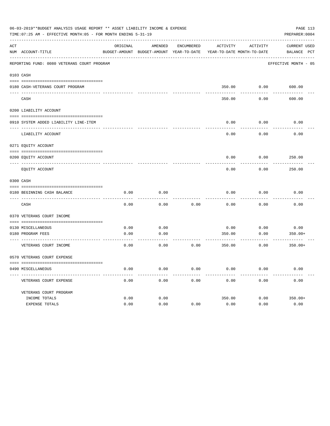|     | 06-03-2019**BUDGET ANALYSIS USAGE REPORT ** ASSET LIABILITY INCOME & EXPENSE<br>TIME: 07:25 AM - EFFECTIVE MONTH: 05 - FOR MONTH ENDING 5-31-19 |          |                                                     |            |          |                                        | PREPARER: 0004                     | PAGE 113 |
|-----|-------------------------------------------------------------------------------------------------------------------------------------------------|----------|-----------------------------------------------------|------------|----------|----------------------------------------|------------------------------------|----------|
| ACT | NUM ACCOUNT-TITLE                                                                                                                               | ORIGINAL | AMENDED<br>BUDGET-AMOUNT BUDGET-AMOUNT YEAR-TO-DATE | ENCUMBERED | ACTIVITY | ACTIVITY<br>YEAR-TO-DATE MONTH-TO-DATE | <b>CURRENT USED</b><br>BALANCE PCT |          |
|     | REPORTING FUND: 0080 VETERANS COURT PROGRAM                                                                                                     |          |                                                     |            |          |                                        | EFFECTIVE MONTH - 05               |          |
|     | 0103 CASH                                                                                                                                       |          |                                                     |            |          |                                        |                                    |          |
|     | 0180 CASH-VETERANS COURT PROGRAM                                                                                                                |          |                                                     |            |          | 350.00 0.00                            | 600.00                             |          |
|     | CASH                                                                                                                                            |          |                                                     |            | 350.00   | 0.00                                   | 600.00                             |          |
|     | 0200 LIABILITY ACCOUNT                                                                                                                          |          |                                                     |            |          |                                        |                                    |          |
|     | 0910 SYSTEM ADDED LIABILITY LINE-ITEM                                                                                                           |          |                                                     |            | 0.00     | 0.00                                   | 0.00                               |          |
|     | LIABILITY ACCOUNT                                                                                                                               |          |                                                     |            | 0.00     | 0.00                                   | 0.00                               |          |
|     | 0271 EQUITY ACCOUNT                                                                                                                             |          |                                                     |            |          |                                        |                                    |          |
|     | 0200 EQUITY ACCOUNT                                                                                                                             |          |                                                     |            | 0.00     | 0.00                                   | 250.00                             |          |
|     | EQUITY ACCOUNT                                                                                                                                  |          |                                                     |            | 0.00     | 0.00                                   | 250.00                             |          |
|     | 0300 CASH                                                                                                                                       |          |                                                     |            |          |                                        |                                    |          |
|     | 0180 BEGINNING CASH BALANCE                                                                                                                     | 0.00     | 0.00                                                |            | 0.00     | 0.00                                   | 0.00                               |          |
|     | ___________________________________<br>CASH                                                                                                     | 0.00     | 0.00                                                | 0.00       | 0.00     | 0.00                                   | 0.00                               |          |
|     | 0370 VETERANS COURT INCOME                                                                                                                      |          |                                                     |            |          |                                        |                                    |          |
|     | 0130 MISCELLANEOUS                                                                                                                              | 0.00     | 0.00                                                |            | 0.00     | 0.00                                   | 0.00                               |          |
|     | 0180 PROGRAM FEES                                                                                                                               | 0.00     | 0.00                                                |            | 350.00   | 0.00                                   | $350.00+$                          |          |
|     | VETERANS COURT INCOME                                                                                                                           | 0.00     | 0.00                                                | 0.00       | 350.00   | 0.00                                   | $350.00+$                          |          |
|     | 0570 VETERANS COURT EXPENSE                                                                                                                     |          |                                                     |            |          |                                        |                                    |          |
|     | 0490 MISCELLANEOUS                                                                                                                              | 0.00     | 0.00                                                | 0.00       | 0.00     | 0.00                                   | 0.00                               |          |
|     | VETERANS COURT EXPENSE                                                                                                                          | 0.00     | 0.00                                                | 0.00       | 0.00     | 0.00                                   | 0.00                               |          |
|     | VETERANS COURT PROGRAM                                                                                                                          |          |                                                     |            |          |                                        |                                    |          |
|     | INCOME TOTALS                                                                                                                                   | 0.00     | 0.00                                                |            | 350.00   | 0.00                                   | $350.00+$                          |          |
|     | EXPENSE TOTALS                                                                                                                                  | 0.00     | 0.00                                                | 0.00       | 0.00     | 0.00                                   | 0.00                               |          |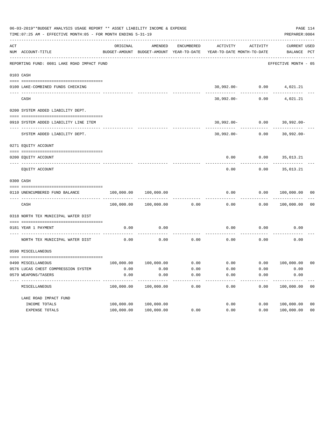|     | 06-03-2019**BUDGET ANALYSIS USAGE REPORT ** ASSET LIABILITY INCOME & EXPENSE<br>TIME: 07:25 AM - EFFECTIVE MONTH: 05 - FOR MONTH ENDING 5-31-19 |            |                       |            |                                                                     |                    | PAGE 114<br>PREPARER: 0004       |                |
|-----|-------------------------------------------------------------------------------------------------------------------------------------------------|------------|-----------------------|------------|---------------------------------------------------------------------|--------------------|----------------------------------|----------------|
| ACT | NUM ACCOUNT-TITLE                                                                                                                               | ORIGINAL   | AMENDED               | ENCUMBERED | BUDGET-AMOUNT BUDGET-AMOUNT YEAR-TO-DATE YEAR-TO-DATE MONTH-TO-DATE | ACTIVITY ACTIVITY  | CURRENT USED<br>BALANCE PCT      |                |
|     | REPORTING FUND: 0081 LAKE ROAD IMPACT FUND                                                                                                      |            |                       |            |                                                                     |                    | EFFECTIVE MONTH - 05             |                |
|     | 0103 CASH                                                                                                                                       |            |                       |            |                                                                     |                    |                                  |                |
|     |                                                                                                                                                 |            |                       |            |                                                                     |                    |                                  |                |
|     | 0100 LAKE-COMBINED FUNDS CHECKING                                                                                                               |            |                       |            |                                                                     | -------------      | 30,992.00- 0.00 4,021.21         |                |
|     | CASH                                                                                                                                            |            |                       |            |                                                                     | $30,992.00 - 0.00$ | 4,021.21                         |                |
|     | 0200 SYSTEM ADDED LIABILITY DEPT.                                                                                                               |            |                       |            |                                                                     |                    |                                  |                |
|     |                                                                                                                                                 |            |                       |            |                                                                     |                    |                                  |                |
|     | 0910 SYSTEM ADDED LIABILITY LINE ITEM                                                                                                           |            |                       |            |                                                                     |                    | $30,992.00 - 0.00$ $30,992.00 -$ |                |
|     | SYSTEM ADDED LIABILITY DEPT.                                                                                                                    |            |                       |            |                                                                     |                    | $30,992.00 - 0.00$ $30,992.00 -$ |                |
|     | 0271 EQUITY ACCOUNT                                                                                                                             |            |                       |            |                                                                     |                    |                                  |                |
|     | 0200 EQUITY ACCOUNT                                                                                                                             |            |                       |            |                                                                     |                    | $0.00$ $0.00$ $35,013.21$        |                |
|     | EQUITY ACCOUNT                                                                                                                                  |            |                       |            | 0.00                                                                | 0.00               | 35,013.21                        |                |
|     | 0300 CASH                                                                                                                                       |            |                       |            |                                                                     |                    |                                  |                |
|     | 0110 UNENCUMBERED FUND BALANCE                                                                                                                  | 100,000.00 | 100,000.00            |            | 0.00                                                                |                    | 0.00 100,000.00 00               |                |
|     | CASH                                                                                                                                            |            | 100,000.00 100,000.00 | 0.00       | 0.00                                                                |                    | 0.00 100,000.00                  | 0 <sub>0</sub> |
|     | 0318 NORTH TEX MUNICIPAL WATER DIST                                                                                                             |            |                       |            |                                                                     |                    |                                  |                |
|     | 0181 YEAR 1 PAYMENT                                                                                                                             | 0.00       | 0.00                  |            | 0.00                                                                | 0.00               | 0.00                             |                |
|     | NORTH TEX MUNICIPAL WATER DIST                                                                                                                  | 0.00       | 0.00                  | 0.00       | 0.00                                                                | 0.00               | 0.00                             |                |
|     | 0590 MISCELLANEOUS                                                                                                                              |            |                       |            |                                                                     |                    |                                  |                |
|     | 0490 MISCELLANEOUS                                                                                                                              |            |                       |            | $100,000.00$ $100,000.00$ 0.00 0.00 0.00 0.00 100,000.00 00         |                    |                                  |                |
|     | 0576 LUCAS CHEST COMPRESSION SYSTEM                                                                                                             | 0.00       | 0.00                  | 0.00       | 0.00                                                                | 0.00               | 0.00                             |                |
|     | 0579 WEAPONS/TASERS                                                                                                                             | 0.00       | 0.00                  | 0.00       | 0.00                                                                | 0.00               | 0.00                             |                |
|     | MISCELLANEOUS                                                                                                                                   | 100,000.00 | 100,000.00            | 0.00       | 0.00                                                                | 0.00               | 100,000.00                       | 0 <sub>0</sub> |
|     | LAKE ROAD IMPACT FUND                                                                                                                           |            |                       |            |                                                                     |                    |                                  |                |
|     | INCOME TOTALS                                                                                                                                   | 100,000.00 | 100,000.00            |            | 0.00                                                                | 0.00               | 100,000.00                       | 0 <sub>0</sub> |
|     | EXPENSE TOTALS                                                                                                                                  | 100,000.00 | 100,000.00            | 0.00       | 0.00                                                                | 0.00               | 100,000.00                       | 0 <sub>0</sub> |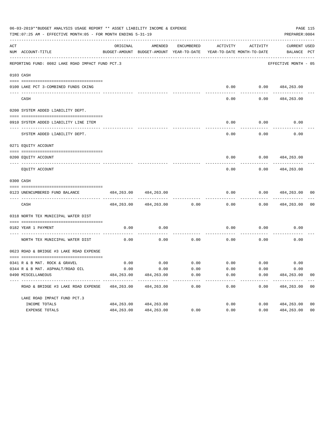| 06-03-2019**BUDGET ANALYSIS USAGE REPORT ** ASSET LIABILITY INCOME & EXPENSE<br>PAGE 115<br>TIME: 07:25 AM - EFFECTIVE MONTH: 05 - FOR MONTH ENDING 5-31-19<br>PREPARER: 0004 |                                                  |            |                                                     |                                           |                                        |                    |                                    |                |  |
|-------------------------------------------------------------------------------------------------------------------------------------------------------------------------------|--------------------------------------------------|------------|-----------------------------------------------------|-------------------------------------------|----------------------------------------|--------------------|------------------------------------|----------------|--|
| ACT                                                                                                                                                                           | NUM ACCOUNT-TITLE                                | ORIGINAL   | AMENDED<br>BUDGET-AMOUNT BUDGET-AMOUNT YEAR-TO-DATE | ENCUMBERED                                | ACTIVITY<br>YEAR-TO-DATE MONTH-TO-DATE | ACTIVITY           | <b>CURRENT USED</b><br>BALANCE PCT |                |  |
|                                                                                                                                                                               | REPORTING FUND: 0082 LAKE ROAD IMPACT FUND PCT.3 |            |                                                     |                                           |                                        |                    | EFFECTIVE MONTH - 05               |                |  |
|                                                                                                                                                                               | 0103 CASH                                        |            |                                                     |                                           |                                        |                    |                                    |                |  |
|                                                                                                                                                                               |                                                  |            |                                                     |                                           |                                        |                    | $0.00$ $0.00$ $484,263.00$         |                |  |
|                                                                                                                                                                               | 0100 LAKE PCT 3-COMBINED FUNDS CKING             |            |                                                     |                                           |                                        |                    |                                    |                |  |
|                                                                                                                                                                               | CASH                                             |            |                                                     |                                           | 0.00                                   | 0.00               | 484,263.00                         |                |  |
|                                                                                                                                                                               | 0200 SYSTEM ADDED LIABILITY DEPT.                |            |                                                     |                                           |                                        |                    |                                    |                |  |
|                                                                                                                                                                               |                                                  |            |                                                     |                                           |                                        |                    |                                    |                |  |
|                                                                                                                                                                               | 0910 SYSTEM ADDED LIABILITY LINE ITEM            |            |                                                     |                                           | 0.00                                   | 0.00               | 0.00                               |                |  |
|                                                                                                                                                                               | SYSTEM ADDED LIABILITY DEPT.                     |            |                                                     |                                           | -----<br>0.00                          | .<br>0.00          | 0.00                               |                |  |
|                                                                                                                                                                               | 0271 EQUITY ACCOUNT                              |            |                                                     |                                           |                                        |                    |                                    |                |  |
|                                                                                                                                                                               |                                                  |            |                                                     |                                           |                                        |                    |                                    |                |  |
|                                                                                                                                                                               | 0200 EQUITY ACCOUNT                              |            |                                                     |                                           | 0.00                                   |                    | $0.00$ $484,263.00$                |                |  |
|                                                                                                                                                                               | EQUITY ACCOUNT                                   |            |                                                     |                                           | 0.00                                   | 0.00               | 484,263.00                         |                |  |
|                                                                                                                                                                               | 0300 CASH                                        |            |                                                     |                                           |                                        |                    |                                    |                |  |
|                                                                                                                                                                               | 0123 UNENCUMBERED FUND BALANCE                   | 484,263.00 | 484,263.00                                          |                                           | 0.00                                   | 0.00               | 484,263.00                         | 00             |  |
|                                                                                                                                                                               | CASH                                             |            | 484, 263.00 484, 263.00                             | 0.00                                      | 0.00                                   | 0.00               | ------------<br>484,263.00         | 0 <sub>0</sub> |  |
|                                                                                                                                                                               | 0318 NORTH TEX MUNICIPAL WATER DIST              |            |                                                     |                                           |                                        |                    |                                    |                |  |
|                                                                                                                                                                               | 0182 YEAR 1 PAYMENT                              | 0.00       | 0.00                                                |                                           | 0.00                                   | 0.00               | 0.00                               |                |  |
|                                                                                                                                                                               | NORTH TEX MUNICIPAL WATER DIST                   | 0.00       | 0.00                                                | 0.00                                      | 0.00                                   | 0.00               | 0.00                               |                |  |
|                                                                                                                                                                               | 0623 ROAD & BRIDGE #3 LAKE ROAD EXPENSE          |            |                                                     |                                           |                                        |                    |                                    |                |  |
|                                                                                                                                                                               | 0341 R & B MAT. ROCK & GRAVEL                    | 0.00       |                                                     | $0.00$ $0.00$ $0.00$ $0.00$ $0.00$ $0.00$ |                                        |                    | 0.00                               |                |  |
|                                                                                                                                                                               | 0344 R & B MAT. ASPHALT/ROAD OIL                 | 0.00       | 0.00                                                | 0.00                                      | 0.00                                   | 0.00               | 0.00                               |                |  |
|                                                                                                                                                                               | 0490 MISCELLANEOUS                               | 484,263.00 | 484,263.00                                          | 0.00                                      | 0.00                                   | 0.00               | 484,263.00                         | 00             |  |
|                                                                                                                                                                               | ROAD & BRIDGE #3 LAKE ROAD EXPENSE               | 484,263.00 | -------------<br>484,263.00                         | ------------<br>0.00                      | ---------<br>0.00                      | ----------<br>0.00 | ------------<br>484,263.00         | 0 <sub>0</sub> |  |
|                                                                                                                                                                               | LAKE ROAD IMPACT FUND PCT.3                      |            |                                                     |                                           |                                        |                    |                                    |                |  |
|                                                                                                                                                                               | INCOME TOTALS                                    | 484,263.00 | 484,263.00                                          |                                           | 0.00                                   | 0.00               | 484,263.00                         | 0 <sub>0</sub> |  |
|                                                                                                                                                                               | EXPENSE TOTALS                                   | 484,263.00 | 484,263.00                                          | 0.00                                      | 0.00                                   | 0.00               | 484,263.00                         | 0 <sub>0</sub> |  |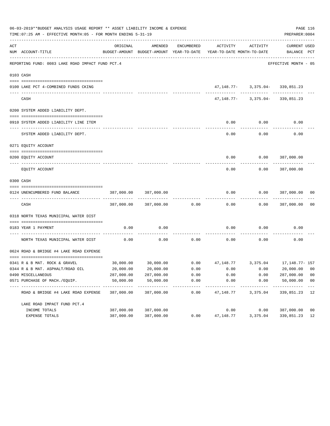| 06-03-2019**BUDGET ANALYSIS USAGE REPORT ** ASSET LIABILITY INCOME & EXPENSE<br>TIME: 07:25 AM - EFFECTIVE MONTH: 05 - FOR MONTH ENDING 5-31-19 |                                                                     |            |                                                     |                     |                                                                         |                                         |                             |                         |  |
|-------------------------------------------------------------------------------------------------------------------------------------------------|---------------------------------------------------------------------|------------|-----------------------------------------------------|---------------------|-------------------------------------------------------------------------|-----------------------------------------|-----------------------------|-------------------------|--|
| ACT                                                                                                                                             | NUM ACCOUNT-TITLE                                                   | ORIGINAL   | AMENDED<br>BUDGET-AMOUNT BUDGET-AMOUNT YEAR-TO-DATE | ENCUMBERED          | ACTIVITY<br>YEAR-TO-DATE MONTH-TO-DATE                                  | ACTIVITY                                | CURRENT USED<br>BALANCE PCT |                         |  |
|                                                                                                                                                 | REPORTING FUND: 0083 LAKE ROAD IMPACT FUND PCT.4                    |            |                                                     |                     |                                                                         |                                         | EFFECTIVE MONTH - 05        |                         |  |
|                                                                                                                                                 | 0103 CASH                                                           |            |                                                     |                     |                                                                         |                                         |                             |                         |  |
|                                                                                                                                                 |                                                                     |            |                                                     |                     |                                                                         |                                         |                             |                         |  |
|                                                                                                                                                 | 0100 LAKE PCT 4-COMBINED FUNDS CKING                                |            |                                                     |                     |                                                                         | 47, 148. 77 - 3, 375. 04 - 339, 851. 23 |                             |                         |  |
|                                                                                                                                                 | CASH                                                                |            |                                                     |                     |                                                                         | $47,148.77 - 3,375.04 - 339,851.23$     |                             |                         |  |
|                                                                                                                                                 | 0200 SYSTEM ADDED LIABILITY DEPT.                                   |            |                                                     |                     |                                                                         |                                         |                             |                         |  |
|                                                                                                                                                 | 0910 SYSTEM ADDED LIABILITY LINE ITEM                               |            |                                                     |                     | 0.00                                                                    | 0.00                                    | 0.00                        |                         |  |
|                                                                                                                                                 | SYSTEM ADDED LIABILITY DEPT.                                        |            |                                                     |                     | 0.00                                                                    | 0.00                                    | 0.00                        |                         |  |
|                                                                                                                                                 | 0271 EQUITY ACCOUNT                                                 |            |                                                     |                     |                                                                         |                                         |                             |                         |  |
|                                                                                                                                                 | 0200 EQUITY ACCOUNT                                                 |            |                                                     |                     |                                                                         | $0.00$ $0.00$ $387,000.00$              |                             |                         |  |
|                                                                                                                                                 | EQUITY ACCOUNT                                                      |            |                                                     |                     | 0.00                                                                    | 0.00                                    | 387,000.00                  |                         |  |
|                                                                                                                                                 | 0300 CASH                                                           |            |                                                     |                     |                                                                         |                                         |                             |                         |  |
|                                                                                                                                                 |                                                                     |            |                                                     |                     |                                                                         |                                         |                             |                         |  |
|                                                                                                                                                 | 0124 UNENCUMBERED FUND BALANCE                                      | 387,000.00 | 387,000.00                                          |                     | 0.00                                                                    | 0.00                                    | 387,000.00 00               |                         |  |
|                                                                                                                                                 | CASH                                                                |            | 387,000.00 387,000.00                               | 0.00                | 0.00                                                                    |                                         | $0.00$ 387,000.00           | 0 <sub>0</sub>          |  |
|                                                                                                                                                 | 0318 NORTH TEXAS MUNICIPAL WATER DIST                               |            |                                                     |                     |                                                                         |                                         |                             |                         |  |
|                                                                                                                                                 | 0183 YEAR 1 PAYMENT                                                 | 0.00       | 0.00                                                |                     | 0.00                                                                    | 0.00                                    | 0.00                        |                         |  |
|                                                                                                                                                 | ---------------------------- --<br>NORTH TEXAS MUNICIPAL WATER DIST | 0.00       | 0.00                                                | 0.00                | 0.00                                                                    | 0.00                                    | 0.00                        |                         |  |
|                                                                                                                                                 | 0624 ROAD & BRIDGE #4 LAKE ROAD EXPENSE                             |            |                                                     |                     |                                                                         |                                         |                             |                         |  |
|                                                                                                                                                 | 0341 R & B MAT. ROCK & GRAVEL                                       |            |                                                     |                     | $30,000.00$ $30,000.00$ $0.00$ $47,148.77$ $3,375.04$ $17,148.77$ $157$ |                                         |                             |                         |  |
|                                                                                                                                                 | 0344 R & B MAT. ASPHALT/ROAD OIL                                    | 20,000.00  | 20,000.00                                           | 0.00                | 0.00                                                                    | 0.00                                    | 20,000.00                   | 00                      |  |
|                                                                                                                                                 | 0490 MISCELLANEOUS                                                  | 287,000.00 | 287,000.00                                          | 0.00                | 0.00                                                                    | 0.00                                    | 287,000.00                  | 0 <sub>0</sub>          |  |
|                                                                                                                                                 | 0571 PURCHASE OF MACH./EQUIP.                                       | 50,000.00  | 50,000.00<br>-----------                            | 0.00<br>----------- | 0.00                                                                    | 0.00                                    | 50,000.00<br>----------     | 0 <sub>0</sub><br>$---$ |  |
|                                                                                                                                                 | ROAD & BRIDGE #4 LAKE ROAD EXPENSE                                  | 387,000.00 | 387,000.00                                          | 0.00                | 47,148.77                                                               | 3,375.04                                | 339,851.23                  | 12                      |  |
|                                                                                                                                                 | LAKE ROAD IMPACT FUND PCT. 4                                        |            |                                                     |                     |                                                                         |                                         |                             |                         |  |
|                                                                                                                                                 | INCOME TOTALS                                                       | 387,000.00 | 387,000.00                                          |                     | 0.00                                                                    | 0.00                                    | 387,000.00                  | 0 <sub>0</sub>          |  |
|                                                                                                                                                 | EXPENSE TOTALS                                                      | 387,000.00 | 387,000.00                                          | 0.00                | 47,148.77                                                               | 3,375.04                                | 339,851.23                  | 12                      |  |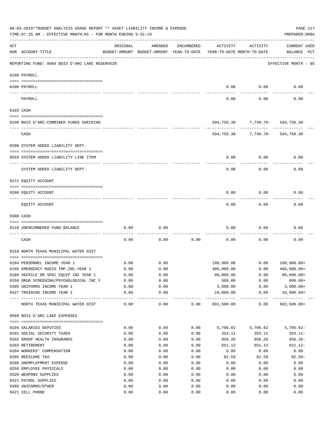|     | 06-03-2019**BUDGET ANALYSIS USAGE REPORT ** ASSET LIABILITY INCOME & EXPENSE<br>PAGE 117<br>TIME: 07:25 AM - EFFECTIVE MONTH: 05 - FOR MONTH ENDING 5-31-19<br>PREPARER: 0004 |              |                                                     |              |                  |                                        |                                    |  |  |  |  |
|-----|-------------------------------------------------------------------------------------------------------------------------------------------------------------------------------|--------------|-----------------------------------------------------|--------------|------------------|----------------------------------------|------------------------------------|--|--|--|--|
| ACT | NUM ACCOUNT-TITLE                                                                                                                                                             | ORIGINAL     | AMENDED<br>BUDGET-AMOUNT BUDGET-AMOUNT YEAR-TO-DATE | ENCUMBERED   | ACTIVITY         | ACTIVITY<br>YEAR-TO-DATE MONTH-TO-DATE | <b>CURRENT USED</b><br>BALANCE PCT |  |  |  |  |
|     | REPORTING FUND: 0084 BOIS D'ARC LAKE RESERVOIR                                                                                                                                |              |                                                     |              |                  |                                        | EFFECTIVE MONTH - 05               |  |  |  |  |
|     | 0100 PAYROLL                                                                                                                                                                  |              |                                                     |              |                  |                                        |                                    |  |  |  |  |
|     | 0100 PAYROLL                                                                                                                                                                  |              |                                                     |              | 0.00             | 0.00                                   | 0.00                               |  |  |  |  |
|     | PAYROLL                                                                                                                                                                       |              |                                                     |              | 0.00             | 0.00                                   | 0.00                               |  |  |  |  |
|     | 0103 CASH                                                                                                                                                                     |              |                                                     |              |                  |                                        |                                    |  |  |  |  |
|     | 0100 BOIS D'ARC-COMBINED FUNDS CHECKING                                                                                                                                       |              |                                                     |              |                  | 594,750.30 7,749.70- 594,750.30        |                                    |  |  |  |  |
|     | CASH                                                                                                                                                                          |              |                                                     |              |                  | 594,750.30 7,749.70-                   | 594,750.30                         |  |  |  |  |
|     | 0200 SYSTEM ADDED LIABILITY DEPT.                                                                                                                                             |              |                                                     |              |                  |                                        |                                    |  |  |  |  |
|     | 0910 SYSTEM ADDED LIABILITY LINE ITEM                                                                                                                                         |              |                                                     |              | 0.00             | 0.00                                   | 0.00                               |  |  |  |  |
|     | SYSTEM ADDED LIABILITY DEPT.                                                                                                                                                  |              |                                                     |              | 0.00             | 0.00                                   | 0.00                               |  |  |  |  |
|     | 0271 EQUITY ACCOUNT                                                                                                                                                           |              |                                                     |              |                  |                                        |                                    |  |  |  |  |
|     | 0200 EQUITY ACCOUNT                                                                                                                                                           |              |                                                     |              | 0.00             | 0.00                                   | 0.00                               |  |  |  |  |
|     | EQUITY ACCOUNT                                                                                                                                                                |              |                                                     |              | 0.00             | 0.00                                   | 0.00                               |  |  |  |  |
|     | 0300 CASH                                                                                                                                                                     |              |                                                     |              |                  |                                        |                                    |  |  |  |  |
|     | 0110 UNENCUMBERED FUND BALANCE                                                                                                                                                | 0.00         | 0.00                                                |              | 0.00             | 0.00                                   | 0.00                               |  |  |  |  |
|     | CASH                                                                                                                                                                          | 0.00         | 0.00                                                | 0.00         | 0.00             | 0.00                                   | 0.00                               |  |  |  |  |
|     |                                                                                                                                                                               |              |                                                     |              |                  |                                        |                                    |  |  |  |  |
|     | 0318 NORTH TEXAS MUNICIPAL WATER DIST                                                                                                                                         |              |                                                     |              |                  |                                        |                                    |  |  |  |  |
|     | 0184 PERSONNEL INCOME YEAR 1                                                                                                                                                  | 0.00         | 0.00                                                |              | 108,900.00       | 0.00                                   | $108,900.00+$                      |  |  |  |  |
|     | 0185 EMERGENCY RADIO IMP. INC. YEAR 1                                                                                                                                         | 0.00         | 0.00                                                |              | 400,000.00       | 0.00                                   | $400,000.00+$                      |  |  |  |  |
|     | 0186 VEHICLE OR SPEC EQUIP INC YEAR 1                                                                                                                                         | 0.00         | 0.00                                                |              | 80,000.00        | 0.00                                   | 80,000.00+                         |  |  |  |  |
|     | 0250 DRUG SCREENING/PSYCHOLOGICAL INC Y                                                                                                                                       | 0.00         | 0.00                                                |              | 600.00           | 0.00                                   | $600.00+$                          |  |  |  |  |
|     | 0395 UNIFORMS INCOME YEAR 1                                                                                                                                                   | 0.00         | 0.00                                                |              | 3,000.00         | 0.00                                   | $3,000.00+$                        |  |  |  |  |
|     | 0427 TRAINING INCOME YEAR 1                                                                                                                                                   | 0.00         | 0.00                                                |              | 10,000.00        | 0.00<br>-------------- ------------    | $10,000.00+$                       |  |  |  |  |
|     | NORTH TEXAS MUNICIPAL WATER DIST                                                                                                                                              | 0.00         | 0.00                                                | 0.00         | 602,500.00       | 0.00                                   | $602,500.00+$                      |  |  |  |  |
|     | 0560 BOIS D'ARC LAKE EXPENSES                                                                                                                                                 |              |                                                     |              |                  |                                        |                                    |  |  |  |  |
|     |                                                                                                                                                                               |              |                                                     |              |                  |                                        |                                    |  |  |  |  |
|     | 0104 SALARIES DEPUTIES                                                                                                                                                        | 0.00         | 0.00                                                | 0.00         | 5,706.62         | 5,706.62                               | $5,706.62-$                        |  |  |  |  |
|     | 0201 SOCIAL SECURITY TAXES                                                                                                                                                    | 0.00         | 0.00                                                | 0.00         | 353.11           | 353.11                                 | $353.11-$                          |  |  |  |  |
|     | 0202 GROUP HEALTH INSURANCE<br>0203 RETIREMENT                                                                                                                                | 0.00<br>0.00 | 0.00<br>0.00                                        | 0.00<br>0.00 | 956.26<br>651.12 | 956.26<br>651.12                       | $956.26 -$<br>651.12-              |  |  |  |  |
|     |                                                                                                                                                                               |              |                                                     |              |                  |                                        |                                    |  |  |  |  |
|     | 0204 WORKERS' COMPENSATION                                                                                                                                                    | 0.00         | 0.00                                                | 0.00         | 0.00             | 0.00                                   | 0.00                               |  |  |  |  |
|     | 0205 MEDICARE TAX                                                                                                                                                             | 0.00         | 0.00                                                | 0.00         | 82.59            | 82.59                                  | $82.59 -$                          |  |  |  |  |
|     | 0206 UNEMPLOYMENT EXPENSE                                                                                                                                                     | 0.00         | 0.00                                                | 0.00         | 0.00             | 0.00                                   | 0.00                               |  |  |  |  |
|     | 0250 EMPLOYEE PHYSICALS                                                                                                                                                       | 0.00         | 0.00                                                | 0.00         | 0.00             | 0.00                                   | 0.00                               |  |  |  |  |
|     | 0320 WEAPONS SUPPLIES                                                                                                                                                         | 0.00         | 0.00                                                | 0.00         | 0.00             | 0.00                                   | 0.00                               |  |  |  |  |
|     | 0321 PATROL SUPPLIES                                                                                                                                                          | 0.00         | 0.00                                                | 0.00         | 0.00             | 0.00                                   | 0.00                               |  |  |  |  |
|     | 0395 UNIFORMS/OTHER                                                                                                                                                           | 0.00         | 0.00                                                | 0.00         | 0.00             | 0.00                                   | 0.00                               |  |  |  |  |
|     | 0421 CELL PHONE                                                                                                                                                               | 0.00         | 0.00                                                | 0.00         | 0.00             | 0.00                                   | 0.00                               |  |  |  |  |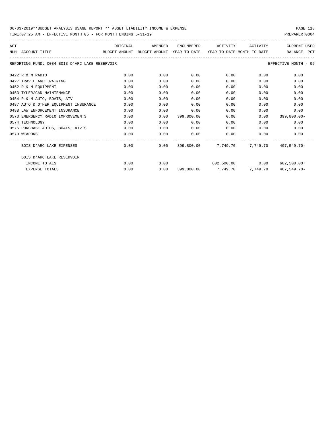| ACT |                                                                                          |      | ORIGINAL AMENDED |            | ENCUMBERED ACTIVITY ACTIVITY |      | CURRENT USED                                        |
|-----|------------------------------------------------------------------------------------------|------|------------------|------------|------------------------------|------|-----------------------------------------------------|
|     | BUDGET-AMOUNT BUDGET-AMOUNT YEAR-TO-DATE YEAR-TO-DATE MONTH-TO-DATE<br>NUM ACCOUNT-TITLE |      |                  |            |                              |      | BALANCE PCT                                         |
|     | REPORTING FUND: 0084 BOIS D'ARC LAKE RESERVOIR                                           |      |                  |            |                              |      | EFFECTIVE MONTH - 05                                |
|     | 0422 R & M RADIO                                                                         | 0.00 | 0.00             | 0.00       | 0.00                         | 0.00 | 0.00                                                |
|     | 0427 TRAVEL AND TRAINING                                                                 | 0.00 | 0.00             | 0.00       | 0.00                         | 0.00 | 0.00                                                |
|     | 0452 R & M EOUIPMENT                                                                     | 0.00 | 0.00             | 0.00       | 0.00                         | 0.00 | 0.00                                                |
|     | 0453 TYLER/CAD MAINTENANCE                                                               | 0.00 | 0.00             | 0.00       | 0.00                         | 0.00 | 0.00                                                |
|     | 0454 R & M AUTO, BOATS, ATV                                                              | 0.00 | 0.00             | 0.00       | 0.00                         | 0.00 | 0.00                                                |
|     | 0487 AUTO & OTHER EQUIPMENT INSURANCE                                                    | 0.00 | 0.00             | 0.00       | 0.00                         | 0.00 | 0.00                                                |
|     | 0488 LAW ENFORCEMENT INSURANCE                                                           | 0.00 | 0.00             | 0.00       | 0.00                         | 0.00 | 0.00                                                |
|     | 0573 EMERGENCY RADIO IMPROVEMENTS                                                        | 0.00 | 0.00             | 399,800.00 | 0.00                         | 0.00 | 399,800.00-                                         |
|     | 0574 TECHNOLOGY                                                                          | 0.00 | 0.00             | 0.00       | 0.00                         | 0.00 | 0.00                                                |
|     | 0575 PURCHASE AUTOS, BOATS, ATV'S                                                        | 0.00 | 0.00             | 0.00       | 0.00                         | 0.00 | 0.00                                                |
|     | 0579 WEAPONS                                                                             | 0.00 | 0.00             | 0.00       | $0.00$ 0.00                  |      | 0.00                                                |
|     | BOIS D'ARC LAKE EXPENSES                                                                 |      |                  |            |                              |      | $0.00$ 0.00 399,800.00 7,749.70 7,749.70 407,549.70 |
|     | BOIS D'ARC LAKE RESERVOIR                                                                |      |                  |            |                              |      |                                                     |
|     | INCOME TOTALS                                                                            | 0.00 | 0.00             |            | $602,500.00$ 0.00            |      | 602,500.00+                                         |
|     | <b>EXPENSE TOTALS</b>                                                                    | 0.00 | 0.00             |            | 399,800.00 7,749.70 7,749.70 |      | $407.549.70 -$                                      |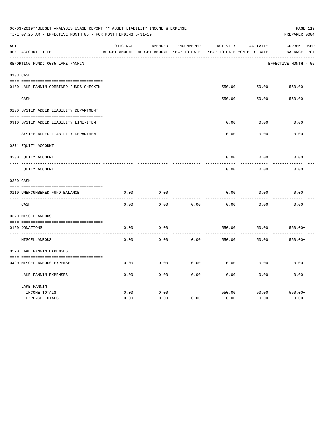|     | 06-03-2019**BUDGET ANALYSIS USAGE REPORT ** ASSET LIABILITY INCOME & EXPENSE<br>PAGE 119<br>TIME: 07:25 AM - EFFECTIVE MONTH: 05 - FOR MONTH ENDING 5-31-19<br>PREPARER: 0004 |              |                                                     |                   |                |                                        |                                    |  |  |  |
|-----|-------------------------------------------------------------------------------------------------------------------------------------------------------------------------------|--------------|-----------------------------------------------------|-------------------|----------------|----------------------------------------|------------------------------------|--|--|--|
| ACT | NUM ACCOUNT-TITLE                                                                                                                                                             | ORIGINAL     | AMENDED<br>BUDGET-AMOUNT BUDGET-AMOUNT YEAR-TO-DATE | <b>ENCUMBERED</b> | ACTIVITY       | ACTIVITY<br>YEAR-TO-DATE MONTH-TO-DATE | <b>CURRENT USED</b><br>BALANCE PCT |  |  |  |
|     | REPORTING FUND: 0085 LAKE FANNIN                                                                                                                                              |              |                                                     |                   |                |                                        | EFFECTIVE MONTH - 05               |  |  |  |
|     | 0103 CASH                                                                                                                                                                     |              |                                                     |                   |                |                                        |                                    |  |  |  |
|     | 0100 LAKE FANNIN-COMBINED FUNDS CHECKIN                                                                                                                                       |              |                                                     |                   | 550.00         | 50.00                                  | 550.00                             |  |  |  |
|     | CASH                                                                                                                                                                          |              |                                                     |                   | 550.00         | 50.00                                  | 550.00                             |  |  |  |
|     | 0200 SYSTEM ADDED LIABILITY DEPARTMENT                                                                                                                                        |              |                                                     |                   |                |                                        |                                    |  |  |  |
|     | 0910 SYSTEM ADDED LIABILITY LINE-ITEM                                                                                                                                         |              |                                                     |                   | 0.00           | 0.00                                   | 0.00                               |  |  |  |
|     | SYSTEM ADDED LIABILITY DEPARTMENT                                                                                                                                             |              |                                                     |                   | 0.00           | 0.00                                   | 0.00                               |  |  |  |
|     | 0271 EQUITY ACCOUNT                                                                                                                                                           |              |                                                     |                   |                |                                        |                                    |  |  |  |
|     | 0200 EQUITY ACCOUNT                                                                                                                                                           |              |                                                     |                   | 0.00           | 0.00                                   | 0.00                               |  |  |  |
|     | ---- -----------<br>EQUITY ACCOUNT                                                                                                                                            |              |                                                     |                   | 0.00           | 0.00                                   | 0.00                               |  |  |  |
|     | 0300 CASH                                                                                                                                                                     |              |                                                     |                   |                |                                        |                                    |  |  |  |
|     | 0110 UNENCUMBERED FUND BALANCE                                                                                                                                                | 0.00         | 0.00                                                |                   | 0.00           | 0.00                                   | 0.00                               |  |  |  |
|     | CASH                                                                                                                                                                          | 0.00         | 0.00                                                | 0.00              | 0.00           | 0.00                                   | 0.00                               |  |  |  |
|     | 0370 MISCELLANEOUS                                                                                                                                                            |              |                                                     |                   |                |                                        |                                    |  |  |  |
|     | 0150 DONATIONS                                                                                                                                                                | 0.00         | 0.00                                                |                   | 550.00         | 50.00                                  | $550.00+$                          |  |  |  |
|     | MISCELLANEOUS                                                                                                                                                                 | 0.00         | 0.00                                                | 0.00              | 550.00         | 50.00                                  | $550.00+$                          |  |  |  |
|     | 0520 LAKE FANNIN EXPENSES                                                                                                                                                     |              |                                                     |                   |                |                                        |                                    |  |  |  |
|     | 0490 MISCELLANEOUS EXPENSE                                                                                                                                                    | 0.00         | 0.00                                                | 0.00              | 0.00           | 0.00                                   | 0.00                               |  |  |  |
|     | LAKE FANNIN EXPENSES                                                                                                                                                          | 0.00         | 0.00                                                | 0.00              | 0.00           | 0.00                                   | 0.00                               |  |  |  |
|     | LAKE FANNIN                                                                                                                                                                   |              |                                                     |                   |                |                                        |                                    |  |  |  |
|     | INCOME TOTALS<br><b>EXPENSE TOTALS</b>                                                                                                                                        | 0.00<br>0.00 | 0.00<br>0.00                                        | 0.00              | 550.00<br>0.00 | 50.00<br>0.00                          | $550.00+$<br>0.00                  |  |  |  |
|     |                                                                                                                                                                               |              |                                                     |                   |                |                                        |                                    |  |  |  |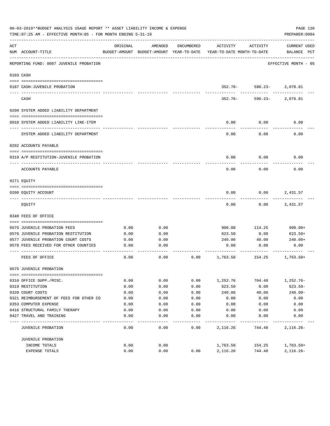|     | 06-03-2019**BUDGET ANALYSIS USAGE REPORT ** ASSET LIABILITY INCOME & EXPENSE<br>PAGE 120<br>TIME: 07:25 AM - EFFECTIVE MONTH: 05 - FOR MONTH ENDING 5-31-19<br>PREPARER: 0004 |              |                                                     |            |                                        |                          |                                    |  |  |
|-----|-------------------------------------------------------------------------------------------------------------------------------------------------------------------------------|--------------|-----------------------------------------------------|------------|----------------------------------------|--------------------------|------------------------------------|--|--|
| ACT | NUM ACCOUNT-TITLE                                                                                                                                                             | ORIGINAL     | AMENDED<br>BUDGET-AMOUNT BUDGET-AMOUNT YEAR-TO-DATE | ENCUMBERED | ACTIVITY<br>YEAR-TO-DATE MONTH-TO-DATE | ACTIVITY                 | <b>CURRENT USED</b><br>BALANCE PCT |  |  |
|     | REPORTING FUND: 0087 JUVENILE PROBATION                                                                                                                                       |              |                                                     |            |                                        |                          | EFFECTIVE MONTH - 05               |  |  |
|     | 0103 CASH                                                                                                                                                                     |              |                                                     |            |                                        |                          |                                    |  |  |
|     |                                                                                                                                                                               |              |                                                     |            |                                        |                          |                                    |  |  |
|     | 0187 CASH-JUVENILE PROBATION                                                                                                                                                  |              |                                                     |            |                                        | 352.76- 590.23- 2,078.81 |                                    |  |  |
|     | CASH                                                                                                                                                                          |              |                                                     |            | 352.76-                                |                          | 590.23-2,078.81                    |  |  |
|     | 0200 SYSTEM ADDED LIABILITY DEPARTMENT                                                                                                                                        |              |                                                     |            |                                        |                          |                                    |  |  |
|     |                                                                                                                                                                               |              |                                                     |            |                                        |                          |                                    |  |  |
|     | 0910 SYSTEM ADDED LIABILITY LINE-ITEM                                                                                                                                         |              |                                                     |            | 0.00                                   | 0.00                     | 0.00                               |  |  |
|     | SYSTEM ADDED LIABILITY DEPARTMENT                                                                                                                                             |              |                                                     |            | 0.00                                   | 0.00                     | 0.00                               |  |  |
|     | 0202 ACCOUNTS PAYABLE                                                                                                                                                         |              |                                                     |            |                                        |                          |                                    |  |  |
|     | 0319 A/P RESTITUTION-JUVENILE PROBATION                                                                                                                                       |              |                                                     |            | 0.00                                   | 0.00                     | 0.00                               |  |  |
|     | ACCOUNTS PAYABLE                                                                                                                                                              |              |                                                     |            | 0.00                                   | 0.00                     | 0.00                               |  |  |
|     | 0271 EQUITY                                                                                                                                                                   |              |                                                     |            |                                        |                          |                                    |  |  |
|     |                                                                                                                                                                               |              |                                                     |            |                                        |                          |                                    |  |  |
|     | 0200 EQUITY ACCOUNT                                                                                                                                                           |              |                                                     |            | 0.00                                   | 0.00                     | 2,431.57                           |  |  |
|     | EQUITY                                                                                                                                                                        |              |                                                     |            | 0.00                                   | 0.00                     | 2,431.57                           |  |  |
|     | 0340 FEES OF OFFICE                                                                                                                                                           |              |                                                     |            |                                        |                          |                                    |  |  |
|     |                                                                                                                                                                               |              | 0.00                                                |            |                                        |                          |                                    |  |  |
|     | 0575 JUVENILE PROBATION FEES<br>0576 JUVENILE PROBATION RESTITUTION                                                                                                           | 0.00<br>0.00 | 0.00                                                |            | 900.00<br>623.50                       | 114.25<br>0.00           | $900.00+$<br>$623.50+$             |  |  |
|     | 0577 JUVENILE PROBATION COURT COSTS                                                                                                                                           | 0.00         | 0.00                                                |            | 240.00                                 | 40.00                    | 240.00+                            |  |  |
|     | 0578 FEES RECEIVED FOR OTHER COUNTIES                                                                                                                                         | 0.00         | 0.00                                                |            | 0.00                                   | 0.00                     | 0.00                               |  |  |
|     |                                                                                                                                                                               |              |                                                     |            |                                        |                          |                                    |  |  |
|     | FEES OF OFFICE                                                                                                                                                                | 0.00         | 0.00                                                | 0.00       | 1,763.50                               | 154.25                   | 1,763.50+                          |  |  |
|     | 0575 JUVENILE PROBATION                                                                                                                                                       |              |                                                     |            |                                        |                          |                                    |  |  |
|     |                                                                                                                                                                               |              |                                                     |            |                                        |                          |                                    |  |  |
|     | 0310 OFFICE SUPP./MISC.                                                                                                                                                       | 0.00         | 0.00                                                | 0.00       | 1,252.76                               | 704.48                   | $1,252.76-$                        |  |  |
|     | 0319 RESTITUTION                                                                                                                                                              | 0.00         | 0.00                                                | 0.00       | 623.50                                 | 0.00                     | $623.50 -$                         |  |  |
|     | 0320 COURT COSTS                                                                                                                                                              | 0.00         | 0.00                                                | 0.00       | 240.00                                 | 40.00                    | $240.00 -$                         |  |  |
|     | 0321 REIMBURSEMENT OF FEES FOR OTHER CO                                                                                                                                       | 0.00         | 0.00                                                | 0.00       | 0.00                                   | 0.00                     | 0.00                               |  |  |
|     | 0353 COMPUTER EXPENSE                                                                                                                                                         | 0.00         | 0.00                                                | 0.00       | 0.00                                   | 0.00                     | 0.00                               |  |  |
|     | 0416 STRUCTURAL FAMILY THERAPY                                                                                                                                                | 0.00         | 0.00                                                | 0.00       | 0.00                                   | 0.00                     | 0.00                               |  |  |
|     | 0427 TRAVEL AND TRAINING                                                                                                                                                      | 0.00         | 0.00                                                | 0.00       | 0.00                                   | 0.00                     | 0.00                               |  |  |
|     | JUVENILE PROBATION                                                                                                                                                            | 0.00         | 0.00                                                | 0.00       | 2,116.26                               | 744.48                   | $2,116.26 -$                       |  |  |
|     | JUVENILE PROBATION                                                                                                                                                            |              |                                                     |            |                                        |                          |                                    |  |  |
|     | INCOME TOTALS                                                                                                                                                                 | 0.00         | 0.00                                                |            | 1,763.50                               | 154.25                   | $1,763.50+$                        |  |  |
|     | EXPENSE TOTALS                                                                                                                                                                | 0.00         | 0.00                                                | 0.00       | 2,116.26                               | 744.48                   | $2,116.26 -$                       |  |  |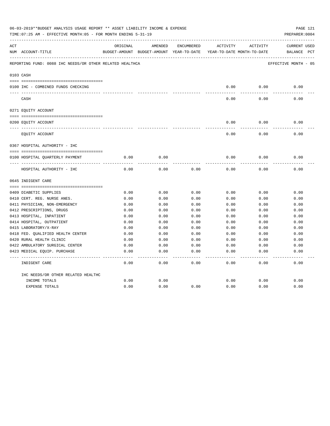|     | 06-03-2019**BUDGET ANALYSIS USAGE REPORT ** ASSET LIABILITY INCOME & EXPENSE<br>TIME: 07:25 AM - EFFECTIVE MONTH: 05 - FOR MONTH ENDING 5-31-19<br>PREPARER: 0004 |          |                                                                     |            |          |          |                      |  |  |
|-----|-------------------------------------------------------------------------------------------------------------------------------------------------------------------|----------|---------------------------------------------------------------------|------------|----------|----------|----------------------|--|--|
| ACT |                                                                                                                                                                   | ORIGINAL | AMENDED                                                             | ENCUMBERED | ACTIVITY | ACTIVITY | <b>CURRENT USED</b>  |  |  |
|     | NUM ACCOUNT-TITLE                                                                                                                                                 |          | BUDGET-AMOUNT BUDGET-AMOUNT YEAR-TO-DATE YEAR-TO-DATE MONTH-TO-DATE |            |          |          | BALANCE PCT          |  |  |
|     | REPORTING FUND: 0088 IHC NEEDS/OR OTHER RELATED HEALTHCA                                                                                                          |          |                                                                     |            |          |          | EFFECTIVE MONTH - 05 |  |  |
|     | 0103 CASH                                                                                                                                                         |          |                                                                     |            |          |          |                      |  |  |
|     | 0100 IHC - COMBINED FUNDS CHECKING                                                                                                                                |          |                                                                     |            | 0.00     | 0.00     | 0.00                 |  |  |
|     | CASH                                                                                                                                                              |          |                                                                     |            | 0.00     | 0.00     | 0.00                 |  |  |
|     |                                                                                                                                                                   |          |                                                                     |            |          |          |                      |  |  |
|     | 0271 EQUITY ACCOUNT                                                                                                                                               |          |                                                                     |            |          |          |                      |  |  |
|     | 0200 EQUITY ACCOUNT                                                                                                                                               |          |                                                                     |            | 0.00     | 0.00     | 0.00                 |  |  |
|     | EQUITY ACCOUNT                                                                                                                                                    |          |                                                                     |            | 0.00     | 0.00     | 0.00                 |  |  |
|     | 0367 HOSPITAL AUTHORITY - IHC                                                                                                                                     |          |                                                                     |            |          |          |                      |  |  |
|     |                                                                                                                                                                   |          |                                                                     |            |          |          |                      |  |  |
|     | 0100 HOSPITAL QUARTERLY PAYMENT                                                                                                                                   | 0.00     | 0.00                                                                |            | 0.00     | 0.00     | 0.00                 |  |  |
|     | HOSPITAL AUTHORITY - IHC                                                                                                                                          | 0.00     | 0.00                                                                | 0.00       | 0.00     | 0.00     | 0.00                 |  |  |
|     | 0645 INDIGENT CARE                                                                                                                                                |          |                                                                     |            |          |          |                      |  |  |
|     |                                                                                                                                                                   |          |                                                                     |            |          |          |                      |  |  |
|     | 0409 DIABETIC SUPPLIES                                                                                                                                            | 0.00     | 0.00                                                                | 0.00       | 0.00     | 0.00     | 0.00                 |  |  |
|     | 0410 CERT. REG. NURSE ANES.                                                                                                                                       | 0.00     | 0.00                                                                | 0.00       | 0.00     | 0.00     | 0.00                 |  |  |
|     | 0411 PHYSICIAN, NON-EMERGENCY                                                                                                                                     | 0.00     | 0.00                                                                | 0.00       | 0.00     | 0.00     | 0.00                 |  |  |
|     | 0412 PRESCRIPTIONS, DRUGS                                                                                                                                         | 0.00     | 0.00                                                                | 0.00       | 0.00     | 0.00     | 0.00                 |  |  |
|     | 0413 HOSPITAL, INPATIENT                                                                                                                                          | 0.00     | 0.00                                                                | 0.00       | 0.00     | 0.00     | 0.00                 |  |  |
|     | 0414 HOSPITAL, OUTPATIENT                                                                                                                                         | 0.00     | 0.00                                                                | 0.00       | 0.00     | 0.00     | 0.00                 |  |  |
|     | 0415 LABORATORY/X-RAY                                                                                                                                             | 0.00     | 0.00                                                                | 0.00       | 0.00     | 0.00     | 0.00                 |  |  |
|     | 0418 FED. OUALIFIED HEALTH CENTER                                                                                                                                 | 0.00     | 0.00                                                                | 0.00       | 0.00     | 0.00     | 0.00                 |  |  |
|     | 0420 RURAL HEALTH CLINIC                                                                                                                                          | 0.00     | 0.00                                                                | 0.00       | 0.00     | 0.00     | 0.00                 |  |  |
|     | 0422 AMBULATORY SURGICAL CENTER                                                                                                                                   | 0.00     | 0.00                                                                | 0.00       | 0.00     | 0.00     | 0.00                 |  |  |
|     | 0423 MEDICAL EQUIP. PURCHASE                                                                                                                                      | 0.00     | 0.00                                                                | 0.00       | 0.00     | 0.00     | 0.00                 |  |  |
|     | INDIGENT CARE                                                                                                                                                     | 0.00     | 0.00                                                                | 0.00       | 0.00     | 0.00     | -----<br>0.00        |  |  |
|     | IHC NEEDS/OR OTHER RELATED HEALTHC                                                                                                                                |          |                                                                     |            |          |          |                      |  |  |
|     | INCOME TOTALS                                                                                                                                                     | 0.00     | 0.00                                                                |            | 0.00     | 0.00     | 0.00                 |  |  |
|     | <b>EXPENSE TOTALS</b>                                                                                                                                             | 0.00     | 0.00                                                                | 0.00       | 0.00     | 0.00     | 0.00                 |  |  |
|     |                                                                                                                                                                   |          |                                                                     |            |          |          |                      |  |  |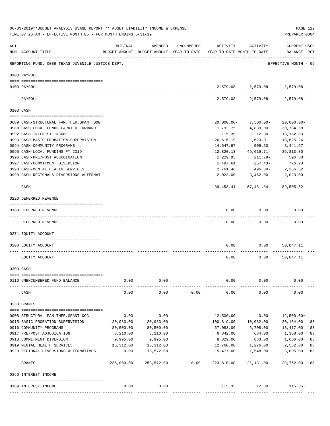|     | 06-03-2019**BUDGET ANALYSIS USAGE REPORT ** ASSET LIABILITY INCOME & EXPENSE<br>TIME: 07:25 AM - EFFECTIVE MONTH: 05 - FOR MONTH ENDING 5-31-19 |                     |                 |            |                                                                                 |                                                                                 | PAGE 122<br>PREPARER: 0004         |
|-----|-------------------------------------------------------------------------------------------------------------------------------------------------|---------------------|-----------------|------------|---------------------------------------------------------------------------------|---------------------------------------------------------------------------------|------------------------------------|
| ACT | NUM ACCOUNT-TITLE                                                                                                                               | ORIGINAL            | AMENDED         | ENCUMBERED | ACTIVITY<br>BUDGET-AMOUNT BUDGET-AMOUNT YEAR-TO-DATE YEAR-TO-DATE MONTH-TO-DATE | ACTIVITY                                                                        | <b>CURRENT USED</b><br>BALANCE PCT |
|     | REPORTING FUND: 0089 TEXAS JUVENILE JUSTICE DEPT.                                                                                               |                     |                 |            |                                                                                 |                                                                                 | EFFECTIVE MONTH - 05               |
|     | 0100 PAYROLL                                                                                                                                    |                     |                 |            |                                                                                 |                                                                                 |                                    |
|     | 0100 PAYROLL                                                                                                                                    |                     |                 |            |                                                                                 | $2,579.08 - 2,579.08 - 2,579.08 -$                                              |                                    |
|     | ---- ------<br>PAYROLL                                                                                                                          |                     |                 |            |                                                                                 | ---------- -------------<br>$2,579.08 - 2,579.08 - 2,579.08 -$                  |                                    |
|     | 0103 CASH                                                                                                                                       |                     |                 |            |                                                                                 |                                                                                 |                                    |
|     | 0689 CASH-STRUCTURAL FAM.THER.GRANT OOG                                                                                                         |                     |                 |            | $20,000.00 -$                                                                   | 7,500.00-                                                                       | $20,000.00-$                       |
|     | 0988 CASH-LOCAL FUNDS CARRIED FORWARD                                                                                                           |                     |                 |            | 1,792.75                                                                        | 4,839.00-                                                                       | 30,784.58                          |
|     | 0992 CASH-INTEREST INCOME                                                                                                                       |                     |                 |            | 115.35                                                                          | 12.30                                                                           | 13,182.83                          |
|     | 0993 CASH-BASIC PROBATION SUPERVISION                                                                                                           |                     |                 |            | 26,616.19                                                                       | 1,623.01-                                                                       | 18,625.26                          |
|     | 0994 CASH-COMMUNITY PROGRAMS                                                                                                                    |                     |                 |            | 14,647.97                                                                       | 505.60                                                                          | 8,441.67                           |
|     | 0995 CASH-LOCAL FUNDING FY 2019                                                                                                                 |                     |                 |            | 12,820.13                                                                       | 49,619.71-                                                                      | 36,813.80                          |
|     | 0996 CASH-PRE/POST ADJUDICATION                                                                                                                 |                     |                 |            | 1,229.95                                                                        | 211.79-                                                                         | 596.83                             |
|     | 0997 CASH-COMMITMENT DIVERSION                                                                                                                  |                     |                 |            | 1,497.61                                                                        | $257.43-$                                                                       | 726.93                             |
|     | 0998 CASH-MENTAL HEALTH SERVICES                                                                                                                |                     |                 |            | 2,761.46                                                                        | 496.80-                                                                         | 2,356.62                           |
|     | 0999 CASH-REGIONALS DIVERSIONS ALTERNAT                                                                                                         |                     |                 |            |                                                                                 | $2,023.00 - 3,452.00 -$                                                         | $2,023.00-$                        |
|     | CASH                                                                                                                                            |                     |                 |            |                                                                                 | ---------  -------------  ------------<br>39, 458. 41 67, 481. 84 - 89, 505. 52 |                                    |
|     | 0220 DEFERRED REVENUE                                                                                                                           |                     |                 |            |                                                                                 |                                                                                 |                                    |
|     | 0189 DEFERRED REVENUE                                                                                                                           |                     |                 |            | 0.00                                                                            | 0.00                                                                            | 0.00                               |
|     | ---- -------------<br>DEFERRED REVENUE                                                                                                          |                     |                 |            | 0.00                                                                            | 0.00                                                                            | 0.00                               |
|     | 0271 EQUITY ACCOUNT                                                                                                                             |                     |                 |            |                                                                                 |                                                                                 |                                    |
|     | 0200 EQUITY ACCOUNT                                                                                                                             |                     |                 |            | 0.00                                                                            | 0.00                                                                            | 50,047.11                          |
|     | EQUITY ACCOUNT                                                                                                                                  |                     |                 |            | 0.00                                                                            | 0.00                                                                            | 50,047.11                          |
|     | 0300 CASH                                                                                                                                       |                     |                 |            |                                                                                 |                                                                                 |                                    |
|     |                                                                                                                                                 |                     |                 |            |                                                                                 |                                                                                 |                                    |
|     | 0110 UNENCUMBERED FUND BALANCE                                                                                                                  | 0.00                | 0.00<br>------- |            | 0.00                                                                            | 0.00                                                                            | 0.00                               |
|     | CASH                                                                                                                                            | 0.00                | 0.00            | 0.00       | 0.00                                                                            | 0.00                                                                            | 0.00                               |
|     | 0330 GRANTS                                                                                                                                     |                     |                 |            |                                                                                 |                                                                                 |                                    |
|     |                                                                                                                                                 |                     |                 |            |                                                                                 |                                                                                 |                                    |
|     | 0908 STRUCTURAL FAM.THER.GRANT OOG                                                                                                              | 0.00                | 0.00            |            | 12,500.00                                                                       | 0.00                                                                            | 12,500.00+                         |
|     | 0915 BASIC PROBATION SUPERVISION                                                                                                                | 120,983.00          | 120,983.00      |            | 100,819.00                                                                      | 10,082.00                                                                       | 20,164.00<br>83                    |
|     | 0916 COMMUNITY PROGRAMS                                                                                                                         | 80,500.00           | 80,500.00       |            | 67,083.00                                                                       | 6,708.00                                                                        | 13,417.00<br>83                    |
|     | 0917 PRE/POST ADJUDICATION                                                                                                                      | 8,210.00            | 8,210.00        |            | 6,842.00                                                                        | 684.00                                                                          | 1,368.00<br>83                     |
|     | 0918 COMMITMENT DIVERSION                                                                                                                       | 9,995.00            | 9,995.00        |            | 8,329.00                                                                        | 833.00 1,666.00                                                                 | 83                                 |
|     | 0919 MENTAL HEALTH SERVICES                                                                                                                     | 15,312.00           | 15,312.00       |            |                                                                                 | 12,760.00    1,276.00    2,552.00                                               | 83                                 |
|     | 0920 REGIONAL DIVERSIONS ALTERNATIVES                                                                                                           | 0.00<br>----------- | 18,572.00       |            | 15,477.00                                                                       | 1,548.00                                                                        | 83<br>3,095.00                     |
|     | GRANTS                                                                                                                                          | 235,000.00          | 253,572.00      | 0.00       | 223,810.00                                                                      | 21,131.00                                                                       | 29,762.00<br>88                    |
|     | 0360 INTEREST INCOME                                                                                                                            |                     |                 |            |                                                                                 |                                                                                 |                                    |
|     |                                                                                                                                                 |                     |                 |            |                                                                                 |                                                                                 |                                    |
|     | 0189 INTEREST INCOME                                                                                                                            | 0.00                | 0.00            |            |                                                                                 | 115.35 12.30                                                                    | $115.35+$                          |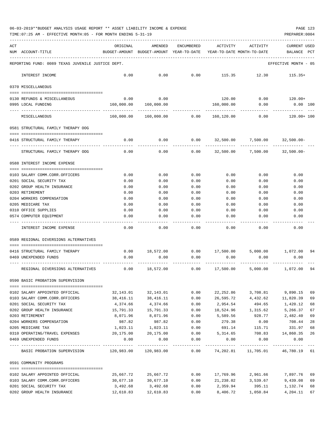|  |  | 06-03-2019**BUDGET ANALYSIS USAGE REPORT ** ASSET LIABILITY INCOME & EXPENSE | PAGE 123 |
|--|--|------------------------------------------------------------------------------|----------|
|  |  |                                                                              |          |

| ACT | NUM ACCOUNT-TITLE                                                                       | ORIGINAL              | AMENDED<br>BUDGET-AMOUNT BUDGET-AMOUNT YEAR-TO-DATE | ENCUMBERED   | ACTIVITY<br>YEAR-TO-DATE MONTH-TO-DATE | ACTIVITY                                 | CURRENT USED<br>BALANCE        | PCT      |
|-----|-----------------------------------------------------------------------------------------|-----------------------|-----------------------------------------------------|--------------|----------------------------------------|------------------------------------------|--------------------------------|----------|
|     | REPORTING FUND: 0089 TEXAS JUVENILE JUSTICE DEPT.                                       |                       |                                                     |              |                                        |                                          | EFFECTIVE MONTH - 05           |          |
|     | INTEREST INCOME                                                                         | 0.00                  | 0.00                                                | 0.00         | 115.35                                 | 12.30                                    | $115.35+$                      |          |
|     | 0370 MISCELLANEOUS                                                                      |                       |                                                     |              |                                        |                                          |                                |          |
|     |                                                                                         |                       |                                                     |              |                                        |                                          |                                |          |
|     | 0130 REFUNDS & MISCELLANEOUS<br>0995 LOCAL FUNDING                                      | 0.00<br>160,000.00    | 0.00<br>160,000.00                                  |              | 120.00<br>160,000.00                   | 0.00<br>0.00                             | 120.00+<br>$0.00$ 100          |          |
|     | MISCELLANEOUS                                                                           | 160,000.00            | 160,000.00                                          | 0.00         | 160,120.00                             | 0.00                                     | 120.00+ 100                    |          |
|     | 0581 STRUCTURAL FAMILY THERAPY OOG                                                      |                       |                                                     |              |                                        |                                          |                                |          |
|     | 0416 STRUCTURAL FAMILY THERAPY                                                          | 0.00                  | 0.00                                                | 0.00         | 32,500.00                              | 7,500.00                                 | $32,500.00 -$                  |          |
|     | STRUCTURAL FAMILY THERAPY OOG                                                           | 0.00                  | 0.00                                                | 0.00         | 32,500.00                              | 7,500.00                                 | $32,500.00 -$                  |          |
|     | 0588 INTEREST INCOME EXPENSE                                                            |                       |                                                     |              |                                        |                                          |                                |          |
|     |                                                                                         |                       |                                                     |              |                                        |                                          |                                |          |
|     | 0103 SALARY COMM.CORR.OFFICERS                                                          | 0.00                  | 0.00                                                | 0.00         | 0.00                                   | 0.00                                     | 0.00                           |          |
|     | 0201 SOCIAL SECURITY TAX                                                                | 0.00                  | 0.00                                                | 0.00         | 0.00                                   | 0.00                                     | 0.00                           |          |
|     | 0202 GROUP HEALTH INSURANCE                                                             | 0.00                  | 0.00                                                | 0.00         | 0.00                                   | 0.00                                     | 0.00                           |          |
|     | 0203 RETIREMENT                                                                         | 0.00                  | 0.00                                                | 0.00         | 0.00                                   | 0.00                                     | 0.00                           |          |
|     | 0204 WORKERS COMPENSATION                                                               | 0.00                  | 0.00                                                | 0.00         | 0.00                                   | 0.00                                     | 0.00                           |          |
|     | 0205 MEDICARE TAX                                                                       | 0.00                  | 0.00                                                | 0.00         | 0.00                                   | 0.00                                     | 0.00                           |          |
|     | 0310 OFFICE SUPPLIES                                                                    | 0.00                  | 0.00                                                | 0.00         | 0.00                                   | 0.00                                     | 0.00                           |          |
|     | 0574 COMPUTER EQUIPMENT                                                                 | 0.00                  | 0.00                                                | 0.00         | 0.00                                   | 0.00                                     | 0.00                           |          |
|     | INTEREST INCOME EXPENSE                                                                 | 0.00                  | 0.00                                                | 0.00         | 0.00                                   | 0.00                                     | 0.00                           |          |
|     | 0589 REGIONAL DIVERSIONS ALTERNATIVES                                                   |                       |                                                     |              |                                        |                                          |                                |          |
|     | 0416 STRUCTURAL FAMILY THERAPY                                                          | 0.00                  | 18,572.00                                           |              |                                        | $0.00$ $17,500.00$ $5,000.00$ $1,072.00$ |                                | 94       |
|     | 0469 UNEXPENDED FUNDS                                                                   | 0.00                  | 0.00                                                | 0.00         | 0.00                                   | 0.00                                     | 0.00                           |          |
|     | REGIONAL DIVERSIONS ALTERNATIVES                                                        | 0.00                  | 18,572.00                                           | 0.00         | 17,500.00                              | 5,000.00                                 | 1,072.00                       | 94       |
|     | 0590 BASIC PROBATION SUPERVISION                                                        |                       |                                                     |              |                                        |                                          |                                |          |
|     |                                                                                         |                       |                                                     |              |                                        |                                          |                                |          |
|     | 0102 SALARY APPOINTED OFFICIAL                                                          | 32,143.01             | 32,143.01                                           | 0.00         | 22,252.86<br>26,595.72                 | 3,708.81                                 | 9,890.15<br>4,432.62 11,820.39 | 69       |
|     | 0103 SALARY COMM.CORR.OFFICERS<br>0201 SOCIAL SECURITY TAX                              | 38,416.11<br>4,374.66 | 38,416.11<br>4,374.66                               | 0.00<br>0.00 | 2,954.54                               | 494.65                                   | 1,420.12                       | 69<br>68 |
|     | 0202 GROUP HEALTH INSURANCE                                                             | 15,791.33             | 15,791.33                                           | 0.00         | 10,524.96 1,315.62                     |                                          | 5,266.37                       | 67       |
|     | 0203 RETIREMENT                                                                         | 8,071.96              | 8,071.96                                            | 0.00         | 5,589.56                               | 928.77                                   | 2,482.40                       | 69       |
|     | 0204 WORKERS COMPENSATION                                                               | 987.82                | 987.82                                              | 0.00         | 279.38                                 | 0.00                                     | 708.44                         | 28       |
|     | 0205 MEDICARE TAX                                                                       | 1,023.11              | 1,023.11                                            | 0.00         | 691.14                                 | 115.71                                   | 331.97                         | 68       |
|     | 0310 OPERATING/TRAVEL EXPENSES                                                          | 20,175.00             | 20,175.00                                           | 0.00         | 5,314.65                               |                                          | 708.83   14,860.35   26        |          |
|     | 0469 UNEXPENDED FUNDS                                                                   | 0.00                  | 0.00                                                | 0.00         | 0.00                                   | 0.00                                     | 0.00                           |          |
|     | BASIC PROBATION SUPERVISION 120,983.00 120,983.00 0.00 74,202.81 11,705.01 46,780.19 61 |                       |                                                     |              |                                        |                                          |                                |          |
|     | 0591 COMMUNITY PROGRAMS                                                                 |                       |                                                     |              |                                        |                                          |                                |          |
|     |                                                                                         |                       |                                                     |              |                                        |                                          |                                |          |
|     | 0102 SALARY APPOINTED OFFICIAL                                                          | 25,667.72             | 25,667.72                                           | 0.00         |                                        | 17,769.96 2,961.66                       | 7,897.76                       | 69       |
|     | 0103 SALARY COMM.CORR.OFFICERS                                                          | 30,677.10             | 30,677.10                                           | 0.00         |                                        | 21, 238.02 3, 539.67                     | 9,439.08                       | 69       |
|     | 0201 SOCIAL SECURITY TAX                                                                | 3,492.68              | 3,492.68                                            | 0.00         | 2,359.94                               | 395.11                                   | 1,132.74                       | 68       |
|     | 0202 GROUP HEALTH INSURANCE                                                             | 12,610.83             | 12,610.83                                           | 0.00         | 8,406.72                               | 1,050.84                                 | 4,204.11                       | 67       |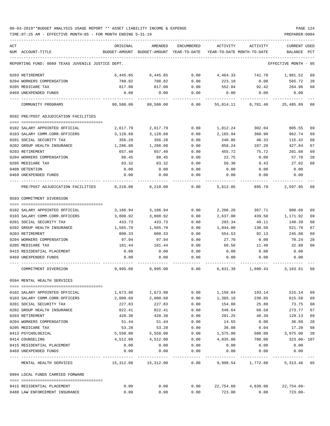TIME:07:25 AM - EFFECTIVE MONTH:05 - FOR MONTH ENDING 5-31-19 PREPARER:0004

| ACT | NUM ACCOUNT-TITLE                                 | ORIGINAL  | AMENDED<br>BUDGET-AMOUNT BUDGET-AMOUNT YEAR-TO-DATE YEAR-TO-DATE MONTH-TO-DATE | ENCUMBERED   | ACTIVITY     | ACTIVITY                                  | CURRENT USED<br>BALANCE PCT |    |
|-----|---------------------------------------------------|-----------|--------------------------------------------------------------------------------|--------------|--------------|-------------------------------------------|-----------------------------|----|
|     |                                                   |           |                                                                                |              |              |                                           |                             |    |
|     | REPORTING FUND: 0089 TEXAS JUVENILE JUSTICE DEPT. |           |                                                                                |              |              |                                           | EFFECTIVE MONTH - 05        |    |
|     | 0203 RETIREMENT                                   | 6,445.85  | 6,445.85                                                                       | 0.00         | 4,464.33     | 741.78                                    | 1,981.52                    | 69 |
|     | 0204 WORKERS COMPENSATION                         | 788.82    | 788.82                                                                         | 0.00         | 223.10       | 0.00                                      | 565.72                      | 28 |
|     | 0205 MEDICARE TAX                                 | 817.00    | 817.00                                                                         | 0.00         | 552.04       | 92.42                                     | 264.96                      | 68 |
|     | 0469 UNEXPENDED FUNDS                             | 0.00      | 0.00                                                                           | 0.00         | 0.00         | 0.00                                      | 0.00                        |    |
|     | COMMUNITY PROGRAMS                                | 80,500.00 | 80,500.00                                                                      | 0.00         | 55,014.11    | 8,781.48                                  | 25,485.89                   | 68 |
|     | 0592 PRE/POST ADJUDICATION FACILITIES             |           |                                                                                |              |              |                                           |                             |    |
|     | 0102 SALARY APPOINTED OFFICIAL                    | 2,617.79  | 2,617.79                                                                       | 0.00         | 1,812.24     | 302.04                                    | 805.55                      | 69 |
|     | 0103 SALARY COMM.CORR.OFFICERS                    | 3,128.68  | 3,128.68                                                                       | 0.00         | 2,165.94     | 360.99                                    | 962.74                      | 69 |
|     | 0201 SOCIAL SECURITY TAX                          | 356.28    | 356.28                                                                         | 0.00         | 240.86       | 40.33                                     | 115.42                      | 68 |
|     | 0202 GROUP HEALTH INSURANCE                       | 1,286.08  | 1,286.08                                                                       | 0.00         | 858.24       | 107.28                                    | 427.84                      | 67 |
|     | 0203 RETIREMENT                                   | 657.40    | 657.40                                                                         | 0.00         | 455.72       | 75.72                                     | 201.68                      | 69 |
|     | 0204 WORKERS COMPENSATION                         | 80.45     | 80.45                                                                          | 0.00         | 22.75        | 0.00                                      | 57.70                       | 28 |
|     | 0205 MEDICARE TAX                                 | 83.32     | 83.32                                                                          | 0.00         | 56.30        | 9.43                                      | 27.02                       | 68 |
|     | 0408 DETENTION                                    | 0.00      | 0.00                                                                           | 0.00         | 0.00         | 0.00                                      | 0.00                        |    |
|     | 0469 UNEXPENDED FUNDS                             | 0.00      | 0.00                                                                           | 0.00         | 0.00         | 0.00                                      | 0.00                        |    |
|     | PRE/POST ADJUDICATION FACILITIES 8,210.00         |           | 8,210.00                                                                       | 0.00         | 5,612.05     | 895.79                                    | 2,597.95                    | 68 |
|     | 0593 COMMITMENT DIVERSION                         |           |                                                                                |              |              |                                           |                             |    |
|     |                                                   |           |                                                                                |              |              |                                           |                             |    |
|     | 0102 SALARY APPOINTED OFFICIAL                    | 3,186.94  | 3,186.94                                                                       | 0.00         | 2,206.26     | 367.71                                    | 980.68                      | 69 |
|     | 0103 SALARY COMM.CORR.OFFICERS                    | 3,808.92  | 3,808.92                                                                       | 0.00         | 2,637.00     | 439.50                                    | 1,171.92                    | 69 |
|     | 0201 SOCIAL SECURITY TAX                          | 433.73    | 433.73                                                                         | 0.00         | 293.34       | 49.11                                     | 140.39                      | 68 |
|     | 0202 GROUP HEALTH INSURANCE                       | 1,565.70  | 1,565.70                                                                       | 0.00         | 1,044.00     | 130.50                                    | 521.70                      | 67 |
|     | 0203 RETIREMENT                                   | 800.33    | 800.33                                                                         | 0.00         | 554.53       | 92.13                                     | 245.80                      | 69 |
|     | 0204 WORKERS COMPENSATION                         | 97.94     | 97.94                                                                          | 0.00         | 27.70        | 0.00                                      | 70.24                       | 28 |
|     | 0205 MEDICARE TAX                                 | 101.44    | 101.44                                                                         | 0.00         | 68.56        | 11.48                                     | 32.88                       | 68 |
|     | 0415 RESIDENTIAL PLACEMENT                        | 0.00      | 0.00                                                                           | 0.00         | 0.00         | 0.00                                      | 0.00                        |    |
|     | 0469 UNEXPENDED FUNDS                             | 0.00      | 0.00                                                                           | 0.00         | 0.00         | 0.00                                      | 0.00                        |    |
|     | COMMITMENT DIVERSION                              | 9,995.00  | 9,995.00                                                                       | 0.00         | 6,831.39     | 1,090.43                                  | 3,163.61                    | 68 |
|     | 0594 MENTAL HEALTH SERVICES                       |           |                                                                                |              |              |                                           |                             |    |
|     | 0102 SALARY APPOINTED OFFICIAL                    | 1,673.98  | 1,673.98                                                                       | 0.00         | 1,158.84     | 193.14                                    | 515.14                      | 69 |
|     | 0103 SALARY COMM.CORR.OFFICERS                    | 2,000.68  | 2,000.68                                                                       | 0.00         | 1,385.10     | 230.85                                    | 615.58                      | 69 |
|     | 0201 SOCIAL SECURITY TAX                          | 227.83    | 227.83                                                                         | 0.00         | 154.08       | 25.80                                     | 73.75                       | 68 |
|     | 0202 GROUP HEALTH INSURANCE                       | 822.41    | 822.41                                                                         | 0.00         |              | 548.64 68.58                              | 273.77                      | 67 |
|     | 0203 RETIREMENT                                   | 420.38    | 420.38                                                                         | 0.00         | 291.25       | 48.39                                     | 129.13                      | 69 |
|     | 0204 WORKERS COMPENSATION                         | 51.44     | 51.44                                                                          | 0.00         | 14.55        | 0.00                                      | 36.89                       | 28 |
|     | 0205 MEDICARE TAX                                 | 53.28     | 53.28                                                                          | 0.00         | 36.08        | 6.04                                      | 17.20                       | 68 |
|     | 0413 PSYCHOLOGICAL                                | 5,550.00  | 5,550.00                                                                       | 0.00         | 1,575.00     | 500.00                                    | 3,975.00                    | 28 |
|     | 0414 COUNSELING                                   | 4,512.00  | 4,512.00                                                                       | 0.00         | 4,835.00     | 700.00                                    | 323.00- 107                 |    |
|     | 0415 RESIDENTIAL PLACEMENT                        | 0.00      | 0.00                                                                           | 0.00         | 0.00         | 0.00                                      | 0.00                        |    |
|     | 0469 UNEXPENDED FUNDS                             | 0.00      | 0.00                                                                           | 0.00         | 0.00         | 0.00                                      | 0.00                        |    |
|     | MENTAL HEALTH SERVICES                            |           | -------------<br>15,312.00    15,312.00                                        | ------------ | ------------ | -------------<br>$0.00$ 9,998.54 1,772.80 | 5, 313.46 65                |    |
|     | 0994 LOCAL FUNDS CARRIED FORWARD                  |           |                                                                                |              |              |                                           |                             |    |
|     |                                                   |           |                                                                                |              |              |                                           |                             |    |
|     | 0415 RESIDENTIAL PLACEMENT                        | 0.00      | 0.00                                                                           |              |              | $0.00$ 22,754.60 4,839.00 22,754.60-      |                             |    |

0488 LAW ENFORCEMENT INSURANCE 0.00 0.00 0.00 723.00 0.00 723.00-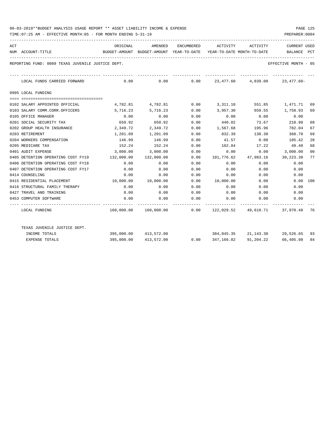| ACT |                                                   | ORIGINAL                                                                    | AMENDED                                                            |                                             | ENCUMBERED ACTIVITY ACTIVITY |             | <b>CURRENT USED</b>            |     |
|-----|---------------------------------------------------|-----------------------------------------------------------------------------|--------------------------------------------------------------------|---------------------------------------------|------------------------------|-------------|--------------------------------|-----|
|     | NUM ACCOUNT-TITLE                                 | BUDGET-AMOUNT BUDGET-AMOUNT YEAR-TO-DATE YEAR-TO-DATE MONTH-TO-DATE BALANCE |                                                                    |                                             |                              |             |                                | PCT |
|     | REPORTING FUND: 0089 TEXAS JUVENILE JUSTICE DEPT. |                                                                             |                                                                    |                                             |                              |             | EFFECTIVE MONTH - 05           |     |
|     | LOCAL FUNDS CARRIED FORWARD                       |                                                                             | $0.00$ $0.00$ $0.00$ $23,477.60$ $4,839.00$ $23,477.60$ $10.00$    |                                             |                              |             |                                |     |
|     | 0995 LOCAL FUNDING                                |                                                                             |                                                                    |                                             |                              |             |                                |     |
|     | 0102 SALARY APPOINTED OFFICIAL                    |                                                                             | 4,782.81 4,782.81                                                  |                                             | $0.00$ $3,311.10$            |             | 551.85 1,471.71                | 69  |
|     | 0103 SALARY COMM.CORR.OFFICERS                    | 5,716.23                                                                    | 5,716.23                                                           | 0.00                                        | 3,957.30                     | 659.55      | 1,758.93                       | 69  |
|     | 0105 OFFICE MANAGER                               | 0.00                                                                        | 0.00                                                               | 0.00                                        | 0.00                         | 0.00        | 0.00                           |     |
|     | 0201 SOCIAL SECURITY TAX                          | 650.92                                                                      | 650.92                                                             | 0.00                                        | 440.02                       | 73.67       | 210.90                         | 68  |
|     | 0202 GROUP HEALTH INSURANCE                       | 2,349.72                                                                    | 2,349.72                                                           | 0.00                                        | 1,567.68 195.96              |             | 782.04                         | 67  |
|     | 0203 RETIREMENT                                   | 1,201.09                                                                    | 1,201.09                                                           | 0.00                                        | 832.39                       | 138.30      | 368.70                         | 69  |
|     | 0204 WORKERS COMPENSATION                         | 146.99                                                                      | 146.99                                                             | 0.00                                        | 41.57                        | 0.00        | 105.42                         | 28  |
|     | 0205 MEDICARE TAX                                 | 152.24                                                                      | 152.24                                                             | 0.00                                        | 102.84                       | 17.22       | 49.40                          | 68  |
|     | 0401 AUDIT EXPENSE                                |                                                                             | 3,000.00 3,000.00                                                  | 0.00                                        | 0.00                         | 0.00        | 3,000.00                       | 00  |
|     | 0405 DETENTION OPERATING COST FY19                | 132,000.00                                                                  | 132,000.00                                                         | 0.00                                        | 101,776.62                   |             | 47,983.16 30,223.38            | 77  |
|     | 0406 DETENTION OPERATING COST FY18                | 0.00                                                                        | 0.00                                                               | 0.00                                        | 0.00                         | 0.00        | 0.00                           |     |
|     | 0407 DETENTION OPERATING COST FY17                | 0.00                                                                        | 0.00                                                               | 0.00                                        | 0.00                         | 0.00        | 0.00                           |     |
|     | 0414 COUNSELING                                   | 0.00                                                                        | 0.00                                                               | 0.00                                        | 0.00                         | 0.00        | 0.00                           |     |
|     | 0415 RESIDENTIAL PLACEMENT                        | 10,000.00    10,000.00                                                      |                                                                    | 0.00                                        | $10,000.00$ 0.00             |             | 0.00 100                       |     |
|     | 0416 STRUCTURAL FAMILY THERAPY                    | 0.00                                                                        | 0.00                                                               | 0.00                                        | 0.00                         | 0.00        | 0.00                           |     |
|     | 0427 TRAVEL AND TRAINING                          | 0.00                                                                        |                                                                    | $0.00$ 0.00                                 |                              |             | $0.00$ $0.00$ $0.00$ $0.00$    |     |
|     | 0453 COMPUTER SOFTWARE                            | 0.00                                                                        | 0.00                                                               | 0.00                                        |                              | $0.00$ 0.00 | 0.00                           |     |
|     | LOCAL FUNDING                                     |                                                                             | 160,000.00  160,000.00  0.00  122,029.52  49,619.71  37,970.48  76 | ----------- .                               |                              |             |                                |     |
|     | TEXAS JUVENILE JUSTICE DEPT.                      |                                                                             |                                                                    |                                             |                              |             |                                |     |
|     | INCOME TOTALS                                     |                                                                             | 395,000.00 413,572.00                                              |                                             |                              |             | 384,045.35 21,143.30 29,526.65 | 93  |
|     | <b>EXPENSE TOTALS</b>                             |                                                                             | 395,000.00 413,572.00                                              | $0.00$ $347,166.02$ $91,204.22$ $66,405.98$ |                              |             |                                | 84  |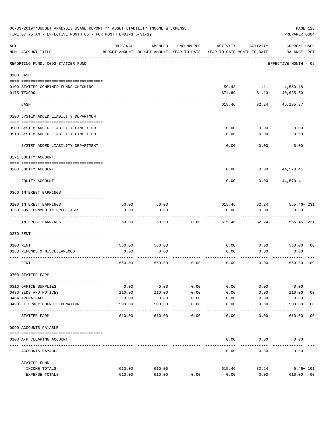|           | 06-03-2019**BUDGET ANALYSIS USAGE REPORT ** ASSET LIABILITY INCOME & EXPENSE<br>TIME: 07:25 AM - EFFECTIVE MONTH: 05 - FOR MONTH ENDING 5-31-19 |                             |                                                     |                   |                                        |                      | PAGE 126<br>PREPARER: 0004         |                |
|-----------|-------------------------------------------------------------------------------------------------------------------------------------------------|-----------------------------|-----------------------------------------------------|-------------------|----------------------------------------|----------------------|------------------------------------|----------------|
| ACT       | NUM ACCOUNT-TITLE                                                                                                                               | ORIGINAL                    | AMENDED<br>BUDGET-AMOUNT BUDGET-AMOUNT YEAR-TO-DATE | ENCUMBERED        | ACTIVITY<br>YEAR-TO-DATE MONTH-TO-DATE | ACTIVITY             | <b>CURRENT USED</b><br>BALANCE PCT |                |
|           | REPORTING FUND: 0092 STATZER FUND                                                                                                               | ___________________________ |                                                     |                   |                                        |                      | EFFECTIVE MONTH - 05               |                |
|           | 0103 CASH                                                                                                                                       |                             |                                                     |                   |                                        |                      |                                    |                |
|           | 0100 STATZER-COMBINED FUNDS CHECKING                                                                                                            |                             |                                                     |                   |                                        | 59.43- 1.11 4,550.18 |                                    |                |
|           | 0175 TEXPOOL                                                                                                                                    |                             |                                                     |                   | 674.89                                 | 81.13                | 40,635.69                          |                |
|           | CASH                                                                                                                                            |                             |                                                     |                   | 615.46                                 | 82.24                | 45,185.87                          |                |
|           | 0200 SYSTEM ADDED LIABILITY DEPARTMENT                                                                                                          |                             |                                                     |                   |                                        |                      |                                    |                |
|           |                                                                                                                                                 |                             |                                                     |                   |                                        |                      |                                    |                |
|           | 0900 SYSTEM ADDED LIABILITY LINE-ITEM<br>0910 SYSTEM ADDED LIABILITY LINE-ITEM                                                                  |                             |                                                     |                   | 0.00<br>0.00                           | 0.00<br>0.00         | 0.00<br>0.00                       |                |
|           |                                                                                                                                                 |                             |                                                     |                   |                                        |                      |                                    |                |
|           | SYSTEM ADDED LIABILITY DEPARTMENT                                                                                                               |                             |                                                     |                   | 0.00                                   | 0.00                 | 0.00                               |                |
|           | 0271 EQUITY ACCOUNT                                                                                                                             |                             |                                                     |                   |                                        |                      |                                    |                |
|           | 0200 EQUITY ACCOUNT                                                                                                                             |                             |                                                     |                   | 0.00                                   | 0.00                 | 44,570.41                          |                |
|           | EQUITY ACCOUNT                                                                                                                                  |                             |                                                     |                   | 0.00                                   | 0.00                 | 44,570.41                          |                |
|           | 0360 INTEREST EARNINGS                                                                                                                          |                             |                                                     |                   |                                        |                      |                                    |                |
|           | 0100 INTEREST EARNINGS                                                                                                                          | 50.00                       | 50.00                                               |                   | 615.46                                 | 82.24                | 565.46+ 231                        |                |
|           | 0350 GOV. COMMODITY PROG. ASCS                                                                                                                  | 0.00                        | 0.00                                                |                   | 0.00                                   | 0.00                 | 0.00                               |                |
|           | INTEREST EARNINGS                                                                                                                               | 50.00                       | 50.00                                               | 0.00              | 615.46                                 | 82.24                | $565.46 + 231$                     |                |
| 0370 RENT |                                                                                                                                                 |                             |                                                     |                   |                                        |                      |                                    |                |
|           |                                                                                                                                                 |                             |                                                     |                   |                                        |                      |                                    |                |
|           | 0100 RENT<br>0130 REFUNDS & MISCELLANEOUS                                                                                                       | 560.00<br>0.00              | 560.00<br>0.00                                      |                   | 0.00<br>0.00                           | 0.00<br>0.00         | 560.00 00<br>0.00                  |                |
|           |                                                                                                                                                 |                             |                                                     |                   |                                        |                      |                                    |                |
|           | RENT                                                                                                                                            | 560.00                      | 560.00                                              | 0.00              | 0.00                                   | 0.00                 | 560.00                             | 0 <sub>0</sub> |
|           | 0700 STATZER FARM                                                                                                                               |                             |                                                     |                   |                                        |                      |                                    |                |
|           | 0310 OFFICE SUPPLIES                                                                                                                            | 0.00                        | 0.00                                                | 0.00              | 0.00                                   | 0.00                 | 0.00                               |                |
|           | 0430 BIDS AND NOTICES                                                                                                                           | 110.00                      | 110.00                                              | 0.00              | 0.00                                   | 0.00                 | 110.00                             | 00             |
|           | 0484 APPRAISALS                                                                                                                                 | 0.00                        | 0.00                                                | 0.00              | 0.00                                   | 0.00                 | 0.00                               |                |
|           | 0490 LITERACY COUNCIL DONATION                                                                                                                  | 500.00                      | 500.00                                              | 0.00<br>$- - - -$ | 0.00                                   | 0.00                 | 500.00                             | 0 <sub>0</sub> |
|           | STATZER FARM                                                                                                                                    | 610.00                      | 610.00                                              | 0.00              | 0.00                                   | 0.00                 | 610.00                             | 00             |
|           | 0999 ACCOUNTS PAYABLE                                                                                                                           |                             |                                                     |                   |                                        |                      |                                    |                |
|           | 0100 A/P CLEARING ACCOUNT                                                                                                                       |                             |                                                     |                   | 0.00                                   | 0.00                 | 0.00                               |                |
|           | ACCOUNTS PAYABLE                                                                                                                                |                             |                                                     |                   | 0.00                                   | 0.00                 | 0.00                               |                |
|           | STATZER FUND                                                                                                                                    |                             |                                                     |                   |                                        |                      |                                    |                |
|           | INCOME TOTALS                                                                                                                                   | 610.00                      | 610.00                                              |                   | 615.46                                 | 82.24                | $5.46 + 101$                       |                |
|           | EXPENSE TOTALS                                                                                                                                  | 610.00                      | 610.00                                              | 0.00              | 0.00                                   | 0.00                 | 610.00                             | 00             |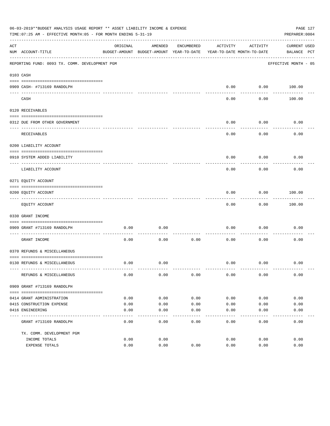|     | 06-03-2019**BUDGET ANALYSIS USAGE REPORT ** ASSET LIABILITY INCOME & EXPENSE<br>TIME: 07:25 AM - EFFECTIVE MONTH: 05 - FOR MONTH ENDING 5-31-19 |              |                                                     |            |                                        |                   | PREPARER: 0004              | PAGE 127 |
|-----|-------------------------------------------------------------------------------------------------------------------------------------------------|--------------|-----------------------------------------------------|------------|----------------------------------------|-------------------|-----------------------------|----------|
| ACT | NUM ACCOUNT-TITLE                                                                                                                               | ORIGINAL     | AMENDED<br>BUDGET-AMOUNT BUDGET-AMOUNT YEAR-TO-DATE | ENCUMBERED | ACTIVITY<br>YEAR-TO-DATE MONTH-TO-DATE | ACTIVITY          | CURRENT USED<br>BALANCE PCT |          |
|     | REPORTING FUND: 0093 TX. COMM. DEVELOPMENT PGM                                                                                                  |              |                                                     |            |                                        |                   | EFFECTIVE MONTH - 05        |          |
|     | 0103 CASH                                                                                                                                       |              |                                                     |            |                                        |                   |                             |          |
|     | 0909 CASH- #713169 RANDOLPH                                                                                                                     |              |                                                     |            | 0.00                                   |                   | $0.00$ 100.00               |          |
|     | CASH                                                                                                                                            |              |                                                     |            | $- - - -$<br>0.00                      | ---------<br>0.00 | 100.00                      |          |
|     | 0120 RECEIVABLES                                                                                                                                |              |                                                     |            |                                        |                   |                             |          |
|     | 0312 DUE FROM OTHER GOVERNMENT                                                                                                                  |              |                                                     |            | 0.00                                   | 0.00              | 0.00                        |          |
|     | RECEIVABLES                                                                                                                                     |              |                                                     |            | 0.00                                   | ---------<br>0.00 | 0.00                        |          |
|     | 0200 LIABILITY ACCOUNT                                                                                                                          |              |                                                     |            |                                        |                   |                             |          |
|     | 0910 SYSTEM ADDED LIABILITY                                                                                                                     |              |                                                     |            | 0.00                                   | 0.00              | 0.00                        |          |
|     | ---- ---------------<br>LIABILITY ACCOUNT                                                                                                       |              |                                                     |            | 0.00                                   | 0.00              | 0.00                        |          |
|     | 0271 EQUITY ACCOUNT                                                                                                                             |              |                                                     |            |                                        |                   |                             |          |
|     | 0200 EQUITY ACCOUNT                                                                                                                             |              |                                                     |            | 0.00                                   | 0.00              | 100.00                      |          |
|     | -------------------------------<br>EQUITY ACCOUNT                                                                                               |              |                                                     |            | 0.00                                   | .<br>0.00         | . <u>.</u> .<br>100.00      |          |
|     | 0330 GRANT INCOME                                                                                                                               |              |                                                     |            |                                        |                   |                             |          |
|     | 0909 GRANT #713169 RANDOLPH                                                                                                                     | 0.00         | 0.00                                                |            | 0.00                                   | 0.00              | 0.00                        |          |
|     | GRANT INCOME                                                                                                                                    | 0.00         | 0.00                                                | 0.00       | 0.00                                   | 0.00              | 0.00                        |          |
|     | 0370 REFUNDS & MISCELLANEOUS                                                                                                                    |              |                                                     |            |                                        |                   |                             |          |
|     |                                                                                                                                                 |              |                                                     |            |                                        |                   |                             |          |
|     | 0130 REFUNDS & MISCELLANEOUS                                                                                                                    | 0.00         | 0.00                                                |            | 0.00                                   | 0.00              | 0.00                        |          |
|     | REFUNDS & MISCELLANEOUS                                                                                                                         | 0.00         | 0.00                                                | 0.00       | 0.00                                   | 0.00              | 0.00                        |          |
|     | 0909 GRANT #713169 RANDOLPH                                                                                                                     |              |                                                     |            |                                        |                   |                             |          |
|     | 0414 GRANT ADMINISTRATION                                                                                                                       | 0.00         | 0.00                                                | 0.00       | 0.00                                   | 0.00              | 0.00                        |          |
|     | 0415 CONSTRUCTION EXPENSE                                                                                                                       | 0.00         | 0.00                                                | 0.00       | 0.00                                   | 0.00              | 0.00                        |          |
|     | 0416 ENGINEERING                                                                                                                                | 0.00         | 0.00                                                | 0.00       | 0.00                                   | 0.00              | 0.00                        |          |
|     | GRANT #713169 RANDOLPH                                                                                                                          | 0.00         | 0.00                                                | 0.00       | -----<br>0.00                          | 0.00              | 0.00                        |          |
|     |                                                                                                                                                 |              |                                                     |            |                                        |                   |                             |          |
|     | TX. COMM. DEVELOPMENT PGM                                                                                                                       |              |                                                     |            |                                        |                   |                             |          |
|     | INCOME TOTALS<br>EXPENSE TOTALS                                                                                                                 | 0.00<br>0.00 | 0.00<br>0.00                                        | 0.00       | 0.00<br>0.00                           | 0.00<br>0.00      | 0.00<br>0.00                |          |
|     |                                                                                                                                                 |              |                                                     |            |                                        |                   |                             |          |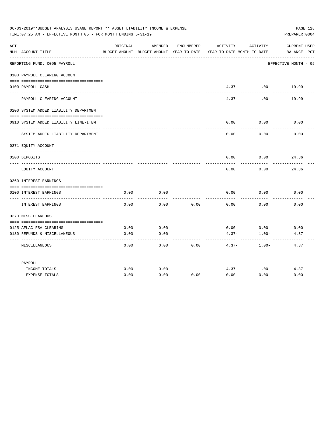|     | 06-03-2019**BUDGET ANALYSIS USAGE REPORT ** ASSET LIABILITY INCOME & EXPENSE<br>TIME: 07:25 AM - EFFECTIVE MONTH: 05 - FOR MONTH ENDING 5-31-19 |              |              |            |                                                                                 |                       | PAGE 128<br>PREPARER: 0004  |
|-----|-------------------------------------------------------------------------------------------------------------------------------------------------|--------------|--------------|------------|---------------------------------------------------------------------------------|-----------------------|-----------------------------|
| ACT | NUM ACCOUNT-TITLE                                                                                                                               | ORIGINAL     | AMENDED      | ENCUMBERED | ACTIVITY<br>BUDGET-AMOUNT BUDGET-AMOUNT YEAR-TO-DATE YEAR-TO-DATE MONTH-TO-DATE | ACTIVITY              | CURRENT USED<br>BALANCE PCT |
|     | REPORTING FUND: 0095 PAYROLL                                                                                                                    |              |              |            |                                                                                 |                       | EFFECTIVE MONTH - 05        |
|     | 0100 PAYROLL CLEARING ACCOUNT                                                                                                                   |              |              |            |                                                                                 |                       |                             |
|     | 0100 PAYROLL CASH<br>-------------------                                                                                                        |              |              |            |                                                                                 | $4.37 - 1.00 - 19.99$ |                             |
|     | PAYROLL CLEARING ACCOUNT                                                                                                                        |              |              |            | $4.37 -$                                                                        | $1.00 -$              | 19.99                       |
|     | 0200 SYSTEM ADDED LIABILITY DEPARTMENT                                                                                                          |              |              |            |                                                                                 |                       |                             |
|     | 0910 SYSTEM ADDED LIABILITY LINE-ITEM                                                                                                           |              |              |            | 0.00                                                                            | 0.00                  | 0.00                        |
|     | SYSTEM ADDED LIABILITY DEPARTMENT                                                                                                               |              |              |            | 0.00                                                                            | 0.00                  | 0.00                        |
|     | 0271 EQUITY ACCOUNT                                                                                                                             |              |              |            |                                                                                 |                       |                             |
|     | 0200 DEPOSITS                                                                                                                                   |              |              |            | 0.00                                                                            | 0.00                  | 24.36                       |
|     | EQUITY ACCOUNT                                                                                                                                  |              |              |            | 0.00                                                                            | 0.00                  | 24.36                       |
|     | 0360 INTEREST EARNINGS                                                                                                                          |              |              |            |                                                                                 |                       |                             |
|     | 0100 INTEREST EARNINGS                                                                                                                          | 0.00         | 0.00         |            | 0.00                                                                            | 0.00                  | 0.00                        |
|     | INTEREST EARNINGS                                                                                                                               | 0.00         | 0.00         | 0.00       | 0.00                                                                            | 0.00                  | 0.00                        |
|     | 0370 MISCELLANEOUS                                                                                                                              |              |              |            |                                                                                 |                       |                             |
|     |                                                                                                                                                 |              |              |            |                                                                                 |                       |                             |
|     | 0125 AFLAC FSA CLEARING<br>0130 REFUNDS & MISCELLANEOUS                                                                                         | 0.00<br>0.00 | 0.00<br>0.00 |            | 0.00<br>$4.37-$                                                                 | 0.00<br>$1.00 -$      | 0.00<br>4.37                |
|     | MISCELLANEOUS                                                                                                                                   | 0.00         | 0.00         | 0.00       | $4.37 -$                                                                        | $1.00-$               | 4.37                        |
|     | PAYROLL                                                                                                                                         |              |              |            |                                                                                 |                       |                             |
|     | INCOME TOTALS                                                                                                                                   | 0.00         | 0.00         |            | $4.37 -$                                                                        | $1.00 -$              | 4.37                        |
|     | <b>EXPENSE TOTALS</b>                                                                                                                           | 0.00         | 0.00         | 0.00       | 0.00                                                                            | 0.00                  | 0.00                        |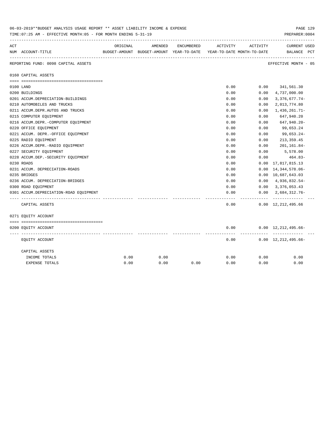|     | 00-03-2019 ABODGET ANALYSIS OSAGE REPORT AA ASSET LIABILITY INCOME & EXPENSE<br>TIME: 07:25 AM - EFFECTIVE MONTH: 05 - FOR MONTH ENDING 5-31-19 |          |         |            |                                                                     |          | PAGE 149<br>PREPARER: 0004                    |
|-----|-------------------------------------------------------------------------------------------------------------------------------------------------|----------|---------|------------|---------------------------------------------------------------------|----------|-----------------------------------------------|
| ACT |                                                                                                                                                 | ORIGINAL | AMENDED | ENCUMBERED | ACTIVITY                                                            | ACTIVITY | <b>CURRENT USED</b>                           |
|     | NUM ACCOUNT-TITLE                                                                                                                               |          |         |            | BUDGET-AMOUNT BUDGET-AMOUNT YEAR-TO-DATE YEAR-TO-DATE MONTH-TO-DATE |          | BALANCE PCT                                   |
|     | REPORTING FUND: 0098 CAPITAL ASSETS                                                                                                             |          |         |            |                                                                     |          | EFFECTIVE MONTH - 05                          |
|     | 0160 CAPITAL ASSETS                                                                                                                             |          |         |            |                                                                     |          |                                               |
|     |                                                                                                                                                 |          |         |            |                                                                     |          |                                               |
|     | 0100 LAND                                                                                                                                       |          |         |            | 0.00                                                                |          | $0.00$ $341,561.30$                           |
|     | 0200 BUILDINGS                                                                                                                                  |          |         |            | 0.00                                                                | 0.00     | 4,737,000.00                                  |
|     | 0201 ACCUM.DEPRECIATION-BUILDINGS                                                                                                               |          |         |            | 0.00                                                                | 0.00     | $3,376,677.74-$                               |
|     | 0210 AUTOMOBILES AND TRUCKS                                                                                                                     |          |         |            | 0.00                                                                | 0.00     | 2,013,774.80                                  |
|     | 0211 ACCUM.DEPR.AUTOS AND TRUCKS                                                                                                                |          |         |            | 0.00                                                                | 0.00     | $1,436,261.71-$                               |
|     | 0215 COMPUTER EQUIPMENT                                                                                                                         |          |         |            | 0.00                                                                | 0.00     | 647,940.20                                    |
|     | 0216 ACCUM.DEPR.-COMPUTER EQUIPMENT                                                                                                             |          |         |            | 0.00                                                                | 0.00     | 647,940.20-                                   |
|     | 0220 OFFICE EQUIPMENT                                                                                                                           |          |         |            | 0.00                                                                | 0.00     | 99,653.24                                     |
|     | 0221 ACCUM. DEPR. - OFFICE EQUIPMENT                                                                                                            |          |         |            | 0.00                                                                | 0.00     | 99,653.24-                                    |
|     | 0225 RADIO EQUIPMENT                                                                                                                            |          |         |            | 0.00                                                                | 0.00     | 213, 359.45                                   |
|     | 0226 ACCUM.DEPR.-RADIO EQUIPMENT                                                                                                                |          |         |            | 0.00                                                                | 0.00     | 201,161.84-                                   |
|     | 0227 SECURITY EQUIPMENT                                                                                                                         |          |         |            | 0.00                                                                | 0.00     | 5,578.00                                      |
|     | 0228 ACCUM.DEP. - SECURITY EQUIPMENT                                                                                                            |          |         |            | 0.00                                                                | 0.00     | 464.83-                                       |
|     | 0230 ROADS                                                                                                                                      |          |         |            | 0.00                                                                | 0.00     | 17,817,815.13                                 |
|     | 0231 ACCUM. DEPRECIATION-ROADS                                                                                                                  |          |         |            | 0.00                                                                | 0.00     | 14, 344, 578.06-                              |
|     | 0235 BRIDGES                                                                                                                                    |          |         |            | 0.00                                                                |          | 0.00 10,687,643.03                            |
|     | 0236 ACCUM. DEPRECIATION-BRIDGES                                                                                                                |          |         |            | 0.00                                                                |          | $0.00 \quad 4,936,832.54-$                    |
|     | 0300 ROAD EQUIPMENT                                                                                                                             |          |         |            | 0.00                                                                |          | $0.00 \quad 3,376,053.43$                     |
|     | 0301 ACCUM.DEPRECIATION-ROAD EOUIPMENT                                                                                                          |          |         |            | 0.00<br>-----                                                       | .        | $0.00 \quad 2.684.312.76 -$<br>-------------- |
|     | CAPITAL ASSETS                                                                                                                                  |          |         |            | 0.00                                                                |          | $0.00 \quad 12,212,495.66$                    |
|     | 0271 EQUITY ACCOUNT                                                                                                                             |          |         |            |                                                                     |          |                                               |
|     |                                                                                                                                                 |          |         |            |                                                                     |          |                                               |
|     | 0200 EQUITY ACCOUNT                                                                                                                             |          |         |            | 0.00                                                                |          | $0.00 \quad 12,212,495.66-$                   |
|     | EQUITY ACCOUNT                                                                                                                                  |          |         |            | 0.00                                                                |          | $0.00 \quad 12,212,495.66-$                   |
|     | CAPITAL ASSETS                                                                                                                                  |          |         |            |                                                                     |          |                                               |
|     | INCOME TOTALS                                                                                                                                   | 0.00     | 0.00    |            | 0.00                                                                | 0.00     | 0.00                                          |
|     | EXPENSE TOTALS                                                                                                                                  | 0.00     | 0.00    | 0.00       | 0.00                                                                | 0.00     | 0.00                                          |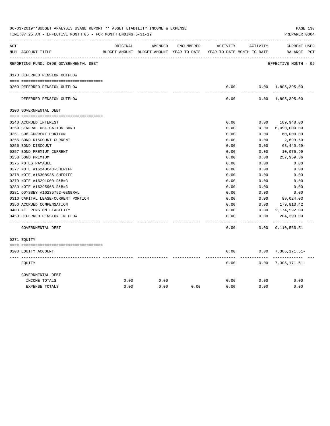|     | 06-03-2019**BUDGET ANALYSIS USAGE REPORT ** ASSET LIABILITY INCOME & EXPENSE<br>TIME: 07:25 AM - EFFECTIVE MONTH: 05 - FOR MONTH ENDING 5-31-19 |          |                                                                     |            |               |                       | PREPARER: 0004              | PAGE 130 |
|-----|-------------------------------------------------------------------------------------------------------------------------------------------------|----------|---------------------------------------------------------------------|------------|---------------|-----------------------|-----------------------------|----------|
| ACT |                                                                                                                                                 | ORIGINAL | AMENDED                                                             | ENCUMBERED | ACTIVITY      | ACTIVITY              | CURRENT USED                |          |
|     | NUM ACCOUNT-TITLE                                                                                                                               |          | BUDGET-AMOUNT BUDGET-AMOUNT YEAR-TO-DATE YEAR-TO-DATE MONTH-TO-DATE |            |               |                       | BALANCE PCT                 |          |
|     | REPORTING FUND: 0099 GOVERNMENTAL DEBT                                                                                                          |          |                                                                     |            |               |                       | EFFECTIVE MONTH - 05        |          |
|     | 0170 DEFERRED PENSION OUTFLOW                                                                                                                   |          |                                                                     |            |               |                       |                             |          |
|     | 0200 DEFERRED PENSION OUTFLOW                                                                                                                   |          |                                                                     |            | 0.00          |                       | $0.00 \quad 1,805,395.00$   |          |
|     | DEFERRED PENSION OUTFLOW                                                                                                                        |          |                                                                     |            | 0.00          |                       | $0.00 \quad 1,805,395.00$   |          |
|     | 0200 GOVERNMENTAL DEBT                                                                                                                          |          |                                                                     |            |               |                       |                             |          |
|     | 0240 ACCRUED INTEREST                                                                                                                           |          |                                                                     |            | 0.00          | 0.00                  | 109,948.00                  |          |
|     | 0250 GENERAL OBLIGATION BOND                                                                                                                    |          |                                                                     |            | 0.00          | 0.00                  | 6,090,000.00                |          |
|     | 0251 GOB-CURRENT PORTION                                                                                                                        |          |                                                                     |            | 0.00          | 0.00                  | 60,000.00                   |          |
|     | 0255 BOND DISCOUNT CURRENT                                                                                                                      |          |                                                                     |            | 0.00          | 0.00                  | 2,699.60-                   |          |
|     | 0256 BOND DISCOUNT                                                                                                                              |          |                                                                     |            | 0.00          | 0.00                  | $63,440.69-$                |          |
|     | 0257 BOND PREMIUM CURRENT                                                                                                                       |          |                                                                     |            | 0.00          | 0.00                  | 10,976.99                   |          |
|     | 0258 BOND PREMIUM                                                                                                                               |          |                                                                     |            | 0.00          | 0.00                  | 257,959.36                  |          |
|     | 0275 NOTES PAYABLE                                                                                                                              |          |                                                                     |            | 0.00          | 0.00                  | 0.00                        |          |
|     | 0277 NOTE #16240648-SHERIFF                                                                                                                     |          |                                                                     |            | 0.00          | 0.00                  | 0.00                        |          |
|     | 0278 NOTE #16308936-SHERIFF                                                                                                                     |          |                                                                     |            | 0.00          | 0.00                  | 0.00                        |          |
|     | 0279 NOTE #16291000-R&B#3                                                                                                                       |          |                                                                     |            | 0.00          | 0.00                  | 0.00                        |          |
|     | 0280 NOTE #16295968-R&B#3                                                                                                                       |          |                                                                     |            | 0.00          | 0.00                  | 0.00                        |          |
|     | 0281 ODYSSEY #16235752-GENERAL                                                                                                                  |          |                                                                     |            | 0.00          | 0.00                  | 0.00                        |          |
|     | 0310 CAPITAL LEASE-CURRENT PORTION                                                                                                              |          |                                                                     |            | 0.00          | 0.00                  | 89,024.03                   |          |
|     | 0350 ACCRUED COMPENSATION                                                                                                                       |          |                                                                     |            | 0.00          | 0.00                  | 179,813.42                  |          |
|     | 0400 NET PENSION LIABILITY                                                                                                                      |          |                                                                     |            | 0.00          | 0.00                  | 2,174,592.00                |          |
|     | 0450 DEFERRED PENSION IN FLOW                                                                                                                   |          |                                                                     |            | 0.00<br>----- | 0.00<br>$- - - - - -$ | 204,393.00<br>------------- |          |
|     | GOVERNMENTAL DEBT                                                                                                                               |          |                                                                     |            | 0.00          |                       | $0.00$ 9, 110, 566.51       |          |
|     | 0271 EQUITY                                                                                                                                     |          |                                                                     |            |               |                       |                             |          |
|     | 0200 EQUITY ACCOUNT                                                                                                                             |          |                                                                     |            | 0.00          |                       | $0.00$ 7, 305, 171.51-      |          |
|     | EOUITY                                                                                                                                          |          |                                                                     |            | 0.00          |                       | $0.00$ 7, 305, 171.51-      |          |
|     | GOVERNMENTAL DEBT                                                                                                                               |          |                                                                     |            |               |                       |                             |          |
|     | INCOME TOTALS                                                                                                                                   | 0.00     | 0.00                                                                |            | 0.00          | 0.00                  | 0.00                        |          |
|     | <b>EXPENSE TOTALS</b>                                                                                                                           | 0.00     | 0.00                                                                | 0.00       | 0.00          | 0.00                  | 0.00                        |          |